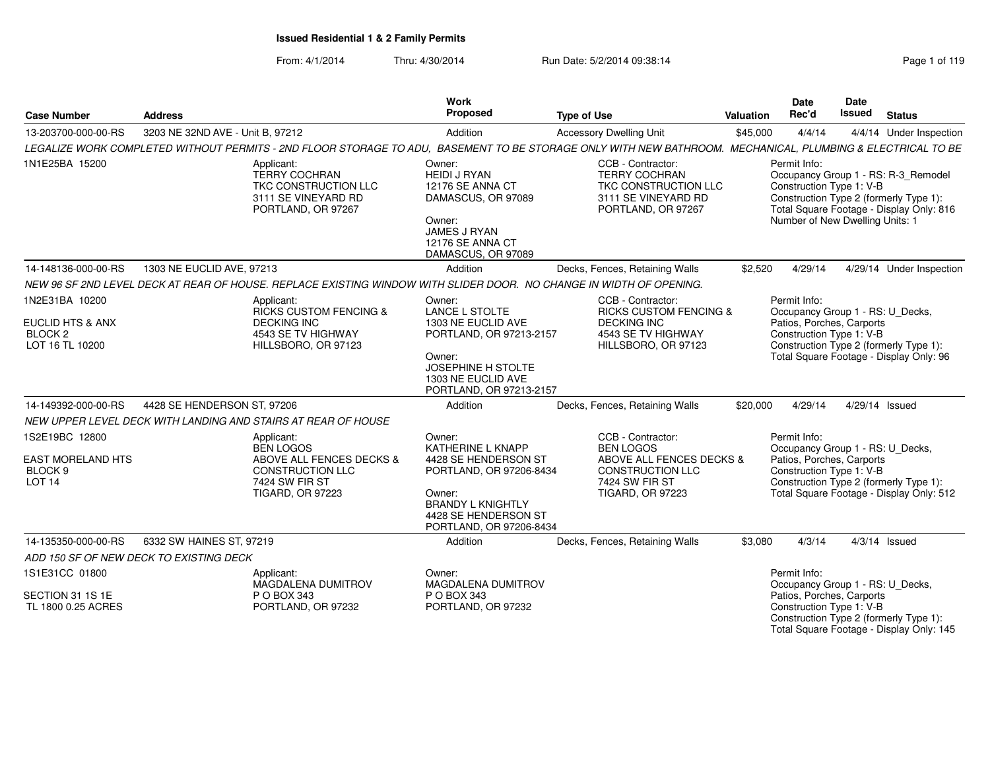| <b>Case Number</b>                                                                     | <b>Address</b>                                                                                                                                             | Work<br>Proposed                                                                                                                                                               | <b>Type of Use</b>                                                                                                                               | Valuation | <b>Date</b><br>Rec'd                                                        | Date<br><b>Issued</b> | <b>Status</b>                                                                                                             |
|----------------------------------------------------------------------------------------|------------------------------------------------------------------------------------------------------------------------------------------------------------|--------------------------------------------------------------------------------------------------------------------------------------------------------------------------------|--------------------------------------------------------------------------------------------------------------------------------------------------|-----------|-----------------------------------------------------------------------------|-----------------------|---------------------------------------------------------------------------------------------------------------------------|
| 13-203700-000-00-RS                                                                    | 3203 NE 32ND AVE - Unit B, 97212                                                                                                                           | Addition                                                                                                                                                                       | <b>Accessory Dwelling Unit</b>                                                                                                                   | \$45,000  | 4/4/14                                                                      |                       | 4/4/14 Under Inspection                                                                                                   |
|                                                                                        | LEGALIZE WORK COMPLETED WITHOUT PERMITS - 2ND FLOOR STORAGE TO ADU. BASEMENT TO BE STORAGE ONLY WITH NEW BATHROOM. MECHANICAL. PLUMBING & ELECTRICAL TO BE |                                                                                                                                                                                |                                                                                                                                                  |           |                                                                             |                       |                                                                                                                           |
| 1N1E25BA 15200                                                                         | Applicant:<br><b>TERRY COCHRAN</b><br>TKC CONSTRUCTION LLC<br>3111 SE VINEYARD RD<br>PORTLAND, OR 97267                                                    | Owner:<br><b>HEIDI J RYAN</b><br>12176 SE ANNA CT<br>DAMASCUS, OR 97089<br>Owner:<br><b>JAMES J RYAN</b><br>12176 SE ANNA CT<br>DAMASCUS, OR 97089                             | CCB - Contractor:<br><b>TERRY COCHRAN</b><br>TKC CONSTRUCTION LLC<br>3111 SE VINEYARD RD<br>PORTLAND, OR 97267                                   |           | Permit Info:<br>Construction Type 1: V-B<br>Number of New Dwelling Units: 1 |                       | Occupancy Group 1 - RS: R-3_Remodel<br>Construction Type 2 (formerly Type 1):<br>Total Square Footage - Display Only: 816 |
| 14-148136-000-00-RS                                                                    | 1303 NE EUCLID AVE, 97213                                                                                                                                  | Addition                                                                                                                                                                       | Decks, Fences, Retaining Walls                                                                                                                   | \$2.520   | 4/29/14                                                                     |                       | 4/29/14 Under Inspection                                                                                                  |
|                                                                                        | NEW 96 SF 2ND LEVEL DECK AT REAR OF HOUSE. REPLACE EXISTING WINDOW WITH SLIDER DOOR. NO CHANGE IN WIDTH OF OPENING.                                        |                                                                                                                                                                                |                                                                                                                                                  |           |                                                                             |                       |                                                                                                                           |
| 1N2E31BA 10200<br><b>EUCLID HTS &amp; ANX</b><br>BLOCK <sub>2</sub><br>LOT 16 TL 10200 | Applicant:<br><b>RICKS CUSTOM FENCING &amp;</b><br><b>DECKING INC</b><br>4543 SE TV HIGHWAY<br>HILLSBORO, OR 97123                                         | Owner:<br><b>LANCE L STOLTE</b><br>1303 NE EUCLID AVE<br>PORTLAND, OR 97213-2157<br>Owner:<br><b>JOSEPHINE H STOLTE</b><br>1303 NE EUCLID AVE<br>PORTLAND, OR 97213-2157       | CCB - Contractor:<br><b>RICKS CUSTOM FENCING &amp;</b><br><b>DECKING INC</b><br>4543 SE TV HIGHWAY<br>HILLSBORO, OR 97123                        |           | Permit Info:<br>Patios, Porches, Carports<br>Construction Type 1: V-B       |                       | Occupancy Group 1 - RS: U Decks,<br>Construction Type 2 (formerly Type 1):<br>Total Square Footage - Display Only: 96     |
| 14-149392-000-00-RS                                                                    | 4428 SE HENDERSON ST, 97206                                                                                                                                | Addition                                                                                                                                                                       | Decks, Fences, Retaining Walls                                                                                                                   | \$20,000  | 4/29/14                                                                     |                       | 4/29/14 Issued                                                                                                            |
|                                                                                        | NEW UPPER LEVEL DECK WITH LANDING AND STAIRS AT REAR OF HOUSE                                                                                              |                                                                                                                                                                                |                                                                                                                                                  |           |                                                                             |                       |                                                                                                                           |
| 1S2E19BC 12800<br>EAST MORELAND HTS<br>BLOCK <sub>9</sub><br><b>LOT 14</b>             | Applicant:<br><b>BEN LOGOS</b><br>ABOVE ALL FENCES DECKS &<br><b>CONSTRUCTION LLC</b><br><b>7424 SW FIR ST</b><br><b>TIGARD, OR 97223</b>                  | Owner:<br><b>KATHERINE L KNAPP</b><br>4428 SE HENDERSON ST<br>PORTLAND, OR 97206-8434<br>Owner:<br><b>BRANDY L KNIGHTLY</b><br>4428 SE HENDERSON ST<br>PORTLAND, OR 97206-8434 | CCB - Contractor:<br><b>BEN LOGOS</b><br>ABOVE ALL FENCES DECKS &<br><b>CONSTRUCTION LLC</b><br><b>7424 SW FIR ST</b><br><b>TIGARD, OR 97223</b> |           | Permit Info:<br>Patios, Porches, Carports<br>Construction Type 1: V-B       |                       | Occupancy Group 1 - RS: U Decks,<br>Construction Type 2 (formerly Type 1):<br>Total Square Footage - Display Only: 512    |
| 14-135350-000-00-RS                                                                    | 6332 SW HAINES ST, 97219                                                                                                                                   | Addition                                                                                                                                                                       | Decks, Fences, Retaining Walls                                                                                                                   | \$3,080   | 4/3/14                                                                      |                       | $4/3/14$ Issued                                                                                                           |
|                                                                                        | ADD 150 SF OF NEW DECK TO EXISTING DECK                                                                                                                    |                                                                                                                                                                                |                                                                                                                                                  |           |                                                                             |                       |                                                                                                                           |
| 1S1E31CC 01800<br>SECTION 31 1S 1E<br>TL 1800 0.25 ACRES                               | Applicant:<br>MAGDALENA DUMITROV<br>P O BOX 343<br>PORTLAND, OR 97232                                                                                      | Owner:<br>MAGDALENA DUMITROV<br>P O BOX 343<br>PORTLAND, OR 97232                                                                                                              |                                                                                                                                                  |           | Permit Info:<br>Patios, Porches, Carports<br>Construction Type 1: V-B       |                       | Occupancy Group 1 - RS: U_Decks,<br>Construction Type 2 (formerly Type 1):<br>Total Square Footage - Display Only: 145    |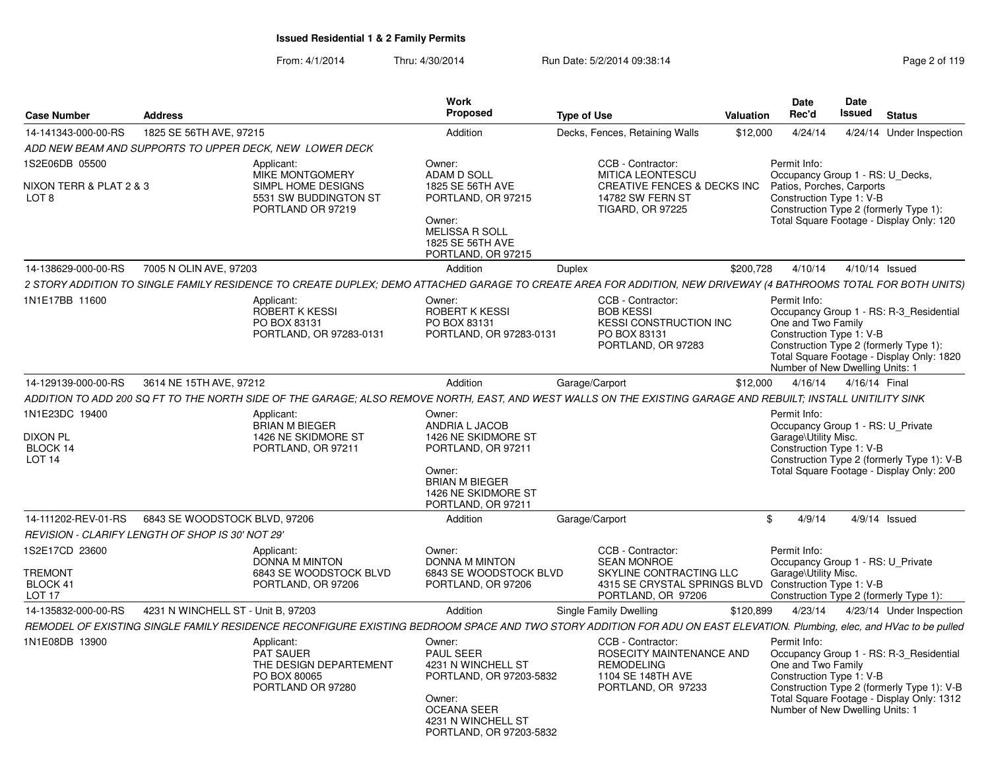| <b>Case Number</b>                                                | <b>Address</b>                                   |                                                                                                   | Work<br>Proposed                                                                                                                                             | <b>Type of Use</b>                                                                                                                                                     | Valuation | Date<br>Rec'd                                                                                             | Date<br>Issued | <b>Status</b>                                                                                                                      |
|-------------------------------------------------------------------|--------------------------------------------------|---------------------------------------------------------------------------------------------------|--------------------------------------------------------------------------------------------------------------------------------------------------------------|------------------------------------------------------------------------------------------------------------------------------------------------------------------------|-----------|-----------------------------------------------------------------------------------------------------------|----------------|------------------------------------------------------------------------------------------------------------------------------------|
| 14-141343-000-00-RS                                               | 1825 SE 56TH AVE, 97215                          |                                                                                                   | Addition                                                                                                                                                     | Decks, Fences, Retaining Walls                                                                                                                                         | \$12,000  | 4/24/14                                                                                                   |                | 4/24/14 Under Inspection                                                                                                           |
|                                                                   |                                                  | ADD NEW BEAM AND SUPPORTS TO UPPER DECK, NEW LOWER DECK                                           |                                                                                                                                                              |                                                                                                                                                                        |           |                                                                                                           |                |                                                                                                                                    |
| 1S2E06DB 05500<br>NIXON TERR & PLAT 2 & 3<br>LOT 8                |                                                  | Applicant:<br>MIKE MONTGOMERY<br>SIMPL HOME DESIGNS<br>5531 SW BUDDINGTON ST<br>PORTLAND OR 97219 | Owner:<br>ADAM D SOLL<br>1825 SE 56TH AVE<br>PORTLAND, OR 97215<br>Owner:<br>MELISSA R SOLL<br>1825 SE 56TH AVE<br>PORTLAND, OR 97215                        | CCB - Contractor:<br><b>MITICA LEONTESCU</b><br>CREATIVE FENCES & DECKS INC<br><b>14782 SW FERN ST</b><br><b>TIGARD, OR 97225</b>                                      |           | Permit Info:<br>Occupancy Group 1 - RS: U_Decks,<br>Patios, Porches, Carports<br>Construction Type 1: V-B |                | Construction Type 2 (formerly Type 1):<br>Total Square Footage - Display Only: 120                                                 |
| 14-138629-000-00-RS                                               | 7005 N OLIN AVE, 97203                           |                                                                                                   | Addition                                                                                                                                                     | <b>Duplex</b>                                                                                                                                                          | \$200,728 | 4/10/14                                                                                                   |                | 4/10/14 Issued                                                                                                                     |
|                                                                   |                                                  |                                                                                                   |                                                                                                                                                              | 2 STORY ADDITION TO SINGLE FAMILY RESIDENCE TO CREATE DUPLEX; DEMO ATTACHED GARAGE TO CREATE AREA FOR ADDITION, NEW DRIVEWAY (4 BATHROOMS TOTAL FOR BOTH UNITS)        |           |                                                                                                           |                |                                                                                                                                    |
| 1N1E17BB 11600                                                    |                                                  | Applicant:<br>ROBERT K KESSI<br>PO BOX 83131<br>PORTLAND, OR 97283-0131                           | Owner:<br>ROBERT K KESSI<br>PO BOX 83131<br>PORTLAND, OR 97283-0131                                                                                          | CCB - Contractor:<br><b>BOB KESSI</b><br><b>KESSI CONSTRUCTION INC</b><br>PO BOX 83131<br>PORTLAND, OR 97283                                                           |           | Permit Info:<br>One and Two Family<br>Construction Type 1: V-B<br>Number of New Dwelling Units: 1         |                | Occupancy Group 1 - RS: R-3_Residential<br>Construction Type 2 (formerly Type 1):<br>Total Square Footage - Display Only: 1820     |
| 14-129139-000-00-RS                                               | 3614 NE 15TH AVE, 97212                          |                                                                                                   | Addition                                                                                                                                                     | Garage/Carport                                                                                                                                                         | \$12,000  | 4/16/14                                                                                                   | 4/16/14 Final  |                                                                                                                                    |
|                                                                   |                                                  |                                                                                                   |                                                                                                                                                              | ADDITION TO ADD 200 SQ FT TO THE NORTH SIDE OF THE GARAGE; ALSO REMOVE NORTH, EAST, AND WEST WALLS ON THE EXISTING GARAGE AND REBUILT; INSTALL UNITILITY SINK          |           |                                                                                                           |                |                                                                                                                                    |
| 1N1E23DC 19400<br>DIXON PL<br>BLOCK 14<br>LOT <sub>14</sub>       |                                                  | Applicant:<br><b>BRIAN M BIEGER</b><br>1426 NE SKIDMORE ST<br>PORTLAND, OR 97211                  | Owner:<br>ANDRIA L JACOB<br>1426 NE SKIDMORE ST<br>PORTLAND, OR 97211<br>Owner:<br><b>BRIAN M BIEGER</b><br>1426 NE SKIDMORE ST<br>PORTLAND, OR 97211        |                                                                                                                                                                        |           | Permit Info:<br>Occupancy Group 1 - RS: U_Private<br>Garage\Utility Misc.<br>Construction Type 1: V-B     |                | Construction Type 2 (formerly Type 1): V-B<br>Total Square Footage - Display Only: 200                                             |
| 14-111202-REV-01-RS                                               | 6843 SE WOODSTOCK BLVD, 97206                    |                                                                                                   | Addition                                                                                                                                                     | Garage/Carport                                                                                                                                                         |           | \$<br>4/9/14                                                                                              |                | $4/9/14$ Issued                                                                                                                    |
|                                                                   | REVISION - CLARIFY LENGTH OF SHOP IS 30' NOT 29' |                                                                                                   |                                                                                                                                                              |                                                                                                                                                                        |           |                                                                                                           |                |                                                                                                                                    |
| 1S2E17CD 23600<br><b>TREMONT</b><br>BLOCK 41<br>LOT <sub>17</sub> |                                                  | Applicant:<br>DONNA M MINTON<br>6843 SE WOODSTOCK BLVD<br>PORTLAND, OR 97206                      | Owner:<br><b>DONNA M MINTON</b><br>6843 SE WOODSTOCK BLVD<br>PORTLAND, OR 97206                                                                              | CCB - Contractor:<br><b>SEAN MONROE</b><br>SKYLINE CONTRACTING LLC<br>4315 SE CRYSTAL SPRINGS BLVD Construction Type 1: V-B<br>PORTLAND, OR 97206                      |           | Permit Info:<br>Occupancy Group 1 - RS: U_Private<br>Garage\Utility Misc.                                 |                | Construction Type 2 (formerly Type 1):                                                                                             |
| 14-135832-000-00-RS                                               | 4231 N WINCHELL ST - Unit B, 97203               |                                                                                                   | Addition                                                                                                                                                     | Single Family Dwelling                                                                                                                                                 | \$120,899 | 4/23/14                                                                                                   |                | 4/23/14 Under Inspection                                                                                                           |
|                                                                   |                                                  |                                                                                                   |                                                                                                                                                              | REMODEL OF EXISTING SINGLE FAMILY RESIDENCE RECONFIGURE EXISTING BEDROOM SPACE AND TWO STORY ADDITION FOR ADU ON EAST ELEVATION. Plumbing, elec, and HVac to be pulled |           |                                                                                                           |                |                                                                                                                                    |
| 1N1E08DB 13900                                                    |                                                  | Applicant:<br><b>PAT SAUER</b><br>THE DESIGN DEPARTEMENT<br>PO BOX 80065<br>PORTLAND OR 97280     | Owner:<br><b>PAUL SEER</b><br>4231 N WINCHELL ST<br>PORTLAND, OR 97203-5832<br>Owner:<br><b>OCEANA SEER</b><br>4231 N WINCHELL ST<br>PORTLAND, OR 97203-5832 | CCB - Contractor:<br>ROSECITY MAINTENANCE AND<br><b>REMODELING</b><br>1104 SE 148TH AVE<br>PORTLAND, OR 97233                                                          |           | Permit Info:<br>One and Two Family<br>Construction Type 1: V-B<br>Number of New Dwelling Units: 1         |                | Occupancy Group 1 - RS: R-3 Residential<br>Construction Type 2 (formerly Type 1): V-B<br>Total Square Footage - Display Only: 1312 |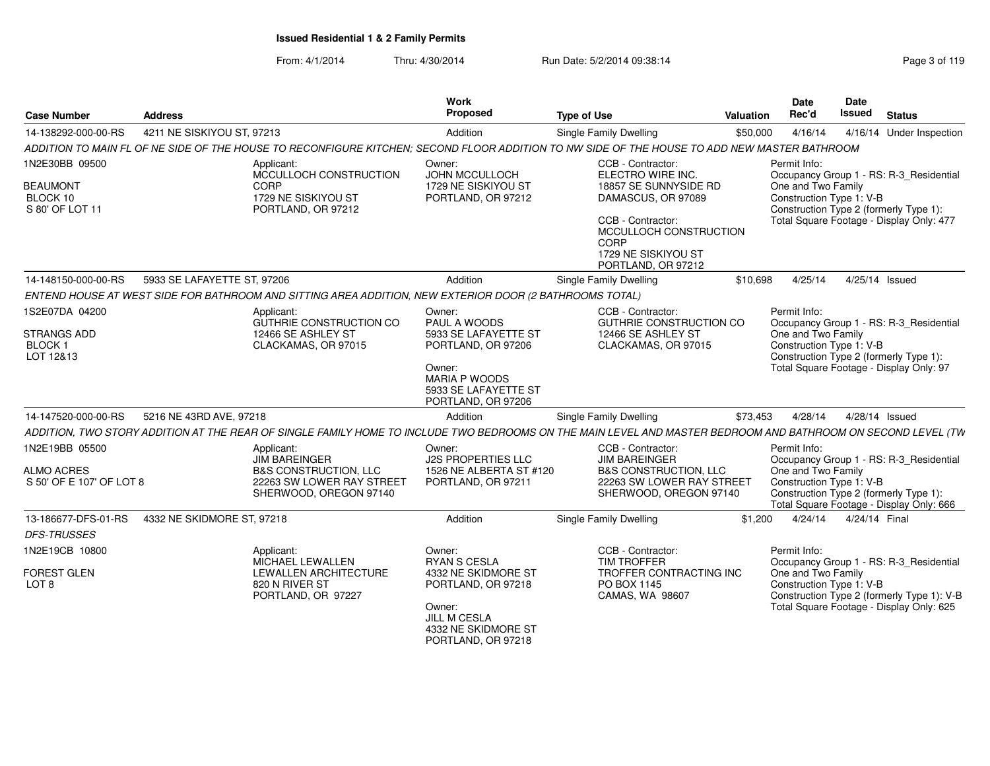## From: 4/1/2014Thru: 4/30/2014 Run Date: 5/2/2014 09:38:14 Research 2010 119

| 4211 NE SISKIYOU ST, 97213<br>Addition<br><b>Single Family Dwelling</b><br>14-138292-000-00-RS<br>4/16/14<br>\$50,000<br>ADDITION TO MAIN FL OF NE SIDE OF THE HOUSE TO RECONFIGURE KITCHEN; SECOND FLOOR ADDITION TO NW SIDE OF THE HOUSE TO ADD NEW MASTER BATHROOM<br>1N2E30BB 09500<br>CCB - Contractor:<br>Permit Info:<br>Applicant:<br>Owner:<br>MCCULLOCH CONSTRUCTION<br>JOHN MCCULLOCH<br>ELECTRO WIRE INC.<br>Occupancy Group 1 - RS: R-3_Residential<br>CORP<br>One and Two Family<br><b>BEAUMONT</b><br>1729 NE SISKIYOU ST<br>18857 SE SUNNYSIDE RD<br>1729 NE SISKIYOU ST<br>Construction Type 1: V-B<br>BLOCK 10<br>PORTLAND, OR 97212<br>DAMASCUS, OR 97089<br>S 80' OF LOT 11<br>Construction Type 2 (formerly Type 1):<br>PORTLAND, OR 97212<br>CCB - Contractor:<br>Total Square Footage - Display Only: 477<br>MCCULLOCH CONSTRUCTION<br><b>CORP</b><br>1729 NE SISKIYOU ST<br>PORTLAND, OR 97212<br>5933 SE LAFAYETTE ST, 97206<br>14-148150-000-00-RS<br>Addition<br><b>Single Family Dwelling</b><br>\$10,698<br>4/25/14<br>4/25/14 Issued<br>ENTEND HOUSE AT WEST SIDE FOR BATHROOM AND SITTING AREA ADDITION, NEW EXTERIOR DOOR (2 BATHROOMS TOTAL)<br>1S2E07DA 04200<br>Permit Info:<br>Applicant:<br>CCB - Contractor:<br>Owner:<br>GUTHRIE CONSTRUCTION CO<br>PAUL A WOODS<br><b>GUTHRIE CONSTRUCTION CO</b><br>Occupancy Group 1 - RS: R-3_Residential<br>5933 SE LAFAYETTE ST<br>One and Two Family<br><b>STRANGS ADD</b><br>12466 SE ASHLEY ST<br>12466 SE ASHLEY ST<br>Construction Type 1: V-B<br><b>BLOCK1</b><br>CLACKAMAS, OR 97015<br>PORTLAND, OR 97206<br>CLACKAMAS, OR 97015<br>Construction Type 2 (formerly Type 1):<br>LOT 12&13<br>Total Square Footage - Display Only: 97<br>Owner:<br><b>MARIA P WOODS</b><br>5933 SE LAFAYETTE ST<br>PORTLAND, OR 97206<br>5216 NE 43RD AVE, 97218<br><b>Single Family Dwelling</b><br>14-147520-000-00-RS<br>\$73,453<br>4/28/14<br>4/28/14 Issued<br>Addition<br>ADDITION, TWO STORY ADDITION AT THE REAR OF SINGLE FAMILY HOME TO INCLUDE TWO BEDROOMS ON THE MAIN LEVEL AND MASTER BEDROOM AND BATHROOM ON SECOND LEVEL (TW<br>1N2E19BB 05500<br>CCB - Contractor:<br>Permit Info:<br>Applicant:<br>Owner:<br><b>JIM BAREINGER</b><br><b>J2S PROPERTIES LLC</b><br><b>JIM BAREINGER</b><br>Occupancy Group 1 - RS: R-3_Residential<br>One and Two Family<br><b>ALMO ACRES</b><br><b>B&amp;S CONSTRUCTION, LLC</b><br>1526 NE ALBERTA ST #120<br><b>B&amp;S CONSTRUCTION, LLC</b><br>Construction Type 1: V-B<br>S 50' OF E 107' OF LOT 8<br>22263 SW LOWER RAY STREET<br>22263 SW LOWER RAY STREET<br>PORTLAND, OR 97211<br>SHERWOOD, OREGON 97140<br>Construction Type 2 (formerly Type 1):<br>SHERWOOD, OREGON 97140<br>Total Square Footage - Display Only: 666<br>Single Family Dwelling<br>13-186677-DFS-01-RS<br>4332 NE SKIDMORE ST, 97218<br>Addition<br>\$1,200<br>4/24/14<br>4/24/14 Final<br><b>DFS-TRUSSES</b><br>1N2E19CB 10800<br>CCB - Contractor:<br>Permit Info:<br>Applicant:<br>Owner: | <b>Case Number</b> | <b>Address</b> |                         | Work<br>Proposed    | <b>Type of Use</b> | <b>Valuation</b> | Date<br>Rec'd | Date<br>Issued | <b>Status</b>            |
|-----------------------------------------------------------------------------------------------------------------------------------------------------------------------------------------------------------------------------------------------------------------------------------------------------------------------------------------------------------------------------------------------------------------------------------------------------------------------------------------------------------------------------------------------------------------------------------------------------------------------------------------------------------------------------------------------------------------------------------------------------------------------------------------------------------------------------------------------------------------------------------------------------------------------------------------------------------------------------------------------------------------------------------------------------------------------------------------------------------------------------------------------------------------------------------------------------------------------------------------------------------------------------------------------------------------------------------------------------------------------------------------------------------------------------------------------------------------------------------------------------------------------------------------------------------------------------------------------------------------------------------------------------------------------------------------------------------------------------------------------------------------------------------------------------------------------------------------------------------------------------------------------------------------------------------------------------------------------------------------------------------------------------------------------------------------------------------------------------------------------------------------------------------------------------------------------------------------------------------------------------------------------------------------------------------------------------------------------------------------------------------------------------------------------------------------------------------------------------------------------------------------------------------------------------------------------------------------------------------------------------------------------------------------------------------------------------------------------------------------------------------------------------------------------------------------------------------------------------------------------------------------------------------------------------------------------------------------------------------------------|--------------------|----------------|-------------------------|---------------------|--------------------|------------------|---------------|----------------|--------------------------|
|                                                                                                                                                                                                                                                                                                                                                                                                                                                                                                                                                                                                                                                                                                                                                                                                                                                                                                                                                                                                                                                                                                                                                                                                                                                                                                                                                                                                                                                                                                                                                                                                                                                                                                                                                                                                                                                                                                                                                                                                                                                                                                                                                                                                                                                                                                                                                                                                                                                                                                                                                                                                                                                                                                                                                                                                                                                                                                                                                                                               |                    |                |                         |                     |                    |                  |               |                | 4/16/14 Under Inspection |
|                                                                                                                                                                                                                                                                                                                                                                                                                                                                                                                                                                                                                                                                                                                                                                                                                                                                                                                                                                                                                                                                                                                                                                                                                                                                                                                                                                                                                                                                                                                                                                                                                                                                                                                                                                                                                                                                                                                                                                                                                                                                                                                                                                                                                                                                                                                                                                                                                                                                                                                                                                                                                                                                                                                                                                                                                                                                                                                                                                                               |                    |                |                         |                     |                    |                  |               |                |                          |
|                                                                                                                                                                                                                                                                                                                                                                                                                                                                                                                                                                                                                                                                                                                                                                                                                                                                                                                                                                                                                                                                                                                                                                                                                                                                                                                                                                                                                                                                                                                                                                                                                                                                                                                                                                                                                                                                                                                                                                                                                                                                                                                                                                                                                                                                                                                                                                                                                                                                                                                                                                                                                                                                                                                                                                                                                                                                                                                                                                                               |                    |                |                         |                     |                    |                  |               |                |                          |
|                                                                                                                                                                                                                                                                                                                                                                                                                                                                                                                                                                                                                                                                                                                                                                                                                                                                                                                                                                                                                                                                                                                                                                                                                                                                                                                                                                                                                                                                                                                                                                                                                                                                                                                                                                                                                                                                                                                                                                                                                                                                                                                                                                                                                                                                                                                                                                                                                                                                                                                                                                                                                                                                                                                                                                                                                                                                                                                                                                                               |                    |                |                         |                     |                    |                  |               |                |                          |
|                                                                                                                                                                                                                                                                                                                                                                                                                                                                                                                                                                                                                                                                                                                                                                                                                                                                                                                                                                                                                                                                                                                                                                                                                                                                                                                                                                                                                                                                                                                                                                                                                                                                                                                                                                                                                                                                                                                                                                                                                                                                                                                                                                                                                                                                                                                                                                                                                                                                                                                                                                                                                                                                                                                                                                                                                                                                                                                                                                                               |                    |                |                         |                     |                    |                  |               |                |                          |
|                                                                                                                                                                                                                                                                                                                                                                                                                                                                                                                                                                                                                                                                                                                                                                                                                                                                                                                                                                                                                                                                                                                                                                                                                                                                                                                                                                                                                                                                                                                                                                                                                                                                                                                                                                                                                                                                                                                                                                                                                                                                                                                                                                                                                                                                                                                                                                                                                                                                                                                                                                                                                                                                                                                                                                                                                                                                                                                                                                                               |                    |                |                         |                     |                    |                  |               |                |                          |
|                                                                                                                                                                                                                                                                                                                                                                                                                                                                                                                                                                                                                                                                                                                                                                                                                                                                                                                                                                                                                                                                                                                                                                                                                                                                                                                                                                                                                                                                                                                                                                                                                                                                                                                                                                                                                                                                                                                                                                                                                                                                                                                                                                                                                                                                                                                                                                                                                                                                                                                                                                                                                                                                                                                                                                                                                                                                                                                                                                                               |                    |                |                         |                     |                    |                  |               |                |                          |
|                                                                                                                                                                                                                                                                                                                                                                                                                                                                                                                                                                                                                                                                                                                                                                                                                                                                                                                                                                                                                                                                                                                                                                                                                                                                                                                                                                                                                                                                                                                                                                                                                                                                                                                                                                                                                                                                                                                                                                                                                                                                                                                                                                                                                                                                                                                                                                                                                                                                                                                                                                                                                                                                                                                                                                                                                                                                                                                                                                                               |                    |                |                         |                     |                    |                  |               |                |                          |
|                                                                                                                                                                                                                                                                                                                                                                                                                                                                                                                                                                                                                                                                                                                                                                                                                                                                                                                                                                                                                                                                                                                                                                                                                                                                                                                                                                                                                                                                                                                                                                                                                                                                                                                                                                                                                                                                                                                                                                                                                                                                                                                                                                                                                                                                                                                                                                                                                                                                                                                                                                                                                                                                                                                                                                                                                                                                                                                                                                                               |                    |                |                         |                     |                    |                  |               |                |                          |
|                                                                                                                                                                                                                                                                                                                                                                                                                                                                                                                                                                                                                                                                                                                                                                                                                                                                                                                                                                                                                                                                                                                                                                                                                                                                                                                                                                                                                                                                                                                                                                                                                                                                                                                                                                                                                                                                                                                                                                                                                                                                                                                                                                                                                                                                                                                                                                                                                                                                                                                                                                                                                                                                                                                                                                                                                                                                                                                                                                                               |                    |                |                         |                     |                    |                  |               |                |                          |
|                                                                                                                                                                                                                                                                                                                                                                                                                                                                                                                                                                                                                                                                                                                                                                                                                                                                                                                                                                                                                                                                                                                                                                                                                                                                                                                                                                                                                                                                                                                                                                                                                                                                                                                                                                                                                                                                                                                                                                                                                                                                                                                                                                                                                                                                                                                                                                                                                                                                                                                                                                                                                                                                                                                                                                                                                                                                                                                                                                                               |                    |                |                         |                     |                    |                  |               |                |                          |
| Occupancy Group 1 - RS: R-3 Residential<br>4332 NE SKIDMORE ST<br>One and Two Family<br><b>FOREST GLEN</b><br><b>LEWALLEN ARCHITECTURE</b><br>TROFFER CONTRACTING INC<br>Construction Type 1: V-B<br>820 N RIVER ST<br>PO BOX 1145<br>LOT <sub>8</sub><br>PORTLAND, OR 97218<br>Construction Type 2 (formerly Type 1): V-B<br>PORTLAND, OR 97227<br>CAMAS, WA 98607<br>Total Square Footage - Display Only: 625<br>Owner:<br>JILL M CESLA<br>4332 NE SKIDMORE ST                                                                                                                                                                                                                                                                                                                                                                                                                                                                                                                                                                                                                                                                                                                                                                                                                                                                                                                                                                                                                                                                                                                                                                                                                                                                                                                                                                                                                                                                                                                                                                                                                                                                                                                                                                                                                                                                                                                                                                                                                                                                                                                                                                                                                                                                                                                                                                                                                                                                                                                              |                    |                | <b>MICHAEL LEWALLEN</b> | <b>RYAN S CESLA</b> | <b>TIM TROFFER</b> |                  |               |                |                          |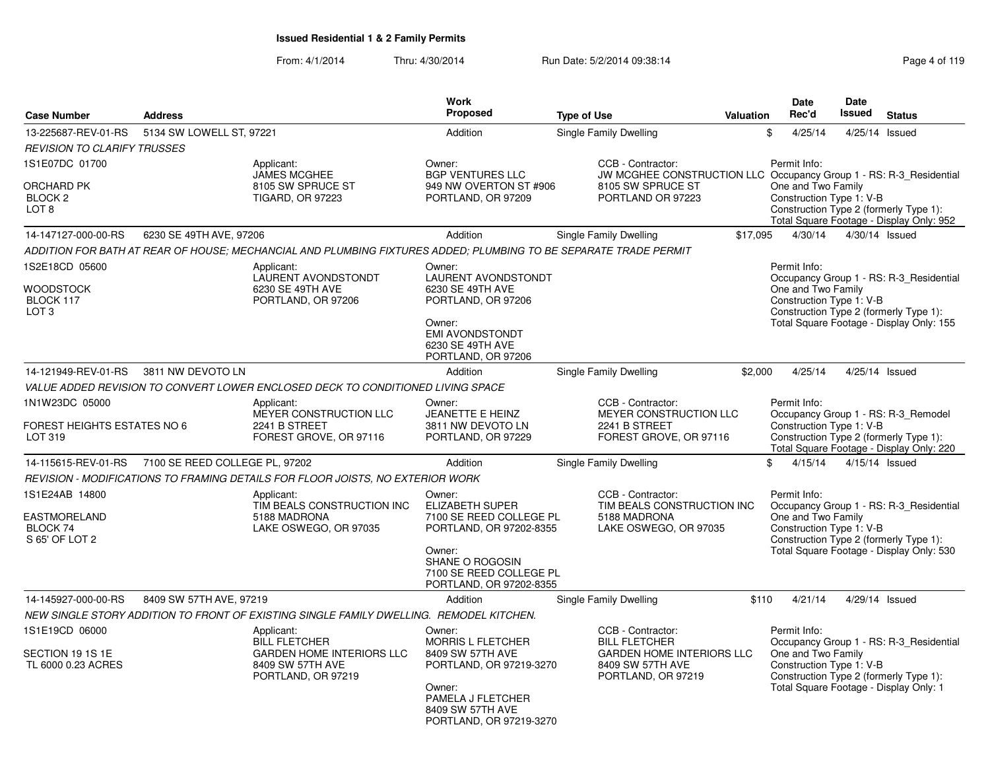| <b>Case Number</b>                                   | <b>Address</b>                 |                                                                                                                  | <b>Work</b><br><b>Proposed</b>                                                                                            | <b>Type of Use</b>                                                                      | <b>Valuation</b> | <b>Date</b><br>Rec'd                                                                                                               | <b>Date</b><br>Issued | <b>Status</b>                                                                      |
|------------------------------------------------------|--------------------------------|------------------------------------------------------------------------------------------------------------------|---------------------------------------------------------------------------------------------------------------------------|-----------------------------------------------------------------------------------------|------------------|------------------------------------------------------------------------------------------------------------------------------------|-----------------------|------------------------------------------------------------------------------------|
| 13-225687-REV-01-RS                                  | 5134 SW LOWELL ST, 97221       |                                                                                                                  | Addition                                                                                                                  | Single Family Dwelling                                                                  |                  | \$<br>4/25/14                                                                                                                      | 4/25/14               | Issued                                                                             |
| <b>REVISION TO CLARIFY TRUSSES</b>                   |                                |                                                                                                                  |                                                                                                                           |                                                                                         |                  |                                                                                                                                    |                       |                                                                                    |
| 1S1E07DC 01700                                       |                                | Applicant:<br><b>JAMES MCGHEE</b>                                                                                | Owner:<br><b>BGP VENTURES LLC</b>                                                                                         | CCB - Contractor:<br>JW MCGHEE CONSTRUCTION LLC Occupancy Group 1 - RS: R-3_Residential |                  | Permit Info:                                                                                                                       |                       |                                                                                    |
| ORCHARD PK<br>BLOCK <sub>2</sub><br>LOT <sub>8</sub> |                                | 8105 SW SPRUCE ST<br><b>TIGARD, OR 97223</b>                                                                     | 949 NW OVERTON ST #906<br>PORTLAND, OR 97209                                                                              | 8105 SW SPRUCE ST<br>PORTLAND OR 97223                                                  |                  | One and Two Family<br>Construction Type 1: V-B<br>Construction Type 2 (formerly Type 1):                                           |                       | Total Square Footage - Display Only: 952                                           |
| 14-147127-000-00-RS                                  | 6230 SE 49TH AVE, 97206        |                                                                                                                  | Addition                                                                                                                  | Single Family Dwelling                                                                  | \$17,095         | 4/30/14                                                                                                                            |                       | 4/30/14 Issued                                                                     |
|                                                      |                                | ADDITION FOR BATH AT REAR OF HOUSE; MECHANCIAL AND PLUMBING FIXTURES ADDED; PLUMBING TO BE SEPARATE TRADE PERMIT |                                                                                                                           |                                                                                         |                  |                                                                                                                                    |                       |                                                                                    |
| 1S2E18CD 05600                                       |                                | Applicant:<br>LAURENT AVONDSTONDT                                                                                | Owner:<br>LAURENT AVONDSTONDT                                                                                             |                                                                                         |                  | Permit Info:                                                                                                                       |                       | Occupancy Group 1 - RS: R-3 Residential                                            |
| <b>WOODSTOCK</b><br>BLOCK 117                        |                                | 6230 SE 49TH AVE<br>PORTLAND, OR 97206                                                                           | 6230 SE 49TH AVE<br>PORTLAND, OR 97206                                                                                    |                                                                                         |                  | One and Two Family<br>Construction Type 1: V-B                                                                                     |                       |                                                                                    |
| LOT <sub>3</sub>                                     |                                |                                                                                                                  | Owner:<br><b>EMI AVONDSTONDT</b><br>6230 SE 49TH AVE<br>PORTLAND, OR 97206                                                |                                                                                         |                  |                                                                                                                                    |                       | Construction Type 2 (formerly Type 1):<br>Total Square Footage - Display Only: 155 |
| 14-121949-REV-01-RS                                  | 3811 NW DEVOTO LN              |                                                                                                                  | Addition                                                                                                                  | Single Family Dwelling                                                                  | \$2,000          | 4/25/14                                                                                                                            |                       | 4/25/14 Issued                                                                     |
|                                                      |                                | VALUE ADDED REVISION TO CONVERT LOWER ENCLOSED DECK TO CONDITIONED LIVING SPACE                                  |                                                                                                                           |                                                                                         |                  |                                                                                                                                    |                       |                                                                                    |
| 1N1W23DC 05000                                       |                                | Applicant:                                                                                                       | Owner:                                                                                                                    | CCB - Contractor:                                                                       |                  | Permit Info:                                                                                                                       |                       |                                                                                    |
| FOREST HEIGHTS ESTATES NO 6<br>LOT 319               |                                | MEYER CONSTRUCTION LLC<br>2241 B STREET<br>FOREST GROVE, OR 97116                                                | JEANETTE E HEINZ<br>3811 NW DEVOTO LN<br>PORTLAND, OR 97229                                                               | MEYER CONSTRUCTION LLC<br>2241 B STREET<br>FOREST GROVE, OR 97116                       |                  | Construction Type 1: V-B<br>Construction Type 2 (formerly Type 1):                                                                 |                       | Occupancy Group 1 - RS: R-3_Remodel<br>Total Square Footage - Display Only: 220    |
| 14-115615-REV-01-RS                                  | 7100 SE REED COLLEGE PL, 97202 |                                                                                                                  | Addition                                                                                                                  | Single Family Dwelling                                                                  |                  | 4/15/14<br>\$                                                                                                                      |                       | 4/15/14 Issued                                                                     |
|                                                      |                                | REVISION - MODIFICATIONS TO FRAMING DETAILS FOR FLOOR JOISTS, NO EXTERIOR WORK                                   |                                                                                                                           |                                                                                         |                  |                                                                                                                                    |                       |                                                                                    |
| 1S1E24AB 14800                                       |                                | Applicant:<br>TIM BEALS CONSTRUCTION INC                                                                         | Owner:<br><b>ELIZABETH SUPER</b>                                                                                          | CCB - Contractor:<br>TIM BEALS CONSTRUCTION INC                                         |                  | Permit Info:                                                                                                                       |                       | Occupancy Group 1 - RS: R-3 Residential                                            |
| EASTMORELAND<br>BLOCK 74<br>S 65' OF LOT 2           |                                | 5188 MADRONA<br>LAKE OSWEGO, OR 97035                                                                            | 7100 SE REED COLLEGE PL<br>PORTLAND, OR 97202-8355                                                                        | 5188 MADRONA<br>LAKE OSWEGO, OR 97035                                                   |                  | One and Two Family<br>Construction Type 1: V-B                                                                                     |                       | Construction Type 2 (formerly Type 1):                                             |
|                                                      |                                |                                                                                                                  | Owner:<br>SHANE O ROGOSIN<br>7100 SE REED COLLEGE PL<br>PORTLAND, OR 97202-8355                                           |                                                                                         |                  |                                                                                                                                    |                       | Total Square Footage - Display Only: 530                                           |
| 14-145927-000-00-RS                                  | 8409 SW 57TH AVE, 97219        |                                                                                                                  | Addition                                                                                                                  | Single Family Dwelling                                                                  | \$110            | 4/21/14                                                                                                                            |                       | 4/29/14 Issued                                                                     |
|                                                      |                                | NEW SINGLE STORY ADDITION TO FRONT OF EXISTING SINGLE FAMILY DWELLING. REMODEL KITCHEN.                          |                                                                                                                           |                                                                                         |                  |                                                                                                                                    |                       |                                                                                    |
| 1S1E19CD 06000                                       |                                | Applicant:<br><b>BILL FLETCHER</b>                                                                               | Owner:<br><b>MORRIS L FLETCHER</b>                                                                                        | CCB - Contractor:<br><b>BILL FLETCHER</b>                                               |                  | Permit Info:                                                                                                                       |                       | Occupancy Group 1 - RS: R-3 Residential                                            |
| SECTION 19 1S 1E<br>TL 6000 0.23 ACRES               |                                | <b>GARDEN HOME INTERIORS LLC</b><br>8409 SW 57TH AVE<br>PORTLAND, OR 97219                                       | 8409 SW 57TH AVE<br>PORTLAND, OR 97219-3270<br>Owner:<br>PAMELA J FLETCHER<br>8409 SW 57TH AVE<br>PORTLAND, OR 97219-3270 | <b>GARDEN HOME INTERIORS LLC</b><br>8409 SW 57TH AVE<br>PORTLAND, OR 97219              |                  | One and Two Family<br>Construction Type 1: V-B<br>Construction Type 2 (formerly Type 1):<br>Total Square Footage - Display Only: 1 |                       |                                                                                    |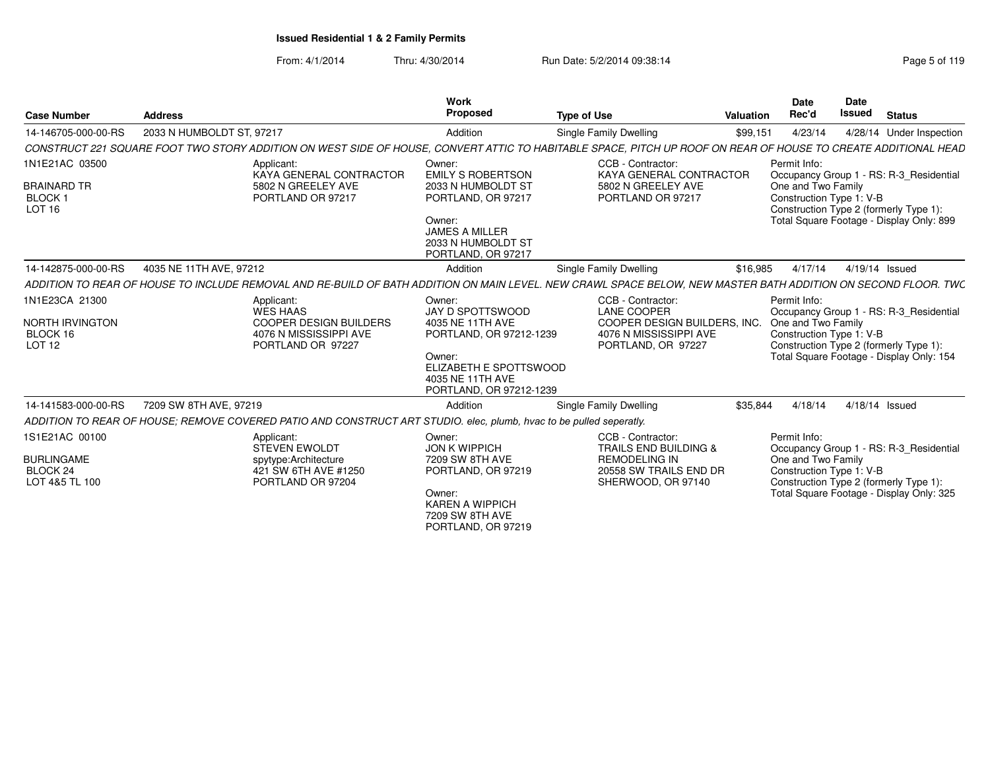| <b>Case Number</b>                                                           | <b>Address</b>            |                                                                                                                     | <b>Work</b><br><b>Proposed</b>                                                                                                                               | <b>Type of Use</b>                                                                                                                                             | Valuation | Date<br>Rec'd                                                  | <b>Date</b><br><b>Issued</b> | <b>Status</b>                                                                                                                 |
|------------------------------------------------------------------------------|---------------------------|---------------------------------------------------------------------------------------------------------------------|--------------------------------------------------------------------------------------------------------------------------------------------------------------|----------------------------------------------------------------------------------------------------------------------------------------------------------------|-----------|----------------------------------------------------------------|------------------------------|-------------------------------------------------------------------------------------------------------------------------------|
| 14-146705-000-00-RS                                                          | 2033 N HUMBOLDT ST. 97217 |                                                                                                                     | Addition                                                                                                                                                     | Single Family Dwelling                                                                                                                                         | \$99,151  | 4/23/14                                                        |                              | 4/28/14 Under Inspection                                                                                                      |
|                                                                              |                           |                                                                                                                     |                                                                                                                                                              | CONSTRUCT 221 SQUARE FOOT TWO STORY ADDITION ON WEST SIDE OF HOUSE, CONVERT ATTIC TO HABITABLE SPACE, PITCH UP ROOF ON REAR OF HOUSE TO CREATE ADDITIONAL HEAD |           |                                                                |                              |                                                                                                                               |
| 1N1E21AC 03500<br>BRAINARD TR<br><b>BLOCK1</b><br>LOT 16                     |                           | Applicant:<br>KAYA GENERAL CONTRACTOR<br>5802 N GREELEY AVE<br>PORTLAND OR 97217                                    | Owner:<br><b>EMILY S ROBERTSON</b><br>2033 N HUMBOLDT ST<br>PORTLAND, OR 97217<br>Owner:<br>JAMES A MILLER<br>2033 N HUMBOLDT ST<br>PORTLAND, OR 97217       | CCB - Contractor:<br>KAYA GENERAL CONTRACTOR<br>5802 N GREELEY AVE<br>PORTLAND OR 97217                                                                        |           | Permit Info:<br>One and Two Family<br>Construction Type 1: V-B |                              | Occupancy Group 1 - RS: R-3 Residential<br>Construction Type 2 (formerly Type 1):<br>Total Square Footage - Display Only: 899 |
| 14-142875-000-00-RS                                                          | 4035 NE 11TH AVE, 97212   |                                                                                                                     | Addition                                                                                                                                                     | Single Family Dwelling                                                                                                                                         | \$16,985  | 4/17/14                                                        | 4/19/14 Issued               |                                                                                                                               |
|                                                                              |                           |                                                                                                                     |                                                                                                                                                              | ADDITION TO REAR OF HOUSE TO INCLUDE REMOVAL AND RE-BUILD OF BATH ADDITION ON MAIN LEVEL. NEW CRAWL SPACE BELOW, NEW MASTER BATH ADDITION ON SECOND FLOOR. TWC |           |                                                                |                              |                                                                                                                               |
| 1N1E23CA 21300<br>NORTH IRVINGTON<br>BLOCK 16<br>LOT <sub>12</sub>           |                           | Applicant:<br><b>WES HAAS</b><br><b>COOPER DESIGN BUILDERS</b><br>4076 N MISSISSIPPI AVE<br>PORTLAND OR 97227       | Owner:<br>JAY D SPOTTSWOOD<br>4035 NE 11TH AVE<br>PORTLAND, OR 97212-1239<br>Owner:<br>ELIZABETH E SPOTTSWOOD<br>4035 NE 11TH AVE<br>PORTLAND, OR 97212-1239 | CCB - Contractor:<br><b>LANE COOPER</b><br>COOPER DESIGN BUILDERS. INC.<br>4076 N MISSISSIPPI AVE<br>PORTLAND, OR 97227                                        |           | Permit Info:<br>One and Two Family<br>Construction Type 1: V-B |                              | Occupancy Group 1 - RS: R-3_Residential<br>Construction Type 2 (formerly Type 1):<br>Total Square Footage - Display Only: 154 |
| 14-141583-000-00-RS                                                          | 7209 SW 8TH AVE, 97219    |                                                                                                                     | Addition                                                                                                                                                     | Single Family Dwelling                                                                                                                                         | \$35,844  | 4/18/14                                                        | 4/18/14 Issued               |                                                                                                                               |
|                                                                              |                           | ADDITION TO REAR OF HOUSE: REMOVE COVERED PATIO AND CONSTRUCT ART STUDIO, elec, plumb, hvac to be pulled seperatly. |                                                                                                                                                              |                                                                                                                                                                |           |                                                                |                              |                                                                                                                               |
| 1S1E21AC 00100<br><b>BURLINGAME</b><br>BLOCK <sub>24</sub><br>LOT 4&5 TL 100 |                           | Applicant:<br><b>STEVEN EWOLDT</b><br>spytype:Architecture<br>421 SW 6TH AVE #1250<br>PORTLAND OR 97204             | Owner:<br><b>JON K WIPPICH</b><br>7209 SW 8TH AVE<br>PORTLAND, OR 97219<br>Owner:<br><b>KAREN A WIPPICH</b><br>7209 SW 8TH AVE<br>PORTLAND, OR 97219         | CCB - Contractor:<br><b>TRAILS END BUILDING &amp;</b><br><b>REMODELING IN</b><br>20558 SW TRAILS END DR<br>SHERWOOD, OR 97140                                  |           | Permit Info:<br>One and Two Family<br>Construction Type 1: V-B |                              | Occupancy Group 1 - RS: R-3_Residential<br>Construction Type 2 (formerly Type 1):<br>Total Square Footage - Display Only: 325 |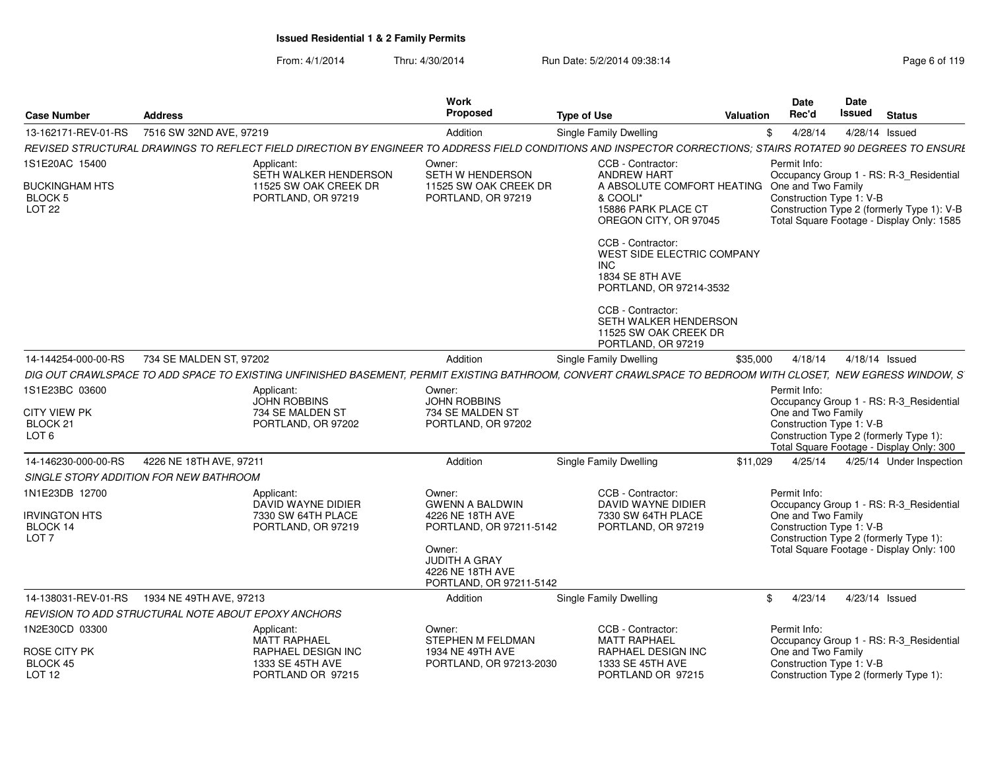From: 4/1/2014Thru: 4/30/2014 **Run Date: 5/2/2014 09:38:14** Run Page 6 of 119 and 119 and 119 and 119 and 119 and 119 and 119 and 119 and 119 and 119 and 119 and 119 and 119 and 119 and 119 and 119 and 119 and 119 and 119 and 119 and 11

| Page 6 of 119 |  |  |  |  |  |
|---------------|--|--|--|--|--|
|---------------|--|--|--|--|--|

| <b>Case Number</b>                                                    | <b>Address</b>          |                                                                                                                                                               | Work<br><b>Proposed</b>                                                                                                                                          | <b>Type of Use</b>                                                                                                                      | <b>Valuation</b> | <b>Date</b><br>Rec'd                                           | Date<br>Issued | <b>Status</b>                                                                                                                      |
|-----------------------------------------------------------------------|-------------------------|---------------------------------------------------------------------------------------------------------------------------------------------------------------|------------------------------------------------------------------------------------------------------------------------------------------------------------------|-----------------------------------------------------------------------------------------------------------------------------------------|------------------|----------------------------------------------------------------|----------------|------------------------------------------------------------------------------------------------------------------------------------|
| 13-162171-REV-01-RS                                                   | 7516 SW 32ND AVE, 97219 |                                                                                                                                                               | Addition                                                                                                                                                         | Single Family Dwelling                                                                                                                  | \$               | 4/28/14                                                        |                | 4/28/14 Issued                                                                                                                     |
|                                                                       |                         | REVISED STRUCTURAL DRAWINGS TO REFLECT FIELD DIRECTION BY ENGINEER TO ADDRESS FIELD CONDITIONS AND INSPECTOR CORRECTIONS; STAIRS ROTATED 90 DEGREES TO ENSURI |                                                                                                                                                                  |                                                                                                                                         |                  |                                                                |                |                                                                                                                                    |
| 1S1E20AC 15400                                                        |                         | Applicant:                                                                                                                                                    | Owner:                                                                                                                                                           | CCB - Contractor:                                                                                                                       |                  | Permit Info:                                                   |                |                                                                                                                                    |
| <b>BUCKINGHAM HTS</b><br>BLOCK 5<br><b>LOT 22</b>                     |                         | SETH WALKER HENDERSON<br>11525 SW OAK CREEK DR<br>PORTLAND, OR 97219                                                                                          | SETH W HENDERSON<br>11525 SW OAK CREEK DR<br>PORTLAND, OR 97219                                                                                                  | <b>ANDREW HART</b><br>A ABSOLUTE COMFORT HEATING<br>& COOLI*<br>15886 PARK PLACE CT<br>OREGON CITY, OR 97045                            |                  | One and Two Family<br>Construction Type 1: V-B                 |                | Occupancy Group 1 - RS: R-3 Residential<br>Construction Type 2 (formerly Type 1): V-B<br>Total Square Footage - Display Only: 1585 |
|                                                                       |                         |                                                                                                                                                               |                                                                                                                                                                  | CCB - Contractor:<br>WEST SIDE ELECTRIC COMPANY<br><b>INC</b><br><b>1834 SE 8TH AVE</b><br>PORTLAND, OR 97214-3532<br>CCB - Contractor: |                  |                                                                |                |                                                                                                                                    |
|                                                                       |                         |                                                                                                                                                               |                                                                                                                                                                  | SETH WALKER HENDERSON<br>11525 SW OAK CREEK DR<br>PORTLAND, OR 97219                                                                    |                  |                                                                |                |                                                                                                                                    |
| 14-144254-000-00-RS                                                   | 734 SE MALDEN ST, 97202 |                                                                                                                                                               | Addition                                                                                                                                                         | <b>Single Family Dwelling</b>                                                                                                           | \$35,000         | 4/18/14                                                        |                | 4/18/14 Issued                                                                                                                     |
|                                                                       |                         | DIG OUT CRAWLSPACE TO ADD SPACE TO EXISTING UNFINISHED BASEMENT, PERMIT EXISTING BATHROOM, CONVERT CRAWLSPACE TO BEDROOM WITH CLOSET, NEW EGRESS WINDOW, S'   |                                                                                                                                                                  |                                                                                                                                         |                  |                                                                |                |                                                                                                                                    |
| 1S1E23BC 03600<br><b>CITY VIEW PK</b><br>BLOCK 21<br>LOT <sub>6</sub> |                         | Applicant:<br><b>JOHN ROBBINS</b><br>734 SE MALDEN ST<br>PORTLAND, OR 97202                                                                                   | Owner:<br><b>JOHN ROBBINS</b><br>734 SE MALDEN ST<br>PORTLAND, OR 97202                                                                                          |                                                                                                                                         |                  | Permit Info:<br>One and Two Family<br>Construction Type 1: V-B |                | Occupancy Group 1 - RS: R-3_Residential<br>Construction Type 2 (formerly Type 1):<br>Total Square Footage - Display Only: 300      |
| 14-146230-000-00-RS                                                   | 4226 NE 18TH AVE, 97211 |                                                                                                                                                               | Addition                                                                                                                                                         | <b>Single Family Dwelling</b>                                                                                                           | \$11,029         | 4/25/14                                                        |                | 4/25/14 Under Inspection                                                                                                           |
| SINGLE STORY ADDITION FOR NEW BATHROOM                                |                         |                                                                                                                                                               |                                                                                                                                                                  |                                                                                                                                         |                  |                                                                |                |                                                                                                                                    |
| 1N1E23DB 12700<br><b>IRVINGTON HTS</b><br>BLOCK 14<br>LOT 7           |                         | Applicant:<br>DAVID WAYNE DIDIER<br>7330 SW 64TH PLACE<br>PORTLAND, OR 97219                                                                                  | Owner:<br><b>GWENN A BALDWIN</b><br>4226 NE 18TH AVE<br>PORTLAND, OR 97211-5142<br>Owner:<br><b>JUDITH A GRAY</b><br>4226 NE 18TH AVE<br>PORTLAND, OR 97211-5142 | CCB - Contractor:<br>DAVID WAYNE DIDIER<br>7330 SW 64TH PLACE<br>PORTLAND, OR 97219                                                     |                  | Permit Info:<br>One and Two Family<br>Construction Type 1: V-B |                | Occupancy Group 1 - RS: R-3 Residential<br>Construction Type 2 (formerly Type 1):<br>Total Square Footage - Display Only: 100      |
| 14-138031-REV-01-RS                                                   | 1934 NE 49TH AVE, 97213 |                                                                                                                                                               | Addition                                                                                                                                                         | <b>Single Family Dwelling</b>                                                                                                           | \$               | 4/23/14                                                        |                | 4/23/14 Issued                                                                                                                     |
| REVISION TO ADD STRUCTURAL NOTE ABOUT EPOXY ANCHORS                   |                         |                                                                                                                                                               |                                                                                                                                                                  |                                                                                                                                         |                  |                                                                |                |                                                                                                                                    |
| 1N2E30CD 03300<br>ROSE CITY PK                                        |                         | Applicant:<br><b>MATT RAPHAEL</b><br>RAPHAEL DESIGN INC                                                                                                       | Owner:<br>STEPHEN M FELDMAN<br>1934 NE 49TH AVE                                                                                                                  | CCB - Contractor:<br><b>MATT RAPHAEL</b><br>RAPHAEL DESIGN INC                                                                          |                  | Permit Info:<br>One and Two Family                             |                | Occupancy Group 1 - RS: R-3_Residential                                                                                            |
| BLOCK 45<br>LOT <sub>12</sub>                                         |                         | 1333 SE 45TH AVE<br>PORTLAND OR 97215                                                                                                                         | PORTLAND, OR 97213-2030                                                                                                                                          | 1333 SE 45TH AVE<br>PORTLAND OR 97215                                                                                                   |                  | Construction Type 1: V-B                                       |                | Construction Type 2 (formerly Type 1):                                                                                             |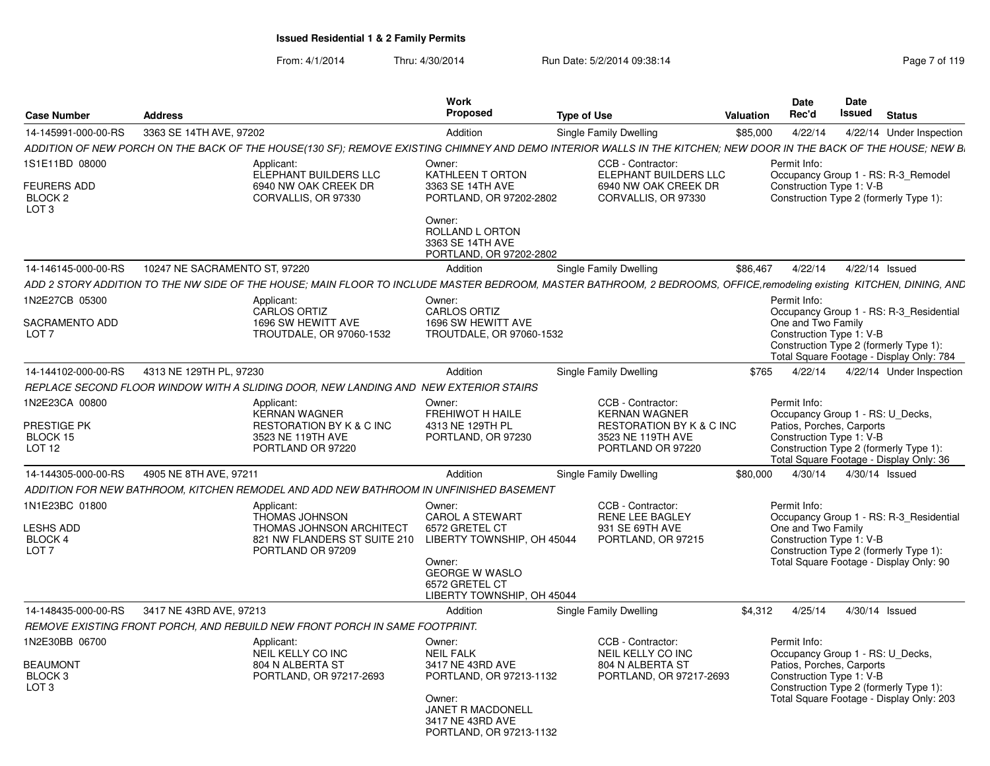| <b>Case Number</b>                     | <b>Address</b>                                                                                                                                                       | Work<br><b>Proposed</b>                                        | <b>Type of Use</b>                                       | Valuation | Date<br>Rec'd      | Date<br>Issued<br><b>Status</b>                                                    |  |
|----------------------------------------|----------------------------------------------------------------------------------------------------------------------------------------------------------------------|----------------------------------------------------------------|----------------------------------------------------------|-----------|--------------------|------------------------------------------------------------------------------------|--|
| 14-145991-000-00-RS                    | 3363 SE 14TH AVE, 97202                                                                                                                                              | Addition                                                       | Single Family Dwelling                                   | \$85,000  | 4/22/14            | 4/22/14 Under Inspection                                                           |  |
|                                        | ADDITION OF NEW PORCH ON THE BACK OF THE HOUSE(130 SF); REMOVE EXISTING CHIMNEY AND DEMO INTERIOR WALLS IN THE KITCHEN; NEW DOOR IN THE BACK OF THE HOUSE; NEW B.    |                                                                |                                                          |           |                    |                                                                                    |  |
| 1S1E11BD 08000                         | Applicant:                                                                                                                                                           | Owner:                                                         | CCB - Contractor:                                        |           | Permit Info:       |                                                                                    |  |
| <b>FEURERS ADD</b>                     | ELEPHANT BUILDERS LLC<br>6940 NW OAK CREEK DR                                                                                                                        | KATHLEEN T ORTON<br>3363 SE 14TH AVE                           | ELEPHANT BUILDERS LLC<br>6940 NW OAK CREEK DR            |           |                    | Occupancy Group 1 - RS: R-3_Remodel<br>Construction Type 1: V-B                    |  |
| BLOCK <sub>2</sub><br>LOT <sub>3</sub> | CORVALLIS, OR 97330                                                                                                                                                  | PORTLAND, OR 97202-2802<br>Owner:                              | CORVALLIS, OR 97330                                      |           |                    | Construction Type 2 (formerly Type 1):                                             |  |
|                                        |                                                                                                                                                                      | ROLLAND L ORTON<br>3363 SE 14TH AVE<br>PORTLAND, OR 97202-2802 |                                                          |           |                    |                                                                                    |  |
|                                        |                                                                                                                                                                      |                                                                |                                                          |           |                    |                                                                                    |  |
| 14-146145-000-00-RS                    | 10247 NE SACRAMENTO ST. 97220                                                                                                                                        | Addition                                                       | Single Family Dwelling                                   | \$86,467  | 4/22/14            | 4/22/14 Issued                                                                     |  |
|                                        | ADD 2 STORY ADDITION TO THE NW SIDE OF THE HOUSE; MAIN FLOOR TO INCLUDE MASTER BEDROOM, MASTER BATHROOM, 2 BEDROOMS, OFFICE,remodeling existing KITCHEN, DINING, AND |                                                                |                                                          |           |                    |                                                                                    |  |
| N2E27CB 05300                          | Applicant:<br><b>CARLOS ORTIZ</b>                                                                                                                                    | Owner:<br>CARLOS ORTIZ                                         |                                                          |           | Permit Info:       | Occupancy Group 1 - RS: R-3_Residential                                            |  |
| SACRAMENTO ADD                         | 1696 SW HEWITT AVE                                                                                                                                                   | 1696 SW HEWITT AVE                                             |                                                          |           | One and Two Family |                                                                                    |  |
| LOT <sub>7</sub>                       | TROUTDALE, OR 97060-1532                                                                                                                                             | TROUTDALE, OR 97060-1532                                       |                                                          |           |                    | Construction Type 1: V-B                                                           |  |
|                                        |                                                                                                                                                                      |                                                                |                                                          |           |                    | Construction Type 2 (formerly Type 1):<br>Total Square Footage - Display Only: 784 |  |
| 14-144102-000-00-RS                    | 4313 NE 129TH PL. 97230                                                                                                                                              | Addition                                                       | Single Family Dwelling                                   | \$765     | 4/22/14            | 4/22/14 Under Inspection                                                           |  |
|                                        | REPLACE SECOND FLOOR WINDOW WITH A SLIDING DOOR, NEW LANDING AND NEW EXTERIOR STAIRS                                                                                 |                                                                |                                                          |           |                    |                                                                                    |  |
| N2E23CA 00800                          | Applicant:                                                                                                                                                           | Owner:                                                         | CCB - Contractor:                                        |           | Permit Info:       |                                                                                    |  |
|                                        | KERNAN WAGNER                                                                                                                                                        | FREHIWOT H HAILE                                               | <b>KERNAN WAGNER</b>                                     |           |                    | Occupancy Group 1 - RS: U Decks,                                                   |  |
| PRESTIGE PK<br>BLOCK 15                | <b>RESTORATION BY K &amp; C INC</b><br>3523 NE 119TH AVE                                                                                                             | 4313 NE 129TH PL<br>PORTLAND, OR 97230                         | <b>RESTORATION BY K &amp; C INC</b><br>3523 NE 119TH AVE |           |                    | Patios, Porches, Carports<br>Construction Type 1: V-B                              |  |
| <b>LOT 12</b>                          | PORTLAND OR 97220                                                                                                                                                    |                                                                | PORTLAND OR 97220                                        |           |                    | Construction Type 2 (formerly Type 1):                                             |  |
|                                        |                                                                                                                                                                      |                                                                |                                                          |           |                    | Total Square Footage - Display Only: 36                                            |  |
| 14-144305-000-00-RS                    | 4905 NE 8TH AVE, 97211                                                                                                                                               | Addition                                                       | Single Family Dwelling                                   | \$80,000  |                    | 4/30/14  4/30/14  Issued                                                           |  |
|                                        | ADDITION FOR NEW BATHROOM, KITCHEN REMODEL AND ADD NEW BATHROOM IN UNFINISHED BASEMENT                                                                               |                                                                |                                                          |           |                    |                                                                                    |  |
| 1N1E23BC 01800                         | Applicant:                                                                                                                                                           | Owner:                                                         | CCB - Contractor:                                        |           | Permit Info:       |                                                                                    |  |
|                                        | THOMAS JOHNSON                                                                                                                                                       | <b>CAROL A STEWART</b>                                         | <b>RENE LEE BAGLEY</b>                                   |           |                    | Occupancy Group 1 - RS: R-3 Residential                                            |  |
| LESHS ADD<br>BLOCK 4                   | THOMAS JOHNSON ARCHITECT<br>821 NW FLANDERS ST SUITE 210                                                                                                             | 6572 GRETEL CT<br>LIBERTY TOWNSHIP, OH 45044                   | 931 SE 69TH AVE<br>PORTLAND, OR 97215                    |           | One and Two Family | Construction Type 1: V-B                                                           |  |
| LOT <sub>7</sub>                       | PORTLAND OR 97209                                                                                                                                                    |                                                                |                                                          |           |                    | Construction Type 2 (formerly Type 1):                                             |  |
|                                        |                                                                                                                                                                      | Owner:                                                         |                                                          |           |                    | Total Square Footage - Display Only: 90                                            |  |
|                                        |                                                                                                                                                                      | <b>GEORGE W WASLO</b><br>6572 GRETEL CT                        |                                                          |           |                    |                                                                                    |  |
|                                        |                                                                                                                                                                      | LIBERTY TOWNSHIP, OH 45044                                     |                                                          |           |                    |                                                                                    |  |
| 14-148435-000-00-RS                    | 3417 NE 43RD AVE, 97213                                                                                                                                              | Addition                                                       | Single Family Dwelling                                   | \$4.312   | 4/25/14            | 4/30/14 Issued                                                                     |  |
|                                        | REMOVE EXISTING FRONT PORCH, AND REBUILD NEW FRONT PORCH IN SAME FOOTPRINT.                                                                                          |                                                                |                                                          |           |                    |                                                                                    |  |
| N2E30BB 06700                          | Applicant:                                                                                                                                                           | Owner:                                                         | CCB - Contractor:                                        |           | Permit Info:       |                                                                                    |  |
|                                        | NEIL KELLY CO INC                                                                                                                                                    | <b>NEIL FALK</b>                                               | NEIL KELLY CO INC                                        |           |                    | Occupancy Group 1 - RS: U Decks,                                                   |  |
| <b>BEAUMONT</b>                        | 804 N ALBERTA ST                                                                                                                                                     | 3417 NE 43RD AVE                                               | 804 N ALBERTA ST                                         |           |                    | Patios, Porches, Carports                                                          |  |
| BLOCK <sub>3</sub><br>LOT <sub>3</sub> | PORTLAND, OR 97217-2693                                                                                                                                              | PORTLAND, OR 97213-1132                                        | PORTLAND, OR 97217-2693                                  |           |                    | Construction Type 1: V-B<br>Construction Type 2 (formerly Type 1):                 |  |
|                                        |                                                                                                                                                                      | Owner:                                                         |                                                          |           |                    | Total Square Footage - Display Only: 203                                           |  |
|                                        |                                                                                                                                                                      | <b>JANET R MACDONELL</b>                                       |                                                          |           |                    |                                                                                    |  |
|                                        |                                                                                                                                                                      | 3417 NE 43RD AVE<br>PORTLAND, OR 97213-1132                    |                                                          |           |                    |                                                                                    |  |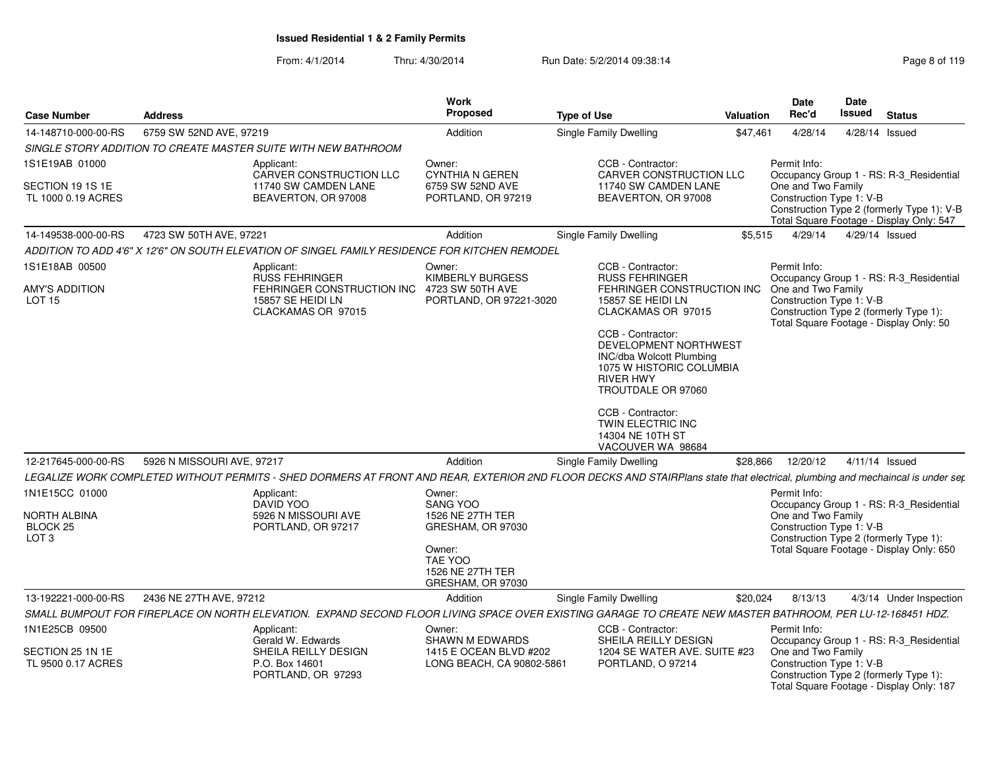| <b>Case Number</b>                                                        | <b>Address</b>             |                                                                                                                                                                               | Work<br><b>Proposed</b>                                                          | <b>Type of Use</b>                                                                                                                           | Valuation | Date<br>Rec'd                                                  | Date<br>Issued | <b>Status</b>                                                                                                                 |
|---------------------------------------------------------------------------|----------------------------|-------------------------------------------------------------------------------------------------------------------------------------------------------------------------------|----------------------------------------------------------------------------------|----------------------------------------------------------------------------------------------------------------------------------------------|-----------|----------------------------------------------------------------|----------------|-------------------------------------------------------------------------------------------------------------------------------|
| 14-148710-000-00-RS                                                       | 6759 SW 52ND AVE, 97219    |                                                                                                                                                                               | Addition                                                                         | <b>Single Family Dwelling</b>                                                                                                                | \$47,461  | 4/28/14                                                        | 4/28/14 Issued |                                                                                                                               |
|                                                                           |                            | SINGLE STORY ADDITION TO CREATE MASTER SUITE WITH NEW BATHROOM                                                                                                                |                                                                                  |                                                                                                                                              |           |                                                                |                |                                                                                                                               |
| 1S1E19AB 01000                                                            |                            | Applicant:<br>CARVER CONSTRUCTION LLC                                                                                                                                         | Owner:<br><b>CYNTHIA N GEREN</b>                                                 | CCB - Contractor:<br>CARVER CONSTRUCTION LLC                                                                                                 |           | Permit Info:                                                   |                | Occupancy Group 1 - RS: R-3 Residential                                                                                       |
| SECTION 19 1S 1E<br>TL 1000 0.19 ACRES                                    |                            | 11740 SW CAMDEN LANE<br>BEAVERTON, OR 97008                                                                                                                                   | 6759 SW 52ND AVE<br>PORTLAND, OR 97219                                           | 11740 SW CAMDEN LANE<br>BEAVERTON, OR 97008                                                                                                  |           | One and Two Family<br>Construction Type 1: V-B                 |                | Construction Type 2 (formerly Type 1): V-B<br>Total Square Footage - Display Only: 547                                        |
| 14-149538-000-00-RS                                                       | 4723 SW 50TH AVE, 97221    |                                                                                                                                                                               | Addition                                                                         | <b>Single Family Dwelling</b>                                                                                                                | \$5,515   | 4/29/14                                                        | 4/29/14 Issued |                                                                                                                               |
|                                                                           |                            | ADDITION TO ADD 4'6" X 12'6" ON SOUTH ELEVATION OF SINGEL FAMILY RESIDENCE FOR KITCHEN REMODEL                                                                                |                                                                                  |                                                                                                                                              |           |                                                                |                |                                                                                                                               |
| 1S1E18AB 00500                                                            |                            | Applicant:<br>RUSS FEHRINGER                                                                                                                                                  | Owner:<br><b>KIMBERLY BURGESS</b>                                                | CCB - Contractor:<br><b>RUSS FEHRINGER</b>                                                                                                   |           | Permit Info:                                                   |                | Occupancy Group 1 - RS: R-3_Residential                                                                                       |
| AMY'S ADDITION<br>LOT <sub>15</sub>                                       |                            | FEHRINGER CONSTRUCTION INC 4723 SW 50TH AVE<br>15857 SE HEIDI LN<br>CLACKAMAS OR 97015                                                                                        | PORTLAND, OR 97221-3020                                                          | FEHRINGER CONSTRUCTION INC<br>15857 SE HEIDI LN<br>CLACKAMAS OR 97015                                                                        |           | One and Two Family<br>Construction Type 1: V-B                 |                | Construction Type 2 (formerly Type 1):<br>Total Square Footage - Display Only: 50                                             |
|                                                                           |                            |                                                                                                                                                                               |                                                                                  | CCB - Contractor:<br>DEVELOPMENT NORTHWEST<br>INC/dba Wolcott Plumbing<br>1075 W HISTORIC COLUMBIA<br><b>RIVER HWY</b><br>TROUTDALE OR 97060 |           |                                                                |                |                                                                                                                               |
|                                                                           |                            |                                                                                                                                                                               |                                                                                  | CCB - Contractor:<br>TWIN ELECTRIC INC<br>14304 NE 10TH ST<br>VACOUVER WA 98684                                                              |           |                                                                |                |                                                                                                                               |
| 12-217645-000-00-RS                                                       | 5926 N MISSOURI AVE, 97217 |                                                                                                                                                                               | Addition                                                                         | Single Family Dwelling                                                                                                                       | \$28,866  | 12/20/12                                                       | 4/11/14 Issued |                                                                                                                               |
|                                                                           |                            | LEGALIZE WORK COMPLETED WITHOUT PERMITS - SHED DORMERS AT FRONT AND REAR, EXTERIOR 2ND FLOOR DECKS AND STAIRPlans state that electrical, plumbing and mechaincal is under ser |                                                                                  |                                                                                                                                              |           |                                                                |                |                                                                                                                               |
| 1N1E15CC 01000<br>NORTH ALBINA<br>BLOCK <sub>25</sub><br>LOT <sub>3</sub> |                            | Applicant:<br>DAVID YOO<br>5926 N MISSOURI AVE<br>PORTLAND, OR 97217                                                                                                          | Owner:<br><b>SANG YOO</b><br>1526 NE 27TH TER<br>GRESHAM, OR 97030<br>Owner:     |                                                                                                                                              |           | Permit Info:<br>One and Two Family<br>Construction Type 1: V-B |                | Occupancy Group 1 - RS: R-3_Residential<br>Construction Type 2 (formerly Type 1):<br>Total Square Footage - Display Only: 650 |
|                                                                           |                            |                                                                                                                                                                               | TAE YOO<br>1526 NE 27TH TER<br>GRESHAM, OR 97030                                 |                                                                                                                                              |           |                                                                |                |                                                                                                                               |
| 13-192221-000-00-RS                                                       | 2436 NE 27TH AVE, 97212    |                                                                                                                                                                               | Addition                                                                         | Single Family Dwelling                                                                                                                       | \$20,024  | 8/13/13                                                        |                | 4/3/14 Under Inspection                                                                                                       |
|                                                                           |                            | SMALL BUMPOUT FOR FIREPLACE ON NORTH ELEVATION. EXPAND SECOND FLOOR LIVING SPACE OVER EXISTING GARAGE TO CREATE NEW MASTER BATHROOM, PER LU-12-168451 HDZ.                    |                                                                                  |                                                                                                                                              |           |                                                                |                |                                                                                                                               |
| 1N1E25CB 09500<br>SECTION 25 1N 1E<br>TL 9500 0.17 ACRES                  |                            | Applicant:<br>Gerald W. Edwards<br>SHEILA REILLY DESIGN<br>P.O. Box 14601<br>PORTLAND, OR 97293                                                                               | Owner:<br>SHAWN M EDWARDS<br>1415 E OCEAN BLVD #202<br>LONG BEACH, CA 90802-5861 | CCB - Contractor:<br>SHEILA REILLY DESIGN<br>1204 SE WATER AVE. SUITE #23<br>PORTLAND, O 97214                                               |           | Permit Info:<br>One and Two Family<br>Construction Type 1: V-B |                | Occupancy Group 1 - RS: R-3_Residential<br>Construction Type 2 (formerly Type 1):                                             |
|                                                                           |                            |                                                                                                                                                                               |                                                                                  |                                                                                                                                              |           |                                                                |                | Total Square Footage - Display Only: 187                                                                                      |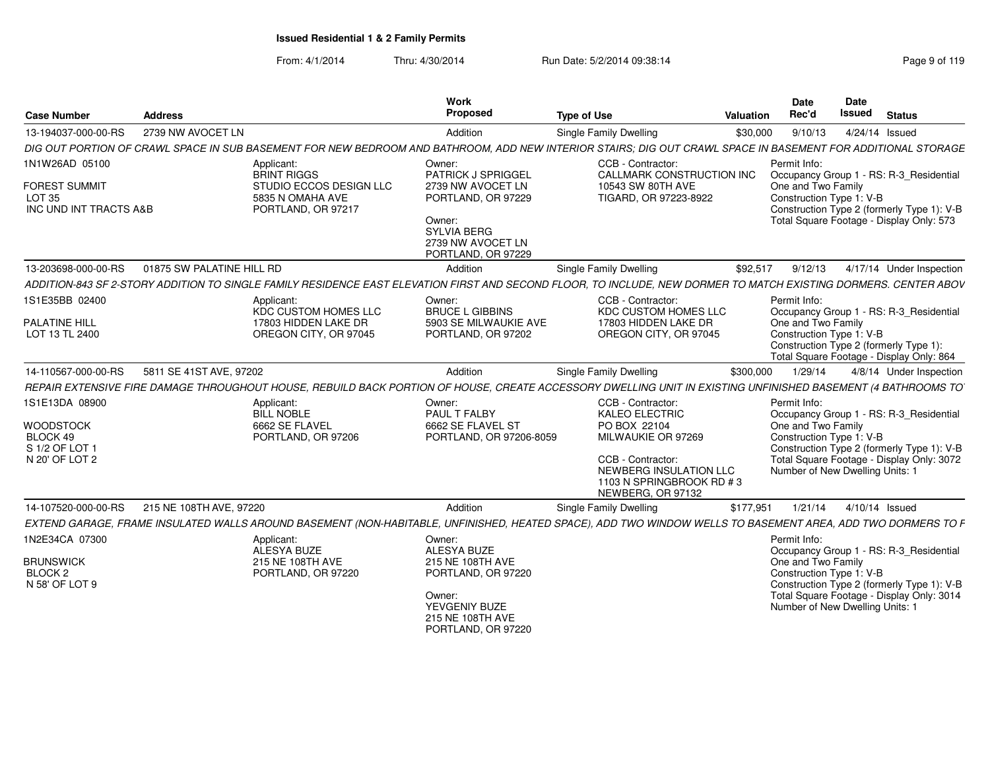| <b>Case Number</b>                                                                 | <b>Address</b>            |                                                                                                       | Work<br>Proposed                                                                                                                                   | <b>Type of Use</b>                                                                                                                                                                | <b>Valuation</b> | Date<br>Rec'd                                                                                     | Date<br><b>Issued</b> | <b>Status</b>                                                                                                                      |
|------------------------------------------------------------------------------------|---------------------------|-------------------------------------------------------------------------------------------------------|----------------------------------------------------------------------------------------------------------------------------------------------------|-----------------------------------------------------------------------------------------------------------------------------------------------------------------------------------|------------------|---------------------------------------------------------------------------------------------------|-----------------------|------------------------------------------------------------------------------------------------------------------------------------|
| 13-194037-000-00-RS                                                                | 2739 NW AVOCET LN         |                                                                                                       | Addition                                                                                                                                           | Single Family Dwelling                                                                                                                                                            | \$30,000         | 9/10/13                                                                                           |                       | 4/24/14 Issued                                                                                                                     |
|                                                                                    |                           |                                                                                                       |                                                                                                                                                    | DIG OUT PORTION OF CRAWL SPACE IN SUB BASEMENT FOR NEW BEDROOM AND BATHROOM, ADD NEW INTERIOR STAIRS; DIG OUT CRAWL SPACE IN BASEMENT FOR ADDITIONAL STORAGE                      |                  |                                                                                                   |                       |                                                                                                                                    |
| 1N1W26AD 05100<br><b>FOREST SUMMIT</b><br>LOT 35<br>INC UND INT TRACTS A&B         |                           | Applicant:<br><b>BRINT RIGGS</b><br>STUDIO ECCOS DESIGN LLC<br>5835 N OMAHA AVE<br>PORTLAND, OR 97217 | Owner:<br>PATRICK J SPRIGGEL<br>2739 NW AVOCET LN<br>PORTLAND, OR 97229<br>Owner:<br><b>SYLVIA BERG</b><br>2739 NW AVOCET LN<br>PORTLAND, OR 97229 | CCB - Contractor:<br>CALLMARK CONSTRUCTION INC<br>10543 SW 80TH AVE<br>TIGARD, OR 97223-8922                                                                                      |                  | Permit Info:<br>One and Two Family<br>Construction Type 1: V-B                                    |                       | Occupancy Group 1 - RS: R-3 Residential<br>Construction Type 2 (formerly Type 1): V-B<br>Total Square Footage - Display Only: 573  |
| 13-203698-000-00-RS                                                                | 01875 SW PALATINE HILL RD |                                                                                                       | Addition                                                                                                                                           | <b>Single Family Dwelling</b>                                                                                                                                                     | \$92,517         | 9/12/13                                                                                           |                       | 4/17/14 Under Inspection                                                                                                           |
|                                                                                    |                           |                                                                                                       |                                                                                                                                                    | ADDITION-843 SF 2-STORY ADDITION TO SINGLE FAMILY RESIDENCE EAST ELEVATION FIRST AND SECOND FLOOR, TO INCLUDE, NEW DORMER TO MATCH EXISTING DORMERS. CENTER ABOV                  |                  |                                                                                                   |                       |                                                                                                                                    |
| 1S1E35BB 02400<br><b>PALATINE HILL</b><br>LOT 13 TL 2400                           |                           | Applicant:<br>KDC CUSTOM HOMES LLC<br>17803 HIDDEN LAKE DR<br>OREGON CITY, OR 97045                   | Owner:<br><b>BRUCE L GIBBINS</b><br>5903 SE MILWAUKIE AVE<br>PORTLAND, OR 97202                                                                    | CCB - Contractor:<br>KDC CUSTOM HOMES LLC<br>17803 HIDDEN LAKE DR<br>OREGON CITY, OR 97045                                                                                        |                  | Permit Info:<br>One and Two Family<br>Construction Type 1: V-B                                    |                       | Occupancy Group 1 - RS: R-3_Residential<br>Construction Type 2 (formerly Type 1):<br>Total Square Footage - Display Only: 864      |
| 14-110567-000-00-RS                                                                | 5811 SE 41ST AVE, 97202   |                                                                                                       | Addition                                                                                                                                           | <b>Single Family Dwelling</b>                                                                                                                                                     | \$300,000        | 1/29/14                                                                                           |                       | 4/8/14 Under Inspection                                                                                                            |
|                                                                                    |                           |                                                                                                       |                                                                                                                                                    | REPAIR EXTENSIVE FIRE DAMAGE THROUGHOUT HOUSE, REBUILD BACK PORTION OF HOUSE, CREATE ACCESSORY DWELLING UNIT IN EXISTING UNFINISHED BASEMENT (4 BATHROOMS TO                      |                  |                                                                                                   |                       |                                                                                                                                    |
| 1S1E13DA 08900<br><b>WOODSTOCK</b><br>BLOCK 49<br>S 1/2 OF LOT 1<br>N 20' OF LOT 2 |                           | Applicant:<br><b>BILL NOBLE</b><br>6662 SE FLAVEL<br>PORTLAND, OR 97206                               | Owner:<br>PAUL T FALBY<br>6662 SE FLAVEL ST<br>PORTLAND, OR 97206-8059                                                                             | CCB - Contractor:<br><b>KALEO ELECTRIC</b><br>PO BOX 22104<br>MILWAUKIE OR 97269<br>CCB - Contractor:<br>NEWBERG INSULATION LLC<br>1103 N SPRINGBROOK RD # 3<br>NEWBERG, OR 97132 |                  | Permit Info:<br>One and Two Family<br>Construction Type 1: V-B<br>Number of New Dwelling Units: 1 |                       | Occupancy Group 1 - RS: R-3_Residential<br>Construction Type 2 (formerly Type 1): V-B<br>Total Square Footage - Display Only: 3072 |
| 14-107520-000-00-RS                                                                | 215 NE 108TH AVE, 97220   |                                                                                                       | Addition                                                                                                                                           | Single Family Dwelling                                                                                                                                                            | \$177,951        | 1/21/14                                                                                           |                       | 4/10/14 Issued                                                                                                                     |
|                                                                                    |                           |                                                                                                       |                                                                                                                                                    | EXTEND GARAGE, FRAME INSULATED WALLS AROUND BASEMENT (NON-HABITABLE, UNFINISHED, HEATED SPACE), ADD TWO WINDOW WELLS TO BASEMENT AREA, ADD TWO DORMERS TO F                       |                  |                                                                                                   |                       |                                                                                                                                    |
| 1N2E34CA 07300<br><b>BRUNSWICK</b><br>BLOCK <sub>2</sub><br>N 58' OF LOT 9         |                           | Applicant:<br>ALESYA BUZE<br>215 NE 108TH AVE<br>PORTLAND, OR 97220                                   | Owner:<br>ALESYA BUZE<br>215 NE 108TH AVE<br>PORTLAND, OR 97220<br>Owner:<br>YEVGENIY BUZE<br>215 NE 108TH AVE<br>PORTLAND, OR 97220               |                                                                                                                                                                                   |                  | Permit Info:<br>One and Two Family<br>Construction Type 1: V-B<br>Number of New Dwelling Units: 1 |                       | Occupancy Group 1 - RS: R-3_Residential<br>Construction Type 2 (formerly Type 1): V-B<br>Total Square Footage - Display Only: 3014 |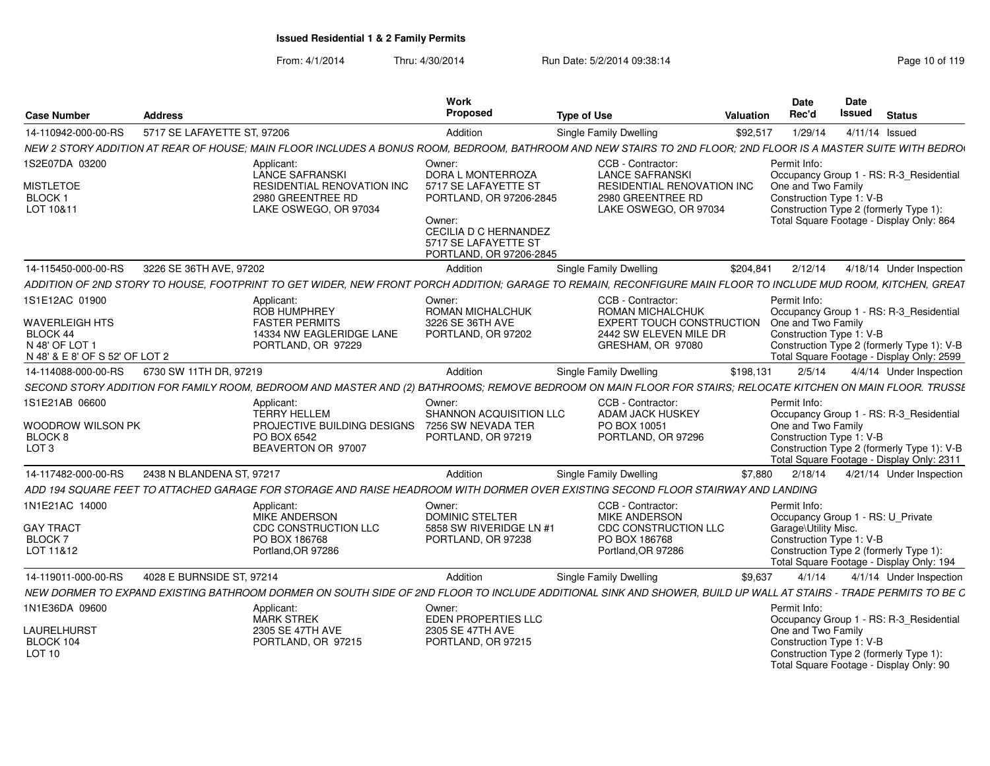| <b>Case Number</b>                | <b>Address</b>              |                                                                                                                                                                 | <b>Work</b><br>Proposed                              | <b>Type of Use</b>                                         | Valuation | <b>Date</b><br>Rec'd     | <b>Date</b><br><b>Issued</b><br><b>Status</b>                                           |
|-----------------------------------|-----------------------------|-----------------------------------------------------------------------------------------------------------------------------------------------------------------|------------------------------------------------------|------------------------------------------------------------|-----------|--------------------------|-----------------------------------------------------------------------------------------|
| 14-110942-000-00-RS               | 5717 SE LAFAYETTE ST, 97206 |                                                                                                                                                                 | Addition                                             | <b>Single Family Dwelling</b>                              | \$92,517  | 1/29/14                  | 4/11/14 Issued                                                                          |
|                                   |                             | NEW 2 STORY ADDITION AT REAR OF HOUSE; MAIN FLOOR INCLUDES A BONUS ROOM, BEDROOM, BATHROOM AND NEW STAIRS TO 2ND FLOOR; 2ND FLOOR IS A MASTER SUITE WITH BEDROI |                                                      |                                                            |           |                          |                                                                                         |
| 1S2E07DA 03200                    |                             | Applicant                                                                                                                                                       | Owner:                                               | CCB - Contractor:                                          |           | Permit Info:             |                                                                                         |
|                                   |                             | <b>LANCE SAFRANSKI</b>                                                                                                                                          | DORA L MONTERROZA                                    | <b>LANCE SAFRANSKI</b>                                     |           |                          | Occupancy Group 1 - RS: R-3_Residential                                                 |
| <b>MISTLETOE</b>                  |                             | RESIDENTIAL RENOVATION INC                                                                                                                                      | 5717 SE LAFAYETTE ST                                 | <b>RESIDENTIAL RENOVATION INC</b>                          |           | One and Two Family       |                                                                                         |
| BLOCK <sub>1</sub><br>LOT 10&11   |                             | 2980 GREENTREE RD<br>LAKE OSWEGO, OR 97034                                                                                                                      | PORTLAND, OR 97206-2845                              | 2980 GREENTREE RD<br>LAKE OSWEGO, OR 97034                 |           |                          | Construction Type 1: V-B<br>Construction Type 2 (formerly Type 1):                      |
|                                   |                             |                                                                                                                                                                 | Owner:                                               |                                                            |           |                          | Total Square Footage - Display Only: 864                                                |
|                                   |                             |                                                                                                                                                                 | <b>CECILIA D C HERNANDEZ</b><br>5717 SE LAFAYETTE ST |                                                            |           |                          |                                                                                         |
|                                   |                             |                                                                                                                                                                 | PORTLAND, OR 97206-2845                              |                                                            |           |                          |                                                                                         |
| 14-115450-000-00-RS               | 3226 SE 36TH AVE, 97202     |                                                                                                                                                                 | Addition                                             | Single Family Dwelling                                     | \$204.841 | 2/12/14                  | 4/18/14 Under Inspection                                                                |
|                                   |                             | ADDITION OF 2ND STORY TO HOUSE, FOOTPRINT TO GET WIDER, NEW FRONT PORCH ADDITION; GARAGE TO REMAIN, RECONFIGURE MAIN FLOOR TO INCLUDE MUD ROOM, KITCHEN, GREAT  |                                                      |                                                            |           |                          |                                                                                         |
| 1S1E12AC 01900                    |                             | Applicant:                                                                                                                                                      | Owner:                                               | CCB - Contractor:                                          |           | Permit Info:             |                                                                                         |
|                                   |                             | <b>ROB HUMPHREY</b>                                                                                                                                             | <b>ROMAN MICHALCHUK</b>                              | ROMAN MICHALCHUK                                           |           |                          | Occupancy Group 1 - RS: R-3 Residential                                                 |
| <b>WAVERLEIGH HTS</b><br>BLOCK 44 |                             | <b>FASTER PERMITS</b><br>14334 NW EAGLERIDGE LANE                                                                                                               | 3226 SE 36TH AVE<br>PORTLAND, OR 97202               | <b>EXPERT TOUCH CONSTRUCTION</b><br>2442 SW ELEVEN MILE DR |           | One and Two Family       | Construction Type 1: V-B                                                                |
| N 48' OF LOT                      |                             | PORTLAND, OR 97229                                                                                                                                              |                                                      | GRESHAM, OR 97080                                          |           |                          | Construction Type 2 (formerly Type 1): V-B                                              |
| N 48' & E 8' OF S 52' OF LOT 2    |                             |                                                                                                                                                                 |                                                      |                                                            |           |                          | Total Square Footage - Display Only: 2599                                               |
| 14-114088-000-00-RS               | 6730 SW 11TH DR, 97219      |                                                                                                                                                                 | Addition                                             | <b>Single Family Dwelling</b>                              | \$198,131 | 2/5/14                   | 4/4/14 Under Inspection                                                                 |
|                                   |                             | SECOND STORY ADDITION FOR FAMILY ROOM, BEDROOM AND MASTER AND (2) BATHROOMS; REMOVE BEDROOM ON MAIN FLOOR FOR STAIRS; RELOCATE KITCHEN ON MAIN FLOOR. TRUSSE    |                                                      |                                                            |           |                          |                                                                                         |
| 1S1E21AB 06600                    |                             | Applicant:<br>TERRY HELLEM                                                                                                                                      | Owner:<br>SHANNON ACQUISITION LLC                    | CCB - Contractor:<br><b>ADAM JACK HUSKEY</b>               |           | Permit Info:             | Occupancy Group 1 - RS: R-3_Residential                                                 |
| WOODROW WILSON PK                 |                             | PROJECTIVE BUILDING DESIGNS                                                                                                                                     | 7256 SW NEVADA TER                                   | PO BOX 10051                                               |           | One and Two Family       |                                                                                         |
| <b>BLOCK 8</b>                    |                             | PO BOX 6542                                                                                                                                                     | PORTLAND, OR 97219                                   | PORTLAND, OR 97296                                         |           | Construction Type 1: V-B |                                                                                         |
| LOT <sub>3</sub>                  |                             | BEAVERTON OR 97007                                                                                                                                              |                                                      |                                                            |           |                          | Construction Type 2 (formerly Type 1): V-B<br>Total Square Footage - Display Only: 2311 |
| 14-117482-000-00-RS               | 2438 N BLANDENA ST. 97217   |                                                                                                                                                                 | Addition                                             | Single Family Dwelling                                     | \$7,880   | 2/18/14                  | 4/21/14 Under Inspection                                                                |
|                                   |                             | ADD 194 SQUARE FEET TO ATTACHED GARAGE FOR STORAGE AND RAISE HEADROOM WITH DORMER OVER EXISTING SECOND FLOOR STAIRWAY AND LANDING                               |                                                      |                                                            |           |                          |                                                                                         |
| 1N1E21AC 14000                    |                             | Applicant:                                                                                                                                                      | Owner:                                               | CCB - Contractor:                                          |           | Permit Info:             |                                                                                         |
|                                   |                             | MIKE ANDERSON                                                                                                                                                   | <b>DOMINIC STELTER</b>                               | <b>MIKE ANDERSON</b>                                       |           |                          | Occupancy Group 1 - RS: U_Private                                                       |
| <b>GAY TRACT</b><br>BLOCK 7       |                             | CDC CONSTRUCTION LLC<br>PO BOX 186768                                                                                                                           | 5858 SW RIVERIDGE LN #1<br>PORTLAND, OR 97238        | <b>CDC CONSTRUCTION LLC</b><br>PO BOX 186768               |           | Garage\Utility Misc.     | Construction Type 1: V-B                                                                |
| LOT 11&12                         |                             | Portland, OR 97286                                                                                                                                              |                                                      | Portland.OR 97286                                          |           |                          | Construction Type 2 (formerly Type 1):                                                  |
|                                   |                             |                                                                                                                                                                 |                                                      |                                                            |           |                          | Total Square Footage - Display Only: 194                                                |
| 14-119011-000-00-RS               | 4028 E BURNSIDE ST, 97214   |                                                                                                                                                                 | Addition                                             | Single Family Dwelling                                     | \$9,637   | 4/1/14                   | 4/1/14 Under Inspection                                                                 |
|                                   |                             | NEW DORMER TO EXPAND EXISTING BATHROOM DORMER ON SOUTH SIDE OF 2ND FLOOR TO INCLUDE ADDITIONAL SINK AND SHOWER, BUILD UP WALL AT STAIRS - TRADE PERMITS TO BE C |                                                      |                                                            |           |                          |                                                                                         |
| 1N1E36DA 09600                    |                             | Applicant:                                                                                                                                                      | Owner:                                               |                                                            |           | Permit Info:             |                                                                                         |
| LAURELHURST                       |                             | <b>MARK STREK</b><br>2305 SE 47TH AVE                                                                                                                           | EDEN PROPERTIES LLC<br>2305 SE 47TH AVE              |                                                            |           | One and Two Family       | Occupancy Group 1 - RS: R-3 Residential                                                 |
| BLOCK 104                         |                             | PORTLAND, OR 97215                                                                                                                                              | PORTLAND, OR 97215                                   |                                                            |           |                          | Construction Type 1: V-B                                                                |
| <b>LOT 10</b>                     |                             |                                                                                                                                                                 |                                                      |                                                            |           |                          | Construction Type 2 (formerly Type 1):<br>Total Square Footage - Display Only: 90       |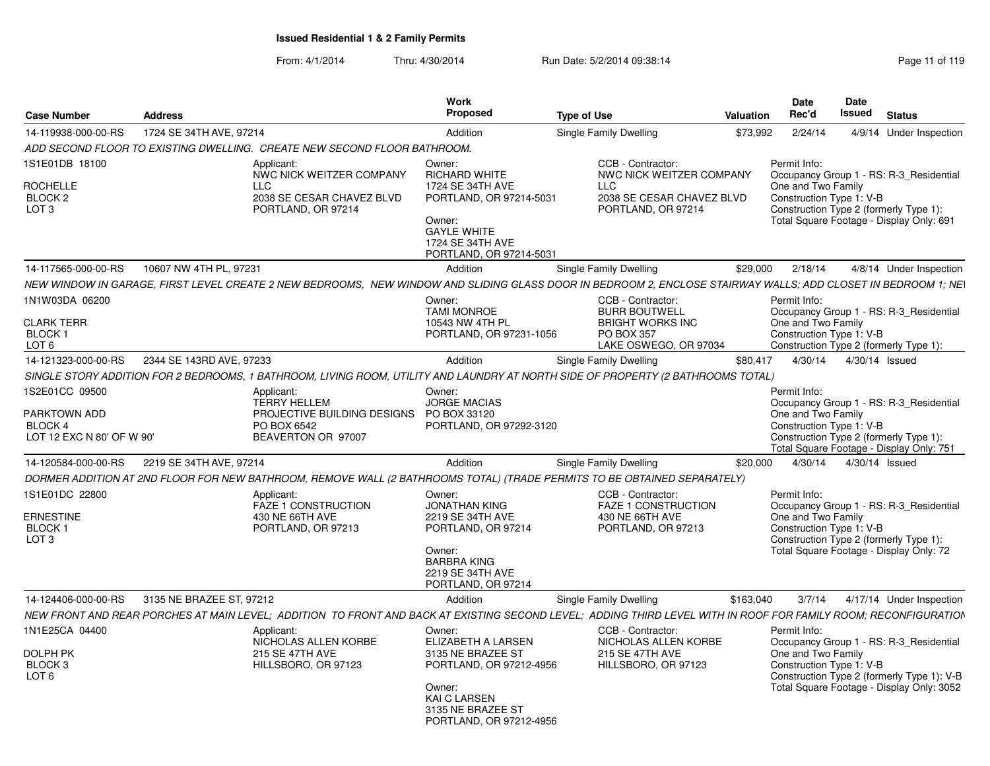| <b>Case Number</b>                                                            | <b>Address</b>                                                                                                                                                  | Work<br>Proposed                                                                                                                                              | <b>Type of Use</b>                                                                                                 | <b>Valuation</b> | <b>Date</b><br>Rec'd                                           | Date<br>Issued           | <b>Status</b>                                                                                                                      |
|-------------------------------------------------------------------------------|-----------------------------------------------------------------------------------------------------------------------------------------------------------------|---------------------------------------------------------------------------------------------------------------------------------------------------------------|--------------------------------------------------------------------------------------------------------------------|------------------|----------------------------------------------------------------|--------------------------|------------------------------------------------------------------------------------------------------------------------------------|
| 14-119938-000-00-RS                                                           | 1724 SE 34TH AVE, 97214                                                                                                                                         | Addition                                                                                                                                                      | Single Family Dwelling                                                                                             | \$73.992         | 2/24/14                                                        |                          | 4/9/14 Under Inspection                                                                                                            |
|                                                                               | ADD SECOND FLOOR TO EXISTING DWELLING.  CREATE NEW SECOND FLOOR BATHROOM.                                                                                       |                                                                                                                                                               |                                                                                                                    |                  |                                                                |                          |                                                                                                                                    |
| 1S1E01DB 18100<br><b>ROCHELLE</b><br>BLOCK 2<br>LOT <sub>3</sub>              | Applicant:<br>NWC NICK WEITZER COMPANY<br>LLC<br>2038 SE CESAR CHAVEZ BLVD<br>PORTLAND, OR 97214                                                                | Owner:<br><b>RICHARD WHITE</b><br>1724 SE 34TH AVE<br>PORTLAND, OR 97214-5031<br>Owner:<br><b>GAYLE WHITE</b><br>1724 SE 34TH AVE<br>PORTLAND, OR 97214-5031  | CCB - Contractor:<br>NWC NICK WEITZER COMPANY<br><b>LLC</b><br>2038 SE CESAR CHAVEZ BLVD<br>PORTLAND, OR 97214     |                  | Permit Info:<br>One and Two Family<br>Construction Type 1: V-B |                          | Occupancy Group 1 - RS: R-3 Residential<br>Construction Type 2 (formerly Type 1):<br>Total Square Footage - Display Only: 691      |
| 14-117565-000-00-RS                                                           | 10607 NW 4TH PL, 97231                                                                                                                                          | Addition                                                                                                                                                      | Single Family Dwelling                                                                                             | \$29,000         | 2/18/14                                                        |                          | 4/8/14 Under Inspection                                                                                                            |
|                                                                               | NEW WINDOW IN GARAGE, FIRST LEVEL CREATE 2 NEW BEDROOMS, NEW WINDOW AND SLIDING GLASS DOOR IN BEDROOM 2, ENCLOSE STAIRWAY WALLS; ADD CLOSET IN BEDROOM 1; NEI   |                                                                                                                                                               |                                                                                                                    |                  |                                                                |                          |                                                                                                                                    |
| 1N1W03DA 06200<br><b>CLARK TERR</b><br>BLOCK <sub>1</sub><br>LOT <sub>6</sub> |                                                                                                                                                                 | Owner:<br><b>TAMI MONROE</b><br>10543 NW 4TH PL<br>PORTLAND, OR 97231-1056                                                                                    | CCB - Contractor:<br><b>BURR BOUTWELL</b><br><b>BRIGHT WORKS INC</b><br><b>PO BOX 357</b><br>LAKE OSWEGO, OR 97034 |                  | Permit Info:<br>One and Two Family<br>Construction Type 1: V-B |                          | Occupancy Group 1 - RS: R-3 Residential<br>Construction Type 2 (formerly Type 1):                                                  |
| 14-121323-000-00-RS                                                           | 2344 SE 143RD AVE, 97233                                                                                                                                        | Addition                                                                                                                                                      | Single Family Dwelling                                                                                             | \$80,417         | 4/30/14                                                        | 4/30/14 Issued           |                                                                                                                                    |
|                                                                               | SINGLE STORY ADDITION FOR 2 BEDROOMS, 1 BATHROOM, LIVING ROOM, UTILITY AND LAUNDRY AT NORTH SIDE OF PROPERTY (2 BATHROOMS TOTAL)                                |                                                                                                                                                               |                                                                                                                    |                  |                                                                |                          |                                                                                                                                    |
| 1S2E01CC 09500<br>PARKTOWN ADD<br><b>BLOCK 4</b><br>LOT 12 EXC N 80' OF W 90' | Applicant:<br><b>TERRY HELLEM</b><br>PROJECTIVE BUILDING DESIGNS<br>PO BOX 6542<br>BEAVERTON OR 97007                                                           | Owner:<br><b>JORGE MACIAS</b><br>PO BOX 33120<br>PORTLAND, OR 97292-3120                                                                                      |                                                                                                                    |                  | Permit Info:<br>One and Two Family<br>Construction Type 1: V-B |                          | Occupancy Group 1 - RS: R-3_Residential<br>Construction Type 2 (formerly Type 1):                                                  |
| 14-120584-000-00-RS                                                           | 2219 SE 34TH AVE, 97214                                                                                                                                         | Addition                                                                                                                                                      | Single Family Dwelling                                                                                             | \$20,000         |                                                                | 4/30/14  4/30/14  Issued | Total Square Footage - Display Only: 751                                                                                           |
|                                                                               | DORMER ADDITION AT 2ND FLOOR FOR NEW BATHROOM, REMOVE WALL (2 BATHROOMS TOTAL) (TRADE PERMITS TO BE OBTAINED SEPARATELY)                                        |                                                                                                                                                               |                                                                                                                    |                  |                                                                |                          |                                                                                                                                    |
| 1S1E01DC 22800<br>ERNESTINE<br>BLOCK 1<br>LOT <sub>3</sub>                    | Applicant:<br><b>FAZE 1 CONSTRUCTION</b><br>430 NE 66TH AVE<br>PORTLAND, OR 97213                                                                               | Owner:<br><b>JONATHAN KING</b><br>2219 SE 34TH AVE<br>PORTLAND, OR 97214<br>Owner:<br><b>BARBRA KING</b><br>2219 SE 34TH AVE<br>PORTLAND, OR 97214            | CCB - Contractor:<br><b>FAZE 1 CONSTRUCTION</b><br>430 NE 66TH AVE<br>PORTLAND, OR 97213                           |                  | Permit Info:<br>One and Two Family<br>Construction Type 1: V-B |                          | Occupancy Group 1 - RS: R-3 Residential<br>Construction Type 2 (formerly Type 1):<br>Total Square Footage - Display Only: 72       |
| 14-124406-000-00-RS                                                           | 3135 NE BRAZEE ST. 97212                                                                                                                                        | Addition                                                                                                                                                      | Single Family Dwelling                                                                                             | \$163,040        | 3/7/14                                                         |                          | 4/17/14 Under Inspection                                                                                                           |
|                                                                               | NEW FRONT AND REAR PORCHES AT MAIN LEVEL; ADDITION TO FRONT AND BACK AT EXISTING SECOND LEVEL; ADDING THIRD LEVEL WITH IN ROOF FOR FAMILY ROOM; RECONFIGURATION |                                                                                                                                                               |                                                                                                                    |                  |                                                                |                          |                                                                                                                                    |
| 1N1E25CA 04400<br>DOLPH PK<br>BLOCK <sub>3</sub><br>LOT <sub>6</sub>          | Applicant:<br>NICHOLAS ALLEN KORBE<br>215 SE 47TH AVE<br>HILLSBORO, OR 97123                                                                                    | Owner:<br>ELIZABETH A LARSEN<br>3135 NE BRAZEE ST<br>PORTLAND, OR 97212-4956<br>Owner:<br><b>KAI C LARSEN</b><br>3135 NE BRAZEE ST<br>PORTLAND, OR 97212-4956 | CCB - Contractor:<br>NICHOLAS ALLEN KORBE<br>215 SE 47TH AVE<br>HILLSBORO, OR 97123                                |                  | Permit Info:<br>One and Two Family<br>Construction Type 1: V-B |                          | Occupancy Group 1 - RS: R-3 Residential<br>Construction Type 2 (formerly Type 1): V-B<br>Total Square Footage - Display Only: 3052 |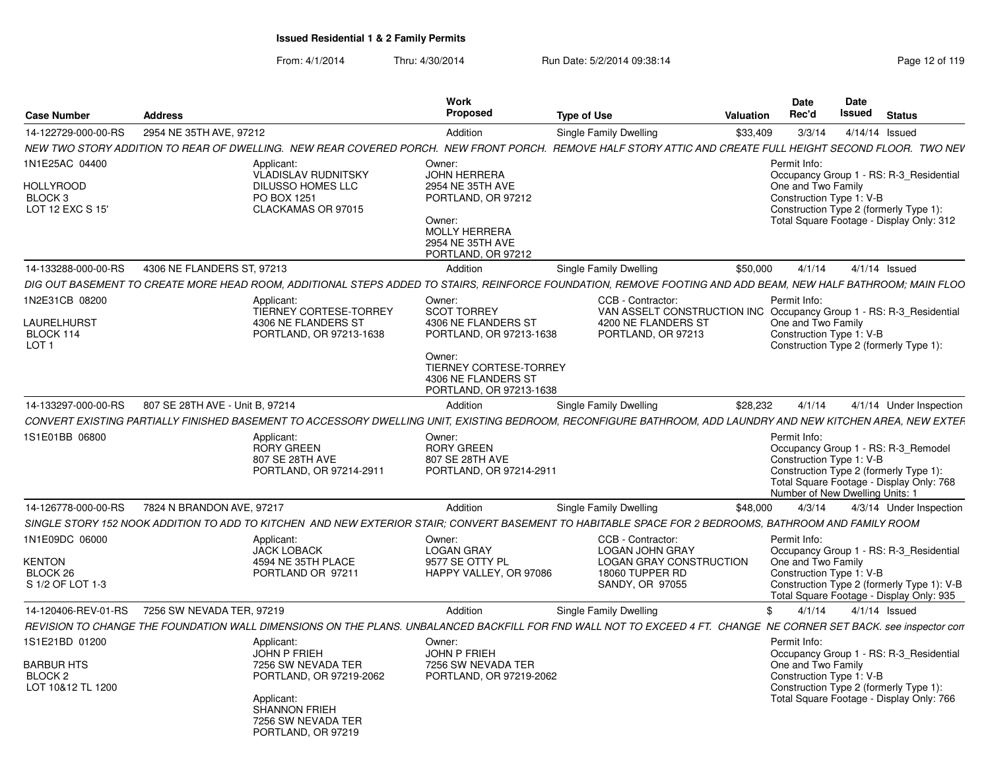| <b>Case Number</b>                                                             | <b>Address</b>                  |                                                                                                                                                               | <b>Work</b><br>Proposed                                                                                                                                                     | <b>Type of Use</b>                                                                                                                                                | Valuation | <b>Date</b><br>Rec'd                                                                                                                                                                                     | Date<br><b>Issued</b> | <b>Status</b> |                                                                                                                                   |
|--------------------------------------------------------------------------------|---------------------------------|---------------------------------------------------------------------------------------------------------------------------------------------------------------|-----------------------------------------------------------------------------------------------------------------------------------------------------------------------------|-------------------------------------------------------------------------------------------------------------------------------------------------------------------|-----------|----------------------------------------------------------------------------------------------------------------------------------------------------------------------------------------------------------|-----------------------|---------------|-----------------------------------------------------------------------------------------------------------------------------------|
| 14-122729-000-00-RS                                                            | 2954 NE 35TH AVE, 97212         |                                                                                                                                                               | Addition                                                                                                                                                                    | Single Family Dwelling                                                                                                                                            | \$33,409  | 3/3/14                                                                                                                                                                                                   | 4/14/14 Issued        |               |                                                                                                                                   |
|                                                                                |                                 |                                                                                                                                                               |                                                                                                                                                                             | NEW TWO STORY ADDITION TO REAR OF DWELLING. NEW REAR COVERED PORCH. NEW FRONT PORCH. REMOVE HALF STORY ATTIC AND CREATE FULL HEIGHT SECOND FLOOR. TWO NEV         |           |                                                                                                                                                                                                          |                       |               |                                                                                                                                   |
| 1N1E25AC 04400<br><b>HOLLYROOD</b><br>BLOCK <sub>3</sub><br>LOT 12 EXC S 15'   |                                 | Applicant:<br><b>VLADISLAV RUDNITSKY</b><br>DILUSSO HOMES LLC<br>PO BOX 1251<br>CLACKAMAS OR 97015                                                            | Owner:<br><b>JOHN HERRERA</b><br>2954 NE 35TH AVE<br>PORTLAND, OR 97212<br>Owner:<br><b>MOLLY HERRERA</b><br>2954 NE 35TH AVE<br>PORTLAND, OR 97212                         |                                                                                                                                                                   |           | Permit Info:<br>One and Two Family<br>Construction Type 1: V-B<br>Construction Type 2 (formerly Type 1):<br>Total Square Footage - Display Only: 312                                                     |                       |               | Occupancy Group 1 - RS: R-3 Residential                                                                                           |
| 14-133288-000-00-RS                                                            | 4306 NE FLANDERS ST, 97213      |                                                                                                                                                               | Addition                                                                                                                                                                    | Single Family Dwelling                                                                                                                                            | \$50,000  | 4/1/14                                                                                                                                                                                                   | $4/1/14$ Issued       |               |                                                                                                                                   |
|                                                                                |                                 |                                                                                                                                                               |                                                                                                                                                                             | DIG OUT BASEMENT TO CREATE MORE HEAD ROOM, ADDITIONAL STEPS ADDED TO STAIRS, REINFORCE FOUNDATION, REMOVE FOOTING AND ADD BEAM, NEW HALF BATHROOM; MAIN FLOO      |           |                                                                                                                                                                                                          |                       |               |                                                                                                                                   |
| 1N2E31CB 08200<br>LAURELHURST<br>BLOCK 114<br>LOT <sub>1</sub>                 |                                 | Applicant:<br><b>TIERNEY CORTESE-TORREY</b><br>4306 NE FLANDERS ST<br>PORTLAND, OR 97213-1638                                                                 | Owner:<br><b>SCOT TORREY</b><br>4306 NE FLANDERS ST<br>PORTLAND, OR 97213-1638<br>Owner:<br><b>TIERNEY CORTESE-TORREY</b><br>4306 NE FLANDERS ST<br>PORTLAND, OR 97213-1638 | CCB - Contractor:<br>VAN ASSELT CONSTRUCTION INC Occupancy Group 1 - RS: R-3_Residential<br>4200 NE FLANDERS ST<br>PORTLAND, OR 97213                             |           | Permit Info<br>One and Two Family<br>Construction Type 1: V-B<br>Construction Type 2 (formerly Type 1):                                                                                                  |                       |               |                                                                                                                                   |
| 14-133297-000-00-RS                                                            | 807 SE 28TH AVE - Unit B, 97214 |                                                                                                                                                               | Addition                                                                                                                                                                    | Single Family Dwelling                                                                                                                                            | \$28,232  | 4/1/14                                                                                                                                                                                                   |                       |               | 4/1/14 Under Inspection                                                                                                           |
|                                                                                |                                 |                                                                                                                                                               |                                                                                                                                                                             | CONVERT EXISTING PARTIALLY FINISHED BASEMENT TO ACCESSORY DWELLING UNIT. EXISTING BEDROOM. RECONFIGURE BATHROOM. ADD LAUNDRY AND NEW KITCHEN AREA. NEW EXTEF      |           |                                                                                                                                                                                                          |                       |               |                                                                                                                                   |
| 1S1E01BB 06800                                                                 |                                 | Applicant:<br><b>RORY GREEN</b><br>807 SE 28TH AVE<br>PORTLAND, OR 97214-2911                                                                                 | Owner:<br><b>RORY GREEN</b><br>807 SE 28TH AVE<br>PORTLAND, OR 97214-2911                                                                                                   |                                                                                                                                                                   |           | Permit Info:<br>Occupancy Group 1 - RS: R-3 Remodel<br>Construction Type 1: V-B<br>Construction Type 2 (formerly Type 1):<br>Total Square Footage - Display Only: 768<br>Number of New Dwelling Units: 1 |                       |               |                                                                                                                                   |
| 14-126778-000-00-RS                                                            | 7824 N BRANDON AVE, 97217       |                                                                                                                                                               | Addition                                                                                                                                                                    | Single Family Dwelling                                                                                                                                            | \$48,000  | 4/3/14                                                                                                                                                                                                   |                       |               | 4/3/14 Under Inspection                                                                                                           |
|                                                                                |                                 |                                                                                                                                                               |                                                                                                                                                                             | SINGLE STORY 152 NOOK ADDITION TO ADD TO KITCHEN AND NEW EXTERIOR STAIR; CONVERT BASEMENT TO HABITABLE SPACE FOR 2 BEDROOMS, BATHROOM AND FAMILY ROOM             |           |                                                                                                                                                                                                          |                       |               |                                                                                                                                   |
| 1N1E09DC 06000<br><b>KENTON</b><br>BLOCK 26<br>S 1/2 OF LOT 1-3                |                                 | Applicant:<br><b>JACK LOBACK</b><br>4594 NE 35TH PLACE<br>PORTLAND OR 97211                                                                                   | Owner:<br><b>LOGAN GRAY</b><br>9577 SE OTTY PL<br>HAPPY VALLEY, OR 97086                                                                                                    | CCB - Contractor:<br><b>LOGAN JOHN GRAY</b><br><b>LOGAN GRAY CONSTRUCTION</b><br>18060 TUPPER RD<br>SANDY, OR 97055                                               |           | Permit Info:<br>One and Two Family<br>Construction Type 1: V-B                                                                                                                                           |                       |               | Occupancy Group 1 - RS: R-3_Residential<br>Construction Type 2 (formerly Type 1): V-B<br>Total Square Footage - Display Only: 935 |
| 14-120406-REV-01-RS                                                            | 7256 SW NEVADA TER, 97219       |                                                                                                                                                               | Addition                                                                                                                                                                    | Single Family Dwelling                                                                                                                                            | \$        | 4/1/14                                                                                                                                                                                                   | $4/1/14$ Issued       |               |                                                                                                                                   |
|                                                                                |                                 |                                                                                                                                                               |                                                                                                                                                                             | REVISION TO CHANGE THE FOUNDATION WALL DIMENSIONS ON THE PLANS. UNBALANCED BACKFILL FOR FND WALL NOT TO EXCEED 4 FT. CHANGE NE CORNER SET BACK. see inspector con |           |                                                                                                                                                                                                          |                       |               |                                                                                                                                   |
| 1S1E21BD 01200<br><b>BARBUR HTS</b><br>BLOCK <sub>2</sub><br>LOT 10&12 TL 1200 |                                 | Applicant:<br>JOHN P FRIEH<br>7256 SW NEVADA TER<br>PORTLAND, OR 97219-2062<br>Applicant:<br><b>SHANNON FRIEH</b><br>7256 SW NEVADA TER<br>PORTLAND, OR 97219 | Owner:<br><b>JOHN P FRIEH</b><br>7256 SW NEVADA TER<br>PORTLAND, OR 97219-2062                                                                                              |                                                                                                                                                                   |           | Permit Info:<br>One and Two Family<br>Construction Type 1: V-B<br>Construction Type 2 (formerly Type 1):<br>Total Square Footage - Display Only: 766                                                     |                       |               | Occupancy Group 1 - RS: R-3_Residential                                                                                           |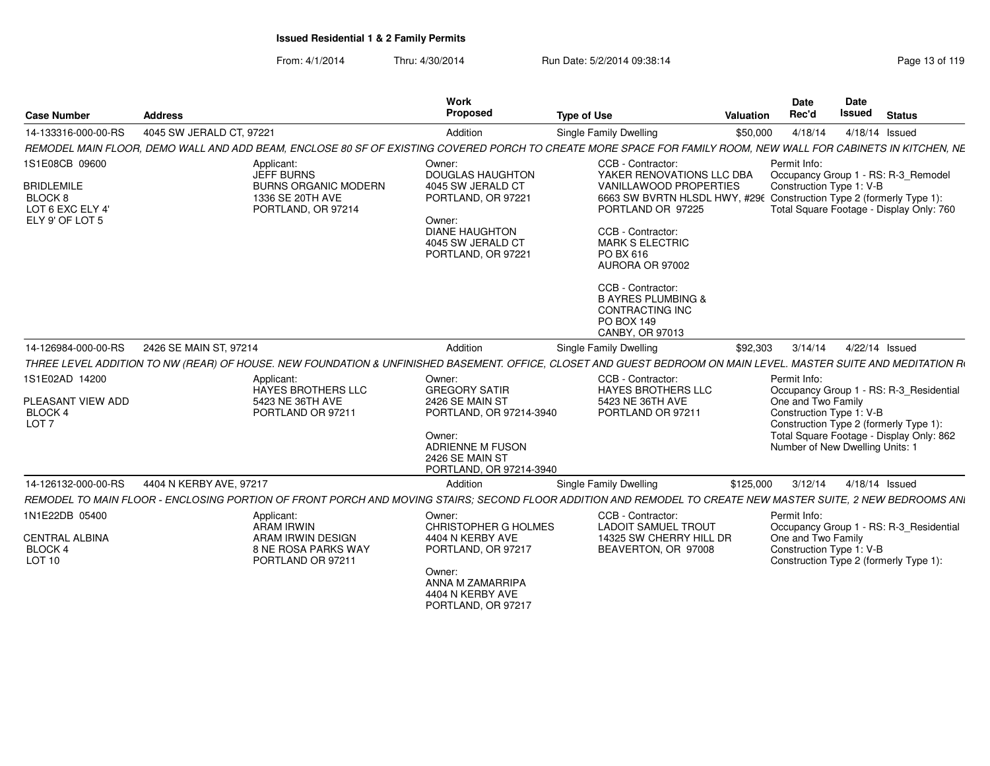| <b>Case Number</b>                                                                               | <b>Address</b>                                                                                                                                                  | <b>Work</b><br>Proposed                                                                                                                                         | <b>Type of Use</b>                                                                                                                                                                                                                                                                                                                                             | Valuation | <b>Date</b><br>Rec'd                                                                              | <b>Date</b><br><b>Issued</b> | <b>Status</b>                                                                                                                 |
|--------------------------------------------------------------------------------------------------|-----------------------------------------------------------------------------------------------------------------------------------------------------------------|-----------------------------------------------------------------------------------------------------------------------------------------------------------------|----------------------------------------------------------------------------------------------------------------------------------------------------------------------------------------------------------------------------------------------------------------------------------------------------------------------------------------------------------------|-----------|---------------------------------------------------------------------------------------------------|------------------------------|-------------------------------------------------------------------------------------------------------------------------------|
| 14-133316-000-00-RS                                                                              | 4045 SW JERALD CT. 97221                                                                                                                                        | Addition                                                                                                                                                        | Single Family Dwelling                                                                                                                                                                                                                                                                                                                                         | \$50,000  | 4/18/14                                                                                           |                              | 4/18/14 Issued                                                                                                                |
|                                                                                                  | REMODEL MAIN FLOOR, DEMO WALL AND ADD BEAM, ENCLOSE 80 SF OF EXISTING COVERED PORCH TO CREATE MORE SPACE FOR FAMILY ROOM, NEW WALL FOR CABINETS IN KITCHEN, NE  |                                                                                                                                                                 |                                                                                                                                                                                                                                                                                                                                                                |           |                                                                                                   |                              |                                                                                                                               |
| 1S1E08CB 09600<br><b>BRIDLEMILE</b><br>BLOCK <sub>8</sub><br>LOT 6 EXC ELY 4'<br>ELY 9' OF LOT 5 | Applicant:<br><b>JEFF BURNS</b><br><b>BURNS ORGANIC MODERN</b><br>1336 SE 20TH AVE<br>PORTLAND, OR 97214                                                        | Owner:<br><b>DOUGLAS HAUGHTON</b><br>4045 SW JERALD CT<br>PORTLAND, OR 97221<br>Owner:<br><b>DIANE HAUGHTON</b><br>4045 SW JERALD CT<br>PORTLAND, OR 97221      | CCB - Contractor:<br>YAKER RENOVATIONS LLC DBA<br>VANILLAWOOD PROPERTIES<br>6663 SW BVRTN HLSDL HWY, #296 Construction Type 2 (formerly Type 1):<br>PORTLAND OR 97225<br>CCB - Contractor:<br><b>MARK S ELECTRIC</b><br>PO BX 616<br>AURORA OR 97002<br>CCB - Contractor:<br><b>B AYRES PLUMBING &amp;</b><br>CONTRACTING INC<br>PO BOX 149<br>CANBY, OR 97013 |           | Permit Info:<br>Construction Type 1: V-B                                                          |                              | Occupancy Group 1 - RS: R-3_Remodel<br>Total Square Footage - Display Only: 760                                               |
| 14-126984-000-00-RS                                                                              | 2426 SE MAIN ST, 97214                                                                                                                                          | Addition                                                                                                                                                        | <b>Single Family Dwelling</b>                                                                                                                                                                                                                                                                                                                                  | \$92,303  | 3/14/14                                                                                           |                              | 4/22/14 Issued                                                                                                                |
|                                                                                                  | THREE LEVEL ADDITION TO NW (REAR) OF HOUSE. NEW FOUNDATION & UNFINISHED BASEMENT. OFFICE, CLOSET AND GUEST BEDROOM ON MAIN LEVEL. MASTER SUITE AND MEDITATION R |                                                                                                                                                                 |                                                                                                                                                                                                                                                                                                                                                                |           |                                                                                                   |                              |                                                                                                                               |
| 1S1E02AD 14200<br>PLEASANT VIEW ADD<br>BLOCK 4<br>LOT <sub>7</sub>                               | Applicant:<br>HAYES BROTHERS LLC<br>5423 NE 36TH AVE<br>PORTLAND OR 97211                                                                                       | Owner:<br><b>GREGORY SATIR</b><br>2426 SE MAIN ST<br>PORTLAND, OR 97214-3940<br>Owner:<br><b>ADRIENNE M FUSON</b><br>2426 SE MAIN ST<br>PORTLAND, OR 97214-3940 | CCB - Contractor:<br><b>HAYES BROTHERS LLC</b><br>5423 NE 36TH AVE<br>PORTLAND OR 97211                                                                                                                                                                                                                                                                        |           | Permit Info:<br>One and Two Family<br>Construction Type 1: V-B<br>Number of New Dwelling Units: 1 |                              | Occupancy Group 1 - RS: R-3_Residential<br>Construction Type 2 (formerly Type 1):<br>Total Square Footage - Display Only: 862 |
| 14-126132-000-00-RS                                                                              | 4404 N KERBY AVE, 97217                                                                                                                                         | Addition                                                                                                                                                        | Single Family Dwelling                                                                                                                                                                                                                                                                                                                                         | \$125,000 | 3/12/14                                                                                           |                              | 4/18/14 Issued                                                                                                                |
|                                                                                                  | REMODEL TO MAIN FLOOR - ENCLOSING PORTION OF FRONT PORCH AND MOVING STAIRS; SECOND FLOOR ADDITION AND REMODEL TO CREATE NEW MASTER SUITE, 2 NEW BEDROOMS ANI    |                                                                                                                                                                 |                                                                                                                                                                                                                                                                                                                                                                |           |                                                                                                   |                              |                                                                                                                               |
| 1N1E22DB 05400<br><b>CENTRAL ALBINA</b><br>BLOCK 4<br><b>LOT 10</b>                              | Applicant:<br>ARAM IRWIN<br>ARAM IRWIN DESIGN<br><b>8 NE ROSA PARKS WAY</b><br>PORTLAND OR 97211                                                                | Owner:<br>CHRISTOPHER G HOLMES<br>4404 N KERBY AVE<br>PORTLAND, OR 97217<br>Owner:<br>ANNA M ZAMARRIPA<br>4404 N KERBY AVE<br>PORTLAND, OR 97217                | CCB - Contractor:<br><b>LADOIT SAMUEL TROUT</b><br>14325 SW CHERRY HILL DR<br>BEAVERTON, OR 97008                                                                                                                                                                                                                                                              |           | Permit Info:<br>One and Two Family<br>Construction Type 1: V-B                                    |                              | Occupancy Group 1 - RS: R-3 Residential<br>Construction Type 2 (formerly Type 1):                                             |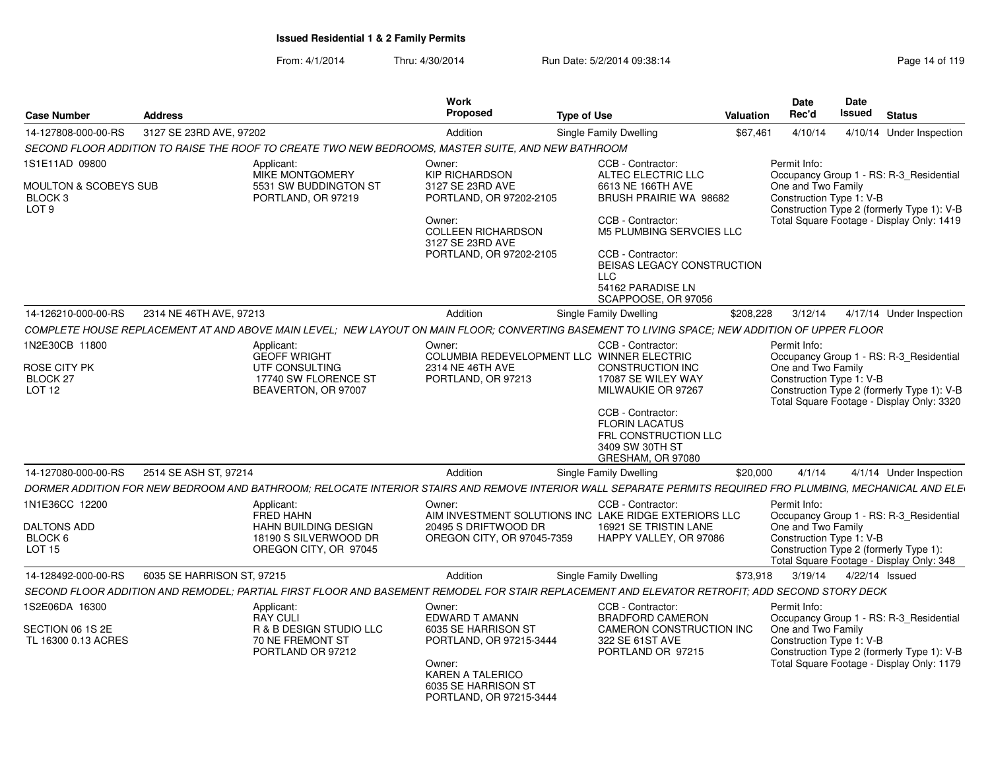| <b>Case Number</b>                                                                | <b>Address</b>             |                                                                                                                                                            | <b>Work</b><br><b>Proposed</b>                                                                                                                                       | <b>Type of Use</b>                                                                                                                                                                                                                            | Valuation | <b>Date</b><br>Rec'd                                           | <b>Date</b><br><b>Issued</b> | <b>Status</b>                                                                                                                      |
|-----------------------------------------------------------------------------------|----------------------------|------------------------------------------------------------------------------------------------------------------------------------------------------------|----------------------------------------------------------------------------------------------------------------------------------------------------------------------|-----------------------------------------------------------------------------------------------------------------------------------------------------------------------------------------------------------------------------------------------|-----------|----------------------------------------------------------------|------------------------------|------------------------------------------------------------------------------------------------------------------------------------|
| 14-127808-000-00-RS                                                               | 3127 SE 23RD AVE, 97202    |                                                                                                                                                            | Addition                                                                                                                                                             | Single Family Dwelling                                                                                                                                                                                                                        | \$67,461  | 4/10/14                                                        | 4/10/14                      | Under Inspection                                                                                                                   |
|                                                                                   |                            | SECOND FLOOR ADDITION TO RAISE THE ROOF TO CREATE TWO NEW BEDROOMS, MASTER SUITE, AND NEW BATHROOM                                                         |                                                                                                                                                                      |                                                                                                                                                                                                                                               |           |                                                                |                              |                                                                                                                                    |
| 1S1E11AD 09800<br>MOULTON & SCOBEYS SUB<br>BLOCK <sub>3</sub><br>LOT <sub>9</sub> |                            | Applicant:<br>MIKE MONTGOMERY<br>5531 SW BUDDINGTON ST<br>PORTLAND, OR 97219                                                                               | Owner:<br><b>KIP RICHARDSON</b><br>3127 SE 23RD AVE<br>PORTLAND, OR 97202-2105<br>Owner:<br><b>COLLEEN RICHARDSON</b><br>3127 SE 23RD AVE<br>PORTLAND, OR 97202-2105 | CCB - Contractor:<br>ALTEC ELECTRIC LLC<br>6613 NE 166TH AVE<br>BRUSH PRAIRIE WA 98682<br>CCB - Contractor:<br>M5 PLUMBING SERVCIES LLC<br>CCB - Contractor:                                                                                  |           | Permit Info:<br>One and Two Family<br>Construction Type 1: V-B |                              | Occupancy Group 1 - RS: R-3_Residential<br>Construction Type 2 (formerly Type 1): V-B<br>Total Square Footage - Display Only: 1419 |
|                                                                                   |                            |                                                                                                                                                            |                                                                                                                                                                      | BEISAS LEGACY CONSTRUCTION<br><b>LLC</b><br>54162 PARADISE LN<br>SCAPPOOSE, OR 97056                                                                                                                                                          |           |                                                                |                              |                                                                                                                                    |
| 14-126210-000-00-RS                                                               | 2314 NE 46TH AVE, 97213    |                                                                                                                                                            | Addition                                                                                                                                                             | Single Family Dwelling                                                                                                                                                                                                                        | \$208,228 | 3/12/14                                                        |                              | 4/17/14 Under Inspection                                                                                                           |
|                                                                                   |                            | COMPLETE HOUSE REPLACEMENT AT AND ABOVE MAIN LEVEL; NEW LAYOUT ON MAIN FLOOR; CONVERTING BASEMENT TO LIVING SPACE; NEW ADDITION OF UPPER FLOOR             |                                                                                                                                                                      |                                                                                                                                                                                                                                               |           |                                                                |                              |                                                                                                                                    |
| 1N2E30CB 11800<br>ROSE CITY PK<br>BLOCK 27<br><b>LOT 12</b>                       |                            | Applicant:<br><b>GEOFF WRIGHT</b><br>UTF CONSULTING<br>17740 SW FLORENCE ST<br>BEAVERTON, OR 97007                                                         | Owner:<br>2314 NE 46TH AVE<br>PORTLAND, OR 97213                                                                                                                     | CCB - Contractor:<br>COLUMBIA REDEVELOPMENT LLC WINNER ELECTRIC<br>CONSTRUCTION INC<br>17087 SE WILEY WAY<br>MILWAUKIE OR 97267<br>CCB - Contractor:<br><b>FLORIN LACATUS</b><br>FRL CONSTRUCTION LLC<br>3409 SW 30TH ST<br>GRESHAM, OR 97080 |           | Permit Info:<br>One and Two Family<br>Construction Type 1: V-B |                              | Occupancy Group 1 - RS: R-3_Residential<br>Construction Type 2 (formerly Type 1): V-B<br>Total Square Footage - Display Only: 3320 |
| 14-127080-000-00-RS                                                               | 2514 SE ASH ST, 97214      |                                                                                                                                                            | Addition                                                                                                                                                             | Single Family Dwelling                                                                                                                                                                                                                        | \$20,000  | 4/1/14                                                         |                              | 4/1/14 Under Inspection                                                                                                            |
|                                                                                   |                            | DORMER ADDITION FOR NEW BEDROOM AND BATHROOM; RELOCATE INTERIOR STAIRS AND REMOVE INTERIOR WALL SEPARATE PERMITS REQUIRED FRO PLUMBING, MECHANICAL AND ELE |                                                                                                                                                                      |                                                                                                                                                                                                                                               |           |                                                                |                              |                                                                                                                                    |
| 1N1E36CC 12200<br><b>DALTONS ADD</b><br>BLOCK 6<br><b>LOT 15</b>                  |                            | Applicant:<br><b>FRED HAHN</b><br><b>HAHN BUILDING DESIGN</b><br>18190 S SILVERWOOD DR<br>OREGON CITY, OR 97045                                            | Owner:<br>20495 S DRIFTWOOD DR<br>OREGON CITY, OR 97045-7359                                                                                                         | CCB - Contractor:<br>AIM INVESTMENT SOLUTIONS INC LAKE RIDGE EXTERIORS LLC<br>16921 SE TRISTIN LANE<br>HAPPY VALLEY, OR 97086                                                                                                                 |           | Permit Info:<br>One and Two Family<br>Construction Type 1: V-B |                              | Occupancy Group 1 - RS: R-3_Residential<br>Construction Type 2 (formerly Type 1):<br>Total Square Footage - Display Only: 348      |
| 14-128492-000-00-RS                                                               | 6035 SE HARRISON ST, 97215 |                                                                                                                                                            | Addition                                                                                                                                                             | Single Family Dwelling                                                                                                                                                                                                                        | \$73,918  | 3/19/14                                                        |                              | 4/22/14 Issued                                                                                                                     |
|                                                                                   |                            | SECOND FLOOR ADDITION AND REMODEL; PARTIAL FIRST FLOOR AND BASEMENT REMODEL FOR STAIR REPLACEMENT AND ELEVATOR RETROFIT; ADD SECOND STORY DECK             |                                                                                                                                                                      |                                                                                                                                                                                                                                               |           |                                                                |                              |                                                                                                                                    |
| 1S2E06DA 16300<br>SECTION 06 1S 2E<br>TL 16300 0.13 ACRES                         |                            | Applicant:<br><b>RAY CULI</b><br>R & B DESIGN STUDIO LLC<br>70 NE FREMONT ST<br>PORTLAND OR 97212                                                          | Owner:<br>EDWARD T AMANN<br>6035 SE HARRISON ST<br>PORTLAND, OR 97215-3444<br>Owner:<br><b>KAREN A TALERICO</b><br>6035 SE HARRISON ST<br>PORTLAND, OR 97215-3444    | CCB - Contractor:<br><b>BRADFORD CAMERON</b><br>CAMERON CONSTRUCTION INC<br>322 SE 61ST AVE<br>PORTLAND OR 97215                                                                                                                              |           | Permit Info:<br>One and Two Family<br>Construction Type 1: V-B |                              | Occupancy Group 1 - RS: R-3 Residential<br>Construction Type 2 (formerly Type 1): V-B<br>Total Square Footage - Display Only: 1179 |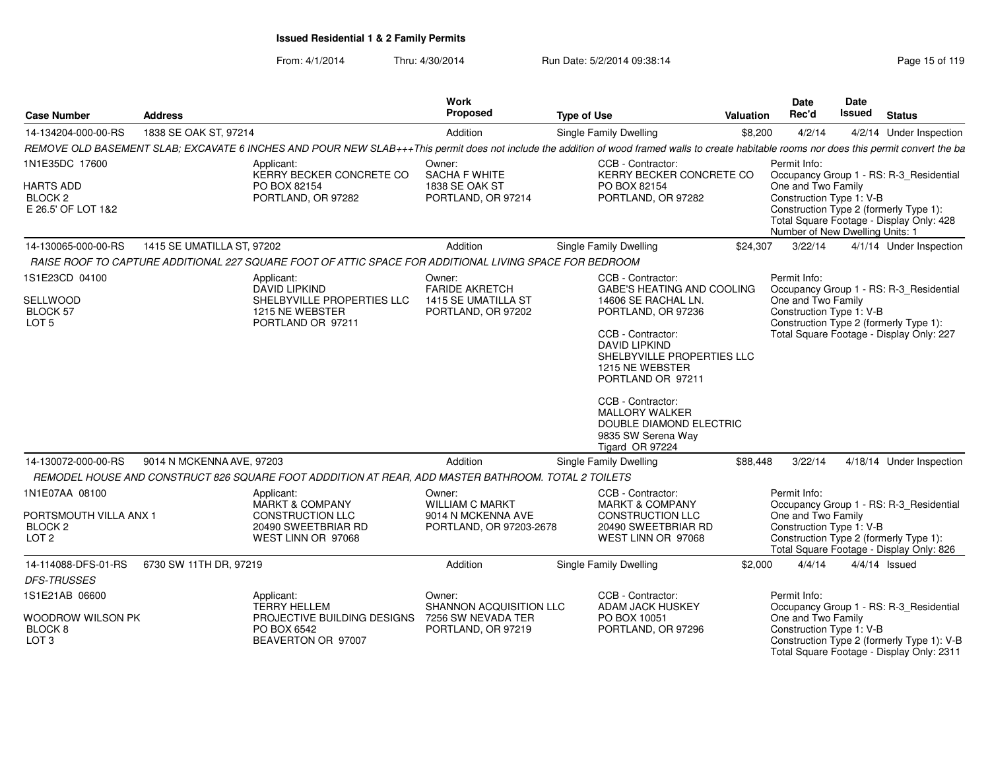| <b>Case Number</b>                                               | <b>Address</b>             |                                                                                                                                                                                              | Work<br><b>Proposed</b>                       | <b>Type of Use</b>                                                                                                              | <b>Valuation</b>                  | Date<br>Rec'd                                                                                                                                                           | Date<br>Issued | <b>Status</b>            |  |
|------------------------------------------------------------------|----------------------------|----------------------------------------------------------------------------------------------------------------------------------------------------------------------------------------------|-----------------------------------------------|---------------------------------------------------------------------------------------------------------------------------------|-----------------------------------|-------------------------------------------------------------------------------------------------------------------------------------------------------------------------|----------------|--------------------------|--|
| 14-134204-000-00-RS                                              | 1838 SE OAK ST, 97214      |                                                                                                                                                                                              | Addition                                      | Single Family Dwelling                                                                                                          | \$8,200                           | 4/2/14                                                                                                                                                                  |                | 4/2/14 Under Inspection  |  |
|                                                                  |                            | REMOVE OLD BASEMENT SLAB; EXCAVATE 6 INCHES AND POUR NEW SLAB+++This permit does not include the addition of wood framed walls to create habitable rooms nor does this permit convert the ba |                                               |                                                                                                                                 |                                   |                                                                                                                                                                         |                |                          |  |
| 1N1E35DC 17600                                                   |                            | Applicant:<br>KERRY BECKER CONCRETE CO                                                                                                                                                       | Owner:<br><b>SACHA F WHITE</b>                | CCB - Contractor:                                                                                                               | KERRY BECKER CONCRETE CO          | Permit Info:<br>Occupancy Group 1 - RS: R-3 Residential                                                                                                                 |                |                          |  |
| <b>HARTS ADD</b><br>BLOCK <sub>2</sub><br>E 26.5' OF LOT 1&2     |                            | PO BOX 82154<br>PORTLAND, OR 97282                                                                                                                                                           | 1838 SE OAK ST<br>PORTLAND, OR 97214          | PO BOX 82154<br>PORTLAND, OR 97282                                                                                              |                                   | One and Two Family<br>Construction Type 1: V-B<br>Construction Type 2 (formerly Type 1):<br>Total Square Footage - Display Only: 428<br>Number of New Dwelling Units: 1 |                |                          |  |
| 14-130065-000-00-RS                                              | 1415 SE UMATILLA ST, 97202 |                                                                                                                                                                                              | Addition                                      | Single Family Dwelling                                                                                                          | \$24,307                          | 3/22/14                                                                                                                                                                 |                | 4/1/14 Under Inspection  |  |
|                                                                  |                            | RAISE ROOF TO CAPTURE ADDITIONAL 227 SQUARE FOOT OF ATTIC SPACE FOR ADDITIONAL LIVING SPACE FOR BEDROOM                                                                                      |                                               |                                                                                                                                 |                                   |                                                                                                                                                                         |                |                          |  |
| 1S1E23CD 04100                                                   |                            | Applicant:<br><b>DAVID LIPKIND</b>                                                                                                                                                           | Owner:<br><b>FARIDE AKRETCH</b>               | CCB - Contractor:                                                                                                               | <b>GABE'S HEATING AND COOLING</b> | Permit Info:<br>Occupancy Group 1 - RS: R-3 Residential                                                                                                                 |                |                          |  |
| <b>SELLWOOD</b><br>BLOCK 57<br>LOT <sub>5</sub>                  |                            | SHELBYVILLE PROPERTIES LLC<br>1215 NE WEBSTER<br>PORTLAND OR 97211                                                                                                                           | 1415 SE UMATILLA ST<br>PORTLAND, OR 97202     | 14606 SE RACHAL LN.<br>PORTLAND, OR 97236                                                                                       |                                   | One and Two Family<br>Construction Type 1: V-B<br>Construction Type 2 (formerly Type 1):                                                                                |                |                          |  |
|                                                                  |                            |                                                                                                                                                                                              |                                               | CCB - Contractor:<br><b>DAVID LIPKIND</b><br>1215 NE WEBSTER<br>PORTLAND OR 97211<br>CCB - Contractor:<br><b>MALLORY WALKER</b> | SHELBYVILLE PROPERTIES LLC        | Total Square Footage - Display Only: 227                                                                                                                                |                |                          |  |
|                                                                  |                            |                                                                                                                                                                                              |                                               | 9835 SW Serena Way<br>Tigard OR 97224                                                                                           | DOUBLE DIAMOND ELECTRIC           |                                                                                                                                                                         |                |                          |  |
| 14-130072-000-00-RS                                              | 9014 N MCKENNA AVE, 97203  |                                                                                                                                                                                              | Addition                                      | Single Family Dwelling                                                                                                          | \$88,448                          | 3/22/14                                                                                                                                                                 |                | 4/18/14 Under Inspection |  |
|                                                                  |                            | REMODEL HOUSE AND CONSTRUCT 826 SQUARE FOOT ADDDITION AT REAR, ADD MASTER BATHROOM. TOTAL 2 TOILETS                                                                                          |                                               |                                                                                                                                 |                                   |                                                                                                                                                                         |                |                          |  |
| 1N1E07AA 08100                                                   |                            | Applicant:<br><b>MARKT &amp; COMPANY</b>                                                                                                                                                     | Owner:<br><b>WILLIAM C MARKT</b>              | CCB - Contractor:<br><b>MARKT &amp; COMPANY</b>                                                                                 |                                   | Permit Info:<br>Occupancy Group 1 - RS: R-3 Residential                                                                                                                 |                |                          |  |
| PORTSMOUTH VILLA ANX 1<br>BLOCK <sub>2</sub><br>LOT <sub>2</sub> |                            | CONSTRUCTION LLC<br>20490 SWEETBRIAR RD<br>WEST LINN OR 97068                                                                                                                                | 9014 N MCKENNA AVE<br>PORTLAND, OR 97203-2678 | CONSTRUCTION LLC<br>20490 SWEETBRIAR RD<br>WEST LINN OR 97068                                                                   |                                   | One and Two Family<br>Construction Type 1: V-B<br>Construction Type 2 (formerly Type 1):<br>Total Square Footage - Display Only: 826                                    |                |                          |  |
| 14-114088-DFS-01-RS                                              | 6730 SW 11TH DR, 97219     |                                                                                                                                                                                              | Addition                                      | Single Family Dwelling                                                                                                          | \$2,000                           | 4/4/14                                                                                                                                                                  |                | $4/4/14$ Issued          |  |
| <b>DFS-TRUSSES</b>                                               |                            |                                                                                                                                                                                              |                                               |                                                                                                                                 |                                   |                                                                                                                                                                         |                |                          |  |
| 1S1E21AB 06600                                                   |                            | Applicant:<br><b>TERRY HELLEM</b>                                                                                                                                                            | Owner:<br>SHANNON ACQUISITION LLC             | CCB - Contractor:<br>ADAM JACK HUSKEY                                                                                           |                                   | Permit Info:<br>Occupancy Group 1 - RS: R-3_Residential                                                                                                                 |                |                          |  |
| WOODROW WILSON PK<br>BLOCK 8<br>LOT <sub>3</sub>                 |                            | PROJECTIVE BUILDING DESIGNS<br>PO BOX 6542<br>BEAVERTON OR 97007                                                                                                                             | 7256 SW NEVADA TER<br>PORTLAND, OR 97219      | PO BOX 10051<br>PORTLAND, OR 97296                                                                                              |                                   | One and Two Family<br>Construction Type 1: V-B<br>Construction Type 2 (formerly Type 1): V-B<br>Total Square Footage - Display Only: 2311                               |                |                          |  |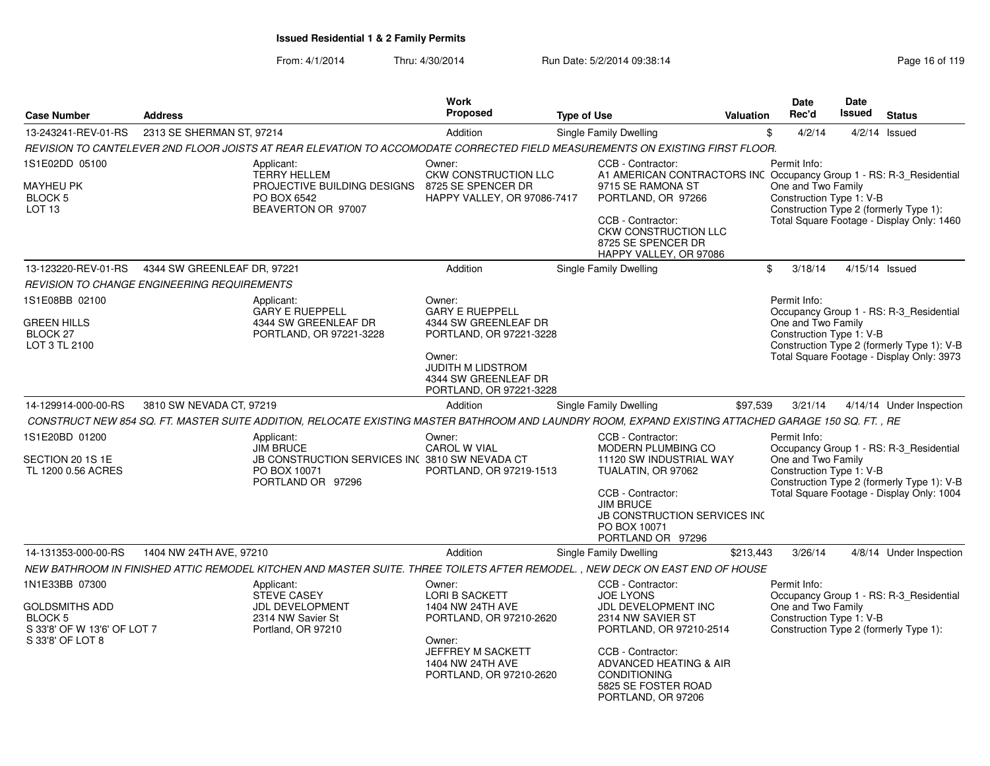| <b>Case Number</b>                                                                                           | <b>Address</b>                              |                                                                                                                                                      | <b>Work</b><br>Proposed                                                                                                                                                      | <b>Type of Use</b> |                                                                                                                                                                                                                                            | <b>Valuation</b> | <b>Date</b><br>Rec'd                                           | <b>Date</b><br><b>Issued</b> | <b>Status</b>                                                                                                                      |
|--------------------------------------------------------------------------------------------------------------|---------------------------------------------|------------------------------------------------------------------------------------------------------------------------------------------------------|------------------------------------------------------------------------------------------------------------------------------------------------------------------------------|--------------------|--------------------------------------------------------------------------------------------------------------------------------------------------------------------------------------------------------------------------------------------|------------------|----------------------------------------------------------------|------------------------------|------------------------------------------------------------------------------------------------------------------------------------|
| 13-243241-REV-01-RS                                                                                          | 2313 SE SHERMAN ST, 97214                   |                                                                                                                                                      | Addition                                                                                                                                                                     |                    | Single Family Dwelling                                                                                                                                                                                                                     |                  | \$<br>4/2/14                                                   |                              | $4/2/14$ Issued                                                                                                                    |
|                                                                                                              |                                             | REVISION TO CANTELEVER 2ND FLOOR JOISTS AT REAR ELEVATION TO ACCOMODATE CORRECTED FIELD MEASUREMENTS ON EXISTING FIRST FLOOR.                        |                                                                                                                                                                              |                    |                                                                                                                                                                                                                                            |                  |                                                                |                              |                                                                                                                                    |
| 1S1E02DD 05100<br>MAYHEU PK<br><b>BLOCK 5</b><br>LOT <sub>13</sub>                                           |                                             | Applicant:<br><b>TERRY HELLEM</b><br>PROJECTIVE BUILDING DESIGNS<br>PO BOX 6542<br>BEAVERTON OR 97007                                                | Owner:<br><b>CKW CONSTRUCTION LLC</b><br>8725 SE SPENCER DR<br>HAPPY VALLEY, OR 97086-7417                                                                                   |                    | CCB - Contractor:<br>A1 AMERICAN CONTRACTORS INC Occupancy Group 1 - RS: R-3_Residential<br>9715 SE RAMONA ST<br>PORTLAND, OR 97266<br>CCB - Contractor:<br><b>CKW CONSTRUCTION LLC</b><br>8725 SE SPENCER DR<br>HAPPY VALLEY, OR 97086    |                  | Permit Info:<br>One and Two Family<br>Construction Type 1: V-B |                              | Construction Type 2 (formerly Type 1):<br>Total Square Footage - Display Only: 1460                                                |
| 13-123220-REV-01-RS                                                                                          | 4344 SW GREENLEAF DR, 97221                 |                                                                                                                                                      | Addition                                                                                                                                                                     |                    | Single Family Dwelling                                                                                                                                                                                                                     |                  | \$<br>3/18/14                                                  | 4/15/14 Issued               |                                                                                                                                    |
|                                                                                                              | REVISION TO CHANGE ENGINEERING REQUIREMENTS |                                                                                                                                                      |                                                                                                                                                                              |                    |                                                                                                                                                                                                                                            |                  |                                                                |                              |                                                                                                                                    |
| 1S1E08BB 02100<br><b>GREEN HILLS</b><br><b>BLOCK 27</b><br>LOT 3 TL 2100                                     |                                             | Applicant:<br><b>GARY E RUEPPELL</b><br>4344 SW GREENLEAF DR<br>PORTLAND, OR 97221-3228                                                              | Owner:<br><b>GARY E RUEPPELL</b><br>4344 SW GREENLEAF DR<br>PORTLAND, OR 97221-3228<br>Owner:<br><b>JUDITH M LIDSTROM</b><br>4344 SW GREENLEAF DR<br>PORTLAND, OR 97221-3228 |                    |                                                                                                                                                                                                                                            |                  | Permit Info:<br>One and Two Family<br>Construction Type 1: V-B |                              | Occupancy Group 1 - RS: R-3 Residential<br>Construction Type 2 (formerly Type 1): V-B<br>Total Square Footage - Display Only: 3973 |
| 14-129914-000-00-RS                                                                                          | 3810 SW NEVADA CT, 97219                    |                                                                                                                                                      | Addition                                                                                                                                                                     |                    | Single Family Dwelling                                                                                                                                                                                                                     | \$97.539         | 3/21/14                                                        |                              | 4/14/14 Under Inspection                                                                                                           |
|                                                                                                              |                                             | CONSTRUCT NEW 854 SQ. FT. MASTER SUITE ADDITION, RELOCATE EXISTING MASTER BATHROOM AND LAUNDRY ROOM, EXPAND EXISTING ATTACHED GARAGE 150 SQ. FT., RE |                                                                                                                                                                              |                    |                                                                                                                                                                                                                                            |                  |                                                                |                              |                                                                                                                                    |
| 1S1E20BD 01200<br>SECTION 20 1S 1E<br>TL 1200 0.56 ACRES                                                     |                                             | Applicant:<br><b>JIM BRUCE</b><br>JB CONSTRUCTION SERVICES INC 3810 SW NEVADA CT<br>PO BOX 10071<br>PORTLAND OR 97296                                | Owner:<br>CAROL W VIAL<br>PORTLAND, OR 97219-1513                                                                                                                            |                    | CCB - Contractor:<br>MODERN PLUMBING CO<br>11120 SW INDUSTRIAL WAY<br>TUALATIN, OR 97062<br>CCB - Contractor:<br><b>JIM BRUCE</b><br><b>JB CONSTRUCTION SERVICES INC</b><br>PO BOX 10071<br>PORTLAND OR 97296                              |                  | Permit Info:<br>One and Two Family<br>Construction Type 1: V-B |                              | Occupancy Group 1 - RS: R-3_Residential<br>Construction Type 2 (formerly Type 1): V-B<br>Total Square Footage - Display Only: 1004 |
| 14-131353-000-00-RS                                                                                          | 1404 NW 24TH AVE, 97210                     |                                                                                                                                                      | Addition                                                                                                                                                                     |                    | Single Family Dwelling                                                                                                                                                                                                                     | \$213,443        | 3/26/14                                                        |                              | 4/8/14 Under Inspection                                                                                                            |
|                                                                                                              |                                             | NEW BATHROOM IN FINISHED ATTIC REMODEL KITCHEN AND MASTER SUITE. THREE TOILETS AFTER REMODEL. , NEW DECK ON EAST END OF HOUSE                        |                                                                                                                                                                              |                    |                                                                                                                                                                                                                                            |                  |                                                                |                              |                                                                                                                                    |
| 1N1E33BB 07300<br><b>GOLDSMITHS ADD</b><br><b>BLOCK 5</b><br>S 33'8' OF W 13'6' OF LOT 7<br>S 33'8' OF LOT 8 |                                             | Applicant:<br><b>STEVE CASEY</b><br><b>JDL DEVELOPMENT</b><br>2314 NW Savier St<br>Portland, OR 97210                                                | Owner:<br><b>LORI B SACKETT</b><br>1404 NW 24TH AVE<br>PORTLAND, OR 97210-2620<br>Owner:<br>JEFFREY M SACKETT<br>1404 NW 24TH AVE<br>PORTLAND, OR 97210-2620                 |                    | CCB - Contractor:<br><b>JOE LYONS</b><br>JDL DEVELOPMENT INC<br>2314 NW SAVIER ST<br>PORTLAND, OR 97210-2514<br>CCB - Contractor:<br><b>ADVANCED HEATING &amp; AIR</b><br><b>CONDITIONING</b><br>5825 SE FOSTER ROAD<br>PORTLAND, OR 97206 |                  | Permit Info:<br>One and Two Family<br>Construction Type 1: V-B |                              | Occupancy Group 1 - RS: R-3_Residential<br>Construction Type 2 (formerly Type 1):                                                  |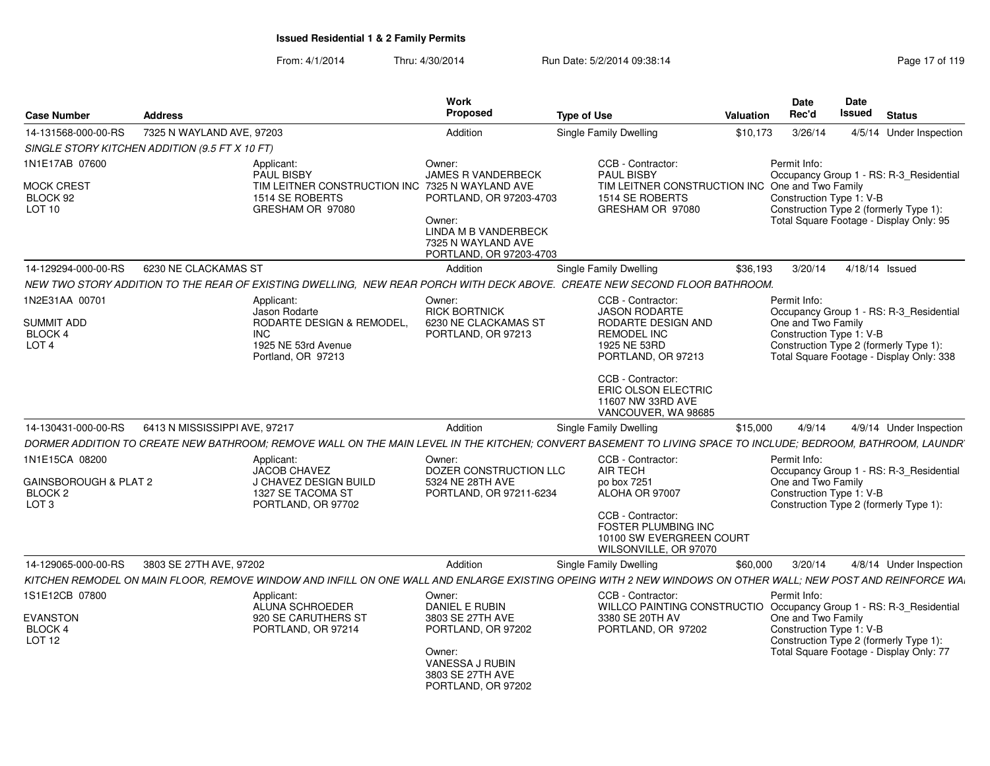| <b>Case Number</b>                                                       | <b>Address</b>                                 |                                                                                               | Work<br>Proposed                                                                | <b>Type of Use</b>                                                                                                                                            | Valuation | <b>Date</b><br>Rec'd                                                                                     | Date<br><b>Issued</b> | <b>Status</b>                            |
|--------------------------------------------------------------------------|------------------------------------------------|-----------------------------------------------------------------------------------------------|---------------------------------------------------------------------------------|---------------------------------------------------------------------------------------------------------------------------------------------------------------|-----------|----------------------------------------------------------------------------------------------------------|-----------------------|------------------------------------------|
|                                                                          |                                                |                                                                                               |                                                                                 |                                                                                                                                                               |           |                                                                                                          |                       |                                          |
| 14-131568-000-00-RS                                                      | 7325 N WAYLAND AVE, 97203                      |                                                                                               | Addition                                                                        | Single Family Dwelling                                                                                                                                        | \$10,173  | 3/26/14                                                                                                  |                       | 4/5/14 Under Inspection                  |
|                                                                          | SINGLE STORY KITCHEN ADDITION (9.5 FT X 10 FT) |                                                                                               |                                                                                 |                                                                                                                                                               |           |                                                                                                          |                       |                                          |
| 1N1E17AB 07600                                                           |                                                | Applicant:<br>PAUL BISBY                                                                      | Owner:<br><b>JAMES R VANDERBECK</b>                                             | CCB - Contractor:<br>PAUL BISBY                                                                                                                               |           | Permit Info:                                                                                             |                       | Occupancy Group 1 - RS: R-3 Residential  |
| <b>MOCK CREST</b><br>BLOCK 92<br><b>LOT 10</b>                           |                                                | TIM LEITNER CONSTRUCTION INC 7325 N WAYLAND AVE<br>1514 SE ROBERTS<br>GRESHAM OR 97080        | PORTLAND, OR 97203-4703<br>Owner:                                               | TIM LEITNER CONSTRUCTION INC One and Two Family<br>1514 SE ROBERTS<br>GRESHAM OR 97080                                                                        |           | Construction Type 1: V-B<br>Construction Type 2 (formerly Type 1):                                       |                       | Total Square Footage - Display Only: 95  |
|                                                                          |                                                |                                                                                               | <b>LINDA M B VANDERBECK</b><br>7325 N WAYLAND AVE<br>PORTLAND, OR 97203-4703    |                                                                                                                                                               |           |                                                                                                          |                       |                                          |
| 14-129294-000-00-RS                                                      | 6230 NE CLACKAMAS ST                           |                                                                                               | Addition                                                                        | Single Family Dwelling                                                                                                                                        | \$36,193  | 3/20/14                                                                                                  | 4/18/14 Issued        |                                          |
|                                                                          |                                                |                                                                                               |                                                                                 | NEW TWO STORY ADDITION TO THE REAR OF EXISTING DWELLING, NEW REAR PORCH WITH DECK ABOVE. CREATE NEW SECOND FLOOR BATHROOM.                                    |           |                                                                                                          |                       |                                          |
| 1N2E31AA 00701<br>SUMMIT ADD<br>BLOCK 4<br>LOT <sub>4</sub>              |                                                | Applicant:<br>Jason Rodarte<br>RODARTE DESIGN & REMODEL,<br><b>INC</b><br>1925 NE 53rd Avenue | Owner:<br><b>RICK BORTNICK</b><br>6230 NE CLACKAMAS ST<br>PORTLAND, OR 97213    | CCB - Contractor:<br><b>JASON RODARTE</b><br>RODARTE DESIGN AND<br><b>REMODEL INC</b><br>1925 NE 53RD                                                         |           | Permit Info:<br>One and Two Family<br>Construction Type 1: V-B<br>Construction Type 2 (formerly Type 1): |                       | Occupancy Group 1 - RS: R-3_Residential  |
|                                                                          |                                                | Portland, OR 97213                                                                            |                                                                                 | PORTLAND, OR 97213<br>CCB - Contractor:<br>ERIC OLSON ELECTRIC<br>11607 NW 33RD AVE<br>VANCOUVER, WA 98685                                                    |           |                                                                                                          |                       | Total Square Footage - Display Only: 338 |
| 14-130431-000-00-RS                                                      | 6413 N MISSISSIPPI AVE, 97217                  |                                                                                               | Addition                                                                        | Single Family Dwelling                                                                                                                                        | \$15,000  | 4/9/14                                                                                                   |                       | 4/9/14 Under Inspection                  |
|                                                                          |                                                |                                                                                               |                                                                                 | DORMER ADDITION TO CREATE NEW BATHROOM: REMOVE WALL ON THE MAIN LEVEL IN THE KITCHEN: CONVERT BASEMENT TO LIVING SPACE TO INCLUDE: BEDROOM. BATHROOM. LAUNDR' |           |                                                                                                          |                       |                                          |
| 1N1E15CA 08200<br><b>GAINSBOROUGH &amp; PLAT 2</b><br>BLOCK <sub>2</sub> |                                                | Applicant:<br>JACOB CHAVEZ<br>J CHAVEZ DESIGN BUILD<br>1327 SE TACOMA ST                      | Owner:<br>DOZER CONSTRUCTION LLC<br>5324 NE 28TH AVE<br>PORTLAND, OR 97211-6234 | CCB - Contractor:<br>AIR TECH<br>po box 7251<br>ALOHA OR 97007                                                                                                |           | Permit Info:<br>One and Two Family<br>Construction Type 1: V-B                                           |                       | Occupancy Group 1 - RS: R-3_Residential  |
| LOT <sub>3</sub>                                                         |                                                | PORTLAND, OR 97702                                                                            |                                                                                 | CCB - Contractor:<br>FOSTER PLUMBING INC<br>10100 SW EVERGREEN COURT<br>WILSONVILLE, OR 97070                                                                 |           | Construction Type 2 (formerly Type 1):                                                                   |                       |                                          |
| 14-129065-000-00-RS                                                      | 3803 SE 27TH AVE, 97202                        |                                                                                               | Addition                                                                        | Single Family Dwelling                                                                                                                                        | \$60,000  | 3/20/14                                                                                                  |                       | 4/8/14 Under Inspection                  |
|                                                                          |                                                |                                                                                               |                                                                                 | KITCHEN REMODEL ON MAIN FLOOR, REMOVE WINDOW AND INFILL ON ONE WALL AND ENLARGE EXISTING OPEING WITH 2 NEW WINDOWS ON OTHER WALL; NEW POST AND REINFORCE WA   |           |                                                                                                          |                       |                                          |
| 1S1E12CB 07800                                                           |                                                | Applicant:<br>ALUNA SCHROEDER                                                                 | Owner:<br><b>DANIEL E RUBIN</b>                                                 | CCB - Contractor:<br>WILLCO PAINTING CONSTRUCTIO Occupancy Group 1 - RS: R-3_Residential                                                                      |           | Permit Info:                                                                                             |                       |                                          |
| <b>EVANSTON</b><br>BLOCK 4<br><b>LOT 12</b>                              |                                                | 920 SE CARUTHERS ST<br>PORTLAND, OR 97214                                                     | 3803 SE 27TH AVE<br>PORTLAND, OR 97202<br>Owner:                                | 3380 SE 20TH AV<br>PORTLAND, OR 97202                                                                                                                         |           | One and Two Family<br>Construction Type 1: V-B<br>Construction Type 2 (formerly Type 1):                 |                       | Total Square Footage - Display Only: 77  |
|                                                                          |                                                |                                                                                               | VANESSA J RUBIN<br>3803 SE 27TH AVE<br>PORTLAND, OR 97202                       |                                                                                                                                                               |           |                                                                                                          |                       |                                          |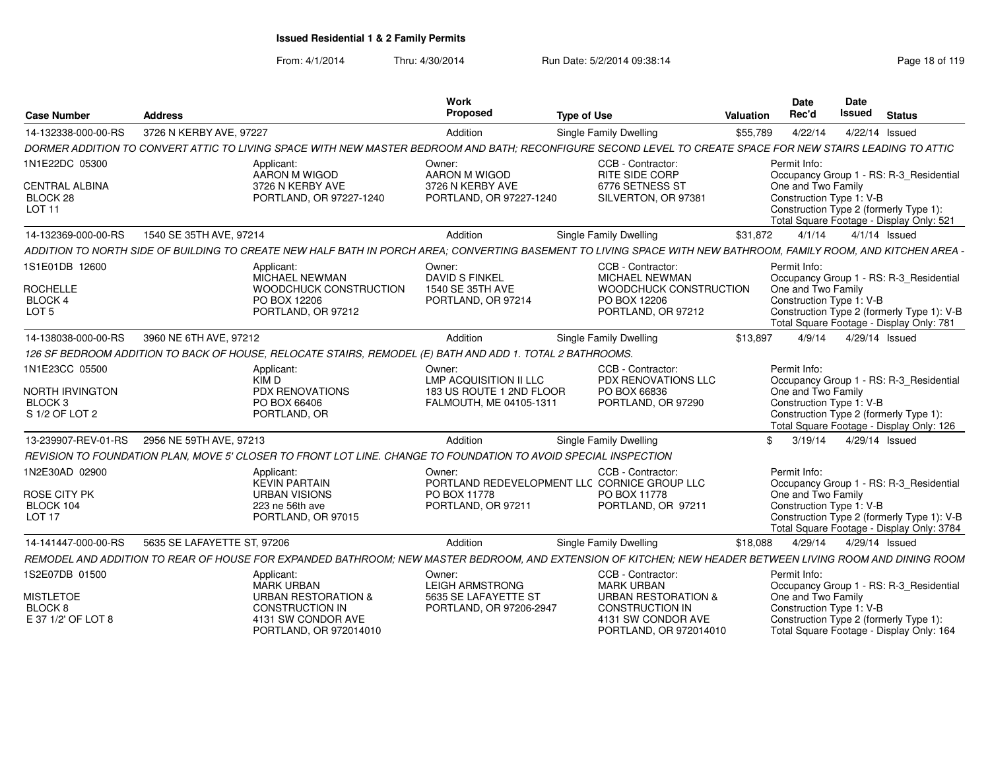| <b>Case Number</b>                                 | <b>Address</b>                                                                                                                                                 |                                              | <b>Work</b><br>Proposed                                   | <b>Type of Use</b>                                                | Valuation | <b>Date</b><br>Rec'd                           | Date<br>Issued | <b>Status</b>                                                                           |
|----------------------------------------------------|----------------------------------------------------------------------------------------------------------------------------------------------------------------|----------------------------------------------|-----------------------------------------------------------|-------------------------------------------------------------------|-----------|------------------------------------------------|----------------|-----------------------------------------------------------------------------------------|
| 14-132338-000-00-RS                                | 3726 N KERBY AVE, 97227                                                                                                                                        |                                              | Addition                                                  | Single Family Dwelling                                            | \$55,789  | 4/22/14                                        |                | 4/22/14 Issued                                                                          |
|                                                    | DORMER ADDITION TO CONVERT ATTIC TO LIVING SPACE WITH NEW MASTER BEDROOM AND BATH: RECONFIGURE SECOND LEVEL TO CREATE SPACE FOR NEW STAIRS LEADING TO ATTIC    |                                              |                                                           |                                                                   |           |                                                |                |                                                                                         |
| 1N1E22DC 05300                                     | Applicant:<br>AARON M WIGOD                                                                                                                                    |                                              | Owner:<br>AARON M WIGOD                                   | CCB - Contractor:<br><b>RITE SIDE CORP</b>                        |           | Permit Info:                                   |                | Occupancy Group 1 - RS: R-3_Residential                                                 |
| <b>CENTRAL ALBINA</b><br>BLOCK 28<br><b>LOT 11</b> | 3726 N KERBY AVE                                                                                                                                               | PORTLAND, OR 97227-1240                      | 3726 N KERBY AVE<br>PORTLAND, OR 97227-1240               | 6776 SETNESS ST<br>SILVERTON, OR 97381                            |           | One and Two Family<br>Construction Type 1: V-B |                | Construction Type 2 (formerly Type 1):<br>Total Square Footage - Display Only: 521      |
| 14-132369-000-00-RS                                | 1540 SE 35TH AVE, 97214                                                                                                                                        |                                              | Addition                                                  | Single Family Dwelling                                            | \$31,872  | 4/1/14                                         |                | $4/1/14$ Issued                                                                         |
|                                                    | ADDITION TO NORTH SIDE OF BUILDING TO CREATE NEW HALF BATH IN PORCH AREA: CONVERTING BASEMENT TO LIVING SPACE WITH NEW BATHROOM, FAMILY ROOM, AND KITCHEN AREA |                                              |                                                           |                                                                   |           |                                                |                |                                                                                         |
| 1S1E01DB 12600                                     | Applicant:<br>MICHAEL NEWMAN                                                                                                                                   |                                              | Owner:<br><b>DAVID S FINKEL</b>                           | CCB - Contractor:<br>MICHAEL NEWMAN                               |           | Permit Info:                                   |                | Occupancy Group 1 - RS: R-3_Residential                                                 |
| <b>ROCHELLE</b><br>BLOCK 4                         | PO BOX 12206                                                                                                                                                   | WOODCHUCK CONSTRUCTION                       | 1540 SE 35TH AVE<br>PORTLAND, OR 97214                    | WOODCHUCK CONSTRUCTION<br>PO BOX 12206                            |           | One and Two Family<br>Construction Type 1: V-B |                |                                                                                         |
| LOT <sub>5</sub>                                   |                                                                                                                                                                | PORTLAND, OR 97212                           |                                                           | PORTLAND, OR 97212                                                |           |                                                |                | Construction Type 2 (formerly Type 1): V-B<br>Total Square Footage - Display Only: 781  |
| 14-138038-000-00-RS                                | 3960 NE 6TH AVE, 97212                                                                                                                                         |                                              | Addition                                                  | <b>Single Family Dwelling</b>                                     | \$13,897  | 4/9/14                                         |                | 4/29/14 Issued                                                                          |
|                                                    | 126 SF BEDROOM ADDITION TO BACK OF HOUSE, RELOCATE STAIRS, REMODEL (E) BATH AND ADD 1. TOTAL 2 BATHROOMS.                                                      |                                              |                                                           |                                                                   |           |                                                |                |                                                                                         |
| 1N1E23CC 05500                                     | Applicant:                                                                                                                                                     |                                              | Owner:                                                    | CCB - Contractor:                                                 |           | Permit Info:                                   |                |                                                                                         |
| <b>NORTH IRVINGTON</b>                             | KIM D<br><b>PDX RENOVATIONS</b>                                                                                                                                |                                              | <b>LMP ACQUISITION II LLC</b><br>183 US ROUTE 1 2ND FLOOR | PDX RENOVATIONS LLC<br>PO BOX 66836                               |           | One and Two Family                             |                | Occupancy Group 1 - RS: R-3_Residential                                                 |
| BLOCK <sub>3</sub>                                 | PO BOX 66406                                                                                                                                                   |                                              | FALMOUTH, ME 04105-1311                                   | PORTLAND, OR 97290                                                |           | Construction Type 1: V-B                       |                |                                                                                         |
| S 1/2 OF LOT 2                                     | PORTLAND, OR                                                                                                                                                   |                                              |                                                           |                                                                   |           |                                                |                | Construction Type 2 (formerly Type 1):<br>Total Square Footage - Display Only: 126      |
| 13-239907-REV-01-RS                                | 2956 NE 59TH AVE, 97213                                                                                                                                        |                                              | Addition                                                  | Single Family Dwelling                                            | \$        | 3/19/14                                        |                | 4/29/14 Issued                                                                          |
|                                                    | REVISION TO FOUNDATION PLAN, MOVE 5' CLOSER TO FRONT LOT LINE. CHANGE TO FOUNDATION TO AVOID SPECIAL INSPECTION                                                |                                              |                                                           |                                                                   |           |                                                |                |                                                                                         |
| 1N2E30AD 02900                                     | Applicant:<br><b>KEVIN PARTAIN</b>                                                                                                                             |                                              | Owner:                                                    | CCB - Contractor:<br>PORTLAND REDEVELOPMENT LLC CORNICE GROUP LLC |           | Permit Info:                                   |                | Occupancy Group 1 - RS: R-3_Residential                                                 |
| <b>ROSE CITY PK</b>                                | <b>URBAN VISIONS</b>                                                                                                                                           |                                              | PO BOX 11778                                              | PO BOX 11778                                                      |           | One and Two Family                             |                |                                                                                         |
| BLOCK 104<br>LOT <sub>17</sub>                     | 223 ne 56th ave                                                                                                                                                | PORTLAND, OR 97015                           | PORTLAND, OR 97211                                        | PORTLAND, OR 97211                                                |           | Construction Type 1: V-B                       |                | Construction Type 2 (formerly Type 1): V-B<br>Total Square Footage - Display Only: 3784 |
| 14-141447-000-00-RS                                | 5635 SE LAFAYETTE ST. 97206                                                                                                                                    |                                              | Addition                                                  | Single Family Dwelling                                            | \$18,088  | 4/29/14                                        |                | 4/29/14 Issued                                                                          |
|                                                    | REMODEL AND ADDITION TO REAR OF HOUSE FOR EXPANDED BATHROOM; NEW MASTER BEDROOM, AND EXTENSION OF KITCHEN; NEW HEADER BETWEEN LIVING ROOM AND DINING ROOM      |                                              |                                                           |                                                                   |           |                                                |                |                                                                                         |
| 1S2E07DB 01500                                     | Applicant:                                                                                                                                                     |                                              | Owner:                                                    | CCB - Contractor:                                                 |           | Permit Info:                                   |                |                                                                                         |
|                                                    | <b>MARK URBAN</b>                                                                                                                                              |                                              | <b>LEIGH ARMSTRONG</b>                                    | <b>MARK URBAN</b>                                                 |           |                                                |                | Occupancy Group 1 - RS: R-3_Residential                                                 |
| <b>MISTLETOE</b><br>BLOCK 8                        | <b>CONSTRUCTION IN</b>                                                                                                                                         | <b>URBAN RESTORATION &amp;</b>               | 5635 SE LAFAYETTE ST<br>PORTLAND, OR 97206-2947           | <b>URBAN RESTORATION &amp;</b><br><b>CONSTRUCTION IN</b>          |           | One and Two Family<br>Construction Type 1: V-B |                |                                                                                         |
| E 37 1/2' OF LOT 8                                 |                                                                                                                                                                | 4131 SW CONDOR AVE<br>PORTLAND, OR 972014010 |                                                           | 4131 SW CONDOR AVE<br>PORTLAND, OR 972014010                      |           |                                                |                | Construction Type 2 (formerly Type 1):<br>Total Square Footage - Display Only: 164      |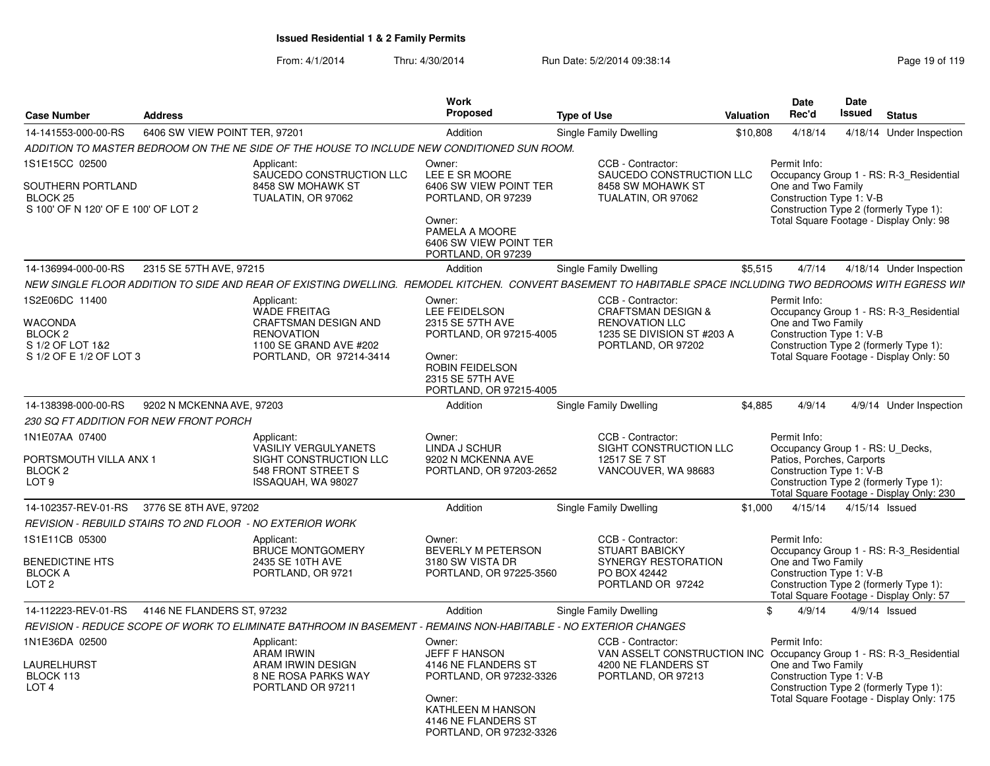| <b>Case Number</b>                                                                  | <b>Address</b>                |                                                                                                                                                                | Work<br><b>Proposed</b>                                                                                                                                          | <b>Type of Use</b>                                                                                                              | <b>Valuation</b> | <b>Date</b><br>Rec'd                                                                                                                                | Date<br><b>Issued</b> | <b>Status</b>                                                                                                                |
|-------------------------------------------------------------------------------------|-------------------------------|----------------------------------------------------------------------------------------------------------------------------------------------------------------|------------------------------------------------------------------------------------------------------------------------------------------------------------------|---------------------------------------------------------------------------------------------------------------------------------|------------------|-----------------------------------------------------------------------------------------------------------------------------------------------------|-----------------------|------------------------------------------------------------------------------------------------------------------------------|
| 14-141553-000-00-RS                                                                 | 6406 SW VIEW POINT TER, 97201 |                                                                                                                                                                | Addition                                                                                                                                                         | Single Family Dwelling                                                                                                          | \$10,808         | 4/18/14                                                                                                                                             |                       | 4/18/14 Under Inspection                                                                                                     |
|                                                                                     |                               | ADDITION TO MASTER BEDROOM ON THE NE SIDE OF THE HOUSE TO INCLUDE NEW CONDITIONED SUN ROOM.                                                                    |                                                                                                                                                                  |                                                                                                                                 |                  |                                                                                                                                                     |                       |                                                                                                                              |
| 1S1E15CC 02500                                                                      |                               | Applicant:<br>SAUCEDO CONSTRUCTION LLC                                                                                                                         | Owner:<br>LEE E SR MOORE                                                                                                                                         | CCB - Contractor:<br>SAUCEDO CONSTRUCTION LLC                                                                                   |                  | Permit Info:                                                                                                                                        |                       | Occupancy Group 1 - RS: R-3_Residential                                                                                      |
| SOUTHERN PORTLAND<br>BLOCK <sub>25</sub><br>S 100' OF N 120' OF E 100' OF LOT 2     |                               | 8458 SW MOHAWK ST<br>TUALATIN, OR 97062                                                                                                                        | 6406 SW VIEW POINT TER<br>PORTLAND, OR 97239<br>Owner:<br>PAMELA A MOORE<br>6406 SW VIEW POINT TER                                                               | 8458 SW MOHAWK ST<br>TUALATIN, OR 97062                                                                                         |                  | One and Two Family<br>Construction Type 1: V-B                                                                                                      |                       | Construction Type 2 (formerly Type 1):<br>Total Square Footage - Display Only: 98                                            |
|                                                                                     |                               |                                                                                                                                                                | PORTLAND, OR 97239                                                                                                                                               |                                                                                                                                 |                  |                                                                                                                                                     |                       |                                                                                                                              |
| 14-136994-000-00-RS                                                                 | 2315 SE 57TH AVE, 97215       |                                                                                                                                                                | Addition                                                                                                                                                         | Single Family Dwelling                                                                                                          | \$5,515          | 4/7/14                                                                                                                                              |                       | 4/18/14 Under Inspection                                                                                                     |
|                                                                                     |                               | NEW SINGLE FLOOR ADDITION TO SIDE AND REAR OF EXISTING DWELLING.  REMODEL KITCHEN.  CONVERT BASEMENT TO HABITABLE SPACE INCLUDING TWO BEDROOMS WITH EGRESS WII |                                                                                                                                                                  |                                                                                                                                 |                  |                                                                                                                                                     |                       |                                                                                                                              |
| 1S2E06DC 11400<br>WACONDA<br>BLOCK 2<br>S 1/2 OF LOT 1&2<br>S 1/2 OF E 1/2 OF LOT 3 |                               | Applicant:<br><b>WADE FREITAG</b><br><b>CRAFTSMAN DESIGN AND</b><br><b>RENOVATION</b><br>1100 SE GRAND AVE #202<br>PORTLAND, OR 97214-3414                     | Owner:<br><b>LEE FEIDELSON</b><br>2315 SE 57TH AVE<br>PORTLAND, OR 97215-4005<br>Owner:<br><b>ROBIN FEIDELSON</b><br>2315 SE 57TH AVE<br>PORTLAND, OR 97215-4005 | CCB - Contractor:<br><b>CRAFTSMAN DESIGN &amp;</b><br><b>RENOVATION LLC</b><br>1235 SE DIVISION ST #203 A<br>PORTLAND, OR 97202 |                  | Permit Info:<br>One and Two Family<br>Construction Type 1: V-B                                                                                      |                       | Occupancy Group 1 - RS: R-3_Residential<br>Construction Type 2 (formerly Type 1):<br>Total Square Footage - Display Only: 50 |
| 14-138398-000-00-RS                                                                 | 9202 N MCKENNA AVE, 97203     |                                                                                                                                                                | Addition                                                                                                                                                         | Single Family Dwelling                                                                                                          | \$4.885          | 4/9/14                                                                                                                                              |                       | 4/9/14 Under Inspection                                                                                                      |
| 230 SQ FT ADDITION FOR NEW FRONT PORCH                                              |                               |                                                                                                                                                                |                                                                                                                                                                  |                                                                                                                                 |                  |                                                                                                                                                     |                       |                                                                                                                              |
| 1N1E07AA 07400<br>PORTSMOUTH VILLA ANX 1<br>BLOCK 2<br>LOT <sub>9</sub>             |                               | Applicant:<br>VASILIY VERGULYANETS<br>SIGHT CONSTRUCTION LLC<br>548 FRONT STREET S<br>ISSAQUAH, WA 98027                                                       | Owner:<br>LINDA J SCHUR<br>9202 N MCKENNA AVE<br>PORTLAND, OR 97203-2652                                                                                         | CCB - Contractor:<br>SIGHT CONSTRUCTION LLC<br>12517 SE 7 ST<br>VANCOUVER, WA 98683                                             |                  | Permit Info:<br>Occupancy Group 1 - RS: U_Decks,<br>Patios, Porches, Carports<br>Construction Type 1: V-B<br>Construction Type 2 (formerly Type 1): |                       | Total Square Footage - Display Only: 230                                                                                     |
| 14-102357-REV-01-RS                                                                 | 3776 SE 8TH AVE, 97202        |                                                                                                                                                                | Addition                                                                                                                                                         | Single Family Dwelling                                                                                                          | \$1,000          | 4/15/14                                                                                                                                             | 4/15/14 Issued        |                                                                                                                              |
| REVISION - REBUILD STAIRS TO 2ND FLOOR  - NO EXTERIOR WORK                          |                               |                                                                                                                                                                |                                                                                                                                                                  |                                                                                                                                 |                  |                                                                                                                                                     |                       |                                                                                                                              |
| 1S1E11CB 05300                                                                      |                               | Applicant:<br><b>BRUCE MONTGOMERY</b>                                                                                                                          | Owner:<br><b>BEVERLY M PETERSON</b>                                                                                                                              | CCB - Contractor:<br><b>STUART BABICKY</b>                                                                                      |                  | Permit Info:                                                                                                                                        |                       | Occupancy Group 1 - RS: R-3_Residential                                                                                      |
| <b>BENEDICTINE HTS</b><br><b>BLOCK A</b><br>LOT <sub>2</sub>                        |                               | 2435 SE 10TH AVE<br>PORTLAND, OR 9721                                                                                                                          | 3180 SW VISTA DR<br>PORTLAND, OR 97225-3560                                                                                                                      | SYNERGY RESTORATION<br>PO BOX 42442<br>PORTLAND OR 97242                                                                        |                  | One and Two Family<br>Construction Type 1: V-B                                                                                                      |                       | Construction Type 2 (formerly Type 1):<br>Total Square Footage - Display Only: 57                                            |
| 14-112223-REV-01-RS                                                                 | 4146 NE FLANDERS ST, 97232    |                                                                                                                                                                | Addition                                                                                                                                                         | Single Family Dwelling                                                                                                          |                  | 4/9/14<br>\$.                                                                                                                                       |                       | $4/9/14$ Issued                                                                                                              |
|                                                                                     |                               | REVISION - REDUCE SCOPE OF WORK TO ELIMINATE BATHROOM IN BASEMENT - REMAINS NON-HABITABLE - NO EXTERIOR CHANGES                                                |                                                                                                                                                                  |                                                                                                                                 |                  |                                                                                                                                                     |                       |                                                                                                                              |
| 1N1E36DA 02500                                                                      |                               | Applicant:<br><b>ARAM IRWIN</b>                                                                                                                                | Owner:<br><b>JEFF F HANSON</b>                                                                                                                                   | CCB - Contractor:<br>VAN ASSELT CONSTRUCTION INC Occupancy Group 1 - RS: R-3 Residential                                        |                  | Permit Info:                                                                                                                                        |                       |                                                                                                                              |
| LAURELHURST<br>BLOCK 113<br>LOT <sub>4</sub>                                        |                               | ARAM IRWIN DESIGN<br>8 NE ROSA PARKS WAY<br>PORTLAND OR 97211                                                                                                  | 4146 NE FLANDERS ST<br>PORTLAND, OR 97232-3326<br>Owner:<br>KATHLEEN M HANSON<br>4146 NE FLANDERS ST<br>PORTLAND, OR 97232-3326                                  | 4200 NE FLANDERS ST<br>PORTLAND, OR 97213                                                                                       |                  | One and Two Family<br>Construction Type 1: V-B                                                                                                      |                       | Construction Type 2 (formerly Type 1):<br>Total Square Footage - Display Only: 175                                           |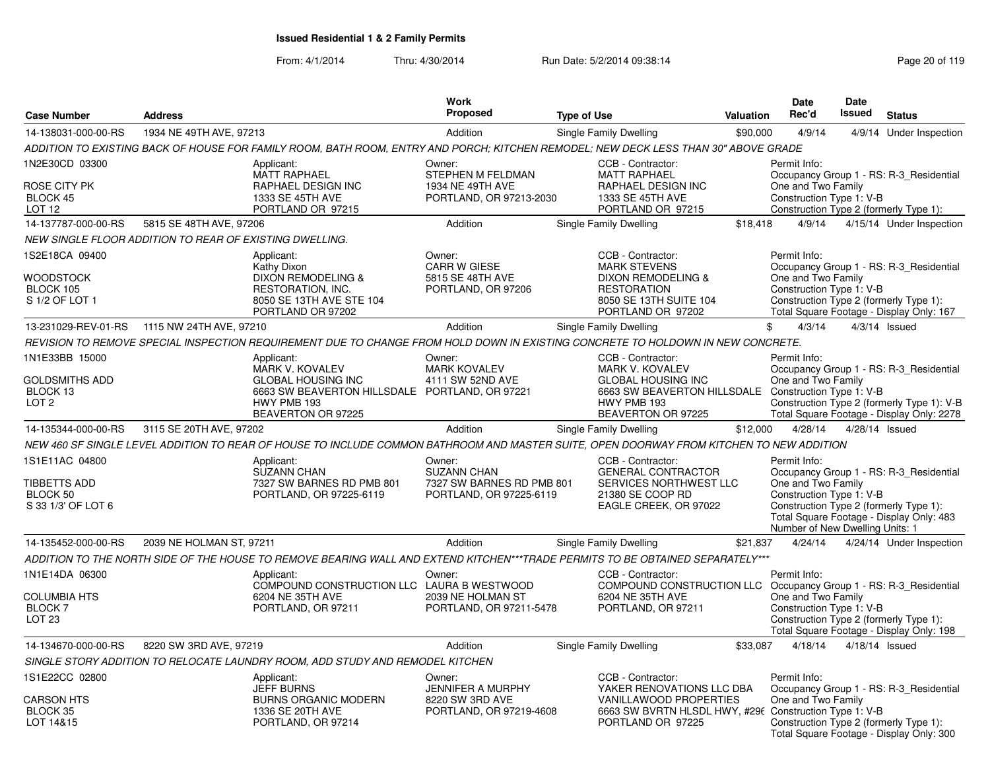|                                                                          |                                                         |                                                                                                                                            | <b>Work</b><br>Proposed                                                              |                        |                                                                                                                                                                |                  | <b>Date</b><br>Rec'd                                                                              | <b>Date</b><br><b>Issued</b> |                                                                                                                                    |
|--------------------------------------------------------------------------|---------------------------------------------------------|--------------------------------------------------------------------------------------------------------------------------------------------|--------------------------------------------------------------------------------------|------------------------|----------------------------------------------------------------------------------------------------------------------------------------------------------------|------------------|---------------------------------------------------------------------------------------------------|------------------------------|------------------------------------------------------------------------------------------------------------------------------------|
| <b>Case Number</b>                                                       | <b>Address</b>                                          |                                                                                                                                            |                                                                                      | <b>Type of Use</b>     |                                                                                                                                                                | <b>Valuation</b> |                                                                                                   |                              | <b>Status</b>                                                                                                                      |
| 14-138031-000-00-RS                                                      | 1934 NE 49TH AVE, 97213                                 |                                                                                                                                            | Addition                                                                             | Single Family Dwelling |                                                                                                                                                                | \$90,000         | 4/9/14                                                                                            |                              | 4/9/14 Under Inspection                                                                                                            |
|                                                                          |                                                         | ADDITION TO EXISTING BACK OF HOUSE FOR FAMILY ROOM, BATH ROOM, ENTRY AND PORCH; KITCHEN REMODEL; NEW DECK LESS THAN 30" ABOVE GRADE        |                                                                                      |                        |                                                                                                                                                                |                  |                                                                                                   |                              |                                                                                                                                    |
| 1N2E30CD 03300<br>ROSE CITY PK<br><b>BLOCK 45</b><br>LOT <sub>12</sub>   |                                                         | Applicant:<br><b>MATT RAPHAEL</b><br>RAPHAEL DESIGN INC<br>1333 SE 45TH AVE<br>PORTLAND OR 97215                                           | Owner:<br>STEPHEN M FELDMAN<br>1934 NE 49TH AVE<br>PORTLAND, OR 97213-2030           |                        | CCB - Contractor:<br><b>MATT RAPHAEL</b><br>RAPHAEL DESIGN INC<br>1333 SE 45TH AVE<br>PORTLAND OR 97215                                                        |                  | Permit Info:<br>One and Two Family<br>Construction Type 1: V-B                                    |                              | Occupancy Group 1 - RS: R-3 Residential<br>Construction Type 2 (formerly Type 1):                                                  |
| 14-137787-000-00-RS                                                      | 5815 SE 48TH AVE, 97206                                 |                                                                                                                                            | Addition                                                                             | Single Family Dwelling |                                                                                                                                                                | \$18,418         | 4/9/14                                                                                            |                              | 4/15/14 Under Inspection                                                                                                           |
|                                                                          | NEW SINGLE FLOOR ADDITION TO REAR OF EXISTING DWELLING. |                                                                                                                                            |                                                                                      |                        |                                                                                                                                                                |                  |                                                                                                   |                              |                                                                                                                                    |
| 1S2E18CA 09400<br><b>WOODSTOCK</b><br>BLOCK 105<br>S 1/2 OF LOT 1        |                                                         | Applicant:<br>Kathy Dixon<br><b>DIXON REMODELING &amp;</b><br>RESTORATION, INC.<br>8050 SE 13TH AVE STE 104<br>PORTLAND OR 97202           | Owner:<br><b>CARR W GIESE</b><br>5815 SE 48TH AVE<br>PORTLAND, OR 97206              |                        | CCB - Contractor:<br><b>MARK STEVENS</b><br>DIXON REMODELING &<br><b>RESTORATION</b><br>8050 SE 13TH SUITE 104<br>PORTLAND OR 97202                            |                  | Permit Info:<br>One and Two Family<br>Construction Type 1: V-B                                    |                              | Occupancy Group 1 - RS: R-3_Residential<br>Construction Type 2 (formerly Type 1):<br>Total Square Footage - Display Only: 167      |
| 13-231029-REV-01-RS                                                      | 1115 NW 24TH AVE, 97210                                 |                                                                                                                                            | Addition                                                                             | Single Family Dwelling |                                                                                                                                                                | \$               | 4/3/14                                                                                            |                              | $4/3/14$ Issued                                                                                                                    |
|                                                                          |                                                         | REVISION TO REMOVE SPECIAL INSPECTION REQUIREMENT DUE TO CHANGE FROM HOLD DOWN IN EXISTING CONCRETE TO HOLDOWN IN NEW CONCRETE.            |                                                                                      |                        |                                                                                                                                                                |                  |                                                                                                   |                              |                                                                                                                                    |
| 1N1E33BB 15000                                                           |                                                         | Applicant:                                                                                                                                 | Owner:                                                                               |                        | CCB - Contractor:                                                                                                                                              |                  | Permit Info:                                                                                      |                              |                                                                                                                                    |
| <b>GOLDSMITHS ADD</b><br>BLOCK 13<br>LOT <sub>2</sub>                    |                                                         | <b>MARK V. KOVALEV</b><br><b>GLOBAL HOUSING INC</b><br>6663 SW BEAVERTON HILLSDALE PORTLAND, OR 97221<br>HWY PMB 193<br>BEAVERTON OR 97225 | <b>MARK KOVALEV</b><br>4111 SW 52ND AVE                                              |                        | <b>MARK V. KOVALEV</b><br><b>GLOBAL HOUSING INC</b><br>6663 SW BEAVERTON HILLSDALE Construction Type 1: V-B<br>HWY PMB 193<br>BEAVERTON OR 97225               |                  | One and Two Family                                                                                |                              | Occupancy Group 1 - RS: R-3 Residential<br>Construction Type 2 (formerly Type 1): V-B<br>Total Square Footage - Display Only: 2278 |
| 14-135344-000-00-RS                                                      | 3115 SE 20TH AVE, 97202                                 |                                                                                                                                            | Addition                                                                             | Single Family Dwelling |                                                                                                                                                                | \$12,000         | 4/28/14                                                                                           |                              | 4/28/14 Issued                                                                                                                     |
|                                                                          |                                                         | NEW 460 SF SINGLE LEVEL ADDITION TO REAR OF HOUSE TO INCLUDE COMMON BATHROOM AND MASTER SUITE. OPEN DOORWAY FROM KITCHEN TO NEW ADDITION   |                                                                                      |                        |                                                                                                                                                                |                  |                                                                                                   |                              |                                                                                                                                    |
| 1S1E11AC 04800<br><b>TIBBETTS ADD</b><br>BLOCK 50<br>S 33 1/3' OF LOT 6  |                                                         | Applicant:<br><b>SUZANN CHAN</b><br>7327 SW BARNES RD PMB 801<br>PORTLAND, OR 97225-6119                                                   | Owner:<br><b>SUZANN CHAN</b><br>7327 SW BARNES RD PMB 801<br>PORTLAND, OR 97225-6119 |                        | CCB - Contractor:<br><b>GENERAL CONTRACTOR</b><br>SERVICES NORTHWEST LLC<br>21380 SE COOP RD<br>EAGLE CREEK, OR 97022                                          |                  | Permit Info:<br>One and Two Family<br>Construction Type 1: V-B<br>Number of New Dwelling Units: 1 |                              | Occupancy Group 1 - RS: R-3_Residential<br>Construction Type 2 (formerly Type 1):<br>Total Square Footage - Display Only: 483      |
| 14-135452-000-00-RS                                                      | 2039 NE HOLMAN ST, 97211                                |                                                                                                                                            | Addition                                                                             | Single Family Dwelling |                                                                                                                                                                | \$21,837         | 4/24/14                                                                                           |                              | 4/24/14 Under Inspection                                                                                                           |
|                                                                          |                                                         | ADDITION TO THE NORTH SIDE OF THE HOUSE TO REMOVE BEARING WALL AND EXTEND KITCHEN***TRADE PERMITS TO BE OBTAINED SEPARATELY***             |                                                                                      |                        |                                                                                                                                                                |                  |                                                                                                   |                              |                                                                                                                                    |
| 1N1E14DA 06300<br><b>COLUMBIA HTS</b><br><b>BLOCK 7</b><br><b>LOT 23</b> |                                                         | Applicant:<br>COMPOUND CONSTRUCTION LLC LAURA B WESTWOOD<br>6204 NE 35TH AVE<br>PORTLAND, OR 97211                                         | Owner:<br>2039 NE HOLMAN ST<br>PORTLAND, OR 97211-5478                               |                        | CCB - Contractor:<br>COMPOUND CONSTRUCTION LLC Occupancy Group 1 - RS: R-3_Residential<br>6204 NE 35TH AVE<br>PORTLAND, OR 97211                               |                  | Permit Info:<br>One and Two Family<br>Construction Type 1: V-B                                    |                              | Construction Type 2 (formerly Type 1):<br>Total Square Footage - Display Only: 198                                                 |
| 14-134670-000-00-RS                                                      | 8220 SW 3RD AVE, 97219                                  |                                                                                                                                            | Addition                                                                             | Single Family Dwelling |                                                                                                                                                                | \$33,087         | 4/18/14                                                                                           |                              | 4/18/14 Issued                                                                                                                     |
|                                                                          |                                                         | SINGLE STORY ADDITION TO RELOCATE LAUNDRY ROOM, ADD STUDY AND REMODEL KITCHEN                                                              |                                                                                      |                        |                                                                                                                                                                |                  |                                                                                                   |                              |                                                                                                                                    |
| 1S1E22CC 02800<br><b>CARSON HTS</b><br>BLOCK 35<br>LOT 14&15             |                                                         | Applicant:<br><b>JEFF BURNS</b><br><b>BURNS ORGANIC MODERN</b><br>1336 SE 20TH AVE<br>PORTLAND, OR 97214                                   | Owner:<br>JENNIFER A MURPHY<br>8220 SW 3RD AVE<br>PORTLAND, OR 97219-4608            |                        | CCB - Contractor:<br>YAKER RENOVATIONS LLC DBA<br><b>VANILLAWOOD PROPERTIES</b><br>6663 SW BVRTN HLSDL HWY, #296 Construction Type 1: V-B<br>PORTLAND OR 97225 |                  | Permit Info:<br>One and Two Family                                                                |                              | Occupancy Group 1 - RS: R-3_Residential<br>Construction Type 2 (formerly Type 1):                                                  |
|                                                                          |                                                         |                                                                                                                                            |                                                                                      |                        |                                                                                                                                                                |                  |                                                                                                   |                              | Total Square Footage - Display Only: 300                                                                                           |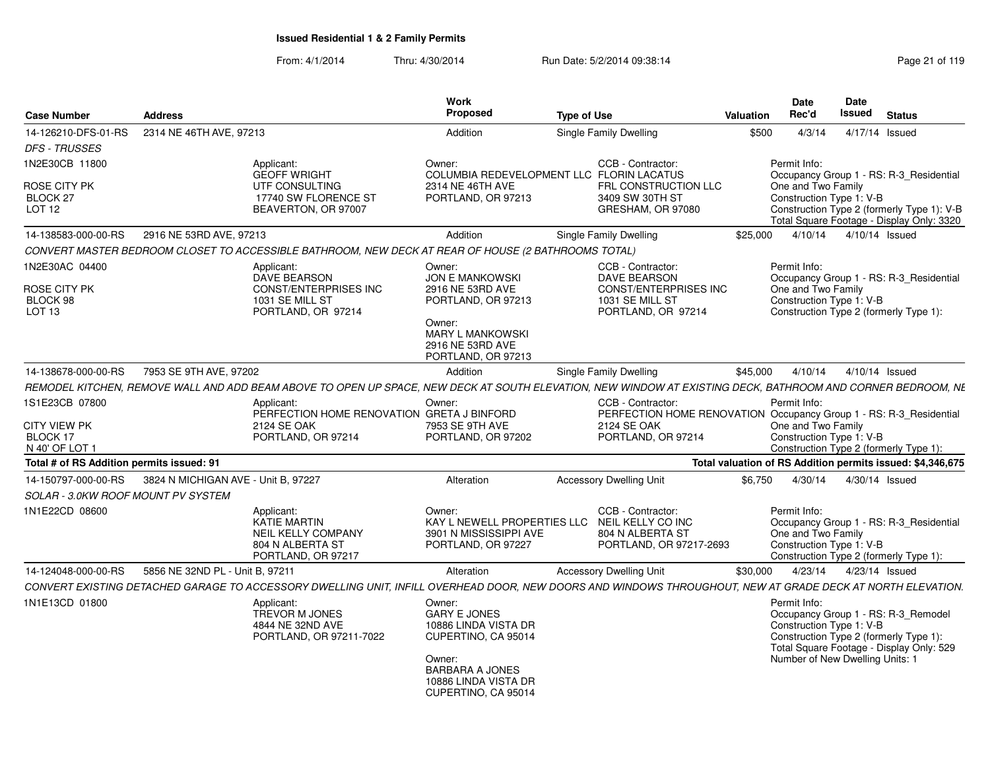| <b>Case Number</b>                                | <b>Address</b>                      |                                                                                                     | Work<br>Proposed                                                                                                 | <b>Type of Use</b>                                                                                                                                          | Valuation | Date<br>Rec'd                      | <b>Date</b><br>Issued                                       | <b>Status</b>                                                                                                             |
|---------------------------------------------------|-------------------------------------|-----------------------------------------------------------------------------------------------------|------------------------------------------------------------------------------------------------------------------|-------------------------------------------------------------------------------------------------------------------------------------------------------------|-----------|------------------------------------|-------------------------------------------------------------|---------------------------------------------------------------------------------------------------------------------------|
| 14-126210-DFS-01-RS<br><b>DFS - TRUSSES</b>       | 2314 NE 46TH AVE, 97213             |                                                                                                     | Addition                                                                                                         | <b>Single Family Dwelling</b>                                                                                                                               | \$500     | 4/3/14                             |                                                             | 4/17/14 Issued                                                                                                            |
| 1N2E30CB 11800                                    |                                     | Applicant:<br><b>GEOFF WRIGHT</b>                                                                   | Owner:                                                                                                           | CCB - Contractor:<br>COLUMBIA REDEVELOPMENT LLC FLORIN LACATUS                                                                                              |           | Permit Info:                       |                                                             | Occupancy Group 1 - RS: R-3_Residential                                                                                   |
| <b>ROSE CITY PK</b><br>BLOCK 27<br>LOT 12         |                                     | UTF CONSULTING<br>17740 SW FLORENCE ST<br>BEAVERTON, OR 97007                                       | 2314 NE 46TH AVE<br>PORTLAND, OR 97213                                                                           | FRL CONSTRUCTION LLC<br>3409 SW 30TH ST<br>GRESHAM, OR 97080                                                                                                |           | One and Two Family                 | Construction Type 1: V-B                                    | Construction Type 2 (formerly Type 1): V-B<br>Total Square Footage - Display Only: 3320                                   |
| 14-138583-000-00-RS                               | 2916 NE 53RD AVE, 97213             |                                                                                                     | Addition                                                                                                         | Single Family Dwelling                                                                                                                                      | \$25,000  |                                    | 4/10/14  4/10/14  Issued                                    |                                                                                                                           |
|                                                   |                                     | CONVERT MASTER BEDROOM CLOSET TO ACCESSIBLE BATHROOM, NEW DECK AT REAR OF HOUSE (2 BATHROOMS TOTAL) |                                                                                                                  |                                                                                                                                                             |           |                                    |                                                             |                                                                                                                           |
| 1N2E30AC 04400<br><b>ROSE CITY PK</b>             |                                     | Applicant:<br>DAVE BEARSON<br><b>CONST/ENTERPRISES INC</b>                                          | Owner:<br><b>JON E MANKOWSKI</b><br>2916 NE 53RD AVE                                                             | CCB - Contractor:<br><b>DAVE BEARSON</b><br>CONST/ENTERPRISES INC                                                                                           |           | Permit Info:<br>One and Two Family |                                                             | Occupancy Group 1 - RS: R-3 Residential                                                                                   |
| BLOCK 98<br>LOT 13                                |                                     | 1031 SE MILL ST<br>PORTLAND, OR 97214                                                               | PORTLAND, OR 97213                                                                                               | 1031 SE MILL ST<br>PORTLAND, OR 97214                                                                                                                       |           |                                    | Construction Type 1: V-B                                    | Construction Type 2 (formerly Type 1):                                                                                    |
|                                                   |                                     |                                                                                                     | Owner:<br><b>MARY L MANKOWSKI</b><br>2916 NE 53RD AVE<br>PORTLAND, OR 97213                                      |                                                                                                                                                             |           |                                    |                                                             |                                                                                                                           |
| 14-138678-000-00-RS                               | 7953 SE 9TH AVE, 97202              |                                                                                                     | Addition                                                                                                         | Single Family Dwelling                                                                                                                                      | \$45,000  | 4/10/14                            |                                                             | 4/10/14 Issued                                                                                                            |
|                                                   |                                     |                                                                                                     |                                                                                                                  | REMODEL KITCHEN, REMOVE WALL AND ADD BEAM ABOVE TO OPEN UP SPACE, NEW DECK AT SOUTH ELEVATION, NEW WINDOW AT EXISTING DECK, BATHROOM AND CORNER BEDROOM, NE |           |                                    |                                                             |                                                                                                                           |
| 1S1E23CB 07800                                    |                                     | Applicant:<br>PERFECTION HOME RENOVATION GRETA J BINFORD                                            | Owner:                                                                                                           | CCB - Contractor:<br>PERFECTION HOME RENOVATION Occupancy Group 1 - RS: R-3_Residential                                                                     |           | Permit Info:                       |                                                             |                                                                                                                           |
| <b>CITY VIEW PK</b><br>BLOCK 17<br>N 40' OF LOT 1 |                                     | 2124 SE OAK<br>PORTLAND, OR 97214                                                                   | 7953 SE 9TH AVE<br>PORTLAND, OR 97202                                                                            | 2124 SE OAK<br>PORTLAND, OR 97214                                                                                                                           |           | One and Two Family                 | Construction Type 1: V-B                                    | Construction Type 2 (formerly Type 1):                                                                                    |
| Total # of RS Addition permits issued: 91         |                                     |                                                                                                     |                                                                                                                  |                                                                                                                                                             |           |                                    |                                                             | Total valuation of RS Addition permits issued: \$4,346,675                                                                |
| 14-150797-000-00-RS                               | 3824 N MICHIGAN AVE - Unit B. 97227 |                                                                                                     | Alteration                                                                                                       | <b>Accessory Dwelling Unit</b>                                                                                                                              | \$6.750   | 4/30/14                            |                                                             | 4/30/14 Issued                                                                                                            |
| <b>SOLAR - 3.0KW ROOF MOUNT PV SYSTEM</b>         |                                     |                                                                                                     |                                                                                                                  |                                                                                                                                                             |           |                                    |                                                             |                                                                                                                           |
| 1N1E22CD 08600                                    |                                     | Applicant:<br>KATIE MARTIN<br><b>NEIL KELLY COMPANY</b><br>804 N ALBERTA ST<br>PORTLAND, OR 97217   | Owner:<br>3901 N MISSISSIPPI AVE<br>PORTLAND, OR 97227                                                           | CCB - Contractor:<br>KAY L NEWELL PROPERTIES LLC NEIL KELLY CO INC<br>804 N ALBERTA ST<br>PORTLAND, OR 97217-2693                                           |           | Permit Info:<br>One and Two Family | Construction Type 1: V-B                                    | Occupancy Group 1 - RS: R-3_Residential<br>Construction Type 2 (formerly Type 1):                                         |
| 14-124048-000-00-RS                               | 5856 NE 32ND PL - Unit B, 97211     |                                                                                                     | Alteration                                                                                                       | <b>Accessory Dwelling Unit</b>                                                                                                                              | \$30,000  | 4/23/14                            |                                                             | 4/23/14 Issued                                                                                                            |
|                                                   |                                     |                                                                                                     |                                                                                                                  | CONVERT EXISTING DETACHED GARAGE TO ACCESSORY DWELLING UNIT, INFILL OVERHEAD DOOR, NEW DOORS AND WINDOWS THROUGHOUT, NEW AT GRADE DECK AT NORTH ELEVATION.  |           |                                    |                                                             |                                                                                                                           |
| 1N1E13CD 01800                                    |                                     | Applicant:<br><b>TREVOR M JONES</b><br>4844 NE 32ND AVE<br>PORTLAND, OR 97211-7022                  | Owner:<br><b>GARY E JONES</b><br>10886 LINDA VISTA DR<br>CUPERTINO, CA 95014<br>Owner:<br><b>BARBARA A JONES</b> |                                                                                                                                                             |           | Permit Info:                       | Construction Type 1: V-B<br>Number of New Dwelling Units: 1 | Occupancy Group 1 - RS: R-3_Remodel<br>Construction Type 2 (formerly Type 1):<br>Total Square Footage - Display Only: 529 |
|                                                   |                                     |                                                                                                     | 10886 LINDA VISTA DR<br>CUPERTINO, CA 95014                                                                      |                                                                                                                                                             |           |                                    |                                                             |                                                                                                                           |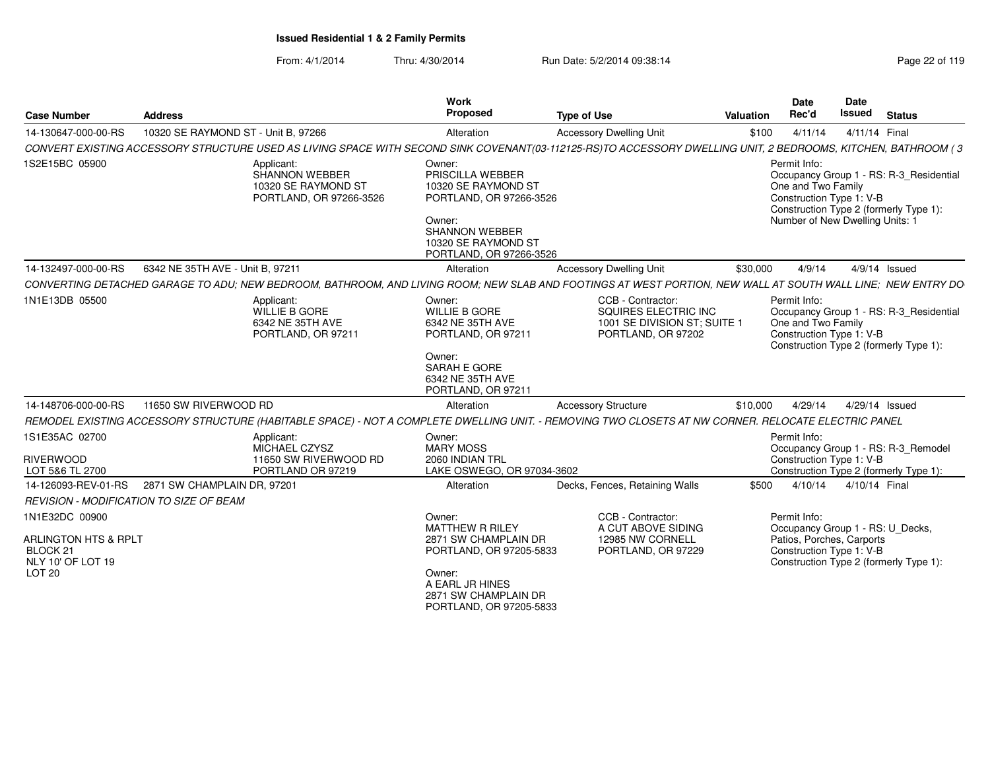| <b>Case Number</b>                                                                                      | <b>Address</b>                                                                                                                                                | Work<br>Proposed                                                                                                                                                    | <b>Type of Use</b>                                                                              | <b>Valuation</b> | Date<br>Rec'd                                                                                             | <b>Date</b><br><b>Issued</b> | <b>Status</b>                                                                     |
|---------------------------------------------------------------------------------------------------------|---------------------------------------------------------------------------------------------------------------------------------------------------------------|---------------------------------------------------------------------------------------------------------------------------------------------------------------------|-------------------------------------------------------------------------------------------------|------------------|-----------------------------------------------------------------------------------------------------------|------------------------------|-----------------------------------------------------------------------------------|
| 14-130647-000-00-RS                                                                                     | 10320 SE RAYMOND ST - Unit B, 97266                                                                                                                           | Alteration                                                                                                                                                          | <b>Accessory Dwelling Unit</b>                                                                  | \$100            | 4/11/14                                                                                                   | 4/11/14 Final                |                                                                                   |
|                                                                                                         | CONVERT EXISTING ACCESSORY STRUCTURE USED AS LIVING SPACE WITH SECOND SINK COVENANT(03-112125-RS)TO ACCESSORY DWELLING UNIT, 2 BEDROOMS, KITCHEN, BATHROOM (3 |                                                                                                                                                                     |                                                                                                 |                  |                                                                                                           |                              |                                                                                   |
| 1S2E15BC 05900                                                                                          | Applicant:<br><b>SHANNON WEBBER</b><br>10320 SE RAYMOND ST<br>PORTLAND, OR 97266-3526                                                                         | Owner:<br>PRISCILLA WEBBER<br>10320 SE RAYMOND ST<br>PORTLAND, OR 97266-3526<br>Owner:<br><b>SHANNON WEBBER</b><br>10320 SE RAYMOND ST<br>PORTLAND, OR 97266-3526   |                                                                                                 |                  | Permit Info:<br>One and Two Family<br>Construction Type 1: V-B<br>Number of New Dwelling Units: 1         |                              | Occupancy Group 1 - RS: R-3_Residential<br>Construction Type 2 (formerly Type 1): |
| 14-132497-000-00-RS                                                                                     | 6342 NE 35TH AVE - Unit B, 97211                                                                                                                              | Alteration                                                                                                                                                          | <b>Accessory Dwelling Unit</b>                                                                  | \$30,000         | 4/9/14                                                                                                    |                              | $4/9/14$ Issued                                                                   |
|                                                                                                         | CONVERTING DETACHED GARAGE TO ADU; NEW BEDROOM, BATHROOM, AND LIVING ROOM; NEW SLAB AND FOOTINGS AT WEST PORTION, NEW WALL AT SOUTH WALL LINE; NEW ENTRY DO   |                                                                                                                                                                     |                                                                                                 |                  |                                                                                                           |                              |                                                                                   |
| 1N1E13DB 05500                                                                                          | Applicant:<br>WILLIE B GORE<br>6342 NE 35TH AVE<br>PORTLAND, OR 97211                                                                                         | Owner:<br><b>WILLIE B GORE</b><br>6342 NE 35TH AVE<br>PORTLAND, OR 97211<br>Owner:<br>SARAH E GORE<br>6342 NE 35TH AVE<br>PORTLAND, OR 97211                        | CCB - Contractor:<br>SQUIRES ELECTRIC INC<br>1001 SE DIVISION ST; SUITE 1<br>PORTLAND, OR 97202 |                  | Permit Info:<br>One and Two Family<br>Construction Type 1: V-B                                            |                              | Occupancy Group 1 - RS: R-3_Residential<br>Construction Type 2 (formerly Type 1): |
| 14-148706-000-00-RS                                                                                     | 11650 SW RIVERWOOD RD                                                                                                                                         | Alteration                                                                                                                                                          | <b>Accessory Structure</b>                                                                      | \$10,000         | 4/29/14                                                                                                   |                              | 4/29/14 Issued                                                                    |
|                                                                                                         | REMODEL EXISTING ACCESSORY STRUCTURE (HABITABLE SPACE) - NOT A COMPLETE DWELLING UNIT. - REMOVING TWO CLOSETS AT NW CORNER. RELOCATE ELECTRIC PANEL           |                                                                                                                                                                     |                                                                                                 |                  |                                                                                                           |                              |                                                                                   |
| 1S1E35AC 02700<br><b>RIVERWOOD</b><br>LOT 5&6 TL 2700                                                   | Applicant:<br>MICHAEL CZYSZ<br>11650 SW RIVERWOOD RD<br>PORTLAND OR 97219                                                                                     | Owner:<br><b>MARY MOSS</b><br>2060 INDIAN TRL<br>LAKE OSWEGO, OR 97034-3602                                                                                         |                                                                                                 |                  | Permit Info:<br>Construction Type 1: V-B                                                                  |                              | Occupancy Group 1 - RS: R-3_Remodel<br>Construction Type 2 (formerly Type 1):     |
| 14-126093-REV-01-RS                                                                                     | 2871 SW CHAMPLAIN DR, 97201                                                                                                                                   | Alteration                                                                                                                                                          | Decks, Fences, Retaining Walls                                                                  | \$500            | 4/10/14                                                                                                   | 4/10/14 Final                |                                                                                   |
| REVISION - MODIFICATION TO SIZE OF BEAM                                                                 |                                                                                                                                                               |                                                                                                                                                                     |                                                                                                 |                  |                                                                                                           |                              |                                                                                   |
| 1N1E32DC 00900<br>ARLINGTON HTS & RPLT<br>BLOCK <sub>21</sub><br>NLY 10' OF LOT 19<br>LOT <sub>20</sub> |                                                                                                                                                               | Owner:<br><b>MATTHEW R RILEY</b><br>2871 SW CHAMPLAIN DR<br>PORTLAND, OR 97205-5833<br>Owner:<br>A EARL JR HINES<br>2871 SW CHAMPLAIN DR<br>PORTLAND, OR 97205-5833 | CCB - Contractor:<br>A CUT ABOVE SIDING<br>12985 NW CORNELL<br>PORTLAND, OR 97229               |                  | Permit Info:<br>Occupancy Group 1 - RS: U_Decks,<br>Patios, Porches, Carports<br>Construction Type 1: V-B |                              | Construction Type 2 (formerly Type 1):                                            |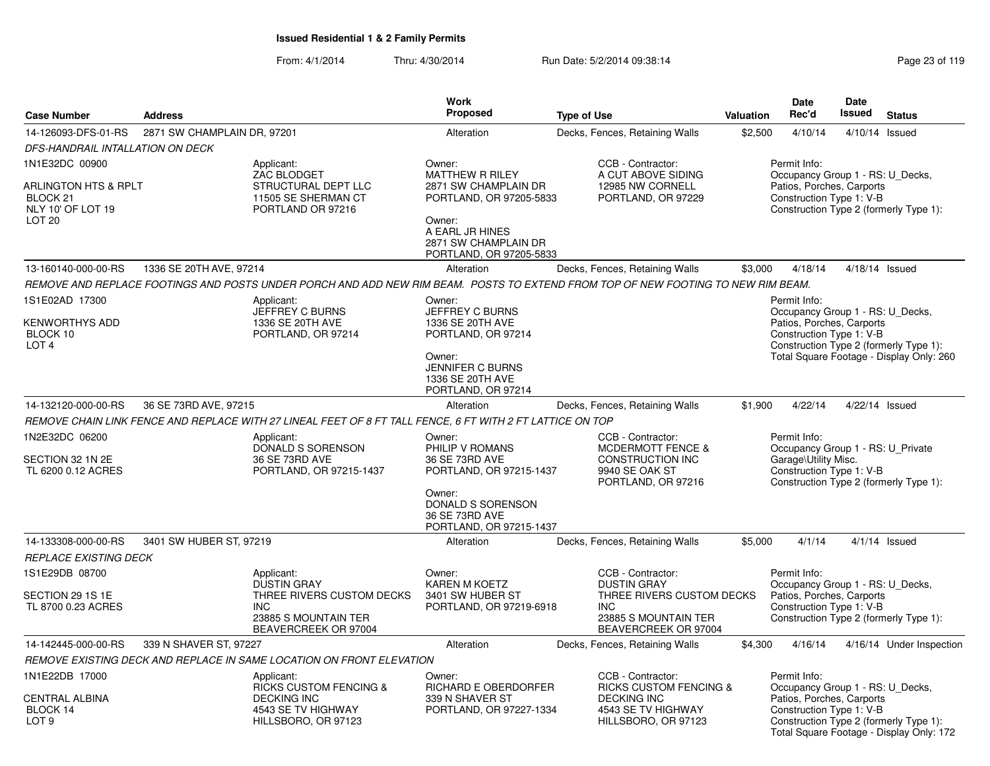|                                                                                              |                             |                                                                                                                                  | Work                                                                                                                                               |                                                                                                    |           | <b>Date</b>                                                                                                                                         | Date   |                                                                                    |
|----------------------------------------------------------------------------------------------|-----------------------------|----------------------------------------------------------------------------------------------------------------------------------|----------------------------------------------------------------------------------------------------------------------------------------------------|----------------------------------------------------------------------------------------------------|-----------|-----------------------------------------------------------------------------------------------------------------------------------------------------|--------|------------------------------------------------------------------------------------|
| <b>Case Number</b>                                                                           | <b>Address</b>              |                                                                                                                                  | <b>Proposed</b>                                                                                                                                    | <b>Type of Use</b>                                                                                 | Valuation | Rec'd                                                                                                                                               | Issued | <b>Status</b>                                                                      |
| 14-126093-DFS-01-RS                                                                          | 2871 SW CHAMPLAIN DR, 97201 |                                                                                                                                  | Alteration                                                                                                                                         | Decks, Fences, Retaining Walls                                                                     | \$2,500   | 4/10/14                                                                                                                                             |        | 4/10/14 Issued                                                                     |
| DFS-HANDRAIL INTALLATION ON DECK                                                             |                             |                                                                                                                                  |                                                                                                                                                    |                                                                                                    |           |                                                                                                                                                     |        |                                                                                    |
| 1N1E32DC 00900<br>ARLINGTON HTS & RPLT<br>BLOCK 21<br>NLY 10' OF LOT 19<br>LOT <sub>20</sub> |                             | Applicant:<br>ZAC BLODGET<br>STRUCTURAL DEPT LLC<br>11505 SE SHERMAN CT<br>PORTLAND OR 97216                                     | Owner:<br>MATTHEW R RILEY<br>2871 SW CHAMPLAIN DR<br>PORTLAND, OR 97205-5833<br>Owner:<br>A EARL JR HINES<br>2871 SW CHAMPLAIN DR                  | CCB - Contractor:<br>A CUT ABOVE SIDING<br>12985 NW CORNELL<br>PORTLAND, OR 97229                  |           | Permit Info:<br>Occupancy Group 1 - RS: U_Decks,<br>Patios, Porches, Carports<br>Construction Type 1: V-B                                           |        | Construction Type 2 (formerly Type 1):                                             |
|                                                                                              |                             |                                                                                                                                  | PORTLAND, OR 97205-5833                                                                                                                            |                                                                                                    |           |                                                                                                                                                     |        |                                                                                    |
| 13-160140-000-00-RS                                                                          | 1336 SE 20TH AVE, 97214     |                                                                                                                                  | Alteration                                                                                                                                         | Decks, Fences, Retaining Walls                                                                     | \$3,000   | 4/18/14                                                                                                                                             |        | 4/18/14 Issued                                                                     |
|                                                                                              |                             | REMOVE AND REPLACE FOOTINGS AND POSTS UNDER PORCH AND ADD NEW RIM BEAM. POSTS TO EXTEND FROM TOP OF NEW FOOTING TO NEW RIM BEAM. |                                                                                                                                                    |                                                                                                    |           |                                                                                                                                                     |        |                                                                                    |
| 1S1E02AD 17300<br>KENWORTHYS ADD<br>BLOCK 10<br>LOT <sub>4</sub>                             |                             | Applicant:<br>JEFFREY C BURNS<br>1336 SE 20TH AVE<br>PORTLAND, OR 97214                                                          | Owner:<br>JEFFREY C BURNS<br>1336 SE 20TH AVE<br>PORTLAND, OR 97214<br>Owner:<br><b>JENNIFER C BURNS</b><br>1336 SE 20TH AVE<br>PORTLAND, OR 97214 |                                                                                                    |           | Permit Info:<br>Occupancy Group 1 - RS: U Decks,<br>Patios, Porches, Carports<br>Construction Type 1: V-B                                           |        | Construction Type 2 (formerly Type 1):<br>Total Square Footage - Display Only: 260 |
| 14-132120-000-00-RS                                                                          | 36 SE 73RD AVE, 97215       |                                                                                                                                  | Alteration                                                                                                                                         | Decks, Fences, Retaining Walls                                                                     | \$1,900   | 4/22/14                                                                                                                                             |        | 4/22/14 Issued                                                                     |
|                                                                                              |                             | REMOVE CHAIN LINK FENCE AND REPLACE WITH 27 LINEAL FEET OF 8 FT TALL FENCE, 6 FT WITH 2 FT LATTICE ON TOP                        |                                                                                                                                                    |                                                                                                    |           |                                                                                                                                                     |        |                                                                                    |
| 1N2E32DC 06200<br>SECTION 32 1N 2E<br>TL 6200 0.12 ACRES                                     |                             | Applicant:<br>DONALD S SORENSON<br>36 SE 73RD AVE<br>PORTLAND, OR 97215-1437                                                     | Owner:<br>PHILIP V ROMANS<br>36 SE 73RD AVE<br>PORTLAND, OR 97215-1437<br>Owner:                                                                   | CCB - Contractor:<br>MCDERMOTT FENCE &<br>CONSTRUCTION INC<br>9940 SE OAK ST<br>PORTLAND, OR 97216 |           | Permit Info:<br>Occupancy Group 1 - RS: U_Private<br>Garage\Utility Misc.<br>Construction Type 1: V-B                                               |        | Construction Type 2 (formerly Type 1):                                             |
|                                                                                              |                             |                                                                                                                                  | DONALD S SORENSON<br>36 SE 73RD AVE<br>PORTLAND, OR 97215-1437                                                                                     |                                                                                                    |           |                                                                                                                                                     |        |                                                                                    |
| 14-133308-000-00-RS                                                                          | 3401 SW HUBER ST, 97219     |                                                                                                                                  | Alteration                                                                                                                                         | Decks, Fences, Retaining Walls                                                                     | \$5,000   | 4/1/14                                                                                                                                              |        | $4/1/14$ Issued                                                                    |
| <b>REPLACE EXISTING DECK</b>                                                                 |                             |                                                                                                                                  |                                                                                                                                                    |                                                                                                    |           |                                                                                                                                                     |        |                                                                                    |
| 1S1E29DB 08700                                                                               |                             | Applicant:<br><b>DUSTIN GRAY</b>                                                                                                 | Owner:<br><b>KAREN M KOETZ</b>                                                                                                                     | CCB - Contractor:<br><b>DUSTIN GRAY</b>                                                            |           | Permit Info:<br>Occupancy Group 1 - RS: U_Decks,                                                                                                    |        |                                                                                    |
| SECTION 29 1S 1E<br>TL 8700 0.23 ACRES                                                       |                             | THREE RIVERS CUSTOM DECKS<br><b>INC</b><br>23885 S MOUNTAIN TER<br>BEAVERCREEK OR 97004                                          | 3401 SW HUBER ST<br>PORTLAND, OR 97219-6918                                                                                                        | THREE RIVERS CUSTOM DECKS<br><b>INC</b><br>23885 S MOUNTAIN TER<br>BEAVERCREEK OR 97004            |           | Patios, Porches, Carports<br>Construction Type 1: V-B                                                                                               |        | Construction Type 2 (formerly Type 1):                                             |
| 14-142445-000-00-RS                                                                          | 339 N SHAVER ST, 97227      |                                                                                                                                  | Alteration                                                                                                                                         | Decks, Fences, Retaining Walls                                                                     | \$4,300   | 4/16/14                                                                                                                                             |        | 4/16/14 Under Inspection                                                           |
|                                                                                              |                             | REMOVE EXISTING DECK AND REPLACE IN SAME LOCATION ON FRONT ELEVATION                                                             |                                                                                                                                                    |                                                                                                    |           |                                                                                                                                                     |        |                                                                                    |
| 1N1E22DB 17000<br>CENTRAL ALBINA<br>BLOCK 14                                                 |                             | Applicant:<br><b>RICKS CUSTOM FENCING &amp;</b><br><b>DECKING INC</b><br>4543 SE TV HIGHWAY                                      | Owner:<br>RICHARD E OBERDORFER<br>339 N SHAVER ST<br>PORTLAND, OR 97227-1334                                                                       | CCB - Contractor:<br><b>RICKS CUSTOM FENCING &amp;</b><br><b>DECKING INC</b><br>4543 SE TV HIGHWAY |           | Permit Info:<br>Occupancy Group 1 - RS: U_Decks,<br>Patios, Porches, Carports<br>Construction Type 1: V-B<br>Construction Type 2 (formerly Type 1): |        |                                                                                    |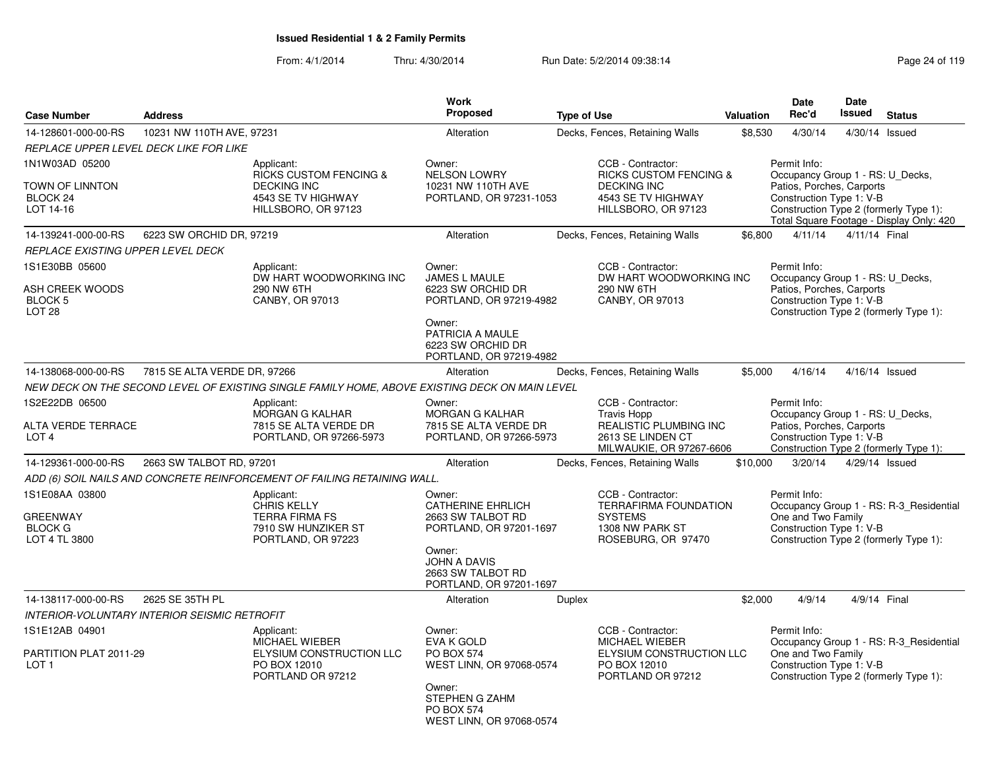|                                                                             |                              |                                                                                                                    | <b>Work</b>                                                                                                                                                         |                    |                                                                                                                           |           | <b>Date</b>                                                                                               | Date          |                                                                                    |
|-----------------------------------------------------------------------------|------------------------------|--------------------------------------------------------------------------------------------------------------------|---------------------------------------------------------------------------------------------------------------------------------------------------------------------|--------------------|---------------------------------------------------------------------------------------------------------------------------|-----------|-----------------------------------------------------------------------------------------------------------|---------------|------------------------------------------------------------------------------------|
| <b>Case Number</b>                                                          | <b>Address</b>               |                                                                                                                    | Proposed                                                                                                                                                            | <b>Type of Use</b> |                                                                                                                           | Valuation | Rec'd                                                                                                     | <b>Issued</b> | <b>Status</b>                                                                      |
| 14-128601-000-00-RS                                                         | 10231 NW 110TH AVE, 97231    |                                                                                                                    | Alteration                                                                                                                                                          |                    | Decks, Fences, Retaining Walls                                                                                            | \$8,530   | 4/30/14                                                                                                   |               | 4/30/14 Issued                                                                     |
| REPLACE UPPER LEVEL DECK LIKE FOR LIKE                                      |                              |                                                                                                                    |                                                                                                                                                                     |                    |                                                                                                                           |           |                                                                                                           |               |                                                                                    |
| 1N1W03AD 05200<br>TOWN OF LINNTON<br>BLOCK <sub>24</sub><br>LOT 14-16       |                              | Applicant:<br><b>RICKS CUSTOM FENCING &amp;</b><br><b>DECKING INC</b><br>4543 SE TV HIGHWAY<br>HILLSBORO, OR 97123 | Owner:<br><b>NELSON LOWRY</b><br>10231 NW 110TH AVE<br>PORTLAND, OR 97231-1053                                                                                      |                    | CCB - Contractor:<br><b>RICKS CUSTOM FENCING &amp;</b><br><b>DECKING INC</b><br>4543 SE TV HIGHWAY<br>HILLSBORO, OR 97123 |           | Permit Info:<br>Occupancy Group 1 - RS: U_Decks,<br>Patios, Porches, Carports<br>Construction Type 1: V-B |               | Construction Type 2 (formerly Type 1):<br>Total Square Footage - Display Only: 420 |
| 14-139241-000-00-RS                                                         | 6223 SW ORCHID DR, 97219     |                                                                                                                    | Alteration                                                                                                                                                          |                    | Decks, Fences, Retaining Walls                                                                                            | \$6,800   | 4/11/14                                                                                                   | 4/11/14 Final |                                                                                    |
| REPLACE EXISTING UPPER LEVEL DECK                                           |                              |                                                                                                                    |                                                                                                                                                                     |                    |                                                                                                                           |           |                                                                                                           |               |                                                                                    |
| 1S1E30BB 05600<br><b>ASH CREEK WOODS</b><br><b>BLOCK 5</b><br><b>LOT 28</b> |                              | Applicant:<br>DW HART WOODWORKING INC<br>290 NW 6TH<br>CANBY, OR 97013                                             | Owner:<br>JAMES L MAULE<br>6223 SW ORCHID DR<br>PORTLAND, OR 97219-4982<br>Owner:<br>PATRICIA A MAULE<br>6223 SW ORCHID DR<br>PORTLAND, OR 97219-4982               |                    | CCB - Contractor:<br>DW HART WOODWORKING INC<br>290 NW 6TH<br>CANBY, OR 97013                                             |           | Permit Info:<br>Occupancy Group 1 - RS: U Decks,<br>Patios, Porches, Carports<br>Construction Type 1: V-B |               | Construction Type 2 (formerly Type 1):                                             |
| 14-138068-000-00-RS                                                         | 7815 SE ALTA VERDE DR, 97266 |                                                                                                                    | Alteration                                                                                                                                                          |                    | Decks, Fences, Retaining Walls                                                                                            | \$5,000   | 4/16/14                                                                                                   |               | 4/16/14 Issued                                                                     |
|                                                                             |                              | NEW DECK ON THE SECOND LEVEL OF EXISTING SINGLE FAMILY HOME, ABOVE EXISTING DECK ON MAIN LEVEL                     |                                                                                                                                                                     |                    |                                                                                                                           |           |                                                                                                           |               |                                                                                    |
| 1S2E22DB 06500<br><b>ALTA VERDE TERRACE</b><br>LOT 4                        |                              | Applicant:<br><b>MORGAN G KALHAR</b><br>7815 SE ALTA VERDE DR<br>PORTLAND, OR 97266-5973                           | Owner:<br><b>MORGAN G KALHAR</b><br>7815 SE ALTA VERDE DR<br>PORTLAND, OR 97266-5973                                                                                |                    | CCB - Contractor:<br><b>Travis Hopp</b><br>REALISTIC PLUMBING INC<br>2613 SE LINDEN CT<br>MILWAUKIE, OR 97267-6606        |           | Permit Info:<br>Occupancy Group 1 - RS: U Decks,<br>Patios, Porches, Carports<br>Construction Type 1: V-B |               | Construction Type 2 (formerly Type 1):                                             |
| 14-129361-000-00-RS                                                         | 2663 SW TALBOT RD, 97201     |                                                                                                                    | Alteration                                                                                                                                                          |                    | Decks, Fences, Retaining Walls                                                                                            | \$10,000  | 3/20/14                                                                                                   |               | 4/29/14 Issued                                                                     |
|                                                                             |                              | ADD (6) SOIL NAILS AND CONCRETE REINFORCEMENT OF FAILING RETAINING WALL.                                           |                                                                                                                                                                     |                    |                                                                                                                           |           |                                                                                                           |               |                                                                                    |
| 1S1E08AA 03800<br><b>GREENWAY</b><br><b>BLOCK G</b><br>LOT 4 TL 3800        |                              | Applicant:<br><b>CHRIS KELLY</b><br><b>TERRA FIRMA FS</b><br>7910 SW HUNZIKER ST<br>PORTLAND, OR 97223             | Owner:<br><b>CATHERINE EHRLICH</b><br>2663 SW TALBOT RD<br>PORTLAND, OR 97201-1697<br>Owner:<br><b>JOHN A DAVIS</b><br>2663 SW TALBOT RD<br>PORTLAND, OR 97201-1697 |                    | CCB - Contractor:<br><b>TERRAFIRMA FOUNDATION</b><br><b>SYSTEMS</b><br>1308 NW PARK ST<br>ROSEBURG, OR 97470              |           | Permit Info:<br>One and Two Family<br>Construction Type 1: V-B                                            |               | Occupancy Group 1 - RS: R-3_Residential<br>Construction Type 2 (formerly Type 1):  |
| 14-138117-000-00-RS                                                         | 2625 SE 35TH PL              |                                                                                                                    | Alteration                                                                                                                                                          | <b>Duplex</b>      |                                                                                                                           | \$2,000   | 4/9/14                                                                                                    |               | 4/9/14 Final                                                                       |
| <b>INTERIOR-VOLUNTARY INTERIOR SEISMIC RETROFIT</b>                         |                              |                                                                                                                    |                                                                                                                                                                     |                    |                                                                                                                           |           |                                                                                                           |               |                                                                                    |
| 1S1E12AB 04901<br>PARTITION PLAT 2011-29<br>LOT <sub>1</sub>                |                              | Applicant:<br>MICHAEL WIEBER<br>ELYSIUM CONSTRUCTION LLC<br>PO BOX 12010<br>PORTLAND OR 97212                      | Owner:<br><b>EVA K GOLD</b><br><b>PO BOX 574</b><br>WEST LINN, OR 97068-0574<br>Owner:<br><b>STEPHEN G ZAHM</b><br><b>PO BOX 574</b><br>WEST LINN, OR 97068-0574    |                    | CCB - Contractor:<br>MICHAEL WIEBER<br>ELYSIUM CONSTRUCTION LLC<br>PO BOX 12010<br>PORTLAND OR 97212                      |           | Permit Info:<br>One and Two Family<br>Construction Type 1: V-B                                            |               | Occupancy Group 1 - RS: R-3_Residential<br>Construction Type 2 (formerly Type 1):  |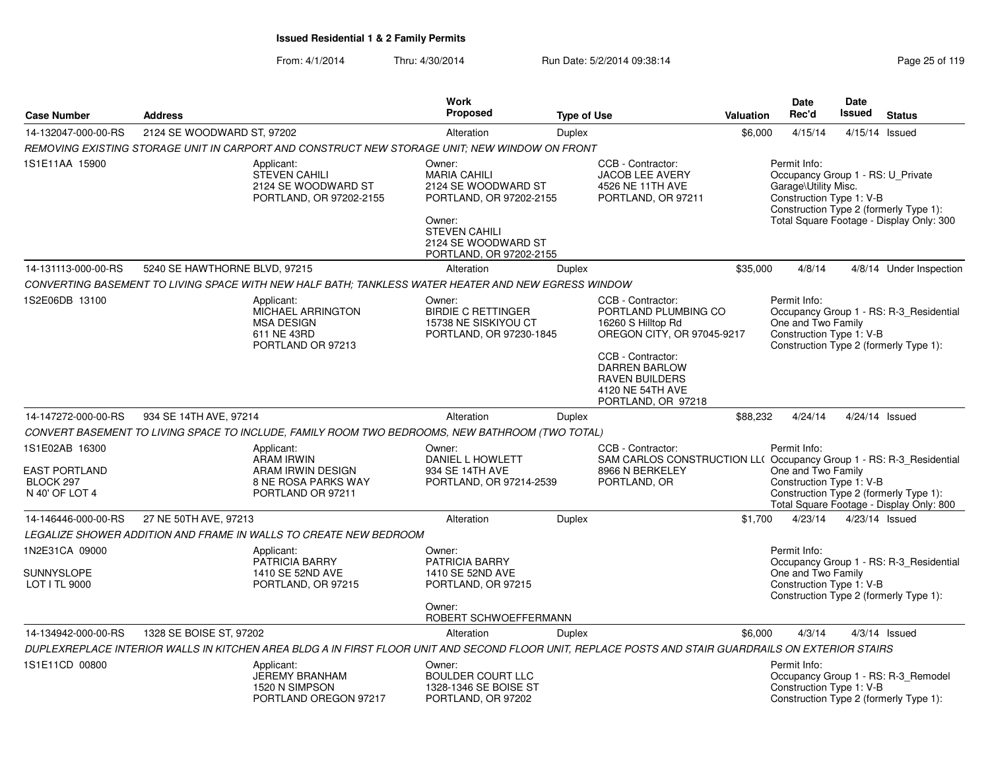|                                                                       |                               |                                                                                                                                                      | Work                                                                                                                                                                |                    |                                                                                                                                                                                         |                  | Date                                                                                                                                                                                        | Date   |                                                                                    |
|-----------------------------------------------------------------------|-------------------------------|------------------------------------------------------------------------------------------------------------------------------------------------------|---------------------------------------------------------------------------------------------------------------------------------------------------------------------|--------------------|-----------------------------------------------------------------------------------------------------------------------------------------------------------------------------------------|------------------|---------------------------------------------------------------------------------------------------------------------------------------------------------------------------------------------|--------|------------------------------------------------------------------------------------|
| <b>Case Number</b>                                                    | <b>Address</b>                |                                                                                                                                                      | Proposed                                                                                                                                                            | <b>Type of Use</b> |                                                                                                                                                                                         | <b>Valuation</b> | Rec'd                                                                                                                                                                                       | Issued | <b>Status</b>                                                                      |
| 14-132047-000-00-RS                                                   | 2124 SE WOODWARD ST, 97202    |                                                                                                                                                      | Alteration                                                                                                                                                          | <b>Duplex</b>      |                                                                                                                                                                                         | \$6,000          | 4/15/14                                                                                                                                                                                     |        | 4/15/14 Issued                                                                     |
|                                                                       |                               | REMOVING EXISTING STORAGE UNIT IN CARPORT AND CONSTRUCT NEW STORAGE UNIT: NEW WINDOW ON FRONT                                                        |                                                                                                                                                                     |                    |                                                                                                                                                                                         |                  |                                                                                                                                                                                             |        |                                                                                    |
| 1S1E11AA 15900                                                        |                               | Applicant:<br><b>STEVEN CAHILI</b><br>2124 SE WOODWARD ST<br>PORTLAND, OR 97202-2155                                                                 | Owner:<br><b>MARIA CAHILI</b><br>2124 SE WOODWARD ST<br>PORTLAND, OR 97202-2155<br>Owner:<br><b>STEVEN CAHILI</b><br>2124 SE WOODWARD ST<br>PORTLAND, OR 97202-2155 |                    | CCB - Contractor:<br>JACOB LEE AVERY<br>4526 NE 11TH AVE<br>PORTLAND, OR 97211                                                                                                          |                  | Permit Info:<br>Occupancy Group 1 - RS: U_Private<br>Garage\Utility Misc.<br>Construction Type 1: V-B<br>Construction Type 2 (formerly Type 1):<br>Total Square Footage - Display Only: 300 |        |                                                                                    |
| 14-131113-000-00-RS                                                   | 5240 SE HAWTHORNE BLVD, 97215 |                                                                                                                                                      | Alteration                                                                                                                                                          | Duplex             |                                                                                                                                                                                         | \$35,000         | 4/8/14                                                                                                                                                                                      |        | 4/8/14 Under Inspection                                                            |
|                                                                       |                               | CONVERTING BASEMENT TO LIVING SPACE WITH NEW HALF BATH: TANKLESS WATER HEATER AND NEW EGRESS WINDOW                                                  |                                                                                                                                                                     |                    |                                                                                                                                                                                         |                  |                                                                                                                                                                                             |        |                                                                                    |
| 1S2E06DB 13100                                                        |                               | Applicant:<br>MICHAEL ARRINGTON<br><b>MSA DESIGN</b><br>611 NE 43RD<br>PORTLAND OR 97213                                                             | Owner:<br><b>BIRDIE C RETTINGER</b><br>15738 NE SISKIYOU CT<br>PORTLAND, OR 97230-1845                                                                              |                    | CCB - Contractor:<br>PORTLAND PLUMBING CO<br>16260 S Hilltop Rd<br>OREGON CITY, OR 97045-9217<br>CCB - Contractor:<br><b>DARREN BARLOW</b><br><b>RAVEN BUILDERS</b><br>4120 NE 54TH AVE |                  | Permit Info:<br>One and Two Family<br>Construction Type 1: V-B                                                                                                                              |        | Occupancy Group 1 - RS: R-3_Residential<br>Construction Type 2 (formerly Type 1):  |
|                                                                       |                               |                                                                                                                                                      |                                                                                                                                                                     |                    | PORTLAND, OR 97218                                                                                                                                                                      |                  |                                                                                                                                                                                             |        |                                                                                    |
| 14-147272-000-00-RS                                                   | 934 SE 14TH AVE, 97214        |                                                                                                                                                      | Alteration                                                                                                                                                          | <b>Duplex</b>      |                                                                                                                                                                                         | \$88,232         | 4/24/14                                                                                                                                                                                     |        | 4/24/14 Issued                                                                     |
|                                                                       |                               | CONVERT BASEMENT TO LIVING SPACE TO INCLUDE, FAMILY ROOM TWO BEDROOMS, NEW BATHROOM (TWO TOTAL)                                                      |                                                                                                                                                                     |                    |                                                                                                                                                                                         |                  |                                                                                                                                                                                             |        |                                                                                    |
| 1S1E02AB 16300<br><b>EAST PORTLAND</b><br>BLOCK 297<br>N 40' OF LOT 4 |                               | Applicant:<br><b>ARAM IRWIN</b><br>ARAM IRWIN DESIGN<br>8 NE ROSA PARKS WAY<br>PORTLAND OR 97211                                                     | Owner:<br>DANIEL L HOWLETT<br>934 SE 14TH AVE<br>PORTLAND, OR 97214-2539                                                                                            |                    | CCB - Contractor:<br>SAM CARLOS CONSTRUCTION LL( Occupancy Group 1 - RS: R-3_Residential<br>8966 N BERKELEY<br>PORTLAND, OR                                                             |                  | Permit Info:<br>One and Two Family<br>Construction Type 1: V-B                                                                                                                              |        | Construction Type 2 (formerly Type 1):<br>Total Square Footage - Display Only: 800 |
| 14-146446-000-00-RS                                                   | 27 NE 50TH AVE, 97213         |                                                                                                                                                      | Alteration                                                                                                                                                          | Duplex             |                                                                                                                                                                                         | \$1,700          | 4/23/14                                                                                                                                                                                     |        | 4/23/14 Issued                                                                     |
|                                                                       |                               | LEGALIZE SHOWER ADDITION AND FRAME IN WALLS TO CREATE NEW BEDROOM                                                                                    |                                                                                                                                                                     |                    |                                                                                                                                                                                         |                  |                                                                                                                                                                                             |        |                                                                                    |
| 1N2E31CA 09000                                                        |                               | Applicant:<br>PATRICIA BARRY                                                                                                                         | Owner:<br><b>PATRICIA BARRY</b>                                                                                                                                     |                    |                                                                                                                                                                                         |                  | Permit Info:                                                                                                                                                                                |        | Occupancy Group 1 - RS: R-3 Residential                                            |
| <b>SUNNYSLOPE</b><br>LOT I TL 9000                                    |                               | 1410 SE 52ND AVE<br>PORTLAND, OR 97215                                                                                                               | 1410 SE 52ND AVE<br>PORTLAND, OR 97215<br>Owner:                                                                                                                    |                    |                                                                                                                                                                                         |                  | One and Two Family<br>Construction Type 1: V-B                                                                                                                                              |        | Construction Type 2 (formerly Type 1):                                             |
| 14-134942-000-00-RS                                                   | 1328 SE BOISE ST, 97202       |                                                                                                                                                      | ROBERT SCHWOEFFERMANN<br>Alteration                                                                                                                                 | <b>Duplex</b>      |                                                                                                                                                                                         | \$6,000          | 4/3/14                                                                                                                                                                                      |        | $4/3/14$ Issued                                                                    |
|                                                                       |                               | DUPLEXREPLACE INTERIOR WALLS IN KITCHEN AREA BLDG A IN FIRST FLOOR UNIT AND SECOND FLOOR UNIT, REPLACE POSTS AND STAIR GUARDRAILS ON EXTERIOR STAIRS |                                                                                                                                                                     |                    |                                                                                                                                                                                         |                  |                                                                                                                                                                                             |        |                                                                                    |
| 1S1E11CD 00800                                                        |                               | Applicant:<br><b>JEREMY BRANHAM</b><br>1520 N SIMPSON<br>PORTLAND OREGON 97217                                                                       | Owner:<br><b>BOULDER COURT LLC</b><br>1328-1346 SE BOISE ST<br>PORTLAND, OR 97202                                                                                   |                    |                                                                                                                                                                                         |                  | Permit Info:<br>Construction Type 1: V-B                                                                                                                                                    |        | Occupancy Group 1 - RS: R-3_Remodel<br>Construction Type 2 (formerly Type 1):      |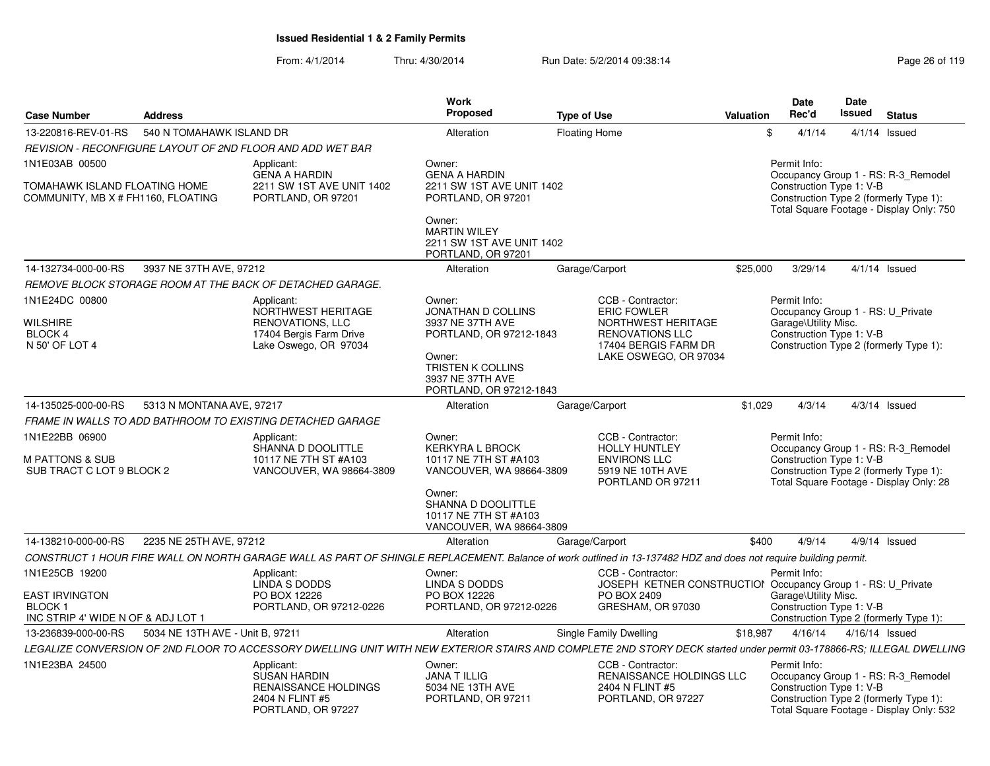| <b>Case Number</b>                                                                    | <b>Address</b>                   |                                                                                                                                                                      | <b>Work</b><br>Proposed                                                                                                                                          | <b>Type of Use</b>                                                                                                                       | Valuation | Date<br>Rec'd                                                    | <b>Date</b><br><b>Issued</b> | <b>Status</b>                                                                                                             |
|---------------------------------------------------------------------------------------|----------------------------------|----------------------------------------------------------------------------------------------------------------------------------------------------------------------|------------------------------------------------------------------------------------------------------------------------------------------------------------------|------------------------------------------------------------------------------------------------------------------------------------------|-----------|------------------------------------------------------------------|------------------------------|---------------------------------------------------------------------------------------------------------------------------|
| 13-220816-REV-01-RS                                                                   | 540 N TOMAHAWK ISLAND DR         |                                                                                                                                                                      | Alteration                                                                                                                                                       | <b>Floating Home</b>                                                                                                                     | \$        | 4/1/14                                                           |                              | $4/1/14$ Issued                                                                                                           |
|                                                                                       |                                  | REVISION - RECONFIGURE LAYOUT OF 2ND FLOOR AND ADD WET BAR                                                                                                           |                                                                                                                                                                  |                                                                                                                                          |           |                                                                  |                              |                                                                                                                           |
| 1N1E03AB 00500<br>TOMAHAWK ISLAND FLOATING HOME<br>COMMUNITY, MB X # FH1160, FLOATING |                                  | Applicant:<br><b>GENA A HARDIN</b><br>2211 SW 1ST AVE UNIT 1402<br>PORTLAND, OR 97201                                                                                | Owner:<br><b>GENA A HARDIN</b><br>2211 SW 1ST AVE UNIT 1402<br>PORTLAND, OR 97201                                                                                |                                                                                                                                          |           | Permit Info:<br>Construction Type 1: V-B                         |                              | Occupancy Group 1 - RS: R-3_Remodel<br>Construction Type 2 (formerly Type 1):<br>Total Square Footage - Display Only: 750 |
|                                                                                       |                                  |                                                                                                                                                                      | Owner:<br><b>MARTIN WILEY</b><br>2211 SW 1ST AVE UNIT 1402<br>PORTLAND, OR 97201                                                                                 |                                                                                                                                          |           |                                                                  |                              |                                                                                                                           |
| 14-132734-000-00-RS                                                                   | 3937 NE 37TH AVE, 97212          |                                                                                                                                                                      | Alteration                                                                                                                                                       | Garage/Carport                                                                                                                           | \$25,000  | 3/29/14                                                          |                              | $4/1/14$ Issued                                                                                                           |
|                                                                                       |                                  | REMOVE BLOCK STORAGE ROOM AT THE BACK OF DETACHED GARAGE.                                                                                                            |                                                                                                                                                                  |                                                                                                                                          |           |                                                                  |                              |                                                                                                                           |
| 1N1E24DC 00800<br><b>WILSHIRE</b><br>BLOCK 4<br>N 50' OF LOT 4                        |                                  | Applicant:<br>NORTHWEST HERITAGE<br><b>RENOVATIONS, LLC</b><br>17404 Bergis Farm Drive<br>Lake Oswego, OR 97034                                                      | Owner:<br><b>JONATHAN D COLLINS</b><br>3937 NE 37TH AVE<br>PORTLAND, OR 97212-1843<br>Owner:<br>TRISTEN K COLLINS<br>3937 NE 37TH AVE<br>PORTLAND, OR 97212-1843 | CCB - Contractor:<br><b>ERIC FOWLER</b><br>NORTHWEST HERITAGE<br><b>RENOVATIONS LLC</b><br>17404 BERGIS FARM DR<br>LAKE OSWEGO, OR 97034 |           | Permit Info:<br>Garage\Utility Misc.<br>Construction Type 1: V-B |                              | Occupancy Group 1 - RS: U Private<br>Construction Type 2 (formerly Type 1):                                               |
| 14-135025-000-00-RS                                                                   | 5313 N MONTANA AVE, 97217        |                                                                                                                                                                      | Alteration                                                                                                                                                       | Garage/Carport                                                                                                                           | \$1.029   | 4/3/14                                                           |                              | $4/3/14$ Issued                                                                                                           |
|                                                                                       |                                  | FRAME IN WALLS TO ADD BATHROOM TO EXISTING DETACHED GARAGE                                                                                                           |                                                                                                                                                                  |                                                                                                                                          |           |                                                                  |                              |                                                                                                                           |
| 1N1E22BB 06900<br>M PATTONS & SUB<br>SUB TRACT C LOT 9 BLOCK 2                        |                                  | Applicant:<br>SHANNA D DOOLITTLE<br>10117 NE 7TH ST #A103<br>VANCOUVER, WA 98664-3809                                                                                | Owner:<br><b>KERKYRA L BROCK</b><br>10117 NE 7TH ST #A103<br>VANCOUVER, WA 98664-3809<br>Owner:                                                                  | CCB - Contractor:<br><b>HOLLY HUNTLEY</b><br><b>ENVIRONS LLC</b><br>5919 NE 10TH AVE<br>PORTLAND OR 97211                                |           | Permit Info:<br>Construction Type 1: V-B                         |                              | Occupancy Group 1 - RS: R-3_Remodel<br>Construction Type 2 (formerly Type 1):<br>Total Square Footage - Display Only: 28  |
|                                                                                       |                                  |                                                                                                                                                                      | SHANNA D DOOLITTLE<br>10117 NE 7TH ST #A103<br>VANCOUVER, WA 98664-3809                                                                                          |                                                                                                                                          |           |                                                                  |                              |                                                                                                                           |
| 14-138210-000-00-RS                                                                   | 2235 NE 25TH AVE, 97212          |                                                                                                                                                                      | Alteration                                                                                                                                                       | Garage/Carport                                                                                                                           | \$400     | 4/9/14                                                           |                              | $4/9/14$ Issued                                                                                                           |
|                                                                                       |                                  | CONSTRUCT 1 HOUR FIRE WALL ON NORTH GARAGE WALL AS PART OF SHINGLE REPLACEMENT. Balance of work outlined in 13-137482 HDZ and does not require building permit.      |                                                                                                                                                                  |                                                                                                                                          |           |                                                                  |                              |                                                                                                                           |
| 1N1E25CB 19200<br><b>EAST IRVINGTON</b><br><b>BLOCK1</b>                              |                                  | Applicant:<br>LINDA S DODDS<br>PO BOX 12226<br>PORTLAND, OR 97212-0226                                                                                               | Owner:<br>LINDA S DODDS<br>PO BOX 12226<br>PORTLAND, OR 97212-0226                                                                                               | CCB - Contractor:<br>JOSEPH KETNER CONSTRUCTION Occupancy Group 1 - RS: U Private<br>PO BOX 2409<br>GRESHAM, OR 97030                    |           | Permit Info:<br>Garage\Utility Misc.<br>Construction Type 1: V-B |                              |                                                                                                                           |
| INC STRIP 4' WIDE N OF & ADJ LOT 1                                                    |                                  |                                                                                                                                                                      |                                                                                                                                                                  |                                                                                                                                          |           |                                                                  |                              | Construction Type 2 (formerly Type 1):                                                                                    |
| 13-236839-000-00-RS                                                                   | 5034 NE 13TH AVE - Unit B, 97211 |                                                                                                                                                                      | Alteration                                                                                                                                                       | <b>Single Family Dwelling</b>                                                                                                            | \$18.987  | 4/16/14                                                          |                              | 4/16/14 Issued                                                                                                            |
|                                                                                       |                                  | LEGALIZE CONVERSION OF 2ND FLOOR TO ACCESSORY DWELLING UNIT WITH NEW EXTERIOR STAIRS AND COMPLETE 2ND STORY DECK started under permit 03-178866-RS; ILLEGAL DWELLING |                                                                                                                                                                  |                                                                                                                                          |           |                                                                  |                              |                                                                                                                           |
| 1N1E23BA 24500                                                                        |                                  | Applicant:<br><b>SUSAN HARDIN</b><br><b>RENAISSANCE HOLDINGS</b><br>2404 N FLINT #5<br>PORTLAND, OR 97227                                                            | Owner:<br><b>JANA T ILLIG</b><br>5034 NE 13TH AVE<br>PORTLAND, OR 97211                                                                                          | CCB - Contractor:<br><b>RENAISSANCE HOLDINGS LLC</b><br>2404 N FLINT #5<br>PORTLAND, OR 97227                                            |           | Permit Info:<br>Construction Type 1: V-B                         |                              | Occupancy Group 1 - RS: R-3_Remodel<br>Construction Type 2 (formerly Type 1):<br>Total Square Footage - Display Only: 532 |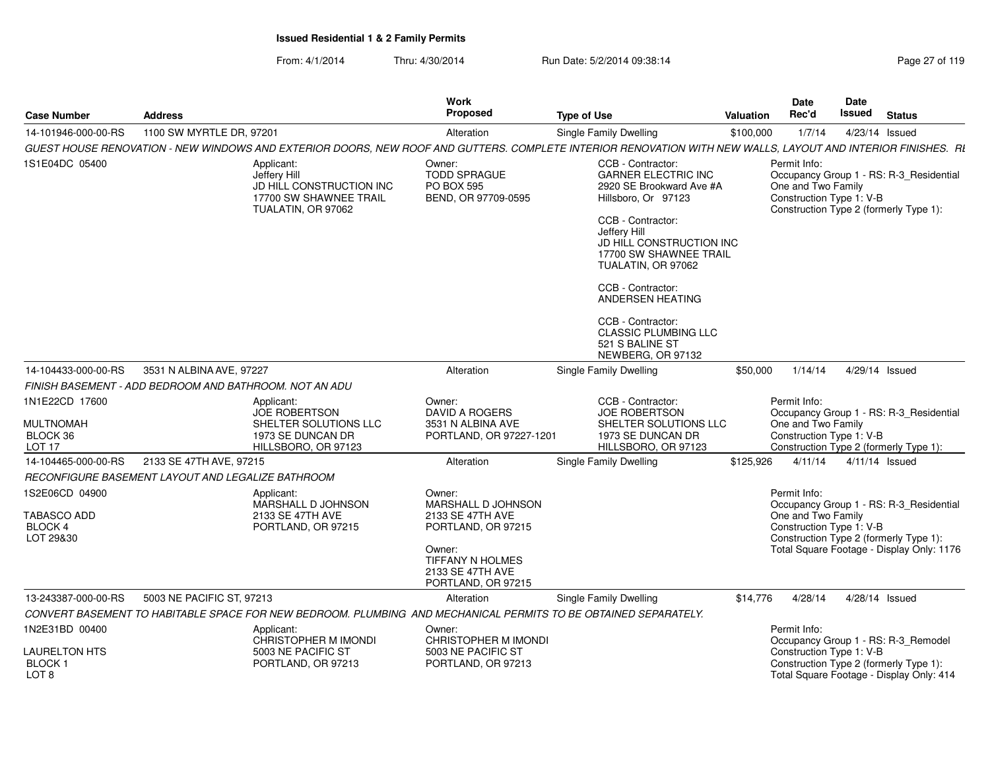| From: 4/1/2014 | Thru: 4/30/2014 | Run Date: 5/2/2014 09:38:14 | Page 27 of 119 |
|----------------|-----------------|-----------------------------|----------------|
|----------------|-----------------|-----------------------------|----------------|

| <b>Case Number</b>                                                  | <b>Address</b>                                                                                                                                               |                                                              | Work<br><b>Proposed</b>                                                                                                    | <b>Type of Use</b>                                                                                                                                                                                                                                                                                                                                       | <b>Valuation</b> | <b>Date</b><br>Rec'd                                                                                                                                                                             | <b>Date</b><br><b>Issued</b> | <b>Status</b>  |  |
|---------------------------------------------------------------------|--------------------------------------------------------------------------------------------------------------------------------------------------------------|--------------------------------------------------------------|----------------------------------------------------------------------------------------------------------------------------|----------------------------------------------------------------------------------------------------------------------------------------------------------------------------------------------------------------------------------------------------------------------------------------------------------------------------------------------------------|------------------|--------------------------------------------------------------------------------------------------------------------------------------------------------------------------------------------------|------------------------------|----------------|--|
| 14-101946-000-00-RS                                                 | 1100 SW MYRTLE DR, 97201                                                                                                                                     |                                                              | Alteration                                                                                                                 | Single Family Dwelling                                                                                                                                                                                                                                                                                                                                   | \$100,000        | 1/7/14                                                                                                                                                                                           |                              | 4/23/14 Issued |  |
|                                                                     | GUEST HOUSE RENOVATION - NEW WINDOWS AND EXTERIOR DOORS, NEW ROOF AND GUTTERS. COMPLETE INTERIOR RENOVATION WITH NEW WALLS, LAYOUT AND INTERIOR FINISHES. RI |                                                              |                                                                                                                            |                                                                                                                                                                                                                                                                                                                                                          |                  |                                                                                                                                                                                                  |                              |                |  |
| 1S1E04DC 05400                                                      | Applicant:<br>Jeffery Hill<br>TUALATIN, OR 97062                                                                                                             | Owner:<br>JD HILL CONSTRUCTION INC<br>17700 SW SHAWNEE TRAIL | <b>TODD SPRAGUE</b><br><b>PO BOX 595</b><br>BEND, OR 97709-0595                                                            | CCB - Contractor:<br><b>GARNER ELECTRIC INC</b><br>2920 SE Brookward Ave #A<br>Hillsboro, Or 97123<br>CCB - Contractor:<br>Jeffery Hill<br>JD HILL CONSTRUCTION INC<br>17700 SW SHAWNEE TRAIL<br>TUALATIN, OR 97062<br>CCB - Contractor:<br>ANDERSEN HEATING<br>CCB - Contractor:<br><b>CLASSIC PLUMBING LLC</b><br>521 S BALINE ST<br>NEWBERG, OR 97132 |                  | Permit Info:<br>Occupancy Group 1 - RS: R-3_Residential<br>One and Two Family<br>Construction Type 1: V-B<br>Construction Type 2 (formerly Type 1):                                              |                              |                |  |
| 14-104433-000-00-RS                                                 | 3531 N ALBINA AVE, 97227                                                                                                                                     |                                                              | Alteration                                                                                                                 | Single Family Dwelling                                                                                                                                                                                                                                                                                                                                   | \$50,000         | 1/14/14                                                                                                                                                                                          |                              | 4/29/14 Issued |  |
|                                                                     | FINISH BASEMENT - ADD BEDROOM AND BATHROOM. NOT AN ADU                                                                                                       |                                                              |                                                                                                                            |                                                                                                                                                                                                                                                                                                                                                          |                  |                                                                                                                                                                                                  |                              |                |  |
| 1N1E22CD 17600<br><b>MULTNOMAH</b><br>BLOCK 36<br>LOT <sub>17</sub> | Applicant:<br><b>JOE ROBERTSON</b><br>1973 SE DUNCAN DR<br>HILLSBORO, OR 97123                                                                               | Owner:<br>SHELTER SOLUTIONS LLC                              | DAVID A ROGERS<br>3531 N ALBINA AVE<br>PORTLAND, OR 97227-1201                                                             | CCB - Contractor:<br>JOE ROBERTSON<br>SHELTER SOLUTIONS LLC<br>1973 SE DUNCAN DR<br>HILLSBORO, OR 97123                                                                                                                                                                                                                                                  |                  | Permit Info:<br>Occupancy Group 1 - RS: R-3_Residential<br>One and Two Family<br>Construction Type 1: V-B<br>Construction Type 2 (formerly Type 1):                                              |                              |                |  |
| 14-104465-000-00-RS                                                 | 2133 SE 47TH AVE, 97215                                                                                                                                      |                                                              | Alteration                                                                                                                 | Single Family Dwelling                                                                                                                                                                                                                                                                                                                                   | \$125,926        | 4/11/14                                                                                                                                                                                          |                              | 4/11/14 Issued |  |
|                                                                     | <b>RECONFIGURE BASEMENT LAYOUT AND LEGALIZE BATHROOM</b>                                                                                                     |                                                              |                                                                                                                            |                                                                                                                                                                                                                                                                                                                                                          |                  |                                                                                                                                                                                                  |                              |                |  |
| 1S2E06CD 04900<br>TABASCO ADD<br><b>BLOCK 4</b><br>LOT 29&30        | Applicant:<br>2133 SE 47TH AVE<br>PORTLAND, OR 97215                                                                                                         | Owner:<br>MARSHALL D JOHNSON<br>Owner:                       | MARSHALL D JOHNSON<br>2133 SE 47TH AVE<br>PORTLAND, OR 97215<br>TIFFANY N HOLMES<br>2133 SE 47TH AVE<br>PORTLAND, OR 97215 |                                                                                                                                                                                                                                                                                                                                                          |                  | Permit Info:<br>Occupancy Group 1 - RS: R-3_Residential<br>One and Two Family<br>Construction Type 1: V-B<br>Construction Type 2 (formerly Type 1):<br>Total Square Footage - Display Only: 1176 |                              |                |  |
| 13-243387-000-00-RS                                                 | 5003 NE PACIFIC ST, 97213                                                                                                                                    |                                                              | Alteration                                                                                                                 | Single Family Dwelling                                                                                                                                                                                                                                                                                                                                   | \$14,776         | 4/28/14                                                                                                                                                                                          |                              | 4/28/14 Issued |  |
|                                                                     | CONVERT BASEMENT TO HABITABLE SPACE FOR NEW BEDROOM. PLUMBING AND MECHANICAL PERMITS TO BE OBTAINED SEPARATELY.                                              |                                                              |                                                                                                                            |                                                                                                                                                                                                                                                                                                                                                          |                  |                                                                                                                                                                                                  |                              |                |  |
| 1N2E31BD 00400<br><b>LAURELTON HTS</b><br>BLOCK <sub>1</sub>        | Applicant:<br>5003 NE PACIFIC ST<br>PORTLAND, OR 97213                                                                                                       | Owner:<br>CHRISTOPHER M IMONDI                               | <b>CHRISTOPHER M IMONDI</b><br>5003 NE PACIFIC ST<br>PORTLAND, OR 97213                                                    |                                                                                                                                                                                                                                                                                                                                                          |                  | Permit Info:<br>Occupancy Group 1 - RS: R-3_Remodel<br>Construction Type 1: V-B<br>Construction Type 2 (formerly Type 1):                                                                        |                              |                |  |
| LOT 8                                                               |                                                                                                                                                              |                                                              |                                                                                                                            |                                                                                                                                                                                                                                                                                                                                                          |                  | Total Square Footage - Display Only: 414                                                                                                                                                         |                              |                |  |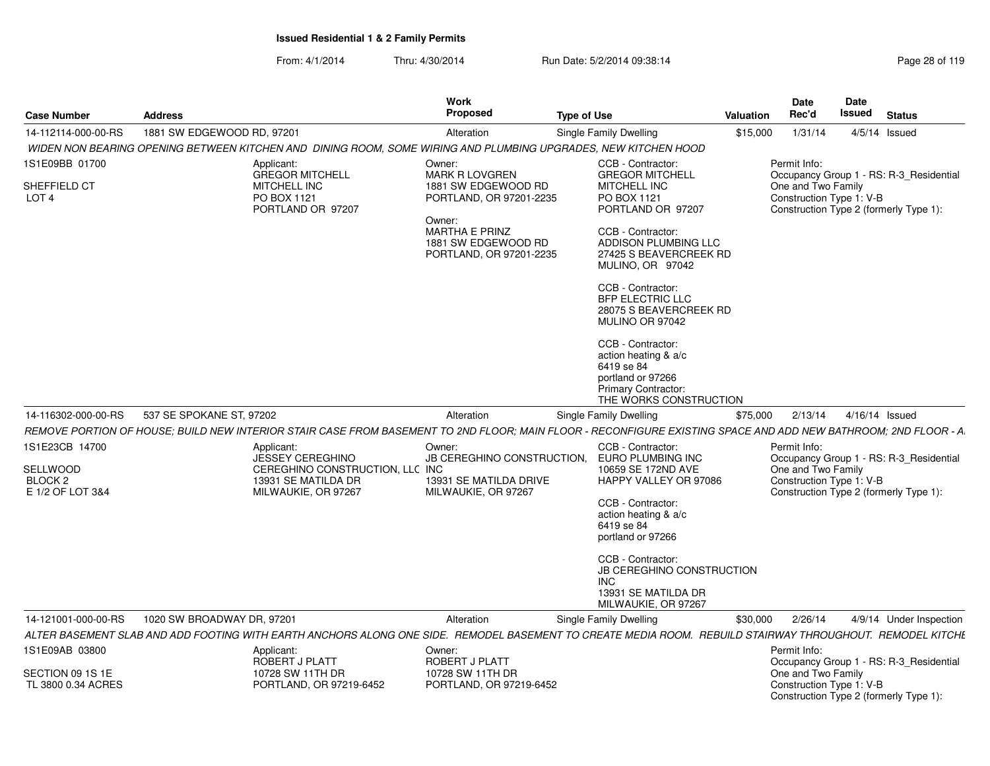| <b>Case Number</b>                               | <b>Address</b>                                                                                                                                                 | Work<br>Proposed                                                                                                                    | <b>Type of Use</b>                                                                                                                                                                                                                                                                                                                                                               | Valuation | <b>Date</b><br>Rec'd                                           | Date<br><b>Issued</b> | <b>Status</b>                           |
|--------------------------------------------------|----------------------------------------------------------------------------------------------------------------------------------------------------------------|-------------------------------------------------------------------------------------------------------------------------------------|----------------------------------------------------------------------------------------------------------------------------------------------------------------------------------------------------------------------------------------------------------------------------------------------------------------------------------------------------------------------------------|-----------|----------------------------------------------------------------|-----------------------|-----------------------------------------|
| 14-112114-000-00-RS                              | 1881 SW EDGEWOOD RD, 97201                                                                                                                                     | Alteration                                                                                                                          | <b>Single Family Dwelling</b>                                                                                                                                                                                                                                                                                                                                                    | \$15,000  | 1/31/14                                                        |                       | $4/5/14$ Issued                         |
|                                                  | WIDEN NON BEARING OPENING BETWEEN KITCHEN AND DINING ROOM, SOME WIRING AND PLUMBING UPGRADES, NEW KITCHEN HOOD                                                 |                                                                                                                                     |                                                                                                                                                                                                                                                                                                                                                                                  |           |                                                                |                       |                                         |
| 1S1E09BB 01700                                   | Applicant:<br><b>GREGOR MITCHELL</b>                                                                                                                           | Owner:<br><b>MARK R LOVGREN</b>                                                                                                     | CCB - Contractor:<br><b>GREGOR MITCHELL</b>                                                                                                                                                                                                                                                                                                                                      |           | Permit Info:                                                   |                       | Occupancy Group 1 - RS: R-3 Residential |
| SHEFFIELD CT<br>LOT <sub>4</sub>                 | MITCHELL INC<br>PO BOX 1121<br>PORTLAND OR 97207                                                                                                               | 1881 SW EDGEWOOD RD<br>PORTLAND, OR 97201-2235<br>Owner:<br><b>MARTHA E PRINZ</b><br>1881 SW EDGEWOOD RD<br>PORTLAND, OR 97201-2235 | MITCHELL INC<br>PO BOX 1121<br>PORTLAND OR 97207<br>CCB - Contractor:<br>ADDISON PLUMBING LLC<br>27425 S BEAVERCREEK RD<br>MULINO, OR 97042<br>CCB - Contractor:<br><b>BFP ELECTRIC LLC</b><br>28075 S BEAVERCREEK RD<br>MULINO OR 97042<br>CCB - Contractor:<br>action heating & a/c<br>6419 se 84<br>portland or 97266<br><b>Primary Contractor:</b><br>THE WORKS CONSTRUCTION |           | One and Two Family<br>Construction Type 1: V-B                 |                       | Construction Type 2 (formerly Type 1):  |
| 14-116302-000-00-RS                              | 537 SE SPOKANE ST, 97202                                                                                                                                       | Alteration                                                                                                                          | Single Family Dwelling                                                                                                                                                                                                                                                                                                                                                           | \$75,000  | 2/13/14                                                        |                       | 4/16/14 Issued                          |
|                                                  | REMOVE PORTION OF HOUSE; BUILD NEW INTERIOR STAIR CASE FROM BASEMENT TO 2ND FLOOR; MAIN FLOOR - RECONFIGURE EXISTING SPACE AND ADD NEW BATHROOM; 2ND FLOOR - A |                                                                                                                                     |                                                                                                                                                                                                                                                                                                                                                                                  |           |                                                                |                       |                                         |
| 1S1E23CB 14700<br>SELLWOOD<br>BLOCK <sub>2</sub> | Applicant:<br><b>JESSEY CEREGHINO</b><br>CEREGHINO CONSTRUCTION, LLC INC.<br>13931 SE MATILDA DR                                                               | Owner:<br>JB CEREGHINO CONSTRUCTION,<br>13931 SE MATILDA DRIVE                                                                      | CCB - Contractor:<br>EURO PLUMBING INC<br>10659 SE 172ND AVE<br>HAPPY VALLEY OR 97086                                                                                                                                                                                                                                                                                            |           | Permit Info:<br>One and Two Family<br>Construction Type 1: V-B |                       | Occupancy Group 1 - RS: R-3_Residential |
| E 1/2 OF LOT 3&4                                 | MILWAUKIE, OR 97267                                                                                                                                            | MILWAUKIE, OR 97267                                                                                                                 | CCB - Contractor:<br>action heating & a/c<br>6419 se 84<br>portland or 97266<br>CCB - Contractor:<br>JB CEREGHINO CONSTRUCTION<br>INC<br>13931 SE MATILDA DR<br>MILWAUKIE, OR 97267                                                                                                                                                                                              |           |                                                                |                       | Construction Type 2 (formerly Type 1):  |
| 14-121001-000-00-RS                              | 1020 SW BROADWAY DR, 97201                                                                                                                                     | Alteration                                                                                                                          | Single Family Dwelling                                                                                                                                                                                                                                                                                                                                                           | \$30,000  | 2/26/14                                                        |                       | 4/9/14 Under Inspection                 |
|                                                  | ALTER BASEMENT SLAB AND ADD FOOTING WITH EARTH ANCHORS ALONG ONE SIDE. REMODEL BASEMENT TO CREATE MEDIA ROOM. REBUILD STAIRWAY THROUGHOUT. REMODEL KITCHE      |                                                                                                                                     |                                                                                                                                                                                                                                                                                                                                                                                  |           |                                                                |                       |                                         |
| 1S1E09AB 03800                                   | Applicant:<br>ROBERT J PLATT                                                                                                                                   | Owner:<br>ROBERT J PLATT                                                                                                            |                                                                                                                                                                                                                                                                                                                                                                                  |           | Permit Info:                                                   |                       | Occupancy Group 1 - RS: R-3_Residential |
| SECTION 09 1S 1E<br>TL 3800 0.34 ACRES           | 10728 SW 11TH DR<br>PORTLAND, OR 97219-6452                                                                                                                    | 10728 SW 11TH DR<br>PORTLAND, OR 97219-6452                                                                                         |                                                                                                                                                                                                                                                                                                                                                                                  |           | One and Two Family<br>Construction Type 1: V-B                 |                       | Construction Type 2 (formerly Type 1):  |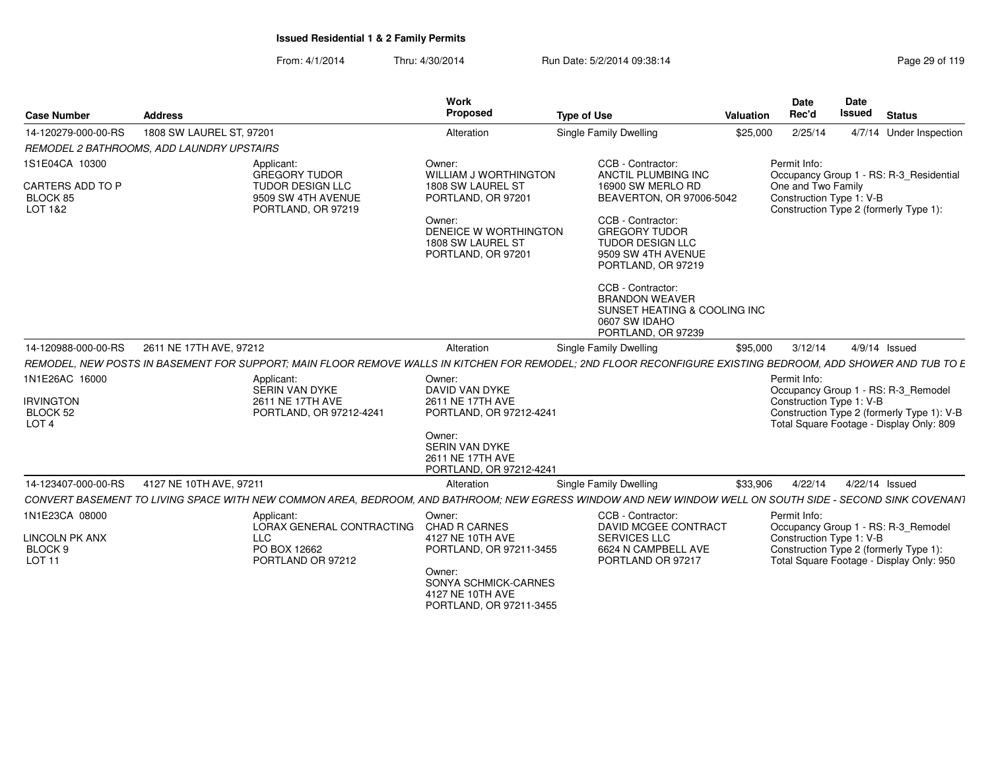| <b>Case Number</b>                                           | <b>Address</b>                                                                                                                                              | Work<br>Proposed                                                              | <b>Type of Use</b>                                                                                                | Valuation | <b>Date</b><br>Rec'd                           | <b>Date</b><br><b>Issued</b> | <b>Status</b>                                                                                                                 |
|--------------------------------------------------------------|-------------------------------------------------------------------------------------------------------------------------------------------------------------|-------------------------------------------------------------------------------|-------------------------------------------------------------------------------------------------------------------|-----------|------------------------------------------------|------------------------------|-------------------------------------------------------------------------------------------------------------------------------|
| 14-120279-000-00-RS                                          | 1808 SW LAUREL ST, 97201                                                                                                                                    | Alteration                                                                    | Single Family Dwelling                                                                                            | \$25,000  | 2/25/14                                        |                              | 4/7/14 Under Inspection                                                                                                       |
|                                                              | REMODEL 2 BATHROOMS, ADD LAUNDRY UPSTAIRS                                                                                                                   |                                                                               |                                                                                                                   |           |                                                |                              |                                                                                                                               |
| 1S1E04CA 10300                                               | Applicant:<br><b>GREGORY TUDOR</b>                                                                                                                          | Owner:<br>WILLIAM J WORTHINGTON                                               | CCB - Contractor:<br>ANCTIL PLUMBING INC                                                                          |           | Permit Info:                                   |                              |                                                                                                                               |
| CARTERS ADD TO P<br>BLOCK 85<br>LOT 1&2                      | TUDOR DESIGN LLC<br>9509 SW 4TH AVENUE<br>PORTLAND, OR 97219                                                                                                | 1808 SW LAUREL ST<br>PORTLAND, OR 97201                                       | 16900 SW MERLO RD<br>BEAVERTON, OR 97006-5042                                                                     |           | One and Two Family<br>Construction Type 1: V-B |                              | Occupancy Group 1 - RS: R-3_Residential<br>Construction Type 2 (formerly Type 1):                                             |
|                                                              |                                                                                                                                                             | Owner:<br>DENEICE W WORTHINGTON<br>1808 SW LAUREL ST<br>PORTLAND, OR 97201    | CCB - Contractor:<br><b>GREGORY TUDOR</b><br>TUDOR DESIGN LLC<br>9509 SW 4TH AVENUE<br>PORTLAND, OR 97219         |           |                                                |                              |                                                                                                                               |
|                                                              |                                                                                                                                                             |                                                                               | CCB - Contractor:<br><b>BRANDON WEAVER</b><br>SUNSET HEATING & COOLING INC<br>0607 SW IDAHO<br>PORTLAND, OR 97239 |           |                                                |                              |                                                                                                                               |
| 14-120988-000-00-RS                                          | 2611 NE 17TH AVE, 97212                                                                                                                                     | Alteration                                                                    | Single Family Dwelling                                                                                            | \$95,000  | 3/12/14                                        |                              | 4/9/14 Issued                                                                                                                 |
|                                                              | REMODEL, NEW POSTS IN BASEMENT FOR SUPPORT; MAIN FLOOR REMOVE WALLS IN KITCHEN FOR REMODEL; 2ND FLOOR RECONFIGURE EXISTING BEDROOM, ADD SHOWER AND TUB TO E |                                                                               |                                                                                                                   |           |                                                |                              |                                                                                                                               |
| 1N1E26AC 16000                                               | Applicant:                                                                                                                                                  | Owner:                                                                        |                                                                                                                   |           | Permit Info:                                   |                              |                                                                                                                               |
| <b>IRVINGTON</b><br>BLOCK 52<br>LOT <sub>4</sub>             | SERIN VAN DYKE<br>2611 NE 17TH AVE<br>PORTLAND, OR 97212-4241                                                                                               | DAVID VAN DYKE<br>2611 NE 17TH AVE<br>PORTLAND, OR 97212-4241                 |                                                                                                                   |           | Construction Type 1: V-B                       |                              | Occupancy Group 1 - RS: R-3_Remodel<br>Construction Type 2 (formerly Type 1): V-B<br>Total Square Footage - Display Only: 809 |
|                                                              |                                                                                                                                                             | Owner:<br>SERIN VAN DYKE<br>2611 NE 17TH AVE<br>PORTLAND, OR 97212-4241       |                                                                                                                   |           |                                                |                              |                                                                                                                               |
| 14-123407-000-00-RS                                          | 4127 NE 10TH AVE, 97211                                                                                                                                     | Alteration                                                                    | Single Family Dwelling                                                                                            | \$33,906  | 4/22/14                                        | 4/22/14 Issued               |                                                                                                                               |
|                                                              | CONVERT BASEMENT TO LIVING SPACE WITH NEW COMMON AREA. BEDROOM. AND BATHROOM: NEW EGRESS WINDOW AND NEW WINDOW WELL ON SOUTH SIDE - SECOND SINK COVENANT    |                                                                               |                                                                                                                   |           |                                                |                              |                                                                                                                               |
| 1N1E23CA 08000                                               | Applicant:<br>LORAX GENERAL CONTRACTING                                                                                                                     | Owner:<br><b>CHAD R CARNES</b>                                                | CCB - Contractor:<br>DAVID MCGEE CONTRACT                                                                         |           | Permit Info:                                   |                              | Occupancy Group 1 - RS: R-3_Remodel                                                                                           |
| <b>LINCOLN PK ANX</b><br>BLOCK <sub>9</sub><br><b>LOT 11</b> | <b>LLC</b><br>PO BOX 12662<br>PORTLAND OR 97212                                                                                                             | 4127 NE 10TH AVE<br>PORTLAND, OR 97211-3455                                   | <b>SERVICES LLC</b><br>6624 N CAMPBELL AVE<br>PORTLAND OR 97217                                                   |           | Construction Type 1: V-B                       |                              | Construction Type 2 (formerly Type 1):<br>Total Square Footage - Display Only: 950                                            |
|                                                              |                                                                                                                                                             | Owner:<br>SONYA SCHMICK-CARNES<br>4127 NE 10TH AVE<br>PORTLAND, OR 97211-3455 |                                                                                                                   |           |                                                |                              |                                                                                                                               |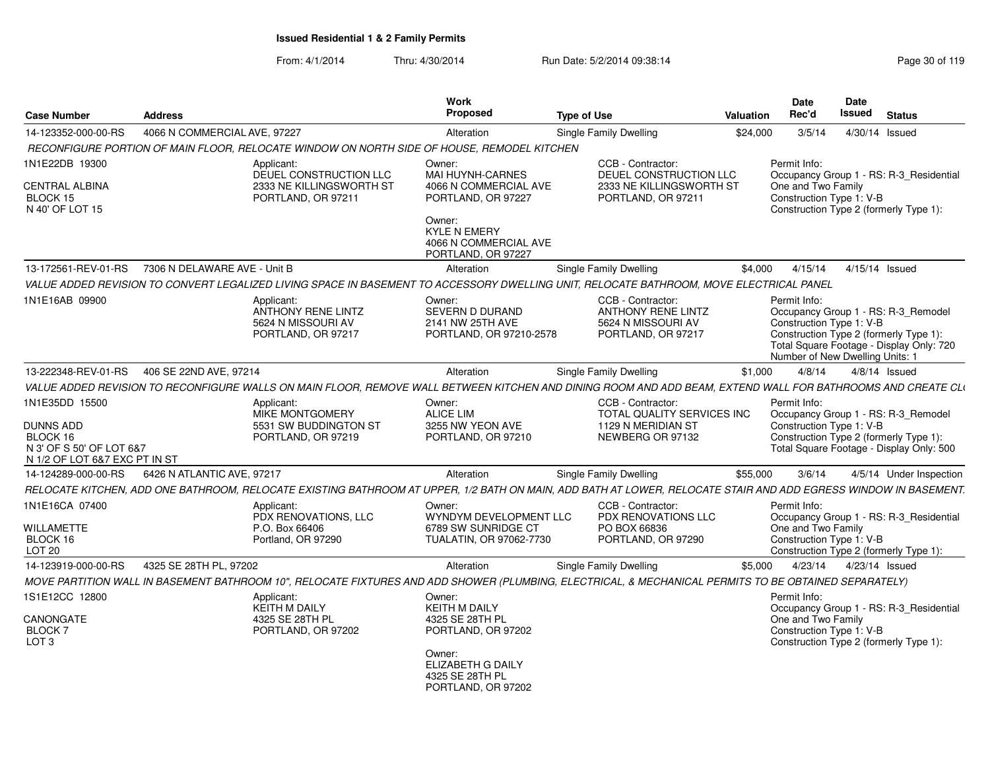| <b>Case Number</b>                                        | <b>Address</b>               |                                                                                                                                                                 | Work<br>Proposed                                                                                      | <b>Type of Use</b> |                                                                                            | <b>Valuation</b> | Date<br>Rec'd                                                               | Date<br>Issued | <b>Status</b>                                                                                                             |
|-----------------------------------------------------------|------------------------------|-----------------------------------------------------------------------------------------------------------------------------------------------------------------|-------------------------------------------------------------------------------------------------------|--------------------|--------------------------------------------------------------------------------------------|------------------|-----------------------------------------------------------------------------|----------------|---------------------------------------------------------------------------------------------------------------------------|
| 14-123352-000-00-RS                                       | 4066 N COMMERCIAL AVE, 97227 |                                                                                                                                                                 | Alteration                                                                                            |                    | Single Family Dwelling                                                                     | \$24,000         | 3/5/14                                                                      |                | 4/30/14 Issued                                                                                                            |
|                                                           |                              | RECONFIGURE PORTION OF MAIN FLOOR. RELOCATE WINDOW ON NORTH SIDE OF HOUSE. REMODEL KITCHEN                                                                      |                                                                                                       |                    |                                                                                            |                  |                                                                             |                |                                                                                                                           |
| 1N1E22DB 19300                                            |                              | Applicant:<br>DEUEL CONSTRUCTION LLC                                                                                                                            | Owner:<br>MAI HUYNH-CARNES                                                                            |                    | CCB - Contractor:<br>DEUEL CONSTRUCTION LLC                                                |                  | Permit Info:                                                                |                | Occupancy Group 1 - RS: R-3_Residential                                                                                   |
| CENTRAL ALBINA<br>BLOCK 15<br>N 40' OF LOT 15             |                              | 2333 NE KILLINGSWORTH ST<br>PORTLAND, OR 97211                                                                                                                  | 4066 N COMMERCIAL AVE<br>PORTLAND, OR 97227<br>Owner:<br><b>KYLE N EMERY</b><br>4066 N COMMERCIAL AVE |                    | 2333 NE KILLINGSWORTH ST<br>PORTLAND, OR 97211                                             |                  | One and Two Family<br>Construction Type 1: V-B                              |                | Construction Type 2 (formerly Type 1):                                                                                    |
|                                                           |                              |                                                                                                                                                                 | PORTLAND, OR 97227                                                                                    |                    |                                                                                            |                  |                                                                             |                |                                                                                                                           |
| 13-172561-REV-01-RS                                       | 7306 N DELAWARE AVE - Unit B |                                                                                                                                                                 | Alteration                                                                                            |                    | Single Family Dwelling                                                                     | \$4,000          | 4/15/14                                                                     |                | 4/15/14 Issued                                                                                                            |
|                                                           |                              | VALUE ADDED REVISION TO CONVERT LEGALIZED LIVING SPACE IN BASEMENT TO ACCESSORY DWELLING UNIT, RELOCATE BATHROOM, MOVE ELECTRICAL PANEL                         |                                                                                                       |                    |                                                                                            |                  |                                                                             |                |                                                                                                                           |
| 1N1E16AB 09900                                            |                              | Applicant:<br>ANTHONY RENE LINTZ<br>5624 N MISSOURI AV<br>PORTLAND, OR 97217                                                                                    | Owner:<br>SEVERN D DURAND<br>2141 NW 25TH AVE<br>PORTLAND, OR 97210-2578                              |                    | CCB - Contractor:<br><b>ANTHONY RENE LINTZ</b><br>5624 N MISSOURI AV<br>PORTLAND, OR 97217 |                  | Permit Info:<br>Construction Type 1: V-B<br>Number of New Dwelling Units: 1 |                | Occupancy Group 1 - RS: R-3_Remodel<br>Construction Type 2 (formerly Type 1):<br>Total Square Footage - Display Only: 720 |
| 13-222348-REV-01-RS                                       | 406 SE 22ND AVE, 97214       |                                                                                                                                                                 | Alteration                                                                                            |                    | Single Family Dwelling                                                                     | \$1,000          | 4/8/14                                                                      |                | $4/8/14$ Issued                                                                                                           |
|                                                           |                              | VALUE ADDED REVISION TO RECONFIGURE WALLS ON MAIN FLOOR, REMOVE WALL BETWEEN KITCHEN AND DINING ROOM AND ADD BEAM, EXTEND WALL FOR BATHROOMS AND CREATE CL\     |                                                                                                       |                    |                                                                                            |                  |                                                                             |                |                                                                                                                           |
| 1N1E35DD 15500<br><b>DUNNS ADD</b><br>BLOCK 16            |                              | Applicant:<br><b>MIKE MONTGOMERY</b><br>5531 SW BUDDINGTON ST<br>PORTLAND, OR 97219                                                                             | Owner:<br><b>ALICE LIM</b><br>3255 NW YEON AVE<br>PORTLAND, OR 97210                                  |                    | CCB - Contractor:<br>TOTAL QUALITY SERVICES INC<br>1129 N MERIDIAN ST<br>NEWBERG OR 97132  |                  | Permit Info:<br>Construction Type 1: V-B                                    |                | Occupancy Group 1 - RS: R-3 Remodel<br>Construction Type 2 (formerly Type 1):                                             |
| N 3' OF S 50' OF LOT 6&7<br>N 1/2 OF LOT 6&7 EXC PT IN ST |                              |                                                                                                                                                                 |                                                                                                       |                    |                                                                                            |                  |                                                                             |                | Total Square Footage - Display Only: 500                                                                                  |
| 14-124289-000-00-RS                                       | 6426 N ATLANTIC AVE, 97217   |                                                                                                                                                                 | Alteration                                                                                            |                    | Single Family Dwelling                                                                     | \$55,000         | 3/6/14                                                                      |                | 4/5/14 Under Inspection                                                                                                   |
|                                                           |                              | RELOCATE KITCHEN, ADD ONE BATHROOM, RELOCATE EXISTING BATHROOM AT UPPER, 1/2 BATH ON MAIN, ADD BATH AT LOWER, RELOCATE STAIR AND ADD EGRESS WINDOW IN BASEMENT. |                                                                                                       |                    |                                                                                            |                  |                                                                             |                |                                                                                                                           |
| 1N1E16CA 07400                                            |                              | Applicant:<br>PDX RENOVATIONS, LLC                                                                                                                              | Owner:<br>WYNDYM DEVELOPMENT LLC                                                                      |                    | CCB - Contractor:<br>PDX RENOVATIONS LLC                                                   |                  | Permit Info:                                                                |                | Occupancy Group 1 - RS: R-3_Residential                                                                                   |
| WILLAMETTE<br>BLOCK 16<br>LOT <sub>20</sub>               |                              | P.O. Box 66406<br>Portland, OR 97290                                                                                                                            | 6789 SW SUNRIDGE CT<br>TUALATIN, OR 97062-7730                                                        |                    | PO BOX 66836<br>PORTLAND, OR 97290                                                         |                  | One and Two Family<br>Construction Type 1: V-B                              |                | Construction Type 2 (formerly Type 1):                                                                                    |
| 14-123919-000-00-RS                                       | 4325 SE 28TH PL, 97202       |                                                                                                                                                                 | Alteration                                                                                            |                    | Single Family Dwelling                                                                     | \$5,000          | 4/23/14                                                                     |                | 4/23/14 Issued                                                                                                            |
|                                                           |                              | MOVE PARTITION WALL IN BASEMENT BATHROOM 10", RELOCATE FIXTURES AND ADD SHOWER (PLUMBING, ELECTRICAL, & MECHANICAL PERMITS TO BE OBTAINED SEPARATELY)           |                                                                                                       |                    |                                                                                            |                  |                                                                             |                |                                                                                                                           |
| 1S1E12CC 12800                                            |                              | Applicant:<br>KEITH M DAILY                                                                                                                                     | Owner:<br><b>KEITH M DAILY</b>                                                                        |                    |                                                                                            |                  | Permit Info:                                                                |                | Occupancy Group 1 - RS: R-3_Residential                                                                                   |
| CANONGATE<br>BLOCK 7<br>LOT <sub>3</sub>                  |                              | 4325 SE 28TH PL<br>PORTLAND, OR 97202                                                                                                                           | 4325 SE 28TH PL<br>PORTLAND, OR 97202                                                                 |                    |                                                                                            |                  | One and Two Family<br>Construction Type 1: V-B                              |                | Construction Type 2 (formerly Type 1):                                                                                    |
|                                                           |                              |                                                                                                                                                                 | Owner:<br>ELIZABETH G DAILY<br>4325 SE 28TH PL<br>PORTLAND, OR 97202                                  |                    |                                                                                            |                  |                                                                             |                |                                                                                                                           |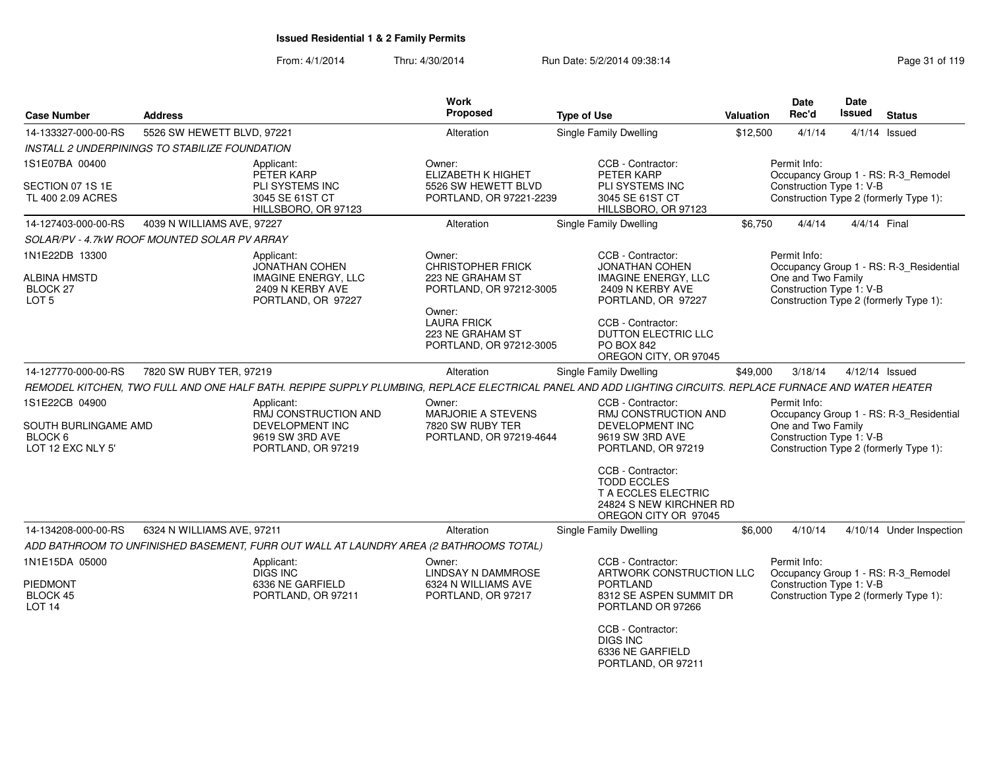| <b>Case Number</b>                                             | <b>Address</b>                                 |                                                                                                             | Work<br>Proposed                                                                  | <b>Type of Use</b>                                                                                                                                        | <b>Valuation</b> | <b>Date</b><br>Rec'd                                           | <b>Date</b><br><b>Issued</b> | <b>Status</b>                                                                     |
|----------------------------------------------------------------|------------------------------------------------|-------------------------------------------------------------------------------------------------------------|-----------------------------------------------------------------------------------|-----------------------------------------------------------------------------------------------------------------------------------------------------------|------------------|----------------------------------------------------------------|------------------------------|-----------------------------------------------------------------------------------|
| 14-133327-000-00-RS                                            | 5526 SW HEWETT BLVD, 97221                     |                                                                                                             | Alteration                                                                        | <b>Single Family Dwelling</b>                                                                                                                             | \$12,500         | 4/1/14                                                         |                              | $4/1/14$ Issued                                                                   |
|                                                                | INSTALL 2 UNDERPININGS TO STABILIZE FOUNDATION |                                                                                                             |                                                                                   |                                                                                                                                                           |                  |                                                                |                              |                                                                                   |
| 1S1E07BA 00400                                                 |                                                | Applicant:<br>PETER KARP                                                                                    | Owner:<br><b>ELIZABETH K HIGHET</b>                                               | CCB - Contractor:<br>PETER KARP                                                                                                                           |                  | Permit Info:                                                   |                              | Occupancy Group 1 - RS: R-3_Remodel                                               |
| SECTION 07 1S 1E<br>TL 400 2.09 ACRES                          |                                                | PLI SYSTEMS INC<br>3045 SE 61ST CT<br>HILLSBORO, OR 97123                                                   | 5526 SW HEWETT BLVD<br>PORTLAND, OR 97221-2239                                    | PLI SYSTEMS INC<br>3045 SE 61ST CT<br>HILLSBORO, OR 97123                                                                                                 |                  | Construction Type 1: V-B                                       |                              | Construction Type 2 (formerly Type 1):                                            |
| 14-127403-000-00-RS                                            | 4039 N WILLIAMS AVE, 97227                     |                                                                                                             | Alteration                                                                        | Single Family Dwelling                                                                                                                                    | \$6,750          | 4/4/14                                                         | 4/4/14 Final                 |                                                                                   |
|                                                                | SOLAR/PV - 4.7kW ROOF MOUNTED SOLAR PV ARRAY   |                                                                                                             |                                                                                   |                                                                                                                                                           |                  |                                                                |                              |                                                                                   |
| 1N1E22DB 13300<br>ALBINA HMSTD<br>BLOCK 27<br>LOT <sub>5</sub> |                                                | Applicant:<br><b>JONATHAN COHEN</b><br><b>IMAGINE ENERGY, LLC</b><br>2409 N KERBY AVE<br>PORTLAND, OR 97227 | Owner:<br><b>CHRISTOPHER FRICK</b><br>223 NE GRAHAM ST<br>PORTLAND, OR 97212-3005 | CCB - Contractor:<br><b>JONATHAN COHEN</b><br><b>IMAGINE ENERGY, LLC</b><br>2409 N KERBY AVE<br>PORTLAND, OR 97227                                        |                  | Permit Info:<br>One and Two Family<br>Construction Type 1: V-B |                              | Occupancy Group 1 - RS: R-3_Residential<br>Construction Type 2 (formerly Type 1): |
|                                                                |                                                |                                                                                                             | Owner:<br><b>LAURA FRICK</b><br>223 NE GRAHAM ST<br>PORTLAND, OR 97212-3005       | CCB - Contractor:<br>DUTTON ELECTRIC LLC<br><b>PO BOX 842</b><br>OREGON CITY, OR 97045                                                                    |                  |                                                                |                              |                                                                                   |
| 14-127770-000-00-RS                                            | 7820 SW RUBY TER, 97219                        |                                                                                                             | Alteration                                                                        | Single Family Dwelling                                                                                                                                    | \$49,000         | 3/18/14                                                        |                              | $4/12/14$ Issued                                                                  |
|                                                                |                                                |                                                                                                             |                                                                                   | REMODEL KITCHEN, TWO FULL AND ONE HALF BATH. REPIPE SUPPLY PLUMBING, REPLACE ELECTRICAL PANEL AND ADD LIGHTING CIRCUITS. REPLACE FURNACE AND WATER HEATER |                  |                                                                |                              |                                                                                   |
| 1S1E22CB 04900                                                 |                                                | Applicant:                                                                                                  | Owner:                                                                            | CCB - Contractor:                                                                                                                                         |                  | Permit Info:                                                   |                              |                                                                                   |
| SOUTH BURLINGAME AMD<br>BLOCK 6<br>LOT 12 EXC NLY 5'           |                                                | RMJ CONSTRUCTION AND<br>DEVELOPMENT INC<br>9619 SW 3RD AVE<br>PORTLAND, OR 97219                            | <b>MARJORIE A STEVENS</b><br>7820 SW RUBY TER<br>PORTLAND, OR 97219-4644          | RMJ CONSTRUCTION AND<br><b>DEVELOPMENT INC</b><br>9619 SW 3RD AVE<br>PORTLAND, OR 97219                                                                   |                  | One and Two Family<br>Construction Type 1: V-B                 |                              | Occupancy Group 1 - RS: R-3_Residential<br>Construction Type 2 (formerly Type 1): |
|                                                                |                                                |                                                                                                             |                                                                                   | CCB - Contractor:<br><b>TODD ECCLES</b><br><b>T A ECCLES ELECTRIC</b><br>24824 S NEW KIRCHNER RD<br>OREGON CITY OR 97045                                  |                  |                                                                |                              |                                                                                   |
| 14-134208-000-00-RS                                            | 6324 N WILLIAMS AVE, 97211                     |                                                                                                             | Alteration                                                                        | Single Family Dwelling                                                                                                                                    | \$6,000          | 4/10/14                                                        |                              | 4/10/14 Under Inspection                                                          |
|                                                                |                                                | ADD BATHROOM TO UNFINISHED BASEMENT, FURR OUT WALL AT LAUNDRY AREA (2 BATHROOMS TOTAL)                      |                                                                                   |                                                                                                                                                           |                  |                                                                |                              |                                                                                   |
| 1N1E15DA 05000                                                 |                                                | Applicant:<br>DIGS INC                                                                                      | Owner:<br>LINDSAY N DAMMROSE                                                      | CCB - Contractor:<br>ARTWORK CONSTRUCTION LLC                                                                                                             |                  | Permit Info:                                                   |                              | Occupancy Group 1 - RS: R-3_Remodel                                               |
| PIEDMONT<br>BLOCK 45<br>LOT <sub>14</sub>                      |                                                | 6336 NE GARFIELD<br>PORTLAND, OR 97211                                                                      | 6324 N WILLIAMS AVE<br>PORTLAND, OR 97217                                         | PORTLAND<br>8312 SE ASPEN SUMMIT DR<br>PORTLAND OR 97266                                                                                                  |                  | Construction Type 1: V-B                                       |                              | Construction Type 2 (formerly Type 1):                                            |
|                                                                |                                                |                                                                                                             |                                                                                   | CCB - Contractor:<br><b>DIGS INC</b><br>6336 NE GARFIELD<br>PORTLAND, OR 97211                                                                            |                  |                                                                |                              |                                                                                   |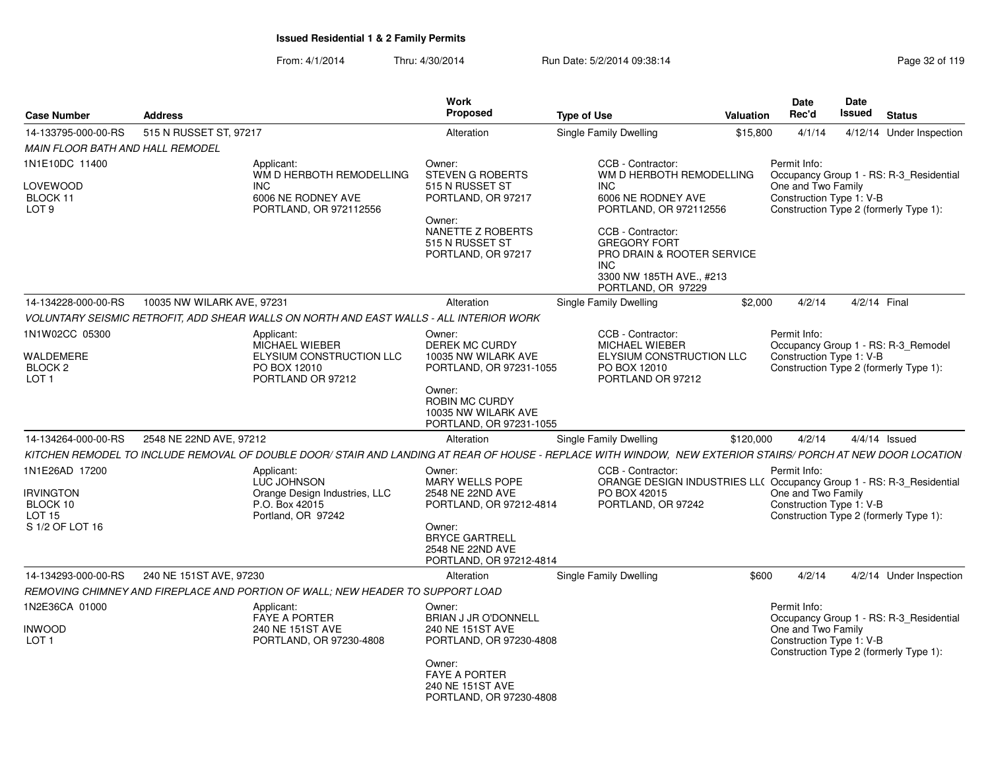| <b>Case Number</b>                                | <b>Address</b>                                                                                                                                                | Work<br>Proposed                                                               | <b>Type of Use</b>                                                                                                              | <b>Valuation</b> | <b>Date</b><br>Rec'd                           | Date<br><b>Issued</b><br><b>Status</b>  |  |
|---------------------------------------------------|---------------------------------------------------------------------------------------------------------------------------------------------------------------|--------------------------------------------------------------------------------|---------------------------------------------------------------------------------------------------------------------------------|------------------|------------------------------------------------|-----------------------------------------|--|
| 14-133795-000-00-RS                               | 515 N RUSSET ST, 97217                                                                                                                                        | Alteration                                                                     | Single Family Dwelling                                                                                                          | \$15,800         | 4/1/14                                         | 4/12/14 Under Inspection                |  |
| <b>MAIN FLOOR BATH AND HALL REMODEL</b>           |                                                                                                                                                               |                                                                                |                                                                                                                                 |                  |                                                |                                         |  |
| 1N1E10DC 11400                                    | Applicant:<br>WM D HERBOTH REMODELLING                                                                                                                        | Owner:<br><b>STEVEN G ROBERTS</b>                                              | CCB - Contractor:<br>WM D HERBOTH REMODELLING                                                                                   |                  | Permit Info:                                   | Occupancy Group 1 - RS: R-3_Residential |  |
| LOVEWOOD<br>BLOCK 11<br>LOT <sub>9</sub>          | INC.<br>6006 NE RODNEY AVE<br>PORTLAND, OR 972112556                                                                                                          | 515 N RUSSET ST<br>PORTLAND, OR 97217<br>Owner:                                | <b>INC</b><br>6006 NE RODNEY AVE<br>PORTLAND, OR 972112556                                                                      |                  | One and Two Family<br>Construction Type 1: V-B | Construction Type 2 (formerly Type 1):  |  |
|                                                   |                                                                                                                                                               | NANETTE Z ROBERTS<br>515 N RUSSET ST<br>PORTLAND, OR 97217                     | CCB - Contractor:<br><b>GREGORY FORT</b><br>PRO DRAIN & ROOTER SERVICE<br>INC<br>3300 NW 185TH AVE., #213<br>PORTLAND, OR 97229 |                  |                                                |                                         |  |
| 14-134228-000-00-RS                               | 10035 NW WILARK AVE, 97231                                                                                                                                    | Alteration                                                                     | Single Family Dwelling                                                                                                          | \$2,000          | 4/2/14                                         | 4/2/14 Final                            |  |
|                                                   | VOLUNTARY SEISMIC RETROFIT, ADD SHEAR WALLS ON NORTH AND EAST WALLS - ALL INTERIOR WORK                                                                       |                                                                                |                                                                                                                                 |                  |                                                |                                         |  |
| 1N1W02CC 05300                                    | Applicant:<br>MICHAEL WIEBER                                                                                                                                  | Owner:<br>DEREK MC CURDY                                                       | CCB - Contractor:<br><b>MICHAEL WIEBER</b>                                                                                      |                  | Permit Info:                                   | Occupancy Group 1 - RS: R-3_Remodel     |  |
| WALDEMERE<br><b>BLOCK 2</b><br>LOT <sub>1</sub>   | ELYSIUM CONSTRUCTION LLC<br>PO BOX 12010<br>PORTLAND OR 97212                                                                                                 | 10035 NW WILARK AVE<br>PORTLAND, OR 97231-1055                                 | ELYSIUM CONSTRUCTION LLC<br>PO BOX 12010<br>PORTLAND OR 97212                                                                   |                  | Construction Type 1: V-B                       | Construction Type 2 (formerly Type 1):  |  |
|                                                   |                                                                                                                                                               | Owner:<br>ROBIN MC CURDY<br>10035 NW WILARK AVE<br>PORTLAND, OR 97231-1055     |                                                                                                                                 |                  |                                                |                                         |  |
| 14-134264-000-00-RS                               | 2548 NE 22ND AVE, 97212                                                                                                                                       | Alteration                                                                     | Single Family Dwelling                                                                                                          | \$120,000        | 4/2/14                                         | $4/4/14$ Issued                         |  |
|                                                   | KITCHEN REMODEL TO INCLUDE REMOVAL OF DOUBLE DOOR/ STAIR AND LANDING AT REAR OF HOUSE - REPLACE WITH WINDOW.  NEW EXTERIOR STAIRS/ PORCH AT NEW DOOR LOCATION |                                                                                |                                                                                                                                 |                  |                                                |                                         |  |
| 1N1E26AD 17200                                    | Applicant:<br><b>LUC JOHNSON</b>                                                                                                                              | Owner:<br><b>MARY WELLS POPE</b>                                               | CCB - Contractor:<br>ORANGE DESIGN INDUSTRIES LL( Occupancy Group 1 - RS: R-3_Residential                                       |                  | Permit Info:                                   |                                         |  |
| <b>IRVINGTON</b><br>BLOCK 10<br>LOT <sub>15</sub> | Orange Design Industries, LLC<br>P.O. Box 42015<br>Portland, OR 97242                                                                                         | 2548 NE 22ND AVE<br>PORTLAND, OR 97212-4814                                    | PO BOX 42015<br>PORTLAND, OR 97242                                                                                              |                  | One and Two Family<br>Construction Type 1: V-B | Construction Type 2 (formerly Type 1):  |  |
| S 1/2 OF LOT 16                                   |                                                                                                                                                               | Owner:<br><b>BRYCE GARTRELL</b><br>2548 NE 22ND AVE<br>PORTLAND, OR 97212-4814 |                                                                                                                                 |                  |                                                |                                         |  |
| 14-134293-000-00-RS                               | 240 NE 151ST AVE, 97230                                                                                                                                       | Alteration                                                                     | Single Family Dwelling                                                                                                          | \$600            | 4/2/14                                         | 4/2/14 Under Inspection                 |  |
|                                                   | REMOVING CHIMNEY AND FIREPLACE AND PORTION OF WALL; NEW HEADER TO SUPPORT LOAD                                                                                |                                                                                |                                                                                                                                 |                  |                                                |                                         |  |
| 1N2E36CA 01000                                    | Applicant:<br><b>FAYE A PORTER</b>                                                                                                                            | Owner:<br><b>BRIAN J JR O'DONNELL</b>                                          |                                                                                                                                 |                  | Permit Info:                                   | Occupancy Group 1 - RS: R-3_Residential |  |
| Inwood<br>LOT <sub>1</sub>                        | 240 NE 151ST AVE<br>PORTLAND, OR 97230-4808                                                                                                                   | 240 NE 151ST AVE<br>PORTLAND, OR 97230-4808                                    |                                                                                                                                 |                  | One and Two Family<br>Construction Type 1: V-B | Construction Type 2 (formerly Type 1):  |  |
|                                                   |                                                                                                                                                               | Owner:<br><b>FAYE A PORTER</b><br>240 NE 151ST AVE<br>PORTLAND, OR 97230-4808  |                                                                                                                                 |                  |                                                |                                         |  |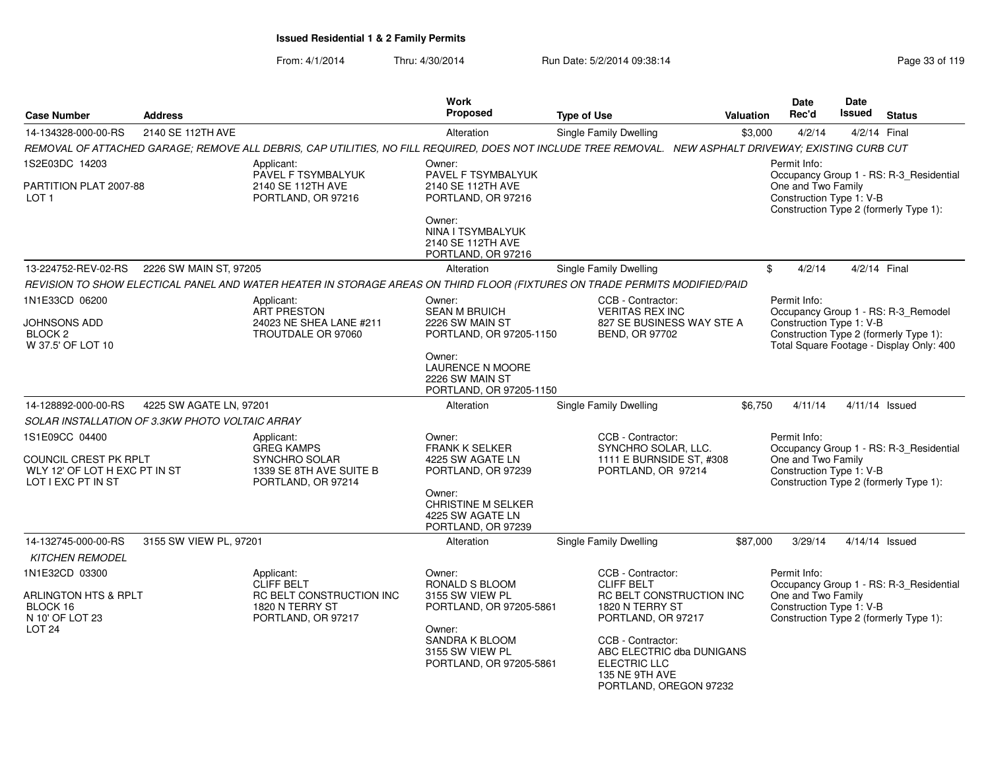| <b>Case Number</b>                                                                                | <b>Address</b>                                  |                                                                                                                                                        | <b>Work</b><br>Proposed                                                                                                                                    | <b>Type of Use</b>                                                                                                                                                      | <b>Valuation</b>                                             | <b>Date</b><br>Rec'd                                           | Date<br><b>Issued</b> | <b>Status</b>                                                                                                             |
|---------------------------------------------------------------------------------------------------|-------------------------------------------------|--------------------------------------------------------------------------------------------------------------------------------------------------------|------------------------------------------------------------------------------------------------------------------------------------------------------------|-------------------------------------------------------------------------------------------------------------------------------------------------------------------------|--------------------------------------------------------------|----------------------------------------------------------------|-----------------------|---------------------------------------------------------------------------------------------------------------------------|
| 14-134328-000-00-RS                                                                               | 2140 SE 112TH AVE                               |                                                                                                                                                        | Alteration                                                                                                                                                 | Single Family Dwelling                                                                                                                                                  | \$3.000                                                      | 4/2/14                                                         | 4/2/14 Final          |                                                                                                                           |
|                                                                                                   |                                                 | REMOVAL OF ATTACHED GARAGE; REMOVE ALL DEBRIS, CAP UTILITIES, NO FILL REQUIRED, DOES NOT INCLUDE TREE REMOVAL. NEW ASPHALT DRIVEWAY; EXISTING CURB CUT |                                                                                                                                                            |                                                                                                                                                                         |                                                              |                                                                |                       |                                                                                                                           |
| 1S2E03DC 14203<br>PARTITION PLAT 2007-88<br>LOT <sub>1</sub>                                      |                                                 | Applicant:<br>PAVEL F TSYMBALYUK<br>2140 SE 112TH AVE<br>PORTLAND, OR 97216                                                                            | Owner:<br>PAVEL F TSYMBALYUK<br>2140 SE 112TH AVE<br>PORTLAND, OR 97216                                                                                    |                                                                                                                                                                         |                                                              | Permit Info:<br>One and Two Family<br>Construction Type 1: V-B |                       | Occupancy Group 1 - RS: R-3_Residential<br>Construction Type 2 (formerly Type 1):                                         |
|                                                                                                   |                                                 |                                                                                                                                                        | Owner:<br>NINA I TSYMBALYUK<br>2140 SE 112TH AVE<br>PORTLAND, OR 97216                                                                                     |                                                                                                                                                                         |                                                              |                                                                |                       |                                                                                                                           |
| 13-224752-REV-02-RS                                                                               | 2226 SW MAIN ST, 97205                          |                                                                                                                                                        | Alteration                                                                                                                                                 | <b>Single Family Dwelling</b>                                                                                                                                           | \$                                                           | 4/2/14                                                         | 4/2/14 Final          |                                                                                                                           |
|                                                                                                   |                                                 | REVISION TO SHOW ELECTICAL PANEL AND WATER HEATER IN STORAGE AREAS ON THIRD FLOOR (FIXTURES ON TRADE PERMITS MODIFIED/PAID                             |                                                                                                                                                            |                                                                                                                                                                         |                                                              |                                                                |                       |                                                                                                                           |
| 1N1E33CD 06200<br>JOHNSONS ADD<br>BLOCK <sub>2</sub><br>W 37.5' OF LOT 10                         |                                                 | Applicant:<br><b>ART PRESTON</b><br>24023 NE SHEA LANE #211<br>TROUTDALE OR 97060                                                                      | Owner:<br><b>SEAN M BRUICH</b><br>2226 SW MAIN ST<br>PORTLAND, OR 97205-1150                                                                               | CCB - Contractor:<br><b>VERITAS REX INC</b><br>BEND, OR 97702                                                                                                           | 827 SE BUSINESS WAY STE A                                    | Permit Info:<br>Construction Type 1: V-B                       |                       | Occupancy Group 1 - RS: R-3_Remodel<br>Construction Type 2 (formerly Type 1):<br>Total Square Footage - Display Only: 400 |
|                                                                                                   |                                                 |                                                                                                                                                        | Owner:<br>LAURENCE N MOORE<br>2226 SW MAIN ST<br>PORTLAND, OR 97205-1150                                                                                   |                                                                                                                                                                         |                                                              |                                                                |                       |                                                                                                                           |
| 14-128892-000-00-RS                                                                               | 4225 SW AGATE LN, 97201                         |                                                                                                                                                        | Alteration                                                                                                                                                 | <b>Single Family Dwelling</b>                                                                                                                                           | \$6,750                                                      | 4/11/14                                                        |                       | 4/11/14 Issued                                                                                                            |
|                                                                                                   | SOLAR INSTALLATION OF 3.3KW PHOTO VOLTAIC ARRAY |                                                                                                                                                        |                                                                                                                                                            |                                                                                                                                                                         |                                                              |                                                                |                       |                                                                                                                           |
| 1S1E09CC 04400<br>COUNCIL CREST PK RPLT<br>WLY 12' OF LOT H EXC PT IN ST<br>LOT I EXC PT IN ST    |                                                 | Applicant:<br><b>GREG KAMPS</b><br>SYNCHRO SOLAR<br>1339 SE 8TH AVE SUITE B<br>PORTLAND, OR 97214                                                      | Owner:<br><b>FRANK K SELKER</b><br>4225 SW AGATE LN<br>PORTLAND, OR 97239<br>Owner:<br><b>CHRISTINE M SELKER</b><br>4225 SW AGATE LN<br>PORTLAND, OR 97239 | CCB - Contractor:<br>SYNCHRO SOLAR, LLC.<br>1111 E BURNSIDE ST, #308<br>PORTLAND, OR 97214                                                                              |                                                              | Permit Info:<br>One and Two Family<br>Construction Type 1: V-B |                       | Occupancy Group 1 - RS: R-3_Residential<br>Construction Type 2 (formerly Type 1):                                         |
| 14-132745-000-00-RS<br><b>KITCHEN REMODEL</b>                                                     | 3155 SW VIEW PL, 97201                          |                                                                                                                                                        | Alteration                                                                                                                                                 | Single Family Dwelling                                                                                                                                                  | \$87,000                                                     | 3/29/14                                                        |                       | 4/14/14 Issued                                                                                                            |
| 1N1E32CD 03300<br><b>ARLINGTON HTS &amp; RPLT</b><br>BLOCK 16<br>N 10' OF LOT 23<br><b>LOT 24</b> |                                                 | Applicant:<br><b>CLIFF BELT</b><br>RC BELT CONSTRUCTION INC<br>1820 N TERRY ST<br>PORTLAND, OR 97217                                                   | Owner:<br>RONALD S BLOOM<br>3155 SW VIEW PL<br>PORTLAND, OR 97205-5861<br>Owner:<br>SANDRA K BLOOM<br>3155 SW VIEW PL<br>PORTLAND, OR 97205-5861           | CCB - Contractor:<br><b>CLIFF BELT</b><br>1820 N TERRY ST<br>PORTLAND, OR 97217<br>CCB - Contractor:<br><b>ELECTRIC LLC</b><br>135 NE 9TH AVE<br>PORTLAND, OREGON 97232 | <b>RC BELT CONSTRUCTION INC</b><br>ABC ELECTRIC dba DUNIGANS | Permit Info:<br>One and Two Family<br>Construction Type 1: V-B |                       | Occupancy Group 1 - RS: R-3_Residential<br>Construction Type 2 (formerly Type 1):                                         |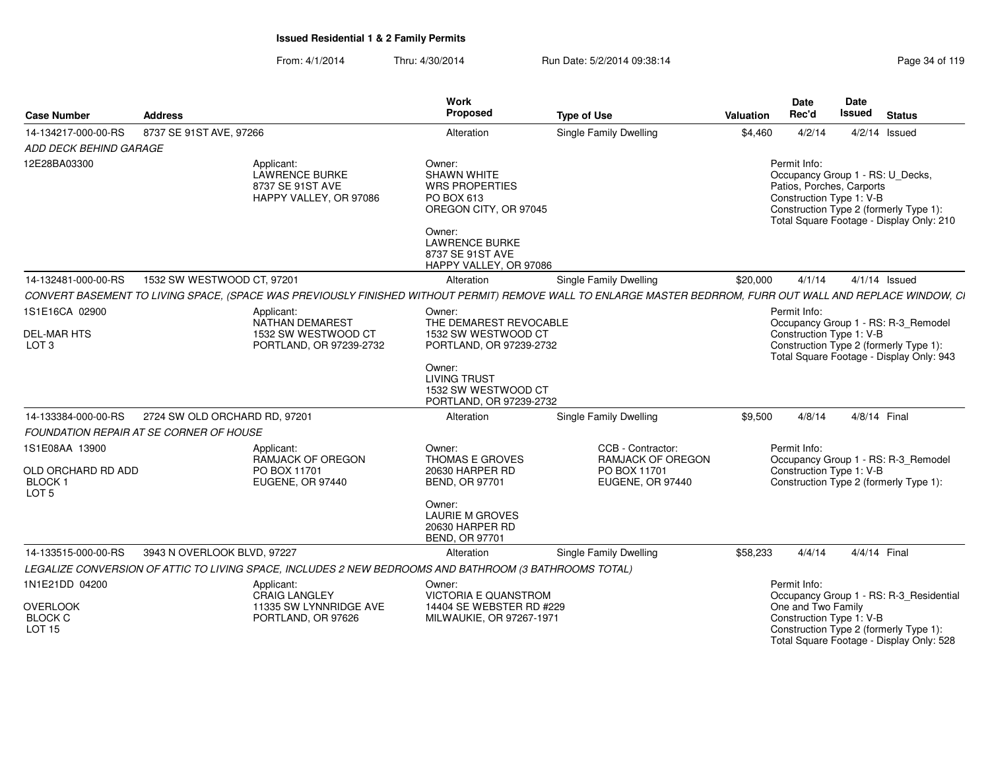From: 4/1/2014Thru: 4/30/2014 **Run Date: 5/2/2014 09:38:14** Page 34 of 119 of 119 of 119 of 119 of 119 of 119 of 119 of 119 of 1

| Page 34 of 119 |  |  |
|----------------|--|--|
|                |  |  |

| <b>Case Number</b>                                                             | <b>Address</b>                          |                                                                                                                                                              | <b>Work</b><br>Proposed                                                                                                                                                       | <b>Type of Use</b>                                                                | <b>Valuation</b> | <b>Date</b><br>Rec'd                                                                                      | <b>Date</b><br><b>Issued</b> | <b>Status</b>                                                                                                             |
|--------------------------------------------------------------------------------|-----------------------------------------|--------------------------------------------------------------------------------------------------------------------------------------------------------------|-------------------------------------------------------------------------------------------------------------------------------------------------------------------------------|-----------------------------------------------------------------------------------|------------------|-----------------------------------------------------------------------------------------------------------|------------------------------|---------------------------------------------------------------------------------------------------------------------------|
| 14-134217-000-00-RS                                                            | 8737 SE 91ST AVE, 97266                 |                                                                                                                                                              | Alteration                                                                                                                                                                    | <b>Single Family Dwelling</b>                                                     | \$4,460          | 4/2/14                                                                                                    |                              | $4/2/14$ Issued                                                                                                           |
| ADD DECK BEHIND GARAGE                                                         |                                         |                                                                                                                                                              |                                                                                                                                                                               |                                                                                   |                  |                                                                                                           |                              |                                                                                                                           |
| 12E28BA03300                                                                   |                                         | Applicant:<br><b>LAWRENCE BURKE</b><br>8737 SE 91ST AVE<br>HAPPY VALLEY, OR 97086                                                                            | Owner:<br><b>SHAWN WHITE</b><br><b>WRS PROPERTIES</b><br>PO BOX 613<br>OREGON CITY, OR 97045<br>Owner:<br><b>LAWRENCE BURKE</b><br>8737 SE 91ST AVE<br>HAPPY VALLEY, OR 97086 |                                                                                   |                  | Permit Info:<br>Occupancy Group 1 - RS: U_Decks,<br>Patios, Porches, Carports<br>Construction Type 1: V-B |                              | Construction Type 2 (formerly Type 1):<br>Total Square Footage - Display Only: 210                                        |
| 14-132481-000-00-RS                                                            | 1532 SW WESTWOOD CT, 97201              |                                                                                                                                                              | Alteration                                                                                                                                                                    | <b>Single Family Dwelling</b>                                                     | \$20,000         | 4/1/14                                                                                                    |                              | $4/1/14$ Issued                                                                                                           |
|                                                                                |                                         | CONVERT BASEMENT TO LIVING SPACE, (SPACE WAS PREVIOUSLY FINISHED WITHOUT PERMIT) REMOVE WALL TO ENLARGE MASTER BEDRROM, FURR OUT WALL AND REPLACE WINDOW, CI |                                                                                                                                                                               |                                                                                   |                  |                                                                                                           |                              |                                                                                                                           |
| 1S1E16CA 02900<br><b>DEL-MAR HTS</b><br>LOT <sub>3</sub>                       |                                         | Applicant:<br>NATHAN DEMAREST<br>1532 SW WESTWOOD CT<br>PORTLAND, OR 97239-2732                                                                              | Owner:<br>THE DEMAREST REVOCABLE<br>1532 SW WESTWOOD CT<br>PORTLAND, OR 97239-2732                                                                                            |                                                                                   |                  | Permit Info:<br>Construction Type 1: V-B                                                                  |                              | Occupancy Group 1 - RS: R-3_Remodel<br>Construction Type 2 (formerly Type 1):<br>Total Square Footage - Display Only: 943 |
|                                                                                |                                         |                                                                                                                                                              | Owner:<br><b>LIVING TRUST</b><br>1532 SW WESTWOOD CT<br>PORTLAND, OR 97239-2732                                                                                               |                                                                                   |                  |                                                                                                           |                              |                                                                                                                           |
| 14-133384-000-00-RS                                                            | 2724 SW OLD ORCHARD RD, 97201           |                                                                                                                                                              | Alteration                                                                                                                                                                    | <b>Single Family Dwelling</b>                                                     | \$9,500          | 4/8/14                                                                                                    | 4/8/14 Final                 |                                                                                                                           |
|                                                                                | FOUNDATION REPAIR AT SE CORNER OF HOUSE |                                                                                                                                                              |                                                                                                                                                                               |                                                                                   |                  |                                                                                                           |                              |                                                                                                                           |
| 1S1E08AA 13900<br>OLD ORCHARD RD ADD<br>BLOCK <sub>1</sub><br>LOT <sub>5</sub> |                                         | Applicant:<br>RAMJACK OF OREGON<br>PO BOX 11701<br>EUGENE, OR 97440                                                                                          | Owner:<br>THOMAS E GROVES<br>20630 HARPER RD<br><b>BEND, OR 97701</b>                                                                                                         | CCB - Contractor:<br><b>RAMJACK OF OREGON</b><br>PO BOX 11701<br>EUGENE, OR 97440 |                  | Permit Info:<br>Construction Type 1: V-B                                                                  |                              | Occupancy Group 1 - RS: R-3_Remodel<br>Construction Type 2 (formerly Type 1):                                             |
|                                                                                |                                         |                                                                                                                                                              | Owner:<br><b>LAURIE M GROVES</b><br>20630 HARPER RD<br><b>BEND, OR 97701</b>                                                                                                  |                                                                                   |                  |                                                                                                           |                              |                                                                                                                           |
| 14-133515-000-00-RS                                                            | 3943 N OVERLOOK BLVD, 97227             |                                                                                                                                                              | Alteration                                                                                                                                                                    | <b>Single Family Dwelling</b>                                                     | \$58,233         | 4/4/14                                                                                                    | 4/4/14 Final                 |                                                                                                                           |
|                                                                                |                                         | LEGALIZE CONVERSION OF ATTIC TO LIVING SPACE, INCLUDES 2 NEW BEDROOMS AND BATHROOM (3 BATHROOMS TOTAL)                                                       |                                                                                                                                                                               |                                                                                   |                  |                                                                                                           |                              |                                                                                                                           |
| 1N1E21DD 04200                                                                 |                                         | Applicant:<br><b>CRAIG LANGLEY</b>                                                                                                                           | Owner:<br><b>VICTORIA E QUANSTROM</b>                                                                                                                                         |                                                                                   |                  | Permit Info:                                                                                              |                              | Occupancy Group 1 - RS: R-3_Residential                                                                                   |
| <b>OVERLOOK</b><br><b>BLOCK C</b><br><b>LOT 15</b>                             |                                         | 11335 SW LYNNRIDGE AVE<br>PORTLAND, OR 97626                                                                                                                 | 14404 SE WEBSTER RD #229<br>MILWAUKIE, OR 97267-1971                                                                                                                          |                                                                                   |                  | One and Two Family<br>Construction Type 1: V-B                                                            |                              | Construction Type 2 (formerly Type 1):<br>Total Square Footage - Display Only: 528                                        |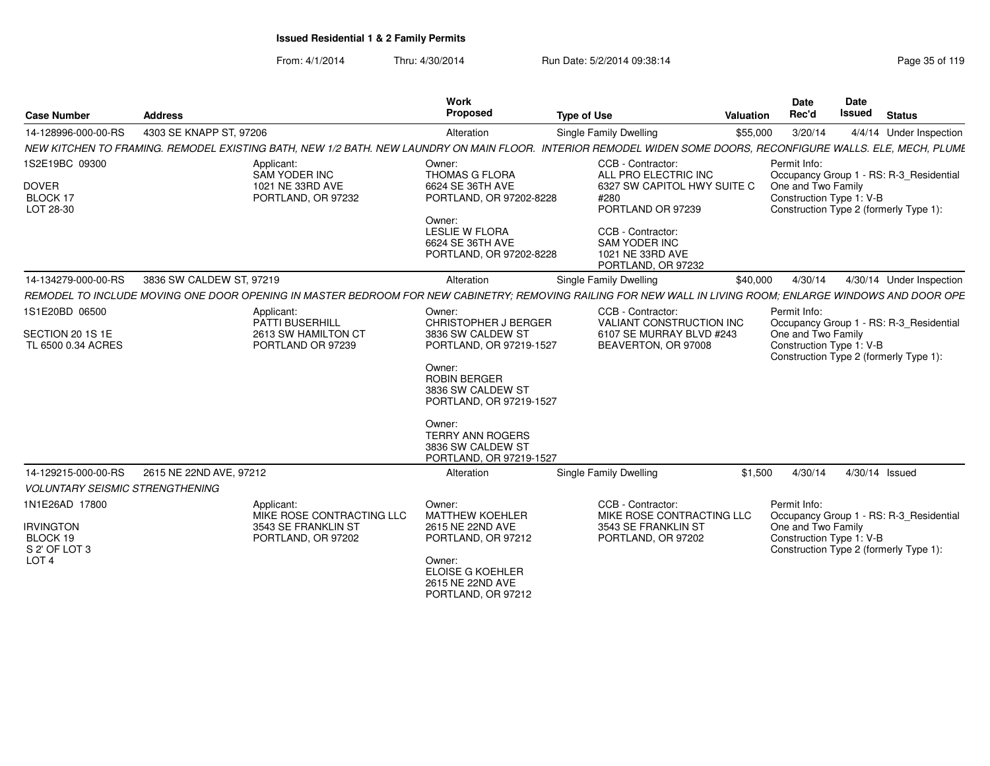| <b>Case Number</b>                                      | <b>Address</b>                                                                                                                                             | <b>Work</b><br>Proposed                                                                                    | <b>Type of Use</b>                                                                                                         | Valuation | Date<br>Rec'd                                                  | Date<br><b>Issued</b> | <b>Status</b>                                                                     |  |
|---------------------------------------------------------|------------------------------------------------------------------------------------------------------------------------------------------------------------|------------------------------------------------------------------------------------------------------------|----------------------------------------------------------------------------------------------------------------------------|-----------|----------------------------------------------------------------|-----------------------|-----------------------------------------------------------------------------------|--|
| 14-128996-000-00-RS                                     | 4303 SE KNAPP ST, 97206                                                                                                                                    | Alteration                                                                                                 | <b>Single Family Dwelling</b>                                                                                              | \$55,000  | 3/20/14                                                        |                       | 4/4/14 Under Inspection                                                           |  |
|                                                         | NEW KITCHEN TO FRAMING. REMODEL EXISTING BATH. NEW 1/2 BATH. NEW LAUNDRY ON MAIN FLOOR.                                                                    |                                                                                                            | INTERIOR REMODEL WIDEN SOME DOORS, RECONFIGURE WALLS. ELE, MECH, PLUME                                                     |           |                                                                |                       |                                                                                   |  |
| 1S2E19BC 09300<br><b>DOVER</b><br>BLOCK 17<br>LOT 28-30 | Applicant:<br>SAM YODER INC<br>1021 NE 33RD AVE<br>PORTLAND, OR 97232                                                                                      | Owner:<br>THOMAS G FLORA<br>6624 SE 36TH AVE<br>PORTLAND, OR 97202-8228<br>Owner:<br><b>LESLIE W FLORA</b> | CCB - Contractor:<br>ALL PRO ELECTRIC INC<br>6327 SW CAPITOL HWY SUITE C<br>#280<br>PORTLAND OR 97239<br>CCB - Contractor: |           | Permit Info:<br>One and Two Family<br>Construction Type 1: V-B |                       | Occupancy Group 1 - RS: R-3_Residential<br>Construction Type 2 (formerly Type 1): |  |
|                                                         |                                                                                                                                                            | 6624 SE 36TH AVE<br>PORTLAND, OR 97202-8228                                                                | SAM YODER INC<br>1021 NE 33RD AVE<br>PORTLAND, OR 97232                                                                    |           |                                                                |                       |                                                                                   |  |
| 14-134279-000-00-RS                                     | 3836 SW CALDEW ST, 97219                                                                                                                                   | Alteration                                                                                                 | Single Family Dwelling                                                                                                     | \$40,000  | 4/30/14                                                        |                       | 4/30/14 Under Inspection                                                          |  |
|                                                         | REMODEL TO INCLUDE MOVING ONE DOOR OPENING IN MASTER BEDROOM FOR NEW CABINETRY: REMOVING RAILING FOR NEW WALL IN LIVING ROOM: ENLARGE WINDOWS AND DOOR OPE |                                                                                                            |                                                                                                                            |           |                                                                |                       |                                                                                   |  |
| 1S1E20BD 06500                                          | Applicant:<br>PATTI BUSERHILL                                                                                                                              | Owner:<br><b>CHRISTOPHER J BERGER</b>                                                                      | CCB - Contractor:<br><b>VALIANT CONSTRUCTION INC</b>                                                                       |           | Permit Info:                                                   |                       | Occupancy Group 1 - RS: R-3_Residential                                           |  |
| SECTION 20 1S 1E<br>TL 6500 0.34 ACRES                  | 2613 SW HAMILTON CT<br>PORTLAND OR 97239                                                                                                                   | 3836 SW CALDEW ST<br>PORTLAND, OR 97219-1527<br>Owner:                                                     | 6107 SE MURRAY BLVD #243<br>BEAVERTON, OR 97008                                                                            |           | One and Two Family<br>Construction Type 1: V-B                 |                       | Construction Type 2 (formerly Type 1):                                            |  |
|                                                         |                                                                                                                                                            | <b>ROBIN BERGER</b><br>3836 SW CALDEW ST<br>PORTLAND, OR 97219-1527                                        |                                                                                                                            |           |                                                                |                       |                                                                                   |  |
|                                                         |                                                                                                                                                            | Owner:<br><b>TERRY ANN ROGERS</b><br>3836 SW CALDEW ST<br>PORTLAND, OR 97219-1527                          |                                                                                                                            |           |                                                                |                       |                                                                                   |  |
| 14-129215-000-00-RS                                     | 2615 NE 22ND AVE, 97212                                                                                                                                    | Alteration                                                                                                 | <b>Single Family Dwelling</b>                                                                                              | \$1,500   | 4/30/14                                                        |                       | 4/30/14 Issued                                                                    |  |
| <b>VOLUNTARY SEISMIC STRENGTHENING</b>                  |                                                                                                                                                            |                                                                                                            |                                                                                                                            |           |                                                                |                       |                                                                                   |  |
| 1N1E26AD 17800                                          | Applicant:<br>MIKE ROSE CONTRACTING LLC                                                                                                                    | Owner:<br><b>MATTHEW KOEHLER</b>                                                                           | CCB - Contractor:<br>MIKE ROSE CONTRACTING LLC                                                                             |           | Permit Info:                                                   |                       | Occupancy Group 1 - RS: R-3_Residential                                           |  |
| <b>IRVINGTON</b><br>BLOCK 19<br>S 2' OF LOT 3           | 3543 SE FRANKLIN ST<br>PORTLAND, OR 97202                                                                                                                  | 2615 NE 22ND AVE<br>PORTLAND, OR 97212                                                                     | 3543 SE FRANKLIN ST<br>PORTLAND, OR 97202                                                                                  |           | One and Two Family<br>Construction Type 1: V-B                 |                       | Construction Type 2 (formerly Type 1):                                            |  |
| LOT <sub>4</sub>                                        |                                                                                                                                                            | Owner:<br><b>ELOISE G KOEHLER</b><br>2615 NE 22ND AVE<br>PORTLAND, OR 97212                                |                                                                                                                            |           |                                                                |                       |                                                                                   |  |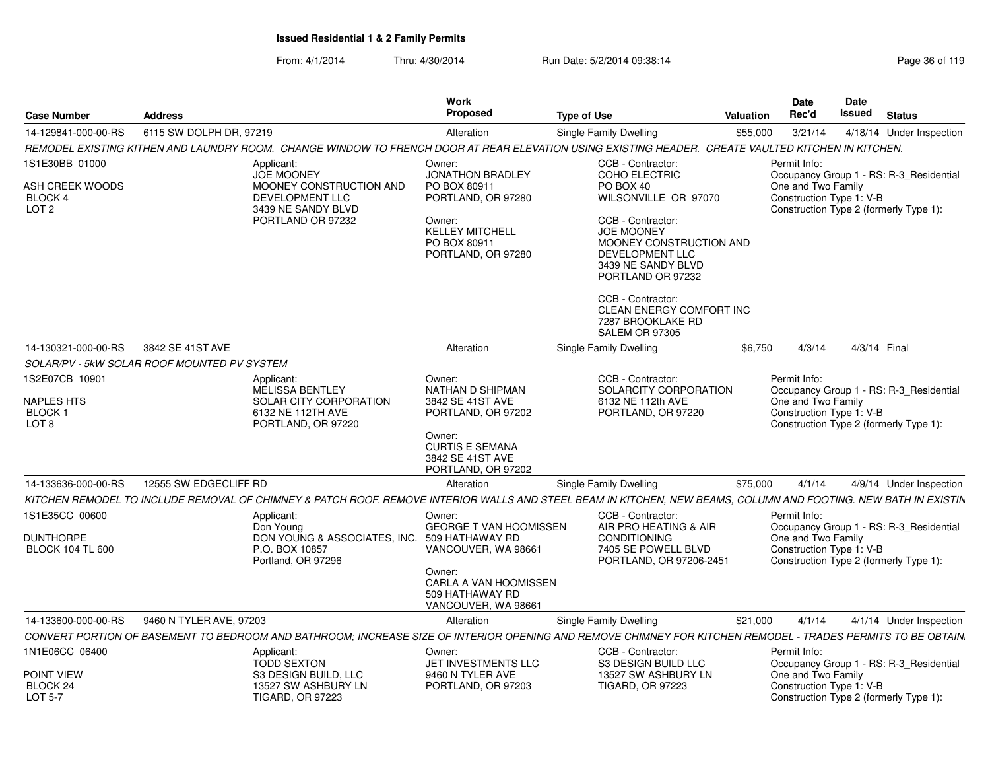| <b>Case Number</b>                                                       | <b>Address</b>                                                                                            |                                                                                                                                                                 | <b>Work</b><br><b>Proposed</b>                                                                                                             | <b>Type of Use</b>                                                                                                                                                                                                                                                               | Valuation | <b>Date</b><br>Rec'd                                           | Date<br>Issued | <b>Status</b>                                                                     |
|--------------------------------------------------------------------------|-----------------------------------------------------------------------------------------------------------|-----------------------------------------------------------------------------------------------------------------------------------------------------------------|--------------------------------------------------------------------------------------------------------------------------------------------|----------------------------------------------------------------------------------------------------------------------------------------------------------------------------------------------------------------------------------------------------------------------------------|-----------|----------------------------------------------------------------|----------------|-----------------------------------------------------------------------------------|
| 14-129841-000-00-RS                                                      | 6115 SW DOLPH DR, 97219                                                                                   |                                                                                                                                                                 | Alteration                                                                                                                                 | <b>Single Family Dwelling</b>                                                                                                                                                                                                                                                    | \$55,000  | 3/21/14                                                        |                | 4/18/14 Under Inspection                                                          |
|                                                                          |                                                                                                           | REMODEL EXISTING KITHEN AND LAUNDRY ROOM. CHANGE WINDOW TO FRENCH DOOR AT REAR ELEVATION USING EXISTING HEADER. CREATE VAULTED KITCHEN IN KITCHEN.              |                                                                                                                                            |                                                                                                                                                                                                                                                                                  |           |                                                                |                |                                                                                   |
| 1S1E30BB 01000<br>ASH CREEK WOODS<br>BLOCK 4<br>LOT <sub>2</sub>         |                                                                                                           | Applicant:<br><b>JOE MOONEY</b><br>MOONEY CONSTRUCTION AND<br><b>DEVELOPMENT LLC</b><br>3439 NE SANDY BLVD<br>PORTLAND OR 97232                                 | Owner:<br>JONATHON BRADLEY<br>PO BOX 80911<br>PORTLAND, OR 97280<br>Owner:<br><b>KELLEY MITCHELL</b><br>PO BOX 80911<br>PORTLAND, OR 97280 | CCB - Contractor:<br>COHO ELECTRIC<br>PO BOX 40<br>WILSONVILLE OR 97070<br>CCB - Contractor:<br><b>JOE MOONEY</b><br>MOONEY CONSTRUCTION AND<br>DEVELOPMENT LLC<br>3439 NE SANDY BLVD<br>PORTLAND OR 97232<br>CCB - Contractor:<br>CLEAN ENERGY COMFORT INC<br>7287 BROOKLAKE RD |           | Permit Info:<br>One and Two Family<br>Construction Type 1: V-B |                | Occupancy Group 1 - RS: R-3 Residential<br>Construction Type 2 (formerly Type 1): |
| 14-130321-000-00-RS                                                      | 3842 SE 41ST AVE                                                                                          |                                                                                                                                                                 | Alteration                                                                                                                                 | SALEM OR 97305<br><b>Single Family Dwelling</b>                                                                                                                                                                                                                                  | \$6,750   | 4/3/14                                                         |                | 4/3/14 Final                                                                      |
|                                                                          | SOLAR/PV - 5kW SOLAR ROOF MOUNTED PV SYSTEM                                                               |                                                                                                                                                                 |                                                                                                                                            |                                                                                                                                                                                                                                                                                  |           |                                                                |                |                                                                                   |
| 1S2E07CB 10901<br><b>NAPLES HTS</b><br><b>BLOCK1</b><br>LOT <sub>8</sub> | Applicant:<br><b>MELISSA BENTLEY</b><br>SOLAR CITY CORPORATION<br>6132 NE 112TH AVE<br>PORTLAND, OR 97220 |                                                                                                                                                                 | Owner:<br>NATHAN D SHIPMAN<br>3842 SE 41ST AVE<br>PORTLAND, OR 97202<br>Owner:<br><b>CURTIS E SEMANA</b>                                   | CCB - Contractor:<br>SOLARCITY CORPORATION<br>6132 NE 112th AVE<br>PORTLAND, OR 97220                                                                                                                                                                                            |           | Permit Info:<br>One and Two Family<br>Construction Type 1: V-B |                | Occupancy Group 1 - RS: R-3 Residential<br>Construction Type 2 (formerly Type 1): |
|                                                                          |                                                                                                           |                                                                                                                                                                 | 3842 SE 41ST AVE<br>PORTLAND, OR 97202                                                                                                     |                                                                                                                                                                                                                                                                                  |           |                                                                |                |                                                                                   |
| 14-133636-000-00-RS                                                      | 12555 SW EDGECLIFF RD                                                                                     |                                                                                                                                                                 | Alteration                                                                                                                                 | Single Family Dwelling                                                                                                                                                                                                                                                           | \$75,000  | 4/1/14                                                         |                | 4/9/14 Under Inspection                                                           |
|                                                                          |                                                                                                           | KITCHEN REMODEL TO INCLUDE REMOVAL OF CHIMNEY & PATCH ROOF. REMOVE INTERIOR WALLS AND STEEL BEAM IN KITCHEN, NEW BEAMS, COLUMN AND FOOTING. NEW BATH IN EXISTIN |                                                                                                                                            |                                                                                                                                                                                                                                                                                  |           |                                                                |                |                                                                                   |
| 1S1E35CC 00600<br><b>DUNTHORPE</b><br><b>BLOCK 104 TL 600</b>            |                                                                                                           | Applicant:<br>Don Young<br>DON YOUNG & ASSOCIATES, INC. 509 HATHAWAY RD<br>P.O. BOX 10857<br>Portland, OR 97296                                                 | Owner:<br>GEORGE T VAN HOOMISSEN<br>VANCOUVER, WA 98661<br>Owner:<br>CARLA A VAN HOOMISSEN<br>509 HATHAWAY RD<br>VANCOUVER, WA 98661       | CCB - Contractor:<br>AIR PRO HEATING & AIR<br><b>CONDITIONING</b><br>7405 SE POWELL BLVD<br>PORTLAND, OR 97206-2451                                                                                                                                                              |           | Permit Info:<br>One and Two Family<br>Construction Type 1: V-B |                | Occupancy Group 1 - RS: R-3_Residential<br>Construction Type 2 (formerly Type 1): |
| 14-133600-000-00-RS                                                      | 9460 N TYLER AVE, 97203                                                                                   |                                                                                                                                                                 | Alteration                                                                                                                                 | Single Family Dwelling                                                                                                                                                                                                                                                           | \$21,000  | 4/1/14                                                         |                | 4/1/14 Under Inspection                                                           |
|                                                                          |                                                                                                           | CONVERT PORTION OF BASEMENT TO BEDROOM AND BATHROOM; INCREASE SIZE OF INTERIOR OPENING AND REMOVE CHIMNEY FOR KITCHEN REMODEL - TRADES PERMITS TO BE OBTAIN.    |                                                                                                                                            |                                                                                                                                                                                                                                                                                  |           |                                                                |                |                                                                                   |
| 1N1E06CC 06400<br>POINT VIEW                                             |                                                                                                           | Applicant:<br><b>TODD SEXTON</b><br>S3 DESIGN BUILD, LLC                                                                                                        | Owner:<br>JET INVESTMENTS LLC<br>9460 N TYLER AVE                                                                                          | CCB - Contractor:<br>S3 DESIGN BUILD LLC<br>13527 SW ASHBURY LN                                                                                                                                                                                                                  |           | Permit Info:<br>One and Two Family                             |                | Occupancy Group 1 - RS: R-3_Residential                                           |
| BLOCK 24<br>LOT 5-7                                                      |                                                                                                           | 13527 SW ASHBURY LN<br><b>TIGARD, OR 97223</b>                                                                                                                  | PORTLAND, OR 97203                                                                                                                         | <b>TIGARD, OR 97223</b>                                                                                                                                                                                                                                                          |           | Construction Type 1: V-B                                       |                | Construction Type 2 (formerly Type 1):                                            |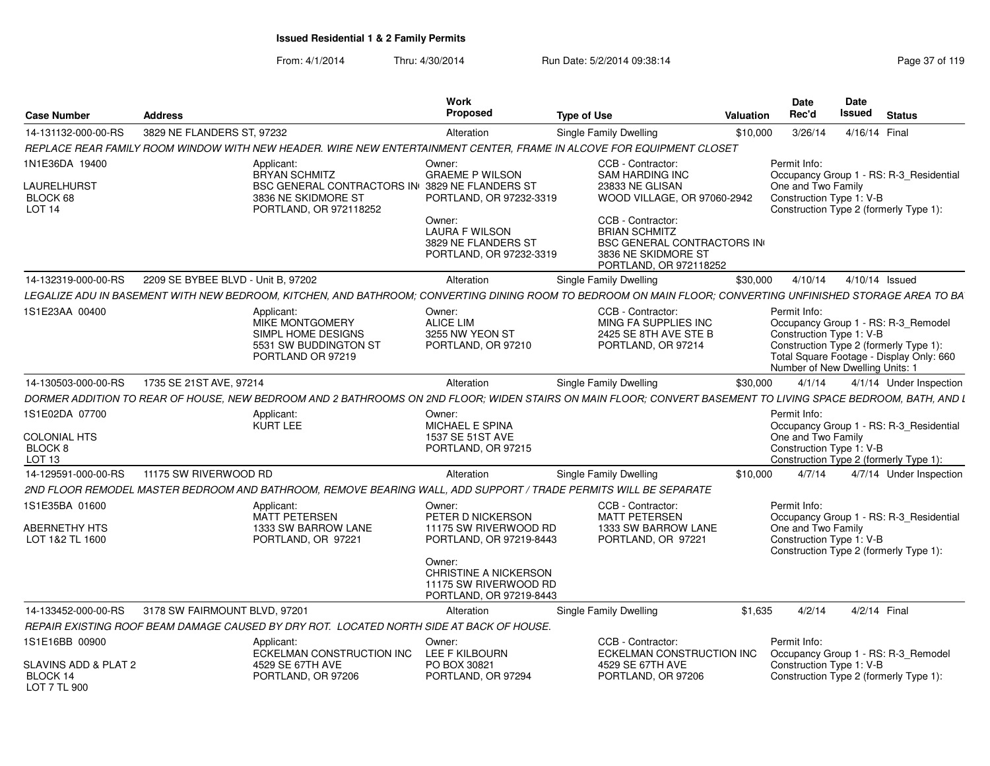| <b>Case Number</b>                               | <b>Address</b>                     |                                                                                                                                                               | Work<br><b>Proposed</b>                                                                    | <b>Type of Use</b>                                                                      | Valuation                         | <b>Date</b><br>Rec'd                                                        | <b>Date</b><br>Issued | <b>Status</b>                                                                                                             |
|--------------------------------------------------|------------------------------------|---------------------------------------------------------------------------------------------------------------------------------------------------------------|--------------------------------------------------------------------------------------------|-----------------------------------------------------------------------------------------|-----------------------------------|-----------------------------------------------------------------------------|-----------------------|---------------------------------------------------------------------------------------------------------------------------|
| 14-131132-000-00-RS                              | 3829 NE FLANDERS ST, 97232         |                                                                                                                                                               | Alteration                                                                                 | Single Family Dwelling                                                                  | \$10,000                          | 3/26/14                                                                     | 4/16/14 Final         |                                                                                                                           |
|                                                  |                                    | REPLACE REAR FAMILY ROOM WINDOW WITH NEW HEADER. WIRE NEW ENTERTAINMENT CENTER, FRAME IN ALCOVE FOR EQUIPMENT CLOSET                                          |                                                                                            |                                                                                         |                                   |                                                                             |                       |                                                                                                                           |
| 1N1E36DA 19400<br>LAURELHURST                    |                                    | Applicant:<br><b>BRYAN SCHMITZ</b><br><b>BSC GENERAL CONTRACTORS IN 3829 NE FLANDERS ST</b>                                                                   | Owner:<br><b>GRAEME P WILSON</b>                                                           | CCB - Contractor:<br><b>SAM HARDING INC</b><br>23833 NE GLISAN                          |                                   | Permit Info:<br>One and Two Family                                          |                       | Occupancy Group 1 - RS: R-3 Residential                                                                                   |
| BLOCK 68<br><b>LOT 14</b>                        |                                    | 3836 NE SKIDMORE ST<br>PORTLAND, OR 972118252                                                                                                                 | PORTLAND, OR 97232-3319<br>Owner:                                                          | CCB - Contractor:                                                                       | WOOD VILLAGE, OR 97060-2942       | Construction Type 1: V-B                                                    |                       | Construction Type 2 (formerly Type 1):                                                                                    |
|                                                  |                                    |                                                                                                                                                               | <b>LAURA F WILSON</b><br>3829 NE FLANDERS ST<br>PORTLAND, OR 97232-3319                    | <b>BRIAN SCHMITZ</b><br>3836 NE SKIDMORE ST<br>PORTLAND, OR 972118252                   | <b>BSC GENERAL CONTRACTORS IN</b> |                                                                             |                       |                                                                                                                           |
| 14-132319-000-00-RS                              | 2209 SE BYBEE BLVD - Unit B, 97202 |                                                                                                                                                               | Alteration                                                                                 | <b>Single Family Dwelling</b>                                                           | \$30,000                          | 4/10/14                                                                     | 4/10/14 Issued        |                                                                                                                           |
|                                                  |                                    | LEGALIZE ADU IN BASEMENT WITH NEW BEDROOM. KITCHEN. AND BATHROOM: CONVERTING DINING ROOM TO BEDROOM ON MAIN FLOOR: CONVERTING UNFINISHED STORAGE AREA TO BA   |                                                                                            |                                                                                         |                                   |                                                                             |                       |                                                                                                                           |
| 1S1E23AA 00400                                   |                                    | Applicant:<br>MIKE MONTGOMERY<br>SIMPL HOME DESIGNS<br>5531 SW BUDDINGTON ST<br>PORTLAND OR 97219                                                             | Owner:<br><b>ALICE LIM</b><br>3255 NW YEON ST<br>PORTLAND, OR 97210                        | CCB - Contractor<br>MING FA SUPPLIES INC<br>2425 SE 8TH AVE STE B<br>PORTLAND, OR 97214 |                                   | Permit Info:<br>Construction Type 1: V-B<br>Number of New Dwelling Units: 1 |                       | Occupancy Group 1 - RS: R-3_Remodel<br>Construction Type 2 (formerly Type 1):<br>Total Square Footage - Display Only: 660 |
| 14-130503-000-00-RS                              | 1735 SE 21ST AVE, 97214            |                                                                                                                                                               | Alteration                                                                                 | Single Family Dwelling                                                                  | \$30,000                          | 4/1/14                                                                      |                       | 4/1/14 Under Inspection                                                                                                   |
|                                                  |                                    | DORMER ADDITION TO REAR OF HOUSE. NEW BEDROOM AND 2 BATHROOMS ON 2ND FLOOR: WIDEN STAIRS ON MAIN FLOOR: CONVERT BASEMENT TO LIVING SPACE BEDROOM. BATH. AND L |                                                                                            |                                                                                         |                                   |                                                                             |                       |                                                                                                                           |
| 1S1E02DA 07700                                   |                                    | Applicant:                                                                                                                                                    | Owner:                                                                                     |                                                                                         |                                   | Permit Info:                                                                |                       |                                                                                                                           |
|                                                  |                                    | <b>KURT LEE</b>                                                                                                                                               | MICHAEL E SPINA                                                                            |                                                                                         |                                   |                                                                             |                       | Occupancy Group 1 - RS: R-3 Residential                                                                                   |
| <b>COLONIAL HTS</b><br>BLOCK 8<br>LOT 13         |                                    |                                                                                                                                                               | 1537 SE 51ST AVE<br>PORTLAND, OR 97215                                                     |                                                                                         |                                   | One and Two Family<br>Construction Type 1: V-B                              |                       | Construction Type 2 (formerly Type 1):                                                                                    |
| 14-129591-000-00-RS                              | 11175 SW RIVERWOOD RD              |                                                                                                                                                               | Alteration                                                                                 | Single Family Dwelling                                                                  | \$10,000                          | 4/7/14                                                                      |                       | 4/7/14 Under Inspection                                                                                                   |
|                                                  |                                    | 2ND FLOOR REMODEL MASTER BEDROOM AND BATHROOM, REMOVE BEARING WALL, ADD SUPPORT / TRADE PERMITS WILL BE SEPARATE                                              |                                                                                            |                                                                                         |                                   |                                                                             |                       |                                                                                                                           |
| 1S1E35BA 01600                                   |                                    | Applicant:<br><b>MATT PETERSEN</b>                                                                                                                            | Owner:<br>PETER D NICKERSON                                                                | CCB - Contractor:<br><b>MATT PETERSEN</b>                                               |                                   | Permit Info:                                                                |                       | Occupancy Group 1 - RS: R-3_Residential                                                                                   |
| ABERNETHY HTS<br>LOT 1&2 TL 1600                 |                                    | 1333 SW BARROW LANE<br>PORTLAND, OR 97221                                                                                                                     | 11175 SW RIVERWOOD RD<br>PORTLAND, OR 97219-8443                                           | 1333 SW BARROW LANE<br>PORTLAND, OR 97221                                               |                                   | One and Two Family<br>Construction Type 1: V-B                              |                       | Construction Type 2 (formerly Type 1):                                                                                    |
|                                                  |                                    |                                                                                                                                                               | Owner:<br><b>CHRISTINE A NICKERSON</b><br>11175 SW RIVERWOOD RD<br>PORTLAND, OR 97219-8443 |                                                                                         |                                   |                                                                             |                       |                                                                                                                           |
| 14-133452-000-00-RS                              | 3178 SW FAIRMOUNT BLVD, 97201      |                                                                                                                                                               | Alteration                                                                                 | Single Family Dwelling                                                                  | \$1.635                           | 4/2/14                                                                      | 4/2/14 Final          |                                                                                                                           |
|                                                  |                                    | REPAIR EXISTING ROOF BEAM DAMAGE CAUSED BY DRY ROT. LOCATED NORTH SIDE AT BACK OF HOUSE.                                                                      |                                                                                            |                                                                                         |                                   |                                                                             |                       |                                                                                                                           |
| 1S1E16BB 00900                                   |                                    | Applicant:<br>ECKELMAN CONSTRUCTION INC                                                                                                                       | Owner:<br>LEE F KILBOURN                                                                   | CCB - Contractor:                                                                       | ECKELMAN CONSTRUCTION INC         | Permit Info:                                                                |                       | Occupancy Group 1 - RS: R-3 Remodel                                                                                       |
| SLAVINS ADD & PLAT 2<br>BLOCK 14<br>LOT 7 TL 900 |                                    | 4529 SE 67TH AVE<br>PORTLAND, OR 97206                                                                                                                        | PO BOX 30821<br>PORTLAND, OR 97294                                                         | 4529 SE 67TH AVE<br>PORTLAND, OR 97206                                                  |                                   | Construction Type 1: V-B                                                    |                       | Construction Type 2 (formerly Type 1):                                                                                    |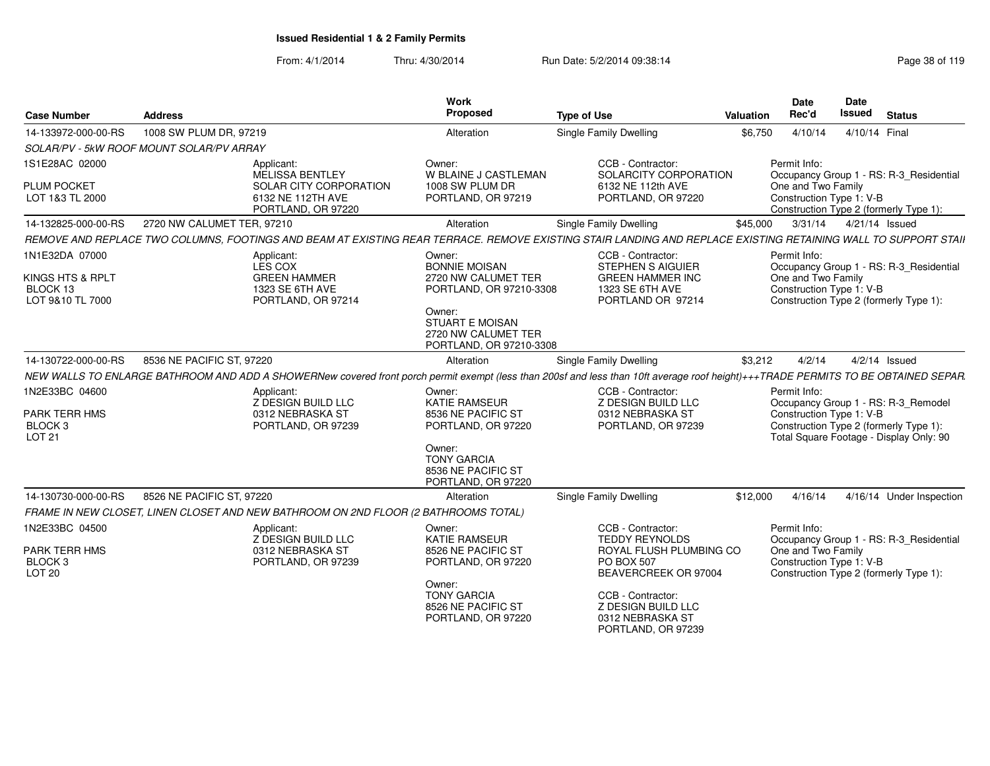| <b>Case Number</b>                                                     | <b>Address</b>                                                                                                                                                                     | <b>Work</b><br>Proposed                                                                    | <b>Type of Use</b>                                                                                               | Valuation | <b>Date</b><br>Rec'd                                           | Date<br><b>Issued</b> | <b>Status</b>                                                                                                            |
|------------------------------------------------------------------------|------------------------------------------------------------------------------------------------------------------------------------------------------------------------------------|--------------------------------------------------------------------------------------------|------------------------------------------------------------------------------------------------------------------|-----------|----------------------------------------------------------------|-----------------------|--------------------------------------------------------------------------------------------------------------------------|
| 14-133972-000-00-RS                                                    | 1008 SW PLUM DR, 97219                                                                                                                                                             | Alteration                                                                                 | Single Family Dwelling                                                                                           | \$6,750   | 4/10/14                                                        | 4/10/14 Final         |                                                                                                                          |
|                                                                        | SOLAR/PV - 5kW ROOF MOUNT SOLAR/PV ARRAY                                                                                                                                           |                                                                                            |                                                                                                                  |           |                                                                |                       |                                                                                                                          |
| 1S1E28AC 02000<br><b>PLUM POCKET</b><br>LOT 1&3 TL 2000                | Applicant:<br>MELISSA BENTLEY<br>SOLAR CITY CORPORATION<br>6132 NE 112TH AVE                                                                                                       | Owner:<br>W BLAINE J CASTLEMAN<br>1008 SW PLUM DR<br>PORTLAND, OR 97219                    | CCB - Contractor:<br>SOLARCITY CORPORATION<br>6132 NE 112th AVE<br>PORTLAND, OR 97220                            |           | Permit Info:<br>One and Two Family<br>Construction Type 1: V-B |                       | Occupancy Group 1 - RS: R-3_Residential                                                                                  |
|                                                                        | PORTLAND, OR 97220                                                                                                                                                                 |                                                                                            |                                                                                                                  |           |                                                                |                       | Construction Type 2 (formerly Type 1):                                                                                   |
| 14-132825-000-00-RS                                                    | 2720 NW CALUMET TER, 97210                                                                                                                                                         | Alteration                                                                                 | Single Family Dwelling                                                                                           | \$45,000  | 3/31/14                                                        | 4/21/14 Issued        |                                                                                                                          |
|                                                                        | REMOVE AND REPLACE TWO COLUMNS, FOOTINGS AND BEAM AT EXISTING REAR TERRACE. REMOVE EXISTING STAIR LANDING AND REPLACE EXISTING RETAINING WALL TO SUPPORT STAII                     |                                                                                            |                                                                                                                  |           |                                                                |                       |                                                                                                                          |
| 1N1E32DA 07000<br>KINGS HTS & RPLT<br>BLOCK 13<br>LOT 9&10 TL 7000     | Applicant:<br>LES COX<br><b>GREEN HAMMER</b><br>1323 SE 6TH AVE<br>PORTLAND, OR 97214                                                                                              | Owner:<br><b>BONNIE MOISAN</b><br>2720 NW CALUMET TER<br>PORTLAND, OR 97210-3308<br>Owner: | CCB - Contractor:<br><b>STEPHEN S AIGUIER</b><br><b>GREEN HAMMER INC</b><br>1323 SE 6TH AVE<br>PORTLAND OR 97214 |           | Permit Info:<br>One and Two Family<br>Construction Type 1: V-B |                       | Occupancy Group 1 - RS: R-3_Residential<br>Construction Type 2 (formerly Type 1):                                        |
|                                                                        |                                                                                                                                                                                    | <b>STUART E MOISAN</b><br>2720 NW CALUMET TER<br>PORTLAND, OR 97210-3308                   |                                                                                                                  |           |                                                                |                       |                                                                                                                          |
| 14-130722-000-00-RS                                                    | 8536 NE PACIFIC ST, 97220                                                                                                                                                          | Alteration                                                                                 | Single Family Dwelling                                                                                           | \$3,212   | 4/2/14                                                         |                       | $4/2/14$ Issued                                                                                                          |
|                                                                        | NEW WALLS TO ENLARGE BATHROOM AND ADD A SHOWERNew covered front porch permit exempt (less than 200sf and less than 10ft average roof height)+++TRADE PERMITS TO BE OBTAINED SEPAR. |                                                                                            |                                                                                                                  |           |                                                                |                       |                                                                                                                          |
| 1N2E33BC 04600<br>PARK TERR HMS<br><b>BLOCK3</b><br>LOT 21             | Applicant:<br><b>Z DESIGN BUILD LLC</b><br>0312 NEBRASKA ST<br>PORTLAND, OR 97239                                                                                                  | Owner:<br><b>KATIE RAMSEUR</b><br>8536 NE PACIFIC ST<br>PORTLAND, OR 97220                 | CCB - Contractor:<br>Z DESIGN BUILD LLC<br>0312 NEBRASKA ST<br>PORTLAND, OR 97239                                |           | Permit Info:<br>Construction Type 1: V-B                       |                       | Occupancy Group 1 - RS: R-3_Remodel<br>Construction Type 2 (formerly Type 1):<br>Total Square Footage - Display Only: 90 |
|                                                                        |                                                                                                                                                                                    | Owner:<br><b>TONY GARCIA</b><br>8536 NE PACIFIC ST<br>PORTLAND, OR 97220                   |                                                                                                                  |           |                                                                |                       |                                                                                                                          |
| 14-130730-000-00-RS                                                    | 8526 NE PACIFIC ST, 97220                                                                                                                                                          | Alteration                                                                                 | <b>Single Family Dwelling</b>                                                                                    | \$12,000  | 4/16/14                                                        |                       | 4/16/14 Under Inspection                                                                                                 |
|                                                                        | FRAME IN NEW CLOSET, LINEN CLOSET AND NEW BATHROOM ON 2ND FLOOR (2 BATHROOMS TOTAL)                                                                                                |                                                                                            |                                                                                                                  |           |                                                                |                       |                                                                                                                          |
| 1N2E33BC 04500<br>PARK TERR HMS<br>BLOCK <sub>3</sub><br><b>LOT 20</b> | Applicant:<br><b>Z DESIGN BUILD LLC</b><br>0312 NEBRASKA ST<br>PORTLAND, OR 97239                                                                                                  | Owner:<br>KATIE RAMSEUR<br>8526 NE PACIFIC ST<br>PORTLAND, OR 97220                        | CCB - Contractor:<br><b>TEDDY REYNOLDS</b><br>ROYAL FLUSH PLUMBING CO<br>PO BOX 507<br>BEAVERCREEK OR 97004      |           | Permit Info:<br>One and Two Family<br>Construction Type 1: V-B |                       | Occupancy Group 1 - RS: R-3_Residential<br>Construction Type 2 (formerly Type 1):                                        |
|                                                                        |                                                                                                                                                                                    | Owner:<br><b>TONY GARCIA</b><br>8526 NE PACIFIC ST<br>PORTLAND, OR 97220                   | CCB - Contractor:<br>Z DESIGN BUILD LLC<br>0312 NEBRASKA ST<br>PORTLAND, OR 97239                                |           |                                                                |                       |                                                                                                                          |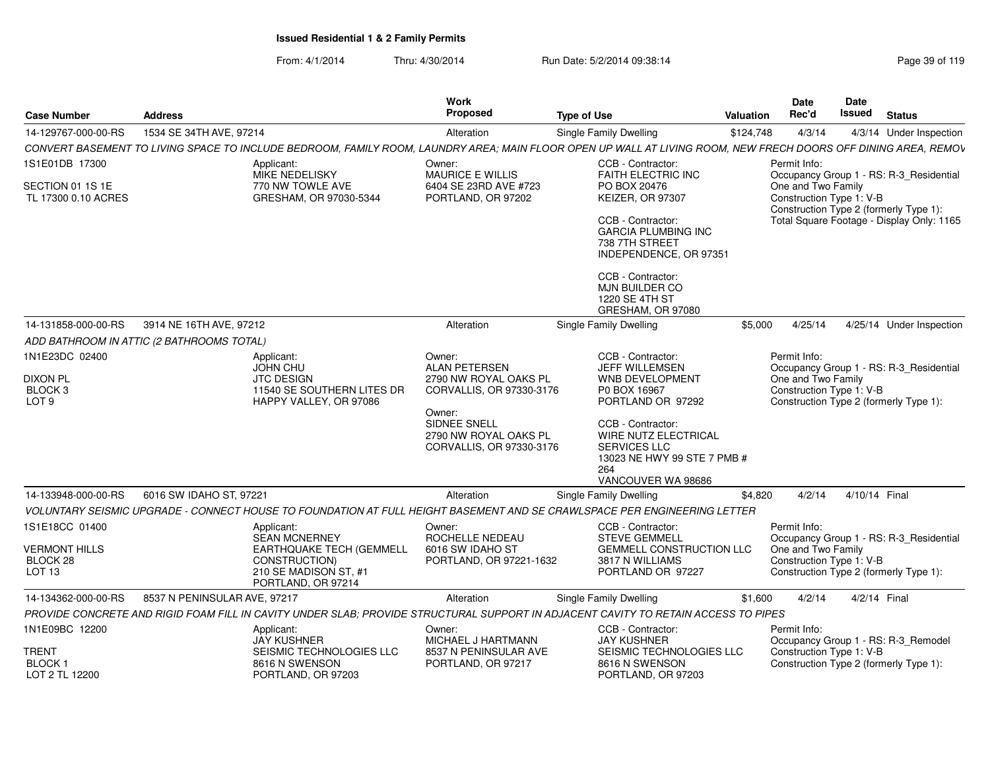| 1534 SE 34TH AVE, 97214<br>14-129767-000-00-RS<br>Single Family Dwelling<br>\$124,748<br>4/3/14<br>4/3/14 Under Inspection<br>Alteration<br>1S1E01DB 17300<br>CCB - Contractor:<br>Permit Info:<br>Applicant:<br>Owner:<br><b>MIKE NEDELISKY</b><br><b>MAURICE E WILLIS</b><br><b>FAITH ELECTRIC INC</b><br>Occupancy Group 1 - RS: R-3 Residential<br>770 NW TOWLE AVE<br>6404 SE 23RD AVE #723<br>PO BOX 20476<br>One and Two Family<br>GRESHAM, OR 97030-5344<br>PORTLAND, OR 97202<br>KEIZER, OR 97307<br>Construction Type 1: V-B<br>Construction Type 2 (formerly Type 1):<br>CCB - Contractor:<br><b>GARCIA PLUMBING INC</b><br>738 7TH STREET<br>INDEPENDENCE, OR 97351<br>CCB - Contractor:<br><b>MJN BUILDER CO</b><br><b>1220 SE 4TH ST</b><br>GRESHAM, OR 97080<br>3914 NE 16TH AVE, 97212<br>\$5,000<br>4/25/14<br>Alteration<br>Single Family Dwelling<br>ADD BATHROOM IN ATTIC (2 BATHROOMS TOTAL)<br>CCB - Contractor:<br>Owner:<br>Permit Info:<br>Applicant:<br><b>JOHN CHU</b><br><b>ALAN PETERSEN</b><br>JEFF WILLEMSEN<br>Occupancy Group 1 - RS: R-3_Residential<br>One and Two Family<br><b>JTC DESIGN</b><br>2790 NW ROYAL OAKS PL<br>WNB DEVELOPMENT<br>11540 SE SOUTHERN LITES DR<br>Construction Type 1: V-B<br>P0 BOX 16967<br>CORVALLIS, OR 97330-3176<br>PORTLAND OR 97292<br>Construction Type 2 (formerly Type 1):<br>HAPPY VALLEY, OR 97086<br>Owner:<br><b>SIDNEE SNELL</b><br>CCB - Contractor:<br>WIRE NUTZ ELECTRICAL<br>2790 NW ROYAL OAKS PL<br>CORVALLIS, OR 97330-3176<br><b>SERVICES LLC</b><br>13023 NE HWY 99 STE 7 PMB #<br>264<br>VANCOUVER WA 98686<br>14-133948-000-00-RS<br>6016 SW IDAHO ST, 97221<br>\$4,820<br>4/2/14<br>4/10/14 Final<br>Alteration<br>Single Family Dwelling<br>VOLUNTARY SEISMIC UPGRADE - CONNECT HOUSE TO FOUNDATION AT FULL HEIGHT BASEMENT AND SE CRAWLSPACE PER ENGINEERING LETTER<br>CCB - Contractor:<br>Permit Info:<br>Applicant:<br>Owner:<br><b>SEAN MCNERNEY</b><br>ROCHELLE NEDEAU<br><b>STEVE GEMMELL</b><br>Occupancy Group 1 - RS: R-3 Residential<br><b>EARTHQUAKE TECH (GEMMELL</b><br>6016 SW IDAHO ST<br><b>GEMMELL CONSTRUCTION LLC</b><br>One and Two Family<br>BLOCK 28<br>CONSTRUCTION)<br>3817 N WILLIAMS<br>Construction Type 1: V-B<br>PORTLAND, OR 97221-1632<br>210 SE MADISON ST, #1<br>PORTLAND OR 97227<br>Construction Type 2 (formerly Type 1):<br>PORTLAND, OR 97214<br>8537 N PENINSULAR AVE, 97217<br>4/2/14<br>14-134362-000-00-RS<br>Alteration<br>Single Family Dwelling<br>\$1.600<br>4/2/14 Final<br>PROVIDE CONCRETE AND RIGID FOAM FILL IN CAVITY UNDER SLAB; PROVIDE STRUCTURAL SUPPORT IN ADJACENT CAVITY TO RETAIN ACCESS TO PIPES<br>Applicant:<br>CCB - Contractor:<br>Permit Info:<br>Owner:<br><b>JAY KUSHNER</b><br>MICHAEL J HARTMANN<br><b>JAY KUSHNER</b><br>Occupancy Group 1 - RS: R-3 Remodel<br>SEISMIC TECHNOLOGIES LLC<br>8537 N PENINSULAR AVE<br>SEISMIC TECHNOLOGIES LLC<br>Construction Type 1: V-B<br>8616 N SWENSON<br>8616 N SWENSON<br>Construction Type 2 (formerly Type 1):<br>PORTLAND, OR 97217 | <b>Case Number</b>                                        | <b>Address</b> | Work<br>Proposed | <b>Type of Use</b> | Valuation | Date<br>Rec'd | Date<br><b>Issued</b> | <b>Status</b> |
|-------------------------------------------------------------------------------------------------------------------------------------------------------------------------------------------------------------------------------------------------------------------------------------------------------------------------------------------------------------------------------------------------------------------------------------------------------------------------------------------------------------------------------------------------------------------------------------------------------------------------------------------------------------------------------------------------------------------------------------------------------------------------------------------------------------------------------------------------------------------------------------------------------------------------------------------------------------------------------------------------------------------------------------------------------------------------------------------------------------------------------------------------------------------------------------------------------------------------------------------------------------------------------------------------------------------------------------------------------------------------------------------------------------------------------------------------------------------------------------------------------------------------------------------------------------------------------------------------------------------------------------------------------------------------------------------------------------------------------------------------------------------------------------------------------------------------------------------------------------------------------------------------------------------------------------------------------------------------------------------------------------------------------------------------------------------------------------------------------------------------------------------------------------------------------------------------------------------------------------------------------------------------------------------------------------------------------------------------------------------------------------------------------------------------------------------------------------------------------------------------------------------------------------------------------------------------------------------------------------------------------------------------------------------------------------------------------------------------------------------------------------------------------------------------------------------------------------------------------------------------------------------------------------------------------------------------------------------------------------------------------------------------------------------------|-----------------------------------------------------------|----------------|------------------|--------------------|-----------|---------------|-----------------------|---------------|
| CONVERT BASEMENT TO LIVING SPACE TO INCLUDE BEDROOM, FAMILY ROOM, LAUNDRY AREA; MAIN FLOOR OPEN UP WALL AT LIVING ROOM, NEW FRECH DOORS OFF DINING AREA, REMOV<br>Total Square Footage - Display Only: 1165<br>4/25/14 Under Inspection                                                                                                                                                                                                                                                                                                                                                                                                                                                                                                                                                                                                                                                                                                                                                                                                                                                                                                                                                                                                                                                                                                                                                                                                                                                                                                                                                                                                                                                                                                                                                                                                                                                                                                                                                                                                                                                                                                                                                                                                                                                                                                                                                                                                                                                                                                                                                                                                                                                                                                                                                                                                                                                                                                                                                                                                         |                                                           |                |                  |                    |           |               |                       |               |
|                                                                                                                                                                                                                                                                                                                                                                                                                                                                                                                                                                                                                                                                                                                                                                                                                                                                                                                                                                                                                                                                                                                                                                                                                                                                                                                                                                                                                                                                                                                                                                                                                                                                                                                                                                                                                                                                                                                                                                                                                                                                                                                                                                                                                                                                                                                                                                                                                                                                                                                                                                                                                                                                                                                                                                                                                                                                                                                                                                                                                                                 |                                                           |                |                  |                    |           |               |                       |               |
|                                                                                                                                                                                                                                                                                                                                                                                                                                                                                                                                                                                                                                                                                                                                                                                                                                                                                                                                                                                                                                                                                                                                                                                                                                                                                                                                                                                                                                                                                                                                                                                                                                                                                                                                                                                                                                                                                                                                                                                                                                                                                                                                                                                                                                                                                                                                                                                                                                                                                                                                                                                                                                                                                                                                                                                                                                                                                                                                                                                                                                                 |                                                           |                |                  |                    |           |               |                       |               |
|                                                                                                                                                                                                                                                                                                                                                                                                                                                                                                                                                                                                                                                                                                                                                                                                                                                                                                                                                                                                                                                                                                                                                                                                                                                                                                                                                                                                                                                                                                                                                                                                                                                                                                                                                                                                                                                                                                                                                                                                                                                                                                                                                                                                                                                                                                                                                                                                                                                                                                                                                                                                                                                                                                                                                                                                                                                                                                                                                                                                                                                 | SECTION 01 1S 1E<br>TL 17300 0.10 ACRES                   |                |                  |                    |           |               |                       |               |
|                                                                                                                                                                                                                                                                                                                                                                                                                                                                                                                                                                                                                                                                                                                                                                                                                                                                                                                                                                                                                                                                                                                                                                                                                                                                                                                                                                                                                                                                                                                                                                                                                                                                                                                                                                                                                                                                                                                                                                                                                                                                                                                                                                                                                                                                                                                                                                                                                                                                                                                                                                                                                                                                                                                                                                                                                                                                                                                                                                                                                                                 |                                                           |                |                  |                    |           |               |                       |               |
|                                                                                                                                                                                                                                                                                                                                                                                                                                                                                                                                                                                                                                                                                                                                                                                                                                                                                                                                                                                                                                                                                                                                                                                                                                                                                                                                                                                                                                                                                                                                                                                                                                                                                                                                                                                                                                                                                                                                                                                                                                                                                                                                                                                                                                                                                                                                                                                                                                                                                                                                                                                                                                                                                                                                                                                                                                                                                                                                                                                                                                                 |                                                           |                |                  |                    |           |               |                       |               |
|                                                                                                                                                                                                                                                                                                                                                                                                                                                                                                                                                                                                                                                                                                                                                                                                                                                                                                                                                                                                                                                                                                                                                                                                                                                                                                                                                                                                                                                                                                                                                                                                                                                                                                                                                                                                                                                                                                                                                                                                                                                                                                                                                                                                                                                                                                                                                                                                                                                                                                                                                                                                                                                                                                                                                                                                                                                                                                                                                                                                                                                 | 14-131858-000-00-RS                                       |                |                  |                    |           |               |                       |               |
|                                                                                                                                                                                                                                                                                                                                                                                                                                                                                                                                                                                                                                                                                                                                                                                                                                                                                                                                                                                                                                                                                                                                                                                                                                                                                                                                                                                                                                                                                                                                                                                                                                                                                                                                                                                                                                                                                                                                                                                                                                                                                                                                                                                                                                                                                                                                                                                                                                                                                                                                                                                                                                                                                                                                                                                                                                                                                                                                                                                                                                                 |                                                           |                |                  |                    |           |               |                       |               |
|                                                                                                                                                                                                                                                                                                                                                                                                                                                                                                                                                                                                                                                                                                                                                                                                                                                                                                                                                                                                                                                                                                                                                                                                                                                                                                                                                                                                                                                                                                                                                                                                                                                                                                                                                                                                                                                                                                                                                                                                                                                                                                                                                                                                                                                                                                                                                                                                                                                                                                                                                                                                                                                                                                                                                                                                                                                                                                                                                                                                                                                 | 1N1E23DC 02400                                            |                |                  |                    |           |               |                       |               |
|                                                                                                                                                                                                                                                                                                                                                                                                                                                                                                                                                                                                                                                                                                                                                                                                                                                                                                                                                                                                                                                                                                                                                                                                                                                                                                                                                                                                                                                                                                                                                                                                                                                                                                                                                                                                                                                                                                                                                                                                                                                                                                                                                                                                                                                                                                                                                                                                                                                                                                                                                                                                                                                                                                                                                                                                                                                                                                                                                                                                                                                 | <b>DIXON PL</b><br>BLOCK <sub>3</sub><br>LOT <sub>9</sub> |                |                  |                    |           |               |                       |               |
|                                                                                                                                                                                                                                                                                                                                                                                                                                                                                                                                                                                                                                                                                                                                                                                                                                                                                                                                                                                                                                                                                                                                                                                                                                                                                                                                                                                                                                                                                                                                                                                                                                                                                                                                                                                                                                                                                                                                                                                                                                                                                                                                                                                                                                                                                                                                                                                                                                                                                                                                                                                                                                                                                                                                                                                                                                                                                                                                                                                                                                                 |                                                           |                |                  |                    |           |               |                       |               |
|                                                                                                                                                                                                                                                                                                                                                                                                                                                                                                                                                                                                                                                                                                                                                                                                                                                                                                                                                                                                                                                                                                                                                                                                                                                                                                                                                                                                                                                                                                                                                                                                                                                                                                                                                                                                                                                                                                                                                                                                                                                                                                                                                                                                                                                                                                                                                                                                                                                                                                                                                                                                                                                                                                                                                                                                                                                                                                                                                                                                                                                 |                                                           |                |                  |                    |           |               |                       |               |
|                                                                                                                                                                                                                                                                                                                                                                                                                                                                                                                                                                                                                                                                                                                                                                                                                                                                                                                                                                                                                                                                                                                                                                                                                                                                                                                                                                                                                                                                                                                                                                                                                                                                                                                                                                                                                                                                                                                                                                                                                                                                                                                                                                                                                                                                                                                                                                                                                                                                                                                                                                                                                                                                                                                                                                                                                                                                                                                                                                                                                                                 |                                                           |                |                  |                    |           |               |                       |               |
|                                                                                                                                                                                                                                                                                                                                                                                                                                                                                                                                                                                                                                                                                                                                                                                                                                                                                                                                                                                                                                                                                                                                                                                                                                                                                                                                                                                                                                                                                                                                                                                                                                                                                                                                                                                                                                                                                                                                                                                                                                                                                                                                                                                                                                                                                                                                                                                                                                                                                                                                                                                                                                                                                                                                                                                                                                                                                                                                                                                                                                                 | 1S1E18CC 01400                                            |                |                  |                    |           |               |                       |               |
|                                                                                                                                                                                                                                                                                                                                                                                                                                                                                                                                                                                                                                                                                                                                                                                                                                                                                                                                                                                                                                                                                                                                                                                                                                                                                                                                                                                                                                                                                                                                                                                                                                                                                                                                                                                                                                                                                                                                                                                                                                                                                                                                                                                                                                                                                                                                                                                                                                                                                                                                                                                                                                                                                                                                                                                                                                                                                                                                                                                                                                                 | <b>VERMONT HILLS</b>                                      |                |                  |                    |           |               |                       |               |
|                                                                                                                                                                                                                                                                                                                                                                                                                                                                                                                                                                                                                                                                                                                                                                                                                                                                                                                                                                                                                                                                                                                                                                                                                                                                                                                                                                                                                                                                                                                                                                                                                                                                                                                                                                                                                                                                                                                                                                                                                                                                                                                                                                                                                                                                                                                                                                                                                                                                                                                                                                                                                                                                                                                                                                                                                                                                                                                                                                                                                                                 | LOT 13                                                    |                |                  |                    |           |               |                       |               |
|                                                                                                                                                                                                                                                                                                                                                                                                                                                                                                                                                                                                                                                                                                                                                                                                                                                                                                                                                                                                                                                                                                                                                                                                                                                                                                                                                                                                                                                                                                                                                                                                                                                                                                                                                                                                                                                                                                                                                                                                                                                                                                                                                                                                                                                                                                                                                                                                                                                                                                                                                                                                                                                                                                                                                                                                                                                                                                                                                                                                                                                 |                                                           |                |                  |                    |           |               |                       |               |
|                                                                                                                                                                                                                                                                                                                                                                                                                                                                                                                                                                                                                                                                                                                                                                                                                                                                                                                                                                                                                                                                                                                                                                                                                                                                                                                                                                                                                                                                                                                                                                                                                                                                                                                                                                                                                                                                                                                                                                                                                                                                                                                                                                                                                                                                                                                                                                                                                                                                                                                                                                                                                                                                                                                                                                                                                                                                                                                                                                                                                                                 |                                                           |                |                  |                    |           |               |                       |               |
|                                                                                                                                                                                                                                                                                                                                                                                                                                                                                                                                                                                                                                                                                                                                                                                                                                                                                                                                                                                                                                                                                                                                                                                                                                                                                                                                                                                                                                                                                                                                                                                                                                                                                                                                                                                                                                                                                                                                                                                                                                                                                                                                                                                                                                                                                                                                                                                                                                                                                                                                                                                                                                                                                                                                                                                                                                                                                                                                                                                                                                                 | 1N1E09BC 12200                                            |                |                  |                    |           |               |                       |               |
| PORTLAND, OR 97203                                                                                                                                                                                                                                                                                                                                                                                                                                                                                                                                                                                                                                                                                                                                                                                                                                                                                                                                                                                                                                                                                                                                                                                                                                                                                                                                                                                                                                                                                                                                                                                                                                                                                                                                                                                                                                                                                                                                                                                                                                                                                                                                                                                                                                                                                                                                                                                                                                                                                                                                                                                                                                                                                                                                                                                                                                                                                                                                                                                                                              | <b>TRENT</b><br>BLOCK <sub>1</sub><br>LOT 2 TL 12200      |                |                  | PORTLAND, OR 97203 |           |               |                       |               |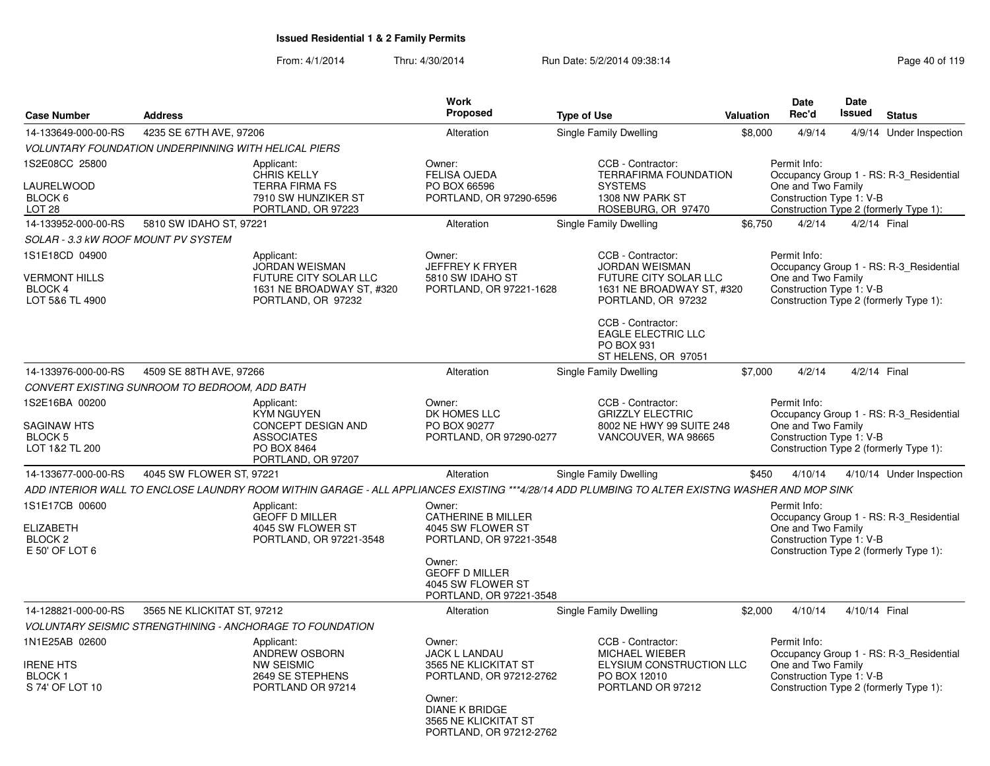| <b>Case Number</b>                                                       | <b>Address</b>                                              |                                                                                                                                                | Work<br>Proposed                                                                                                                                                        | <b>Type of Use</b>            |                                                                                                                        | <b>Valuation</b> | <b>Date</b><br>Rec'd                                           | <b>Date</b><br><b>Issued</b> | <b>Status</b>                                                                     |
|--------------------------------------------------------------------------|-------------------------------------------------------------|------------------------------------------------------------------------------------------------------------------------------------------------|-------------------------------------------------------------------------------------------------------------------------------------------------------------------------|-------------------------------|------------------------------------------------------------------------------------------------------------------------|------------------|----------------------------------------------------------------|------------------------------|-----------------------------------------------------------------------------------|
| 14-133649-000-00-RS                                                      | 4235 SE 67TH AVE, 97206                                     |                                                                                                                                                | Alteration                                                                                                                                                              | Single Family Dwelling        |                                                                                                                        | \$8,000          | 4/9/14                                                         |                              | 4/9/14 Under Inspection                                                           |
|                                                                          | <b>VOLUNTARY FOUNDATION UNDERPINNING WITH HELICAL PIERS</b> |                                                                                                                                                |                                                                                                                                                                         |                               |                                                                                                                        |                  |                                                                |                              |                                                                                   |
| 1S2E08CC 25800<br>LAURELWOOD<br>BLOCK 6<br>LOT <sub>28</sub>             |                                                             | Applicant:<br><b>CHRIS KELLY</b><br><b>TERRA FIRMA FS</b><br>7910 SW HUNZIKER ST<br>PORTLAND, OR 97223                                         | Owner:<br><b>FELISA OJEDA</b><br>PO BOX 66596<br>PORTLAND, OR 97290-6596                                                                                                |                               | CCB - Contractor:<br><b>TERRAFIRMA FOUNDATION</b><br><b>SYSTEMS</b><br>1308 NW PARK ST<br>ROSEBURG, OR 97470           |                  | Permit Info:<br>One and Two Family<br>Construction Type 1: V-B |                              | Occupancy Group 1 - RS: R-3 Residential<br>Construction Type 2 (formerly Type 1): |
| 14-133952-000-00-RS                                                      | 5810 SW IDAHO ST, 97221                                     |                                                                                                                                                | Alteration                                                                                                                                                              | Single Family Dwelling        |                                                                                                                        | \$6.750          | 4/2/14                                                         | 4/2/14 Final                 |                                                                                   |
| SOLAR - 3.3 kW ROOF MOUNT PV SYSTEM                                      |                                                             |                                                                                                                                                |                                                                                                                                                                         |                               |                                                                                                                        |                  |                                                                |                              |                                                                                   |
| 1S1E18CD 04900<br><b>VERMONT HILLS</b><br>BLOCK 4<br>LOT 5&6 TL 4900     |                                                             | Applicant:<br><b>JORDAN WEISMAN</b><br>FUTURE CITY SOLAR LLC<br>1631 NE BROADWAY ST, #320<br>PORTLAND, OR 97232                                | Owner:<br><b>JEFFREY K FRYER</b><br>5810 SW IDAHO ST<br>PORTLAND, OR 97221-1628                                                                                         |                               | CCB - Contractor:<br><b>JORDAN WEISMAN</b><br>FUTURE CITY SOLAR LLC<br>1631 NE BROADWAY ST, #320<br>PORTLAND, OR 97232 |                  | Permit Info:<br>One and Two Family<br>Construction Type 1: V-B |                              | Occupancy Group 1 - RS: R-3_Residential<br>Construction Type 2 (formerly Type 1): |
|                                                                          |                                                             |                                                                                                                                                |                                                                                                                                                                         |                               | CCB - Contractor:<br><b>EAGLE ELECTRIC LLC</b><br>PO BOX 931<br>ST HELENS, OR 97051                                    |                  |                                                                |                              |                                                                                   |
| 14-133976-000-00-RS                                                      | 4509 SE 88TH AVE, 97266                                     |                                                                                                                                                | Alteration                                                                                                                                                              | Single Family Dwelling        |                                                                                                                        | \$7,000          | 4/2/14                                                         | 4/2/14 Final                 |                                                                                   |
|                                                                          | CONVERT EXISTING SUNROOM TO BEDROOM, ADD BATH               |                                                                                                                                                |                                                                                                                                                                         |                               |                                                                                                                        |                  |                                                                |                              |                                                                                   |
| 1S2E16BA 00200<br><b>SAGINAW HTS</b><br><b>BLOCK 5</b><br>LOT 1&2 TL 200 |                                                             | Applicant:<br><b>KYM NGUYEN</b><br><b>CONCEPT DESIGN AND</b><br><b>ASSOCIATES</b><br>PO BOX 8464<br>PORTLAND, OR 97207                         | Owner:<br>DK HOMES LLC<br>PO BOX 90277<br>PORTLAND, OR 97290-0277                                                                                                       |                               | CCB - Contractor:<br><b>GRIZZLY ELECTRIC</b><br>8002 NE HWY 99 SUITE 248<br>VANCOUVER, WA 98665                        |                  | Permit Info:<br>One and Two Family<br>Construction Type 1: V-B |                              | Occupancy Group 1 - RS: R-3_Residential<br>Construction Type 2 (formerly Type 1): |
| 14-133677-000-00-RS                                                      | 4045 SW FLOWER ST, 97221                                    |                                                                                                                                                | Alteration                                                                                                                                                              | <b>Single Family Dwelling</b> |                                                                                                                        | \$450            | 4/10/14                                                        |                              | 4/10/14 Under Inspection                                                          |
|                                                                          |                                                             | ADD INTERIOR WALL TO ENCLOSE LAUNDRY ROOM WITHIN GARAGE - ALL APPLIANCES EXISTING ***4/28/14 ADD PLUMBING TO ALTER EXISTNG WASHER AND MOP SINK |                                                                                                                                                                         |                               |                                                                                                                        |                  |                                                                |                              |                                                                                   |
| 1S1E17CB 00600<br><b>ELIZABETH</b><br><b>BLOCK 2</b><br>E 50' OF LOT 6   |                                                             | Applicant:<br><b>GEOFF D MILLER</b><br>4045 SW FLOWER ST<br>PORTLAND, OR 97221-3548                                                            | Owner:<br><b>CATHERINE B MILLER</b><br>4045 SW FLOWER ST<br>PORTLAND, OR 97221-3548                                                                                     |                               |                                                                                                                        |                  | Permit Info:<br>One and Two Family<br>Construction Type 1: V-B |                              | Occupancy Group 1 - RS: R-3_Residential<br>Construction Type 2 (formerly Type 1): |
|                                                                          |                                                             |                                                                                                                                                | Owner:<br><b>GEOFF D MILLER</b><br>4045 SW FLOWER ST<br>PORTLAND, OR 97221-3548                                                                                         |                               |                                                                                                                        |                  |                                                                |                              |                                                                                   |
| 14-128821-000-00-RS                                                      | 3565 NE KLICKITAT ST, 97212                                 |                                                                                                                                                | Alteration                                                                                                                                                              | Single Family Dwelling        |                                                                                                                        | \$2,000          | 4/10/14                                                        | 4/10/14 Final                |                                                                                   |
|                                                                          |                                                             | <b>VOLUNTARY SEISMIC STRENGTHINING - ANCHORAGE TO FOUNDATION</b>                                                                               |                                                                                                                                                                         |                               |                                                                                                                        |                  |                                                                |                              |                                                                                   |
| 1N1E25AB 02600<br><b>IRENE HTS</b><br>BLOCK 1<br>S 74' OF LOT 10         |                                                             | Applicant:<br><b>ANDREW OSBORN</b><br><b>NW SEISMIC</b><br>2649 SE STEPHENS<br>PORTLAND OR 97214                                               | Owner:<br><b>JACK L LANDAU</b><br>3565 NE KLICKITAT ST<br>PORTLAND, OR 97212-2762<br>Owner:<br><b>DIANE K BRIDGE</b><br>3565 NE KLICKITAT ST<br>PORTLAND, OR 97212-2762 |                               | CCB - Contractor:<br><b>MICHAEL WIEBER</b><br>ELYSIUM CONSTRUCTION LLC<br>PO BOX 12010<br>PORTLAND OR 97212            |                  | Permit Info:<br>One and Two Family<br>Construction Type 1: V-B |                              | Occupancy Group 1 - RS: R-3 Residential<br>Construction Type 2 (formerly Type 1): |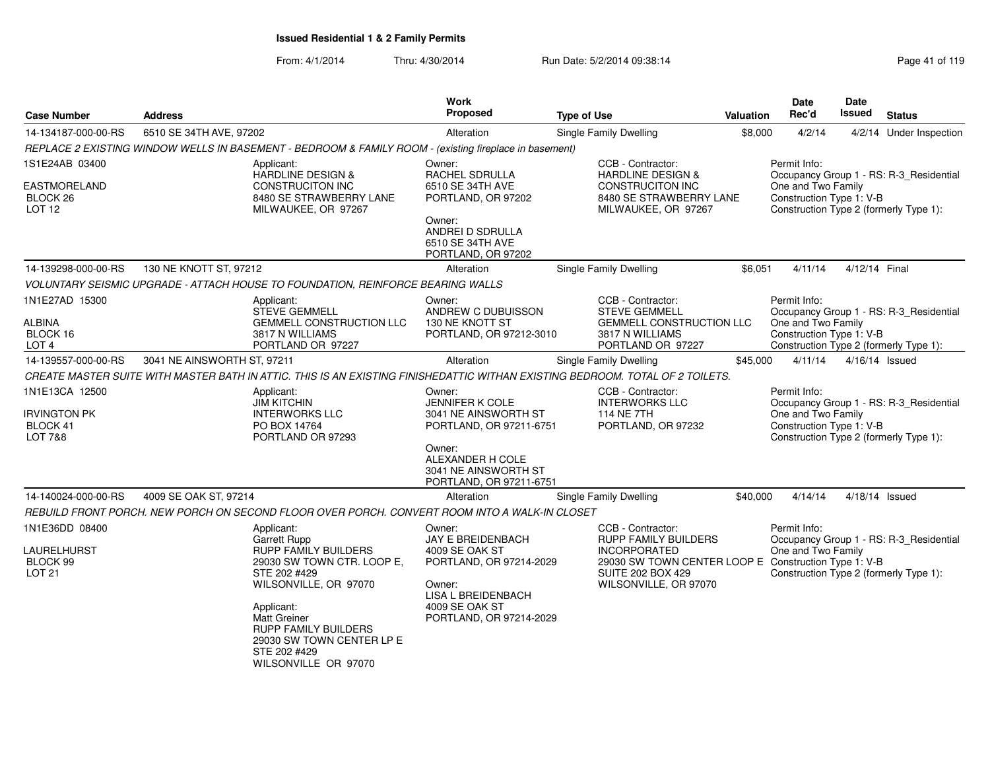| <b>Case Number</b>                                                         | <b>Address</b>              |                                                                                                                                                                                                                                                                           | <b>Work</b><br>Proposed                                                                                                                                             | <b>Type of Use</b>                                                                                                                                                                   | <b>Valuation</b> | <b>Date</b><br>Rec'd                                           | Date<br>Issued | <b>Status</b>                                                                     |
|----------------------------------------------------------------------------|-----------------------------|---------------------------------------------------------------------------------------------------------------------------------------------------------------------------------------------------------------------------------------------------------------------------|---------------------------------------------------------------------------------------------------------------------------------------------------------------------|--------------------------------------------------------------------------------------------------------------------------------------------------------------------------------------|------------------|----------------------------------------------------------------|----------------|-----------------------------------------------------------------------------------|
| 14-134187-000-00-RS                                                        | 6510 SE 34TH AVE, 97202     |                                                                                                                                                                                                                                                                           | Alteration                                                                                                                                                          | Single Family Dwelling                                                                                                                                                               | \$8,000          | 4/2/14                                                         |                | 4/2/14 Under Inspection                                                           |
|                                                                            |                             | REPLACE 2 EXISTING WINDOW WELLS IN BASEMENT - BEDROOM & FAMILY ROOM - (existing fireplace in basement)                                                                                                                                                                    |                                                                                                                                                                     |                                                                                                                                                                                      |                  |                                                                |                |                                                                                   |
| 1S1E24AB 03400<br>EASTMORELAND<br>BLOCK <sub>26</sub><br>LOT <sub>12</sub> |                             | Applicant:<br><b>HARDLINE DESIGN &amp;</b><br><b>CONSTRUCITON INC</b><br>8480 SE STRAWBERRY LANE<br>MILWAUKEE, OR 97267                                                                                                                                                   | Owner:<br>RACHEL SDRULLA<br>6510 SE 34TH AVE<br>PORTLAND, OR 97202<br>Owner:<br>ANDREI D SDRULLA<br>6510 SE 34TH AVE<br>PORTLAND, OR 97202                          | CCB - Contractor:<br><b>HARDLINE DESIGN &amp;</b><br><b>CONSTRUCITON INC</b><br>8480 SE STRAWBERRY LANE<br>MILWAUKEE, OR 97267                                                       |                  | Permit Info:<br>One and Two Family<br>Construction Type 1: V-B |                | Occupancy Group 1 - RS: R-3 Residential<br>Construction Type 2 (formerly Type 1): |
| 14-139298-000-00-RS                                                        | 130 NE KNOTT ST, 97212      |                                                                                                                                                                                                                                                                           | Alteration                                                                                                                                                          | Single Family Dwelling                                                                                                                                                               | \$6,051          | 4/11/14                                                        | 4/12/14 Final  |                                                                                   |
|                                                                            |                             | VOLUNTARY SEISMIC UPGRADE - ATTACH HOUSE TO FOUNDATION, REINFORCE BEARING WALLS                                                                                                                                                                                           |                                                                                                                                                                     |                                                                                                                                                                                      |                  |                                                                |                |                                                                                   |
| 1N1E27AD 15300<br>ALBINA<br>BLOCK 16<br>LOT <sub>4</sub>                   |                             | Applicant:<br><b>STEVE GEMMELL</b><br>GEMMELL CONSTRUCTION LLC<br>3817 N WILLIAMS<br>PORTLAND OR 97227                                                                                                                                                                    | Owner:<br>ANDREW C DUBUISSON<br>130 NE KNOTT ST<br>PORTLAND, OR 97212-3010                                                                                          | CCB - Contractor:<br><b>STEVE GEMMELL</b><br><b>GEMMELL CONSTRUCTION LLC</b><br>3817 N WILLIAMS<br>PORTLAND OR 97227                                                                 |                  | Permit Info:<br>One and Two Family<br>Construction Type 1: V-B |                | Occupancy Group 1 - RS: R-3_Residential<br>Construction Type 2 (formerly Type 1): |
| 14-139557-000-00-RS                                                        | 3041 NE AINSWORTH ST, 97211 |                                                                                                                                                                                                                                                                           | Alteration                                                                                                                                                          | <b>Single Family Dwelling</b>                                                                                                                                                        | \$45,000         | 4/11/14                                                        |                | 4/16/14 Issued                                                                    |
|                                                                            |                             | CREATE MASTER SUITE WITH MASTER BATH IN ATTIC. THIS IS AN EXISTING FINISHEDATTIC WITHAN EXISTING BEDROOM. TOTAL OF 2 TOILETS.                                                                                                                                             |                                                                                                                                                                     |                                                                                                                                                                                      |                  |                                                                |                |                                                                                   |
| 1N1E13CA 12500<br><b>IRVINGTON PK</b><br>BLOCK 41<br><b>LOT 7&amp;8</b>    |                             | Applicant:<br><b>JIM KITCHIN</b><br><b>INTERWORKS LLC</b><br>PO BOX 14764<br>PORTLAND OR 97293                                                                                                                                                                            | Owner:<br>JENNIFER K COLE<br>3041 NE AINSWORTH ST<br>PORTLAND, OR 97211-6751<br>Owner:<br>ALEXANDER H COLE<br>3041 NE AINSWORTH ST<br>PORTLAND, OR 97211-6751       | CCB - Contractor:<br><b>INTERWORKS LLC</b><br>114 NE 7TH<br>PORTLAND, OR 97232                                                                                                       |                  | Permit Info:<br>One and Two Family<br>Construction Type 1: V-B |                | Occupancy Group 1 - RS: R-3_Residential<br>Construction Type 2 (formerly Type 1): |
| 14-140024-000-00-RS                                                        | 4009 SE OAK ST, 97214       |                                                                                                                                                                                                                                                                           | Alteration                                                                                                                                                          | Single Family Dwelling                                                                                                                                                               | \$40,000         | 4/14/14                                                        |                | 4/18/14 Issued                                                                    |
|                                                                            |                             | REBUILD FRONT PORCH. NEW PORCH ON SECOND FLOOR OVER PORCH. CONVERT ROOM INTO A WALK-IN CLOSET                                                                                                                                                                             |                                                                                                                                                                     |                                                                                                                                                                                      |                  |                                                                |                |                                                                                   |
| 1N1E36DD 08400<br>LAURELHURST<br>BLOCK 99<br><b>LOT 21</b>                 |                             | Applicant:<br>Garrett Rupp<br><b>RUPP FAMILY BUILDERS</b><br>29030 SW TOWN CTR. LOOP E,<br>STE 202 #429<br>WILSONVILLE, OR 97070<br>Applicant:<br><b>Matt Greiner</b><br><b>RUPP FAMILY BUILDERS</b><br>29030 SW TOWN CENTER LP E<br>STE 202 #429<br>WILSONVILLE OR 97070 | Owner:<br><b>JAY E BREIDENBACH</b><br>4009 SE OAK ST<br>PORTLAND, OR 97214-2029<br>Owner:<br><b>LISA L BREIDENBACH</b><br>4009 SE OAK ST<br>PORTLAND, OR 97214-2029 | CCB - Contractor:<br><b>RUPP FAMILY BUILDERS</b><br><b>INCORPORATED</b><br>29030 SW TOWN CENTER LOOP E Construction Type 1: V-B<br><b>SUITE 202 BOX 429</b><br>WILSONVILLE, OR 97070 |                  | Permit Info:<br>One and Two Family                             |                | Occupancy Group 1 - RS: R-3_Residential<br>Construction Type 2 (formerly Type 1): |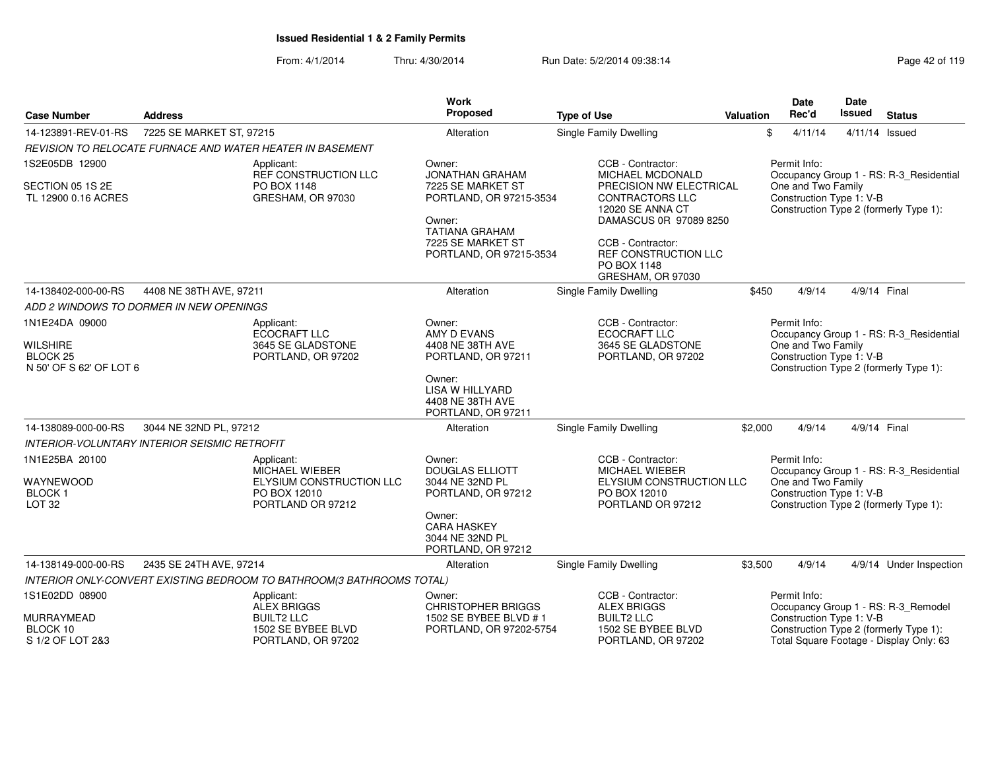| <b>Case Number</b>                                        | <b>Address</b>           |                                                                        | <b>Work</b><br>Proposed                                                          | <b>Type of Use</b>                                                                                                          | <b>Valuation</b> |       | <b>Date</b><br>Rec'd                                           | <b>Date</b><br>Issued | <b>Status</b>                                                                     |
|-----------------------------------------------------------|--------------------------|------------------------------------------------------------------------|----------------------------------------------------------------------------------|-----------------------------------------------------------------------------------------------------------------------------|------------------|-------|----------------------------------------------------------------|-----------------------|-----------------------------------------------------------------------------------|
| 14-123891-REV-01-RS                                       | 7225 SE MARKET ST, 97215 |                                                                        | Alteration                                                                       | Single Family Dwelling                                                                                                      |                  | \$    | 4/11/14                                                        | 4/11/14 Issued        |                                                                                   |
|                                                           |                          | REVISION TO RELOCATE FURNACE AND WATER HEATER IN BASEMENT              |                                                                                  |                                                                                                                             |                  |       |                                                                |                       |                                                                                   |
| 1S2E05DB 12900<br>SECTION 05 1S 2E<br>TL 12900 0.16 ACRES |                          | Applicant:<br>REF CONSTRUCTION LLC<br>PO BOX 1148<br>GRESHAM, OR 97030 | Owner:<br><b>JONATHAN GRAHAM</b><br>7225 SE MARKET ST<br>PORTLAND, OR 97215-3534 | CCB - Contractor:<br><b>MICHAEL MCDONALD</b><br>PRECISION NW ELECTRICAL<br><b>CONTRACTORS LLC</b>                           |                  |       | Permit Info:<br>One and Two Family<br>Construction Type 1: V-B |                       | Occupancy Group 1 - RS: R-3_Residential                                           |
|                                                           |                          |                                                                        | Owner:<br><b>TATIANA GRAHAM</b><br>7225 SE MARKET ST<br>PORTLAND, OR 97215-3534  | 12020 SE ANNA CT<br>DAMASCUS 0R 97089 8250<br>CCB - Contractor:<br>REF CONSTRUCTION LLC<br>PO BOX 1148<br>GRESHAM, OR 97030 |                  |       |                                                                |                       | Construction Type 2 (formerly Type 1):                                            |
| 14-138402-000-00-RS                                       | 4408 NE 38TH AVE, 97211  |                                                                        | Alteration                                                                       | Single Family Dwelling                                                                                                      |                  | \$450 | 4/9/14                                                         | 4/9/14 Final          |                                                                                   |
| ADD 2 WINDOWS TO DORMER IN NEW OPENINGS                   |                          |                                                                        |                                                                                  |                                                                                                                             |                  |       |                                                                |                       |                                                                                   |
| 1N1E24DA 09000                                            |                          | Applicant:<br>ECOCRAFT LLC                                             | Owner:<br>AMY D EVANS                                                            | CCB - Contractor:<br><b>ECOCRAFT LLC</b>                                                                                    |                  |       | Permit Info:                                                   |                       | Occupancy Group 1 - RS: R-3_Residential                                           |
| <b>WILSHIRE</b>                                           |                          | 3645 SE GLADSTONE                                                      | 4408 NE 38TH AVE                                                                 | 3645 SE GLADSTONE                                                                                                           |                  |       | One and Two Family                                             |                       |                                                                                   |
| <b>BLOCK 25</b><br>N 50' OF S 62' OF LOT 6                |                          | PORTLAND, OR 97202                                                     | PORTLAND, OR 97211                                                               | PORTLAND, OR 97202                                                                                                          |                  |       | Construction Type 1: V-B                                       |                       | Construction Type 2 (formerly Type 1):                                            |
|                                                           |                          |                                                                        | Owner:<br>LISA W HILLYARD<br>4408 NE 38TH AVE<br>PORTLAND, OR 97211              |                                                                                                                             |                  |       |                                                                |                       |                                                                                   |
| 14-138089-000-00-RS                                       | 3044 NE 32ND PL, 97212   |                                                                        | Alteration                                                                       | <b>Single Family Dwelling</b>                                                                                               | \$2,000          |       | 4/9/14                                                         | 4/9/14 Final          |                                                                                   |
| <b>INTERIOR-VOLUNTARY INTERIOR SEISMIC RETROFIT</b>       |                          |                                                                        |                                                                                  |                                                                                                                             |                  |       |                                                                |                       |                                                                                   |
| 1N1E25BA 20100                                            |                          | Applicant:                                                             | Owner:                                                                           | CCB - Contractor:                                                                                                           |                  |       | Permit Info:                                                   |                       |                                                                                   |
| WAYNEWOOD                                                 |                          | MICHAEL WIEBER<br>ELYSIUM CONSTRUCTION LLC                             | <b>DOUGLAS ELLIOTT</b><br>3044 NE 32ND PL                                        | MICHAEL WIEBER<br>ELYSIUM CONSTRUCTION LLC                                                                                  |                  |       | One and Two Family                                             |                       | Occupancy Group 1 - RS: R-3_Residential                                           |
| <b>BLOCK1</b><br><b>LOT 32</b>                            |                          | PO BOX 12010<br>PORTLAND OR 97212                                      | PORTLAND, OR 97212                                                               | PO BOX 12010<br>PORTLAND OR 97212                                                                                           |                  |       | Construction Type 1: V-B                                       |                       | Construction Type 2 (formerly Type 1):                                            |
|                                                           |                          |                                                                        | Owner:<br><b>CARA HASKEY</b><br>3044 NE 32ND PL<br>PORTLAND, OR 97212            |                                                                                                                             |                  |       |                                                                |                       |                                                                                   |
| 14-138149-000-00-RS                                       | 2435 SE 24TH AVE, 97214  |                                                                        | Alteration                                                                       | Single Family Dwelling                                                                                                      | \$3,500          |       | 4/9/14                                                         |                       | 4/9/14 Under Inspection                                                           |
|                                                           |                          | INTERIOR ONLY-CONVERT EXISTING BEDROOM TO BATHROOM(3 BATHROOMS TOTAL)  |                                                                                  |                                                                                                                             |                  |       |                                                                |                       |                                                                                   |
| 1S1E02DD 08900                                            |                          | Applicant:<br><b>ALEX BRIGGS</b>                                       | Owner:<br><b>CHRISTOPHER BRIGGS</b>                                              | CCB - Contractor:<br><b>ALEX BRIGGS</b>                                                                                     |                  |       | Permit Info:                                                   |                       | Occupancy Group 1 - RS: R-3_Remodel                                               |
| MURRAYMEAD                                                |                          | <b>BUILT2 LLC</b>                                                      | 1502 SE BYBEE BLVD # 1                                                           | <b>BUILT2 LLC</b>                                                                                                           |                  |       | Construction Type 1: V-B                                       |                       |                                                                                   |
| BLOCK 10<br>S 1/2 OF LOT 2&3                              |                          | 1502 SE BYBEE BLVD<br>PORTLAND, OR 97202                               | PORTLAND, OR 97202-5754                                                          | 1502 SE BYBEE BLVD<br>PORTLAND, OR 97202                                                                                    |                  |       |                                                                |                       | Construction Type 2 (formerly Type 1):<br>Total Square Footage - Display Only: 63 |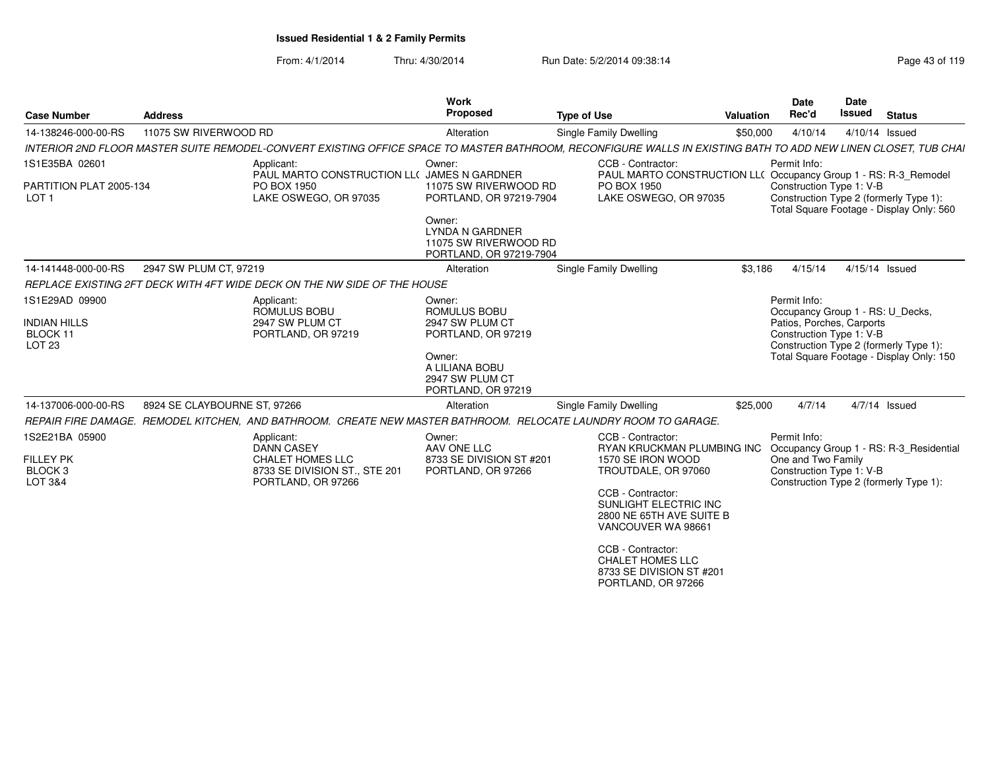| <b>Case Number</b>                                                  | <b>Address</b>               |                                                                                                            | <b>Work</b><br><b>Proposed</b>                                                                                                                     | <b>Type of Use</b>                                                                                                                                                                                                                                                                            | Valuation | <b>Date</b><br>Rec'd                                                                                                                                                                            | Date<br><b>Issued</b> |               | <b>Status</b>                           |
|---------------------------------------------------------------------|------------------------------|------------------------------------------------------------------------------------------------------------|----------------------------------------------------------------------------------------------------------------------------------------------------|-----------------------------------------------------------------------------------------------------------------------------------------------------------------------------------------------------------------------------------------------------------------------------------------------|-----------|-------------------------------------------------------------------------------------------------------------------------------------------------------------------------------------------------|-----------------------|---------------|-----------------------------------------|
| 14-138246-000-00-RS                                                 | 11075 SW RIVERWOOD RD        |                                                                                                            | Alteration                                                                                                                                         | Single Family Dwelling                                                                                                                                                                                                                                                                        | \$50,000  | 4/10/14                                                                                                                                                                                         | 4/10/14 Issued        |               |                                         |
|                                                                     |                              |                                                                                                            |                                                                                                                                                    | INTERIOR 2ND FLOOR MASTER SUITE REMODEL-CONVERT EXISTING OFFICE SPACE TO MASTER BATHROOM. RECONFIGURE WALLS IN EXISTING BATH TO ADD NEW LINEN CLOSET. TUB CHAI                                                                                                                                |           |                                                                                                                                                                                                 |                       |               |                                         |
| 1S1E35BA 02601<br>PARTITION PLAT 2005-134<br>LOT <sub>1</sub>       |                              | Applicant:<br>PAUL MARTO CONSTRUCTION LL( JAMES N GARDNER<br>PO BOX 1950<br>LAKE OSWEGO, OR 97035          | Owner:<br>11075 SW RIVERWOOD RD<br>PORTLAND, OR 97219-7904<br>Owner:<br><b>LYNDA N GARDNER</b><br>11075 SW RIVERWOOD RD<br>PORTLAND, OR 97219-7904 | CCB - Contractor:<br>PAUL MARTO CONSTRUCTION LL( Occupancy Group 1 - RS: R-3_Remodel<br>PO BOX 1950<br>LAKE OSWEGO, OR 97035                                                                                                                                                                  |           | Permit Info:<br>Construction Type 1: V-B<br>Construction Type 2 (formerly Type 1):<br>Total Square Footage - Display Only: 560                                                                  |                       |               |                                         |
| 14-141448-000-00-RS                                                 | 2947 SW PLUM CT, 97219       |                                                                                                            | Alteration                                                                                                                                         | Single Family Dwelling                                                                                                                                                                                                                                                                        | \$3,186   | 4/15/14                                                                                                                                                                                         | 4/15/14 Issued        |               |                                         |
|                                                                     |                              | REPLACE EXISTING 2FT DECK WITH 4FT WIDE DECK ON THE NW SIDE OF THE HOUSE                                   |                                                                                                                                                    |                                                                                                                                                                                                                                                                                               |           |                                                                                                                                                                                                 |                       |               |                                         |
| 1S1E29AD 09900<br><b>INDIAN HILLS</b><br>BLOCK 11<br>LOT 23         |                              | Applicant:<br>ROMULUS BOBU<br>2947 SW PLUM CT<br>PORTLAND, OR 97219                                        | Owner:<br>ROMULUS BOBU<br>2947 SW PLUM CT<br>PORTLAND, OR 97219<br>Owner:<br>A LILIANA BOBU<br>2947 SW PLUM CT<br>PORTLAND, OR 97219               |                                                                                                                                                                                                                                                                                               |           | Permit Info:<br>Occupancy Group 1 - RS: U Decks,<br>Patios, Porches, Carports<br>Construction Type 1: V-B<br>Construction Type 2 (formerly Type 1):<br>Total Square Footage - Display Only: 150 |                       |               |                                         |
| 14-137006-000-00-RS                                                 | 8924 SE CLAYBOURNE ST, 97266 |                                                                                                            | Alteration                                                                                                                                         | Single Family Dwelling                                                                                                                                                                                                                                                                        | \$25,000  | 4/7/14                                                                                                                                                                                          |                       | 4/7/14 Issued |                                         |
|                                                                     |                              |                                                                                                            |                                                                                                                                                    | REPAIR FIRE DAMAGE. REMODEL KITCHEN. AND BATHROOM. CREATE NEW MASTER BATHROOM. RELOCATE LAUNDRY ROOM TO GARAGE                                                                                                                                                                                |           |                                                                                                                                                                                                 |                       |               |                                         |
| 1S2E21BA 05900<br><b>FILLEY PK</b><br>BLOCK <sub>3</sub><br>LOT 3&4 |                              | Applicant:<br><b>DANN CASEY</b><br>CHALET HOMES LLC<br>8733 SE DIVISION ST., STE 201<br>PORTLAND, OR 97266 | Owner:<br>AAV ONE LLC<br>8733 SE DIVISION ST #201<br>PORTLAND, OR 97266                                                                            | CCB - Contractor:<br>RYAN KRUCKMAN PLUMBING INC<br>1570 SE IRON WOOD<br>TROUTDALE, OR 97060<br>CCB - Contractor:<br>SUNLIGHT ELECTRIC INC<br>2800 NE 65TH AVE SUITE B<br>VANCOUVER WA 98661<br>CCB - Contractor:<br><b>CHALET HOMES LLC</b><br>8733 SE DIVISION ST #201<br>PORTLAND, OR 97266 |           | Permit Info:<br>One and Two Family<br>Construction Type 1: V-B<br>Construction Type 2 (formerly Type 1):                                                                                        |                       |               | Occupancy Group 1 - RS: R-3_Residential |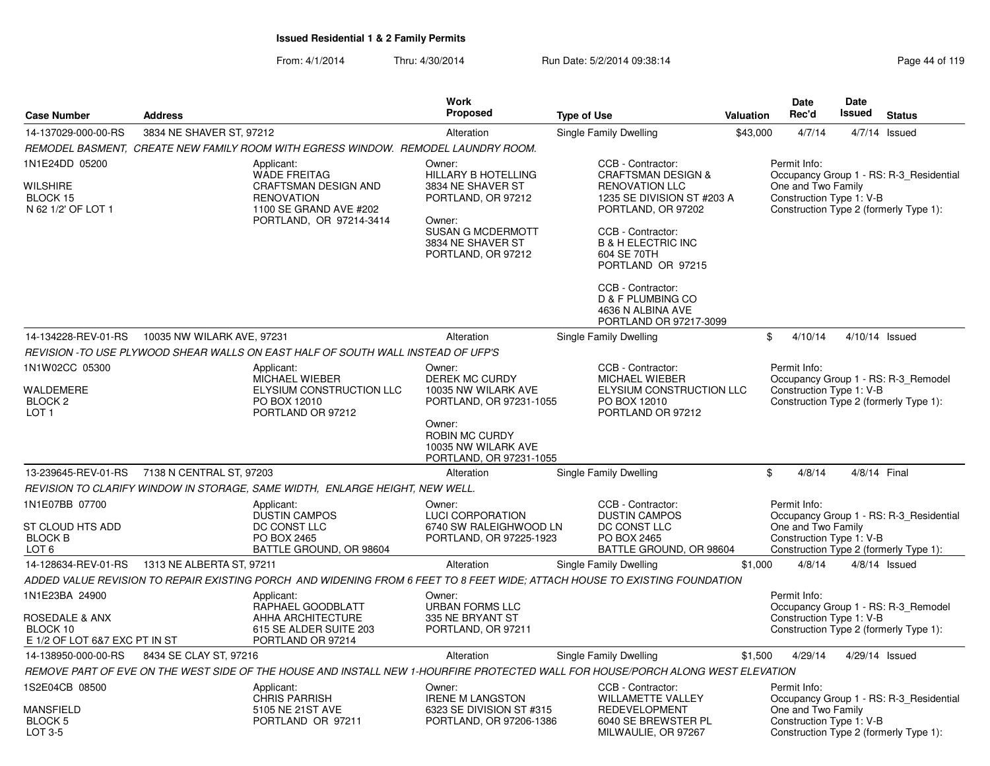|                                                                               |                            |                                                                                                                                            | <b>Work</b>                                                                                                                                                      |                                                                                                                                                                                                                                                                     |           | <b>Date</b>                                                    | Date   |                                                                                   |
|-------------------------------------------------------------------------------|----------------------------|--------------------------------------------------------------------------------------------------------------------------------------------|------------------------------------------------------------------------------------------------------------------------------------------------------------------|---------------------------------------------------------------------------------------------------------------------------------------------------------------------------------------------------------------------------------------------------------------------|-----------|----------------------------------------------------------------|--------|-----------------------------------------------------------------------------------|
| <b>Case Number</b>                                                            | <b>Address</b>             |                                                                                                                                            | <b>Proposed</b>                                                                                                                                                  | <b>Type of Use</b>                                                                                                                                                                                                                                                  | Valuation | Rec'd                                                          | Issued | <b>Status</b>                                                                     |
| 14-137029-000-00-RS                                                           | 3834 NE SHAVER ST, 97212   |                                                                                                                                            | Alteration                                                                                                                                                       | Single Family Dwelling                                                                                                                                                                                                                                              | \$43,000  | 4/7/14                                                         |        | $4/7/14$ Issued                                                                   |
|                                                                               |                            | REMODEL BASMENT, CREATE NEW FAMILY ROOM WITH EGRESS WINDOW. REMODEL LAUNDRY ROOM.                                                          |                                                                                                                                                                  |                                                                                                                                                                                                                                                                     |           |                                                                |        |                                                                                   |
| 1N1E24DD 05200<br>WILSHIRE<br>BLOCK 15<br>N 62 1/2' OF LOT 1                  |                            | Applicant:<br><b>WADE FREITAG</b><br><b>CRAFTSMAN DESIGN AND</b><br><b>RENOVATION</b><br>1100 SE GRAND AVE #202<br>PORTLAND, OR 97214-3414 | Owner:<br><b>HILLARY B HOTELLING</b><br>3834 NE SHAVER ST<br>PORTLAND, OR 97212<br>Owner:<br><b>SUSAN G MCDERMOTT</b><br>3834 NE SHAVER ST<br>PORTLAND, OR 97212 | CCB - Contractor:<br><b>CRAFTSMAN DESIGN &amp;</b><br><b>RENOVATION LLC</b><br>1235 SE DIVISION ST #203 A<br>PORTLAND, OR 97202<br>CCB - Contractor:<br><b>B &amp; H ELECTRIC INC</b><br>604 SE 70TH<br>PORTLAND OR 97215<br>CCB - Contractor:<br>D & F PLUMBING CO |           | Permit Info:<br>One and Two Family<br>Construction Type 1: V-B |        | Occupancy Group 1 - RS: R-3_Residential<br>Construction Type 2 (formerly Type 1): |
|                                                                               |                            |                                                                                                                                            |                                                                                                                                                                  | 4636 N ALBINA AVE<br>PORTLAND OR 97217-3099                                                                                                                                                                                                                         |           |                                                                |        |                                                                                   |
| 14-134228-REV-01-RS                                                           | 10035 NW WILARK AVE, 97231 |                                                                                                                                            | Alteration                                                                                                                                                       | Single Family Dwelling                                                                                                                                                                                                                                              |           | \$<br>4/10/14                                                  |        | 4/10/14 Issued                                                                    |
|                                                                               |                            | REVISION -TO USE PLYWOOD SHEAR WALLS ON EAST HALF OF SOUTH WALL INSTEAD OF UFP'S                                                           |                                                                                                                                                                  |                                                                                                                                                                                                                                                                     |           |                                                                |        |                                                                                   |
| 1N1W02CC 05300<br>WALDEMERE<br>BLOCK <sub>2</sub><br>LOT <sub>1</sub>         |                            | Applicant:<br>MICHAEL WIEBER<br>ELYSIUM CONSTRUCTION LLC<br>PO BOX 12010<br>PORTLAND OR 97212                                              | Owner:<br>DEREK MC CURDY<br>10035 NW WILARK AVE<br>PORTLAND, OR 97231-1055<br>Owner:                                                                             | CCB - Contractor:<br>MICHAEL WIEBER<br>ELYSIUM CONSTRUCTION LLC<br>PO BOX 12010<br>PORTLAND OR 97212                                                                                                                                                                |           | Permit Info:<br>Construction Type 1: V-B                       |        | Occupancy Group 1 - RS: R-3_Remodel<br>Construction Type 2 (formerly Type 1):     |
|                                                                               |                            |                                                                                                                                            | ROBIN MC CURDY<br>10035 NW WILARK AVE<br>PORTLAND, OR 97231-1055                                                                                                 |                                                                                                                                                                                                                                                                     |           |                                                                |        |                                                                                   |
| 13-239645-REV-01-RS                                                           | 7138 N CENTRAL ST, 97203   |                                                                                                                                            | Alteration                                                                                                                                                       | Single Family Dwelling                                                                                                                                                                                                                                              |           | \$<br>4/8/14                                                   |        | 4/8/14 Final                                                                      |
|                                                                               |                            | REVISION TO CLARIFY WINDOW IN STORAGE, SAME WIDTH, ENLARGE HEIGHT, NEW WELL.                                                               |                                                                                                                                                                  |                                                                                                                                                                                                                                                                     |           |                                                                |        |                                                                                   |
| 1N1E07BB 07700<br>ST CLOUD HTS ADD<br><b>BLOCK B</b><br>LOT <sub>6</sub>      |                            | Applicant:<br><b>DUSTIN CAMPOS</b><br>DC CONST LLC<br>PO BOX 2465<br>BATTLE GROUND, OR 98604                                               | Owner:<br><b>LUCI CORPORATION</b><br>6740 SW RALEIGHWOOD LN<br>PORTLAND, OR 97225-1923                                                                           | CCB - Contractor:<br><b>DUSTIN CAMPOS</b><br>DC CONST LLC<br>PO BOX 2465<br>BATTLE GROUND, OR 98604                                                                                                                                                                 |           | Permit Info:<br>One and Two Family<br>Construction Type 1: V-B |        | Occupancy Group 1 - RS: R-3 Residential<br>Construction Type 2 (formerly Type 1): |
| 14-128634-REV-01-RS                                                           | 1313 NE ALBERTA ST, 97211  |                                                                                                                                            | Alteration                                                                                                                                                       | Single Family Dwelling                                                                                                                                                                                                                                              | \$1,000   | 4/8/14                                                         |        | $4/8/14$ Issued                                                                   |
|                                                                               |                            |                                                                                                                                            |                                                                                                                                                                  | ADDED VALUE REVISION TO REPAIR EXISTING PORCH  AND WIDENING FROM 6 FEET TO 8 FEET WIDE; ATTACH HOUSE TO EXISTING FOUNDATION                                                                                                                                         |           |                                                                |        |                                                                                   |
| 1N1E23BA 24900<br>ROSEDALE & ANX<br>BLOCK 10<br>E 1/2 OF LOT 6&7 EXC PT IN ST |                            | Applicant:<br>RAPHAEL GOODBLATT<br>AHHA ARCHITECTURE<br>615 SE ALDER SUITE 203<br>PORTLAND OR 97214                                        | Owner:<br><b>URBAN FORMS LLC</b><br>335 NE BRYANT ST<br>PORTLAND, OR 97211                                                                                       |                                                                                                                                                                                                                                                                     |           | Permit Info:<br>Construction Type 1: V-B                       |        | Occupancy Group 1 - RS: R-3 Remodel<br>Construction Type 2 (formerly Type 1):     |
| 14-138950-000-00-RS                                                           | 8434 SE CLAY ST, 97216     |                                                                                                                                            | Alteration                                                                                                                                                       | Single Family Dwelling                                                                                                                                                                                                                                              | \$1,500   | 4/29/14                                                        |        | 4/29/14 Issued                                                                    |
|                                                                               |                            |                                                                                                                                            |                                                                                                                                                                  | REMOVE PART OF EVE ON THE WEST SIDE OF THE HOUSE AND INSTALL NEW 1-HOURFIRE PROTECTED WALL FOR HOUSE/PORCH ALONG WEST ELEVATION                                                                                                                                     |           |                                                                |        |                                                                                   |
| 1S2E04CB 08500<br><b>MANSFIELD</b>                                            |                            | Applicant:<br><b>CHRIS PARRISH</b><br>5105 NE 21ST AVE                                                                                     | Owner:<br><b>IRENE M LANGSTON</b><br>6323 SE DIVISION ST #315                                                                                                    | CCB - Contractor:<br><b>WILLAMETTE VALLEY</b><br><b>REDEVELOPMENT</b>                                                                                                                                                                                               |           | Permit Info:<br>One and Two Family                             |        | Occupancy Group 1 - RS: R-3 Residential                                           |
| BLOCK 5<br>LOT 3-5                                                            |                            | PORTLAND OR 97211                                                                                                                          | PORTLAND, OR 97206-1386                                                                                                                                          | 6040 SE BREWSTER PL<br>MILWAULIE, OR 97267                                                                                                                                                                                                                          |           | Construction Type 1: V-B                                       |        | Construction Type 2 (formerly Type 1):                                            |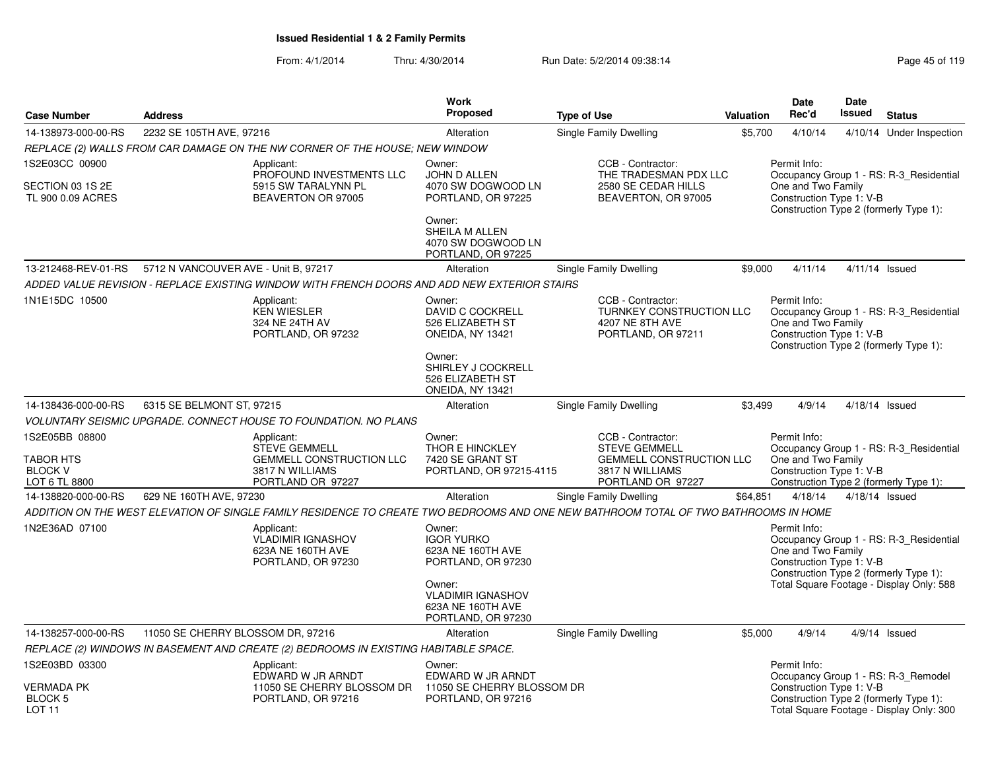|                                                                       |                                                                                                                                      | Work                                                                                                                              |                                                                                                                      |           | Date                                                                                                     | <b>Date</b>    |                                                                                     |
|-----------------------------------------------------------------------|--------------------------------------------------------------------------------------------------------------------------------------|-----------------------------------------------------------------------------------------------------------------------------------|----------------------------------------------------------------------------------------------------------------------|-----------|----------------------------------------------------------------------------------------------------------|----------------|-------------------------------------------------------------------------------------|
| <b>Case Number</b>                                                    | <b>Address</b>                                                                                                                       | <b>Proposed</b>                                                                                                                   | <b>Type of Use</b>                                                                                                   | Valuation | Rec'd                                                                                                    | Issued         | <b>Status</b>                                                                       |
| 14-138973-000-00-RS                                                   | 2232 SE 105TH AVE, 97216                                                                                                             | Alteration                                                                                                                        | Single Family Dwelling                                                                                               | \$5,700   | 4/10/14                                                                                                  |                | 4/10/14 Under Inspection                                                            |
|                                                                       | REPLACE (2) WALLS FROM CAR DAMAGE ON THE NW CORNER OF THE HOUSE; NEW WINDOW                                                          |                                                                                                                                   |                                                                                                                      |           |                                                                                                          |                |                                                                                     |
| 1S2E03CC 00900<br>SECTION 03 1S 2E<br>TL 900 0.09 ACRES               | Applicant:<br>PROFOUND INVESTMENTS LLC<br>5915 SW TARALYNN PL<br>BEAVERTON OR 97005                                                  | Owner:<br>JOHN D ALLEN<br>4070 SW DOGWOOD LN<br>PORTLAND, OR 97225<br>Owner:                                                      | CCB - Contractor:<br>THE TRADESMAN PDX LLC<br>2580 SE CEDAR HILLS<br>BEAVERTON, OR 97005                             |           | Permit Info:<br>One and Two Family<br>Construction Type 1: V-B<br>Construction Type 2 (formerly Type 1): |                | Occupancy Group 1 - RS: R-3 Residential                                             |
|                                                                       |                                                                                                                                      | SHEILA M ALLEN<br>4070 SW DOGWOOD LN<br>PORTLAND, OR 97225                                                                        |                                                                                                                      |           |                                                                                                          |                |                                                                                     |
| 13-212468-REV-01-RS                                                   | 5712 N VANCOUVER AVE - Unit B, 97217                                                                                                 | Alteration                                                                                                                        | Single Family Dwelling                                                                                               | \$9,000   | 4/11/14                                                                                                  | 4/11/14 Issued |                                                                                     |
|                                                                       | ADDED VALUE REVISION - REPLACE EXISTING WINDOW WITH FRENCH DOORS AND ADD NEW EXTERIOR STAIRS                                         |                                                                                                                                   |                                                                                                                      |           |                                                                                                          |                |                                                                                     |
| 1N1E15DC 10500                                                        | Applicant:<br><b>KEN WIESLER</b><br>324 NE 24TH AV<br>PORTLAND, OR 97232                                                             | Owner:<br>DAVID C COCKRELL<br>526 ELIZABETH ST<br>ONEIDA, NY 13421<br>Owner:<br>SHIRLEY J COCKRELL<br>526 ELIZABETH ST            | CCB - Contractor:<br>TURNKEY CONSTRUCTION LLC<br>4207 NE 8TH AVE<br>PORTLAND, OR 97211                               |           | Permit Info:<br>One and Two Family<br>Construction Type 1: V-B<br>Construction Type 2 (formerly Type 1): |                | Occupancy Group 1 - RS: R-3_Residential                                             |
|                                                                       |                                                                                                                                      | ONEIDA, NY 13421                                                                                                                  |                                                                                                                      |           |                                                                                                          |                |                                                                                     |
| 14-138436-000-00-RS                                                   | 6315 SE BELMONT ST, 97215                                                                                                            | Alteration                                                                                                                        | Single Family Dwelling                                                                                               | \$3,499   | 4/9/14                                                                                                   | 4/18/14 Issued |                                                                                     |
|                                                                       | VOLUNTARY SEISMIC UPGRADE. CONNECT HOUSE TO FOUNDATION. NO PLANS                                                                     |                                                                                                                                   |                                                                                                                      |           |                                                                                                          |                |                                                                                     |
| 1S2E05BB 08800<br><b>TABOR HTS</b><br><b>BLOCK V</b><br>LOT 6 TL 8800 | Applicant:<br><b>STEVE GEMMELL</b><br><b>GEMMELL CONSTRUCTION LLC</b><br>3817 N WILLIAMS<br>PORTLAND OR 97227                        | Owner:<br>THOR E HINCKLEY<br>7420 SE GRANT ST<br>PORTLAND, OR 97215-4115                                                          | CCB - Contractor:<br><b>STEVE GEMMELL</b><br><b>GEMMELL CONSTRUCTION LLC</b><br>3817 N WILLIAMS<br>PORTLAND OR 97227 |           | Permit Info:<br>One and Two Family<br>Construction Type 1: V-B                                           |                | Occupancy Group 1 - RS: R-3_Residential<br>Construction Type 2 (formerly Type 1):   |
| 14-138820-000-00-RS                                                   | 629 NE 160TH AVE, 97230                                                                                                              | Alteration                                                                                                                        | Single Family Dwelling                                                                                               | \$64,851  | 4/18/14                                                                                                  | 4/18/14 Issued |                                                                                     |
|                                                                       | ADDITION ON THE WEST ELEVATION OF SINGLE FAMILY RESIDENCE TO CREATE TWO BEDROOMS AND ONE NEW BATHROOM TOTAL OF TWO BATHROOMS IN HOME |                                                                                                                                   |                                                                                                                      |           |                                                                                                          |                |                                                                                     |
| 1N2E36AD 07100                                                        | Applicant:<br><b>VLADIMIR IGNASHOV</b><br>623A NE 160TH AVE<br>PORTLAND, OR 97230                                                    | Owner:<br><b>IGOR YURKO</b><br>623A NE 160TH AVE<br>PORTLAND, OR 97230<br>Owner:<br><b>VLADIMIR IGNASHOV</b><br>623A NE 160TH AVE |                                                                                                                      |           | Permit Info:<br>One and Two Family<br>Construction Type 1: V-B<br>Construction Type 2 (formerly Type 1): |                | Occupancy Group 1 - RS: R-3 Residential<br>Total Square Footage - Display Only: 588 |
|                                                                       |                                                                                                                                      | PORTLAND, OR 97230                                                                                                                |                                                                                                                      |           |                                                                                                          |                |                                                                                     |
| 14-138257-000-00-RS                                                   | 11050 SE CHERRY BLOSSOM DR, 97216                                                                                                    | Alteration                                                                                                                        | Single Family Dwelling                                                                                               | \$5.000   | 4/9/14                                                                                                   |                | $4/9/14$ Issued                                                                     |
| 1S2E03BD 03300                                                        | REPLACE (2) WINDOWS IN BASEMENT AND CREATE (2) BEDROOMS IN EXISTING HABITABLE SPACE.                                                 |                                                                                                                                   |                                                                                                                      |           | Permit Info:                                                                                             |                |                                                                                     |
|                                                                       | Applicant:<br>EDWARD W JR ARNDT                                                                                                      | Owner:<br>EDWARD W JR ARNDT                                                                                                       |                                                                                                                      |           |                                                                                                          |                | Occupancy Group 1 - RS: R-3_Remodel                                                 |
| <b>VERMADA PK</b><br>BLOCK <sub>5</sub><br><b>LOT 11</b>              | 11050 SE CHERRY BLOSSOM DR<br>PORTLAND, OR 97216                                                                                     | 11050 SE CHERRY BLOSSOM DR<br>PORTLAND, OR 97216                                                                                  |                                                                                                                      |           | Construction Type 1: V-B<br>Construction Type 2 (formerly Type 1):                                       |                | Total Square Footage - Display Only: 300                                            |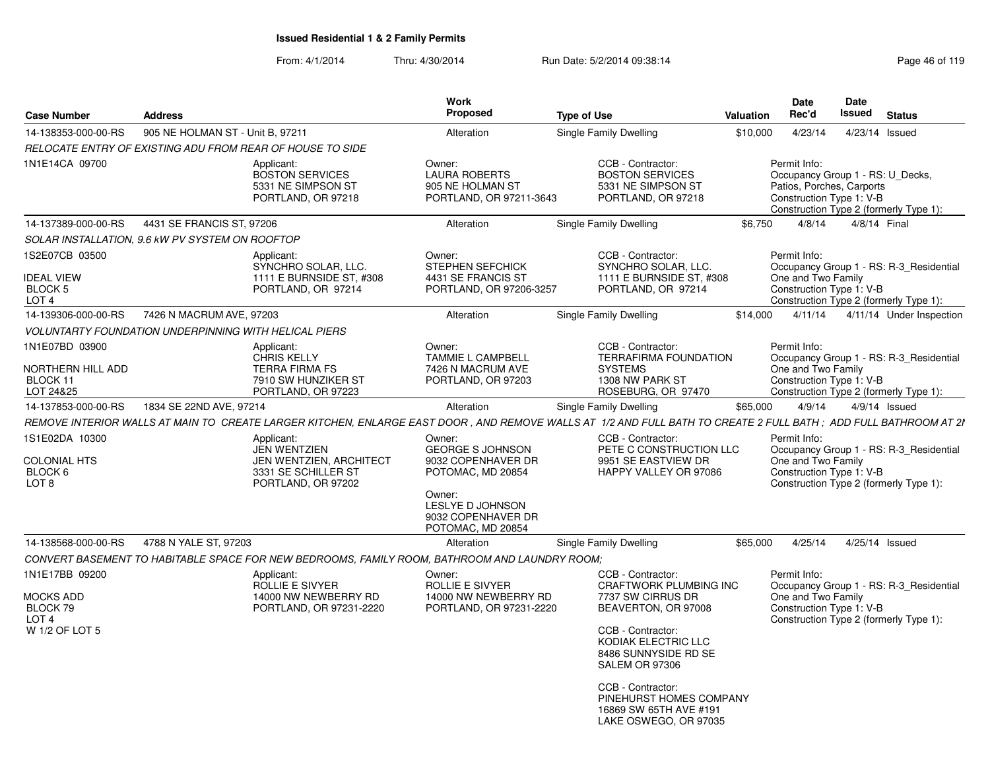| <b>Case Number</b>                                                   | <b>Address</b>                                               |                                                                                                           | Work<br><b>Proposed</b>                                                                                                                                      | <b>Type of Use</b>                                                                                                                                                | <b>Valuation</b> | Date<br>Rec'd                                                                                             | <b>Date</b><br>Issued | <b>Status</b>                                                                     |
|----------------------------------------------------------------------|--------------------------------------------------------------|-----------------------------------------------------------------------------------------------------------|--------------------------------------------------------------------------------------------------------------------------------------------------------------|-------------------------------------------------------------------------------------------------------------------------------------------------------------------|------------------|-----------------------------------------------------------------------------------------------------------|-----------------------|-----------------------------------------------------------------------------------|
| 14-138353-000-00-RS                                                  | 905 NE HOLMAN ST - Unit B, 97211                             |                                                                                                           | Alteration                                                                                                                                                   | Single Family Dwelling                                                                                                                                            | \$10,000         | 4/23/14                                                                                                   |                       | 4/23/14 Issued                                                                    |
|                                                                      |                                                              | RELOCATE ENTRY OF EXISTING ADU FROM REAR OF HOUSE TO SIDE                                                 |                                                                                                                                                              |                                                                                                                                                                   |                  |                                                                                                           |                       |                                                                                   |
| 1N1E14CA 09700                                                       |                                                              | Applicant:<br><b>BOSTON SERVICES</b><br>5331 NE SIMPSON ST<br>PORTLAND, OR 97218                          | Owner:<br><b>LAURA ROBERTS</b><br>905 NE HOLMAN ST<br>PORTLAND, OR 97211-3643                                                                                | CCB - Contractor:<br><b>BOSTON SERVICES</b><br>5331 NE SIMPSON ST<br>PORTLAND, OR 97218                                                                           |                  | Permit Info:<br>Occupancy Group 1 - RS: U Decks,<br>Patios, Porches, Carports<br>Construction Type 1: V-B |                       | Construction Type 2 (formerly Type 1):                                            |
| 14-137389-000-00-RS                                                  | 4431 SE FRANCIS ST, 97206                                    |                                                                                                           | Alteration                                                                                                                                                   | Single Family Dwelling                                                                                                                                            | \$6,750          | 4/8/14                                                                                                    |                       | 4/8/14 Final                                                                      |
|                                                                      | SOLAR INSTALLATION, 9.6 KW PV SYSTEM ON ROOFTOP              |                                                                                                           |                                                                                                                                                              |                                                                                                                                                                   |                  |                                                                                                           |                       |                                                                                   |
| 1S2E07CB 03500                                                       |                                                              | Applicant:<br>SYNCHRO SOLAR, LLC.                                                                         | Owner:<br>STEPHEN SEFCHICK                                                                                                                                   | CCB - Contractor:<br>SYNCHRO SOLAR, LLC.                                                                                                                          |                  | Permit Info:                                                                                              |                       | Occupancy Group 1 - RS: R-3 Residential                                           |
| <b>IDEAL VIEW</b><br>BLOCK 5<br>LOT <sub>4</sub>                     |                                                              | 1111 E BURNSIDE ST, #308<br>PORTLAND, OR 97214                                                            | 4431 SE FRANCIS ST<br>PORTLAND, OR 97206-3257                                                                                                                | 1111 E BURNSIDE ST. #308<br>PORTLAND, OR 97214                                                                                                                    |                  | One and Two Family<br>Construction Type 1: V-B                                                            |                       | Construction Type 2 (formerly Type 1):                                            |
| 14-139306-000-00-RS                                                  | 7426 N MACRUM AVE, 97203                                     |                                                                                                           | Alteration                                                                                                                                                   | Single Family Dwelling                                                                                                                                            | \$14,000         | 4/11/14                                                                                                   |                       | 4/11/14 Under Inspection                                                          |
|                                                                      | <b>VOLUNTARTY FOUNDATION UNDERPINNING WITH HELICAL PIERS</b> |                                                                                                           |                                                                                                                                                              |                                                                                                                                                                   |                  |                                                                                                           |                       |                                                                                   |
| 1N1E07BD 03900                                                       |                                                              | Applicant:<br><b>CHRIS KELLY</b>                                                                          | Owner:<br>TAMMIE L CAMPBELL                                                                                                                                  | CCB - Contractor:<br><b>TERRAFIRMA FOUNDATION</b>                                                                                                                 |                  | Permit Info:                                                                                              |                       | Occupancy Group 1 - RS: R-3 Residential                                           |
| NORTHERN HILL ADD<br>BLOCK 11<br>LOT 24&25                           |                                                              | <b>TERRA FIRMA FS</b><br>7910 SW HUNZIKER ST<br>PORTLAND, OR 97223                                        | 7426 N MACRUM AVE<br>PORTLAND, OR 97203                                                                                                                      | <b>SYSTEMS</b><br>1308 NW PARK ST<br>ROSEBURG, OR 97470                                                                                                           |                  | One and Two Family<br>Construction Type 1: V-B                                                            |                       | Construction Type 2 (formerly Type 1):                                            |
| 14-137853-000-00-RS                                                  | 1834 SE 22ND AVE, 97214                                      |                                                                                                           | Alteration                                                                                                                                                   | Single Family Dwelling                                                                                                                                            | \$65,000         | 4/9/14                                                                                                    |                       | $4/9/14$ Issued                                                                   |
|                                                                      |                                                              |                                                                                                           |                                                                                                                                                              | REMOVE INTERIOR WALLS AT MAIN TO CREATE LARGER KITCHEN, ENLARGE EAST DOOR , AND REMOVE WALLS AT 1/2 AND FULL BATH TO CREATE 2 FULL BATH ; ADD FULL BATHROOM AT 21 |                  |                                                                                                           |                       |                                                                                   |
| 1S1E02DA 10300<br><b>COLONIAL HTS</b><br>BLOCK 6<br>LOT <sub>8</sub> |                                                              | Applicant:<br><b>JEN WENTZIEN</b><br>JEN WENTZIEN, ARCHITECT<br>3331 SE SCHILLER ST<br>PORTLAND, OR 97202 | Owner:<br><b>GEORGE S JOHNSON</b><br>9032 COPENHAVER DR<br>POTOMAC, MD 20854<br>Owner:<br><b>LESLYE D JOHNSON</b><br>9032 COPENHAVER DR<br>POTOMAC, MD 20854 | CCB - Contractor:<br>PETE C CONSTRUCTION LLC<br>9951 SE EASTVIEW DR<br>HAPPY VALLEY OR 97086                                                                      |                  | Permit Info:<br>One and Two Family<br>Construction Type 1: V-B                                            |                       | Occupancy Group 1 - RS: R-3 Residential<br>Construction Type 2 (formerly Type 1): |
| 14-138568-000-00-RS                                                  | 4788 N YALE ST, 97203                                        |                                                                                                           | Alteration                                                                                                                                                   | Single Family Dwelling                                                                                                                                            | \$65,000         | 4/25/14                                                                                                   |                       | 4/25/14 Issued                                                                    |
|                                                                      |                                                              | CONVERT BASEMENT TO HABITABLE SPACE FOR NEW BEDROOMS, FAMILY ROOM, BATHROOM AND LAUNDRY ROOM:             |                                                                                                                                                              |                                                                                                                                                                   |                  |                                                                                                           |                       |                                                                                   |
| 1N1E17BB 09200                                                       |                                                              | Applicant:<br>ROLLIE E SIVYER                                                                             | Owner:<br>ROLLIE E SIVYER                                                                                                                                    | CCB - Contractor:<br><b>CRAFTWORK PLUMBING INC</b>                                                                                                                |                  | Permit Info:                                                                                              |                       | Occupancy Group 1 - RS: R-3 Residential                                           |
| <b>MOCKS ADD</b><br>BLOCK 79<br>LOT <sub>4</sub>                     |                                                              | 14000 NW NEWBERRY RD<br>PORTLAND, OR 97231-2220                                                           | 14000 NW NEWBERRY RD<br>PORTLAND, OR 97231-2220                                                                                                              | 7737 SW CIRRUS DR<br>BEAVERTON, OR 97008                                                                                                                          |                  | One and Two Family<br>Construction Type 1: V-B                                                            |                       | Construction Type 2 (formerly Type 1):                                            |
| W 1/2 OF LOT 5                                                       |                                                              |                                                                                                           |                                                                                                                                                              | CCB - Contractor:<br>KODIAK ELECTRIC LLC<br>8486 SUNNYSIDE RD SE<br>SALEM OR 97306                                                                                |                  |                                                                                                           |                       |                                                                                   |
|                                                                      |                                                              |                                                                                                           |                                                                                                                                                              | CCB - Contractor:<br>PINEHURST HOMES COMPANY<br>16869 SW 65TH AVE #191<br>LAKE OSWEGO, OR 97035                                                                   |                  |                                                                                                           |                       |                                                                                   |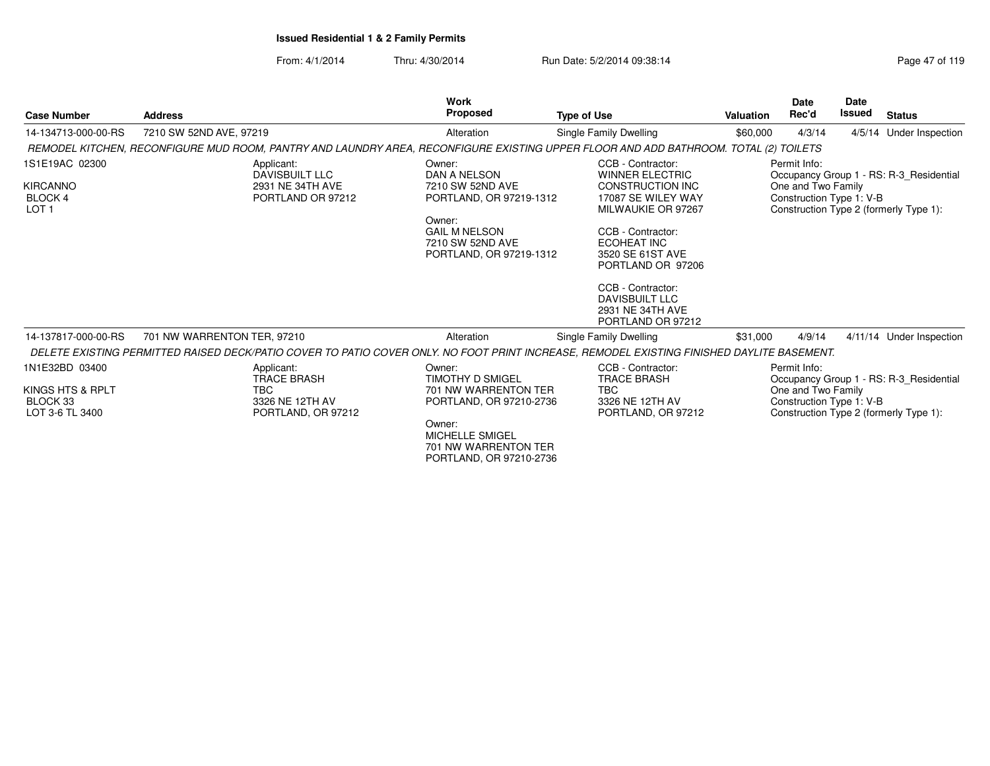From: 4/1/2014Thru: 4/30/2014 Run Date: 5/2/2014 09:38:14 Run Date: 5/2/2014 09:38:14

|                                                                        |                                                                              | <b>Work</b>                                                                                                                                            |                                                                                                                                                                                   |           | <b>Date</b>                                                    | <b>Date</b>   |                                                                                   |
|------------------------------------------------------------------------|------------------------------------------------------------------------------|--------------------------------------------------------------------------------------------------------------------------------------------------------|-----------------------------------------------------------------------------------------------------------------------------------------------------------------------------------|-----------|----------------------------------------------------------------|---------------|-----------------------------------------------------------------------------------|
| <b>Case Number</b>                                                     | <b>Address</b>                                                               | Proposed                                                                                                                                               | <b>Type of Use</b>                                                                                                                                                                | Valuation | Rec'd                                                          | <b>Issued</b> | <b>Status</b>                                                                     |
| 14-134713-000-00-RS                                                    | 7210 SW 52ND AVE, 97219                                                      | Alteration                                                                                                                                             | Single Family Dwelling                                                                                                                                                            | \$60,000  | 4/3/14                                                         |               | 4/5/14 Under Inspection                                                           |
|                                                                        |                                                                              | REMODEL KITCHEN, RECONFIGURE MUD ROOM, PANTRY AND LAUNDRY AREA, RECONFIGURE EXISTING UPPER FLOOR AND ADD BATHROOM. TOTAL (2) TOILETS                   |                                                                                                                                                                                   |           |                                                                |               |                                                                                   |
| 1S1E19AC 02300<br><b>KIRCANNO</b><br><b>BLOCK4</b><br>LOT <sub>1</sub> | Applicant:<br><b>DAVISBUILT LLC</b><br>2931 NE 34TH AVE<br>PORTLAND OR 97212 | Owner:<br>DAN A NELSON<br>7210 SW 52ND AVE<br>PORTLAND, OR 97219-1312<br>Owner:<br><b>GAIL M NELSON</b><br>7210 SW 52ND AVE<br>PORTLAND, OR 97219-1312 | CCB - Contractor:<br><b>WINNER ELECTRIC</b><br><b>CONSTRUCTION INC</b><br>17087 SE WILEY WAY<br>MILWAUKIE OR 97267<br>CCB - Contractor:<br><b>ECOHEAT INC</b><br>3520 SE 61ST AVE |           | Permit Info:<br>One and Two Family<br>Construction Type 1: V-B |               | Occupancy Group 1 - RS: R-3 Residential<br>Construction Type 2 (formerly Type 1): |
|                                                                        |                                                                              |                                                                                                                                                        | PORTLAND OR 97206<br>CCB - Contractor:<br>DAVISBUILT LLC<br>2931 NE 34TH AVE<br>PORTLAND OR 97212                                                                                 |           |                                                                |               |                                                                                   |
| 14-137817-000-00-RS                                                    | 701 NW WARRENTON TER, 97210                                                  | Alteration                                                                                                                                             | Single Family Dwelling                                                                                                                                                            | \$31,000  | 4/9/14                                                         |               | 4/11/14 Under Inspection                                                          |
|                                                                        |                                                                              | DELETE EXISTING PERMITTED RAISED DECK/PATIO COVER TO PATIO COVER ONLY. NO FOOT PRINT INCREASE, REMODEL EXISTING FINISHED DAYLITE BASEMENT.             |                                                                                                                                                                                   |           |                                                                |               |                                                                                   |
| 1N1E32BD 03400                                                         | Applicant:<br><b>TRACE BRASH</b>                                             | Owner:<br><b>TIMOTHY D SMIGEL</b>                                                                                                                      | CCB - Contractor:<br><b>TRACE BRASH</b>                                                                                                                                           |           | Permit Info:                                                   |               | Occupancy Group 1 - RS: R-3 Residential                                           |
| KINGS HTS & RPLT<br>BLOCK 33<br>LOT 3-6 TL 3400                        | TBC<br>3326 NE 12TH AV<br>PORTLAND, OR 97212                                 | 701 NW WARRENTON TER<br>PORTLAND, OR 97210-2736                                                                                                        | <b>TBC</b><br>3326 NE 12TH AV<br>PORTLAND, OR 97212                                                                                                                               |           | One and Two Family<br>Construction Type 1: V-B                 |               | Construction Type 2 (formerly Type 1):                                            |
|                                                                        |                                                                              | Owner:<br><b>MICHELLE SMIGEL</b><br>701 NW WARRENTON TER                                                                                               |                                                                                                                                                                                   |           |                                                                |               |                                                                                   |

PORTLAND, OR 97210-2736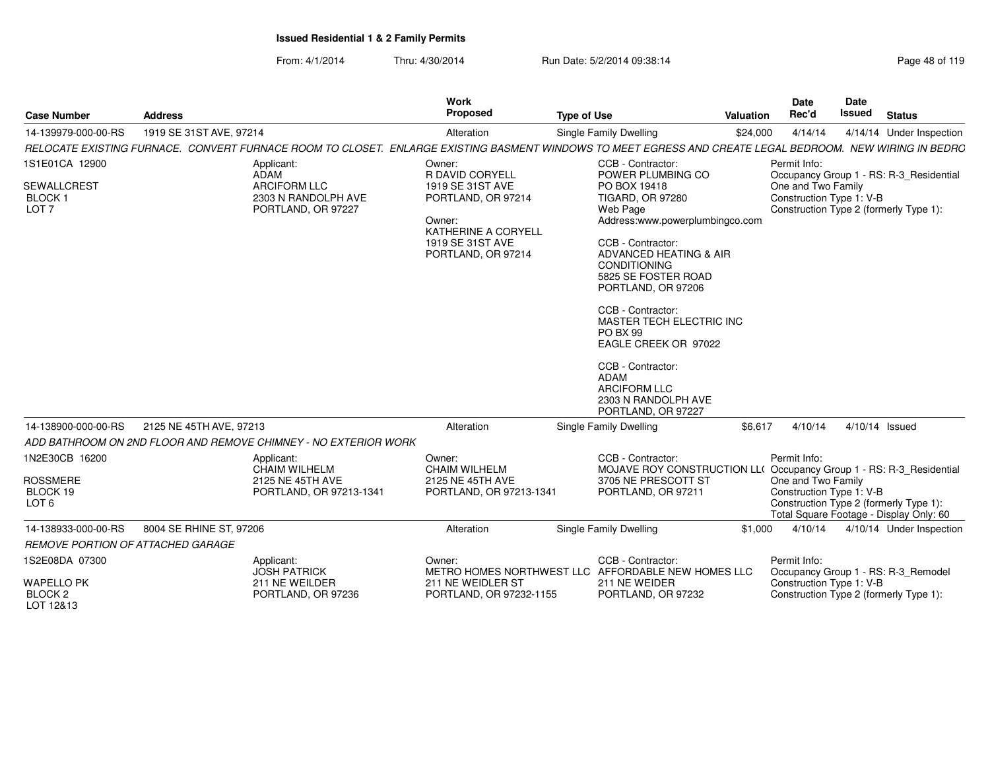| <b>Case Number</b>                                                        | <b>Address</b>                                                                                                                                           | <b>Work</b><br>Proposed                                                                                                                        | <b>Type of Use</b>                                                                                                                                                                                                                                                                                                                                                                                                                               | Valuation | <b>Date</b><br>Rec'd                                           | Date<br><b>Issued</b> | <b>Status</b>                                                                     |
|---------------------------------------------------------------------------|----------------------------------------------------------------------------------------------------------------------------------------------------------|------------------------------------------------------------------------------------------------------------------------------------------------|--------------------------------------------------------------------------------------------------------------------------------------------------------------------------------------------------------------------------------------------------------------------------------------------------------------------------------------------------------------------------------------------------------------------------------------------------|-----------|----------------------------------------------------------------|-----------------------|-----------------------------------------------------------------------------------|
| 14-139979-000-00-RS                                                       | 1919 SE 31ST AVE, 97214                                                                                                                                  | Alteration                                                                                                                                     | Single Family Dwelling                                                                                                                                                                                                                                                                                                                                                                                                                           | \$24,000  | 4/14/14                                                        |                       | 4/14/14 Under Inspection                                                          |
|                                                                           | RELOCATE EXISTING FURNACE. CONVERT FURNACE ROOM TO CLOSET. ENLARGE EXISTING BASMENT WINDOWS TO MEET EGRESS AND CREATE LEGAL BEDROOM. NEW WIRING IN BEDRC |                                                                                                                                                |                                                                                                                                                                                                                                                                                                                                                                                                                                                  |           |                                                                |                       |                                                                                   |
| 1S1E01CA 12900<br><b>SEWALLCREST</b><br><b>BLOCK1</b><br>LOT <sub>7</sub> | Applicant:<br>ADAM<br><b>ARCIFORM LLC</b><br>2303 N RANDOLPH AVE<br>PORTLAND, OR 97227                                                                   | Owner:<br>R DAVID CORYELL<br>1919 SE 31ST AVE<br>PORTLAND, OR 97214<br>Owner:<br>KATHERINE A CORYELL<br>1919 SE 31ST AVE<br>PORTLAND, OR 97214 | CCB - Contractor:<br>POWER PLUMBING CO<br>PO BOX 19418<br><b>TIGARD, OR 97280</b><br>Web Page<br>Address:www.powerplumbingco.com<br>CCB - Contractor:<br>ADVANCED HEATING & AIR<br><b>CONDITIONING</b><br>5825 SE FOSTER ROAD<br>PORTLAND, OR 97206<br>CCB - Contractor:<br>MASTER TECH ELECTRIC INC<br>PO BX 99<br>EAGLE CREEK OR 97022<br>CCB - Contractor:<br><b>ADAM</b><br><b>ARCIFORM LLC</b><br>2303 N RANDOLPH AVE<br>PORTLAND, OR 97227 |           | Permit Info:<br>One and Two Family<br>Construction Type 1: V-B |                       | Occupancy Group 1 - RS: R-3_Residential<br>Construction Type 2 (formerly Type 1): |
| 14-138900-000-00-RS                                                       | 2125 NE 45TH AVE, 97213                                                                                                                                  | Alteration                                                                                                                                     | <b>Single Family Dwelling</b>                                                                                                                                                                                                                                                                                                                                                                                                                    | \$6,617   | 4/10/14                                                        |                       | 4/10/14 Issued                                                                    |
|                                                                           | ADD BATHROOM ON 2ND FLOOR AND REMOVE CHIMNEY - NO EXTERIOR WORK                                                                                          |                                                                                                                                                |                                                                                                                                                                                                                                                                                                                                                                                                                                                  |           |                                                                |                       |                                                                                   |
| 1N2E30CB 16200<br><b>ROSSMERE</b><br>BLOCK 19<br>LOT <sub>6</sub>         | Applicant:<br><b>CHAIM WILHELM</b><br>2125 NE 45TH AVE<br>PORTLAND, OR 97213-1341                                                                        | Owner:<br><b>CHAIM WILHELM</b><br>2125 NE 45TH AVE<br>PORTLAND, OR 97213-1341                                                                  | CCB - Contractor:<br>MOJAVE ROY CONSTRUCTION LL( Occupancy Group 1 - RS: R-3_Residential<br>3705 NE PRESCOTT ST<br>PORTLAND, OR 97211                                                                                                                                                                                                                                                                                                            |           | Permit Info:<br>One and Two Family<br>Construction Type 1: V-B |                       | Construction Type 2 (formerly Type 1):<br>Total Square Footage - Display Only: 60 |
| 14-138933-000-00-RS                                                       | 8004 SE RHINE ST, 97206                                                                                                                                  | Alteration                                                                                                                                     | <b>Single Family Dwelling</b>                                                                                                                                                                                                                                                                                                                                                                                                                    | \$1,000   | 4/10/14                                                        |                       | 4/10/14 Under Inspection                                                          |
| REMOVE PORTION OF ATTACHED GARAGE                                         |                                                                                                                                                          |                                                                                                                                                |                                                                                                                                                                                                                                                                                                                                                                                                                                                  |           |                                                                |                       |                                                                                   |
| 1S2E08DA 07300<br><b>WAPELLO PK</b>                                       | Applicant:<br><b>JOSH PATRICK</b><br>211 NE WEILDER                                                                                                      | Owner:<br>211 NE WEIDLER ST                                                                                                                    | CCB - Contractor:<br>METRO HOMES NORTHWEST LLC AFFORDABLE NEW HOMES LLC<br>211 NE WEIDER                                                                                                                                                                                                                                                                                                                                                         |           | Permit Info:<br>Construction Type 1: V-B                       |                       | Occupancy Group 1 - RS: R-3_Remodel                                               |
| BLOCK <sub>2</sub><br>LOT 12&13                                           | PORTLAND, OR 97236                                                                                                                                       | PORTLAND, OR 97232-1155                                                                                                                        | PORTLAND, OR 97232                                                                                                                                                                                                                                                                                                                                                                                                                               |           |                                                                |                       | Construction Type 2 (formerly Type 1):                                            |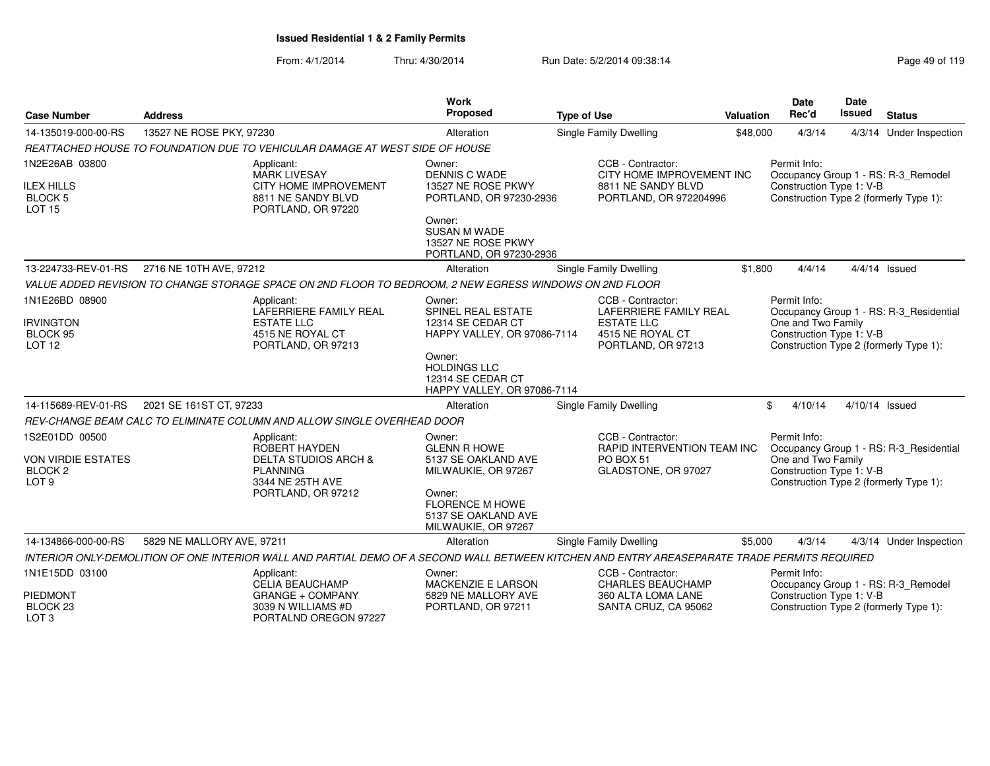| <b>Case Number</b>                                                     | <b>Address</b>                                                                                                                                | Work<br>Proposed                                                                  | <b>Type of Use</b>                                                                             | <b>Date</b><br>Rec'd<br>Valuation                                                        |                                                                | <b>Date</b><br><b>Issued</b> | <b>Status</b>                                                                 |
|------------------------------------------------------------------------|-----------------------------------------------------------------------------------------------------------------------------------------------|-----------------------------------------------------------------------------------|------------------------------------------------------------------------------------------------|------------------------------------------------------------------------------------------|----------------------------------------------------------------|------------------------------|-------------------------------------------------------------------------------|
| 14-135019-000-00-RS                                                    | 13527 NE ROSE PKY, 97230                                                                                                                      | Alteration                                                                        | Single Family Dwelling                                                                         | \$48,000                                                                                 | 4/3/14                                                         |                              | 4/3/14 Under Inspection                                                       |
|                                                                        | REATTACHED HOUSE TO FOUNDATION DUE TO VEHICULAR DAMAGE AT WEST SIDE OF HOUSE                                                                  |                                                                                   |                                                                                                |                                                                                          |                                                                |                              |                                                                               |
| 1N2E26AB 03800<br><b>ILEX HILLS</b><br><b>BLOCK 5</b><br><b>LOT 15</b> | Applicant:<br><b>MARK LIVESAY</b><br><b>CITY HOME IMPROVEMENT</b><br>8811 NE SANDY BLVD<br>PORTLAND, OR 97220                                 | Owner:<br><b>DENNIS C WADE</b><br>13527 NE ROSE PKWY<br>PORTLAND, OR 97230-2936   | CCB - Contractor:<br>CITY HOME IMPROVEMENT INC<br>8811 NE SANDY BLVD<br>PORTLAND, OR 972204996 |                                                                                          | Permit Info:<br>Construction Type 1: V-B                       |                              | Occupancy Group 1 - RS: R-3_Remodel<br>Construction Type 2 (formerly Type 1): |
|                                                                        |                                                                                                                                               | Owner:<br><b>SUSAN M WADE</b><br>13527 NE ROSE PKWY<br>PORTLAND, OR 97230-2936    |                                                                                                |                                                                                          |                                                                |                              |                                                                               |
| 13-224733-REV-01-RS                                                    | 2716 NE 10TH AVE, 97212                                                                                                                       | Alteration                                                                        | <b>Single Family Dwelling</b>                                                                  | \$1,800                                                                                  | 4/4/14                                                         |                              | $4/4/14$ Issued                                                               |
|                                                                        | VALUE ADDED REVISION TO CHANGE STORAGE SPACE ON 2ND FLOOR TO BEDROOM, 2 NEW EGRESS WINDOWS ON 2ND FLOOR                                       |                                                                                   |                                                                                                |                                                                                          |                                                                |                              |                                                                               |
| 1N1E26BD 08900                                                         | Applicant:<br>LAFERRIERE FAMILY REAL                                                                                                          | Owner:<br>SPINEL REAL ESTATE                                                      | CCB - Contractor:<br>LAFERRIERE FAMILY REAL<br><b>ESTATE LLC</b>                               |                                                                                          | Permit Info:                                                   |                              | Occupancy Group 1 - RS: R-3_Residential                                       |
| <b>IRVINGTON</b><br>BLOCK 95<br>LOT <sub>12</sub>                      | <b>ESTATE LLC</b><br>4515 NE ROYAL CT<br>PORTLAND, OR 97213                                                                                   | 12314 SE CEDAR CT<br>HAPPY VALLEY, OR 97086-7114                                  |                                                                                                | One and Two Family<br>Construction Type 1: V-B<br>Construction Type 2 (formerly Type 1): |                                                                |                              |                                                                               |
|                                                                        |                                                                                                                                               | Owner:<br><b>HOLDINGS LLC</b><br>12314 SE CEDAR CT<br>HAPPY VALLEY, OR 97086-7114 |                                                                                                |                                                                                          |                                                                |                              |                                                                               |
| 14-115689-REV-01-RS                                                    | 2021 SE 161ST CT, 97233                                                                                                                       | Alteration                                                                        | <b>Single Family Dwelling</b>                                                                  | \$                                                                                       | 4/10/14                                                        |                              | 4/10/14 Issued                                                                |
|                                                                        | REV-CHANGE BEAM CALC TO ELIMINATE COLUMN AND ALLOW SINGLE OVERHEAD DOOR                                                                       |                                                                                   |                                                                                                |                                                                                          |                                                                |                              |                                                                               |
| 1S2E01DD 00500<br><b>VON VIRDIE ESTATES</b><br>BLOCK <sub>2</sub>      | Applicant:<br>ROBERT HAYDEN<br><b>DELTA STUDIOS ARCH &amp;</b><br><b>PLANNING</b>                                                             | Owner:<br><b>GLENN R HOWE</b><br>5137 SE OAKLAND AVE<br>MILWAUKIE, OR 97267       | CCB - Contractor:<br>RAPID INTERVENTION TEAM INC<br>PO BOX 51<br>GLADSTONE, OR 97027           |                                                                                          | Permit Info:<br>One and Two Family<br>Construction Type 1: V-B |                              | Occupancy Group 1 - RS: R-3_Residential                                       |
| LOT <sub>9</sub>                                                       | 3344 NE 25TH AVE<br>PORTLAND, OR 97212                                                                                                        | Owner:<br><b>FLORENCE M HOWE</b><br>5137 SE OAKLAND AVE<br>MILWAUKIE, OR 97267    |                                                                                                |                                                                                          |                                                                |                              | Construction Type 2 (formerly Type 1):                                        |
| 14-134866-000-00-RS                                                    | 5829 NE MALLORY AVE, 97211                                                                                                                    | Alteration                                                                        | <b>Single Family Dwelling</b>                                                                  | \$5,000                                                                                  | 4/3/14                                                         |                              | 4/3/14 Under Inspection                                                       |
|                                                                        | INTERIOR ONLY-DEMOLITION OF ONE INTERIOR WALL AND PARTIAL DEMO OF A SECOND WALL BETWEEN KITCHEN AND ENTRY AREASEPARATE TRADE PERMITS REQUIRED |                                                                                   |                                                                                                |                                                                                          |                                                                |                              |                                                                               |
| 1N1E15DD 03100                                                         | Applicant:<br><b>CELIA BEAUCHAMP</b>                                                                                                          | Owner:<br><b>MACKENZIE E LARSON</b>                                               | CCB - Contractor:<br><b>CHARLES BEAUCHAMP</b>                                                  |                                                                                          | Permit Info:                                                   |                              | Occupancy Group 1 - RS: R-3_Remodel                                           |
| <b>PIEDMONT</b><br>BLOCK <sub>23</sub><br>LOT <sub>3</sub>             | GRANGE + COMPANY<br>3039 N WILLIAMS #D<br>PORTALND OREGON 97227                                                                               | 5829 NE MALLORY AVE<br>PORTLAND, OR 97211                                         | 360 ALTA LOMA LANE<br>SANTA CRUZ, CA 95062                                                     |                                                                                          | Construction Type 1: V-B                                       |                              | Construction Type 2 (formerly Type 1):                                        |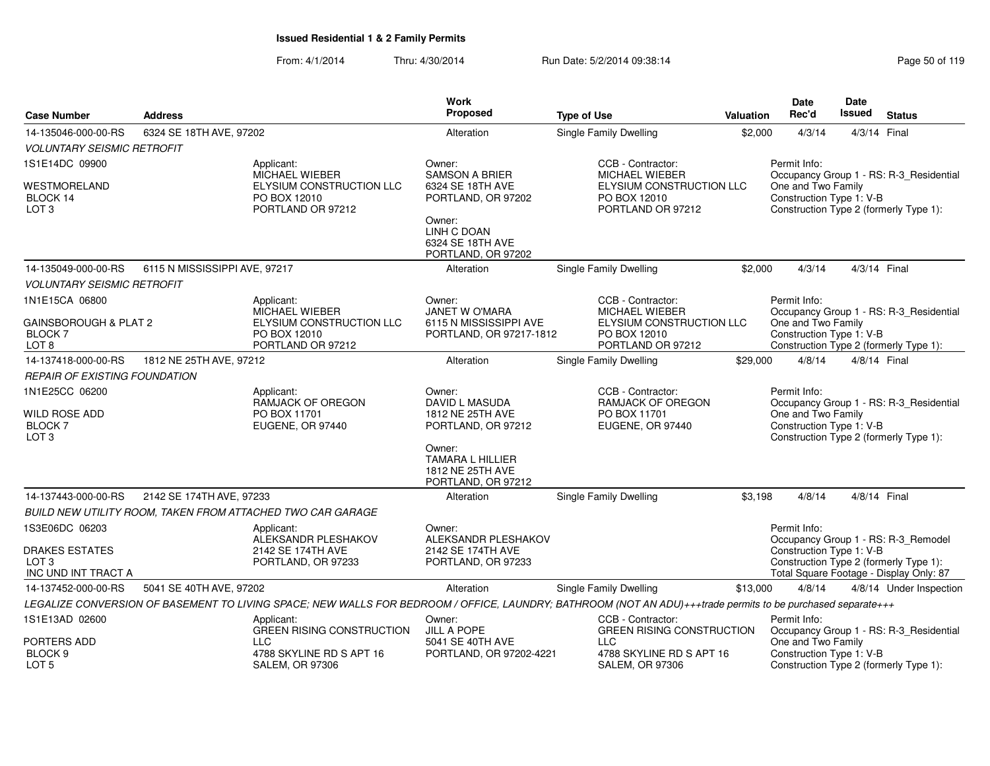|                                           |                               |                                                                                                                                                             | <b>Work</b><br><b>Proposed</b>            |                                                   |           | <b>Date</b>              | <b>Date</b>                                                                                                                                                                                                                                                                                                                                         |                                         |
|-------------------------------------------|-------------------------------|-------------------------------------------------------------------------------------------------------------------------------------------------------------|-------------------------------------------|---------------------------------------------------|-----------|--------------------------|-----------------------------------------------------------------------------------------------------------------------------------------------------------------------------------------------------------------------------------------------------------------------------------------------------------------------------------------------------|-----------------------------------------|
| <b>Case Number</b>                        | <b>Address</b>                |                                                                                                                                                             |                                           | <b>Type of Use</b>                                | Valuation | Rec'd                    |                                                                                                                                                                                                                                                                                                                                                     | <b>Status</b>                           |
| 14-135046-000-00-RS                       | 6324 SE 18TH AVE, 97202       |                                                                                                                                                             | Alteration                                | Single Family Dwelling                            | \$2,000   | 4/3/14                   |                                                                                                                                                                                                                                                                                                                                                     |                                         |
| <b>VOLUNTARY SEISMIC RETROFIT</b>         |                               |                                                                                                                                                             |                                           |                                                   |           |                          |                                                                                                                                                                                                                                                                                                                                                     |                                         |
| 1S1E14DC 09900                            |                               | Applicant:                                                                                                                                                  | Owner:                                    | CCB - Contractor:                                 |           | Permit Info:             |                                                                                                                                                                                                                                                                                                                                                     |                                         |
| WESTMORELAND                              |                               | <b>MICHAEL WIEBER</b><br>ELYSIUM CONSTRUCTION LLC                                                                                                           | <b>SAMSON A BRIER</b><br>6324 SE 18TH AVE | <b>MICHAEL WIEBER</b><br>ELYSIUM CONSTRUCTION LLC |           | One and Two Family       |                                                                                                                                                                                                                                                                                                                                                     |                                         |
| BLOCK 14                                  |                               | PO BOX 12010                                                                                                                                                | PORTLAND, OR 97202                        | PO BOX 12010                                      |           | Construction Type 1: V-B |                                                                                                                                                                                                                                                                                                                                                     |                                         |
| LOT <sub>3</sub>                          |                               | PORTLAND OR 97212                                                                                                                                           | Owner:                                    | PORTLAND OR 97212                                 |           |                          |                                                                                                                                                                                                                                                                                                                                                     | Construction Type 2 (formerly Type 1):  |
|                                           |                               |                                                                                                                                                             | LINH C DOAN                               |                                                   |           |                          |                                                                                                                                                                                                                                                                                                                                                     |                                         |
|                                           |                               |                                                                                                                                                             | 6324 SE 18TH AVE                          |                                                   |           |                          |                                                                                                                                                                                                                                                                                                                                                     |                                         |
|                                           |                               |                                                                                                                                                             | PORTLAND, OR 97202                        |                                                   |           |                          |                                                                                                                                                                                                                                                                                                                                                     |                                         |
| 14-135049-000-00-RS                       | 6115 N MISSISSIPPI AVE, 97217 |                                                                                                                                                             | Alteration                                | <b>Single Family Dwelling</b>                     | \$2,000   | 4/3/14                   |                                                                                                                                                                                                                                                                                                                                                     |                                         |
| <b>VOLUNTARY SEISMIC RETROFIT</b>         |                               |                                                                                                                                                             |                                           |                                                   |           |                          |                                                                                                                                                                                                                                                                                                                                                     |                                         |
| 1N1E15CA 06800                            |                               | Applicant:<br><b>MICHAEL WIEBER</b>                                                                                                                         | Owner:<br><b>JANET W O'MARA</b>           | CCB - Contractor:<br><b>MICHAEL WIEBER</b>        |           | Permit Info:             |                                                                                                                                                                                                                                                                                                                                                     |                                         |
| GAINSBOROUGH & PLAT 2                     |                               | ELYSIUM CONSTRUCTION LLC                                                                                                                                    | 6115 N MISSISSIPPI AVE                    | ELYSIUM CONSTRUCTION LLC                          |           | One and Two Family       | <b>Issued</b><br>4/3/14 Final<br>Occupancy Group 1 - RS: R-3_Residential<br>4/3/14 Final<br>Occupancy Group 1 - RS: R-3_Residential<br>Construction Type 2 (formerly Type 1):<br>4/8/14 Final<br>Construction Type 2 (formerly Type 1):<br>4/8/14 Final<br>Construction Type 1: V-B<br>Construction Type 2 (formerly Type 1):<br>One and Two Family |                                         |
| <b>BLOCK 7</b>                            |                               | PO BOX 12010                                                                                                                                                | PORTLAND, OR 97217-1812                   | PO BOX 12010                                      |           | Construction Type 1: V-B |                                                                                                                                                                                                                                                                                                                                                     |                                         |
| LOT <sub>8</sub>                          |                               | PORTLAND OR 97212                                                                                                                                           | Alteration                                | PORTLAND OR 97212                                 |           | 4/8/14                   |                                                                                                                                                                                                                                                                                                                                                     |                                         |
| 14-137418-000-00-RS                       | 1812 NE 25TH AVE, 97212       |                                                                                                                                                             |                                           | <b>Single Family Dwelling</b>                     | \$29,000  |                          |                                                                                                                                                                                                                                                                                                                                                     |                                         |
| <b>REPAIR OF EXISTING FOUNDATION</b>      |                               |                                                                                                                                                             |                                           |                                                   |           |                          |                                                                                                                                                                                                                                                                                                                                                     |                                         |
| 1N1E25CC 06200                            |                               | Applicant:<br><b>RAMJACK OF OREGON</b>                                                                                                                      | Owner:<br>DAVID L MASUDA                  | CCB - Contractor:<br><b>RAMJACK OF OREGON</b>     |           | Permit Info:             |                                                                                                                                                                                                                                                                                                                                                     | Occupancy Group 1 - RS: R-3_Residential |
| WILD ROSE ADD                             |                               | PO BOX 11701                                                                                                                                                | 1812 NE 25TH AVE                          | PO BOX 11701                                      |           | One and Two Family       |                                                                                                                                                                                                                                                                                                                                                     |                                         |
| BLOCK 7<br>LOT <sub>3</sub>               |                               | EUGENE, OR 97440                                                                                                                                            | PORTLAND, OR 97212                        | EUGENE, OR 97440                                  |           | Construction Type 1: V-B |                                                                                                                                                                                                                                                                                                                                                     |                                         |
|                                           |                               |                                                                                                                                                             | Owner:                                    |                                                   |           |                          |                                                                                                                                                                                                                                                                                                                                                     |                                         |
|                                           |                               |                                                                                                                                                             | TAMARA L HILLIER                          |                                                   |           |                          |                                                                                                                                                                                                                                                                                                                                                     |                                         |
|                                           |                               |                                                                                                                                                             | 1812 NE 25TH AVE<br>PORTLAND, OR 97212    |                                                   |           |                          |                                                                                                                                                                                                                                                                                                                                                     |                                         |
| 14-137443-000-00-RS                       | 2142 SE 174TH AVE, 97233      |                                                                                                                                                             | Alteration                                | <b>Single Family Dwelling</b>                     | \$3,198   | 4/8/14                   |                                                                                                                                                                                                                                                                                                                                                     |                                         |
|                                           |                               | BUILD NEW UTILITY ROOM, TAKEN FROM ATTACHED TWO CAR GARAGE                                                                                                  |                                           |                                                   |           |                          |                                                                                                                                                                                                                                                                                                                                                     |                                         |
| 1S3E06DC 06203                            |                               | Applicant:                                                                                                                                                  | Owner:                                    |                                                   |           | Permit Info:             |                                                                                                                                                                                                                                                                                                                                                     |                                         |
|                                           |                               | ALEKSANDR PLESHAKOV                                                                                                                                         | ALEKSANDR PLESHAKOV                       |                                                   |           |                          |                                                                                                                                                                                                                                                                                                                                                     | Occupancy Group 1 - RS: R-3_Remodel     |
| <b>DRAKES ESTATES</b><br>LOT <sub>3</sub> |                               | 2142 SE 174TH AVE<br>PORTLAND, OR 97233                                                                                                                     | 2142 SE 174TH AVE<br>PORTLAND, OR 97233   |                                                   |           |                          |                                                                                                                                                                                                                                                                                                                                                     |                                         |
| INC UND INT TRACT A                       |                               |                                                                                                                                                             |                                           |                                                   |           |                          |                                                                                                                                                                                                                                                                                                                                                     | Total Square Footage - Display Only: 87 |
| 14-137452-000-00-RS                       | 5041 SE 40TH AVE, 97202       |                                                                                                                                                             | Alteration                                | <b>Single Family Dwelling</b>                     | \$13,000  | 4/8/14                   |                                                                                                                                                                                                                                                                                                                                                     | 4/8/14 Under Inspection                 |
|                                           |                               | LEGALIZE CONVERSION OF BASEMENT TO LIVING SPACE; NEW WALLS FOR BEDROOM / OFFICE, LAUNDRY; BATHROOM (NOT AN ADU)+++trade permits to be purchased separate+++ |                                           |                                                   |           |                          |                                                                                                                                                                                                                                                                                                                                                     |                                         |
| 1S1E13AD 02600                            |                               | Applicant:                                                                                                                                                  | Owner:                                    | CCB - Contractor:                                 |           | Permit Info:             |                                                                                                                                                                                                                                                                                                                                                     |                                         |
| PORTERS ADD                               |                               | <b>GREEN RISING CONSTRUCTION</b><br><b>LLC</b>                                                                                                              | <b>JILL A POPE</b><br>5041 SE 40TH AVE    | <b>GREEN RISING CONSTRUCTION</b><br><b>LLC</b>    |           |                          |                                                                                                                                                                                                                                                                                                                                                     | Occupancy Group 1 - RS: R-3_Residential |
| BLOCK <sub>9</sub>                        |                               | 4788 SKYLINE RD S APT 16                                                                                                                                    | PORTLAND, OR 97202-4221                   | 4788 SKYLINE RD S APT 16                          |           | Construction Type 1: V-B |                                                                                                                                                                                                                                                                                                                                                     |                                         |
| LOT 5                                     |                               | <b>SALEM, OR 97306</b>                                                                                                                                      |                                           | <b>SALEM, OR 97306</b>                            |           |                          |                                                                                                                                                                                                                                                                                                                                                     | Construction Type 2 (formerly Type 1):  |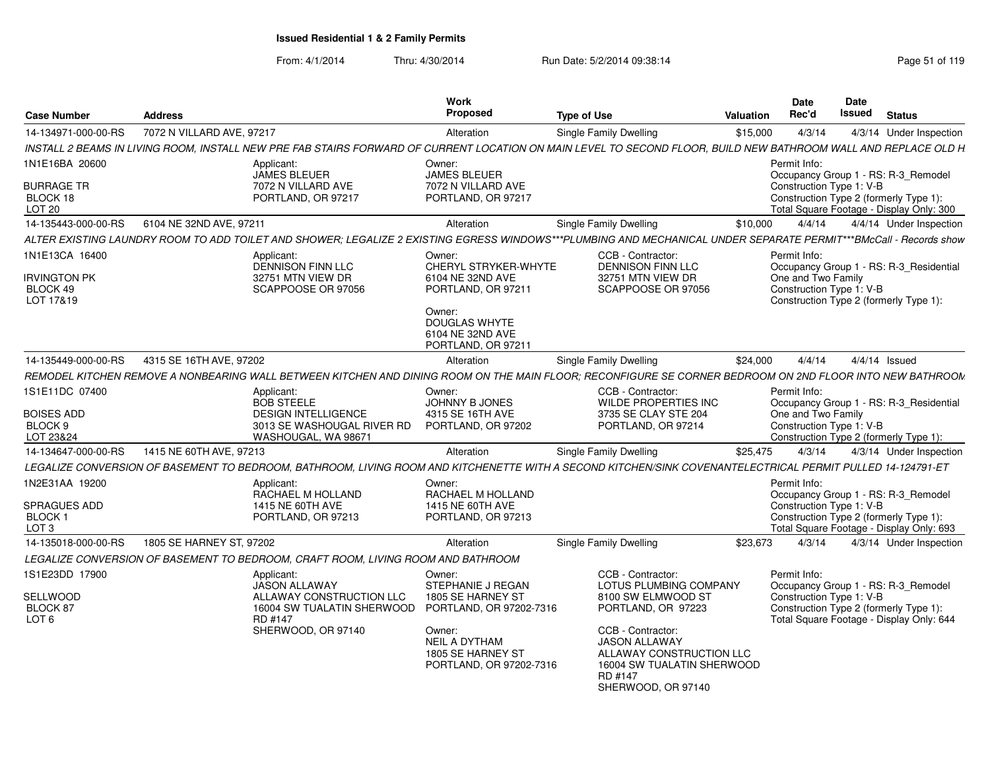| <b>Case Number</b>                                                  | <b>Address</b>                                                                                                                                                    | <b>Work</b><br><b>Proposed</b>                                                                                                                                | <b>Type of Use</b>                                                                                                                                                                                                              | Valuation | <b>Date</b><br>Rec'd                                                                                                                                                  | Date<br><b>Issued</b> | <b>Status</b>   |                         |
|---------------------------------------------------------------------|-------------------------------------------------------------------------------------------------------------------------------------------------------------------|---------------------------------------------------------------------------------------------------------------------------------------------------------------|---------------------------------------------------------------------------------------------------------------------------------------------------------------------------------------------------------------------------------|-----------|-----------------------------------------------------------------------------------------------------------------------------------------------------------------------|-----------------------|-----------------|-------------------------|
| 14-134971-000-00-RS                                                 | 7072 N VILLARD AVE, 97217                                                                                                                                         | Alteration                                                                                                                                                    | <b>Single Family Dwelling</b>                                                                                                                                                                                                   | \$15,000  | 4/3/14                                                                                                                                                                |                       |                 | 4/3/14 Under Inspection |
|                                                                     | INSTALL 2 BEAMS IN LIVING ROOM, INSTALL NEW PRE FAB STAIRS FORWARD OF CURRENT LOCATION ON MAIN LEVEL TO SECOND FLOOR, BUILD NEW BATHROOM WALL AND REPLACE OLD H.  |                                                                                                                                                               |                                                                                                                                                                                                                                 |           |                                                                                                                                                                       |                       |                 |                         |
| 1N1E16BA 20600                                                      | Applicant:                                                                                                                                                        | Owner:                                                                                                                                                        |                                                                                                                                                                                                                                 |           | Permit Info:                                                                                                                                                          |                       |                 |                         |
| <b>BURRAGE TR</b><br>BLOCK 18<br>LOT <sub>20</sub>                  | <b>JAMES BLEUER</b><br>7072 N VILLARD AVE<br>PORTLAND, OR 97217                                                                                                   | <b>JAMES BLEUER</b><br>7072 N VILLARD AVE<br>PORTLAND, OR 97217                                                                                               |                                                                                                                                                                                                                                 |           | Occupancy Group 1 - RS: R-3_Remodel<br>Construction Type 1: V-B<br>Construction Type 2 (formerly Type 1):<br>Total Square Footage - Display Only: 300                 |                       |                 |                         |
| 14-135443-000-00-RS                                                 | 6104 NE 32ND AVE, 97211                                                                                                                                           | Alteration                                                                                                                                                    | Single Family Dwelling                                                                                                                                                                                                          | \$10,000  | 4/4/14                                                                                                                                                                |                       |                 | 4/4/14 Under Inspection |
|                                                                     | ALTER EXISTING LAUNDRY ROOM TO ADD TOILET AND SHOWER: LEGALIZE 2 EXISTING EGRESS WINDOWS***PLUMBING AND MECHANICAL UNDER SEPARATE PERMIT***BMcCall - Records show |                                                                                                                                                               |                                                                                                                                                                                                                                 |           |                                                                                                                                                                       |                       |                 |                         |
| 1N1E13CA 16400<br><b>IRVINGTON PK</b><br>BLOCK 49<br>LOT 17&19      | Applicant:<br>DENNISON FINN LLC<br>32751 MTN VIEW DR<br>SCAPPOOSE OR 97056                                                                                        | Owner:<br>CHERYL STRYKER-WHYTE<br>6104 NE 32ND AVE<br>PORTLAND, OR 97211<br>Owner:<br><b>DOUGLAS WHYTE</b><br>6104 NE 32ND AVE<br>PORTLAND, OR 97211          | CCB - Contractor:<br>DENNISON FINN LLC<br>32751 MTN VIEW DR<br>SCAPPOOSE OR 97056                                                                                                                                               |           | Permit Info:<br>Occupancy Group 1 - RS: R-3_Residential<br>One and Two Family<br>Construction Type 1: V-B<br>Construction Type 2 (formerly Type 1):                   |                       |                 |                         |
| 14-135449-000-00-RS                                                 | 4315 SE 16TH AVE, 97202                                                                                                                                           | Alteration                                                                                                                                                    | Single Family Dwelling                                                                                                                                                                                                          | \$24,000  | 4/4/14                                                                                                                                                                |                       | $4/4/14$ Issued |                         |
|                                                                     | REMODEL KITCHEN REMOVE A NONBEARING WALL BETWEEN KITCHEN AND DINING ROOM ON THE MAIN FLOOR; RECONFIGURE SE CORNER BEDROOM ON 2ND FLOOR INTO NEW BATHROOM          |                                                                                                                                                               |                                                                                                                                                                                                                                 |           |                                                                                                                                                                       |                       |                 |                         |
| 1S1E11DC 07400<br><b>BOISES ADD</b><br>BLOCK 9<br>LOT 23&24         | Applicant:<br><b>BOB STEELE</b><br><b>DESIGN INTELLIGENCE</b><br>3013 SE WASHOUGAL RIVER RD<br>WASHOUGAL, WA 98671                                                | Owner:<br><b>JOHNNY B JONES</b><br>4315 SE 16TH AVE<br>PORTLAND, OR 97202                                                                                     | CCB - Contractor:<br><b>WILDE PROPERTIES INC</b><br>3735 SE CLAY STE 204<br>PORTLAND, OR 97214                                                                                                                                  |           | Permit Info:<br>Occupancy Group 1 - RS: R-3 Residential<br>One and Two Family<br>Construction Type 1: V-B<br>Construction Type 2 (formerly Type 1):                   |                       |                 |                         |
| 14-134647-000-00-RS                                                 | 1415 NE 60TH AVE, 97213                                                                                                                                           | Alteration                                                                                                                                                    | Single Family Dwelling                                                                                                                                                                                                          | \$25,475  | 4/3/14                                                                                                                                                                |                       |                 | 4/3/14 Under Inspection |
|                                                                     | LEGALIZE CONVERSION OF BASEMENT TO BEDROOM, BATHROOM, LIVING ROOM AND KITCHENETTE WITH A SECOND KITCHEN/SINK COVENANTELECTRICAL PERMIT PULLED 14-124791-ET        |                                                                                                                                                               |                                                                                                                                                                                                                                 |           |                                                                                                                                                                       |                       |                 |                         |
| 1N2E31AA 19200<br>SPRAGUES ADD<br><b>BLOCK1</b><br>LOT <sub>3</sub> | Applicant:<br>RACHAEL M HOLLAND<br>1415 NE 60TH AVE<br>PORTLAND, OR 97213                                                                                         | Owner:<br>RACHAEL M HOLLAND<br>1415 NE 60TH AVE<br>PORTLAND, OR 97213                                                                                         |                                                                                                                                                                                                                                 |           | Permit Info:<br>Occupancy Group 1 - RS: R-3_Remodel<br>Construction Type 1: V-B<br>Construction Type 2 (formerly Type 1):<br>Total Square Footage - Display Only: 693 |                       |                 |                         |
| 14-135018-000-00-RS                                                 | 1805 SE HARNEY ST, 97202                                                                                                                                          | Alteration                                                                                                                                                    | <b>Single Family Dwelling</b>                                                                                                                                                                                                   | \$23,673  | 4/3/14                                                                                                                                                                |                       |                 | 4/3/14 Under Inspection |
|                                                                     | LEGALIZE CONVERSION OF BASEMENT TO BEDROOM. CRAFT ROOM. LIVING ROOM AND BATHROOM                                                                                  |                                                                                                                                                               |                                                                                                                                                                                                                                 |           |                                                                                                                                                                       |                       |                 |                         |
| 1S1E23DD 17900<br>SELLWOOD<br>BLOCK 87<br>LOT <sub>6</sub>          | Applicant:<br><b>JASON ALLAWAY</b><br>ALLAWAY CONSTRUCTION LLC<br>16004 SW TUALATIN SHERWOOD<br>RD #147<br>SHERWOOD, OR 97140                                     | Owner:<br>STEPHANIE J REGAN<br>1805 SE HARNEY ST<br>PORTLAND, OR 97202-7316<br>Owner:<br><b>NEIL A DYTHAM</b><br>1805 SE HARNEY ST<br>PORTLAND, OR 97202-7316 | CCB - Contractor:<br>LOTUS PLUMBING COMPANY<br>8100 SW ELMWOOD ST<br>PORTLAND, OR 97223<br>CCB - Contractor:<br><b>JASON ALLAWAY</b><br>ALLAWAY CONSTRUCTION LLC<br>16004 SW TUALATIN SHERWOOD<br>RD #147<br>SHERWOOD, OR 97140 |           | Permit Info:<br>Occupancy Group 1 - RS: R-3 Remodel<br>Construction Type 1: V-B<br>Construction Type 2 (formerly Type 1):<br>Total Square Footage - Display Only: 644 |                       |                 |                         |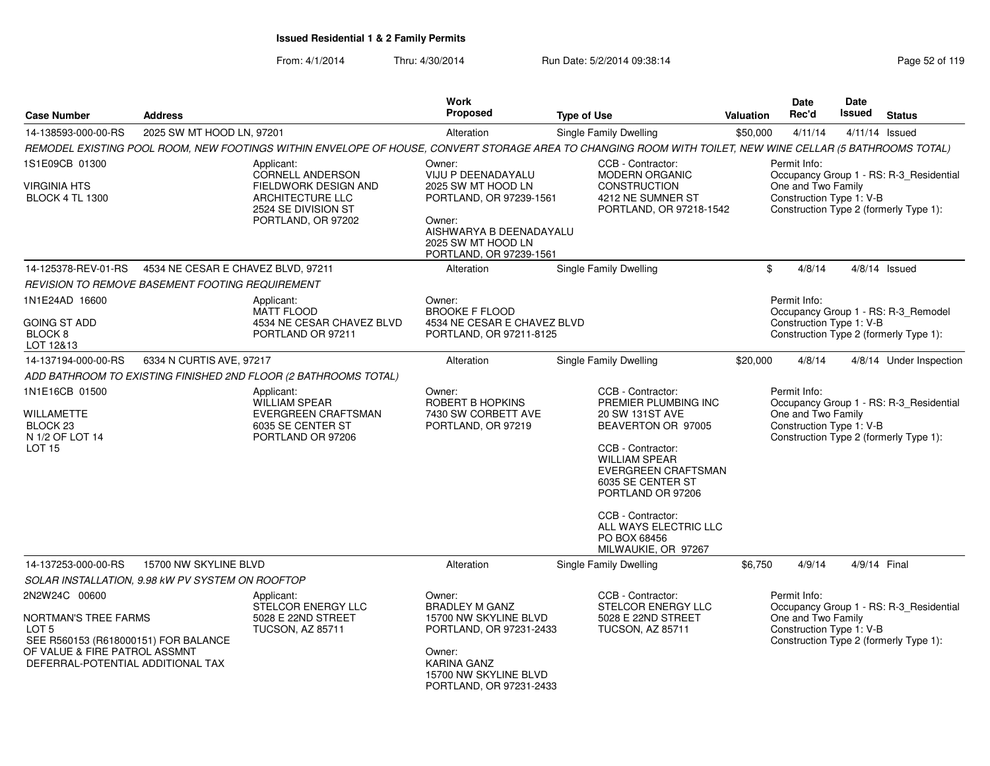|                                                                                                                                                                         |                                                  |                                                                                                                                                           | Work                                                                                                                                                             |                                                                                                                                                                                                                                                                                       |                  | Date                                                           | Date          |                                                                                   |
|-------------------------------------------------------------------------------------------------------------------------------------------------------------------------|--------------------------------------------------|-----------------------------------------------------------------------------------------------------------------------------------------------------------|------------------------------------------------------------------------------------------------------------------------------------------------------------------|---------------------------------------------------------------------------------------------------------------------------------------------------------------------------------------------------------------------------------------------------------------------------------------|------------------|----------------------------------------------------------------|---------------|-----------------------------------------------------------------------------------|
| <b>Case Number</b>                                                                                                                                                      | <b>Address</b>                                   |                                                                                                                                                           | Proposed                                                                                                                                                         | <b>Type of Use</b>                                                                                                                                                                                                                                                                    | <b>Valuation</b> | Rec'd                                                          | <b>Issued</b> | <b>Status</b>                                                                     |
| 14-138593-000-00-RS                                                                                                                                                     | 2025 SW MT HOOD LN, 97201                        |                                                                                                                                                           | Alteration                                                                                                                                                       | Single Family Dwelling                                                                                                                                                                                                                                                                | \$50,000         | 4/11/14                                                        |               | 4/11/14 Issued                                                                    |
|                                                                                                                                                                         |                                                  | REMODEL EXISTING POOL ROOM, NEW FOOTINGS WITHIN ENVELOPE OF HOUSE, CONVERT STORAGE AREA TO CHANGING ROOM WITH TOILET, NEW WINE CELLAR (5 BATHROOMS TOTAL) |                                                                                                                                                                  |                                                                                                                                                                                                                                                                                       |                  |                                                                |               |                                                                                   |
| 1S1E09CB 01300                                                                                                                                                          |                                                  | Applicant:                                                                                                                                                | Owner:                                                                                                                                                           | CCB - Contractor:                                                                                                                                                                                                                                                                     |                  | Permit Info:                                                   |               |                                                                                   |
| VIRGINIA HTS<br><b>BLOCK 4 TL 1300</b>                                                                                                                                  |                                                  | CORNELL ANDERSON<br>FIELDWORK DESIGN AND<br>ARCHITECTURE LLC<br>2524 SE DIVISION ST<br>PORTLAND, OR 97202                                                 | VIJU P DEENADAYALU<br>2025 SW MT HOOD LN<br>PORTLAND, OR 97239-1561<br>Owner:<br>AISHWARYA B DEENADAYALU<br>2025 SW MT HOOD LN<br>PORTLAND, OR 97239-1561        | <b>MODERN ORGANIC</b><br><b>CONSTRUCTION</b><br>4212 NE SUMNER ST<br>PORTLAND, OR 97218-1542                                                                                                                                                                                          |                  | One and Two Family<br>Construction Type 1: V-B                 |               | Occupancy Group 1 - RS: R-3_Residential<br>Construction Type 2 (formerly Type 1): |
| 14-125378-REV-01-RS                                                                                                                                                     | 4534 NE CESAR E CHAVEZ BLVD, 97211               |                                                                                                                                                           | Alteration                                                                                                                                                       | Single Family Dwelling                                                                                                                                                                                                                                                                |                  | \$<br>4/8/14                                                   |               | $4/8/14$ Issued                                                                   |
|                                                                                                                                                                         | REVISION TO REMOVE BASEMENT FOOTING REQUIREMENT  |                                                                                                                                                           |                                                                                                                                                                  |                                                                                                                                                                                                                                                                                       |                  |                                                                |               |                                                                                   |
| 1N1E24AD 16600<br><b>GOING ST ADD</b><br>BLOCK <sub>8</sub><br>LOT 12&13                                                                                                |                                                  | Applicant:<br><b>MATT FLOOD</b><br>4534 NE CESAR CHAVEZ BLVD<br>PORTLAND OR 97211                                                                         | Owner:<br><b>BROOKE F FLOOD</b><br>4534 NE CESAR E CHAVEZ BLVD<br>PORTLAND, OR 97211-8125                                                                        |                                                                                                                                                                                                                                                                                       |                  | Permit Info:<br>Construction Type 1: V-B                       |               | Occupancy Group 1 - RS: R-3_Remodel<br>Construction Type 2 (formerly Type 1):     |
| 14-137194-000-00-RS                                                                                                                                                     | 6334 N CURTIS AVE, 97217                         |                                                                                                                                                           | Alteration                                                                                                                                                       | Single Family Dwelling                                                                                                                                                                                                                                                                | \$20,000         | 4/8/14                                                         |               | 4/8/14 Under Inspection                                                           |
|                                                                                                                                                                         |                                                  | ADD BATHROOM TO EXISTING FINISHED 2ND FLOOR (2 BATHROOMS TOTAL)                                                                                           |                                                                                                                                                                  |                                                                                                                                                                                                                                                                                       |                  |                                                                |               |                                                                                   |
| 1N1E16CB 01500<br>WILLAMETTE<br>BLOCK <sub>23</sub><br>N 1/2 OF LOT 14<br><b>LOT 15</b>                                                                                 |                                                  | Applicant:<br><b>WILLIAM SPEAR</b><br>EVERGREEN CRAFTSMAN<br>6035 SE CENTER ST<br>PORTLAND OR 97206                                                       | Owner:<br>ROBERT B HOPKINS<br>7430 SW CORBETT AVE<br>PORTLAND, OR 97219                                                                                          | CCB - Contractor:<br>PREMIER PLUMBING INC<br>20 SW 131ST AVE<br>BEAVERTON OR 97005<br>CCB - Contractor:<br><b>WILLIAM SPEAR</b><br>EVERGREEN CRAFTSMAN<br>6035 SE CENTER ST<br>PORTLAND OR 97206<br>CCB - Contractor:<br>ALL WAYS ELECTRIC LLC<br>PO BOX 68456<br>MILWAUKIE, OR 97267 |                  | Permit Info:<br>One and Two Family<br>Construction Type 1: V-B |               | Occupancy Group 1 - RS: R-3 Residential<br>Construction Type 2 (formerly Type 1): |
| 14-137253-000-00-RS                                                                                                                                                     | 15700 NW SKYLINE BLVD                            |                                                                                                                                                           | Alteration                                                                                                                                                       | Single Family Dwelling                                                                                                                                                                                                                                                                | \$6,750          | 4/9/14                                                         | 4/9/14 Final  |                                                                                   |
|                                                                                                                                                                         | SOLAR INSTALLATION, 9.98 kW PV SYSTEM ON ROOFTOP |                                                                                                                                                           |                                                                                                                                                                  |                                                                                                                                                                                                                                                                                       |                  |                                                                |               |                                                                                   |
| 2N2W24C 00600<br>NORTMAN'S TREE FARMS<br>LOT <sub>5</sub><br>SEE R560153 (R618000151) FOR BALANCE<br>OF VALUE & FIRE PATROL ASSMNT<br>DEFERRAL-POTENTIAL ADDITIONAL TAX |                                                  | Applicant:<br>STELCOR ENERGY LLC<br>5028 E 22ND STREET<br><b>TUCSON, AZ 85711</b>                                                                         | Owner:<br><b>BRADLEY M GANZ</b><br>15700 NW SKYLINE BLVD<br>PORTLAND, OR 97231-2433<br>Owner:<br>KARINA GANZ<br>15700 NW SKYLINE BLVD<br>PORTLAND, OR 97231-2433 | CCB - Contractor:<br>STELCOR ENERGY LLC<br>5028 E 22ND STREET<br><b>TUCSON, AZ 85711</b>                                                                                                                                                                                              |                  | Permit Info:<br>One and Two Family<br>Construction Type 1: V-B |               | Occupancy Group 1 - RS: R-3_Residential<br>Construction Type 2 (formerly Type 1): |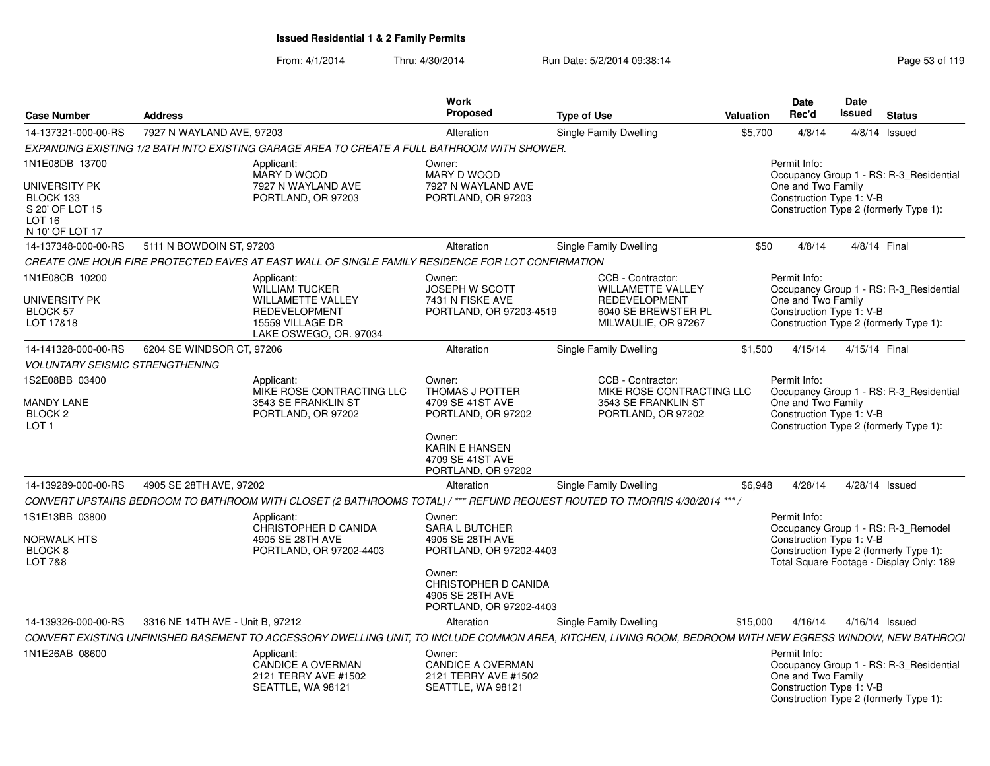| <b>Case Number</b>                                        | <b>Address</b>                   |                                                                                                                                                             | Work<br><b>Proposed</b>                                                         | <b>Type of Use</b>                                                                          | Valuation | <b>Date</b><br>Rec'd                                           | Date<br><b>Issued</b> | <b>Status</b>                                                                      |
|-----------------------------------------------------------|----------------------------------|-------------------------------------------------------------------------------------------------------------------------------------------------------------|---------------------------------------------------------------------------------|---------------------------------------------------------------------------------------------|-----------|----------------------------------------------------------------|-----------------------|------------------------------------------------------------------------------------|
| 14-137321-000-00-RS                                       | 7927 N WAYLAND AVE, 97203        |                                                                                                                                                             | Alteration                                                                      | Single Family Dwelling                                                                      | \$5,700   | 4/8/14                                                         |                       | $4/8/14$ Issued                                                                    |
|                                                           |                                  | EXPANDING EXISTING 1/2 BATH INTO EXISTING GARAGE AREA TO CREATE A FULL BATHROOM WITH SHOWER.                                                                |                                                                                 |                                                                                             |           |                                                                |                       |                                                                                    |
| 1N1E08DB 13700<br>UNIVERSITY PK                           |                                  | Applicant:<br>MARY D WOOD<br>7927 N WAYLAND AVE                                                                                                             | Owner:<br>MARY D WOOD<br>7927 N WAYLAND AVE                                     |                                                                                             |           | Permit Info:<br>One and Two Family                             |                       | Occupancy Group 1 - RS: R-3_Residential                                            |
| BLOCK 133<br>S 20' OF LOT 15<br>LOT 16<br>N 10' OF LOT 17 |                                  | PORTLAND, OR 97203                                                                                                                                          | PORTLAND, OR 97203                                                              |                                                                                             |           | Construction Type 1: V-B                                       |                       | Construction Type 2 (formerly Type 1):                                             |
| 14-137348-000-00-RS                                       | 5111 N BOWDOIN ST, 97203         |                                                                                                                                                             | Alteration                                                                      | Single Family Dwelling                                                                      | \$50      | 4/8/14                                                         | 4/8/14 Final          |                                                                                    |
|                                                           |                                  | CREATE ONE HOUR FIRE PROTECTED EAVES AT EAST WALL OF SINGLE FAMILY RESIDENCE FOR LOT CONFIRMATION                                                           |                                                                                 |                                                                                             |           |                                                                |                       |                                                                                    |
| 1N1E08CB 10200                                            |                                  | Applicant:<br><b>WILLIAM TUCKER</b>                                                                                                                         | Owner:<br><b>JOSEPH W SCOTT</b>                                                 | CCB - Contractor:<br>WILLAMETTE VALLEY                                                      |           | Permit Info:                                                   |                       | Occupancy Group 1 - RS: R-3_Residential                                            |
| UNIVERSITY PK<br>BLOCK 57<br>LOT 17&18                    |                                  | <b>WILLAMETTE VALLEY</b><br><b>REDEVELOPMENT</b><br>15559 VILLAGE DR<br>LAKE OSWEGO, OR. 97034                                                              | 7431 N FISKE AVE<br>PORTLAND, OR 97203-4519                                     | <b>REDEVELOPMENT</b><br>6040 SE BREWSTER PL<br>MILWAULIE, OR 97267                          |           | One and Two Family<br>Construction Type 1: V-B                 |                       | Construction Type 2 (formerly Type 1):                                             |
| 14-141328-000-00-RS                                       | 6204 SE WINDSOR CT, 97206        |                                                                                                                                                             | Alteration                                                                      | Single Family Dwelling                                                                      | \$1,500   | 4/15/14                                                        | 4/15/14 Final         |                                                                                    |
| <b>VOLUNTARY SEISMIC STRENGTHENING</b>                    |                                  |                                                                                                                                                             |                                                                                 |                                                                                             |           |                                                                |                       |                                                                                    |
| 1S2E08BB 03400<br><b>MANDY LANE</b><br>BLOCK <sub>2</sub> |                                  | Applicant:<br>MIKE ROSE CONTRACTING LLC<br>3543 SE FRANKLIN ST<br>PORTLAND, OR 97202                                                                        | Owner:<br>THOMAS J POTTER<br>4709 SE 41ST AVE<br>PORTLAND, OR 97202             | CCB - Contractor:<br>MIKE ROSE CONTRACTING LLC<br>3543 SE FRANKLIN ST<br>PORTLAND, OR 97202 |           | Permit Info:<br>One and Two Family<br>Construction Type 1: V-B |                       | Occupancy Group 1 - RS: R-3_Residential                                            |
| LOT <sub>1</sub>                                          |                                  |                                                                                                                                                             | Owner:<br><b>KARIN E HANSEN</b><br>4709 SE 41ST AVE<br>PORTLAND, OR 97202       |                                                                                             |           |                                                                |                       | Construction Type 2 (formerly Type 1):                                             |
| 14-139289-000-00-RS                                       | 4905 SE 28TH AVE, 97202          |                                                                                                                                                             | Alteration                                                                      | <b>Single Family Dwelling</b>                                                               | \$6,948   | 4/28/14                                                        |                       | 4/28/14 Issued                                                                     |
|                                                           |                                  | CONVERT UPSTAIRS BEDROOM TO BATHROOM WITH CLOSET (2 BATHROOMS TOTAL) / *** REFUND REQUEST ROUTED TO TMORRIS 4/30/2014 *** /                                 |                                                                                 |                                                                                             |           |                                                                |                       |                                                                                    |
| 1S1E13BB 03800<br><b>NORWALK HTS</b>                      |                                  | Applicant:<br>CHRISTOPHER D CANIDA<br>4905 SE 28TH AVE                                                                                                      | Owner:<br><b>SARA L BUTCHER</b><br>4905 SE 28TH AVE                             |                                                                                             |           | Permit Info:<br>Construction Type 1: V-B                       |                       | Occupancy Group 1 - RS: R-3 Remodel                                                |
| BLOCK 8<br><b>LOT 7&amp;8</b>                             |                                  | PORTLAND, OR 97202-4403                                                                                                                                     | PORTLAND, OR 97202-4403                                                         |                                                                                             |           |                                                                |                       | Construction Type 2 (formerly Type 1):<br>Total Square Footage - Display Only: 189 |
|                                                           |                                  |                                                                                                                                                             | Owner:<br>CHRISTOPHER D CANIDA<br>4905 SE 28TH AVE<br>PORTLAND, OR 97202-4403   |                                                                                             |           |                                                                |                       |                                                                                    |
| 14-139326-000-00-RS                                       | 3316 NE 14TH AVE - Unit B, 97212 |                                                                                                                                                             | Alteration                                                                      | Single Family Dwelling                                                                      | \$15,000  | 4/16/14                                                        |                       | 4/16/14 Issued                                                                     |
|                                                           |                                  | CONVERT EXISTING UNFINISHED BASEMENT TO ACCESSORY DWELLING UNIT, TO INCLUDE COMMON AREA, KITCHEN, LIVING ROOM, BEDROOM WITH NEW EGRESS WINDOW, NEW BATHROOI |                                                                                 |                                                                                             |           |                                                                |                       |                                                                                    |
| 1N1E26AB 08600                                            |                                  | Applicant:<br><b>CANDICE A OVERMAN</b><br>2121 TERRY AVE #1502<br>SEATTLE, WA 98121                                                                         | Owner:<br><b>CANDICE A OVERMAN</b><br>2121 TERRY AVE #1502<br>SEATTLE, WA 98121 |                                                                                             |           | Permit Info:<br>One and Two Family<br>Construction Type 1: V-B |                       | Occupancy Group 1 - RS: R-3_Residential<br>Construction Type 2 (formerly Type 1):  |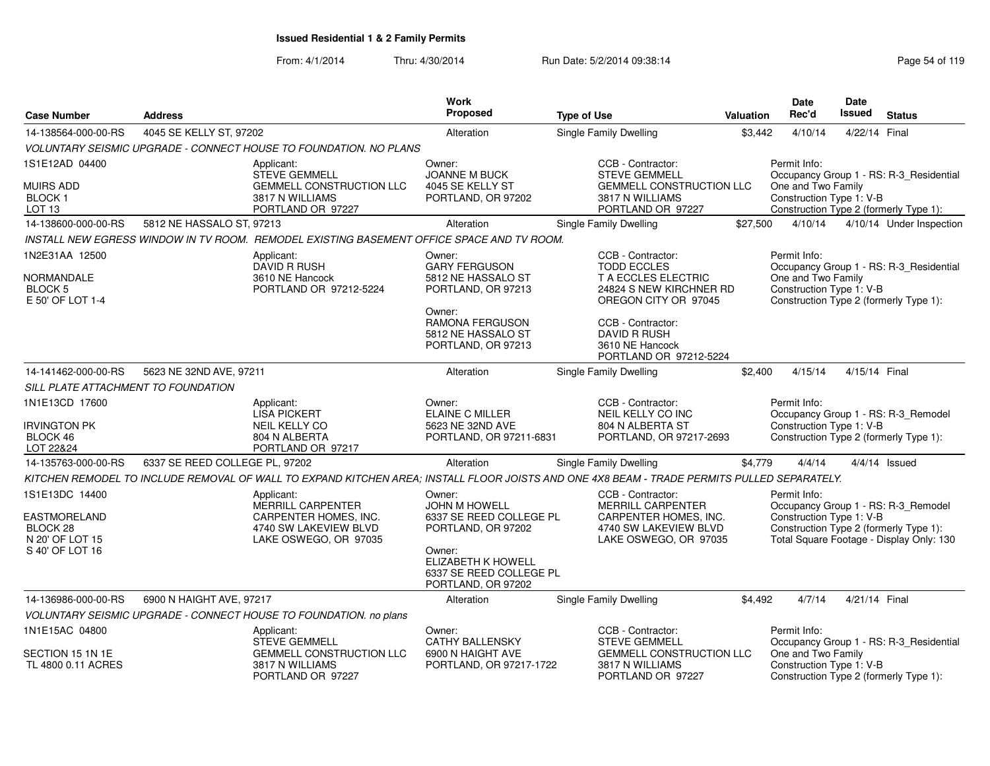| <b>Case Number</b>                                                                      | <b>Address</b>                 |                                                                                                                                             | Work<br>Proposed                                                                                                                                                        | <b>Type of Use</b>                                                                                                                                     |          | <b>Date</b><br>Rec'd<br><b>Valuation</b>                       | <b>Date</b><br><b>Issued</b> | <b>Status</b>                                                                                                             |
|-----------------------------------------------------------------------------------------|--------------------------------|---------------------------------------------------------------------------------------------------------------------------------------------|-------------------------------------------------------------------------------------------------------------------------------------------------------------------------|--------------------------------------------------------------------------------------------------------------------------------------------------------|----------|----------------------------------------------------------------|------------------------------|---------------------------------------------------------------------------------------------------------------------------|
| 14-138564-000-00-RS                                                                     | 4045 SE KELLY ST, 97202        |                                                                                                                                             | Alteration                                                                                                                                                              | Single Family Dwelling                                                                                                                                 | \$3,442  | 4/10/14                                                        | 4/22/14 Final                |                                                                                                                           |
|                                                                                         |                                | VOLUNTARY SEISMIC UPGRADE - CONNECT HOUSE TO FOUNDATION. NO PLANS                                                                           |                                                                                                                                                                         |                                                                                                                                                        |          |                                                                |                              |                                                                                                                           |
| 1S1E12AD 04400<br><b>MUIRS ADD</b><br>BLOCK <sub>1</sub><br>LOT <sub>13</sub>           |                                | Applicant:<br><b>STEVE GEMMELL</b><br><b>GEMMELL CONSTRUCTION LLC</b><br>3817 N WILLIAMS<br>PORTLAND OR 97227                               | Owner:<br><b>JOANNE M BUCK</b><br>4045 SE KELLY ST<br>PORTLAND, OR 97202                                                                                                | CCB - Contractor:<br><b>STEVE GEMMELL</b><br><b>GEMMELL CONSTRUCTION LLC</b><br>3817 N WILLIAMS<br>PORTLAND OR 97227                                   |          | Permit Info:<br>One and Two Family<br>Construction Type 1: V-B |                              | Occupancy Group 1 - RS: R-3 Residential<br>Construction Type 2 (formerly Type 1):                                         |
| 14-138600-000-00-RS                                                                     | 5812 NE HASSALO ST, 97213      |                                                                                                                                             | Alteration                                                                                                                                                              | <b>Single Family Dwelling</b>                                                                                                                          | \$27,500 | 4/10/14                                                        |                              | 4/10/14 Under Inspection                                                                                                  |
|                                                                                         |                                | INSTALL NEW EGRESS WINDOW IN TV ROOM. REMODEL EXISTING BASEMENT OFFICE SPACE AND TV ROOM.                                                   |                                                                                                                                                                         |                                                                                                                                                        |          |                                                                |                              |                                                                                                                           |
| 1N2E31AA 12500<br><b>NORMANDALE</b><br><b>BLOCK 5</b><br>E 50' OF LOT 1-4               |                                | Applicant:<br><b>DAVID R RUSH</b><br>3610 NE Hancock<br>PORTLAND OR 97212-5224                                                              | Owner:<br><b>GARY FERGUSON</b><br>5812 NE HASSALO ST<br>PORTLAND, OR 97213<br>Owner:<br>RAMONA FERGUSON<br>5812 NE HASSALO ST                                           | CCB - Contractor:<br><b>TODD ECCLES</b><br>T A ECCLES ELECTRIC<br>24824 S NEW KIRCHNER RD<br>OREGON CITY OR 97045<br>CCB - Contractor:<br>DAVID R RUSH |          | Permit Info:<br>One and Two Family<br>Construction Type 1: V-B |                              | Occupancy Group 1 - RS: R-3_Residential<br>Construction Type 2 (formerly Type 1):                                         |
|                                                                                         |                                |                                                                                                                                             | PORTLAND, OR 97213                                                                                                                                                      | 3610 NE Hancock<br>PORTLAND OR 97212-5224                                                                                                              |          |                                                                |                              |                                                                                                                           |
| 14-141462-000-00-RS                                                                     | 5623 NE 32ND AVE, 97211        |                                                                                                                                             | Alteration                                                                                                                                                              | Single Family Dwelling                                                                                                                                 | \$2,400  | 4/15/14                                                        | 4/15/14 Final                |                                                                                                                           |
| <b>SILL PLATE ATTACHMENT TO FOUNDATION</b>                                              |                                |                                                                                                                                             |                                                                                                                                                                         |                                                                                                                                                        |          |                                                                |                              |                                                                                                                           |
| 1N1E13CD 17600<br><b>IRVINGTON PK</b><br>BLOCK 46<br>LOT 22&24                          |                                | Applicant:<br><b>LISA PICKERT</b><br><b>NEIL KELLY CO</b><br>804 N ALBERTA<br>PORTLAND OR 97217                                             | Owner:<br><b>ELAINE C MILLER</b><br>5623 NE 32ND AVE<br>PORTLAND, OR 97211-6831                                                                                         | CCB - Contractor:<br>NEIL KELLY CO INC<br>804 N ALBERTA ST<br>PORTLAND, OR 97217-2693                                                                  |          | Permit Info:<br>Construction Type 1: V-B                       |                              | Occupancy Group 1 - RS: R-3 Remodel<br>Construction Type 2 (formerly Type 1):                                             |
| 14-135763-000-00-RS                                                                     | 6337 SE REED COLLEGE PL, 97202 |                                                                                                                                             | Alteration                                                                                                                                                              | Single Family Dwelling                                                                                                                                 | \$4,779  | 4/4/14                                                         |                              | $4/4/14$ Issued                                                                                                           |
|                                                                                         |                                | KITCHEN REMODEL TO INCLUDE REMOVAL OF WALL TO EXPAND KITCHEN AREA; INSTALL FLOOR JOISTS AND ONE 4X8 BEAM - TRADE PERMITS PULLED SEPARATELY. |                                                                                                                                                                         |                                                                                                                                                        |          |                                                                |                              |                                                                                                                           |
| 1S1E13DC 14400<br><b>EASTMORELAND</b><br>BLOCK 28<br>N 20' OF LOT 15<br>S 40' OF LOT 16 |                                | Applicant:<br>MERRILL CARPENTER<br>CARPENTER HOMES, INC.<br>4740 SW LAKEVIEW BLVD<br>LAKE OSWEGO, OR 97035                                  | Owner:<br><b>JOHN M HOWELL</b><br>6337 SE REED COLLEGE PL<br>PORTLAND, OR 97202<br>Owner:<br><b>ELIZABETH K HOWELL</b><br>6337 SE REED COLLEGE PL<br>PORTLAND, OR 97202 | CCB - Contractor:<br>MERRILL CARPENTER<br>CARPENTER HOMES, INC.<br>4740 SW LAKEVIEW BLVD<br>LAKE OSWEGO, OR 97035                                      |          | Permit Info:<br>Construction Type 1: V-B                       |                              | Occupancy Group 1 - RS: R-3_Remodel<br>Construction Type 2 (formerly Type 1):<br>Total Square Footage - Display Only: 130 |
| 14-136986-000-00-RS                                                                     | 6900 N HAIGHT AVE, 97217       |                                                                                                                                             | Alteration                                                                                                                                                              | Single Family Dwelling                                                                                                                                 | \$4.492  | 4/7/14                                                         | 4/21/14 Final                |                                                                                                                           |
|                                                                                         |                                | VOLUNTARY SEISMIC UPGRADE - CONNECT HOUSE TO FOUNDATION. no plans                                                                           |                                                                                                                                                                         |                                                                                                                                                        |          |                                                                |                              |                                                                                                                           |
| 1N1E15AC 04800<br>SECTION 15 1N 1E                                                      |                                | Applicant:<br><b>STEVE GEMMELL</b><br>GEMMELL CONSTRUCTION LLC                                                                              | Owner:<br><b>CATHY BALLENSKY</b><br>6900 N HAIGHT AVE                                                                                                                   | CCB - Contractor:<br><b>STEVE GEMMELL</b><br><b>GEMMELL CONSTRUCTION LLC</b>                                                                           |          | Permit Info:<br>One and Two Family                             |                              | Occupancy Group 1 - RS: R-3_Residential                                                                                   |
| TL 4800 0.11 ACRES                                                                      |                                | 3817 N WILLIAMS<br>PORTLAND OR 97227                                                                                                        | PORTLAND, OR 97217-1722                                                                                                                                                 | 3817 N WILLIAMS<br>PORTLAND OR 97227                                                                                                                   |          | Construction Type 1: V-B                                       |                              | Construction Type 2 (formerly Type 1):                                                                                    |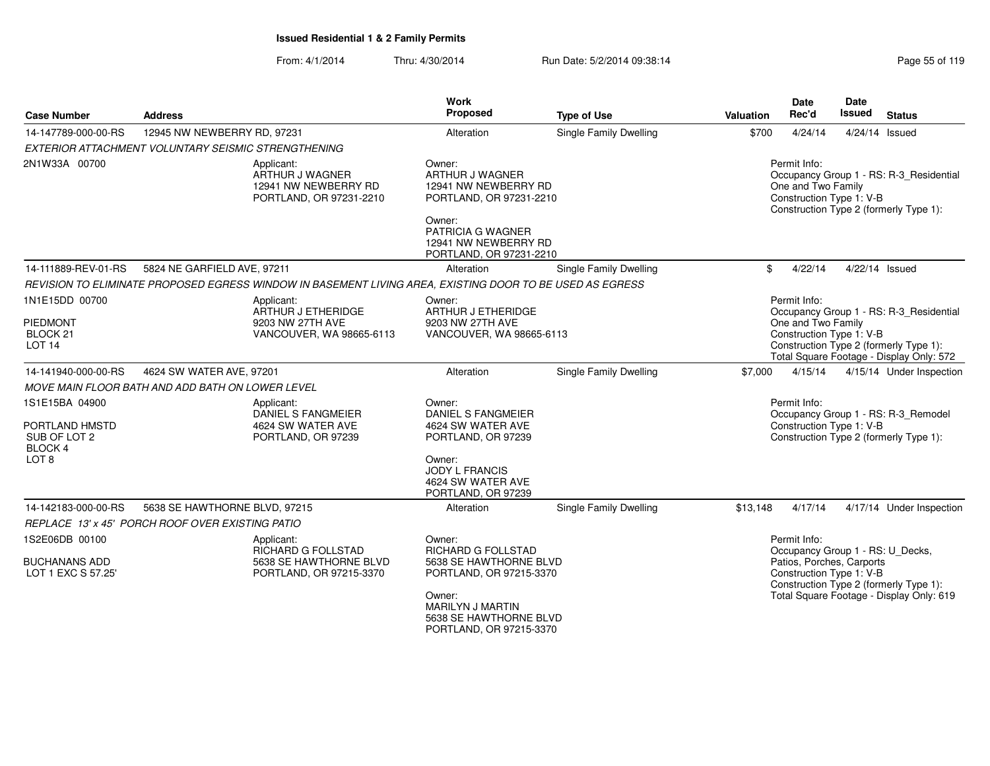| <b>Case Number</b>                                          | <b>Address</b>                                      |                                                                                                          | <b>Work</b><br><b>Proposed</b>                                                         | <b>Type of Use</b>            | Valuation | <b>Date</b><br>Rec'd                                           | <b>Date</b><br><b>Issued</b> | <b>Status</b>                                                                      |
|-------------------------------------------------------------|-----------------------------------------------------|----------------------------------------------------------------------------------------------------------|----------------------------------------------------------------------------------------|-------------------------------|-----------|----------------------------------------------------------------|------------------------------|------------------------------------------------------------------------------------|
| 14-147789-000-00-RS                                         | 12945 NW NEWBERRY RD, 97231                         |                                                                                                          | Alteration                                                                             | <b>Single Family Dwelling</b> | \$700     | 4/24/14                                                        |                              | 4/24/14 Issued                                                                     |
|                                                             | EXTERIOR ATTACHMENT VOLUNTARY SEISMIC STRENGTHENING |                                                                                                          |                                                                                        |                               |           |                                                                |                              |                                                                                    |
| 2N1W33A 00700                                               |                                                     | Applicant:<br>ARTHUR J WAGNER<br>12941 NW NEWBERRY RD<br>PORTLAND, OR 97231-2210                         | Owner:<br>ARTHUR J WAGNER<br>12941 NW NEWBERRY RD<br>PORTLAND, OR 97231-2210<br>Owner: |                               |           | Permit Info:<br>One and Two Family<br>Construction Type 1: V-B |                              | Occupancy Group 1 - RS: R-3_Residential<br>Construction Type 2 (formerly Type 1):  |
|                                                             |                                                     |                                                                                                          | PATRICIA G WAGNER<br>12941 NW NEWBERRY RD<br>PORTLAND, OR 97231-2210                   |                               |           |                                                                |                              |                                                                                    |
| 14-111889-REV-01-RS                                         | 5824 NE GARFIELD AVE, 97211                         |                                                                                                          | Alteration                                                                             | Single Family Dwelling        | \$        | 4/22/14                                                        |                              | 4/22/14 Issued                                                                     |
|                                                             |                                                     | REVISION TO ELIMINATE PROPOSED EGRESS WINDOW IN BASEMENT LIVING AREA, EXISTING DOOR TO BE USED AS EGRESS |                                                                                        |                               |           |                                                                |                              |                                                                                    |
| 1N1E15DD 00700                                              |                                                     | Applicant:<br>ARTHUR J ETHERIDGE                                                                         | Owner:<br>ARTHUR J ETHERIDGE                                                           |                               |           | Permit Info:                                                   |                              | Occupancy Group 1 - RS: R-3_Residential                                            |
| <b>PIEDMONT</b><br>BLOCK <sub>21</sub><br>LOT <sub>14</sub> |                                                     | 9203 NW 27TH AVE<br>VANCOUVER, WA 98665-6113                                                             | 9203 NW 27TH AVE<br>VANCOUVER, WA 98665-6113                                           |                               |           | One and Two Family<br>Construction Type 1: V-B                 |                              | Construction Type 2 (formerly Type 1):<br>Total Square Footage - Display Only: 572 |
| 14-141940-000-00-RS                                         | 4624 SW WATER AVE, 97201                            |                                                                                                          | Alteration                                                                             | <b>Single Family Dwelling</b> | \$7,000   | 4/15/14                                                        |                              | 4/15/14 Under Inspection                                                           |
|                                                             | MOVE MAIN FLOOR BATH AND ADD BATH ON LOWER LEVEL    |                                                                                                          |                                                                                        |                               |           |                                                                |                              |                                                                                    |
| 1S1E15BA 04900<br>PORTLAND HMSTD<br>SUB OF LOT 2            |                                                     | Applicant:<br>DANIEL S FANGMEIER<br>4624 SW WATER AVE<br>PORTLAND, OR 97239                              | Owner:<br><b>DANIEL S FANGMEIER</b><br>4624 SW WATER AVE<br>PORTLAND, OR 97239         |                               |           | Permit Info:<br>Construction Type 1: V-B                       |                              | Occupancy Group 1 - RS: R-3_Remodel<br>Construction Type 2 (formerly Type 1):      |
| BLOCK 4<br>LOT <sub>8</sub>                                 |                                                     |                                                                                                          | Owner:<br><b>JODY L FRANCIS</b><br>4624 SW WATER AVE<br>PORTLAND, OR 97239             |                               |           |                                                                |                              |                                                                                    |
| 14-142183-000-00-RS                                         | 5638 SE HAWTHORNE BLVD, 97215                       |                                                                                                          | Alteration                                                                             | <b>Single Family Dwelling</b> | \$13,148  | 4/17/14                                                        |                              | 4/17/14 Under Inspection                                                           |
|                                                             | REPLACE 13' x 45' PORCH ROOF OVER EXISTING PATIO    |                                                                                                          |                                                                                        |                               |           |                                                                |                              |                                                                                    |
| 1S2E06DB 00100                                              |                                                     | Applicant:<br>RICHARD G FOLLSTAD                                                                         | Owner:<br><b>RICHARD G FOLLSTAD</b>                                                    |                               |           | Permit Info:                                                   |                              |                                                                                    |
| <b>BUCHANANS ADD</b><br>LOT 1 EXC S 57.25'                  |                                                     | 5638 SE HAWTHORNE BLVD<br>PORTLAND, OR 97215-3370                                                        | 5638 SE HAWTHORNE BLVD<br>PORTLAND, OR 97215-3370                                      |                               |           | Patios, Porches, Carports<br>Construction Type 1: V-B          |                              | Occupancy Group 1 - RS: U_Decks,<br>Construction Type 2 (formerly Type 1):         |
|                                                             |                                                     |                                                                                                          | Owner:<br>MARILYN J MARTIN<br>5638 SE HAWTHORNE BLVD<br>PORTLAND, OR 97215-3370        |                               |           |                                                                |                              | Total Square Footage - Display Only: 619                                           |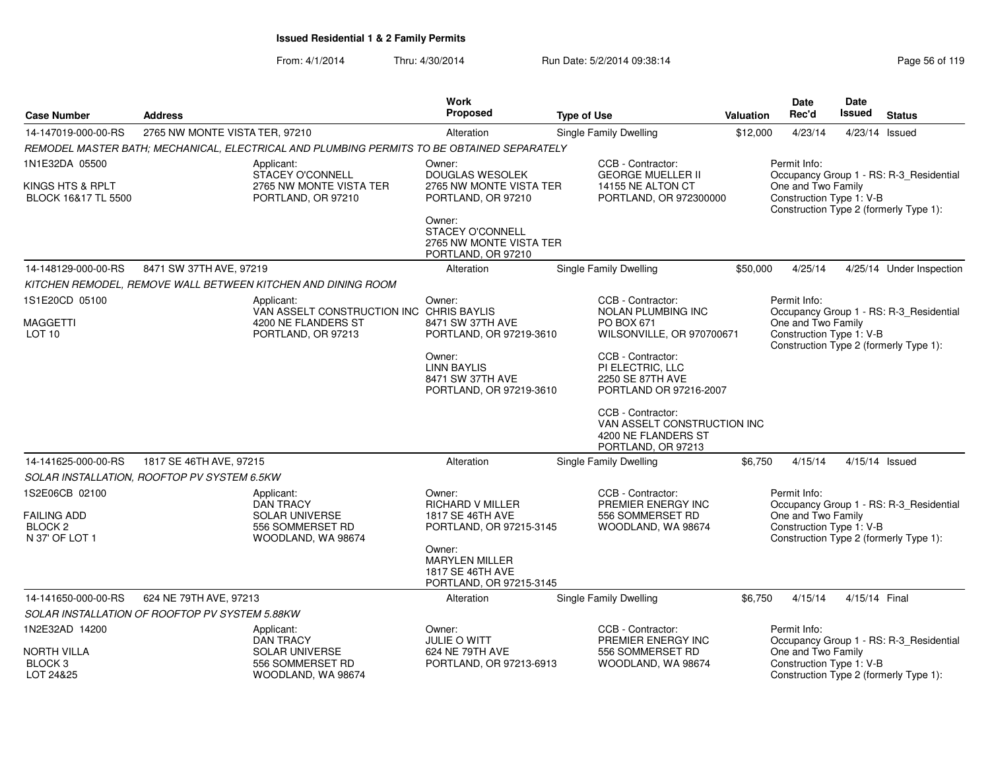|                                                            |                                                |                                                                                            | Work                                                                             |                                                                                               |                  | <b>Date</b>                                                    | Date          |                                         |
|------------------------------------------------------------|------------------------------------------------|--------------------------------------------------------------------------------------------|----------------------------------------------------------------------------------|-----------------------------------------------------------------------------------------------|------------------|----------------------------------------------------------------|---------------|-----------------------------------------|
| <b>Case Number</b>                                         | <b>Address</b>                                 |                                                                                            | <b>Proposed</b>                                                                  | <b>Type of Use</b>                                                                            | <b>Valuation</b> | Rec'd                                                          | Issued        | <b>Status</b>                           |
| 14-147019-000-00-RS                                        | 2765 NW MONTE VISTA TER, 97210                 |                                                                                            | Alteration                                                                       | Single Family Dwelling                                                                        | \$12,000         | 4/23/14                                                        |               | 4/23/14 Issued                          |
|                                                            |                                                | REMODEL MASTER BATH; MECHANICAL, ELECTRICAL AND PLUMBING PERMITS TO BE OBTAINED SEPARATELY |                                                                                  |                                                                                               |                  |                                                                |               |                                         |
| 1N1E32DA 05500                                             |                                                | Applicant:<br>STACEY O'CONNELL                                                             | Owner:<br>DOUGLAS WESOLEK                                                        | CCB - Contractor:<br><b>GEORGE MUELLER II</b>                                                 |                  | Permit Info:                                                   |               | Occupancy Group 1 - RS: R-3_Residential |
| KINGS HTS & RPLT                                           |                                                | 2765 NW MONTE VISTA TER                                                                    | 2765 NW MONTE VISTA TER                                                          | 14155 NE ALTON CT                                                                             |                  | One and Two Family                                             |               |                                         |
| BLOCK 16&17 TL 5500                                        |                                                | PORTLAND, OR 97210                                                                         | PORTLAND, OR 97210                                                               | PORTLAND, OR 972300000                                                                        |                  | Construction Type 1: V-B                                       |               | Construction Type 2 (formerly Type 1):  |
|                                                            |                                                |                                                                                            | Owner:<br>STACEY O'CONNELL<br>2765 NW MONTE VISTA TER<br>PORTLAND, OR 97210      |                                                                                               |                  |                                                                |               |                                         |
| 14-148129-000-00-RS                                        | 8471 SW 37TH AVE, 97219                        |                                                                                            | Alteration                                                                       | <b>Single Family Dwelling</b>                                                                 | \$50,000         | 4/25/14                                                        |               | 4/25/14 Under Inspection                |
|                                                            |                                                | KITCHEN REMODEL, REMOVE WALL BETWEEN KITCHEN AND DINING ROOM                               |                                                                                  |                                                                                               |                  |                                                                |               |                                         |
| 1S1E20CD 05100                                             |                                                | Applicant:                                                                                 | Owner:                                                                           | CCB - Contractor:                                                                             |                  | Permit Info:                                                   |               |                                         |
| MAGGETTI                                                   |                                                | VAN ASSELT CONSTRUCTION INC CHRIS BAYLIS<br>4200 NE FLANDERS ST                            | 8471 SW 37TH AVE                                                                 | <b>NOLAN PLUMBING INC</b><br>PO BOX 671                                                       |                  | One and Two Family                                             |               | Occupancy Group 1 - RS: R-3_Residential |
| LOT <sub>10</sub>                                          |                                                | PORTLAND, OR 97213                                                                         | PORTLAND, OR 97219-3610                                                          | WILSONVILLE, OR 970700671                                                                     |                  | Construction Type 1: V-B                                       |               | Construction Type 2 (formerly Type 1):  |
|                                                            |                                                |                                                                                            | Owner:                                                                           | CCB - Contractor:                                                                             |                  |                                                                |               |                                         |
|                                                            |                                                |                                                                                            | <b>LINN BAYLIS</b><br>8471 SW 37TH AVE                                           | PI ELECTRIC, LLC<br>2250 SE 87TH AVE                                                          |                  |                                                                |               |                                         |
|                                                            |                                                |                                                                                            | PORTLAND, OR 97219-3610                                                          | PORTLAND OR 97216-2007                                                                        |                  |                                                                |               |                                         |
|                                                            |                                                |                                                                                            |                                                                                  | CCB - Contractor:<br>VAN ASSELT CONSTRUCTION INC<br>4200 NE FLANDERS ST<br>PORTLAND, OR 97213 |                  |                                                                |               |                                         |
| 14-141625-000-00-RS                                        | 1817 SE 46TH AVE, 97215                        |                                                                                            | Alteration                                                                       | Single Family Dwelling                                                                        | \$6,750          | 4/15/14                                                        |               | 4/15/14 Issued                          |
|                                                            | SOLAR INSTALLATION, ROOFTOP PV SYSTEM 6.5KW    |                                                                                            |                                                                                  |                                                                                               |                  |                                                                |               |                                         |
| 1S2E06CB 02100<br><b>FAILING ADD</b><br>BLOCK <sub>2</sub> |                                                | Applicant:<br><b>DAN TRACY</b><br><b>SOLAR UNIVERSE</b><br>556 SOMMERSET RD                | Owner:<br><b>RICHARD V MILLER</b><br>1817 SE 46TH AVE<br>PORTLAND, OR 97215-3145 | CCB - Contractor:<br>PREMIER ENERGY INC<br>556 SOMMERSET RD<br>WOODLAND, WA 98674             |                  | Permit Info:<br>One and Two Family<br>Construction Type 1: V-B |               | Occupancy Group 1 - RS: R-3_Residential |
| N 37' OF LOT 1                                             |                                                | WOODLAND, WA 98674                                                                         |                                                                                  |                                                                                               |                  |                                                                |               | Construction Type 2 (formerly Type 1):  |
|                                                            |                                                |                                                                                            | Owner:<br><b>MARYLEN MILLER</b><br>1817 SE 46TH AVE<br>PORTLAND, OR 97215-3145   |                                                                                               |                  |                                                                |               |                                         |
| 14-141650-000-00-RS                                        | 624 NE 79TH AVE, 97213                         |                                                                                            | Alteration                                                                       | <b>Single Family Dwelling</b>                                                                 | \$6,750          | 4/15/14                                                        | 4/15/14 Final |                                         |
|                                                            | SOLAR INSTALLATION OF ROOFTOP PV SYSTEM 5.88KW |                                                                                            |                                                                                  |                                                                                               |                  |                                                                |               |                                         |
| 1N2E32AD 14200                                             |                                                | Applicant:<br>DAN TRACY                                                                    | Owner:<br><b>JULIE O WITT</b>                                                    | CCB - Contractor:<br>PREMIER ENERGY INC                                                       |                  | Permit Info:                                                   |               | Occupancy Group 1 - RS: R-3_Residential |
| NORTH VILLA                                                |                                                | <b>SOLAR UNIVERSE</b>                                                                      | 624 NE 79TH AVE                                                                  | 556 SOMMERSET RD                                                                              |                  | One and Two Family                                             |               |                                         |
| BLOCK <sub>3</sub><br>LOT 24&25                            |                                                | 556 SOMMERSET RD<br>WOODLAND, WA 98674                                                     | PORTLAND, OR 97213-6913                                                          | WOODLAND, WA 98674                                                                            |                  | Construction Type 1: V-B                                       |               | Construction Type 2 (formerly Type 1):  |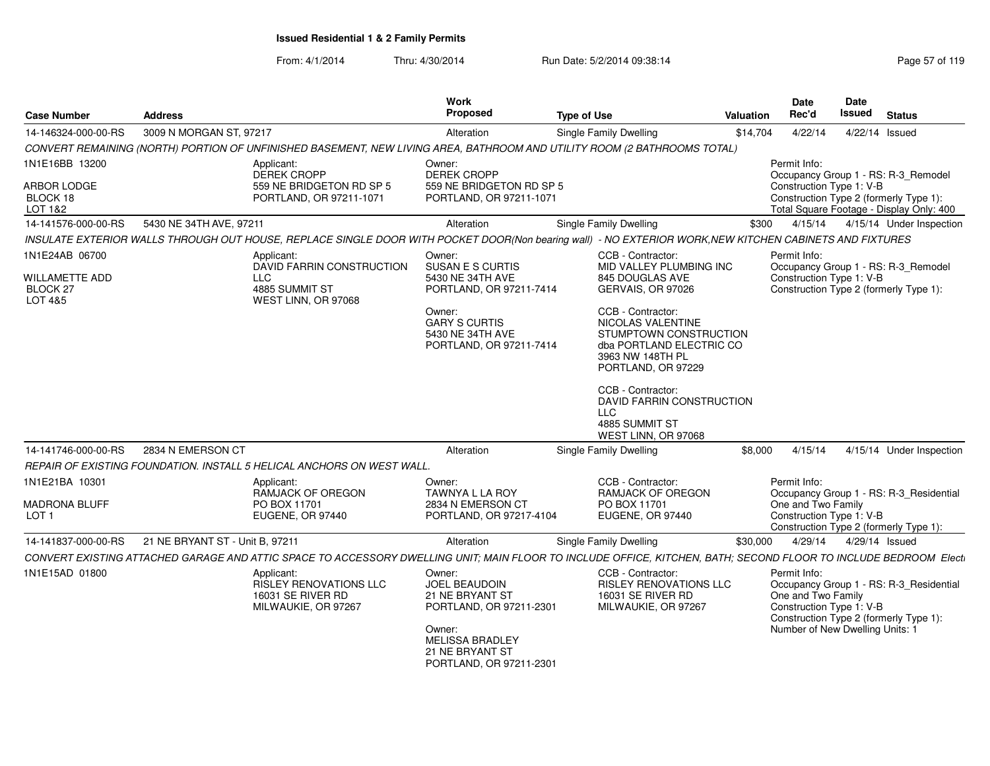| 3009 N MORGAN ST, 97217<br>Single Family Dwelling<br>14-146324-000-00-RS<br>Alteration<br>\$14,704<br>4/22/14<br>4/22/14 Issued<br>CONVERT REMAINING (NORTH) PORTION OF UNFINISHED BASEMENT, NEW LIVING AREA, BATHROOM AND UTILITY ROOM (2 BATHROOMS TOTAL)<br>1N1E16BB 13200<br>Permit Info:<br>Applicant:<br>Owner:<br>DEREK CROPP<br><b>DEREK CROPP</b><br>Occupancy Group 1 - RS: R-3_Remodel<br><b>ARBOR LODGE</b><br>559 NE BRIDGETON RD SP 5<br>559 NE BRIDGETON RD SP 5<br>Construction Type 1: V-B<br>PORTLAND, OR 97211-1071<br>PORTLAND, OR 97211-1071<br>Construction Type 2 (formerly Type 1):<br>BLOCK 18<br>Total Square Footage - Display Only: 400<br>LOT 1&2<br>5430 NE 34TH AVE, 97211<br>Single Family Dwelling<br>4/15/14<br>4/15/14 Under Inspection<br>Alteration<br>\$300<br>INSULATE EXTERIOR WALLS THROUGH OUT HOUSE, REPLACE SINGLE DOOR WITH POCKET DOOR(Non bearing wall) - NO EXTERIOR WORK, NEW KITCHEN CABINETS AND FIXTURES<br>1N1E24AB 06700<br>CCB - Contractor:<br>Permit Info:<br>Applicant:<br>Owner:<br>DAVID FARRIN CONSTRUCTION<br>SUSAN E S CURTIS<br>MID VALLEY PLUMBING INC<br>Occupancy Group 1 - RS: R-3_Remodel<br>Construction Type 1: V-B<br><b>LLC</b><br>845 DOUGLAS AVE<br>WILLAMETTE ADD<br>5430 NE 34TH AVE<br>4885 SUMMIT ST<br>Construction Type 2 (formerly Type 1):<br>BLOCK 27<br>PORTLAND, OR 97211-7414<br>GERVAIS, OR 97026<br>WEST LINN, OR 97068<br>CCB - Contractor:<br>Owner:<br><b>GARY S CURTIS</b><br>NICOLAS VALENTINE<br>5430 NE 34TH AVE<br>STUMPTOWN CONSTRUCTION<br>dba PORTLAND ELECTRIC CO<br>PORTLAND, OR 97211-7414<br>3963 NW 148TH PL<br>PORTLAND, OR 97229<br>CCB - Contractor:<br>DAVID FARRIN CONSTRUCTION<br><b>LLC</b><br>4885 SUMMIT ST<br>WEST LINN, OR 97068<br>2834 N EMERSON CT<br>4/15/14<br>4/15/14 Under Inspection<br>14-141746-000-00-RS<br>Alteration<br>Single Family Dwelling<br>\$8,000<br>REPAIR OF EXISTING FOUNDATION. INSTALL 5 HELICAL ANCHORS ON WEST WALL.<br>Permit Info:<br>1N1E21BA 10301<br>CCB - Contractor:<br>Applicant:<br>Owner:<br>TAWNYA L LA ROY<br>RAMJACK OF OREGON<br>RAMJACK OF OREGON<br>Occupancy Group 1 - RS: R-3_Residential<br>PO BOX 11701<br>One and Two Family<br>PO BOX 11701<br>2834 N EMERSON CT<br>Construction Type 1: V-B<br>EUGENE, OR 97440<br>PORTLAND, OR 97217-4104<br>EUGENE, OR 97440<br>LOT 1<br>Construction Type 2 (formerly Type 1):<br>21 NE BRYANT ST - Unit B, 97211<br>Single Family Dwelling<br>4/29/14<br>4/29/14 Issued<br>14-141837-000-00-RS<br>Alteration<br>\$30,000<br>CONVERT EXISTING ATTACHED GARAGE AND ATTIC SPACE TO ACCESSORY DWELLING UNIT; MAIN FLOOR TO INCLUDE OFFICE, KITCHEN, BATH; SECOND FLOOR TO INCLUDE BEDROOM Electi<br>1N1E15AD 01800<br>CCB - Contractor:<br>Permit Info:<br>Applicant:<br>Owner:<br><b>RISLEY RENOVATIONS LLC</b><br><b>JOEL BEAUDOIN</b><br><b>RISLEY RENOVATIONS LLC</b><br>Occupancy Group 1 - RS: R-3_Residential<br>One and Two Family<br>16031 SE RIVER RD<br>21 NE BRYANT ST<br>16031 SE RIVER RD<br>Construction Type 1: V-B<br>MILWAUKIE, OR 97267<br>PORTLAND, OR 97211-2301<br>MILWAUKIE, OR 97267<br>Construction Type 2 (formerly Type 1):<br>Number of New Dwelling Units: 1<br>Owner:<br><b>MELISSA BRADLEY</b><br>21 NE BRYANT ST<br>PORTLAND, OR 97211-2301 | <b>Case Number</b>   | <b>Address</b> | Work<br>Proposed | <b>Type of Use</b> | <b>Valuation</b> | Date<br>Rec'd | Date<br>Issued | <b>Status</b> |
|------------------------------------------------------------------------------------------------------------------------------------------------------------------------------------------------------------------------------------------------------------------------------------------------------------------------------------------------------------------------------------------------------------------------------------------------------------------------------------------------------------------------------------------------------------------------------------------------------------------------------------------------------------------------------------------------------------------------------------------------------------------------------------------------------------------------------------------------------------------------------------------------------------------------------------------------------------------------------------------------------------------------------------------------------------------------------------------------------------------------------------------------------------------------------------------------------------------------------------------------------------------------------------------------------------------------------------------------------------------------------------------------------------------------------------------------------------------------------------------------------------------------------------------------------------------------------------------------------------------------------------------------------------------------------------------------------------------------------------------------------------------------------------------------------------------------------------------------------------------------------------------------------------------------------------------------------------------------------------------------------------------------------------------------------------------------------------------------------------------------------------------------------------------------------------------------------------------------------------------------------------------------------------------------------------------------------------------------------------------------------------------------------------------------------------------------------------------------------------------------------------------------------------------------------------------------------------------------------------------------------------------------------------------------------------------------------------------------------------------------------------------------------------------------------------------------------------------------------------------------------------------------------------------------------------------------------------------------------------------------------------------------------------------------------------------------------------------------------------------------------------------------------------------------------------------------------------------------------------------------------------------------------------|----------------------|----------------|------------------|--------------------|------------------|---------------|----------------|---------------|
|                                                                                                                                                                                                                                                                                                                                                                                                                                                                                                                                                                                                                                                                                                                                                                                                                                                                                                                                                                                                                                                                                                                                                                                                                                                                                                                                                                                                                                                                                                                                                                                                                                                                                                                                                                                                                                                                                                                                                                                                                                                                                                                                                                                                                                                                                                                                                                                                                                                                                                                                                                                                                                                                                                                                                                                                                                                                                                                                                                                                                                                                                                                                                                                                                                                                                    |                      |                |                  |                    |                  |               |                |               |
|                                                                                                                                                                                                                                                                                                                                                                                                                                                                                                                                                                                                                                                                                                                                                                                                                                                                                                                                                                                                                                                                                                                                                                                                                                                                                                                                                                                                                                                                                                                                                                                                                                                                                                                                                                                                                                                                                                                                                                                                                                                                                                                                                                                                                                                                                                                                                                                                                                                                                                                                                                                                                                                                                                                                                                                                                                                                                                                                                                                                                                                                                                                                                                                                                                                                                    |                      |                |                  |                    |                  |               |                |               |
|                                                                                                                                                                                                                                                                                                                                                                                                                                                                                                                                                                                                                                                                                                                                                                                                                                                                                                                                                                                                                                                                                                                                                                                                                                                                                                                                                                                                                                                                                                                                                                                                                                                                                                                                                                                                                                                                                                                                                                                                                                                                                                                                                                                                                                                                                                                                                                                                                                                                                                                                                                                                                                                                                                                                                                                                                                                                                                                                                                                                                                                                                                                                                                                                                                                                                    |                      |                |                  |                    |                  |               |                |               |
|                                                                                                                                                                                                                                                                                                                                                                                                                                                                                                                                                                                                                                                                                                                                                                                                                                                                                                                                                                                                                                                                                                                                                                                                                                                                                                                                                                                                                                                                                                                                                                                                                                                                                                                                                                                                                                                                                                                                                                                                                                                                                                                                                                                                                                                                                                                                                                                                                                                                                                                                                                                                                                                                                                                                                                                                                                                                                                                                                                                                                                                                                                                                                                                                                                                                                    |                      |                |                  |                    |                  |               |                |               |
|                                                                                                                                                                                                                                                                                                                                                                                                                                                                                                                                                                                                                                                                                                                                                                                                                                                                                                                                                                                                                                                                                                                                                                                                                                                                                                                                                                                                                                                                                                                                                                                                                                                                                                                                                                                                                                                                                                                                                                                                                                                                                                                                                                                                                                                                                                                                                                                                                                                                                                                                                                                                                                                                                                                                                                                                                                                                                                                                                                                                                                                                                                                                                                                                                                                                                    | 14-141576-000-00-RS  |                |                  |                    |                  |               |                |               |
|                                                                                                                                                                                                                                                                                                                                                                                                                                                                                                                                                                                                                                                                                                                                                                                                                                                                                                                                                                                                                                                                                                                                                                                                                                                                                                                                                                                                                                                                                                                                                                                                                                                                                                                                                                                                                                                                                                                                                                                                                                                                                                                                                                                                                                                                                                                                                                                                                                                                                                                                                                                                                                                                                                                                                                                                                                                                                                                                                                                                                                                                                                                                                                                                                                                                                    |                      |                |                  |                    |                  |               |                |               |
|                                                                                                                                                                                                                                                                                                                                                                                                                                                                                                                                                                                                                                                                                                                                                                                                                                                                                                                                                                                                                                                                                                                                                                                                                                                                                                                                                                                                                                                                                                                                                                                                                                                                                                                                                                                                                                                                                                                                                                                                                                                                                                                                                                                                                                                                                                                                                                                                                                                                                                                                                                                                                                                                                                                                                                                                                                                                                                                                                                                                                                                                                                                                                                                                                                                                                    | LOT 4&5              |                |                  |                    |                  |               |                |               |
|                                                                                                                                                                                                                                                                                                                                                                                                                                                                                                                                                                                                                                                                                                                                                                                                                                                                                                                                                                                                                                                                                                                                                                                                                                                                                                                                                                                                                                                                                                                                                                                                                                                                                                                                                                                                                                                                                                                                                                                                                                                                                                                                                                                                                                                                                                                                                                                                                                                                                                                                                                                                                                                                                                                                                                                                                                                                                                                                                                                                                                                                                                                                                                                                                                                                                    |                      |                |                  |                    |                  |               |                |               |
|                                                                                                                                                                                                                                                                                                                                                                                                                                                                                                                                                                                                                                                                                                                                                                                                                                                                                                                                                                                                                                                                                                                                                                                                                                                                                                                                                                                                                                                                                                                                                                                                                                                                                                                                                                                                                                                                                                                                                                                                                                                                                                                                                                                                                                                                                                                                                                                                                                                                                                                                                                                                                                                                                                                                                                                                                                                                                                                                                                                                                                                                                                                                                                                                                                                                                    |                      |                |                  |                    |                  |               |                |               |
|                                                                                                                                                                                                                                                                                                                                                                                                                                                                                                                                                                                                                                                                                                                                                                                                                                                                                                                                                                                                                                                                                                                                                                                                                                                                                                                                                                                                                                                                                                                                                                                                                                                                                                                                                                                                                                                                                                                                                                                                                                                                                                                                                                                                                                                                                                                                                                                                                                                                                                                                                                                                                                                                                                                                                                                                                                                                                                                                                                                                                                                                                                                                                                                                                                                                                    |                      |                |                  |                    |                  |               |                |               |
|                                                                                                                                                                                                                                                                                                                                                                                                                                                                                                                                                                                                                                                                                                                                                                                                                                                                                                                                                                                                                                                                                                                                                                                                                                                                                                                                                                                                                                                                                                                                                                                                                                                                                                                                                                                                                                                                                                                                                                                                                                                                                                                                                                                                                                                                                                                                                                                                                                                                                                                                                                                                                                                                                                                                                                                                                                                                                                                                                                                                                                                                                                                                                                                                                                                                                    |                      |                |                  |                    |                  |               |                |               |
|                                                                                                                                                                                                                                                                                                                                                                                                                                                                                                                                                                                                                                                                                                                                                                                                                                                                                                                                                                                                                                                                                                                                                                                                                                                                                                                                                                                                                                                                                                                                                                                                                                                                                                                                                                                                                                                                                                                                                                                                                                                                                                                                                                                                                                                                                                                                                                                                                                                                                                                                                                                                                                                                                                                                                                                                                                                                                                                                                                                                                                                                                                                                                                                                                                                                                    | <b>MADRONA BLUFF</b> |                |                  |                    |                  |               |                |               |
|                                                                                                                                                                                                                                                                                                                                                                                                                                                                                                                                                                                                                                                                                                                                                                                                                                                                                                                                                                                                                                                                                                                                                                                                                                                                                                                                                                                                                                                                                                                                                                                                                                                                                                                                                                                                                                                                                                                                                                                                                                                                                                                                                                                                                                                                                                                                                                                                                                                                                                                                                                                                                                                                                                                                                                                                                                                                                                                                                                                                                                                                                                                                                                                                                                                                                    |                      |                |                  |                    |                  |               |                |               |
|                                                                                                                                                                                                                                                                                                                                                                                                                                                                                                                                                                                                                                                                                                                                                                                                                                                                                                                                                                                                                                                                                                                                                                                                                                                                                                                                                                                                                                                                                                                                                                                                                                                                                                                                                                                                                                                                                                                                                                                                                                                                                                                                                                                                                                                                                                                                                                                                                                                                                                                                                                                                                                                                                                                                                                                                                                                                                                                                                                                                                                                                                                                                                                                                                                                                                    |                      |                |                  |                    |                  |               |                |               |
|                                                                                                                                                                                                                                                                                                                                                                                                                                                                                                                                                                                                                                                                                                                                                                                                                                                                                                                                                                                                                                                                                                                                                                                                                                                                                                                                                                                                                                                                                                                                                                                                                                                                                                                                                                                                                                                                                                                                                                                                                                                                                                                                                                                                                                                                                                                                                                                                                                                                                                                                                                                                                                                                                                                                                                                                                                                                                                                                                                                                                                                                                                                                                                                                                                                                                    |                      |                |                  |                    |                  |               |                |               |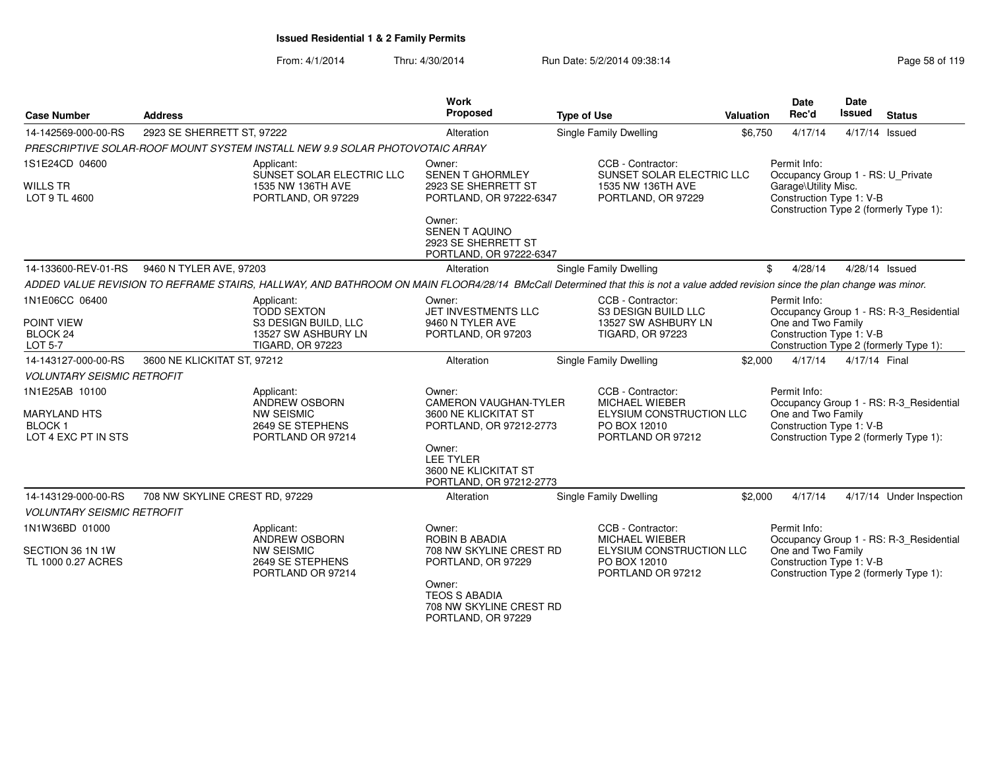| <b>Case Number</b>                                                            | <b>Address</b>                                                                                                                                                                 | <b>Work</b><br>Proposed                                                                                                                                             | <b>Type of Use</b>                                                                                   | <b>Valuation</b> | <b>Date</b><br>Rec'd                                                                                  |               | <b>Status</b>                                                                     |
|-------------------------------------------------------------------------------|--------------------------------------------------------------------------------------------------------------------------------------------------------------------------------|---------------------------------------------------------------------------------------------------------------------------------------------------------------------|------------------------------------------------------------------------------------------------------|------------------|-------------------------------------------------------------------------------------------------------|---------------|-----------------------------------------------------------------------------------|
| 14-142569-000-00-RS                                                           | 2923 SE SHERRETT ST, 97222                                                                                                                                                     | Alteration                                                                                                                                                          | Single Family Dwelling                                                                               | \$6,750          | 4/17/14                                                                                               |               | 4/17/14 Issued                                                                    |
|                                                                               | PRESCRIPTIVE SOLAR-ROOF MOUNT SYSTEM INSTALL NEW 9.9 SOLAR PHOTOVOTAIC ARRAY                                                                                                   |                                                                                                                                                                     |                                                                                                      |                  |                                                                                                       |               |                                                                                   |
| 1S1E24CD 04600<br><b>WILLS TR</b><br>LOT 9 TL 4600                            | Applicant:<br>SUNSET SOLAR ELECTRIC LLC<br>1535 NW 136TH AVE<br>PORTLAND, OR 97229                                                                                             | Owner:<br>SENEN T GHORMLEY<br>2923 SE SHERRETT ST<br>PORTLAND, OR 97222-6347<br>Owner:<br>SENEN T AQUINO                                                            | CCB - Contractor:<br>SUNSET SOLAR ELECTRIC LLC<br>1535 NW 136TH AVE<br>PORTLAND, OR 97229            |                  | Permit Info:<br>Occupancy Group 1 - RS: U_Private<br>Garage\Utility Misc.<br>Construction Type 1: V-B |               | Construction Type 2 (formerly Type 1):                                            |
|                                                                               |                                                                                                                                                                                | 2923 SE SHERRETT ST<br>PORTLAND, OR 97222-6347                                                                                                                      |                                                                                                      |                  |                                                                                                       |               |                                                                                   |
| 14-133600-REV-01-RS                                                           | 9460 N TYLER AVE, 97203                                                                                                                                                        | Alteration                                                                                                                                                          | Single Family Dwelling                                                                               | \$               | 4/28/14                                                                                               |               | 4/28/14 Issued                                                                    |
|                                                                               | ADDED VALUE REVISION TO REFRAME STAIRS, HALLWAY, AND BATHROOM ON MAIN FLOOR4/28/14 BMcCall Determined that this is not a value added revision since the plan change was minor. |                                                                                                                                                                     |                                                                                                      |                  |                                                                                                       |               |                                                                                   |
| 1N1E06CC 06400<br>POINT VIEW<br>BLOCK <sub>24</sub>                           | Applicant:<br><b>TODD SEXTON</b><br>S3 DESIGN BUILD, LLC<br>13527 SW ASHBURY LN                                                                                                | Owner:<br>JET INVESTMENTS LLC<br>9460 N TYLER AVE<br>PORTLAND, OR 97203                                                                                             | CCB - Contractor:<br>S3 DESIGN BUILD LLC<br>13527 SW ASHBURY LN<br><b>TIGARD, OR 97223</b>           |                  | Permit Info:<br>One and Two Family<br>Construction Type 1: V-B                                        |               | Occupancy Group 1 - RS: R-3_Residential                                           |
| <b>LOT 5-7</b>                                                                | <b>TIGARD, OR 97223</b>                                                                                                                                                        |                                                                                                                                                                     |                                                                                                      |                  |                                                                                                       |               | Construction Type 2 (formerly Type 1):                                            |
| 14-143127-000-00-RS                                                           | 3600 NE KLICKITAT ST, 97212                                                                                                                                                    | Alteration                                                                                                                                                          | Single Family Dwelling                                                                               | \$2,000          | 4/17/14                                                                                               | 4/17/14 Final |                                                                                   |
| <b>VOLUNTARY SEISMIC RETROFIT</b>                                             |                                                                                                                                                                                |                                                                                                                                                                     |                                                                                                      |                  |                                                                                                       |               |                                                                                   |
| 1N1E25AB 10100<br><b>MARYLAND HTS</b><br><b>BLOCK1</b><br>LOT 4 EXC PT IN STS | Applicant:<br><b>ANDREW OSBORN</b><br><b>NW SEISMIC</b><br>2649 SE STEPHENS<br>PORTLAND OR 97214                                                                               | Owner:<br>CAMERON VAUGHAN-TYLER<br>3600 NE KLICKITAT ST<br>PORTLAND, OR 97212-2773<br>Owner:<br><b>LEE TYLER</b><br>3600 NE KLICKITAT ST<br>PORTLAND, OR 97212-2773 | CCB - Contractor:<br>MICHAEL WIEBER<br>ELYSIUM CONSTRUCTION LLC<br>PO BOX 12010<br>PORTLAND OR 97212 |                  | Permit Info:<br>One and Two Family<br>Construction Type 1: V-B                                        |               | Occupancy Group 1 - RS: R-3_Residential<br>Construction Type 2 (formerly Type 1): |
| 14-143129-000-00-RS                                                           | 708 NW SKYLINE CREST RD, 97229                                                                                                                                                 | Alteration                                                                                                                                                          | <b>Single Family Dwelling</b>                                                                        | \$2,000          | 4/17/14                                                                                               |               | 4/17/14 Under Inspection                                                          |
| <b>VOLUNTARY SEISMIC RETROFIT</b>                                             |                                                                                                                                                                                |                                                                                                                                                                     |                                                                                                      |                  |                                                                                                       |               |                                                                                   |
| 1N1W36BD 01000                                                                | Applicant:<br>ANDREW OSBORN                                                                                                                                                    | Owner:<br><b>ROBIN B ABADIA</b>                                                                                                                                     | CCB - Contractor:<br><b>MICHAEL WIEBER</b>                                                           |                  | Permit Info:                                                                                          |               | Occupancy Group 1 - RS: R-3_Residential                                           |
| SECTION 36 1N 1W<br>TL 1000 0.27 ACRES                                        | <b>NW SEISMIC</b><br>2649 SE STEPHENS<br>PORTLAND OR 97214                                                                                                                     | 708 NW SKYLINE CREST RD<br>PORTLAND, OR 97229<br>Owner:<br><b>TEOS S ABADIA</b><br>708 NW SKYLINE CREST RD<br>PORTLAND, OR 97229                                    | ELYSIUM CONSTRUCTION LLC<br>PO BOX 12010<br>PORTLAND OR 97212                                        |                  | One and Two Family<br>Construction Type 1: V-B                                                        |               | Construction Type 2 (formerly Type 1):                                            |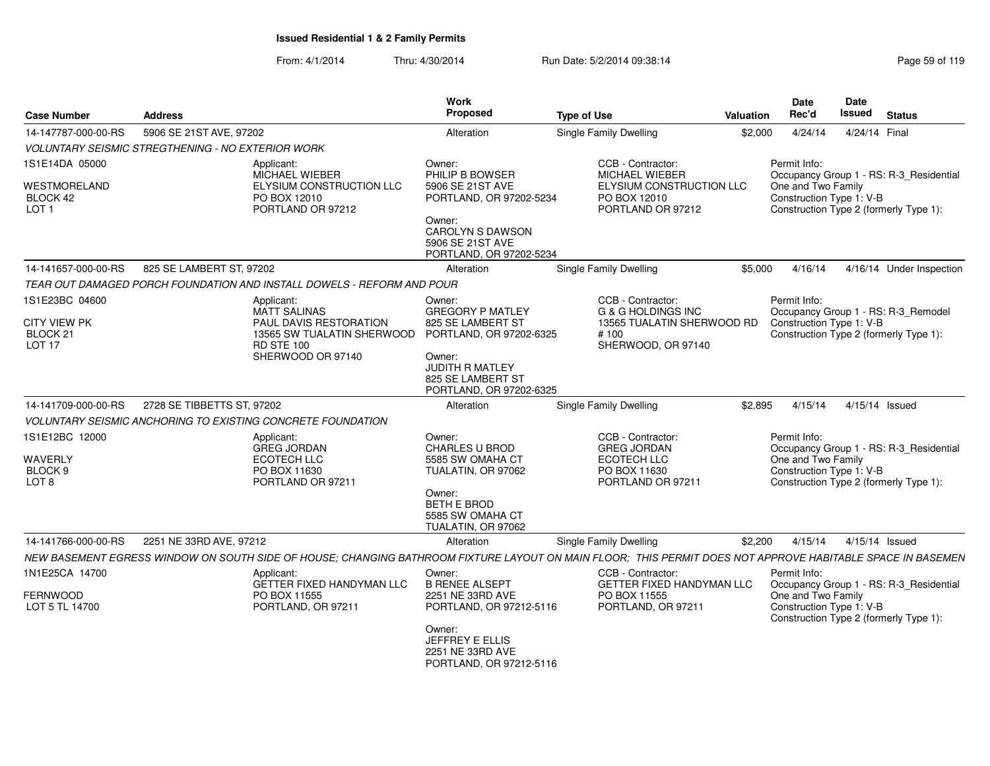| <b>Case Number</b>                                           | <b>Address</b>             |                                                                                                                                                            | Work<br><b>Proposed</b>                                                                                                  | <b>Type of Use</b>                                                            | Valuation                        | <b>Date</b><br>Rec'd                                                                                     | Date<br><b>Issued</b> | <b>Status</b>                           |
|--------------------------------------------------------------|----------------------------|------------------------------------------------------------------------------------------------------------------------------------------------------------|--------------------------------------------------------------------------------------------------------------------------|-------------------------------------------------------------------------------|----------------------------------|----------------------------------------------------------------------------------------------------------|-----------------------|-----------------------------------------|
| 14-147787-000-00-RS                                          | 5906 SE 21ST AVE, 97202    |                                                                                                                                                            | Alteration                                                                                                               | <b>Single Family Dwelling</b>                                                 | \$2,000                          | 4/24/14                                                                                                  | 4/24/14 Final         |                                         |
| <b>VOLUNTARY SEISMIC STREGTHENING - NO EXTERIOR WORK</b>     |                            |                                                                                                                                                            |                                                                                                                          |                                                                               |                                  |                                                                                                          |                       |                                         |
| 1S1E14DA 05000                                               |                            | Applicant:<br><b>MICHAEL WIEBER</b>                                                                                                                        | Owner:<br>PHILIP B BOWSER                                                                                                | CCB - Contractor:<br><b>MICHAEL WIEBER</b>                                    |                                  | Permit Info:                                                                                             |                       | Occupancy Group 1 - RS: R-3_Residential |
| WESTMORELAND<br>BLOCK 42<br>LOT <sub>1</sub>                 |                            | <b>ELYSIUM CONSTRUCTION LLC</b><br>PO BOX 12010<br>PORTLAND OR 97212                                                                                       | 5906 SE 21ST AVE<br>PORTLAND, OR 97202-5234<br>Owner:<br>CAROLYN S DAWSON<br>5906 SE 21ST AVE<br>PORTLAND, OR 97202-5234 | PO BOX 12010<br>PORTLAND OR 97212                                             | ELYSIUM CONSTRUCTION LLC         | One and Two Family<br>Construction Type 1: V-B<br>Construction Type 2 (formerly Type 1):                 |                       |                                         |
| 14-141657-000-00-RS                                          | 825 SE LAMBERT ST, 97202   |                                                                                                                                                            | Alteration                                                                                                               | Single Family Dwelling                                                        | \$5,000                          | 4/16/14                                                                                                  |                       | 4/16/14 Under Inspection                |
|                                                              |                            | TEAR OUT DAMAGED PORCH FOUNDATION AND INSTALL DOWELS - REFORM AND POUR                                                                                     |                                                                                                                          |                                                                               |                                  |                                                                                                          |                       |                                         |
| 1S1E23BC 04600<br><b>CITY VIEW PK</b><br>BLOCK <sub>21</sub> |                            | Applicant:<br><b>MATT SALINAS</b><br>PAUL DAVIS RESTORATION<br>13565 SW TUALATIN SHERWOOD                                                                  | Owner:<br><b>GREGORY P MATLEY</b><br>825 SE LAMBERT ST<br>PORTLAND, OR 97202-6325                                        | CCB - Contractor:<br><b>G &amp; G HOLDINGS INC</b><br># 100                   | 13565 TUALATIN SHERWOOD RD       | Permit Info:<br>Construction Type 1: V-B<br>Construction Type 2 (formerly Type 1):                       |                       | Occupancy Group 1 - RS: R-3_Remodel     |
| LOT <sub>17</sub>                                            |                            | <b>RD STE 100</b><br>SHERWOOD OR 97140                                                                                                                     | Owner:<br><b>JUDITH R MATLEY</b><br>825 SE LAMBERT ST<br>PORTLAND, OR 97202-6325                                         | SHERWOOD, OR 97140                                                            |                                  |                                                                                                          |                       |                                         |
| 14-141709-000-00-RS                                          | 2728 SE TIBBETTS ST, 97202 |                                                                                                                                                            | Alteration                                                                                                               | Single Family Dwelling                                                        | \$2,895                          | 4/15/14                                                                                                  | 4/15/14 Issued        |                                         |
|                                                              |                            | <b>VOLUNTARY SEISMIC ANCHORING TO EXISTING CONCRETE FOUNDATION</b>                                                                                         |                                                                                                                          |                                                                               |                                  |                                                                                                          |                       |                                         |
| 1S1E12BC 12000<br>WAVERLY<br>BLOCK 9                         |                            | Applicant:<br><b>GREG JORDAN</b><br><b>ECOTECH LLC</b><br>PO BOX 11630                                                                                     | Owner:<br>CHARLES U BROD<br>5585 SW OMAHA CT<br>TUALATIN, OR 97062                                                       | CCB - Contractor:<br><b>GREG JORDAN</b><br><b>ECOTECH LLC</b><br>PO BOX 11630 |                                  | Permit Info:<br>One and Two Family<br>Construction Type 1: V-B                                           |                       | Occupancy Group 1 - RS: R-3_Residential |
| LOT <sub>8</sub>                                             |                            | PORTLAND OR 97211                                                                                                                                          | Owner:<br>BETH E BROD<br>5585 SW OMAHA CT<br>TUALATIN, OR 97062                                                          | PORTLAND OR 97211                                                             |                                  | Construction Type 2 (formerly Type 1):                                                                   |                       |                                         |
| 14-141766-000-00-RS                                          | 2251 NE 33RD AVE, 97212    |                                                                                                                                                            | Alteration                                                                                                               | <b>Single Family Dwelling</b>                                                 | \$2,200                          | 4/15/14                                                                                                  | 4/15/14 Issued        |                                         |
|                                                              |                            | NEW BASEMENT EGRESS WINDOW ON SOUTH SIDE OF HOUSE; CHANGING BATHROOM FIXTURE LAYOUT ON MAIN FLOOR; THIS PERMIT DOES NOT APPROVE HABITABLE SPACE IN BASEMEN |                                                                                                                          |                                                                               |                                  |                                                                                                          |                       |                                         |
| 1N1E25CA 14700<br>FERNWOOD<br>LOT 5 TL 14700                 |                            | Applicant:<br>GETTER FIXED HANDYMAN LLC<br>PO BOX 11555<br>PORTLAND, OR 97211                                                                              | Owner:<br><b>B RENEE ALSEPT</b><br>2251 NE 33RD AVE<br>PORTLAND, OR 97212-5116                                           | CCB - Contractor:<br>PO BOX 11555<br>PORTLAND, OR 97211                       | <b>GETTER FIXED HANDYMAN LLC</b> | Permit Info:<br>One and Two Family<br>Construction Type 1: V-B<br>Construction Type 2 (formerly Type 1): |                       | Occupancy Group 1 - RS: R-3_Residential |
|                                                              |                            |                                                                                                                                                            | Owner:<br>JEFFREY E ELLIS<br>2251 NE 33RD AVE<br>PORTLAND, OR 97212-5116                                                 |                                                                               |                                  |                                                                                                          |                       |                                         |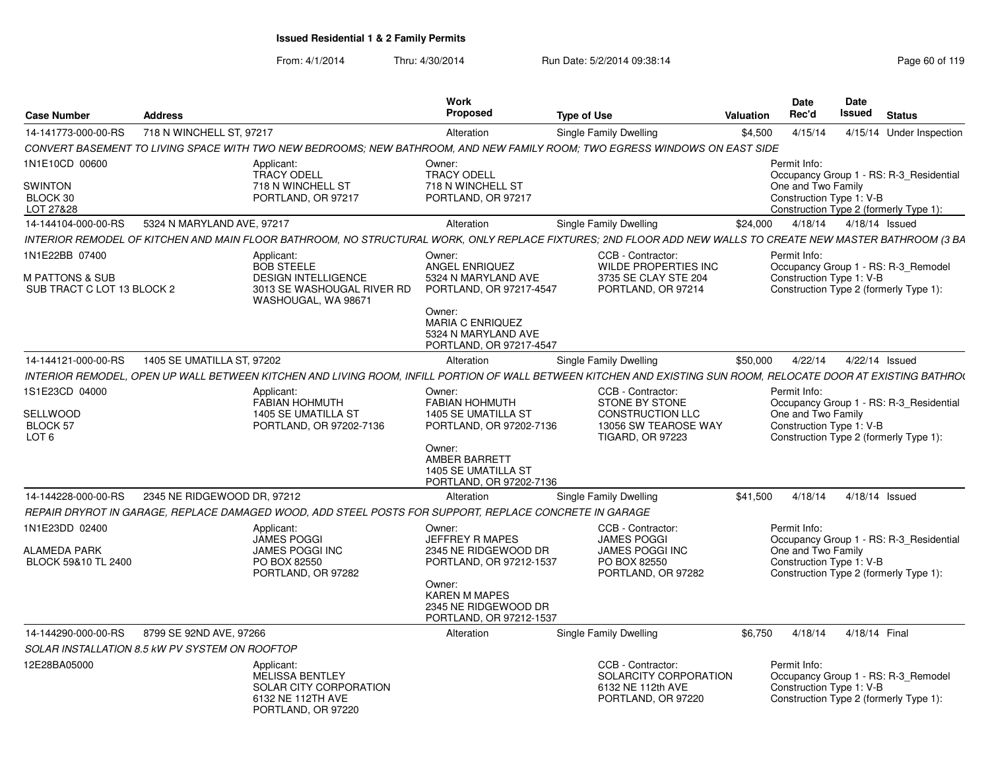| <b>Case Number</b>                                                | <b>Address</b>              |                                                                                                                                                                 | <b>Work</b><br>Proposed                                                                                        | <b>Type of Use</b>                                                                                                       | Valuation | <b>Date</b><br>Rec'd                                           | Date<br>Issued           | <b>Status</b>                                                                     |
|-------------------------------------------------------------------|-----------------------------|-----------------------------------------------------------------------------------------------------------------------------------------------------------------|----------------------------------------------------------------------------------------------------------------|--------------------------------------------------------------------------------------------------------------------------|-----------|----------------------------------------------------------------|--------------------------|-----------------------------------------------------------------------------------|
| 14-141773-000-00-RS                                               | 718 N WINCHELL ST, 97217    |                                                                                                                                                                 | Alteration                                                                                                     | Single Family Dwelling                                                                                                   | \$4,500   | 4/15/14                                                        |                          | 4/15/14 Under Inspection                                                          |
|                                                                   |                             | CONVERT BASEMENT TO LIVING SPACE WITH TWO NEW BEDROOMS: NEW BATHROOM. AND NEW FAMILY ROOM: TWO EGRESS WINDOWS ON EAST SIDE                                      |                                                                                                                |                                                                                                                          |           |                                                                |                          |                                                                                   |
| 1N1E10CD 00600<br><b>SWINTON</b><br>BLOCK 30<br>LOT 27&28         |                             | Applicant:<br><b>TRACY ODELL</b><br>718 N WINCHELL ST<br>PORTLAND, OR 97217                                                                                     | Owner:<br><b>TRACY ODELL</b><br>718 N WINCHELL ST<br>PORTLAND, OR 97217                                        |                                                                                                                          |           | Permit Info:<br>One and Two Family<br>Construction Type 1: V-B |                          | Occupancy Group 1 - RS: R-3 Residential<br>Construction Type 2 (formerly Type 1): |
| 14-144104-000-00-RS                                               | 5324 N MARYLAND AVE, 97217  |                                                                                                                                                                 | Alteration                                                                                                     | Single Family Dwelling                                                                                                   | \$24,000  |                                                                | 4/18/14  4/18/14  Issued |                                                                                   |
|                                                                   |                             | INTERIOR REMODEL OF KITCHEN AND MAIN FLOOR BATHROOM, NO STRUCTURAL WORK, ONLY REPLACE FIXTURES; 2ND FLOOR ADD NEW WALLS TO CREATE NEW MASTER BATHROOM (3 BA     |                                                                                                                |                                                                                                                          |           |                                                                |                          |                                                                                   |
| 1N1E22BB 07400<br>M PATTONS & SUB<br>SUB TRACT C LOT 13 BLOCK 2   |                             | Applicant:<br><b>BOB STEELE</b><br><b>DESIGN INTELLIGENCE</b><br>3013 SE WASHOUGAL RIVER RD<br>WASHOUGAL, WA 98671                                              | Owner:<br>ANGEL ENRIQUEZ<br>5324 N MARYLAND AVE<br>PORTLAND, OR 97217-4547<br>Owner:                           | CCB - Contractor:<br><b>WILDE PROPERTIES INC</b><br>3735 SE CLAY STE 204<br>PORTLAND, OR 97214                           |           | Permit Info:<br>Construction Type 1: V-B                       |                          | Occupancy Group 1 - RS: R-3_Remodel<br>Construction Type 2 (formerly Type 1):     |
|                                                                   |                             |                                                                                                                                                                 | <b>MARIA C ENRIQUEZ</b><br>5324 N MARYLAND AVE<br>PORTLAND, OR 97217-4547                                      |                                                                                                                          |           |                                                                |                          |                                                                                   |
| 14-144121-000-00-RS                                               | 1405 SE UMATILLA ST. 97202  |                                                                                                                                                                 | Alteration                                                                                                     | <b>Single Family Dwelling</b>                                                                                            | \$50,000  | 4/22/14                                                        | 4/22/14 Issued           |                                                                                   |
|                                                                   |                             | INTERIOR REMODEL, OPEN UP WALL BETWEEN KITCHEN AND LIVING ROOM, INFILL PORTION OF WALL BETWEEN KITCHEN AND EXISTING SUN ROOM, RELOCATE DOOR AT EXISTING BATHRO( |                                                                                                                |                                                                                                                          |           |                                                                |                          |                                                                                   |
| 1S1E23CD 04000<br>SELLWOOD<br><b>BLOCK 57</b><br>LOT <sub>6</sub> |                             | Applicant:<br><b>FABIAN HOHMUTH</b><br>1405 SE UMATILLA ST<br>PORTLAND, OR 97202-7136                                                                           | Owner:<br><b>FABIAN HOHMUTH</b><br>1405 SE UMATILLA ST<br>PORTLAND, OR 97202-7136                              | CCB - Contractor:<br><b>STONE BY STONE</b><br><b>CONSTRUCTION LLC</b><br>13056 SW TEAROSE WAY<br><b>TIGARD, OR 97223</b> |           | Permit Info:<br>One and Two Family<br>Construction Type 1: V-B |                          | Occupancy Group 1 - RS: R-3 Residential<br>Construction Type 2 (formerly Type 1): |
|                                                                   |                             |                                                                                                                                                                 | Owner:<br>AMBER BARRETT<br><b>1405 SE UMATILLA ST</b><br>PORTLAND, OR 97202-7136                               |                                                                                                                          |           |                                                                |                          |                                                                                   |
| 14-144228-000-00-RS                                               | 2345 NE RIDGEWOOD DR. 97212 |                                                                                                                                                                 | Alteration                                                                                                     | Single Family Dwelling                                                                                                   | \$41.500  | 4/18/14                                                        | 4/18/14 Issued           |                                                                                   |
|                                                                   |                             | REPAIR DRYROT IN GARAGE, REPLACE DAMAGED WOOD, ADD STEEL POSTS FOR SUPPORT, REPLACE CONCRETE IN GARAGE                                                          |                                                                                                                |                                                                                                                          |           |                                                                |                          |                                                                                   |
| 1N1E23DD 02400<br>ALAMEDA PARK<br>BLOCK 59&10 TL 2400             |                             | Applicant:<br><b>JAMES POGGI</b><br>JAMES POGGI INC<br>PO BOX 82550<br>PORTLAND, OR 97282                                                                       | Owner:<br>JEFFREY R MAPES<br>2345 NE RIDGEWOOD DR<br>PORTLAND, OR 97212-1537<br>Owner:<br><b>KAREN M MAPES</b> | CCB - Contractor:<br><b>JAMES POGGI</b><br><b>JAMES POGGI INC</b><br>PO BOX 82550<br>PORTLAND, OR 97282                  |           | Permit Info:<br>One and Two Family<br>Construction Type 1: V-B |                          | Occupancy Group 1 - RS: R-3_Residential<br>Construction Type 2 (formerly Type 1): |
|                                                                   |                             |                                                                                                                                                                 | 2345 NE RIDGEWOOD DR<br>PORTLAND, OR 97212-1537                                                                |                                                                                                                          |           |                                                                |                          |                                                                                   |
| 14-144290-000-00-RS                                               | 8799 SE 92ND AVE, 97266     |                                                                                                                                                                 | Alteration                                                                                                     | Single Family Dwelling                                                                                                   | \$6.750   | 4/18/14                                                        | 4/18/14 Final            |                                                                                   |
| SOLAR INSTALLATION 8.5 KW PV SYSTEM ON ROOFTOP                    |                             |                                                                                                                                                                 |                                                                                                                |                                                                                                                          |           |                                                                |                          |                                                                                   |
| 12E28BA05000                                                      |                             | Applicant:<br><b>MELISSA BENTLEY</b><br>SOLAR CITY CORPORATION<br>6132 NE 112TH AVE<br>PORTLAND, OR 97220                                                       |                                                                                                                | CCB - Contractor:<br>SOLARCITY CORPORATION<br>6132 NE 112th AVE<br>PORTLAND, OR 97220                                    |           | Permit Info:<br>Construction Type 1: V-B                       |                          | Occupancy Group 1 - RS: R-3 Remodel<br>Construction Type 2 (formerly Type 1):     |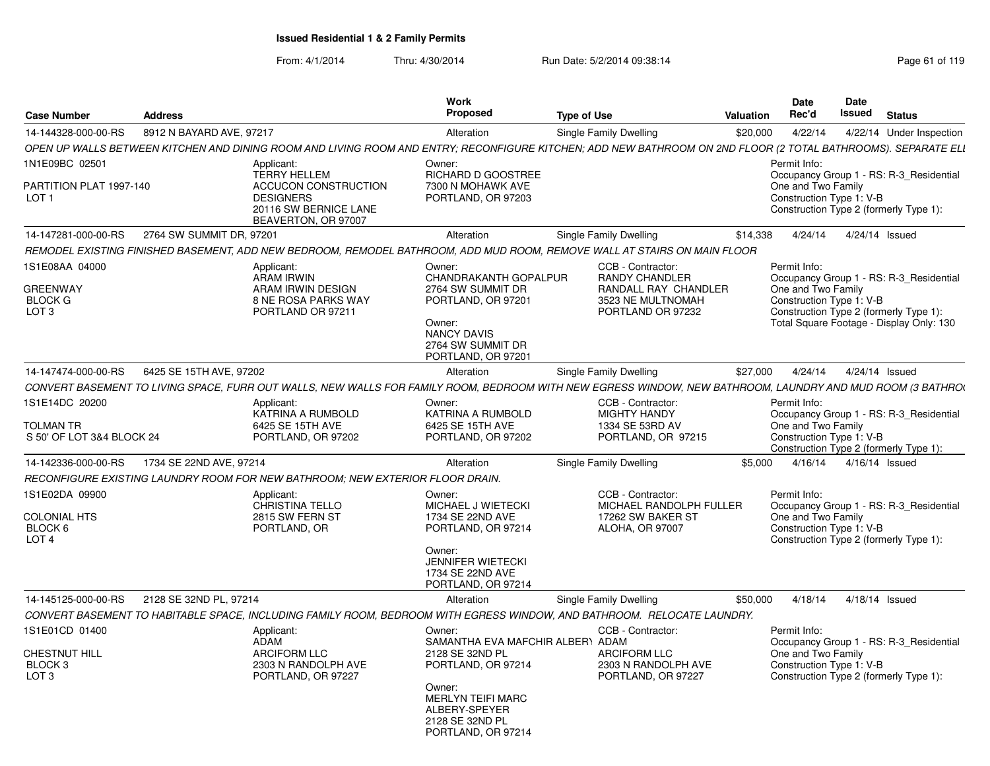| <b>Case Number</b>                                               | <b>Address</b>           |                                                                                                                                                               | Work<br><b>Proposed</b>                                                                                                                        | <b>Type of Use</b> |                                                                                                              | <b>Valuation</b> | <b>Date</b><br>Rec'd                                           | Date<br>Issued | <b>Status</b>                                                                                                                 |
|------------------------------------------------------------------|--------------------------|---------------------------------------------------------------------------------------------------------------------------------------------------------------|------------------------------------------------------------------------------------------------------------------------------------------------|--------------------|--------------------------------------------------------------------------------------------------------------|------------------|----------------------------------------------------------------|----------------|-------------------------------------------------------------------------------------------------------------------------------|
| 14-144328-000-00-RS                                              | 8912 N BAYARD AVE, 97217 |                                                                                                                                                               | Alteration                                                                                                                                     |                    | Single Family Dwelling                                                                                       | \$20,000         | 4/22/14                                                        |                | 4/22/14 Under Inspection                                                                                                      |
|                                                                  |                          | OPEN UP WALLS BETWEEN KITCHEN AND DINING ROOM AND LIVING ROOM AND ENTRY; RECONFIGURE KITCHEN; ADD NEW BATHROOM ON 2ND FLOOR (2 TOTAL BATHROOMS). SEPARATE ELI |                                                                                                                                                |                    |                                                                                                              |                  |                                                                |                |                                                                                                                               |
| 1N1E09BC 02501                                                   |                          | Applicant:                                                                                                                                                    | Owner:                                                                                                                                         |                    |                                                                                                              |                  | Permit Info:                                                   |                |                                                                                                                               |
| PARTITION PLAT 1997-140<br>LOT <sub>1</sub>                      |                          | <b>TERRY HELLEM</b><br>ACCUCON CONSTRUCTION<br><b>DESIGNERS</b><br>20116 SW BERNICE LANE<br>BEAVERTON, OR 97007                                               | RICHARD D GOOSTREE<br>7300 N MOHAWK AVE<br>PORTLAND, OR 97203                                                                                  |                    |                                                                                                              |                  | One and Two Family<br>Construction Type 1: V-B                 |                | Occupancy Group 1 - RS: R-3 Residential<br>Construction Type 2 (formerly Type 1):                                             |
| 14-147281-000-00-RS                                              | 2764 SW SUMMIT DR. 97201 |                                                                                                                                                               | Alteration                                                                                                                                     |                    | Single Family Dwelling                                                                                       | \$14,338         | 4/24/14                                                        |                | 4/24/14 Issued                                                                                                                |
|                                                                  |                          | REMODEL EXISTING FINISHED BASEMENT, ADD NEW BEDROOM, REMODEL BATHROOM, ADD MUD ROOM, REMOVE WALL AT STAIRS ON MAIN FLOOR                                      |                                                                                                                                                |                    |                                                                                                              |                  |                                                                |                |                                                                                                                               |
| 1S1E08AA 04000<br>GREENWAY<br><b>BLOCK G</b><br>LOT <sub>3</sub> |                          | Applicant:<br><b>ARAM IRWIN</b><br>ARAM IRWIN DESIGN<br><b>8 NE ROSA PARKS WAY</b><br>PORTLAND OR 97211                                                       | Owner:<br>CHANDRAKANTH GOPALPUR<br>2764 SW SUMMIT DR<br>PORTLAND, OR 97201<br>Owner:<br>NANCY DAVIS<br>2764 SW SUMMIT DR<br>PORTLAND, OR 97201 |                    | CCB - Contractor:<br><b>RANDY CHANDLER</b><br>RANDALL RAY CHANDLER<br>3523 NE MULTNOMAH<br>PORTLAND OR 97232 |                  | Permit Info:<br>One and Two Family<br>Construction Type 1: V-B |                | Occupancy Group 1 - RS: R-3_Residential<br>Construction Type 2 (formerly Type 1):<br>Total Square Footage - Display Only: 130 |
| 14-147474-000-00-RS                                              | 6425 SE 15TH AVE, 97202  |                                                                                                                                                               | Alteration                                                                                                                                     |                    | Single Family Dwelling                                                                                       | \$27,000         | 4/24/14                                                        |                | 4/24/14 Issued                                                                                                                |
|                                                                  |                          | CONVERT BASEMENT TO LIVING SPACE, FURR OUT WALLS, NEW WALLS FOR FAMILY ROOM, BEDROOM WITH NEW EGRESS WINDOW, NEW BATHROOM, LAUNDRY AND MUD ROOM (3 BATHROO    |                                                                                                                                                |                    |                                                                                                              |                  |                                                                |                |                                                                                                                               |
| 1S1E14DC 20200<br>TOLMAN TR                                      |                          | Applicant:<br>KATRINA A RUMBOLD<br>6425 SE 15TH AVE                                                                                                           | Owner:<br>KATRINA A RUMBOLD<br>6425 SE 15TH AVE                                                                                                |                    | CCB - Contractor:<br><b>MIGHTY HANDY</b><br>1334 SE 53RD AV                                                  |                  | Permit Info:<br>One and Two Family                             |                | Occupancy Group 1 - RS: R-3 Residential                                                                                       |
| S 50' OF LOT 3&4 BLOCK 24                                        |                          | PORTLAND, OR 97202                                                                                                                                            | PORTLAND, OR 97202                                                                                                                             |                    | PORTLAND, OR 97215                                                                                           |                  | Construction Type 1: V-B                                       |                | Construction Type 2 (formerly Type 1):                                                                                        |
| 14-142336-000-00-RS                                              | 1734 SE 22ND AVE, 97214  |                                                                                                                                                               | Alteration                                                                                                                                     |                    | Single Family Dwelling                                                                                       | \$5.000          | 4/16/14                                                        |                | 4/16/14 Issued                                                                                                                |
|                                                                  |                          | RECONFIGURE EXISTING LAUNDRY ROOM FOR NEW BATHROOM; NEW EXTERIOR FLOOR DRAIN.                                                                                 |                                                                                                                                                |                    |                                                                                                              |                  |                                                                |                |                                                                                                                               |
| IS1E02DA 09900<br>COLONIAL HTS<br>BLOCK 6<br>LOT <sub>4</sub>    |                          | Applicant:<br><b>CHRISTINA TELLO</b><br>2815 SW FERN ST<br>PORTLAND, OR                                                                                       | Owner:<br>MICHAEL J WIETECKI<br>1734 SE 22ND AVE<br>PORTLAND, OR 97214                                                                         |                    | CCB - Contractor:<br>MICHAEL RANDOLPH FULLER<br>17262 SW BAKER ST<br>ALOHA, OR 97007                         |                  | Permit Info:<br>One and Two Family<br>Construction Type 1: V-B |                | Occupancy Group 1 - RS: R-3 Residential<br>Construction Type 2 (formerly Type 1):                                             |
|                                                                  |                          |                                                                                                                                                               | Owner:<br><b>JENNIFER WIETECKI</b><br>1734 SE 22ND AVE<br>PORTLAND, OR 97214                                                                   |                    |                                                                                                              |                  |                                                                |                |                                                                                                                               |
| 14-145125-000-00-RS                                              | 2128 SE 32ND PL, 97214   |                                                                                                                                                               | Alteration                                                                                                                                     |                    | Single Family Dwelling                                                                                       | \$50,000         | 4/18/14                                                        |                | 4/18/14 Issued                                                                                                                |
|                                                                  |                          | CONVERT BASEMENT TO HABITABLE SPACE, INCLUDING FAMILY ROOM, BEDROOM WITH EGRESS WINDOW, AND BATHROOM. RELOCATE LAUNDRY.                                       |                                                                                                                                                |                    |                                                                                                              |                  |                                                                |                |                                                                                                                               |
| IS1E01CD 01400                                                   |                          | Applicant:                                                                                                                                                    | Owner:                                                                                                                                         |                    | CCB - Contractor:                                                                                            |                  | Permit Info:                                                   |                |                                                                                                                               |
| CHESTNUT HILL<br>BLOCK 3<br>LOT <sub>3</sub>                     |                          | <b>ADAM</b><br><b>ARCIFORM LLC</b><br>2303 N RANDOLPH AVE<br>PORTLAND, OR 97227                                                                               | SAMANTHA EVA MAFCHIR ALBER\ ADAM<br>2128 SE 32ND PL<br>PORTLAND, OR 97214                                                                      |                    | <b>ARCIFORM LLC</b><br>2303 N RANDOLPH AVE<br>PORTLAND, OR 97227                                             |                  | One and Two Family<br>Construction Type 1: V-B                 |                | Occupancy Group 1 - RS: R-3 Residential<br>Construction Type 2 (formerly Type 1):                                             |
|                                                                  |                          |                                                                                                                                                               | Owner:<br><b>MERLYN TEIFI MARC</b><br>ALBERY-SPEYER<br>2128 SE 32ND PL<br>PORTLAND, OR 97214                                                   |                    |                                                                                                              |                  |                                                                |                |                                                                                                                               |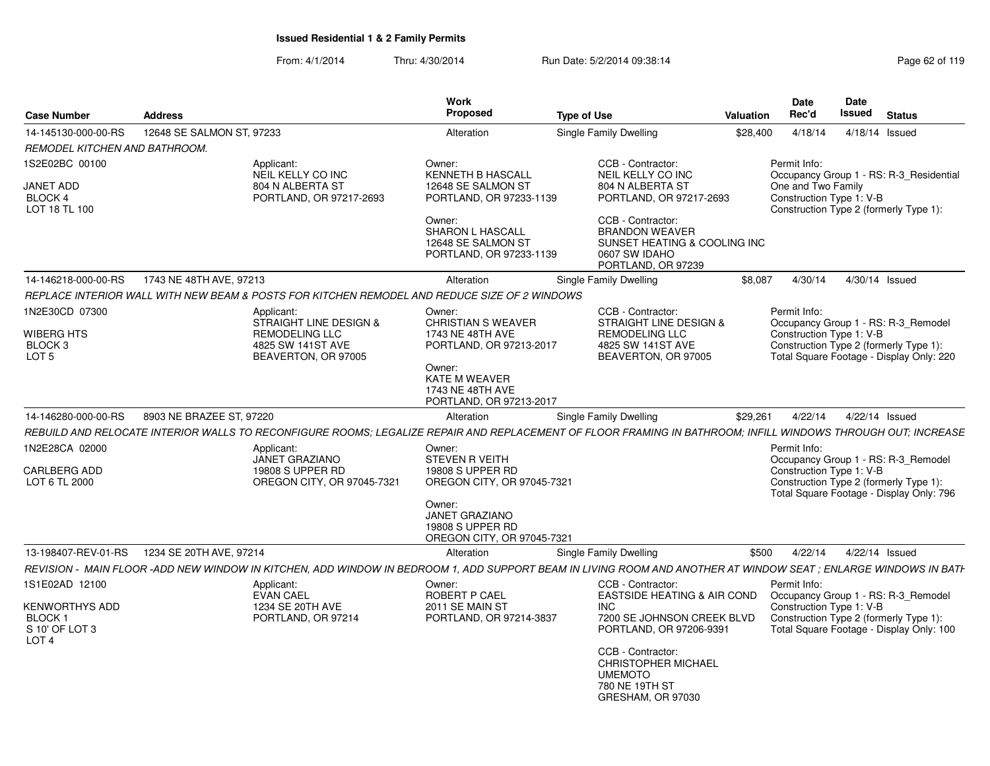| <b>Case Number</b>                                                           | <b>Address</b>            |                                                                                                                                                                 | Work<br>Proposed                                                                                                                         | <b>Type of Use</b> |                                                                                                                      | Valuation | Date<br>Rec'd                                  | Date<br>Issued | <b>Status</b>                                                                                                             |
|------------------------------------------------------------------------------|---------------------------|-----------------------------------------------------------------------------------------------------------------------------------------------------------------|------------------------------------------------------------------------------------------------------------------------------------------|--------------------|----------------------------------------------------------------------------------------------------------------------|-----------|------------------------------------------------|----------------|---------------------------------------------------------------------------------------------------------------------------|
| 14-145130-000-00-RS                                                          | 12648 SE SALMON ST, 97233 |                                                                                                                                                                 | Alteration                                                                                                                               |                    | Single Family Dwelling                                                                                               | \$28,400  | 4/18/14                                        |                | 4/18/14 Issued                                                                                                            |
| REMODEL KITCHEN AND BATHROOM.                                                |                           |                                                                                                                                                                 |                                                                                                                                          |                    |                                                                                                                      |           |                                                |                |                                                                                                                           |
| 1S2E02BC 00100                                                               |                           | Applicant:                                                                                                                                                      | Owner:                                                                                                                                   |                    | CCB - Contractor:                                                                                                    |           | Permit Info:                                   |                |                                                                                                                           |
| JANET ADD<br>BLOCK 4<br>LOT 18 TL 100                                        |                           | NEIL KELLY CO INC<br>804 N ALBERTA ST<br>PORTLAND, OR 97217-2693                                                                                                | <b>KENNETH B HASCALL</b><br>12648 SE SALMON ST<br>PORTLAND, OR 97233-1139                                                                |                    | NEIL KELLY CO INC<br>804 N ALBERTA ST<br>PORTLAND, OR 97217-2693                                                     |           | One and Two Family<br>Construction Type 1: V-B |                | Occupancy Group 1 - RS: R-3 Residential<br>Construction Type 2 (formerly Type 1):                                         |
|                                                                              |                           |                                                                                                                                                                 | Owner:<br><b>SHARON L HASCALL</b><br>12648 SE SALMON ST<br>PORTLAND, OR 97233-1139                                                       |                    | CCB - Contractor:<br><b>BRANDON WEAVER</b><br>SUNSET HEATING & COOLING INC<br>0607 SW IDAHO<br>PORTLAND, OR 97239    |           |                                                |                |                                                                                                                           |
| 14-146218-000-00-RS                                                          | 1743 NE 48TH AVE, 97213   |                                                                                                                                                                 | Alteration                                                                                                                               |                    | Single Family Dwelling                                                                                               | \$8,087   | 4/30/14                                        |                | 4/30/14 Issued                                                                                                            |
|                                                                              |                           | REPLACE INTERIOR WALL WITH NEW BEAM & POSTS FOR KITCHEN REMODEL AND REDUCE SIZE OF 2 WINDOWS                                                                    |                                                                                                                                          |                    |                                                                                                                      |           |                                                |                |                                                                                                                           |
| 1N2E30CD 07300<br>WIBERG HTS<br>BLOCK 3<br>LOT 5                             |                           | Applicant:<br>STRAIGHT LINE DESIGN &<br><b>REMODELING LLC</b><br>4825 SW 141ST AVE<br>BEAVERTON, OR 97005                                                       | Owner:<br><b>CHRISTIAN S WEAVER</b><br>1743 NE 48TH AVE<br>PORTLAND, OR 97213-2017                                                       |                    | CCB - Contractor:<br><b>STRAIGHT LINE DESIGN &amp;</b><br>REMODELING LLC<br>4825 SW 141ST AVE<br>BEAVERTON, OR 97005 |           | Permit Info:<br>Construction Type 1: V-B       |                | Occupancy Group 1 - RS: R-3 Remodel<br>Construction Type 2 (formerly Type 1):<br>Total Square Footage - Display Only: 220 |
|                                                                              |                           |                                                                                                                                                                 | Owner:<br><b>KATE M WEAVER</b><br>1743 NE 48TH AVE<br>PORTLAND, OR 97213-2017                                                            |                    |                                                                                                                      |           |                                                |                |                                                                                                                           |
| 14-146280-000-00-RS                                                          | 8903 NE BRAZEE ST. 97220  |                                                                                                                                                                 | Alteration                                                                                                                               |                    | Single Family Dwelling                                                                                               | \$29.261  | 4/22/14                                        |                | 4/22/14 Issued                                                                                                            |
|                                                                              |                           | REBUILD AND RELOCATE INTERIOR WALLS TO RECONFIGURE ROOMS: LEGALIZE REPAIR AND REPLACEMENT OF FLOOR FRAMING IN BATHROOM: INFILL WINDOWS THROUGH OUT: INCREASE    |                                                                                                                                          |                    |                                                                                                                      |           |                                                |                |                                                                                                                           |
| 1N2E28CA 02000<br>CARLBERG ADD<br>LOT 6 TL 2000                              |                           | Applicant:<br><b>JANET GRAZIANO</b><br>19808 S UPPER RD<br>OREGON CITY, OR 97045-7321                                                                           | Owner:<br><b>STEVEN R VEITH</b><br>19808 S UPPER RD<br>OREGON CITY, OR 97045-7321<br>Owner:<br><b>JANET GRAZIANO</b><br>19808 S UPPER RD |                    |                                                                                                                      |           | Permit Info:<br>Construction Type 1: V-B       |                | Occupancy Group 1 - RS: R-3_Remodel<br>Construction Type 2 (formerly Type 1):<br>Total Square Footage - Display Only: 796 |
|                                                                              |                           |                                                                                                                                                                 | OREGON CITY, OR 97045-7321                                                                                                               |                    |                                                                                                                      |           |                                                |                |                                                                                                                           |
| 13-198407-REV-01-RS                                                          | 1234 SE 20TH AVE, 97214   |                                                                                                                                                                 | Alteration                                                                                                                               |                    | Single Family Dwelling                                                                                               | \$500     | 4/22/14                                        |                | 4/22/14 Issued                                                                                                            |
|                                                                              |                           | REVISION - MAIN FLOOR -ADD NEW WINDOW IN KITCHEN, ADD WINDOW IN BEDROOM 1, ADD SUPPORT BEAM IN LIVING ROOM AND ANOTHER AT WINDOW SEAT : ENLARGE WINDOWS IN BATH |                                                                                                                                          |                    |                                                                                                                      |           |                                                |                |                                                                                                                           |
| 1S1E02AD 12100                                                               |                           | Applicant:<br><b>EVAN CAEL</b>                                                                                                                                  | Owner:<br>ROBERT P CAEL                                                                                                                  |                    | CCB - Contractor:<br>EASTSIDE HEATING & AIR COND                                                                     |           | Permit Info:                                   |                |                                                                                                                           |
| <b>KENWORTHYS ADD</b><br><b>BLOCK1</b><br>S 10' OF LOT 3<br>LOT <sub>4</sub> |                           | 1234 SE 20TH AVE<br>PORTLAND, OR 97214                                                                                                                          | 2011 SE MAIN ST<br>PORTLAND, OR 97214-3837                                                                                               |                    | <b>INC</b><br>7200 SE JOHNSON CREEK BLVD<br>PORTLAND, OR 97206-9391                                                  |           | Construction Type 1: V-B                       |                | Occupancy Group 1 - RS: R-3 Remodel<br>Construction Type 2 (formerly Type 1):<br>Total Square Footage - Display Only: 100 |
|                                                                              |                           |                                                                                                                                                                 |                                                                                                                                          |                    | CCB - Contractor:<br><b>CHRISTOPHER MICHAEL</b><br><b>UMEMOTO</b><br>780 NE 19TH ST<br>GRESHAM, OR 97030             |           |                                                |                |                                                                                                                           |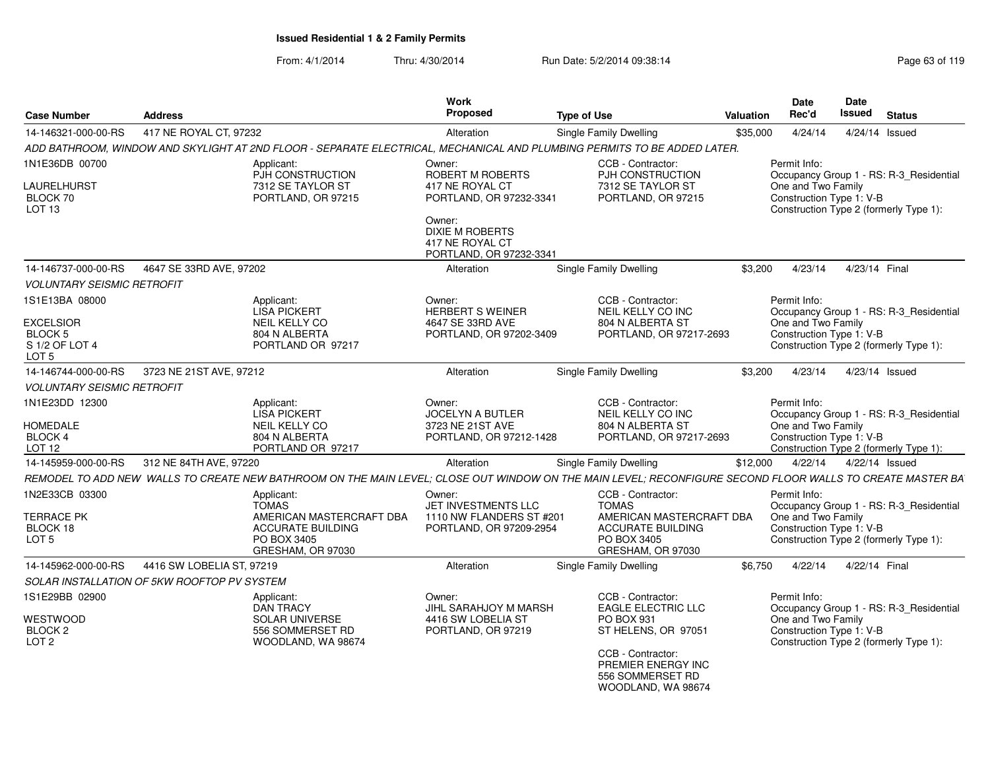From: 4/1/2014Thru: 4/30/2014 Run Date: 5/2/2014 09:38:14 Run Date: 5/2/2014 09:38:14

| <b>Case Number</b>                 | <b>Address</b>                              |                                                           | Work<br><b>Proposed</b>                                              | <b>Type of Use</b>                                                                                                                                         | <b>Valuation</b> | <b>Date</b><br>Rec'd                           | Date<br>Issued | <b>Status</b>                           |
|------------------------------------|---------------------------------------------|-----------------------------------------------------------|----------------------------------------------------------------------|------------------------------------------------------------------------------------------------------------------------------------------------------------|------------------|------------------------------------------------|----------------|-----------------------------------------|
| 14-146321-000-00-RS                | 417 NE ROYAL CT, 97232                      |                                                           | Alteration                                                           | <b>Single Family Dwelling</b>                                                                                                                              | \$35,000         | 4/24/14                                        |                | 4/24/14 Issued                          |
|                                    |                                             |                                                           |                                                                      | ADD BATHROOM, WINDOW AND SKYLIGHT AT 2ND FLOOR - SEPARATE ELECTRICAL, MECHANICAL AND PLUMBING PERMITS TO BE ADDED LATER.                                   |                  |                                                |                |                                         |
| 1N1E36DB 00700                     |                                             | Applicant:<br>PJH CONSTRUCTION                            | Owner:<br>ROBERT M ROBERTS                                           | CCB - Contractor:<br>PJH CONSTRUCTION                                                                                                                      |                  | Permit Info:                                   |                | Occupancy Group 1 - RS: R-3 Residential |
| LAURELHURST<br>BLOCK 70<br>LOT 13  |                                             | 7312 SE TAYLOR ST<br>PORTLAND, OR 97215                   | 417 NE ROYAL CT<br>PORTLAND, OR 97232-3341<br>Owner:                 | 7312 SE TAYLOR ST<br>PORTLAND, OR 97215                                                                                                                    |                  | One and Two Family<br>Construction Type 1: V-B |                | Construction Type 2 (formerly Type 1):  |
|                                    |                                             |                                                           | <b>DIXIE M ROBERTS</b><br>417 NE ROYAL CT<br>PORTLAND, OR 97232-3341 |                                                                                                                                                            |                  |                                                |                |                                         |
| 14-146737-000-00-RS                | 4647 SE 33RD AVE, 97202                     |                                                           | Alteration                                                           | <b>Single Family Dwelling</b>                                                                                                                              | \$3.200          | 4/23/14                                        |                | 4/23/14 Final                           |
| <b>VOLUNTARY SEISMIC RETROFIT</b>  |                                             |                                                           |                                                                      |                                                                                                                                                            |                  |                                                |                |                                         |
| 1S1E13BA 08000                     |                                             | Applicant:<br><b>LISA PICKERT</b>                         | Owner:<br><b>HERBERT S WEINER</b>                                    | CCB - Contractor:<br>NEIL KELLY CO INC                                                                                                                     |                  | Permit Info:                                   |                | Occupancy Group 1 - RS: R-3 Residential |
| <b>EXCELSIOR</b>                   |                                             | <b>NEIL KELLY CO</b>                                      | 4647 SE 33RD AVE                                                     | 804 N ALBERTA ST                                                                                                                                           |                  | One and Two Family                             |                |                                         |
| BLOCK 5                            |                                             | 804 N ALBERTA                                             | PORTLAND, OR 97202-3409                                              | PORTLAND, OR 97217-2693                                                                                                                                    |                  | Construction Type 1: V-B                       |                |                                         |
| S 1/2 OF LOT 4<br>LOT <sub>5</sub> |                                             | PORTLAND OR 97217                                         |                                                                      |                                                                                                                                                            |                  |                                                |                | Construction Type 2 (formerly Type 1):  |
| 14-146744-000-00-RS                | 3723 NE 21ST AVE, 97212                     |                                                           | Alteration                                                           | <b>Single Family Dwelling</b>                                                                                                                              | \$3,200          | 4/23/14                                        |                | 4/23/14 Issued                          |
| <b>VOLUNTARY SEISMIC RETROFIT</b>  |                                             |                                                           |                                                                      |                                                                                                                                                            |                  |                                                |                |                                         |
| 1N1E23DD 12300<br><b>HOMEDALE</b>  |                                             | Applicant:<br><b>LISA PICKERT</b><br><b>NEIL KELLY CO</b> | Owner:<br>JOCELYN A BUTLER<br>3723 NE 21ST AVE                       | CCB - Contractor:<br><b>NEIL KELLY CO INC</b><br>804 N ALBERTA ST                                                                                          |                  | Permit Info:<br>One and Two Family             |                | Occupancy Group 1 - RS: R-3 Residential |
| BLOCK 4                            |                                             | 804 N ALBERTA                                             | PORTLAND, OR 97212-1428                                              | PORTLAND, OR 97217-2693                                                                                                                                    |                  | Construction Type 1: V-B                       |                |                                         |
| <b>LOT 12</b>                      |                                             | PORTLAND OR 97217                                         |                                                                      |                                                                                                                                                            |                  |                                                |                | Construction Type 2 (formerly Type 1):  |
| 14-145959-000-00-RS                | 312 NE 84TH AVE, 97220                      |                                                           | Alteration                                                           | <b>Single Family Dwelling</b>                                                                                                                              | \$12,000         | 4/22/14                                        |                | 4/22/14 Issued                          |
|                                    |                                             |                                                           |                                                                      | REMODEL TO ADD NEW  WALLS TO CREATE NEW BATHROOM ON THE MAIN LEVEL: CLOSE OUT WINDOW ON THE MAIN LEVEL: RECONFIGURE SECOND FLOOR WALLS TO CREATE MASTER BA |                  |                                                |                |                                         |
| 1N2E33CB 03300                     |                                             | Applicant:<br><b>TOMAS</b>                                | Owner:<br>JET INVESTMENTS LLC                                        | CCB - Contractor:<br><b>TOMAS</b>                                                                                                                          |                  | Permit Info:                                   |                | Occupancy Group 1 - RS: R-3_Residential |
| <b>TERRACE PK</b>                  |                                             | AMERICAN MASTERCRAFT DBA                                  | 1110 NW FLANDERS ST #201                                             | AMERICAN MASTERCRAFT DBA                                                                                                                                   |                  | One and Two Family                             |                |                                         |
| BLOCK 18<br>LOT <sub>5</sub>       |                                             | <b>ACCURATE BUILDING</b><br>PO BOX 3405                   | PORTLAND, OR 97209-2954                                              | <b>ACCURATE BUILDING</b><br>PO BOX 3405                                                                                                                    |                  | Construction Type 1: V-B                       |                | Construction Type 2 (formerly Type 1):  |
|                                    |                                             | GRESHAM, OR 97030                                         |                                                                      | GRESHAM, OR 97030                                                                                                                                          |                  |                                                |                |                                         |
| 14-145962-000-00-RS                | 4416 SW LOBELIA ST, 97219                   |                                                           | Alteration                                                           | <b>Single Family Dwelling</b>                                                                                                                              | \$6.750          | 4/22/14                                        |                | 4/22/14 Final                           |
|                                    | SOLAR INSTALLATION OF 5KW ROOFTOP PV SYSTEM |                                                           |                                                                      |                                                                                                                                                            |                  |                                                |                |                                         |
| 1S1E29BB 02900                     |                                             | Applicant:<br><b>DAN TRACY</b>                            | Owner:<br>JIHL SARAHJOY M MARSH                                      | CCB - Contractor:<br><b>EAGLE ELECTRIC LLC</b>                                                                                                             |                  | Permit Info:                                   |                | Occupancy Group 1 - RS: R-3_Residential |
| WESTWOOD<br>BLOCK <sub>2</sub>     |                                             | <b>SOLAR UNIVERSE</b><br>556 SOMMERSET RD                 | 4416 SW LOBELIA ST<br>PORTLAND, OR 97219                             | PO BOX 931<br>ST HELENS, OR 97051                                                                                                                          |                  | One and Two Family<br>Construction Type 1: V-B |                |                                         |
| LOT <sub>2</sub>                   |                                             | WOODLAND, WA 98674                                        |                                                                      | CCB - Contractor:                                                                                                                                          |                  |                                                |                | Construction Type 2 (formerly Type 1):  |
|                                    |                                             |                                                           |                                                                      | PREMIER ENERGY INC<br>556 SOMMERSET RD                                                                                                                     |                  |                                                |                |                                         |

WOODLAND, WA 98674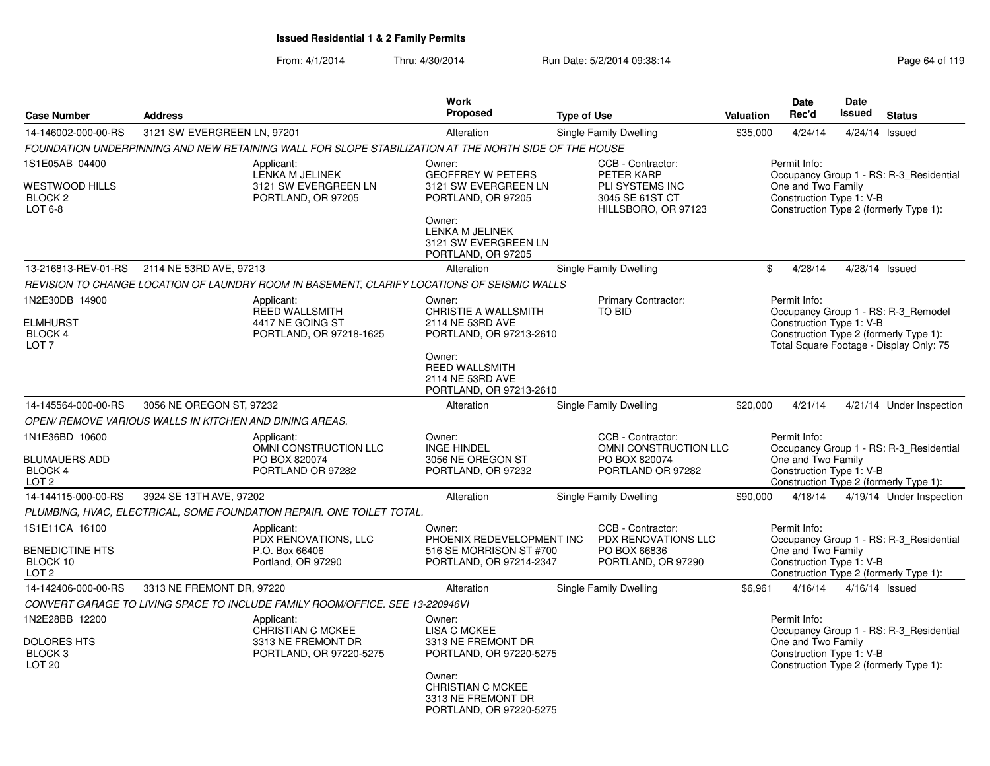| <b>Case Number</b>                                                           | <b>Address</b>                                         |                                                                                                       | Work<br>Proposed                                                                                                                                                      | <b>Type of Use</b>                                                                           | <b>Valuation</b> | Date<br>Rec'd                                                  | <b>Date</b><br><b>Issued</b>                                                                                             | <b>Status</b>                           |
|------------------------------------------------------------------------------|--------------------------------------------------------|-------------------------------------------------------------------------------------------------------|-----------------------------------------------------------------------------------------------------------------------------------------------------------------------|----------------------------------------------------------------------------------------------|------------------|----------------------------------------------------------------|--------------------------------------------------------------------------------------------------------------------------|-----------------------------------------|
| 14-146002-000-00-RS                                                          | 3121 SW EVERGREEN LN, 97201                            |                                                                                                       | Alteration                                                                                                                                                            | Single Family Dwelling                                                                       | \$35,000         | 4/24/14                                                        | 4/24/14 Issued                                                                                                           |                                         |
|                                                                              |                                                        | FOUNDATION UNDERPINNING AND NEW RETAINING WALL FOR SLOPE STABILIZATION AT THE NORTH SIDE OF THE HOUSE |                                                                                                                                                                       |                                                                                              |                  |                                                                |                                                                                                                          |                                         |
| 1S1E05AB 04400<br>WESTWOOD HILLS<br>BLOCK 2<br>LOT 6-8                       |                                                        | Applicant:<br>LENKA M JELINEK<br>3121 SW EVERGREEN LN<br>PORTLAND, OR 97205                           | Owner:<br><b>GEOFFREY W PETERS</b><br>3121 SW EVERGREEN LN<br>PORTLAND, OR 97205<br>Owner:<br>LENKA M JELINEK<br>3121 SW EVERGREEN LN<br>PORTLAND, OR 97205           | CCB - Contractor:<br>PETER KARP<br>PLI SYSTEMS INC<br>3045 SE 61ST CT<br>HILLSBORO, OR 97123 |                  | Permit Info:<br>One and Two Family<br>Construction Type 1: V-B | Construction Type 2 (formerly Type 1):                                                                                   | Occupancy Group 1 - RS: R-3 Residential |
| 13-216813-REV-01-RS                                                          | 2114 NE 53RD AVE, 97213                                |                                                                                                       | Alteration                                                                                                                                                            | Single Family Dwelling                                                                       | \$               | 4/28/14                                                        | 4/28/14 Issued                                                                                                           |                                         |
|                                                                              |                                                        | REVISION TO CHANGE LOCATION OF LAUNDRY ROOM IN BASEMENT, CLARIFY LOCATIONS OF SEISMIC WALLS           |                                                                                                                                                                       |                                                                                              |                  |                                                                |                                                                                                                          |                                         |
| 1N2E30DB 14900<br><b>ELMHURST</b><br>BLOCK 4<br>LOT <sub>7</sub>             |                                                        | Applicant:<br><b>REED WALLSMITH</b><br>4417 NE GOING ST<br>PORTLAND, OR 97218-1625                    | Owner:<br>CHRISTIE A WALLSMITH<br>2114 NE 53RD AVE<br>PORTLAND, OR 97213-2610<br>Owner:<br><b>REED WALLSMITH</b><br>2114 NE 53RD AVE<br>PORTLAND, OR 97213-2610       | Primary Contractor:<br><b>TO BID</b>                                                         |                  | Permit Info:<br>Construction Type 1: V-B                       | Occupancy Group 1 - RS: R-3_Remodel<br>Construction Type 2 (formerly Type 1):<br>Total Square Footage - Display Only: 75 |                                         |
| 14-145564-000-00-RS                                                          | 3056 NE OREGON ST, 97232                               |                                                                                                       | Alteration                                                                                                                                                            | Single Family Dwelling                                                                       | \$20,000         | 4/21/14                                                        |                                                                                                                          | 4/21/14 Under Inspection                |
|                                                                              | OPEN/REMOVE VARIOUS WALLS IN KITCHEN AND DINING AREAS. |                                                                                                       |                                                                                                                                                                       |                                                                                              |                  |                                                                |                                                                                                                          |                                         |
| 1N1E36BD 10600<br><b>BLUMAUERS ADD</b><br><b>BLOCK 4</b><br>LOT <sub>2</sub> |                                                        | Applicant:<br>OMNI CONSTRUCTION LLC<br>PO BOX 820074<br>PORTLAND OR 97282                             | Owner:<br><b>INGE HINDEL</b><br>3056 NE OREGON ST<br>PORTLAND, OR 97232                                                                                               | CCB - Contractor:<br>OMNI CONSTRUCTION LLC<br>PO BOX 820074<br>PORTLAND OR 97282             |                  | Permit Info:<br>One and Two Family<br>Construction Type 1: V-B | Construction Type 2 (formerly Type 1):                                                                                   | Occupancy Group 1 - RS: R-3 Residential |
| 14-144115-000-00-RS                                                          | 3924 SE 13TH AVE, 97202                                |                                                                                                       | Alteration                                                                                                                                                            | Single Family Dwelling                                                                       | \$90,000         | 4/18/14                                                        |                                                                                                                          | 4/19/14 Under Inspection                |
|                                                                              |                                                        | PLUMBING, HVAC, ELECTRICAL, SOME FOUNDATION REPAIR. ONE TOILET TOTAL.                                 |                                                                                                                                                                       |                                                                                              |                  |                                                                |                                                                                                                          |                                         |
| 1S1E11CA 16100<br><b>BENEDICTINE HTS</b><br>BLOCK 10<br>LOT <sub>2</sub>     |                                                        | Applicant:<br>PDX RENOVATIONS, LLC<br>P.O. Box 66406<br>Portland, OR 97290                            | Owner:<br>PHOENIX REDEVELOPMENT INC<br>516 SE MORRISON ST #700<br>PORTLAND, OR 97214-2347                                                                             | CCB - Contractor:<br>PDX RENOVATIONS LLC<br>PO BOX 66836<br>PORTLAND, OR 97290               |                  | Permit Info:<br>One and Two Family<br>Construction Type 1: V-B | Construction Type 2 (formerly Type 1):                                                                                   | Occupancy Group 1 - RS: R-3 Residential |
| 14-142406-000-00-RS                                                          | 3313 NE FREMONT DR, 97220                              |                                                                                                       | Alteration                                                                                                                                                            | Single Family Dwelling                                                                       | \$6,961          | 4/16/14                                                        | $4/16/14$ Issued                                                                                                         |                                         |
|                                                                              |                                                        | CONVERT GARAGE TO LIVING SPACE TO INCLUDE FAMILY ROOM/OFFICE. SEE 13-220946VI                         |                                                                                                                                                                       |                                                                                              |                  |                                                                |                                                                                                                          |                                         |
| 1N2E28BB 12200<br><b>DOLORES HTS</b><br>BLOCK <sub>3</sub><br><b>LOT 20</b>  |                                                        | Applicant:<br><b>CHRISTIAN C MCKEE</b><br>3313 NE FREMONT DR<br>PORTLAND, OR 97220-5275               | Owner:<br><b>LISA C MCKEE</b><br>3313 NE FREMONT DR<br>PORTLAND, OR 97220-5275<br>Owner:<br><b>CHRISTIAN C MCKEE</b><br>3313 NE FREMONT DR<br>PORTLAND, OR 97220-5275 |                                                                                              |                  | Permit Info:<br>One and Two Family<br>Construction Type 1: V-B | Construction Type 2 (formerly Type 1):                                                                                   | Occupancy Group 1 - RS: R-3_Residential |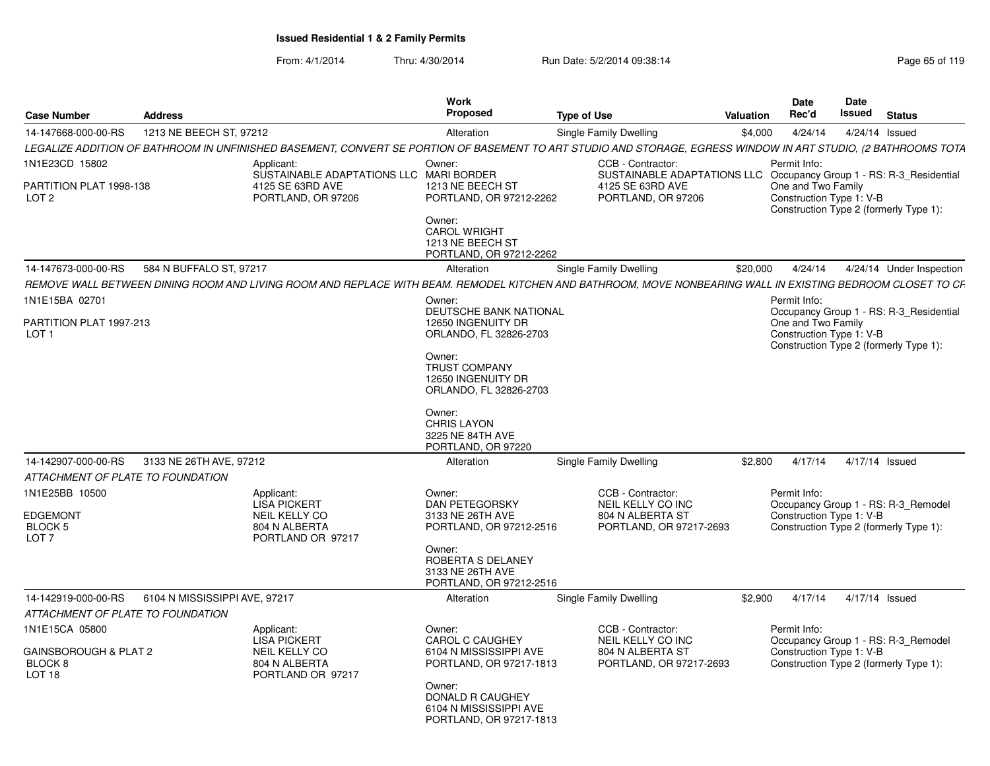| <b>Case Number</b>                                                             | <b>Address</b>                |                                                                                                                                                                | Work<br>Proposed                                                                         | <b>Type of Use</b>                                                                                                                 | Valuation | <b>Date</b><br>Rec'd                                           | Date<br><b>Issued</b> | <b>Status</b>                                                                 |
|--------------------------------------------------------------------------------|-------------------------------|----------------------------------------------------------------------------------------------------------------------------------------------------------------|------------------------------------------------------------------------------------------|------------------------------------------------------------------------------------------------------------------------------------|-----------|----------------------------------------------------------------|-----------------------|-------------------------------------------------------------------------------|
| 14-147668-000-00-RS                                                            | 1213 NE BEECH ST, 97212       |                                                                                                                                                                | Alteration                                                                               | <b>Single Family Dwelling</b>                                                                                                      | \$4,000   | 4/24/14                                                        | 4/24/14 Issued        |                                                                               |
|                                                                                |                               | LEGALIZE ADDITION OF BATHROOM IN UNFINISHED BASEMENT, CONVERT SE PORTION OF BASEMENT TO ART STUDIO AND STORAGE, EGRESS WINDOW IN ART STUDIO, (2 BATHROOMS TOTA |                                                                                          |                                                                                                                                    |           |                                                                |                       |                                                                               |
| 1N1E23CD 15802<br>PARTITION PLAT 1998-138<br>LOT <sub>2</sub>                  |                               | Applicant:<br>SUSTAINABLE ADAPTATIONS LLC MARI BORDER<br>4125 SE 63RD AVE<br>PORTLAND, OR 97206                                                                | Owner:<br>1213 NE BEECH ST<br>PORTLAND, OR 97212-2262<br>Owner:<br><b>CAROL WRIGHT</b>   | CCB - Contractor:<br>SUSTAINABLE ADAPTATIONS LLC Occupancy Group 1 - RS: R-3_Residential<br>4125 SE 63RD AVE<br>PORTLAND, OR 97206 |           | Permit Info:<br>One and Two Family<br>Construction Type 1: V-B |                       | Construction Type 2 (formerly Type 1):                                        |
|                                                                                |                               |                                                                                                                                                                | 1213 NE BEECH ST<br>PORTLAND, OR 97212-2262                                              |                                                                                                                                    |           |                                                                |                       |                                                                               |
| 14-147673-000-00-RS                                                            | 584 N BUFFALO ST, 97217       |                                                                                                                                                                | Alteration                                                                               | Single Family Dwelling                                                                                                             | \$20,000  | 4/24/14                                                        |                       | 4/24/14 Under Inspection                                                      |
|                                                                                |                               | REMOVE WALL BETWEEN DINING ROOM AND LIVING ROOM AND REPLACE WITH BEAM. REMODEL KITCHEN AND BATHROOM, MOVE NONBEARING WALL IN EXISTING BEDROOM CLOSET TO CF     |                                                                                          |                                                                                                                                    |           |                                                                |                       |                                                                               |
| 1N1E15BA 02701                                                                 |                               |                                                                                                                                                                | Owner:<br><b>DEUTSCHE BANK NATIONAL</b>                                                  |                                                                                                                                    |           | Permit Info:                                                   |                       | Occupancy Group 1 - RS: R-3_Residential                                       |
| PARTITION PLAT 1997-213<br>LOT <sub>1</sub>                                    |                               |                                                                                                                                                                | 12650 INGENUITY DR<br>ORLANDO, FL 32826-2703                                             |                                                                                                                                    |           | One and Two Family<br>Construction Type 1: V-B                 |                       | Construction Type 2 (formerly Type 1):                                        |
|                                                                                |                               |                                                                                                                                                                | Owner:<br><b>TRUST COMPANY</b><br>12650 INGENUITY DR<br>ORLANDO, FL 32826-2703           |                                                                                                                                    |           |                                                                |                       |                                                                               |
|                                                                                |                               |                                                                                                                                                                | Owner:<br><b>CHRIS LAYON</b><br>3225 NE 84TH AVE<br>PORTLAND, OR 97220                   |                                                                                                                                    |           |                                                                |                       |                                                                               |
| 14-142907-000-00-RS                                                            | 3133 NE 26TH AVE, 97212       |                                                                                                                                                                | Alteration                                                                               | Single Family Dwelling                                                                                                             | \$2,800   | 4/17/14                                                        | 4/17/14 Issued        |                                                                               |
| ATTACHMENT OF PLATE TO FOUNDATION                                              |                               |                                                                                                                                                                |                                                                                          |                                                                                                                                    |           |                                                                |                       |                                                                               |
| 1N1E25BB 10500<br>EDGEMONT<br>BLOCK 5<br>LOT <sub>7</sub>                      |                               | Applicant:<br><b>LISA PICKERT</b><br><b>NEIL KELLY CO</b><br>804 N ALBERTA<br>PORTLAND OR 97217                                                                | Owner:<br><b>DAN PETEGORSKY</b><br>3133 NE 26TH AVE<br>PORTLAND, OR 97212-2516<br>Owner: | CCB - Contractor:<br>NEIL KELLY CO INC<br>804 N ALBERTA ST<br>PORTLAND, OR 97217-2693                                              |           | Permit Info:<br>Construction Type 1: V-B                       |                       | Occupancy Group 1 - RS: R-3_Remodel<br>Construction Type 2 (formerly Type 1): |
|                                                                                |                               |                                                                                                                                                                | ROBERTA S DELANEY<br>3133 NE 26TH AVE<br>PORTLAND, OR 97212-2516                         |                                                                                                                                    |           |                                                                |                       |                                                                               |
| 14-142919-000-00-RS                                                            | 6104 N MISSISSIPPI AVE, 97217 |                                                                                                                                                                | Alteration                                                                               | <b>Single Family Dwelling</b>                                                                                                      | \$2,900   | 4/17/14                                                        | 4/17/14 Issued        |                                                                               |
| ATTACHMENT OF PLATE TO FOUNDATION                                              |                               |                                                                                                                                                                |                                                                                          |                                                                                                                                    |           |                                                                |                       |                                                                               |
| 1N1E15CA 05800<br>GAINSBOROUGH & PLAT 2<br><b>BLOCK 8</b><br>LOT <sub>18</sub> |                               | Applicant:<br><b>LISA PICKERT</b><br>NEIL KELLY CO<br>804 N ALBERTA<br>PORTLAND OR 97217                                                                       | Owner:<br><b>CAROL C CAUGHEY</b><br>6104 N MISSISSIPPI AVE<br>PORTLAND, OR 97217-1813    | CCB - Contractor:<br>NEIL KELLY CO INC<br>804 N ALBERTA ST<br>PORTLAND, OR 97217-2693                                              |           | Permit Info:<br>Construction Type 1: V-B                       |                       | Occupancy Group 1 - RS: R-3_Remodel<br>Construction Type 2 (formerly Type 1): |
|                                                                                |                               |                                                                                                                                                                | Owner:<br>DONALD R CAUGHEY<br>6104 N MISSISSIPPI AVE<br>PORTLAND, OR 97217-1813          |                                                                                                                                    |           |                                                                |                       |                                                                               |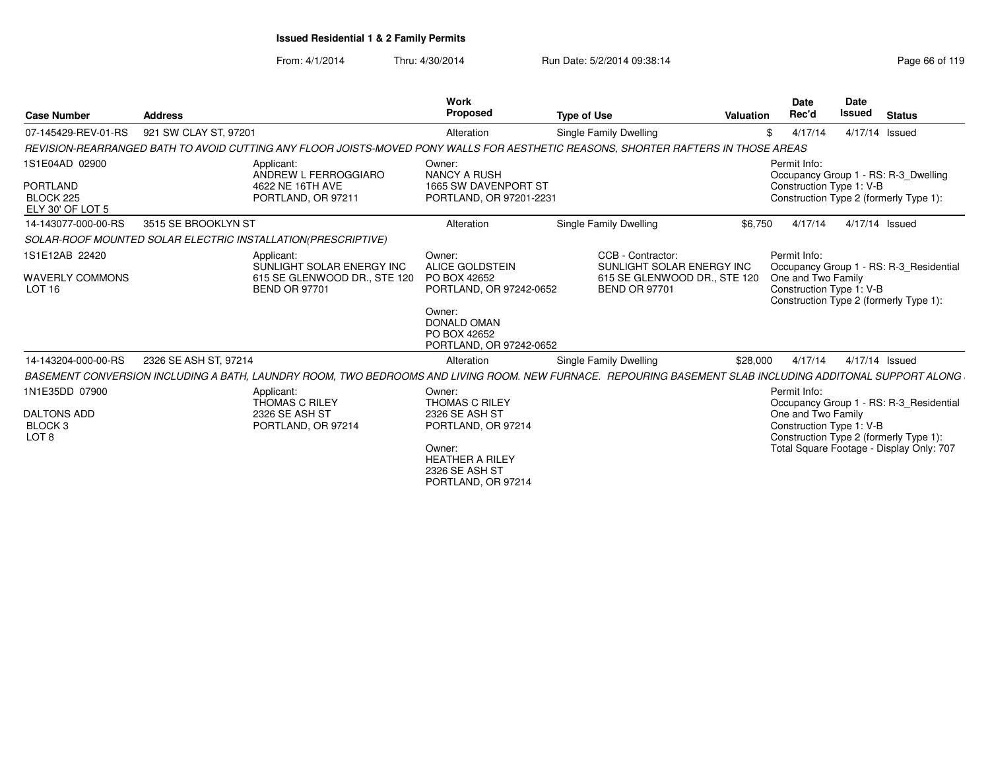| <b>Case Number</b>                                                             | <b>Address</b>        |                                                                                                                                                          | <b>Work</b><br>Proposed                                                                                                                                | <b>Type of Use</b>                                                                                     | Valuation | <b>Date</b><br>Rec'd                                           | <b>Date</b><br><b>Issued</b> | <b>Status</b>                                                                                                                 |
|--------------------------------------------------------------------------------|-----------------------|----------------------------------------------------------------------------------------------------------------------------------------------------------|--------------------------------------------------------------------------------------------------------------------------------------------------------|--------------------------------------------------------------------------------------------------------|-----------|----------------------------------------------------------------|------------------------------|-------------------------------------------------------------------------------------------------------------------------------|
| 07-145429-REV-01-RS                                                            | 921 SW CLAY ST, 97201 |                                                                                                                                                          | Alteration                                                                                                                                             | Single Family Dwelling                                                                                 | \$        | 4/17/14                                                        |                              | 4/17/14 Issued                                                                                                                |
|                                                                                |                       | REVISION-REARRANGED BATH TO AVOID CUTTING ANY FLOOR JOISTS-MOVED PONY WALLS FOR AESTHETIC REASONS. SHORTER RAFTERS IN THOSE AREAS                        |                                                                                                                                                        |                                                                                                        |           |                                                                |                              |                                                                                                                               |
| 1S1E04AD 02900<br>PORTLAND<br>BLOCK 225<br>ELY 30' OF LOT 5                    |                       | Applicant:<br>ANDREW L FERROGGIARO<br>4622 NE 16TH AVE<br>PORTLAND, OR 97211                                                                             | Owner:<br><b>NANCY A RUSH</b><br>1665 SW DAVENPORT ST<br>PORTLAND, OR 97201-2231                                                                       |                                                                                                        |           | Permit Info:<br>Construction Type 1: V-B                       |                              | Occupancy Group 1 - RS: R-3 Dwelling<br>Construction Type 2 (formerly Type 1):                                                |
| 14-143077-000-00-RS                                                            | 3515 SE BROOKLYN ST   |                                                                                                                                                          | Alteration                                                                                                                                             | Single Family Dwelling                                                                                 | \$6.750   | 4/17/14                                                        |                              | 4/17/14 Issued                                                                                                                |
|                                                                                |                       | SOLAR-ROOF MOUNTED SOLAR ELECTRIC INSTALLATION(PRESCRIPTIVE)                                                                                             |                                                                                                                                                        |                                                                                                        |           |                                                                |                              |                                                                                                                               |
| 1S1E12AB 22420<br><b>WAVERLY COMMONS</b><br>LOT <sub>16</sub>                  |                       | Applicant:<br>SUNLIGHT SOLAR ENERGY INC<br>615 SE GLENWOOD DR., STE 120<br><b>BEND OR 97701</b>                                                          | Owner:<br><b>ALICE GOLDSTEIN</b><br>PO BOX 42652<br>PORTLAND, OR 97242-0652<br>Owner:<br><b>DONALD OMAN</b><br>PO BOX 42652<br>PORTLAND, OR 97242-0652 | CCB - Contractor:<br>SUNLIGHT SOLAR ENERGY INC<br>615 SE GLENWOOD DR., STE 120<br><b>BEND OR 97701</b> |           | Permit Info:<br>One and Two Family<br>Construction Type 1: V-B |                              | Occupancy Group 1 - RS: R-3 Residential<br>Construction Type 2 (formerly Type 1):                                             |
| 14-143204-000-00-RS                                                            | 2326 SE ASH ST, 97214 |                                                                                                                                                          | Alteration                                                                                                                                             | Single Family Dwelling                                                                                 | \$28,000  | 4/17/14                                                        |                              | 4/17/14 Issued                                                                                                                |
|                                                                                |                       | BASEMENT CONVERSION INCLUDING A BATH, LAUNDRY ROOM, TWO BEDROOMS AND LIVING ROOM. NEW FURNACE. REPOURING BASEMENT SLAB INCLUDING ADDITONAL SUPPORT ALONG |                                                                                                                                                        |                                                                                                        |           |                                                                |                              |                                                                                                                               |
| 1N1E35DD 07900<br><b>DALTONS ADD</b><br>BLOCK <sub>3</sub><br>LOT <sub>8</sub> |                       | Applicant:<br><b>THOMAS C RILEY</b><br>2326 SE ASH ST<br>PORTLAND, OR 97214                                                                              | Owner:<br><b>THOMAS C RILEY</b><br>2326 SE ASH ST<br>PORTLAND, OR 97214<br>Owner:<br><b>HEATHER A RILEY</b><br>2326 SE ASH ST<br>PORTLAND, OR 97214    |                                                                                                        |           | Permit Info:<br>One and Two Family<br>Construction Type 1: V-B |                              | Occupancy Group 1 - RS: R-3_Residential<br>Construction Type 2 (formerly Type 1):<br>Total Square Footage - Display Only: 707 |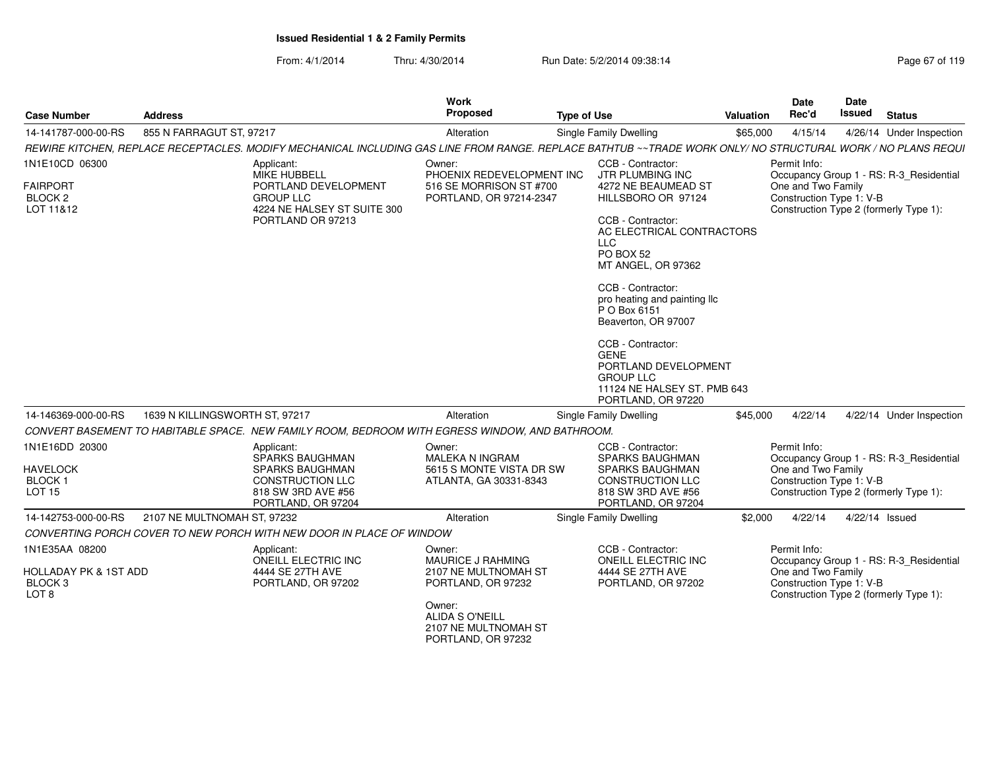From: 4/1/2014Thru: 4/30/2014 Run Date: 5/2/2014 09:38:14 Run Date: 5/2/2014 09:38:14

| <b>Case Number</b>                                                                           | <b>Address</b>                 |                                                                                                                                                              | <b>Work</b><br>Proposed                                                                                                                      | <b>Type of Use</b> |                                                                                                                                                                                                                                                                                                                                                                                                                        | Valuation | Date<br>Rec'd                                                                                            | <b>Date</b><br>Issued | <b>Status</b>                           |
|----------------------------------------------------------------------------------------------|--------------------------------|--------------------------------------------------------------------------------------------------------------------------------------------------------------|----------------------------------------------------------------------------------------------------------------------------------------------|--------------------|------------------------------------------------------------------------------------------------------------------------------------------------------------------------------------------------------------------------------------------------------------------------------------------------------------------------------------------------------------------------------------------------------------------------|-----------|----------------------------------------------------------------------------------------------------------|-----------------------|-----------------------------------------|
| 14-141787-000-00-RS                                                                          | 855 N FARRAGUT ST, 97217       |                                                                                                                                                              | Alteration                                                                                                                                   |                    | Single Family Dwelling                                                                                                                                                                                                                                                                                                                                                                                                 | \$65,000  | 4/15/14                                                                                                  |                       | 4/26/14 Under Inspection                |
|                                                                                              |                                | REWIRE KITCHEN. REPLACE RECEPTACLES. MODIFY MECHANICAL INCLUDING GAS LINE FROM RANGE. REPLACE BATHTUB ~~TRADE WORK ONLY/ NO STRUCTURAL WORK / NO PLANS REQUI |                                                                                                                                              |                    |                                                                                                                                                                                                                                                                                                                                                                                                                        |           |                                                                                                          |                       |                                         |
| 1N1E10CD 06300<br><b>FAIRPORT</b><br>BLOCK <sub>2</sub><br>LOT 11&12                         |                                | Applicant:<br>MIKE HUBBELL<br>PORTLAND DEVELOPMENT<br><b>GROUP LLC</b><br>4224 NE HALSEY ST SUITE 300<br>PORTLAND OR 97213                                   | Owner:<br>PHOENIX REDEVELOPMENT INC<br>516 SE MORRISON ST #700<br>PORTLAND, OR 97214-2347                                                    |                    | CCB - Contractor:<br>JTR PLUMBING INC<br>4272 NE BEAUMEAD ST<br>HILLSBORO OR 97124<br>CCB - Contractor:<br>AC ELECTRICAL CONTRACTORS<br><b>LLC</b><br>PO BOX 52<br>MT ANGEL, OR 97362<br>CCB - Contractor:<br>pro heating and painting IIc<br>P O Box 6151<br>Beaverton, OR 97007<br>CCB - Contractor:<br><b>GENE</b><br>PORTLAND DEVELOPMENT<br><b>GROUP LLC</b><br>11124 NE HALSEY ST. PMB 643<br>PORTLAND, OR 97220 |           | Permit Info:<br>One and Two Family<br>Construction Type 1: V-B<br>Construction Type 2 (formerly Type 1): |                       | Occupancy Group 1 - RS: R-3_Residential |
| 14-146369-000-00-RS                                                                          | 1639 N KILLINGSWORTH ST, 97217 |                                                                                                                                                              | Alteration                                                                                                                                   |                    | Single Family Dwelling                                                                                                                                                                                                                                                                                                                                                                                                 | \$45,000  | 4/22/14                                                                                                  |                       | 4/22/14 Under Inspection                |
|                                                                                              |                                | CONVERT BASEMENT TO HABITABLE SPACE. NEW FAMILY ROOM, BEDROOM WITH EGRESS WINDOW, AND BATHROOM.                                                              |                                                                                                                                              |                    |                                                                                                                                                                                                                                                                                                                                                                                                                        |           |                                                                                                          |                       |                                         |
| 1N1E16DD 20300<br><b>HAVELOCK</b><br><b>BLOCK1</b><br><b>LOT 15</b>                          |                                | Applicant:<br>SPARKS BAUGHMAN<br><b>SPARKS BAUGHMAN</b><br><b>CONSTRUCTION LLC</b><br>818 SW 3RD AVE #56<br>PORTLAND, OR 97204                               | Owner:<br>MALEKA N INGRAM<br>5615 S MONTE VISTA DR SW<br>ATLANTA, GA 30331-8343                                                              |                    | CCB - Contractor:<br><b>SPARKS BAUGHMAN</b><br><b>SPARKS BAUGHMAN</b><br><b>CONSTRUCTION LLC</b><br>818 SW 3RD AVE #56<br>PORTLAND, OR 97204                                                                                                                                                                                                                                                                           |           | Permit Info:<br>One and Two Family<br>Construction Type 1: V-B<br>Construction Type 2 (formerly Type 1): |                       | Occupancy Group 1 - RS: R-3_Residential |
| 14-142753-000-00-RS                                                                          | 2107 NE MULTNOMAH ST, 97232    |                                                                                                                                                              | Alteration                                                                                                                                   |                    | Single Family Dwelling                                                                                                                                                                                                                                                                                                                                                                                                 | \$2,000   | 4/22/14                                                                                                  | 4/22/14 Issued        |                                         |
|                                                                                              |                                | CONVERTING PORCH COVER TO NEW PORCH WITH NEW DOOR IN PLACE OF WINDOW                                                                                         |                                                                                                                                              |                    |                                                                                                                                                                                                                                                                                                                                                                                                                        |           |                                                                                                          |                       |                                         |
| 1N1E35AA 08200<br><b>HOLLADAY PK &amp; 1ST ADD</b><br>BLOCK <sub>3</sub><br>LOT <sub>8</sub> |                                | Applicant:<br>ONEILL ELECTRIC INC<br>4444 SE 27TH AVE<br>PORTLAND, OR 97202                                                                                  | Owner:<br><b>MAURICE J RAHMING</b><br>2107 NE MULTNOMAH ST<br>PORTLAND, OR 97232<br>Owner:<br><b>ALIDA S O'NEILL</b><br>2107 NE MULTNOMAH ST |                    | CCB - Contractor:<br>ONEILL ELECTRIC INC<br>4444 SE 27TH AVE<br>PORTLAND, OR 97202                                                                                                                                                                                                                                                                                                                                     |           | Permit Info:<br>One and Two Family<br>Construction Type 1: V-B<br>Construction Type 2 (formerly Type 1): |                       | Occupancy Group 1 - RS: R-3_Residential |

PORTLAND, OR 97232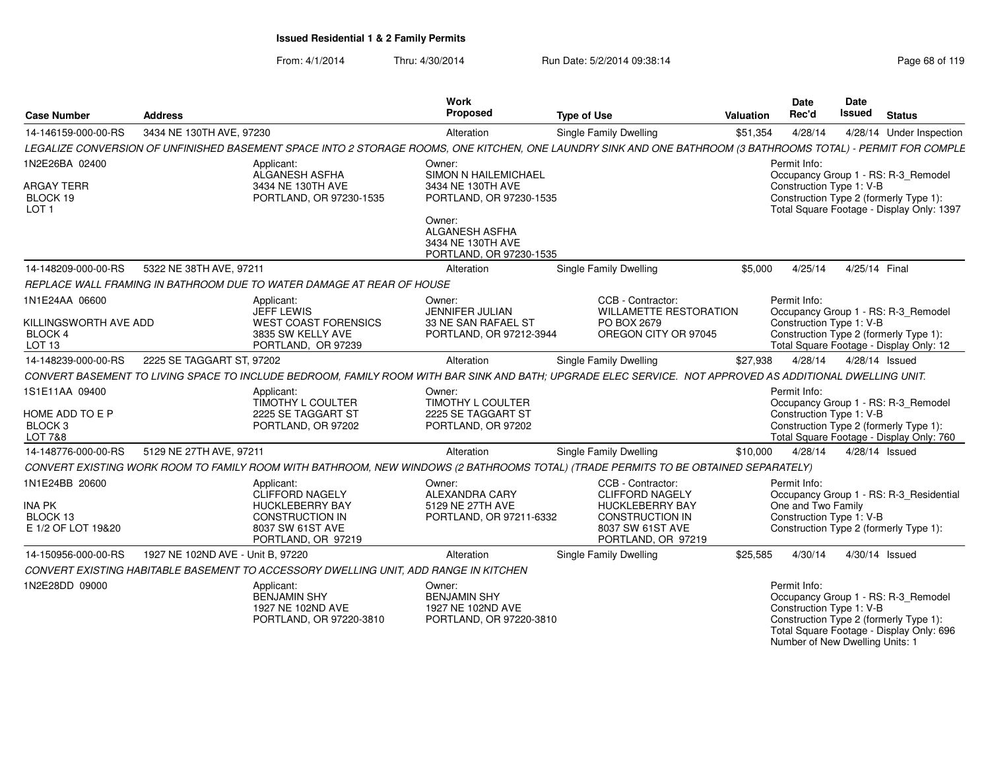From: 4/1/2014Thru: 4/30/2014 Run Date: 5/2/2014 09:38:14 Run Date: 5/2/2014 09:38:14

Number of New Dwelling Units: 1

| <b>Case Number</b>                                           | <b>Address</b>                    |                                                                                      | <b>Work</b><br>Proposed                                                         | <b>Type of Use</b>                                                                                                                                            | <b>Valuation</b> | <b>Date</b><br>Rec'd                     | Date<br><b>Issued</b> | <b>Status</b>                                                                                                             |
|--------------------------------------------------------------|-----------------------------------|--------------------------------------------------------------------------------------|---------------------------------------------------------------------------------|---------------------------------------------------------------------------------------------------------------------------------------------------------------|------------------|------------------------------------------|-----------------------|---------------------------------------------------------------------------------------------------------------------------|
| 14-146159-000-00-RS                                          | 3434 NE 130TH AVE, 97230          |                                                                                      | Alteration                                                                      | <b>Single Family Dwelling</b>                                                                                                                                 | \$51,354         | 4/28/14                                  |                       | 4/28/14 Under Inspection                                                                                                  |
|                                                              |                                   |                                                                                      |                                                                                 | LEGALIZE CONVERSION OF UNFINISHED BASEMENT SPACE INTO 2 STORAGE ROOMS, ONE KITCHEN, ONE LAUNDRY SINK AND ONE BATHROOM (3 BATHROOMS TOTAL) - PERMIT FOR COMPLE |                  |                                          |                       |                                                                                                                           |
| 1N2E26BA 02400                                               |                                   | Applicant:<br>ALGANESH ASFHA                                                         | Owner:<br>SIMON N HAILEMICHAEL                                                  |                                                                                                                                                               |                  | Permit Info:                             |                       | Occupancy Group 1 - RS: R-3_Remodel                                                                                       |
| <b>ARGAY TERR</b><br>BLOCK 19<br>LOT <sub>1</sub>            |                                   | 3434 NE 130TH AVE<br>PORTLAND, OR 97230-1535                                         | 3434 NE 130TH AVE<br>PORTLAND, OR 97230-1535                                    |                                                                                                                                                               |                  | Construction Type 1: V-B                 |                       | Construction Type 2 (formerly Type 1):<br>Total Square Footage - Display Only: 1397                                       |
|                                                              |                                   |                                                                                      | Owner:<br><b>ALGANESH ASFHA</b><br>3434 NE 130TH AVE<br>PORTLAND, OR 97230-1535 |                                                                                                                                                               |                  |                                          |                       |                                                                                                                           |
| 14-148209-000-00-RS                                          | 5322 NE 38TH AVE, 97211           |                                                                                      | Alteration                                                                      | Single Family Dwelling                                                                                                                                        | \$5,000          | 4/25/14                                  | 4/25/14 Final         |                                                                                                                           |
|                                                              |                                   | REPLACE WALL FRAMING IN BATHROOM DUE TO WATER DAMAGE AT REAR OF HOUSE                |                                                                                 |                                                                                                                                                               |                  |                                          |                       |                                                                                                                           |
| 1N1E24AA 06600                                               |                                   | Applicant:<br><b>JEFF LEWIS</b>                                                      | Owner:<br><b>JENNIFER JULIAN</b>                                                | CCB - Contractor:<br><b>WILLAMETTE RESTORATION</b>                                                                                                            |                  | Permit Info:                             |                       | Occupancy Group 1 - RS: R-3_Remodel                                                                                       |
| KILLINGSWORTH AVE ADD<br><b>BLOCK 4</b><br>LOT <sub>13</sub> |                                   | <b>WEST COAST FORENSICS</b><br>3835 SW KELLY AVE<br>PORTLAND, OR 97239               | 33 NE SAN RAFAEL ST<br>PORTLAND, OR 97212-3944                                  | PO BOX 2679<br>OREGON CITY OR 97045                                                                                                                           |                  | Construction Type 1: V-B                 |                       | Construction Type 2 (formerly Type 1):<br>Total Square Footage - Display Only: 12                                         |
| 14-148239-000-00-RS                                          | 2225 SE TAGGART ST, 97202         |                                                                                      | Alteration                                                                      | <b>Single Family Dwelling</b>                                                                                                                                 | \$27.938         | 4/28/14                                  |                       | 4/28/14 Issued                                                                                                            |
|                                                              |                                   |                                                                                      |                                                                                 | CONVERT BASEMENT TO LIVING SPACE TO INCLUDE BEDROOM, FAMILY ROOM WITH BAR SINK AND BATH; UPGRADE ELEC SERVICE. NOT APPROVED AS ADDITIONAL DWELLING UNIT.      |                  |                                          |                       |                                                                                                                           |
| 1S1E11AA 09400                                               |                                   | Applicant:<br>TIMOTHY L COULTER                                                      | Owner:<br>TIMOTHY L COULTER                                                     |                                                                                                                                                               |                  | Permit Info:                             |                       | Occupancy Group 1 - RS: R-3_Remodel                                                                                       |
| HOME ADD TO E P<br>BLOCK <sub>3</sub><br>LOT 7&8             |                                   | 2225 SE TAGGART ST<br>PORTLAND, OR 97202                                             | 2225 SE TAGGART ST<br>PORTLAND, OR 97202                                        |                                                                                                                                                               |                  | Construction Type 1: V-B                 |                       | Construction Type 2 (formerly Type 1):<br>Total Square Footage - Display Only: 760                                        |
| 14-148776-000-00-RS                                          | 5129 NE 27TH AVE, 97211           |                                                                                      | Alteration                                                                      | <b>Single Family Dwelling</b>                                                                                                                                 | \$10,000         | 4/28/14                                  |                       | 4/28/14 Issued                                                                                                            |
|                                                              |                                   |                                                                                      |                                                                                 | CONVERT EXISTING WORK ROOM TO FAMILY ROOM WITH BATHROOM, NEW WINDOWS (2 BATHROOMS TOTAL) (TRADE PERMITS TO BE OBTAINED SEPARATELY)                            |                  |                                          |                       |                                                                                                                           |
| 1N1E24BB 20600                                               |                                   | Applicant:<br><b>CLIFFORD NAGELY</b>                                                 | Owner:<br>ALEXANDRA CARY                                                        | CCB - Contractor:<br><b>CLIFFORD NAGELY</b>                                                                                                                   |                  | Permit Info:                             |                       | Occupancy Group 1 - RS: R-3_Residential                                                                                   |
| <b>INA PK</b>                                                |                                   | <b>HUCKLEBERRY BAY</b>                                                               | 5129 NE 27TH AVE                                                                | <b>HUCKLEBERRY BAY</b>                                                                                                                                        |                  | One and Two Family                       |                       |                                                                                                                           |
| BLOCK 13<br>E 1/2 OF LOT 19&20                               |                                   | <b>CONSTRUCTION IN</b><br>8037 SW 61ST AVE<br>PORTLAND, OR 97219                     | PORTLAND, OR 97211-6332                                                         | <b>CONSTRUCTION IN</b><br>8037 SW 61ST AVE<br>PORTLAND, OR 97219                                                                                              |                  | Construction Type 1: V-B                 |                       | Construction Type 2 (formerly Type 1):                                                                                    |
| 14-150956-000-00-RS                                          | 1927 NE 102ND AVE - Unit B, 97220 |                                                                                      | Alteration                                                                      | Single Family Dwelling                                                                                                                                        | \$25,585         | 4/30/14                                  |                       | 4/30/14 Issued                                                                                                            |
|                                                              |                                   | CONVERT EXISTING HABITABLE BASEMENT TO ACCESSORY DWELLING UNIT, ADD RANGE IN KITCHEN |                                                                                 |                                                                                                                                                               |                  |                                          |                       |                                                                                                                           |
| 1N2E28DD 09000                                               |                                   | Applicant:<br><b>BENJAMIN SHY</b><br>1927 NE 102ND AVE<br>PORTLAND, OR 97220-3810    | Owner:<br><b>BENJAMIN SHY</b><br>1927 NE 102ND AVE<br>PORTLAND, OR 97220-3810   |                                                                                                                                                               |                  | Permit Info:<br>Construction Type 1: V-B |                       | Occupancy Group 1 - RS: R-3_Remodel<br>Construction Type 2 (formerly Type 1):<br>Total Square Footage - Display Only: 696 |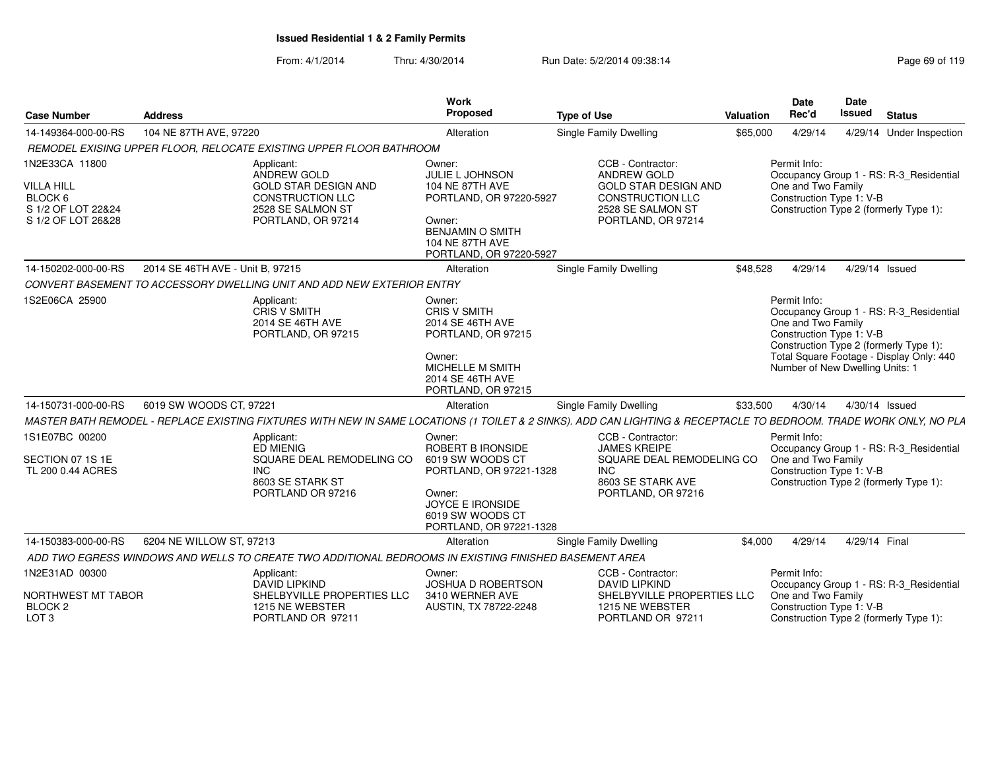| <b>Case Number</b>                                                                         | <b>Address</b>                   |                                                                                                                                       | <b>Work</b><br>Proposed                                                                                                                                           | <b>Type of Use</b>                                                                                                                                                 | Valuation | <b>Date</b><br>Rec'd                                                                                                                        | <b>Date</b><br>Issued | <b>Status</b>                                                                       |
|--------------------------------------------------------------------------------------------|----------------------------------|---------------------------------------------------------------------------------------------------------------------------------------|-------------------------------------------------------------------------------------------------------------------------------------------------------------------|--------------------------------------------------------------------------------------------------------------------------------------------------------------------|-----------|---------------------------------------------------------------------------------------------------------------------------------------------|-----------------------|-------------------------------------------------------------------------------------|
| 14-149364-000-00-RS                                                                        | 104 NE 87TH AVE, 97220           |                                                                                                                                       | Alteration                                                                                                                                                        | <b>Single Family Dwelling</b>                                                                                                                                      | \$65,000  | 4/29/14                                                                                                                                     |                       | 4/29/14 Under Inspection                                                            |
|                                                                                            |                                  | REMODEL EXISING UPPER FLOOR, RELOCATE EXISTING UPPER FLOOR BATHROOM                                                                   |                                                                                                                                                                   |                                                                                                                                                                    |           |                                                                                                                                             |                       |                                                                                     |
| 1N2E33CA 11800<br><b>VILLA HILL</b><br>BLOCK 6<br>S 1/2 OF LOT 22&24<br>S 1/2 OF LOT 26&28 |                                  | Applicant:<br><b>ANDREW GOLD</b><br><b>GOLD STAR DESIGN AND</b><br><b>CONSTRUCTION LLC</b><br>2528 SE SALMON ST<br>PORTLAND, OR 97214 | Owner:<br><b>JULIE L JOHNSON</b><br>104 NE 87TH AVE<br>PORTLAND, OR 97220-5927<br>Owner:<br><b>BENJAMIN O SMITH</b><br>104 NE 87TH AVE<br>PORTLAND, OR 97220-5927 | CCB - Contractor:<br>ANDREW GOLD<br><b>GOLD STAR DESIGN AND</b><br><b>CONSTRUCTION LLC</b><br>2528 SE SALMON ST<br>PORTLAND, OR 97214                              |           | Permit Info:<br>One and Two Family<br>Construction Type 1: V-B<br>Construction Type 2 (formerly Type 1):                                    |                       | Occupancy Group 1 - RS: R-3_Residential                                             |
| 14-150202-000-00-RS                                                                        | 2014 SE 46TH AVE - Unit B, 97215 |                                                                                                                                       | Alteration                                                                                                                                                        | Single Family Dwelling                                                                                                                                             | \$48,528  | 4/29/14                                                                                                                                     | 4/29/14 Issued        |                                                                                     |
|                                                                                            |                                  | CONVERT BASEMENT TO ACCESSORY DWELLING UNIT AND ADD NEW EXTERIOR ENTRY                                                                |                                                                                                                                                                   |                                                                                                                                                                    |           |                                                                                                                                             |                       |                                                                                     |
| 1S2E06CA 25900                                                                             |                                  | Applicant:<br><b>CRIS V SMITH</b><br>2014 SE 46TH AVE<br>PORTLAND, OR 97215                                                           | Owner:<br><b>CRIS V SMITH</b><br>2014 SE 46TH AVE<br>PORTLAND, OR 97215<br>Owner:<br><b>MICHELLE M SMITH</b><br>2014 SE 46TH AVE<br>PORTLAND, OR 97215            |                                                                                                                                                                    |           | Permit Info:<br>One and Two Family<br>Construction Type 1: V-B<br>Construction Type 2 (formerly Type 1):<br>Number of New Dwelling Units: 1 |                       | Occupancy Group 1 - RS: R-3 Residential<br>Total Square Footage - Display Only: 440 |
| 14-150731-000-00-RS                                                                        | 6019 SW WOODS CT, 97221          |                                                                                                                                       | Alteration                                                                                                                                                        | <b>Single Family Dwelling</b>                                                                                                                                      | \$33,500  | 4/30/14                                                                                                                                     | 4/30/14 Issued        |                                                                                     |
|                                                                                            |                                  |                                                                                                                                       |                                                                                                                                                                   | MASTER BATH REMODEL - REPLACE EXISTING FIXTURES WITH NEW IN SAME LOCATIONS (1 TOILET & 2 SINKS). ADD CAN LIGHTING & RECEPTACLE TO BEDROOM. TRADE WORK ONLY, NO PLA |           |                                                                                                                                             |                       |                                                                                     |
| 1S1E07BC 00200<br>SECTION 07 1S 1E<br>TL 200 0.44 ACRES                                    |                                  | Applicant:<br><b>ED MIENIG</b><br>SQUARE DEAL REMODELING CO<br><b>INC</b><br>8603 SE STARK ST<br>PORTLAND OR 97216                    | Owner:<br>ROBERT B IRONSIDE<br>6019 SW WOODS CT<br>PORTLAND, OR 97221-1328<br>Owner:<br><b>JOYCE E IRONSIDE</b><br>6019 SW WOODS CT<br>PORTLAND, OR 97221-1328    | CCB - Contractor:<br><b>JAMES KREIPE</b><br>SQUARE DEAL REMODELING CO<br><b>INC</b><br>8603 SE STARK AVE<br>PORTLAND, OR 97216                                     |           | Permit Info:<br>One and Two Family<br>Construction Type 1: V-B<br>Construction Type 2 (formerly Type 1):                                    |                       | Occupancy Group 1 - RS: R-3_Residential                                             |
| 14-150383-000-00-RS                                                                        | 6204 NE WILLOW ST, 97213         |                                                                                                                                       | Alteration                                                                                                                                                        | Single Family Dwelling                                                                                                                                             | \$4,000   | 4/29/14                                                                                                                                     | 4/29/14 Final         |                                                                                     |
|                                                                                            |                                  | ADD TWO EGRESS WINDOWS AND WELLS TO CREATE TWO ADDITIONAL BEDROOMS IN EXISTING FINISHED BASEMENT AREA                                 |                                                                                                                                                                   |                                                                                                                                                                    |           |                                                                                                                                             |                       |                                                                                     |
| 1N2E31AD 00300<br>NORTHWEST MT TABOR<br>BLOCK <sub>2</sub><br>LOT <sub>3</sub>             |                                  | Applicant:<br><b>DAVID LIPKIND</b><br>SHELBYVILLE PROPERTIES LLC<br>1215 NE WEBSTER<br>PORTLAND OR 97211                              | Owner:<br><b>JOSHUA D ROBERTSON</b><br>3410 WERNER AVE<br>AUSTIN, TX 78722-2248                                                                                   | CCB - Contractor:<br><b>DAVID LIPKIND</b><br>SHELBYVILLE PROPERTIES LLC<br>1215 NE WEBSTER<br>PORTLAND OR 97211                                                    |           | Permit Info:<br>One and Two Family<br>Construction Type 1: V-B<br>Construction Type 2 (formerly Type 1):                                    |                       | Occupancy Group 1 - RS: R-3_Residential                                             |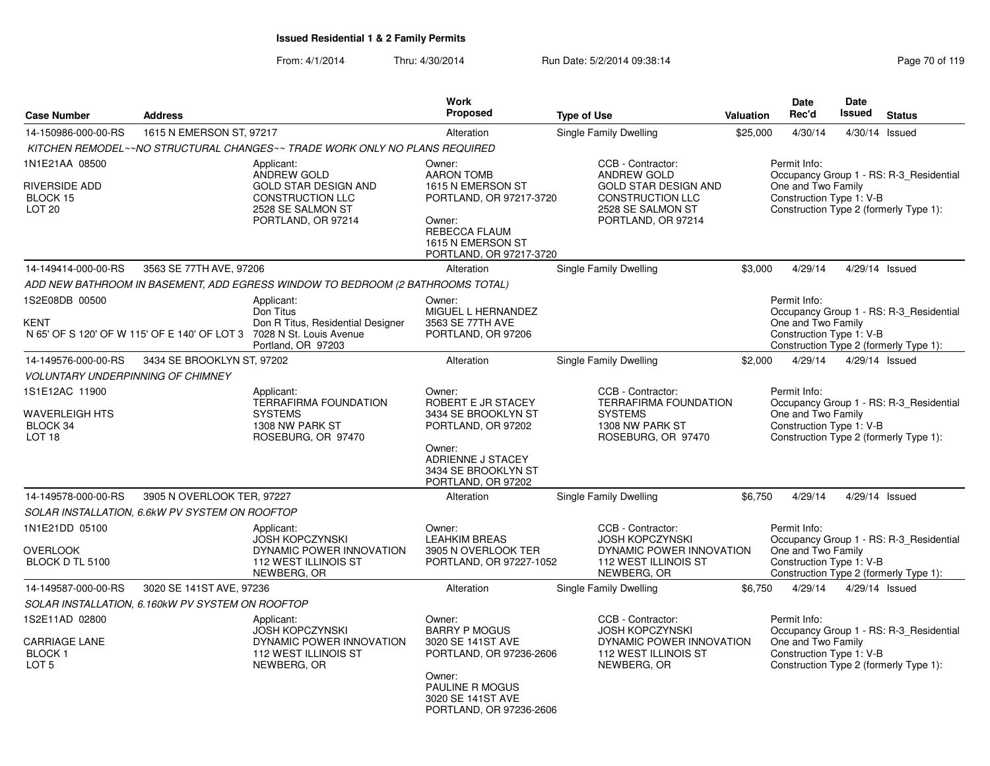|                                                                     |                                                  |                                                                                                                                              | Work                                                                                                                                                   |                                                                                                                                              |           | <b>Date</b>                                                    | <b>Date</b>   |                                                                                   |
|---------------------------------------------------------------------|--------------------------------------------------|----------------------------------------------------------------------------------------------------------------------------------------------|--------------------------------------------------------------------------------------------------------------------------------------------------------|----------------------------------------------------------------------------------------------------------------------------------------------|-----------|----------------------------------------------------------------|---------------|-----------------------------------------------------------------------------------|
| <b>Case Number</b>                                                  | <b>Address</b>                                   |                                                                                                                                              | Proposed                                                                                                                                               | <b>Type of Use</b>                                                                                                                           | Valuation | Rec'd                                                          | <b>Issued</b> | <b>Status</b>                                                                     |
| 14-150986-000-00-RS                                                 | 1615 N EMERSON ST, 97217                         |                                                                                                                                              | Alteration                                                                                                                                             | Single Family Dwelling                                                                                                                       | \$25,000  | 4/30/14                                                        |               | 4/30/14 Issued                                                                    |
|                                                                     |                                                  | KITCHEN REMODEL~~NO STRUCTURAL CHANGES~~ TRADE WORK ONLY NO PLANS REQUIRED                                                                   |                                                                                                                                                        |                                                                                                                                              |           |                                                                |               |                                                                                   |
| 1N1E21AA 08500<br><b>RIVERSIDE ADD</b><br>BLOCK 15<br><b>LOT 20</b> |                                                  | Applicant:<br><b>ANDREW GOLD</b><br><b>GOLD STAR DESIGN AND</b><br><b>CONSTRUCTION LLC</b><br>2528 SE SALMON ST<br>PORTLAND, OR 97214        | Owner:<br><b>AARON TOMB</b><br>1615 N EMERSON ST<br>PORTLAND, OR 97217-3720<br>Owner:<br>REBECCA FLAUM<br>1615 N EMERSON ST<br>PORTLAND, OR 97217-3720 | CCB - Contractor:<br><b>ANDREW GOLD</b><br><b>GOLD STAR DESIGN AND</b><br><b>CONSTRUCTION LLC</b><br>2528 SE SALMON ST<br>PORTLAND, OR 97214 |           | Permit Info:<br>One and Two Family<br>Construction Type 1: V-B |               | Occupancy Group 1 - RS: R-3_Residential<br>Construction Type 2 (formerly Type 1): |
| 14-149414-000-00-RS                                                 | 3563 SE 77TH AVE, 97206                          |                                                                                                                                              | Alteration                                                                                                                                             | <b>Single Family Dwelling</b>                                                                                                                | \$3,000   | 4/29/14                                                        |               | 4/29/14 Issued                                                                    |
|                                                                     |                                                  | ADD NEW BATHROOM IN BASEMENT, ADD EGRESS WINDOW TO BEDROOM (2 BATHROOMS TOTAL)                                                               |                                                                                                                                                        |                                                                                                                                              |           |                                                                |               |                                                                                   |
| 1S2E08DB 00500                                                      |                                                  | Applicant:                                                                                                                                   | Owner:                                                                                                                                                 |                                                                                                                                              |           | Permit Info:                                                   |               |                                                                                   |
| <b>KENT</b>                                                         |                                                  | Don Titus<br>Don R Titus, Residential Designer<br>N 65' OF S 120' OF W 115' OF E 140' OF LOT 3 7028 N St. Louis Avenue<br>Portland, OR 97203 | MIGUEL L HERNANDEZ<br>3563 SE 77TH AVE<br>PORTLAND, OR 97206                                                                                           |                                                                                                                                              |           | One and Two Family<br>Construction Type 1: V-B                 |               | Occupancy Group 1 - RS: R-3 Residential<br>Construction Type 2 (formerly Type 1): |
| 14-149576-000-00-RS                                                 | 3434 SE BROOKLYN ST, 97202                       |                                                                                                                                              | Alteration                                                                                                                                             | Single Family Dwelling                                                                                                                       | \$2,000   | 4/29/14                                                        |               | 4/29/14 Issued                                                                    |
| <b>VOLUNTARY UNDERPINNING OF CHIMNEY</b>                            |                                                  |                                                                                                                                              |                                                                                                                                                        |                                                                                                                                              |           |                                                                |               |                                                                                   |
| 1S1E12AC 11900<br><b>WAVERLEIGH HTS</b><br>BLOCK 34                 |                                                  | Applicant:<br><b>TERRAFIRMA FOUNDATION</b><br><b>SYSTEMS</b><br>1308 NW PARK ST                                                              | Owner:<br>ROBERT E JR STACEY<br>3434 SE BROOKLYN ST<br>PORTLAND, OR 97202                                                                              | CCB - Contractor:<br><b>TERRAFIRMA FOUNDATION</b><br><b>SYSTEMS</b><br>1308 NW PARK ST                                                       |           | Permit Info:<br>One and Two Family<br>Construction Type 1: V-B |               | Occupancy Group 1 - RS: R-3_Residential                                           |
| LOT <sub>18</sub>                                                   |                                                  | ROSEBURG, OR 97470                                                                                                                           | Owner:<br>ADRIENNE J STACEY<br>3434 SE BROOKLYN ST<br>PORTLAND, OR 97202                                                                               | ROSEBURG, OR 97470                                                                                                                           |           |                                                                |               | Construction Type 2 (formerly Type 1):                                            |
| 14-149578-000-00-RS                                                 | 3905 N OVERLOOK TER, 97227                       |                                                                                                                                              | Alteration                                                                                                                                             | Single Family Dwelling                                                                                                                       | \$6,750   | 4/29/14                                                        |               | 4/29/14 Issued                                                                    |
|                                                                     | SOLAR INSTALLATION, 6.6kW PV SYSTEM ON ROOFTOP   |                                                                                                                                              |                                                                                                                                                        |                                                                                                                                              |           |                                                                |               |                                                                                   |
| 1N1E21DD 05100<br><b>OVERLOOK</b>                                   |                                                  | Applicant:<br><b>JOSH KOPCZYNSKI</b><br>DYNAMIC POWER INNOVATION                                                                             | Owner:<br><b>LEAHKIM BREAS</b><br>3905 N OVERLOOK TER                                                                                                  | CCB - Contractor:<br><b>JOSH KOPCZYNSKI</b><br>DYNAMIC POWER INNOVATION                                                                      |           | Permit Info:<br>One and Two Family                             |               | Occupancy Group 1 - RS: R-3_Residential                                           |
| BLOCK D TL 5100                                                     |                                                  | 112 WEST ILLINOIS ST<br>NEWBERG, OR                                                                                                          | PORTLAND, OR 97227-1052                                                                                                                                | 112 WEST ILLINOIS ST<br>NEWBERG, OR                                                                                                          |           | Construction Type 1: V-B                                       |               | Construction Type 2 (formerly Type 1):                                            |
| 14-149587-000-00-RS                                                 | 3020 SE 141ST AVE, 97236                         |                                                                                                                                              | Alteration                                                                                                                                             | Single Family Dwelling                                                                                                                       | \$6,750   | 4/29/14                                                        |               | 4/29/14 Issued                                                                    |
|                                                                     | SOLAR INSTALLATION, 6.160kW PV SYSTEM ON ROOFTOP |                                                                                                                                              |                                                                                                                                                        |                                                                                                                                              |           |                                                                |               |                                                                                   |
| 1S2E11AD 02800                                                      |                                                  | Applicant:<br><b>JOSH KOPCZYNSKI</b>                                                                                                         | Owner:                                                                                                                                                 | CCB - Contractor:                                                                                                                            |           | Permit Info:                                                   |               |                                                                                   |
| <b>CARRIAGE LANE</b><br>BLOCK 1<br>LOT <sub>5</sub>                 |                                                  | DYNAMIC POWER INNOVATION<br>112 WEST ILLINOIS ST<br>NEWBERG, OR                                                                              | <b>BARRY P MOGUS</b><br>3020 SE 141ST AVE<br>PORTLAND, OR 97236-2606<br>Owner:                                                                         | <b>JOSH KOPCZYNSKI</b><br>DYNAMIC POWER INNOVATION<br>112 WEST ILLINOIS ST<br>NEWBERG, OR                                                    |           | One and Two Family<br>Construction Type 1: V-B                 |               | Occupancy Group 1 - RS: R-3 Residential<br>Construction Type 2 (formerly Type 1): |
|                                                                     |                                                  |                                                                                                                                              | <b>PAULINE R MOGUS</b><br>3020 SE 141ST AVE<br>PORTLAND, OR 97236-2606                                                                                 |                                                                                                                                              |           |                                                                |               |                                                                                   |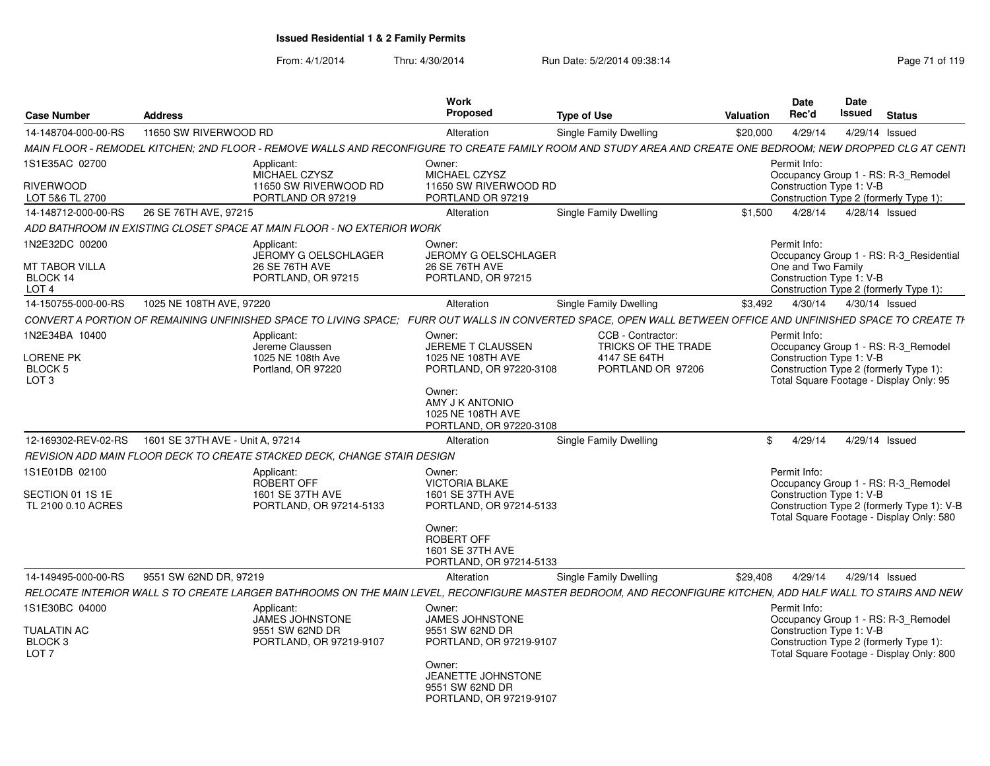| <b>Case Number</b>                                | <b>Address</b>                   |                                                                          | <b>Work</b><br>Proposed                                                    | <b>Type of Use</b>                                                                                                                                             | <b>Valuation</b> | <b>Date</b><br>Rec'd                           | Date<br>Issued<br><b>Status</b>                                                        |
|---------------------------------------------------|----------------------------------|--------------------------------------------------------------------------|----------------------------------------------------------------------------|----------------------------------------------------------------------------------------------------------------------------------------------------------------|------------------|------------------------------------------------|----------------------------------------------------------------------------------------|
| 14-148704-000-00-RS                               | 11650 SW RIVERWOOD RD            |                                                                          | Alteration                                                                 | Single Family Dwelling                                                                                                                                         | \$20,000         | 4/29/14                                        | 4/29/14 Issued                                                                         |
|                                                   |                                  |                                                                          |                                                                            | MAIN FLOOR - REMODEL KITCHEN; 2ND FLOOR - REMOVE WALLS AND RECONFIGURE TO CREATE FAMILY ROOM AND STUDY AREA AND CREATE ONE BEDROOM; NEW DROPPED CLG AT CENTI   |                  |                                                |                                                                                        |
| 1S1E35AC 02700<br><b>RIVERWOOD</b>                |                                  | Applicant:<br>MICHAEL CZYSZ<br>11650 SW RIVERWOOD RD                     | Owner:<br>MICHAEL CZYSZ<br>11650 SW RIVERWOOD RD                           |                                                                                                                                                                |                  | Permit Info:                                   | Occupancy Group 1 - RS: R-3_Remodel<br>Construction Type 1: V-B                        |
| LOT 5&6 TL 2700                                   |                                  | PORTLAND OR 97219                                                        | PORTLAND OR 97219                                                          |                                                                                                                                                                |                  |                                                | Construction Type 2 (formerly Type 1):                                                 |
| 14-148712-000-00-RS                               | 26 SE 76TH AVE, 97215            |                                                                          | Alteration                                                                 | Single Family Dwelling                                                                                                                                         | \$1.500          | 4/28/14                                        | 4/28/14 Issued                                                                         |
|                                                   |                                  | ADD BATHROOM IN EXISTING CLOSET SPACE AT MAIN FLOOR - NO EXTERIOR WORK   |                                                                            |                                                                                                                                                                |                  |                                                |                                                                                        |
| 1N2E32DC 00200                                    |                                  | Applicant:<br>JEROMY G OELSCHLAGER                                       | Owner:<br>JEROMY G OELSCHLAGER                                             |                                                                                                                                                                |                  | Permit Info:                                   | Occupancy Group 1 - RS: R-3 Residential                                                |
| MT TABOR VILLA<br>BLOCK 14<br>LOT <sub>4</sub>    |                                  | 26 SE 76TH AVE<br>PORTLAND, OR 97215                                     | 26 SE 76TH AVE<br>PORTLAND, OR 97215                                       |                                                                                                                                                                |                  | One and Two Family<br>Construction Type 1: V-B | Construction Type 2 (formerly Type 1):                                                 |
| 14-150755-000-00-RS                               | 1025 NE 108TH AVE, 97220         |                                                                          | Alteration                                                                 | Single Family Dwelling                                                                                                                                         | \$3,492          | 4/30/14                                        | 4/30/14 Issued                                                                         |
|                                                   |                                  |                                                                          |                                                                            | CONVERT A PORTION OF REMAINING UNFINISHED SPACE TO LIVING SPACE: FURR OUT WALLS IN CONVERTED SPACE, OPEN WALL BETWEEN OFFICE AND UNFINISHED SPACE TO CREATE TH |                  |                                                |                                                                                        |
| 1N2E34BA 10400                                    |                                  | Applicant:<br>Jereme Claussen                                            | Owner:<br><b>JEREME T CLAUSSEN</b>                                         | CCB - Contractor:<br>TRICKS OF THE TRADE                                                                                                                       |                  | Permit Info:                                   | Occupancy Group 1 - RS: R-3 Remodel                                                    |
| LORENE PK<br>BLOCK 5<br>LOT <sub>3</sub>          |                                  | 1025 NE 108th Ave<br>Portland, OR 97220                                  | 1025 NE 108TH AVE<br>PORTLAND, OR 97220-3108                               | 4147 SE 64TH<br>PORTLAND OR 97206                                                                                                                              |                  | Construction Type 1: V-B                       | Construction Type 2 (formerly Type 1):<br>Total Square Footage - Display Only: 95      |
|                                                   |                                  |                                                                          | Owner:<br>AMY J K ANTONIO<br>1025 NE 108TH AVE<br>PORTLAND, OR 97220-3108  |                                                                                                                                                                |                  |                                                |                                                                                        |
| 12-169302-REV-02-RS                               | 1601 SE 37TH AVE - Unit A. 97214 |                                                                          | Alteration                                                                 | Single Family Dwelling                                                                                                                                         | \$               | 4/29/14                                        | 4/29/14 Issued                                                                         |
|                                                   |                                  | REVISION ADD MAIN FLOOR DECK TO CREATE STACKED DECK, CHANGE STAIR DESIGN |                                                                            |                                                                                                                                                                |                  |                                                |                                                                                        |
| 1S1E01DB 02100                                    |                                  | Applicant:<br>ROBERT OFF                                                 | Owner:<br><b>VICTORIA BLAKE</b>                                            |                                                                                                                                                                |                  | Permit Info:                                   | Occupancy Group 1 - RS: R-3_Remodel                                                    |
| SECTION 01 1S 1E<br>TL 2100 0.10 ACRES            |                                  | 1601 SE 37TH AVE<br>PORTLAND, OR 97214-5133                              | 1601 SE 37TH AVE<br>PORTLAND, OR 97214-5133                                |                                                                                                                                                                |                  | Construction Type 1: V-B                       | Construction Type 2 (formerly Type 1): V-B<br>Total Square Footage - Display Only: 580 |
|                                                   |                                  |                                                                          | Owner:<br>ROBERT OFF<br>1601 SE 37TH AVE<br>PORTLAND, OR 97214-5133        |                                                                                                                                                                |                  |                                                |                                                                                        |
| 14-149495-000-00-RS                               | 9551 SW 62ND DR. 97219           |                                                                          | Alteration                                                                 | Single Family Dwelling                                                                                                                                         | \$29.408         | 4/29/14                                        | 4/29/14 Issued                                                                         |
|                                                   |                                  |                                                                          |                                                                            | RELOCATE INTERIOR WALL S TO CREATE LARGER BATHROOMS ON THE MAIN LEVEL, RECONFIGURE MASTER BEDROOM, AND RECONFIGURE KITCHEN, ADD HALF WALL TO STAIRS AND NEW    |                  |                                                |                                                                                        |
| 1S1E30BC 04000                                    |                                  | Applicant:<br>JAMES JOHNSTONE                                            | Owner:<br>JAMES JOHNSTONE                                                  |                                                                                                                                                                |                  | Permit Info:                                   | Occupancy Group 1 - RS: R-3 Remodel                                                    |
| <b>TUALATIN AC</b><br>BLOCK 3<br>LOT <sub>7</sub> |                                  | 9551 SW 62ND DR<br>PORTLAND, OR 97219-9107                               | 9551 SW 62ND DR<br>PORTLAND, OR 97219-9107                                 |                                                                                                                                                                |                  | Construction Type 1: V-B                       | Construction Type 2 (formerly Type 1):<br>Total Square Footage - Display Only: 800     |
|                                                   |                                  |                                                                          | Owner:<br>JEANETTE JOHNSTONE<br>9551 SW 62ND DR<br>PORTLAND, OR 97219-9107 |                                                                                                                                                                |                  |                                                |                                                                                        |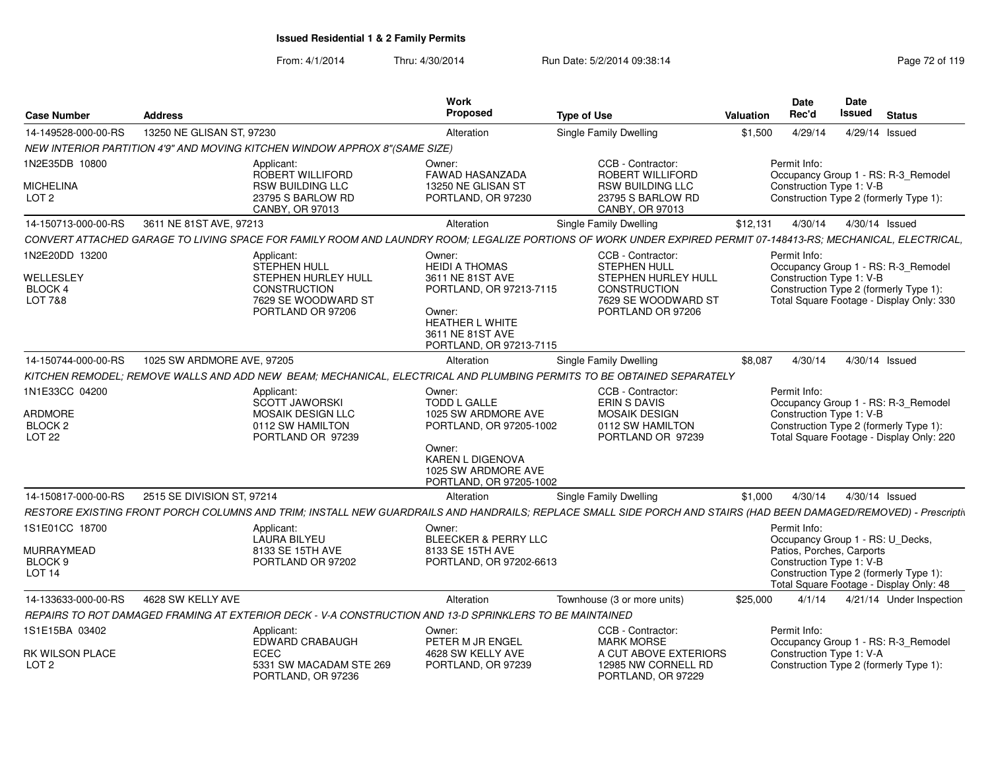| <b>Case Number</b>                                               | <b>Address</b>             |                                                                                                                                                                   | Work<br>Proposed                                                                                                                                                  | <b>Type of Use</b>                                        |                                                                    | <b>Valuation</b> | <b>Date</b><br>Rec'd                                                               |         | Date<br><b>Issued</b> | <b>Status</b>  |                                                                                 |
|------------------------------------------------------------------|----------------------------|-------------------------------------------------------------------------------------------------------------------------------------------------------------------|-------------------------------------------------------------------------------------------------------------------------------------------------------------------|-----------------------------------------------------------|--------------------------------------------------------------------|------------------|------------------------------------------------------------------------------------|---------|-----------------------|----------------|---------------------------------------------------------------------------------|
| 14-149528-000-00-RS                                              | 13250 NE GLISAN ST, 97230  |                                                                                                                                                                   | Alteration                                                                                                                                                        | Single Family Dwelling                                    |                                                                    | \$1,500          | 4/29/14                                                                            |         |                       | 4/29/14 Issued |                                                                                 |
|                                                                  |                            | NEW INTERIOR PARTITION 4'9" AND MOVING KITCHEN WINDOW APPROX 8"(SAME SIZE)                                                                                        |                                                                                                                                                                   |                                                           |                                                                    |                  |                                                                                    |         |                       |                |                                                                                 |
| 1N2E35DB 10800                                                   |                            | Applicant:                                                                                                                                                        | Owner:                                                                                                                                                            | CCB - Contractor:                                         |                                                                    |                  | Permit Info:                                                                       |         |                       |                |                                                                                 |
| <b>MICHELINA</b>                                                 |                            | ROBERT WILLIFORD<br><b>RSW BUILDING LLC</b>                                                                                                                       | FAWAD HASANZADA<br>13250 NE GLISAN ST                                                                                                                             |                                                           | ROBERT WILLIFORD<br><b>RSW BUILDING LLC</b>                        |                  | Construction Type 1: V-B                                                           |         |                       |                | Occupancy Group 1 - RS: R-3_Remodel                                             |
| LOT <sub>2</sub>                                                 |                            | 23795 S BARLOW RD<br>CANBY, OR 97013                                                                                                                              | PORTLAND, OR 97230                                                                                                                                                | CANBY, OR 97013                                           | 23795 S BARLOW RD                                                  |                  | Construction Type 2 (formerly Type 1):                                             |         |                       |                |                                                                                 |
| 14-150713-000-00-RS                                              | 3611 NE 81ST AVE, 97213    |                                                                                                                                                                   | Alteration                                                                                                                                                        | <b>Single Family Dwelling</b>                             |                                                                    | \$12,131         | 4/30/14                                                                            |         |                       | 4/30/14 Issued |                                                                                 |
|                                                                  |                            | CONVERT ATTACHED GARAGE TO LIVING SPACE FOR FAMILY ROOM AND LAUNDRY ROOM; LEGALIZE PORTIONS OF WORK UNDER EXPIRED PERMIT 07-148413-RS; MECHANICAL, ELECTRICAL,    |                                                                                                                                                                   |                                                           |                                                                    |                  |                                                                                    |         |                       |                |                                                                                 |
| 1N2E20DD 13200<br>WELLESLEY<br>BLOCK 4<br>LOT 7&8                |                            | Applicant:<br><b>STEPHEN HULL</b><br><b>STEPHEN HURLEY HULL</b><br><b>CONSTRUCTION</b><br>7629 SE WOODWARD ST<br>PORTLAND OR 97206                                | Owner:<br><b>HEIDI A THOMAS</b><br>3611 NE 81ST AVE<br>PORTLAND, OR 97213-7115<br>Owner:<br><b>HEATHER L WHITE</b><br>3611 NE 81ST AVE<br>PORTLAND, OR 97213-7115 | CCB - Contractor:<br><b>STEPHEN HULL</b><br>CONSTRUCTION  | STEPHEN HURLEY HULL<br>7629 SE WOODWARD ST<br>PORTLAND OR 97206    |                  | Permit Info:<br>Construction Type 1: V-B<br>Construction Type 2 (formerly Type 1): |         |                       |                | Occupancy Group 1 - RS: R-3_Remodel<br>Total Square Footage - Display Only: 330 |
| 14-150744-000-00-RS                                              | 1025 SW ARDMORE AVE, 97205 |                                                                                                                                                                   | Alteration                                                                                                                                                        | <b>Single Family Dwelling</b>                             |                                                                    | \$8,087          | 4/30/14                                                                            |         |                       | 4/30/14 Issued |                                                                                 |
|                                                                  |                            | KITCHEN REMODEL; REMOVE WALLS AND ADD NEW BEAM; MECHANICAL, ELECTRICAL AND PLUMBING PERMITS TO BE OBTAINED SEPARATELY                                             |                                                                                                                                                                   |                                                           |                                                                    |                  |                                                                                    |         |                       |                |                                                                                 |
| 1N1E33CC 04200<br>ARDMORE<br>BLOCK <sub>2</sub><br><b>LOT 22</b> |                            | Applicant:<br><b>SCOTT JAWORSKI</b><br><b>MOSAIK DESIGN LLC</b><br>0112 SW HAMILTON<br>PORTLAND OR 97239                                                          | Owner:<br><b>TODD L GALLE</b><br>1025 SW ARDMORE AVE<br>PORTLAND, OR 97205-1002<br>Owner:<br>KAREN L DIGENOVA<br>1025 SW ARDMORE AVE<br>PORTLAND, OR 97205-1002   | CCB - Contractor:<br>ERIN S DAVIS<br><b>MOSAIK DESIGN</b> | 0112 SW HAMILTON<br>PORTLAND OR 97239                              |                  | Permit Info:<br>Construction Type 1: V-B<br>Construction Type 2 (formerly Type 1): |         |                       |                | Occupancy Group 1 - RS: R-3_Remodel<br>Total Square Footage - Display Only: 220 |
| 14-150817-000-00-RS                                              | 2515 SE DIVISION ST, 97214 |                                                                                                                                                                   | Alteration                                                                                                                                                        | Single Family Dwelling                                    |                                                                    | \$1,000          |                                                                                    | 4/30/14 |                       | 4/30/14 Issued |                                                                                 |
|                                                                  |                            | RESTORE EXISTING FRONT PORCH COLUMNS AND TRIM; INSTALL NEW GUARDRAILS AND HANDRAILS; REPLACE SMALL SIDE PORCH AND STAIRS (HAD BEEN DAMAGED/REMOVED) - Prescriptiv |                                                                                                                                                                   |                                                           |                                                                    |                  |                                                                                    |         |                       |                |                                                                                 |
| 1S1E01CC 18700                                                   |                            | Applicant:<br><b>LAURA BILYEU</b>                                                                                                                                 | Owner:<br><b>BLEECKER &amp; PERRY LLC</b>                                                                                                                         |                                                           |                                                                    |                  | Permit Info:<br>Occupancy Group 1 - RS: U_Decks,                                   |         |                       |                |                                                                                 |
| MURRAYMEAD                                                       |                            | 8133 SE 15TH AVE                                                                                                                                                  | 8133 SE 15TH AVE                                                                                                                                                  |                                                           |                                                                    |                  | Patios, Porches, Carports                                                          |         |                       |                |                                                                                 |
| BLOCK <sub>9</sub><br>LOT 14                                     |                            | PORTLAND OR 97202                                                                                                                                                 | PORTLAND, OR 97202-6613                                                                                                                                           |                                                           |                                                                    |                  | Construction Type 1: V-B<br>Construction Type 2 (formerly Type 1):                 |         |                       |                | Total Square Footage - Display Only: 48                                         |
| 14-133633-000-00-RS                                              | 4628 SW KELLY AVE          |                                                                                                                                                                   | Alteration                                                                                                                                                        | Townhouse (3 or more units)                               |                                                                    | \$25,000         |                                                                                    | 4/1/14  |                       |                | 4/21/14 Under Inspection                                                        |
|                                                                  |                            | REPAIRS TO ROT DAMAGED FRAMING AT EXTERIOR DECK - V-A CONSTRUCTION AND 13-D SPRINKLERS TO BE MAINTAINED                                                           |                                                                                                                                                                   |                                                           |                                                                    |                  |                                                                                    |         |                       |                |                                                                                 |
| 1S1E15BA 03402                                                   |                            | Applicant:<br>EDWARD CRABAUGH                                                                                                                                     | Owner:<br>PETER M JR ENGEL                                                                                                                                        | CCB - Contractor:<br><b>MARK MORSE</b>                    |                                                                    |                  | Permit Info:                                                                       |         |                       |                | Occupancy Group 1 - RS: R-3_Remodel                                             |
| <b>RK WILSON PLACE</b><br>LOT <sub>2</sub>                       |                            | <b>ECEC</b><br>5331 SW MACADAM STE 269<br>PORTLAND, OR 97236                                                                                                      | 4628 SW KELLY AVE<br>PORTLAND, OR 97239                                                                                                                           |                                                           | A CUT ABOVE EXTERIORS<br>12985 NW CORNELL RD<br>PORTLAND, OR 97229 |                  | Construction Type 1: V-A<br>Construction Type 2 (formerly Type 1):                 |         |                       |                |                                                                                 |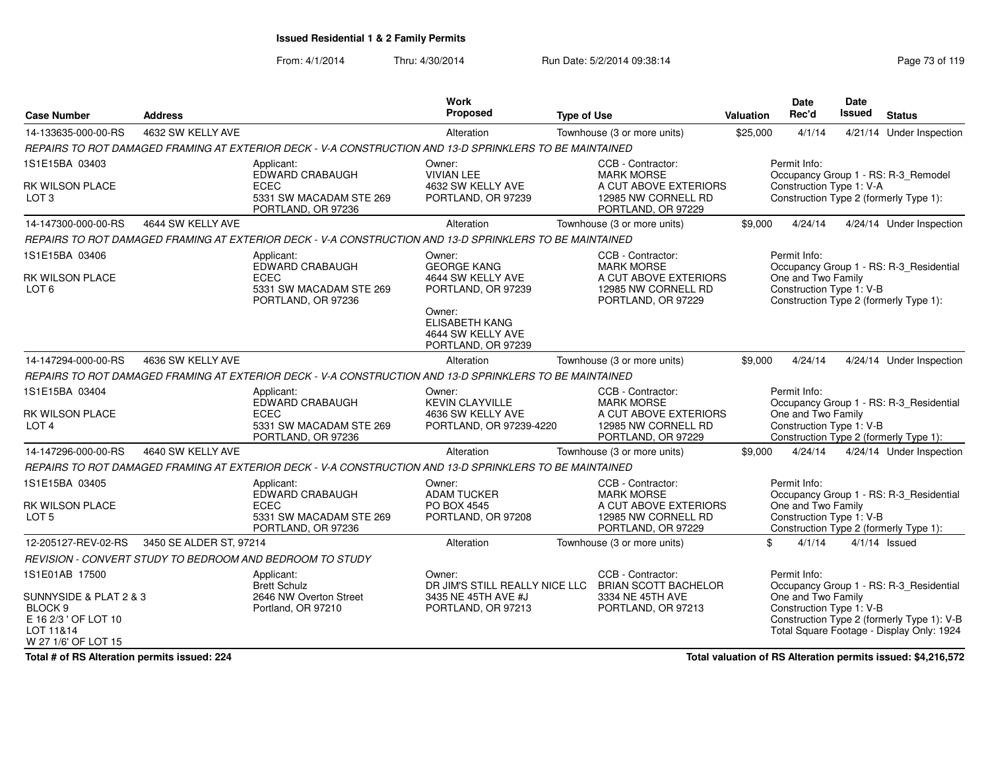From: 4/1/2014Thru: 4/30/2014 Run Date: 5/2/2014 09:38:14 Run Date: 5/2/2014 09:38:14

| <b>Case Number</b>                                                                                                         | <b>Address</b>          |                                                                                                         | <b>Work</b><br>Proposed                                                               | <b>Type of Use</b>                                                                                           | <b>Valuation</b> | <b>Date</b><br>Rec'd                                           | Date<br><b>Issued</b> | <b>Status</b>                                                                                                                      |
|----------------------------------------------------------------------------------------------------------------------------|-------------------------|---------------------------------------------------------------------------------------------------------|---------------------------------------------------------------------------------------|--------------------------------------------------------------------------------------------------------------|------------------|----------------------------------------------------------------|-----------------------|------------------------------------------------------------------------------------------------------------------------------------|
| 14-133635-000-00-RS                                                                                                        | 4632 SW KELLY AVE       |                                                                                                         | Alteration                                                                            | Townhouse (3 or more units)                                                                                  | \$25,000         | 4/1/14                                                         |                       | 4/21/14 Under Inspection                                                                                                           |
|                                                                                                                            |                         | REPAIRS TO ROT DAMAGED FRAMING AT EXTERIOR DECK - V-A CONSTRUCTION AND 13-D SPRINKLERS TO BE MAINTAINED |                                                                                       |                                                                                                              |                  |                                                                |                       |                                                                                                                                    |
| 1S1E15BA 03403<br>RK WILSON PLACE<br>LOT <sub>3</sub>                                                                      |                         | Applicant:<br>EDWARD CRABAUGH<br><b>ECEC</b><br>5331 SW MACADAM STE 269<br>PORTLAND, OR 97236           | Owner:<br><b>VIVIAN LEE</b><br>4632 SW KELLY AVE<br>PORTLAND, OR 97239                | CCB - Contractor:<br><b>MARK MORSE</b><br>A CUT ABOVE EXTERIORS<br>12985 NW CORNELL RD<br>PORTLAND, OR 97229 |                  | Permit Info:<br>Construction Type 1: V-A                       |                       | Occupancy Group 1 - RS: R-3_Remodel<br>Construction Type 2 (formerly Type 1):                                                      |
| 14-147300-000-00-RS                                                                                                        | 4644 SW KELLY AVE       |                                                                                                         | Alteration                                                                            | Townhouse (3 or more units)                                                                                  | \$9,000          | 4/24/14                                                        |                       | 4/24/14 Under Inspection                                                                                                           |
|                                                                                                                            |                         | REPAIRS TO ROT DAMAGED FRAMING AT EXTERIOR DECK - V-A CONSTRUCTION AND 13-D SPRINKLERS TO BE MAINTAINED |                                                                                       |                                                                                                              |                  |                                                                |                       |                                                                                                                                    |
| 1S1E15BA 03406<br>RK WILSON PLACE<br>LOT 6                                                                                 |                         | Applicant:<br>EDWARD CRABAUGH<br><b>ECEC</b><br>5331 SW MACADAM STE 269<br>PORTLAND, OR 97236           | Owner:<br><b>GEORGE KANG</b><br>4644 SW KELLY AVE<br>PORTLAND, OR 97239               | CCB - Contractor:<br><b>MARK MORSE</b><br>A CUT ABOVE EXTERIORS<br>12985 NW CORNELL RD<br>PORTLAND, OR 97229 |                  | Permit Info:<br>One and Two Family<br>Construction Type 1: V-B |                       | Occupancy Group 1 - RS: R-3_Residential<br>Construction Type 2 (formerly Type 1):                                                  |
|                                                                                                                            |                         |                                                                                                         | Owner:<br><b>ELISABETH KANG</b><br>4644 SW KELLY AVE<br>PORTLAND, OR 97239            |                                                                                                              |                  |                                                                |                       |                                                                                                                                    |
| 14-147294-000-00-RS                                                                                                        | 4636 SW KELLY AVE       |                                                                                                         | Alteration                                                                            | Townhouse (3 or more units)                                                                                  | \$9,000          | 4/24/14                                                        |                       | 4/24/14 Under Inspection                                                                                                           |
|                                                                                                                            |                         | REPAIRS TO ROT DAMAGED FRAMING AT EXTERIOR DECK - V-A CONSTRUCTION AND 13-D SPRINKLERS TO BE MAINTAINED |                                                                                       |                                                                                                              |                  |                                                                |                       |                                                                                                                                    |
| 1S1E15BA 03404<br>RK WILSON PLACE<br>LOT <sub>4</sub>                                                                      |                         | Applicant:<br>EDWARD CRABAUGH<br><b>ECEC</b><br>5331 SW MACADAM STE 269<br>PORTLAND, OR 97236           | Owner:<br><b>KEVIN CLAYVILLE</b><br>4636 SW KELLY AVE<br>PORTLAND, OR 97239-4220      | CCB - Contractor:<br><b>MARK MORSE</b><br>A CUT ABOVE EXTERIORS<br>12985 NW CORNELL RD<br>PORTLAND, OR 97229 |                  | Permit Info:<br>One and Two Family<br>Construction Type 1: V-B |                       | Occupancy Group 1 - RS: R-3_Residential<br>Construction Type 2 (formerly Type 1):                                                  |
| 14-147296-000-00-RS                                                                                                        | 4640 SW KELLY AVE       |                                                                                                         | Alteration                                                                            | Townhouse (3 or more units)                                                                                  | \$9,000          | 4/24/14                                                        |                       | 4/24/14 Under Inspection                                                                                                           |
|                                                                                                                            |                         | REPAIRS TO ROT DAMAGED FRAMING AT EXTERIOR DECK - V-A CONSTRUCTION AND 13-D SPRINKLERS TO BE MAINTAINED |                                                                                       |                                                                                                              |                  |                                                                |                       |                                                                                                                                    |
| 1S1E15BA 03405<br>RK WILSON PLACE<br>LOT <sub>5</sub>                                                                      |                         | Applicant:<br>EDWARD CRABAUGH<br><b>ECEC</b><br>5331 SW MACADAM STE 269<br>PORTLAND, OR 97236           | Owner:<br><b>ADAM TUCKER</b><br>PO BOX 4545<br>PORTLAND, OR 97208                     | CCB - Contractor:<br><b>MARK MORSE</b><br>A CUT ABOVE EXTERIORS<br>12985 NW CORNELL RD<br>PORTLAND, OR 97229 |                  | Permit Info:<br>One and Two Family<br>Construction Type 1: V-B |                       | Occupancy Group 1 - RS: R-3_Residential<br>Construction Type 2 (formerly Type 1):                                                  |
| 12-205127-REV-02-RS                                                                                                        | 3450 SE ALDER ST, 97214 |                                                                                                         | Alteration                                                                            | Townhouse (3 or more units)                                                                                  | \$               | 4/1/14                                                         |                       | $4/1/14$ Issued                                                                                                                    |
|                                                                                                                            |                         | REVISION - CONVERT STUDY TO BEDROOM AND BEDROOM TO STUDY                                                |                                                                                       |                                                                                                              |                  |                                                                |                       |                                                                                                                                    |
| 1S1E01AB 17500<br>SUNNYSIDE & PLAT 2 & 3<br>BLOCK <sub>9</sub><br>E 16 2/3 ' OF LOT 10<br>LOT 11&14<br>W 27 1/6' OF LOT 15 |                         | Applicant:<br><b>Brett Schulz</b><br>2646 NW Overton Street<br>Portland, OR 97210                       | Owner:<br>DR JIM'S STILL REALLY NICE LLC<br>3435 NE 45TH AVE #J<br>PORTLAND, OR 97213 | CCB - Contractor:<br><b>BRIAN SCOTT BACHELOR</b><br>3334 NE 45TH AVE<br>PORTLAND, OR 97213                   |                  | Permit Info:<br>One and Two Family<br>Construction Type 1: V-B |                       | Occupancy Group 1 - RS: R-3 Residential<br>Construction Type 2 (formerly Type 1): V-B<br>Total Square Footage - Display Only: 1924 |

**Total # of RS Alteration permits issued: 224**

**Total valuation of RS Alteration permits issued: \$4,216,572**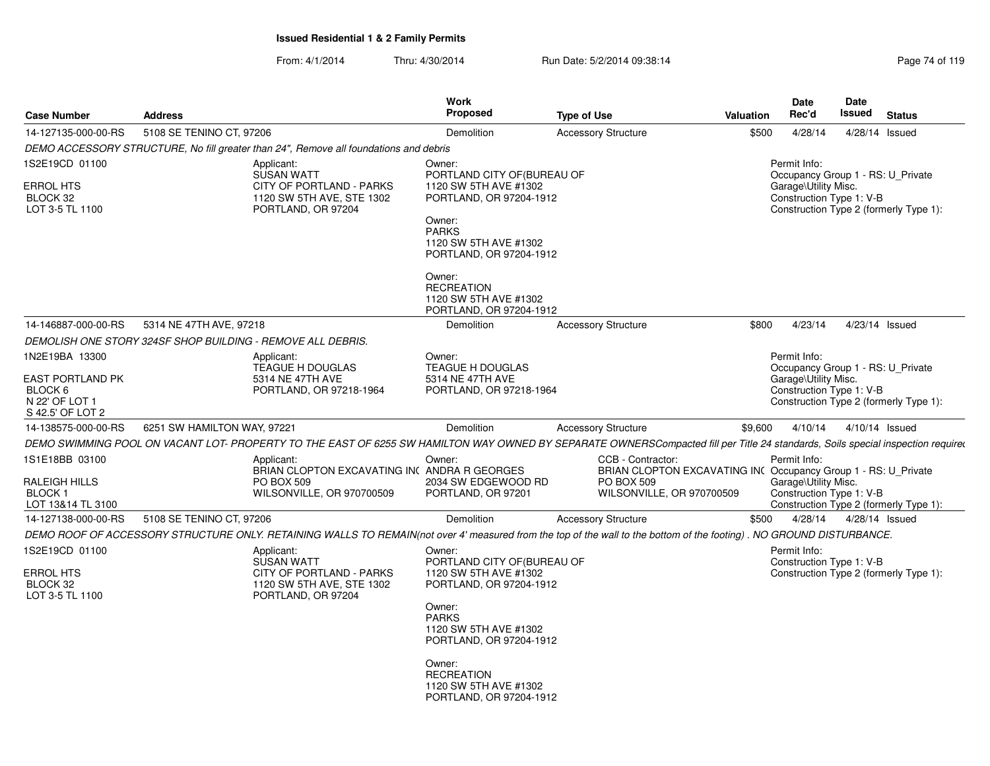| <b>Case Number</b>                                                                  | <b>Address</b>              |                                                                                                                                                                                 | <b>Work</b><br><b>Proposed</b>                                                                                                                                                                                                                             | <b>Type of Use</b>                                                                                                                    | <b>Valuation</b> | <b>Date</b><br>Rec'd                                                                                  | Date<br>Issued | <b>Status</b>                          |
|-------------------------------------------------------------------------------------|-----------------------------|---------------------------------------------------------------------------------------------------------------------------------------------------------------------------------|------------------------------------------------------------------------------------------------------------------------------------------------------------------------------------------------------------------------------------------------------------|---------------------------------------------------------------------------------------------------------------------------------------|------------------|-------------------------------------------------------------------------------------------------------|----------------|----------------------------------------|
| 14-127135-000-00-RS                                                                 | 5108 SE TENINO CT, 97206    |                                                                                                                                                                                 | Demolition                                                                                                                                                                                                                                                 | <b>Accessory Structure</b>                                                                                                            | \$500            | 4/28/14                                                                                               |                | 4/28/14 Issued                         |
|                                                                                     |                             | DEMO ACCESSORY STRUCTURE, No fill greater than 24", Remove all foundations and debris                                                                                           |                                                                                                                                                                                                                                                            |                                                                                                                                       |                  |                                                                                                       |                |                                        |
| 1S2E19CD 01100<br><b>ERROL HTS</b><br>BLOCK 32<br>LOT 3-5 TL 1100                   |                             | Applicant:<br><b>SUSAN WATT</b><br>CITY OF PORTLAND - PARKS<br>1120 SW 5TH AVE, STE 1302<br>PORTLAND, OR 97204                                                                  | Owner:<br>PORTLAND CITY OF (BUREAU OF<br>1120 SW 5TH AVE #1302<br>PORTLAND, OR 97204-1912<br>Owner:<br><b>PARKS</b><br>1120 SW 5TH AVE #1302<br>PORTLAND, OR 97204-1912                                                                                    |                                                                                                                                       |                  | Permit Info:<br>Occupancy Group 1 - RS: U Private<br>Garage\Utility Misc.<br>Construction Type 1: V-B |                | Construction Type 2 (formerly Type 1): |
|                                                                                     |                             |                                                                                                                                                                                 | Owner:<br><b>RECREATION</b><br>1120 SW 5TH AVE #1302<br>PORTLAND, OR 97204-1912                                                                                                                                                                            |                                                                                                                                       |                  |                                                                                                       |                |                                        |
| 14-146887-000-00-RS                                                                 | 5314 NE 47TH AVE, 97218     |                                                                                                                                                                                 | Demolition                                                                                                                                                                                                                                                 | <b>Accessory Structure</b>                                                                                                            | \$800            | 4/23/14                                                                                               |                | 4/23/14 Issued                         |
|                                                                                     |                             | DEMOLISH ONE STORY 324SF SHOP BUILDING - REMOVE ALL DEBRIS.                                                                                                                     |                                                                                                                                                                                                                                                            |                                                                                                                                       |                  |                                                                                                       |                |                                        |
| 1N2E19BA 13300<br>EAST PORTLAND PK<br>BLOCK 6<br>N 22' OF LOT 1<br>S 42.5' OF LOT 2 |                             | Applicant:<br>TEAGUE H DOUGLAS<br>5314 NE 47TH AVE<br>PORTLAND, OR 97218-1964                                                                                                   | Owner:<br>TEAGUE H DOUGLAS<br>5314 NE 47TH AVE<br>PORTLAND, OR 97218-1964                                                                                                                                                                                  |                                                                                                                                       |                  | Permit Info:<br>Occupancy Group 1 - RS: U Private<br>Garage\Utility Misc.<br>Construction Type 1: V-B |                | Construction Type 2 (formerly Type 1): |
| 14-138575-000-00-RS                                                                 | 6251 SW HAMILTON WAY, 97221 |                                                                                                                                                                                 | Demolition                                                                                                                                                                                                                                                 | <b>Accessory Structure</b>                                                                                                            | \$9,600          | 4/10/14                                                                                               |                | 4/10/14 Issued                         |
|                                                                                     |                             | DEMO SWIMMING POOL ON VACANT LOT- PROPERTY TO THE EAST OF 6255 SW HAMILTON WAY OWNED BY SEPARATE OWNERSCompacted fill per Title 24 standards, Soils special inspection required |                                                                                                                                                                                                                                                            |                                                                                                                                       |                  |                                                                                                       |                |                                        |
| 1S1E18BB 03100<br>RALEIGH HILLS<br><b>BLOCK1</b><br>LOT 13&14 TL 3100               |                             | Applicant:<br>BRIAN CLOPTON EXCAVATING IN( ANDRA R GEORGES<br><b>PO BOX 509</b><br>WILSONVILLE, OR 970700509                                                                    | Owner:<br>2034 SW EDGEWOOD RD<br>PORTLAND, OR 97201                                                                                                                                                                                                        | CCB - Contractor:<br>BRIAN CLOPTON EXCAVATING IN( Occupancy Group 1 - RS: U_Private<br><b>PO BOX 509</b><br>WILSONVILLE, OR 970700509 |                  | Permit Info:<br>Garage\Utility Misc.<br>Construction Type 1: V-B                                      |                | Construction Type 2 (formerly Type 1): |
| 14-127138-000-00-RS                                                                 | 5108 SE TENINO CT, 97206    |                                                                                                                                                                                 | Demolition                                                                                                                                                                                                                                                 | <b>Accessory Structure</b>                                                                                                            | \$500            | 4/28/14                                                                                               |                | $4/28/14$ Issued                       |
|                                                                                     |                             | DEMO ROOF OF ACCESSORY STRUCTURE ONLY. RETAINING WALLS TO REMAIN(not over 4' measured from the top of the wall to the bottom of the footing). NO GROUND DISTURBANCE.            |                                                                                                                                                                                                                                                            |                                                                                                                                       |                  |                                                                                                       |                |                                        |
| 1S2E19CD 01100<br><b>ERROL HTS</b><br>BLOCK 32<br>LOT 3-5 TL 1100                   |                             | Applicant:<br><b>SUSAN WATT</b><br>CITY OF PORTLAND - PARKS<br>1120 SW 5TH AVE, STE 1302<br>PORTLAND, OR 97204                                                                  | Owner:<br>PORTLAND CITY OF (BUREAU OF<br>1120 SW 5TH AVE #1302<br>PORTLAND, OR 97204-1912<br>Owner:<br><b>PARKS</b><br>1120 SW 5TH AVE #1302<br>PORTLAND, OR 97204-1912<br>Owner:<br><b>RECREATION</b><br>1120 SW 5TH AVE #1302<br>PORTLAND, OR 97204-1912 |                                                                                                                                       |                  | Permit Info:<br>Construction Type 1: V-B                                                              |                | Construction Type 2 (formerly Type 1): |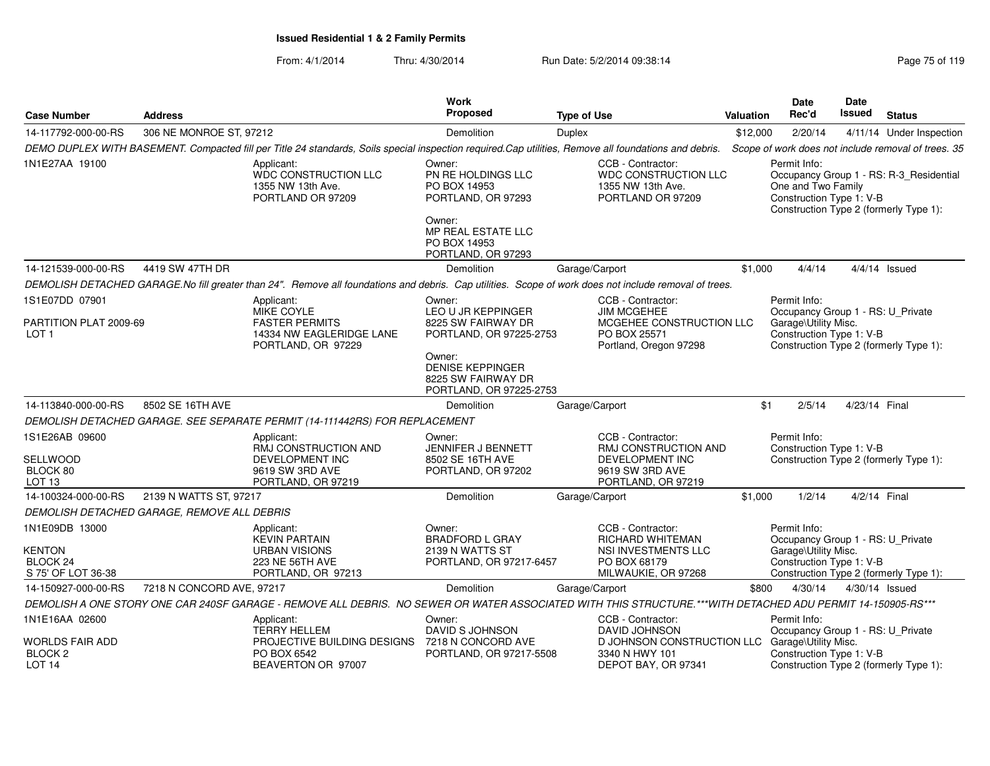| <b>Case Number</b>                        | <b>Address</b>                              |                                                                                                                                                             | <b>Work</b><br><b>Proposed</b>                                                     | <b>Type of Use</b>                                                                         | Valuation | <b>Date</b><br>Rec'd                                           | Date<br>Issued | <b>Status</b>                                                                     |
|-------------------------------------------|---------------------------------------------|-------------------------------------------------------------------------------------------------------------------------------------------------------------|------------------------------------------------------------------------------------|--------------------------------------------------------------------------------------------|-----------|----------------------------------------------------------------|----------------|-----------------------------------------------------------------------------------|
| 14-117792-000-00-RS                       | 306 NE MONROE ST, 97212                     |                                                                                                                                                             | Demolition                                                                         | <b>Duplex</b>                                                                              | \$12,000  | 2/20/14                                                        |                | 4/11/14 Under Inspection                                                          |
|                                           |                                             | DEMO DUPLEX WITH BASEMENT. Compacted fill per Title 24 standards, Soils special inspection required.Cap utilities, Remove all foundations and debris.       |                                                                                    |                                                                                            |           |                                                                |                | Scope of work does not include removal of trees. 35                               |
| 1N1E27AA 19100                            |                                             | Applicant:<br>WDC CONSTRUCTION LLC<br>1355 NW 13th Ave.<br>PORTLAND OR 97209                                                                                | Owner:<br>PN RE HOLDINGS LLC<br>PO BOX 14953<br>PORTLAND, OR 97293                 | CCB - Contractor:<br><b>WDC CONSTRUCTION LLC</b><br>1355 NW 13th Ave.<br>PORTLAND OR 97209 |           | Permit Info:<br>One and Two Family<br>Construction Type 1: V-B |                | Occupancy Group 1 - RS: R-3_Residential<br>Construction Type 2 (formerly Type 1): |
|                                           |                                             |                                                                                                                                                             | Owner:<br><b>MP REAL ESTATE LLC</b><br>PO BOX 14953<br>PORTLAND, OR 97293          |                                                                                            |           |                                                                |                |                                                                                   |
| 14-121539-000-00-RS                       | 4419 SW 47TH DR                             |                                                                                                                                                             | Demolition                                                                         | Garage/Carport                                                                             | \$1,000   | 4/4/14                                                         |                | 4/4/14 Issued                                                                     |
|                                           |                                             | DEMOLISH DETACHED GARAGE.No fill greater than 24". Remove all foundations and debris. Cap utilities. Scope of work does not include removal of trees.       |                                                                                    |                                                                                            |           |                                                                |                |                                                                                   |
| 1S1E07DD 07901                            |                                             | Applicant:<br><b>MIKE COYLE</b>                                                                                                                             | Owner:<br>LEO U JR KEPPINGER                                                       | CCB - Contractor:<br><b>JIM MCGEHEE</b>                                                    |           | Permit Info:<br>Occupancy Group 1 - RS: U_Private              |                |                                                                                   |
| PARTITION PLAT 2009-69<br>LOT 1           |                                             | <b>FASTER PERMITS</b><br>14334 NW EAGLERIDGE LANE<br>PORTLAND, OR 97229                                                                                     | 8225 SW FAIRWAY DR<br>PORTLAND, OR 97225-2753                                      | MCGEHEE CONSTRUCTION LLC<br>PO BOX 25571<br>Portland, Oregon 97298                         |           | Garage\Utility Misc.<br>Construction Type 1: V-B               |                | Construction Type 2 (formerly Type 1):                                            |
|                                           |                                             |                                                                                                                                                             | Owner:<br><b>DENISE KEPPINGER</b><br>8225 SW FAIRWAY DR<br>PORTLAND, OR 97225-2753 |                                                                                            |           |                                                                |                |                                                                                   |
| 14-113840-000-00-RS                       | 8502 SE 16TH AVE                            |                                                                                                                                                             | Demolition                                                                         | Garage/Carport                                                                             | \$1       | 2/5/14                                                         | 4/23/14 Final  |                                                                                   |
|                                           |                                             | DEMOLISH DETACHED GARAGE. SEE SEPARATE PERMIT (14-111442RS) FOR REPLACEMENT                                                                                 |                                                                                    |                                                                                            |           |                                                                |                |                                                                                   |
| 1S1E26AB 09600                            |                                             | Applicant:<br>RMJ CONSTRUCTION AND                                                                                                                          | Owner:<br><b>JENNIFER J BENNETT</b>                                                | CCB - Contractor:<br><b>RMJ CONSTRUCTION AND</b>                                           |           | Permit Info:<br>Construction Type 1: V-B                       |                |                                                                                   |
| SELLWOOD<br>BLOCK 80<br>LOT <sub>13</sub> |                                             | <b>DEVELOPMENT INC</b><br>9619 SW 3RD AVE<br>PORTLAND, OR 97219                                                                                             | 8502 SE 16TH AVE<br>PORTLAND, OR 97202                                             | DEVELOPMENT INC<br>9619 SW 3RD AVE<br>PORTLAND, OR 97219                                   |           |                                                                |                | Construction Type 2 (formerly Type 1):                                            |
| 14-100324-000-00-RS                       | 2139 N WATTS ST, 97217                      |                                                                                                                                                             | Demolition                                                                         | Garage/Carport                                                                             | \$1,000   | 1/2/14                                                         |                | 4/2/14 Final                                                                      |
|                                           | DEMOLISH DETACHED GARAGE, REMOVE ALL DEBRIS |                                                                                                                                                             |                                                                                    |                                                                                            |           |                                                                |                |                                                                                   |
| 1N1E09DB 13000                            |                                             | Applicant:<br><b>KEVIN PARTAIN</b>                                                                                                                          | Owner:<br><b>BRADFORD L GRAY</b>                                                   | CCB - Contractor:<br><b>RICHARD WHITEMAN</b>                                               |           | Permit Info:<br>Occupancy Group 1 - RS: U_Private              |                |                                                                                   |
| KENTON                                    |                                             | <b>URBAN VISIONS</b>                                                                                                                                        | 2139 N WATTS ST                                                                    | NSI INVESTMENTS LLC                                                                        |           | Garage\Utility Misc.                                           |                |                                                                                   |
| BLOCK 24<br>S 75' OF LOT 36-38            |                                             | 223 NE 56TH AVE<br>PORTLAND, OR 97213                                                                                                                       | PORTLAND, OR 97217-6457                                                            | PO BOX 68179<br>MILWAUKIE, OR 97268                                                        |           | Construction Type 1: V-B                                       |                | Construction Type 2 (formerly Type 1):                                            |
| 14-150927-000-00-RS                       | 7218 N CONCORD AVE, 97217                   |                                                                                                                                                             | Demolition                                                                         | Garage/Carport                                                                             | \$800     | 4/30/14                                                        |                | 4/30/14 Issued                                                                    |
|                                           |                                             | DEMOLISH A ONE STORY ONE CAR 240SF GARAGE - REMOVE ALL DEBRIS. NO SEWER OR WATER ASSOCIATED WITH THIS STRUCTURE.***WITH DETACHED ADU PERMIT 14-150905-RS*** |                                                                                    |                                                                                            |           |                                                                |                |                                                                                   |
| 1N1E16AA 02600                            |                                             | Applicant:<br><b>TERRY HELLEM</b>                                                                                                                           | Owner:<br>DAVID S JOHNSON                                                          | CCB - Contractor:<br>DAVID JOHNSON                                                         |           | Permit Info:<br>Occupancy Group 1 - RS: U_Private              |                |                                                                                   |
| WORLDS FAIR ADD                           |                                             | PROJECTIVE BUILDING DESIGNS                                                                                                                                 | 7218 N CONCORD AVE                                                                 | D JOHNSON CONSTRUCTION LLC                                                                 |           | Garage\Utility Misc.                                           |                |                                                                                   |
| BLOCK <sub>2</sub><br>LOT <sub>14</sub>   |                                             | PO BOX 6542<br>BEAVERTON OR 97007                                                                                                                           | PORTLAND, OR 97217-5508                                                            | 3340 N HWY 101<br>DEPOT BAY, OR 97341                                                      |           | Construction Type 1: V-B                                       |                | Construction Type 2 (formerly Type 1):                                            |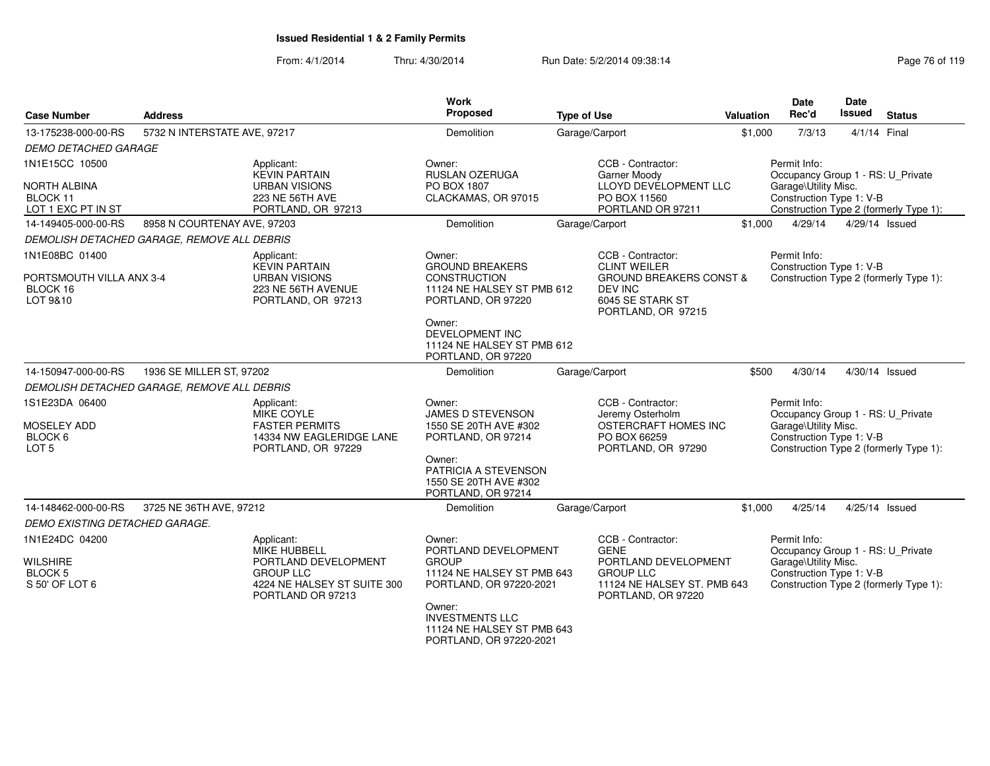| <b>Case Number</b>                               | <b>Address</b>                              |                                                                      | Work<br>Proposed                                                                          | <b>Type of Use</b>                                                                             | <b>Valuation</b> | <b>Date</b><br>Rec'd                                                      | Date<br><b>Issued</b> | <b>Status</b>                          |
|--------------------------------------------------|---------------------------------------------|----------------------------------------------------------------------|-------------------------------------------------------------------------------------------|------------------------------------------------------------------------------------------------|------------------|---------------------------------------------------------------------------|-----------------------|----------------------------------------|
| 13-175238-000-00-RS                              | 5732 N INTERSTATE AVE, 97217                |                                                                      | Demolition                                                                                | Garage/Carport                                                                                 | \$1,000          | 7/3/13                                                                    | 4/1/14 Final          |                                        |
| <b>DEMO DETACHED GARAGE</b>                      |                                             |                                                                      |                                                                                           |                                                                                                |                  |                                                                           |                       |                                        |
| 1N1E15CC 10500<br>NORTH ALBINA                   |                                             | Applicant:<br><b>KEVIN PARTAIN</b><br><b>URBAN VISIONS</b>           | Owner:<br>RUSLAN OZERUGA<br>PO BOX 1807                                                   | CCB - Contractor:<br><b>Garner Moody</b><br>LLOYD DEVELOPMENT LLC                              |                  | Permit Info:<br>Occupancy Group 1 - RS: U_Private<br>Garage\Utility Misc. |                       |                                        |
| BLOCK 11<br>LOT 1 EXC PT IN ST                   |                                             | 223 NE 56TH AVE<br>PORTLAND, OR 97213                                | CLACKAMAS, OR 97015                                                                       | PO BOX 11560<br>PORTLAND OR 97211                                                              |                  | Construction Type 1: V-B                                                  |                       | Construction Type 2 (formerly Type 1): |
| 14-149405-000-00-RS                              | 8958 N COURTENAY AVE, 97203                 |                                                                      | <b>Demolition</b>                                                                         | Garage/Carport                                                                                 | \$1,000          | 4/29/14                                                                   |                       | 4/29/14 Issued                         |
|                                                  | DEMOLISH DETACHED GARAGE, REMOVE ALL DEBRIS |                                                                      |                                                                                           |                                                                                                |                  |                                                                           |                       |                                        |
| 1N1E08BC 01400                                   |                                             | Applicant:<br><b>KEVIN PARTAIN</b>                                   | Owner:<br><b>GROUND BREAKERS</b>                                                          | CCB - Contractor:<br><b>CLINT WEILER</b>                                                       |                  | Permit Info:<br>Construction Type 1: V-B                                  |                       |                                        |
| PORTSMOUTH VILLA ANX 3-4<br>BLOCK 16<br>LOT 9&10 |                                             | <b>URBAN VISIONS</b><br>223 NE 56TH AVENUE<br>PORTLAND, OR 97213     | <b>CONSTRUCTION</b><br>11124 NE HALSEY ST PMB 612<br>PORTLAND, OR 97220                   | <b>GROUND BREAKERS CONST &amp;</b><br><b>DEV INC</b><br>6045 SE STARK ST<br>PORTLAND, OR 97215 |                  |                                                                           |                       | Construction Type 2 (formerly Type 1): |
|                                                  |                                             |                                                                      | Owner:<br><b>DEVELOPMENT INC</b><br>11124 NE HALSEY ST PMB 612<br>PORTLAND, OR 97220      |                                                                                                |                  |                                                                           |                       |                                        |
| 14-150947-000-00-RS                              | 1936 SE MILLER ST, 97202                    |                                                                      | <b>Demolition</b>                                                                         | Garage/Carport                                                                                 | \$500            | 4/30/14                                                                   |                       | 4/30/14 Issued                         |
|                                                  | DEMOLISH DETACHED GARAGE, REMOVE ALL DEBRIS |                                                                      |                                                                                           |                                                                                                |                  |                                                                           |                       |                                        |
| 1S1E23DA 06400<br>MOSELEY ADD                    |                                             | Applicant:<br>MIKE COYLE<br><b>FASTER PERMITS</b>                    | Owner:<br>JAMES D STEVENSON<br>1550 SE 20TH AVE #302                                      | CCB - Contractor:<br>Jeremy Osterholm<br>OSTERCRAFT HOMES INC                                  |                  | Permit Info:<br>Occupancy Group 1 - RS: U_Private<br>Garage\Utility Misc. |                       |                                        |
| BLOCK 6<br>LOT <sub>5</sub>                      |                                             | 14334 NW EAGLERIDGE LANE<br>PORTLAND, OR 97229                       | PORTLAND, OR 97214                                                                        | PO BOX 66259<br>PORTLAND, OR 97290                                                             |                  | Construction Type 1: V-B                                                  |                       | Construction Type 2 (formerly Type 1): |
|                                                  |                                             |                                                                      | Owner:<br>PATRICIA A STEVENSON<br>1550 SE 20TH AVE #302<br>PORTLAND, OR 97214             |                                                                                                |                  |                                                                           |                       |                                        |
| 14-148462-000-00-RS                              | 3725 NE 36TH AVE, 97212                     |                                                                      | Demolition                                                                                | Garage/Carport                                                                                 | \$1,000          | 4/25/14                                                                   |                       | 4/25/14 Issued                         |
| DEMO EXISTING DETACHED GARAGE.                   |                                             |                                                                      |                                                                                           |                                                                                                |                  |                                                                           |                       |                                        |
| 1N1E24DC 04200                                   |                                             | Applicant:<br><b>MIKE HUBBELL</b>                                    | Owner:<br>PORTLAND DEVELOPMENT                                                            | CCB - Contractor:<br><b>GENE</b>                                                               |                  | Permit Info:<br>Occupancy Group 1 - RS: U_Private                         |                       |                                        |
| <b>WILSHIRE</b>                                  |                                             | PORTLAND DEVELOPMENT                                                 | <b>GROUP</b>                                                                              | PORTLAND DEVELOPMENT                                                                           |                  | Garage\Utility Misc.                                                      |                       |                                        |
| <b>BLOCK 5</b><br>S 50' OF LOT 6                 |                                             | <b>GROUP LLC</b><br>4224 NE HALSEY ST SUITE 300<br>PORTLAND OR 97213 | 11124 NE HALSEY ST PMB 643<br>PORTLAND, OR 97220-2021                                     | <b>GROUP LLC</b><br>11124 NE HALSEY ST. PMB 643<br>PORTLAND, OR 97220                          |                  | Construction Type 1: V-B                                                  |                       | Construction Type 2 (formerly Type 1): |
|                                                  |                                             |                                                                      | Owner:<br><b>INVESTMENTS LLC</b><br>11124 NE HALSEY ST PMB 643<br>PORTLAND, OR 97220-2021 |                                                                                                |                  |                                                                           |                       |                                        |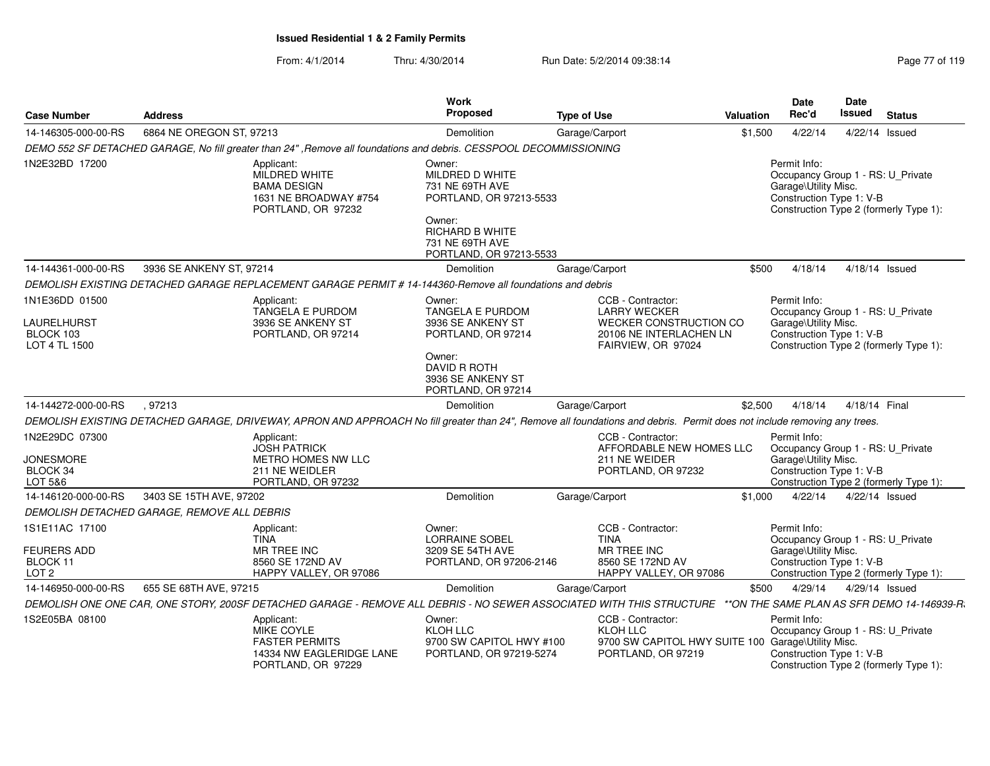| <b>Case Number</b>                                          | <b>Address</b>                                                                                   | Work<br>Proposed                                                                                                                                                         | <b>Type of Use</b>                                                                                                  | <b>Valuation</b>                           | Date<br>Rec'd                                                                                         | Date<br><b>Issued</b> | <b>Status</b>                          |
|-------------------------------------------------------------|--------------------------------------------------------------------------------------------------|--------------------------------------------------------------------------------------------------------------------------------------------------------------------------|---------------------------------------------------------------------------------------------------------------------|--------------------------------------------|-------------------------------------------------------------------------------------------------------|-----------------------|----------------------------------------|
| 14-146305-000-00-RS                                         | 6864 NE OREGON ST, 97213                                                                         | Demolition                                                                                                                                                               | Garage/Carport                                                                                                      | \$1,500                                    | 4/22/14                                                                                               | 4/22/14 Issued        |                                        |
|                                                             |                                                                                                  | DEMO 552 SF DETACHED GARAGE, No fill greater than 24". Remove all foundations and debris. CESSPOOL DECOMMISSIONING                                                       |                                                                                                                     |                                            |                                                                                                       |                       |                                        |
| 1N2E32BD 17200                                              | Applicant:<br>MILDRED WHITE<br><b>BAMA DESIGN</b><br>1631 NE BROADWAY #754<br>PORTLAND, OR 97232 | Owner:<br>MILDRED D WHITE<br>731 NE 69TH AVE<br>PORTLAND, OR 97213-5533<br>Owner:<br>RICHARD B WHITE                                                                     |                                                                                                                     |                                            | Permit Info:<br>Occupancy Group 1 - RS: U_Private<br>Garage\Utility Misc.<br>Construction Type 1: V-B |                       | Construction Type 2 (formerly Type 1): |
|                                                             |                                                                                                  | 731 NE 69TH AVE<br>PORTLAND, OR 97213-5533                                                                                                                               |                                                                                                                     |                                            |                                                                                                       |                       |                                        |
| 14-144361-000-00-RS                                         | 3936 SE ANKENY ST. 97214                                                                         | Demolition                                                                                                                                                               | Garage/Carport                                                                                                      | \$500                                      | 4/18/14                                                                                               | 4/18/14 Issued        |                                        |
|                                                             |                                                                                                  | DEMOLISH EXISTING DETACHED GARAGE REPLACEMENT GARAGE PERMIT # 14-144360-Remove all foundations and debris                                                                |                                                                                                                     |                                            |                                                                                                       |                       |                                        |
| 1N1E36DD 01500<br>LAURELHURST<br>BLOCK 103<br>LOT 4 TL 1500 | Applicant:<br>TANGELA E PURDOM<br>3936 SE ANKENY ST<br>PORTLAND, OR 97214                        | Owner:<br><b>TANGELA E PURDOM</b><br>3936 SE ANKENY ST<br>PORTLAND, OR 97214                                                                                             | CCB - Contractor:<br><b>LARRY WECKER</b><br>WECKER CONSTRUCTION CO<br>20106 NE INTERLACHEN LN<br>FAIRVIEW, OR 97024 |                                            | Permit Info:<br>Occupancy Group 1 - RS: U_Private<br>Garage\Utility Misc.<br>Construction Type 1: V-B |                       | Construction Type 2 (formerly Type 1): |
| 14-144272-000-00-RS                                         | .97213                                                                                           | Owner:<br><b>DAVID R ROTH</b><br>3936 SE ANKENY ST<br>PORTLAND, OR 97214<br>Demolition                                                                                   |                                                                                                                     | \$2,500                                    | 4/18/14                                                                                               | 4/18/14 Final         |                                        |
|                                                             |                                                                                                  |                                                                                                                                                                          | Garage/Carport                                                                                                      |                                            |                                                                                                       |                       |                                        |
| 1N2E29DC 07300<br><b>JONESMORE</b><br>BLOCK 34<br>LOT 5&6   | Applicant:<br><b>JOSH PATRICK</b><br>METRO HOMES NW LLC<br>211 NE WEIDLER<br>PORTLAND, OR 97232  | DEMOLISH EXISTING DETACHED GARAGE, DRIVEWAY, APRON AND APPROACH No fill greater than 24", Remove all foundations and debris. Permit does not include removing any trees. | CCB - Contractor:<br>AFFORDABLE NEW HOMES LLC<br>211 NE WEIDER<br>PORTLAND, OR 97232                                |                                            | Permit Info:<br>Occupancy Group 1 - RS: U Private<br>Garage\Utility Misc.<br>Construction Type 1: V-B |                       | Construction Type 2 (formerly Type 1): |
| 14-146120-000-00-RS                                         | 3403 SE 15TH AVE, 97202                                                                          | Demolition                                                                                                                                                               | Garage/Carport                                                                                                      | \$1,000                                    | 4/22/14                                                                                               | 4/22/14 Issued        |                                        |
|                                                             | DEMOLISH DETACHED GARAGE, REMOVE ALL DEBRIS                                                      |                                                                                                                                                                          |                                                                                                                     |                                            |                                                                                                       |                       |                                        |
| 1S1E11AC 17100                                              | Applicant:<br><b>TINA</b>                                                                        | Owner:<br><b>LORRAINE SOBEL</b>                                                                                                                                          | CCB - Contractor:<br><b>TINA</b>                                                                                    |                                            | Permit Info:<br>Occupancy Group 1 - RS: U_Private                                                     |                       |                                        |
| <b>FEURERS ADD</b><br>BLOCK 11<br>LOT <sub>2</sub>          | <b>MR TREE INC</b><br>8560 SE 172ND AV<br>HAPPY VALLEY, OR 97086                                 | 3209 SE 54TH AVE<br>PORTLAND, OR 97206-2146                                                                                                                              | <b>MR TREE INC</b><br>8560 SE 172ND AV<br>HAPPY VALLEY, OR 97086                                                    |                                            | Garage\Utility Misc.<br>Construction Type 1: V-B                                                      |                       | Construction Type 2 (formerly Type 1): |
| 14-146950-000-00-RS                                         | 655 SE 68TH AVE, 97215                                                                           | Demolition                                                                                                                                                               | Garage/Carport                                                                                                      | \$500                                      | 4/29/14                                                                                               | 4/29/14 Issued        |                                        |
|                                                             |                                                                                                  | DEMOLISH ONE ONE CAR, ONE STORY, 200SF DETACHED GARAGE - REMOVE ALL DEBRIS - NO SEWER ASSOCIATED WITH THIS STRUCTURE                                                     |                                                                                                                     | **ON THE SAME PLAN AS SFR DEMO 14-146939-R |                                                                                                       |                       |                                        |
| 1S2E05BA 08100                                              | Applicant:<br>MIKE COYLE<br><b>FASTER PERMITS</b><br>PORTLAND, OR 97229                          | Owner:<br><b>KLOH LLC</b><br>9700 SW CAPITOL HWY #100<br>14334 NW EAGLERIDGE LANE<br>PORTLAND, OR 97219-5274                                                             | CCB - Contractor:<br><b>KLOH LLC</b><br>PORTLAND, OR 97219                                                          | 9700 SW CAPITOL HWY SUITE 100              | Permit Info:<br>Occupancy Group 1 - RS: U_Private<br>Garage\Utility Misc.<br>Construction Type 1: V-B |                       | Construction Type 2 (formerly Type 1): |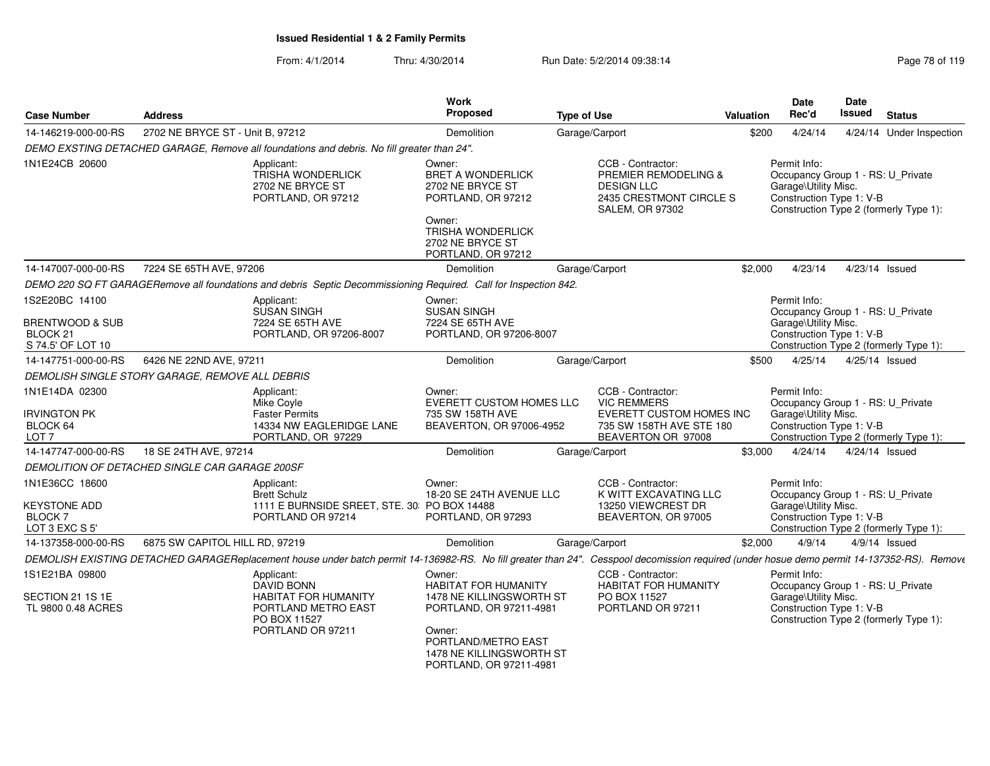| <b>Case Number</b>                                                                       | <b>Address</b>                                  |                                                                                                                                                                                            | Work<br><b>Proposed</b>                                                                                                                                                    | <b>Type of Use</b> |                                                                                                                                | Valuation | <b>Date</b><br>Rec'd                                             |         | Date<br><b>Issued</b> | <b>Status</b>                                                               |
|------------------------------------------------------------------------------------------|-------------------------------------------------|--------------------------------------------------------------------------------------------------------------------------------------------------------------------------------------------|----------------------------------------------------------------------------------------------------------------------------------------------------------------------------|--------------------|--------------------------------------------------------------------------------------------------------------------------------|-----------|------------------------------------------------------------------|---------|-----------------------|-----------------------------------------------------------------------------|
| 14-146219-000-00-RS                                                                      | 2702 NE BRYCE ST - Unit B. 97212                |                                                                                                                                                                                            | <b>Demolition</b>                                                                                                                                                          |                    | Garage/Carport                                                                                                                 | \$200     | 4/24/14                                                          |         |                       | 4/24/14 Under Inspection                                                    |
|                                                                                          |                                                 | DEMO EXSTING DETACHED GARAGE, Remove all foundations and debris. No fill greater than 24".                                                                                                 |                                                                                                                                                                            |                    |                                                                                                                                |           |                                                                  |         |                       |                                                                             |
| 1N1E24CB 20600                                                                           |                                                 | Applicant:<br><b>TRISHA WONDERLICK</b><br>2702 NE BRYCE ST<br>PORTLAND, OR 97212                                                                                                           | Owner:<br><b>BRET A WONDERLICK</b><br>2702 NE BRYCE ST<br>PORTLAND, OR 97212<br>Owner:<br><b>TRISHA WONDERLICK</b>                                                         |                    | CCB - Contractor:<br><b>PREMIER REMODELING &amp;</b><br><b>DESIGN LLC</b><br>2435 CRESTMONT CIRCLE S<br><b>SALEM, OR 97302</b> |           | Permit Info:<br>Garage\Utility Misc.<br>Construction Type 1: V-B |         |                       | Occupancy Group 1 - RS: U Private<br>Construction Type 2 (formerly Type 1): |
|                                                                                          |                                                 |                                                                                                                                                                                            | 2702 NE BRYCE ST<br>PORTLAND, OR 97212                                                                                                                                     |                    |                                                                                                                                |           |                                                                  |         |                       |                                                                             |
| 14-147007-000-00-RS                                                                      | 7224 SE 65TH AVE, 97206                         |                                                                                                                                                                                            | <b>Demolition</b>                                                                                                                                                          |                    | Garage/Carport                                                                                                                 | \$2,000   |                                                                  | 4/23/14 |                       | 4/23/14 Issued                                                              |
|                                                                                          |                                                 | DEMO 220 SQ FT GARAGERemove all foundations and debris Septic Decommissioning Required. Call for Inspection 842.                                                                           |                                                                                                                                                                            |                    |                                                                                                                                |           |                                                                  |         |                       |                                                                             |
| 1S2E20BC 14100<br><b>BRENTWOOD &amp; SUB</b><br>BLOCK <sub>21</sub><br>S 74.5' OF LOT 10 |                                                 | Applicant:<br><b>SUSAN SINGH</b><br>7224 SE 65TH AVE<br>PORTLAND, OR 97206-8007                                                                                                            | Owner:<br><b>SUSAN SINGH</b><br>7224 SE 65TH AVE<br>PORTLAND, OR 97206-8007                                                                                                |                    |                                                                                                                                |           | Permit Info:<br>Garage\Utility Misc.<br>Construction Type 1: V-B |         |                       | Occupancy Group 1 - RS: U_Private<br>Construction Type 2 (formerly Type 1): |
| 14-147751-000-00-RS                                                                      | 6426 NE 22ND AVE, 97211                         |                                                                                                                                                                                            | Demolition                                                                                                                                                                 |                    | Garage/Carport                                                                                                                 | \$500     | 4/25/14                                                          |         |                       | 4/25/14 Issued                                                              |
|                                                                                          | DEMOLISH SINGLE STORY GARAGE. REMOVE ALL DEBRIS |                                                                                                                                                                                            |                                                                                                                                                                            |                    |                                                                                                                                |           |                                                                  |         |                       |                                                                             |
| 1N1E14DA 02300<br><b>IRVINGTON PK</b><br>BLOCK 64<br>LOT <sub>7</sub>                    |                                                 | Applicant:<br>Mike Coyle<br><b>Faster Permits</b><br>14334 NW EAGLERIDGE LANE<br>PORTLAND, OR 97229                                                                                        | Owner:<br>EVERETT CUSTOM HOMES LLC<br>735 SW 158TH AVE<br>BEAVERTON, OR 97006-4952                                                                                         |                    | CCB - Contractor:<br><b>VIC REMMERS</b><br>EVERETT CUSTOM HOMES INC<br>735 SW 158TH AVE STE 180<br>BEAVERTON OR 97008          |           | Permit Info:<br>Garage\Utility Misc.<br>Construction Type 1: V-B |         |                       | Occupancy Group 1 - RS: U_Private<br>Construction Type 2 (formerly Type 1): |
| 14-147747-000-00-RS                                                                      | 18 SE 24TH AVE, 97214                           |                                                                                                                                                                                            | Demolition                                                                                                                                                                 |                    | Garage/Carport                                                                                                                 | \$3,000   |                                                                  | 4/24/14 |                       | 4/24/14 Issued                                                              |
|                                                                                          | DEMOLITION OF DETACHED SINGLE CAR GARAGE 200SF  |                                                                                                                                                                                            |                                                                                                                                                                            |                    |                                                                                                                                |           |                                                                  |         |                       |                                                                             |
| 1N1E36CC 18600<br><b>KEYSTONE ADD</b><br><b>BLOCK7</b><br>LOT 3 EXC S 5'                 |                                                 | Applicant:<br><b>Brett Schulz</b><br>1111 E BURNSIDE SREET, STE. 30: PO BOX 14488<br>PORTLAND OR 97214                                                                                     | Owner:<br>18-20 SE 24TH AVENUE LLC<br>PORTLAND, OR 97293                                                                                                                   |                    | CCB - Contractor:<br>K WITT EXCAVATING LLC<br>13250 VIEWCREST DR<br>BEAVERTON, OR 97005                                        |           | Permit Info:<br>Garage\Utility Misc.<br>Construction Type 1: V-B |         |                       | Occupancy Group 1 - RS: U Private<br>Construction Type 2 (formerly Type 1): |
| 14-137358-000-00-RS                                                                      | 6875 SW CAPITOL HILL RD, 97219                  |                                                                                                                                                                                            | <b>Demolition</b>                                                                                                                                                          |                    | Garage/Carport                                                                                                                 | \$2,000   |                                                                  | 4/9/14  |                       | $4/9/14$ Issued                                                             |
|                                                                                          |                                                 | DEMOLISH EXISTING DETACHED GARAGEReplacement house under batch permit 14-136982-RS. No fill greater than 24". Cesspool decomission required (under hosue demo permit 14-137352-RS). Remove |                                                                                                                                                                            |                    |                                                                                                                                |           |                                                                  |         |                       |                                                                             |
| 1S1E21BA 09800                                                                           |                                                 | Applicant:                                                                                                                                                                                 | Owner:                                                                                                                                                                     |                    | CCB - Contractor:                                                                                                              |           | Permit Info:                                                     |         |                       |                                                                             |
| SECTION 21 1S 1E<br>TL 9800 0.48 ACRES                                                   |                                                 | <b>DAVID BONN</b><br>HABITAT FOR HUMANITY<br>PORTLAND METRO EAST<br>PO BOX 11527<br>PORTLAND OR 97211                                                                                      | <b>HABITAT FOR HUMANITY</b><br>1478 NE KILLINGSWORTH ST<br>PORTLAND, OR 97211-4981<br>Owner:<br>PORTLAND/METRO EAST<br>1478 NE KILLINGSWORTH ST<br>PORTLAND, OR 97211-4981 |                    | <b>HABITAT FOR HUMANITY</b><br>PO BOX 11527<br>PORTLAND OR 97211                                                               |           | Garage\Utility Misc.<br>Construction Type 1: V-B                 |         |                       | Occupancy Group 1 - RS: U_Private<br>Construction Type 2 (formerly Type 1): |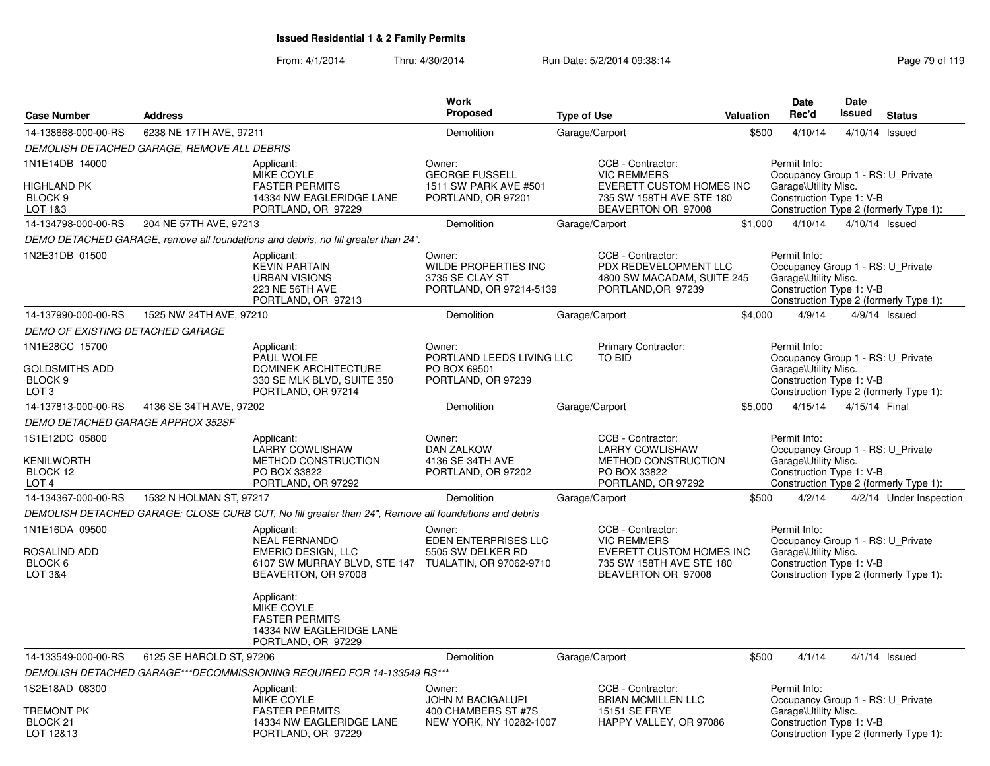|                                                            |                                             |                                                                                                                                                | Work                                                                                |                                                                                                                       |           | <b>Date</b>                                                                                                                                     | Date           |                         |
|------------------------------------------------------------|---------------------------------------------|------------------------------------------------------------------------------------------------------------------------------------------------|-------------------------------------------------------------------------------------|-----------------------------------------------------------------------------------------------------------------------|-----------|-------------------------------------------------------------------------------------------------------------------------------------------------|----------------|-------------------------|
| <b>Case Number</b>                                         | <b>Address</b>                              |                                                                                                                                                | <b>Proposed</b>                                                                     | <b>Type of Use</b>                                                                                                    | Valuation | Rec'd                                                                                                                                           | Issued         | <b>Status</b>           |
| 14-138668-000-00-RS                                        | 6238 NE 17TH AVE, 97211                     |                                                                                                                                                | Demolition                                                                          | Garage/Carport                                                                                                        | \$500     | 4/10/14                                                                                                                                         | 4/10/14 Issued |                         |
|                                                            | DEMOLISH DETACHED GARAGE, REMOVE ALL DEBRIS |                                                                                                                                                |                                                                                     |                                                                                                                       |           |                                                                                                                                                 |                |                         |
| 1N1E14DB 14000<br><b>HIGHLAND PK</b><br>BLOCK 9<br>LOT 1&3 |                                             | Applicant:<br>MIKE COYLE<br><b>FASTER PERMITS</b><br>14334 NW EAGLERIDGE LANE<br>PORTLAND, OR 97229                                            | Owner:<br><b>GEORGE FUSSELL</b><br>1511 SW PARK AVE #501<br>PORTLAND, OR 97201      | CCB - Contractor:<br><b>VIC REMMERS</b><br>EVERETT CUSTOM HOMES INC<br>735 SW 158TH AVE STE 180<br>BEAVERTON OR 97008 |           | Permit Info:<br>Occupancy Group 1 - RS: U_Private<br>Garage\Utility Misc.<br>Construction Type 1: V-B<br>Construction Type 2 (formerly Type 1): |                |                         |
| 14-134798-000-00-RS                                        | 204 NE 57TH AVE, 97213                      |                                                                                                                                                | Demolition                                                                          | Garage/Carport                                                                                                        | \$1,000   | 4/10/14                                                                                                                                         | 4/10/14 Issued |                         |
|                                                            |                                             | DEMO DETACHED GARAGE, remove all foundations and debris, no fill greater than 24".                                                             |                                                                                     |                                                                                                                       |           |                                                                                                                                                 |                |                         |
| 1N2E31DB 01500                                             |                                             | Applicant:<br><b>KEVIN PARTAIN</b><br><b>URBAN VISIONS</b><br>223 NE 56TH AVE<br>PORTLAND, OR 97213                                            | Owner:<br><b>WILDE PROPERTIES INC</b><br>3735 SE CLAY ST<br>PORTLAND, OR 97214-5139 | CCB - Contractor:<br>PDX REDEVELOPMENT LLC<br>4800 SW MACADAM, SUITE 245<br>PORTLAND, OR 97239                        |           | Permit Info:<br>Occupancy Group 1 - RS: U_Private<br>Garage\Utility Misc.<br>Construction Type 1: V-B<br>Construction Type 2 (formerly Type 1): |                |                         |
| 14-137990-000-00-RS                                        | 1525 NW 24TH AVE, 97210                     |                                                                                                                                                | Demolition                                                                          | Garage/Carport                                                                                                        | \$4,000   | 4/9/14                                                                                                                                          |                | $4/9/14$ Issued         |
| <b>DEMO OF EXISTING DETACHED GARAGE</b>                    |                                             |                                                                                                                                                |                                                                                     |                                                                                                                       |           |                                                                                                                                                 |                |                         |
| 1N1E28CC 15700<br><b>GOLDSMITHS ADD</b>                    |                                             | Applicant:<br>PAUL WOLFE<br><b>DOMINEK ARCHITECTURE</b>                                                                                        | Owner:<br>PORTLAND LEEDS LIVING LLC<br>PO BOX 69501                                 | Primary Contractor:<br><b>TO BID</b>                                                                                  |           | Permit Info:<br>Occupancy Group 1 - RS: U_Private<br>Garage\Utility Misc.                                                                       |                |                         |
| BLOCK 9<br>LOT <sub>3</sub>                                |                                             | 330 SE MLK BLVD, SUITE 350<br>PORTLAND, OR 97214                                                                                               | PORTLAND, OR 97239                                                                  |                                                                                                                       |           | Construction Type 1: V-B<br>Construction Type 2 (formerly Type 1):                                                                              |                |                         |
| 14-137813-000-00-RS                                        | 4136 SE 34TH AVE, 97202                     |                                                                                                                                                | Demolition                                                                          | Garage/Carport                                                                                                        | \$5,000   | 4/15/14                                                                                                                                         | 4/15/14 Final  |                         |
| <b>DEMO DETACHED GARAGE APPROX 352SF</b>                   |                                             |                                                                                                                                                |                                                                                     |                                                                                                                       |           |                                                                                                                                                 |                |                         |
| 1S1E12DC 05800                                             |                                             | Applicant:                                                                                                                                     | Owner:                                                                              | CCB - Contractor:                                                                                                     |           | Permit Info:                                                                                                                                    |                |                         |
| <b>KENILWORTH</b><br>BLOCK 12<br>LOT <sub>4</sub>          |                                             | LARRY COWLISHAW<br>METHOD CONSTRUCTION<br>PO BOX 33822<br>PORTLAND, OR 97292                                                                   | <b>DAN ZALKOW</b><br>4136 SE 34TH AVE<br>PORTLAND, OR 97202                         | <b>LARRY COWLISHAW</b><br>METHOD CONSTRUCTION<br>PO BOX 33822<br>PORTLAND, OR 97292                                   |           | Occupancy Group 1 - RS: U Private<br>Garage\Utility Misc.<br>Construction Type 1: V-B<br>Construction Type 2 (formerly Type 1):                 |                |                         |
| 14-134367-000-00-RS                                        | 1532 N HOLMAN ST, 97217                     |                                                                                                                                                | Demolition                                                                          | Garage/Carport                                                                                                        | \$500     | 4/2/14                                                                                                                                          |                | 4/2/14 Under Inspection |
|                                                            |                                             | DEMOLISH DETACHED GARAGE; CLOSE CURB CUT, No fill greater than 24", Remove all foundations and debris                                          |                                                                                     |                                                                                                                       |           |                                                                                                                                                 |                |                         |
| 1N1E16DA 09500<br>ROSALIND ADD<br>BLOCK 6<br>LOT 3&4       |                                             | Applicant:<br><b>NEAL FERNANDO</b><br><b>EMERIO DESIGN, LLC</b><br>6107 SW MURRAY BLVD, STE 147 TUALATIN, OR 97062-9710<br>BEAVERTON, OR 97008 | Owner:<br><b>EDEN ENTERPRISES LLC</b><br>5505 SW DELKER RD                          | CCB - Contractor:<br><b>VIC REMMERS</b><br>EVERETT CUSTOM HOMES INC<br>735 SW 158TH AVE STE 180<br>BEAVERTON OR 97008 |           | Permit Info:<br>Occupancy Group 1 - RS: U_Private<br>Garage\Utility Misc.<br>Construction Type 1: V-B<br>Construction Type 2 (formerly Type 1): |                |                         |
|                                                            |                                             | Applicant:<br>MIKE COYLE<br><b>FASTER PERMITS</b><br>14334 NW EAGLERIDGE LANE<br>PORTLAND, OR 97229                                            |                                                                                     |                                                                                                                       |           |                                                                                                                                                 |                |                         |
| 14-133549-000-00-RS                                        | 6125 SE HAROLD ST, 97206                    |                                                                                                                                                | Demolition                                                                          | Garage/Carport                                                                                                        | \$500     | 4/1/14                                                                                                                                          |                | $4/1/14$ Issued         |
|                                                            |                                             | DEMOLISH DETACHED GARAGE***DECOMMISSIONING REQUIRED FOR 14-133549 RS***                                                                        |                                                                                     |                                                                                                                       |           |                                                                                                                                                 |                |                         |
| 1S2E18AD 08300                                             |                                             | Applicant:<br><b>MIKE COYLE</b>                                                                                                                | Owner:<br>JOHN M BACIGALUPI                                                         | CCB - Contractor:<br><b>BRIAN MCMILLEN LLC</b>                                                                        |           | Permit Info:<br>Occupancy Group 1 - RS: U Private                                                                                               |                |                         |
| <b>TREMONT PK</b><br>BLOCK <sub>21</sub><br>LOT 12&13      |                                             | <b>FASTER PERMITS</b><br>14334 NW EAGLERIDGE LANE<br>PORTLAND, OR 97229                                                                        | 400 CHAMBERS ST #7S<br>NEW YORK, NY 10282-1007                                      | 15151 SE FRYE<br>HAPPY VALLEY, OR 97086                                                                               |           | Garage\Utility Misc.<br>Construction Type 1: V-B<br>Construction Type 2 (formerly Type 1):                                                      |                |                         |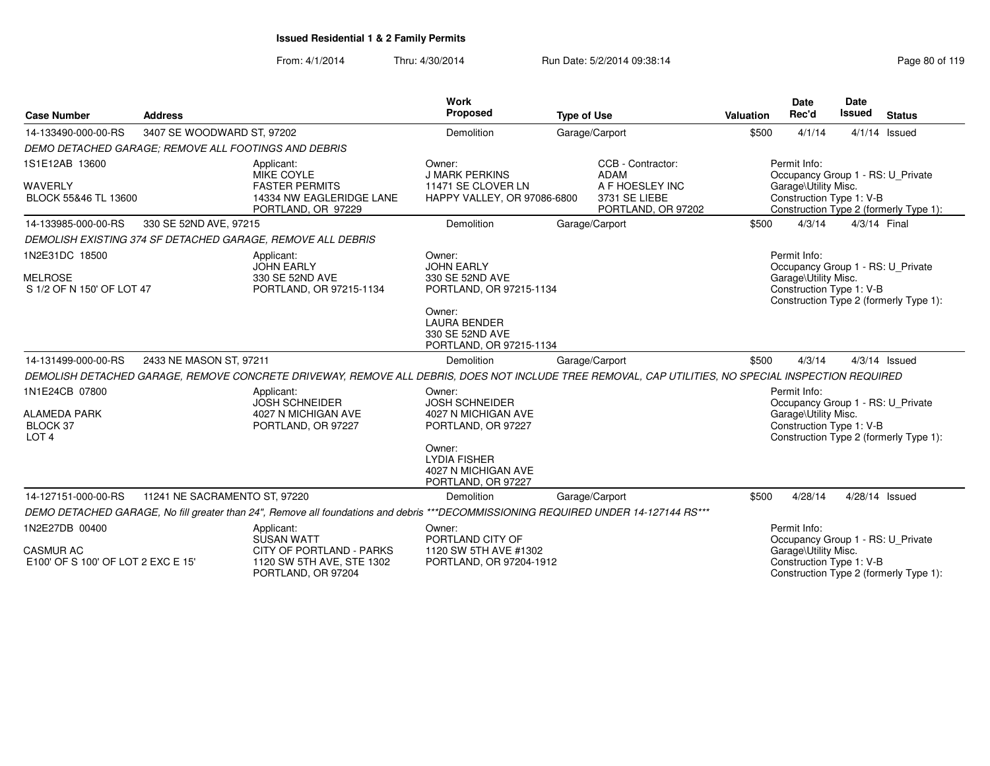| <b>Case Number</b>                                                       | <b>Address</b>                |                                                                                                                                                     | <b>Work</b><br>Proposed                                                                                                              | <b>Type of Use</b> |                                                                                     | Valuation | Date<br>Rec'd                                                    | <b>Date</b><br><b>Issued</b> | <b>Status</b>                                                               |
|--------------------------------------------------------------------------|-------------------------------|-----------------------------------------------------------------------------------------------------------------------------------------------------|--------------------------------------------------------------------------------------------------------------------------------------|--------------------|-------------------------------------------------------------------------------------|-----------|------------------------------------------------------------------|------------------------------|-----------------------------------------------------------------------------|
| 14-133490-000-00-RS                                                      | 3407 SE WOODWARD ST, 97202    |                                                                                                                                                     | Demolition                                                                                                                           |                    | Garage/Carport                                                                      | \$500     | 4/1/14                                                           |                              | $4/1/14$ Issued                                                             |
| DEMO DETACHED GARAGE: REMOVE ALL FOOTINGS AND DEBRIS                     |                               |                                                                                                                                                     |                                                                                                                                      |                    |                                                                                     |           |                                                                  |                              |                                                                             |
| 1S1E12AB 13600<br>WAVERLY<br>BLOCK 55&46 TL 13600                        |                               | Applicant:<br>MIKE COYLE<br><b>FASTER PERMITS</b><br>14334 NW EAGLERIDGE LANE<br>PORTLAND, OR 97229                                                 | Owner:<br><b>J MARK PERKINS</b><br>11471 SE CLOVER LN<br>HAPPY VALLEY, OR 97086-6800                                                 |                    | CCB - Contractor:<br>ADAM<br>A F HOESLEY INC<br>3731 SE LIEBE<br>PORTLAND, OR 97202 |           | Permit Info:<br>Garage\Utility Misc.<br>Construction Type 1: V-B |                              | Occupancy Group 1 - RS: U Private<br>Construction Type 2 (formerly Type 1): |
| 14-133985-000-00-RS                                                      | 330 SE 52ND AVE, 97215        |                                                                                                                                                     | Demolition                                                                                                                           |                    | Garage/Carport                                                                      | \$500     | 4/3/14                                                           | 4/3/14 Final                 |                                                                             |
|                                                                          |                               | DEMOLISH EXISTING 374 SF DETACHED GARAGE, REMOVE ALL DEBRIS                                                                                         |                                                                                                                                      |                    |                                                                                     |           |                                                                  |                              |                                                                             |
| 1N2E31DC 18500<br><b>MELROSE</b><br>S 1/2 OF N 150' OF LOT 47            |                               | Applicant:<br><b>JOHN EARLY</b><br>330 SE 52ND AVE<br>PORTLAND, OR 97215-1134                                                                       | Owner:<br><b>JOHN EARLY</b><br>330 SE 52ND AVE<br>PORTLAND, OR 97215-1134                                                            |                    |                                                                                     |           | Permit Info:<br>Garage\Utility Misc.<br>Construction Type 1: V-B |                              | Occupancy Group 1 - RS: U_Private<br>Construction Type 2 (formerly Type 1): |
|                                                                          |                               |                                                                                                                                                     | Owner:<br><b>LAURA BENDER</b><br>330 SE 52ND AVE<br>PORTLAND, OR 97215-1134                                                          |                    |                                                                                     |           |                                                                  |                              |                                                                             |
| 14-131499-000-00-RS                                                      | 2433 NE MASON ST, 97211       |                                                                                                                                                     | Demolition                                                                                                                           |                    | Garage/Carport                                                                      | \$500     | 4/3/14                                                           |                              | $4/3/14$ Issued                                                             |
|                                                                          |                               | DEMOLISH DETACHED GARAGE, REMOVE CONCRETE DRIVEWAY, REMOVE ALL DEBRIS, DOES NOT INCLUDE TREE REMOVAL, CAP UTILITIES, NO SPECIAL INSPECTION REQUIRED |                                                                                                                                      |                    |                                                                                     |           |                                                                  |                              |                                                                             |
| 1N1E24CB 07800<br><b>ALAMEDA PARK</b><br>BLOCK 37<br>LOT <sub>4</sub>    |                               | Applicant:<br><b>JOSH SCHNEIDER</b><br>4027 N MICHIGAN AVE<br>PORTLAND, OR 97227                                                                    | Owner:<br><b>JOSH SCHNEIDER</b><br>4027 N MICHIGAN AVE<br>PORTLAND, OR 97227<br>Owner:<br><b>LYDIA FISHER</b><br>4027 N MICHIGAN AVE |                    |                                                                                     |           | Permit Info:<br>Garage\Utility Misc.<br>Construction Type 1: V-B |                              | Occupancy Group 1 - RS: U_Private<br>Construction Type 2 (formerly Type 1): |
|                                                                          |                               |                                                                                                                                                     | PORTLAND, OR 97227                                                                                                                   |                    |                                                                                     |           |                                                                  |                              |                                                                             |
| 14-127151-000-00-RS                                                      | 11241 NE SACRAMENTO ST, 97220 |                                                                                                                                                     | Demolition                                                                                                                           |                    | Garage/Carport                                                                      | \$500     | 4/28/14                                                          |                              | 4/28/14 Issued                                                              |
|                                                                          |                               | DEMO DETACHED GARAGE, No fill greater than 24", Remove all foundations and debris ***DECOMMISSIONING REQUIRED UNDER 14-127144 RS***                 |                                                                                                                                      |                    |                                                                                     |           |                                                                  |                              |                                                                             |
| 1N2E27DB 00400<br><b>CASMUR AC</b><br>E100' OF S 100' OF LOT 2 EXC E 15' |                               | Applicant:<br><b>SUSAN WATT</b><br>CITY OF PORTLAND - PARKS<br>1120 SW 5TH AVE, STE 1302<br>PORTLAND, OR 97204                                      | Owner:<br>PORTLAND CITY OF<br>1120 SW 5TH AVE #1302<br>PORTLAND, OR 97204-1912                                                       |                    |                                                                                     |           | Permit Info:<br>Garage\Utility Misc.<br>Construction Type 1: V-B |                              | Occupancy Group 1 - RS: U_Private<br>Construction Type 2 (formerly Type 1): |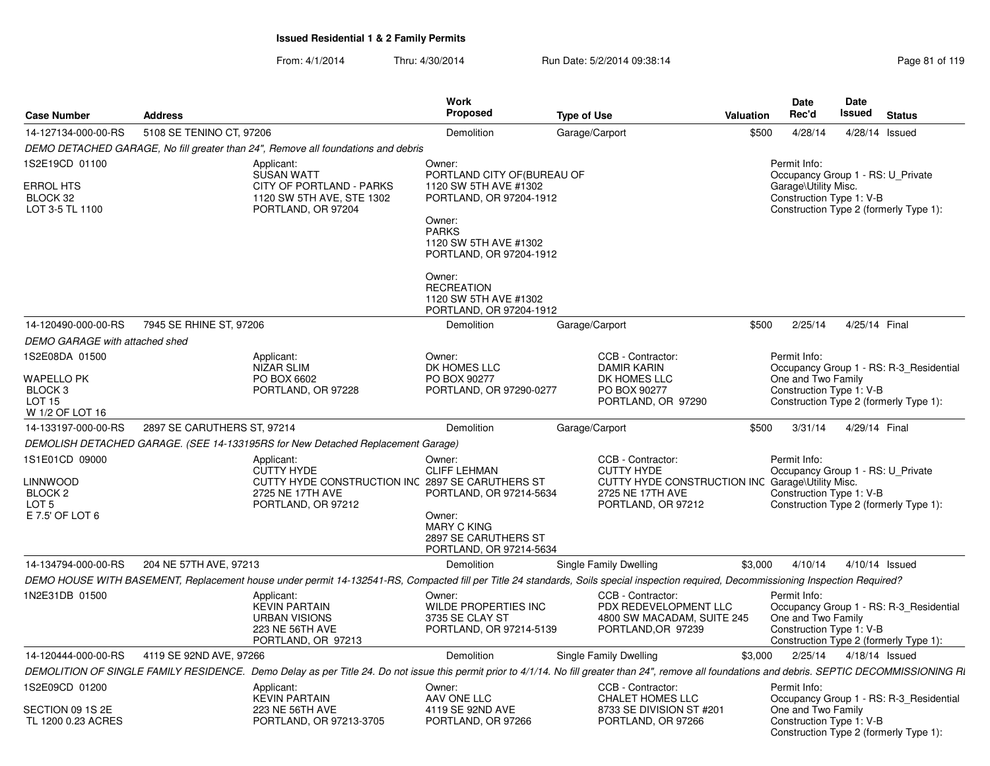| <b>Case Number</b>                       | <b>Address</b>              |                                                                                                  | <b>Work</b><br><b>Proposed</b>                                                                           | <b>Type of Use</b>                                                                                                                                                                                  | <b>Valuation</b> | Date<br>Rec'd                                                                         | Date<br><b>Issued</b> | <b>Status</b>                           |
|------------------------------------------|-----------------------------|--------------------------------------------------------------------------------------------------|----------------------------------------------------------------------------------------------------------|-----------------------------------------------------------------------------------------------------------------------------------------------------------------------------------------------------|------------------|---------------------------------------------------------------------------------------|-----------------------|-----------------------------------------|
| 14-127134-000-00-RS                      | 5108 SE TENINO CT. 97206    |                                                                                                  | Demolition                                                                                               | Garage/Carport                                                                                                                                                                                      | \$500            | 4/28/14                                                                               |                       | 4/28/14 Issued                          |
|                                          |                             | DEMO DETACHED GARAGE, No fill greater than 24", Remove all foundations and debris                |                                                                                                          |                                                                                                                                                                                                     |                  |                                                                                       |                       |                                         |
| 1S2E19CD 01100                           |                             | Applicant:                                                                                       | Owner:                                                                                                   |                                                                                                                                                                                                     |                  | Permit Info:                                                                          |                       |                                         |
| ERROL HTS<br>BLOCK 32<br>LOT 3-5 TL 1100 |                             | <b>SUSAN WATT</b><br>CITY OF PORTLAND - PARKS<br>1120 SW 5TH AVE, STE 1302<br>PORTLAND, OR 97204 | PORTLAND CITY OF(BUREAU OF<br>1120 SW 5TH AVE #1302<br>PORTLAND, OR 97204-1912<br>Owner:<br><b>PARKS</b> |                                                                                                                                                                                                     |                  | Occupancy Group 1 - RS: U_Private<br>Garage\Utility Misc.<br>Construction Type 1: V-B |                       | Construction Type 2 (formerly Type 1):  |
|                                          |                             |                                                                                                  | 1120 SW 5TH AVE #1302<br>PORTLAND, OR 97204-1912                                                         |                                                                                                                                                                                                     |                  |                                                                                       |                       |                                         |
|                                          |                             |                                                                                                  | Owner:<br><b>RECREATION</b><br>1120 SW 5TH AVE #1302<br>PORTLAND, OR 97204-1912                          |                                                                                                                                                                                                     |                  |                                                                                       |                       |                                         |
| 14-120490-000-00-RS                      | 7945 SE RHINE ST, 97206     |                                                                                                  | <b>Demolition</b>                                                                                        | Garage/Carport                                                                                                                                                                                      | \$500            | 2/25/14                                                                               | 4/25/14 Final         |                                         |
| <b>DEMO GARAGE with attached shed</b>    |                             |                                                                                                  |                                                                                                          |                                                                                                                                                                                                     |                  |                                                                                       |                       |                                         |
| 1S2E08DA 01500                           |                             | Applicant:<br>NIZAR SLIM                                                                         | Owner:<br>DK HOMES LLC                                                                                   | CCB - Contractor:<br><b>DAMIR KARIN</b>                                                                                                                                                             |                  | Permit Info:                                                                          |                       | Occupancy Group 1 - RS: R-3_Residential |
| <b>WAPELLO PK</b>                        |                             | PO BOX 6602                                                                                      | PO BOX 90277                                                                                             | DK HOMES LLC                                                                                                                                                                                        |                  | One and Two Family                                                                    |                       |                                         |
| BLOCK 3<br>LOT 15                        |                             | PORTLAND, OR 97228                                                                               | PORTLAND, OR 97290-0277                                                                                  | PO BOX 90277<br>PORTLAND, OR 97290                                                                                                                                                                  |                  | Construction Type 1: V-B                                                              |                       | Construction Type 2 (formerly Type 1):  |
| W 1/2 OF LOT 16                          |                             |                                                                                                  |                                                                                                          |                                                                                                                                                                                                     |                  |                                                                                       |                       |                                         |
| 14-133197-000-00-RS                      | 2897 SE CARUTHERS ST, 97214 |                                                                                                  | <b>Demolition</b>                                                                                        | Garage/Carport                                                                                                                                                                                      | \$500            | 3/31/14                                                                               | 4/29/14 Final         |                                         |
|                                          |                             | DEMOLISH DETACHED GARAGE. (SEE 14-133195RS for New Detached Replacement Garage)                  |                                                                                                          |                                                                                                                                                                                                     |                  |                                                                                       |                       |                                         |
| 1S1E01CD 09000                           |                             | Applicant:                                                                                       | Owner:                                                                                                   | CCB - Contractor:                                                                                                                                                                                   |                  | Permit Info:                                                                          |                       |                                         |
|                                          |                             | <b>CUTTY HYDE</b>                                                                                | <b>CLIFF LEHMAN</b>                                                                                      | <b>CUTTY HYDE</b>                                                                                                                                                                                   |                  | Occupancy Group 1 - RS: U_Private                                                     |                       |                                         |
| <b>LINNWOOD</b><br>BLOCK 2               |                             | CUTTY HYDE CONSTRUCTION INC 2897 SE CARUTHERS ST<br>2725 NE 17TH AVE                             | PORTLAND, OR 97214-5634                                                                                  | CUTTY HYDE CONSTRUCTION INC Garage\Utility Misc.<br>2725 NE 17TH AVE                                                                                                                                |                  | Construction Type 1: V-B                                                              |                       |                                         |
| LOT 5                                    |                             | PORTLAND, OR 97212                                                                               |                                                                                                          | PORTLAND, OR 97212                                                                                                                                                                                  |                  |                                                                                       |                       | Construction Type 2 (formerly Type 1):  |
| E 7.5' OF LOT 6                          |                             |                                                                                                  | Owner:<br><b>MARY C KING</b><br>2897 SE CARUTHERS ST<br>PORTLAND, OR 97214-5634                          |                                                                                                                                                                                                     |                  |                                                                                       |                       |                                         |
| 14-134794-000-00-RS                      | 204 NE 57TH AVE, 97213      |                                                                                                  | Demolition                                                                                               | Single Family Dwelling                                                                                                                                                                              | \$3,000          | 4/10/14                                                                               |                       | 4/10/14 Issued                          |
|                                          |                             |                                                                                                  |                                                                                                          | DEMO HOUSE WITH BASEMENT, Replacement house under permit 14-132541-RS, Compacted fill per Title 24 standards, Soils special inspection required, Decommissioning Inspection Required?               |                  |                                                                                       |                       |                                         |
| 1N2E31DB 01500                           |                             | Applicant:<br><b>KEVIN PARTAIN</b><br><b>URBAN VISIONS</b>                                       | Owner:<br>WILDE PROPERTIES INC<br>3735 SE CLAY ST                                                        | CCB - Contractor:<br>PDX REDEVELOPMENT LLC<br>4800 SW MACADAM, SUITE 245                                                                                                                            |                  | Permit Info:<br>One and Two Family                                                    |                       | Occupancy Group 1 - RS: R-3 Residential |
|                                          |                             | 223 NE 56TH AVE<br>PORTLAND, OR 97213                                                            | PORTLAND, OR 97214-5139                                                                                  | PORTLAND, OR 97239                                                                                                                                                                                  |                  | Construction Type 1: V-B                                                              |                       | Construction Type 2 (formerly Type 1):  |
| 14-120444-000-00-RS                      | 4119 SE 92ND AVE, 97266     |                                                                                                  | <b>Demolition</b>                                                                                        | Single Family Dwelling                                                                                                                                                                              | \$3,000          | 2/25/14                                                                               |                       | 4/18/14 Issued                          |
|                                          |                             |                                                                                                  |                                                                                                          | DEMOLITION OF SINGLE FAMILY RESIDENCE. Demo Delay as per Title 24. Do not issue this permit prior to 4/1/14. No fill greater than 24", remove all foundations and debris. SEPTIC DECOMMISSIONING RI |                  |                                                                                       |                       |                                         |
| 1S2E09CD 01200                           |                             | Applicant:<br><b>KEVIN PARTAIN</b>                                                               | Owner:<br>AAV ONE LLC                                                                                    | CCB - Contractor:<br>CHALET HOMES LLC                                                                                                                                                               |                  | Permit Info:                                                                          |                       | Occupancy Group 1 - RS: R-3_Residential |
| SECTION 09 1S 2E<br>TL 1200 0.23 ACRES   |                             | <b>223 NE 56TH AVE</b><br>PORTLAND, OR 97213-3705                                                | 4119 SE 92ND AVE<br>PORTLAND, OR 97266                                                                   | 8733 SE DIVISION ST #201<br>PORTLAND, OR 97266                                                                                                                                                      |                  | One and Two Family<br>Construction Type 1: V-B                                        |                       | Construction Type 2 (formerly Type 1):  |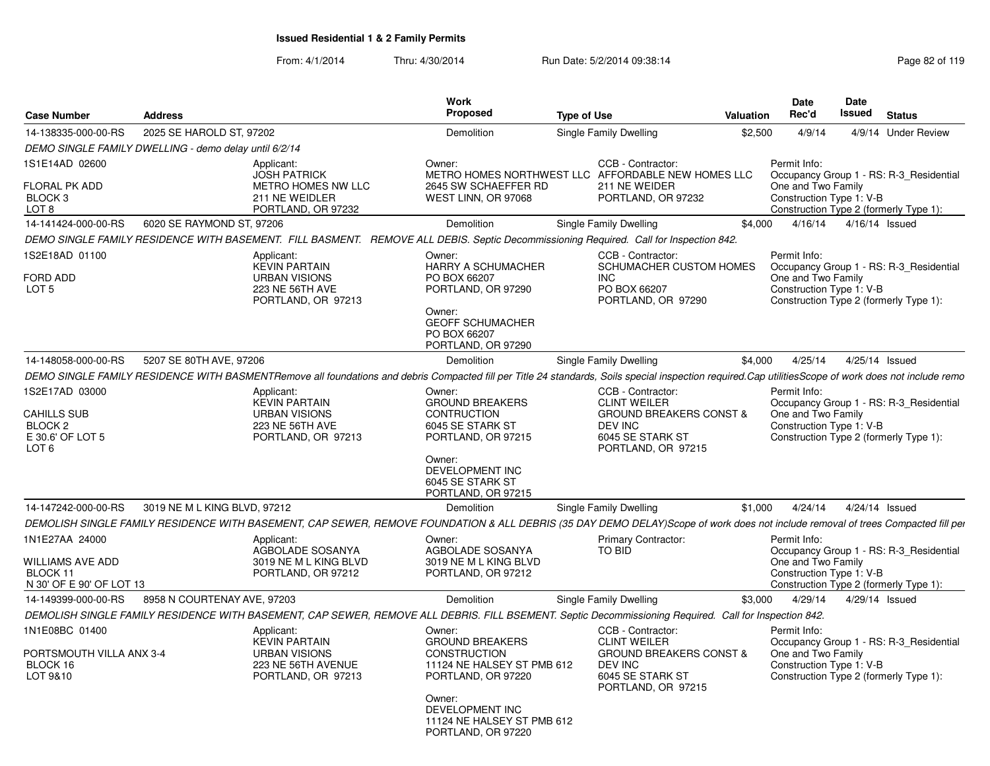| <b>Case Number</b>                                                                | <b>Address</b>                                        |                                                                                                                                                                                                      | <b>Work</b><br><b>Proposed</b>                                                                                                      | <b>Type of Use</b> |                                                                                                                | <b>Valuation</b> | <b>Date</b><br>Rec'd                                                                                                                                | <b>Date</b><br>Issued | <b>Status</b>  |                     |
|-----------------------------------------------------------------------------------|-------------------------------------------------------|------------------------------------------------------------------------------------------------------------------------------------------------------------------------------------------------------|-------------------------------------------------------------------------------------------------------------------------------------|--------------------|----------------------------------------------------------------------------------------------------------------|------------------|-----------------------------------------------------------------------------------------------------------------------------------------------------|-----------------------|----------------|---------------------|
| 14-138335-000-00-RS                                                               | 2025 SE HAROLD ST, 97202                              |                                                                                                                                                                                                      | Demolition                                                                                                                          |                    | Single Family Dwelling                                                                                         | \$2,500          | 4/9/14                                                                                                                                              |                       |                | 4/9/14 Under Review |
|                                                                                   | DEMO SINGLE FAMILY DWELLING - demo delay until 6/2/14 |                                                                                                                                                                                                      |                                                                                                                                     |                    |                                                                                                                |                  |                                                                                                                                                     |                       |                |                     |
| 1S1E14AD 02600                                                                    |                                                       | Applicant:                                                                                                                                                                                           | Owner:                                                                                                                              |                    | CCB - Contractor:                                                                                              |                  | Permit Info:                                                                                                                                        |                       |                |                     |
| <b>FLORAL PK ADD</b><br>BLOCK 3<br>LOT <sub>8</sub>                               |                                                       | <b>JOSH PATRICK</b><br>METRO HOMES NW LLC<br>211 NE WEIDLER<br>PORTLAND, OR 97232                                                                                                                    | 2645 SW SCHAEFFER RD<br>WEST LINN, OR 97068                                                                                         |                    | METRO HOMES NORTHWEST LLC AFFORDABLE NEW HOMES LLC<br>211 NE WEIDER<br>PORTLAND, OR 97232                      |                  | Occupancy Group 1 - RS: R-3_Residential<br>One and Two Family<br>Construction Type 1: V-B<br>Construction Type 2 (formerly Type 1):                 |                       |                |                     |
| 14-141424-000-00-RS                                                               | 6020 SE RAYMOND ST, 97206                             |                                                                                                                                                                                                      | Demolition                                                                                                                          |                    | Single Family Dwelling                                                                                         | \$4,000          | 4/16/14                                                                                                                                             |                       | 4/16/14 Issued |                     |
|                                                                                   |                                                       | DEMO SINGLE FAMILY RESIDENCE WITH BASEMENT. FILL BASMENT. REMOVE ALL DEBIS. Septic Decommissioning Required. Call for Inspection 842.                                                                |                                                                                                                                     |                    |                                                                                                                |                  |                                                                                                                                                     |                       |                |                     |
| 1S2E18AD 01100                                                                    |                                                       | Applicant:                                                                                                                                                                                           | Owner:                                                                                                                              |                    | CCB - Contractor:                                                                                              |                  | Permit Info:                                                                                                                                        |                       |                |                     |
| <b>FORD ADD</b><br>LOT <sub>5</sub>                                               |                                                       | <b>KEVIN PARTAIN</b><br><b>URBAN VISIONS</b><br>223 NE 56TH AVE<br>PORTLAND, OR 97213                                                                                                                | HARRY A SCHUMACHER<br>PO BOX 66207<br>PORTLAND, OR 97290<br>Owner:<br><b>GEOFF SCHUMACHER</b><br>PO BOX 66207<br>PORTLAND, OR 97290 |                    | SCHUMACHER CUSTOM HOMES<br>INC<br>PO BOX 66207<br>PORTLAND, OR 97290                                           |                  | Occupancy Group 1 - RS: R-3 Residential<br>One and Two Family<br>Construction Type 1: V-B<br>Construction Type 2 (formerly Type 1):                 |                       |                |                     |
| 14-148058-000-00-RS                                                               | 5207 SE 80TH AVE, 97206                               |                                                                                                                                                                                                      | Demolition                                                                                                                          |                    | Single Family Dwelling                                                                                         | \$4,000          | 4/25/14                                                                                                                                             |                       | 4/25/14 Issued |                     |
|                                                                                   |                                                       | DEMO SINGLE FAMILY RESIDENCE WITH BASMENTRemove all foundations and debris Compacted fill per Title 24 standards, Soils special inspection required.Cap utilitiesScope of work does not include remo |                                                                                                                                     |                    |                                                                                                                |                  |                                                                                                                                                     |                       |                |                     |
| 1S2E17AD 03000                                                                    |                                                       | Applicant:                                                                                                                                                                                           | Owner:                                                                                                                              |                    | CCB - Contractor:                                                                                              |                  | Permit Info:                                                                                                                                        |                       |                |                     |
| <b>CAHILLS SUB</b><br>BLOCK 2<br>E 30.6' OF LOT 5<br>LOT <sub>6</sub>             |                                                       | <b>KEVIN PARTAIN</b><br><b>URBAN VISIONS</b><br>223 NE 56TH AVE<br>PORTLAND, OR 97213                                                                                                                | <b>GROUND BREAKERS</b><br><b>CONTRUCTION</b><br>6045 SE STARK ST<br>PORTLAND, OR 97215<br>Owner:                                    |                    | <b>CLINT WEILER</b><br><b>GROUND BREAKERS CONST &amp;</b><br>DEV INC<br>6045 SE STARK ST<br>PORTLAND, OR 97215 |                  | Occupancy Group 1 - RS: R-3_Residential<br>One and Two Family<br>Construction Type 1: V-B<br>Construction Type 2 (formerly Type 1):                 |                       |                |                     |
|                                                                                   |                                                       |                                                                                                                                                                                                      | DEVELOPMENT INC<br>6045 SE STARK ST<br>PORTLAND, OR 97215                                                                           |                    |                                                                                                                |                  |                                                                                                                                                     |                       |                |                     |
| 14-147242-000-00-RS                                                               | 3019 NE M L KING BLVD, 97212                          |                                                                                                                                                                                                      | Demolition                                                                                                                          |                    | Single Family Dwelling                                                                                         | \$1,000          | 4/24/14                                                                                                                                             |                       | 4/24/14 Issued |                     |
|                                                                                   |                                                       | DEMOLISH SINGLE FAMILY RESIDENCE WITH BASEMENT, CAP SEWER, REMOVE FOUNDATION & ALL DEBRIS (35 DAY DEMO DELAY)Scope of work does not include removal of trees Compacted fill per                      |                                                                                                                                     |                    |                                                                                                                |                  |                                                                                                                                                     |                       |                |                     |
| 1N1E27AA 24000<br><b>WILLIAMS AVE ADD</b><br>BLOCK 11<br>N 30' OF E 90' OF LOT 13 |                                                       | Applicant:<br>AGBOLADE SOSANYA<br>3019 NE M L KING BLVD<br>PORTLAND, OR 97212                                                                                                                        | Owner:<br>AGBOLADE SOSANYA<br>3019 NE M L KING BLVD<br>PORTLAND, OR 97212                                                           |                    | <b>Primary Contractor:</b><br>TO BID                                                                           |                  | Permit Info:<br>Occupancy Group 1 - RS: R-3_Residential<br>One and Two Family<br>Construction Type 1: V-B<br>Construction Type 2 (formerly Type 1): |                       |                |                     |
| 14-149399-000-00-RS                                                               | 8958 N COURTENAY AVE, 97203                           |                                                                                                                                                                                                      | Demolition                                                                                                                          |                    | <b>Single Family Dwelling</b>                                                                                  | \$3,000          | 4/29/14                                                                                                                                             |                       | 4/29/14 Issued |                     |
|                                                                                   |                                                       | DEMOLISH SINGLE FAMILY RESIDENCE WITH BASEMENT, CAP SEWER, REMOVE ALL DEBRIS. FILL BSEMENT. Septic Decommissioning Required. Call for Inspection 842.                                                |                                                                                                                                     |                    |                                                                                                                |                  |                                                                                                                                                     |                       |                |                     |
| 1N1E08BC 01400                                                                    |                                                       | Applicant:                                                                                                                                                                                           | Owner:                                                                                                                              |                    | CCB - Contractor:                                                                                              |                  | Permit Info:                                                                                                                                        |                       |                |                     |
| PORTSMOUTH VILLA ANX 3-4<br>BLOCK 16<br>LOT 9&10                                  |                                                       | <b>KEVIN PARTAIN</b><br><b>URBAN VISIONS</b><br>223 NE 56TH AVENUE<br>PORTLAND, OR 97213                                                                                                             | <b>GROUND BREAKERS</b><br><b>CONSTRUCTION</b><br>11124 NE HALSEY ST PMB 612<br>PORTLAND, OR 97220<br>Owner:                         |                    | <b>CLINT WEILER</b><br><b>GROUND BREAKERS CONST &amp;</b><br>DEV INC<br>6045 SE STARK ST<br>PORTLAND, OR 97215 |                  | Occupancy Group 1 - RS: R-3 Residential<br>One and Two Family<br>Construction Type 1: V-B<br>Construction Type 2 (formerly Type 1):                 |                       |                |                     |
|                                                                                   |                                                       |                                                                                                                                                                                                      | DEVELOPMENT INC<br>11124 NE HALSEY ST PMB 612<br>PORTLAND, OR 97220                                                                 |                    |                                                                                                                |                  |                                                                                                                                                     |                       |                |                     |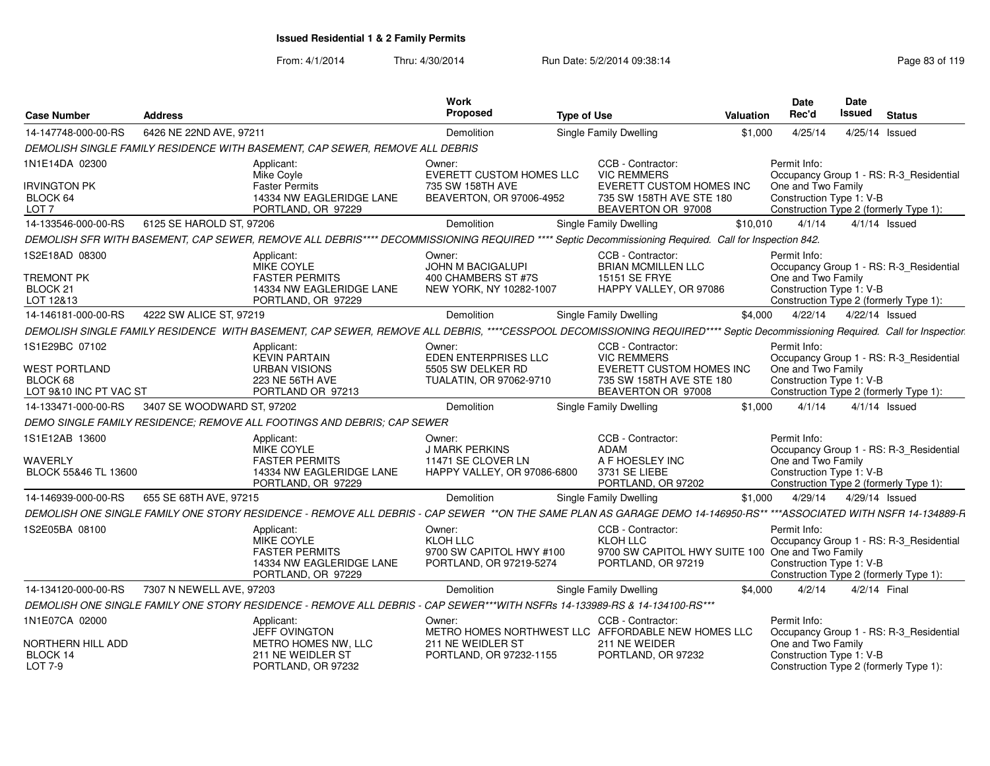| <b>Case Number</b>                                         | <b>Address</b>                                                                                                                                                               | Work<br>Proposed                                                          | <b>Type of Use</b>                                                                                      | Valuation | <b>Date</b><br>Rec'd                           | Date<br>Issued | <b>Status</b>                                                                     |
|------------------------------------------------------------|------------------------------------------------------------------------------------------------------------------------------------------------------------------------------|---------------------------------------------------------------------------|---------------------------------------------------------------------------------------------------------|-----------|------------------------------------------------|----------------|-----------------------------------------------------------------------------------|
| 14-147748-000-00-RS                                        | 6426 NE 22ND AVE, 97211                                                                                                                                                      | Demolition                                                                | <b>Single Family Dwelling</b>                                                                           | \$1,000   | 4/25/14                                        | 4/25/14 Issued |                                                                                   |
|                                                            | DEMOLISH SINGLE FAMILY RESIDENCE WITH BASEMENT, CAP SEWER, REMOVE ALL DEBRIS                                                                                                 |                                                                           |                                                                                                         |           |                                                |                |                                                                                   |
| 1N1E14DA 02300                                             | Applicant:<br>Mike Coyle                                                                                                                                                     | Owner:<br>EVERETT CUSTOM HOMES LLC                                        | CCB - Contractor:<br><b>VIC REMMERS</b>                                                                 |           | Permit Info:                                   |                | Occupancy Group 1 - RS: R-3_Residential                                           |
| <b>IRVINGTON PK</b><br>BLOCK 64<br>LOT <sub>7</sub>        | <b>Faster Permits</b><br>14334 NW EAGLERIDGE LANE<br>PORTLAND, OR 97229                                                                                                      | 735 SW 158TH AVE<br>BEAVERTON, OR 97006-4952                              | <b>EVERETT CUSTOM HOMES INC</b><br>735 SW 158TH AVE STE 180<br>BEAVERTON OR 97008                       |           | One and Two Family<br>Construction Type 1: V-B |                | Construction Type 2 (formerly Type 1):                                            |
| 14-133546-000-00-RS                                        | 6125 SE HAROLD ST, 97206                                                                                                                                                     | Demolition                                                                | Single Family Dwelling                                                                                  | \$10,010  | 4/1/14                                         |                | $4/1/14$ Issued                                                                   |
|                                                            | DEMOLISH SFR WITH BASEMENT, CAP SEWER, REMOVE ALL DEBRIS**** DECOMMISSIONING REQUIRED **** Septic Decommissioning Required. Call for Inspection 842.                         |                                                                           |                                                                                                         |           |                                                |                |                                                                                   |
| 1S2E18AD 08300<br><b>TREMONT PK</b>                        | Applicant:<br>MIKE COYLE<br><b>FASTER PERMITS</b>                                                                                                                            | Owner:<br>JOHN M BACIGALUPI<br>400 CHAMBERS ST #7S                        | CCB - Contractor:<br><b>BRIAN MCMILLEN LLC</b><br>15151 SE FRYE                                         |           | Permit Info:<br>One and Two Family             |                | Occupancy Group 1 - RS: R-3_Residential                                           |
| BLOCK 21<br>LOT 12&13                                      | 14334 NW EAGLERIDGE LANE<br>PORTLAND, OR 97229                                                                                                                               | NEW YORK, NY 10282-1007                                                   | HAPPY VALLEY, OR 97086                                                                                  |           | Construction Type 1: V-B                       |                | Construction Type 2 (formerly Type 1):                                            |
| 14-146181-000-00-RS                                        | 4222 SW ALICE ST, 97219                                                                                                                                                      | Demolition                                                                | <b>Single Family Dwelling</b>                                                                           | \$4,000   | 4/22/14                                        | 4/22/14 Issued |                                                                                   |
|                                                            | DEMOLISH SINGLE FAMILY RESIDENCE WITH BASEMENT, CAP SEWER, REMOVE ALL DEBRIS, ****CESSPOOL DECOMISSIONING REQUIRED**** Septic Decommissioning Required. Call for Inspectior. |                                                                           |                                                                                                         |           |                                                |                |                                                                                   |
| 1S1E29BC 07102                                             | Applicant:<br><b>KEVIN PARTAIN</b>                                                                                                                                           | Owner:<br><b>EDEN ENTERPRISES LLC</b>                                     | CCB - Contractor:<br><b>VIC REMMERS</b>                                                                 |           | Permit Info:                                   |                | Occupancy Group 1 - RS: R-3_Residential                                           |
| <b>WEST PORTLAND</b><br>BLOCK 68<br>LOT 9&10 INC PT VAC ST | <b>URBAN VISIONS</b><br>223 NE 56TH AVE<br>PORTLAND OR 97213                                                                                                                 | 5505 SW DELKER RD<br>TUALATIN, OR 97062-9710                              | <b>EVERETT CUSTOM HOMES INC</b><br>735 SW 158TH AVE STE 180<br>BEAVERTON OR 97008                       |           | One and Two Family<br>Construction Type 1: V-B |                | Construction Type 2 (formerly Type 1):                                            |
| 14-133471-000-00-RS                                        | 3407 SE WOODWARD ST, 97202                                                                                                                                                   | Demolition                                                                | Single Family Dwelling                                                                                  | \$1,000   | 4/1/14                                         |                | $4/1/14$ Issued                                                                   |
|                                                            | DEMO SINGLE FAMILY RESIDENCE; REMOVE ALL FOOTINGS AND DEBRIS; CAP SEWER                                                                                                      |                                                                           |                                                                                                         |           |                                                |                |                                                                                   |
| 1S1E12AB 13600                                             | Applicant:<br>MIKE COYLE                                                                                                                                                     | Owner:<br><b>J MARK PERKINS</b>                                           | CCB - Contractor:<br>ADAM                                                                               |           | Permit Info:                                   |                | Occupancy Group 1 - RS: R-3 Residential                                           |
| <b>WAVERLY</b><br>BLOCK 55&46 TL 13600                     | <b>FASTER PERMITS</b><br>14334 NW EAGLERIDGE LANE<br>PORTLAND, OR 97229                                                                                                      | 11471 SE CLOVER LN<br>HAPPY VALLEY, OR 97086-6800                         | A F HOESLEY INC<br>3731 SE LIEBE<br>PORTLAND, OR 97202                                                  |           | One and Two Family<br>Construction Type 1: V-B |                | Construction Type 2 (formerly Type 1):                                            |
| 14-146939-000-00-RS                                        | 655 SE 68TH AVE, 97215                                                                                                                                                       | Demolition                                                                | Single Family Dwelling                                                                                  | \$1,000   | 4/29/14                                        | 4/29/14 Issued |                                                                                   |
|                                                            | DEMOLISH ONE SINGLE FAMILY ONE STORY RESIDENCE - REMOVE ALL DEBRIS - CAP SEWER **ON THE SAME PLAN AS GARAGE DEMO 14-146950-RS** ***ASSOCIATED WITH NSFR 14-134889-R          |                                                                           |                                                                                                         |           |                                                |                |                                                                                   |
| 1S2E05BA 08100                                             | Applicant:<br>MIKE COYLE<br><b>FASTER PERMITS</b><br>14334 NW EAGLERIDGE LANE<br>PORTLAND, OR 97229                                                                          | Owner:<br>KLOH LLC<br>9700 SW CAPITOL HWY #100<br>PORTLAND, OR 97219-5274 | CCB - Contractor:<br>KLOH LLC<br>9700 SW CAPITOL HWY SUITE 100 One and Two Family<br>PORTLAND, OR 97219 |           | Permit Info:<br>Construction Type 1: V-B       |                | Occupancy Group 1 - RS: R-3 Residential<br>Construction Type 2 (formerly Type 1): |
| 14-134120-000-00-RS                                        | 7307 N NEWELL AVE, 97203                                                                                                                                                     | Demolition                                                                | Single Family Dwelling                                                                                  | \$4.000   | 4/2/14                                         | 4/2/14 Final   |                                                                                   |
|                                                            | DEMOLISH ONE SINGLE FAMILY ONE STORY RESIDENCE - REMOVE ALL DEBRIS - CAP SEWER***WITH NSFRs 14-133989-RS & 14-134100-RS***                                                   |                                                                           |                                                                                                         |           |                                                |                |                                                                                   |
| 1N1E07CA 02000                                             | Applicant:<br>JEFF OVINGTON                                                                                                                                                  | Owner:<br>METRO HOMES NORTHWEST LLC AFFORDABLE NEW HOMES LLC              | CCB - Contractor:                                                                                       |           | Permit Info:                                   |                | Occupancy Group 1 - RS: R-3_Residential                                           |
| NORTHERN HILL ADD<br>BLOCK 14<br>LOT 7-9                   | METRO HOMES NW, LLC<br>211 NE WEIDLER ST<br>PORTLAND, OR 97232                                                                                                               | 211 NE WEIDLER ST<br>PORTLAND, OR 97232-1155                              | 211 NE WEIDER<br>PORTLAND, OR 97232                                                                     |           | One and Two Family<br>Construction Type 1: V-B |                | Construction Type 2 (formerly Type 1):                                            |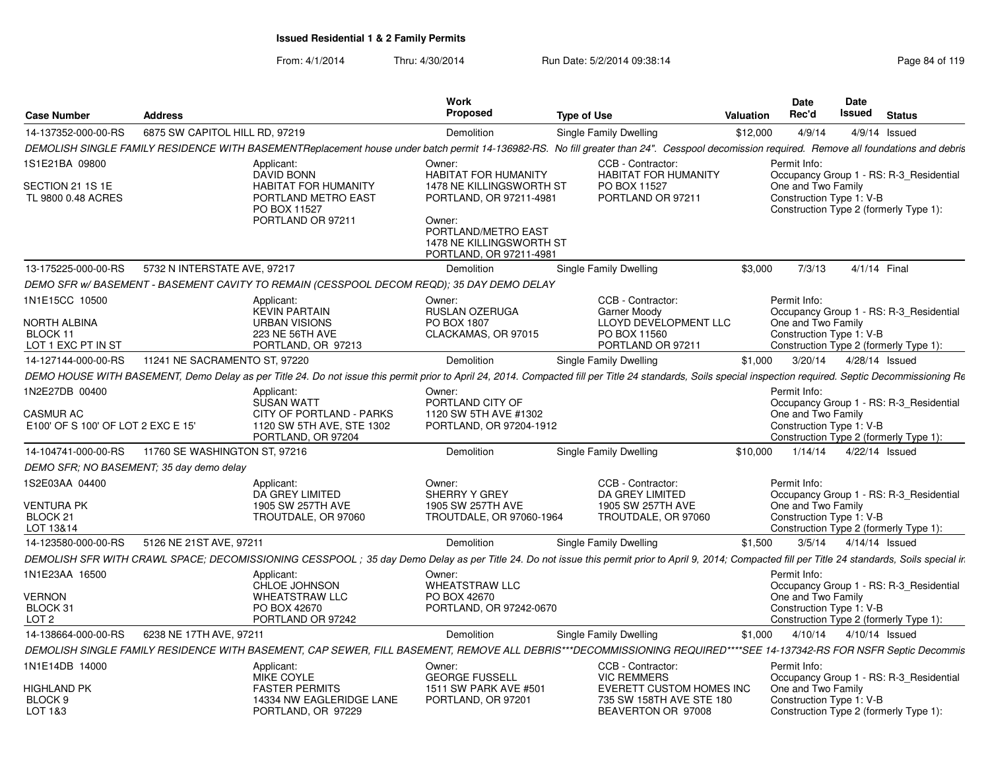| <b>Case Number</b>                                                      | <b>Address</b>                 |                                                                                                                     | Work<br><b>Proposed</b>                                                                                | <b>Type of Use</b>                                                                                                                                                                                                                    | Valuation | Date<br>Rec'd                                                  | <b>Date</b><br><b>Issued</b> | <b>Status</b>                                                                     |
|-------------------------------------------------------------------------|--------------------------------|---------------------------------------------------------------------------------------------------------------------|--------------------------------------------------------------------------------------------------------|---------------------------------------------------------------------------------------------------------------------------------------------------------------------------------------------------------------------------------------|-----------|----------------------------------------------------------------|------------------------------|-----------------------------------------------------------------------------------|
| 14-137352-000-00-RS                                                     | 6875 SW CAPITOL HILL RD, 97219 |                                                                                                                     | Demolition                                                                                             | Single Family Dwelling                                                                                                                                                                                                                | \$12,000  | 4/9/14                                                         |                              | $4/9/14$ Issued                                                                   |
|                                                                         |                                |                                                                                                                     |                                                                                                        | DEMOLISH SINGLE FAMILY RESIDENCE WITH BASEMENTReplacement house under batch permit 14-136982-RS. No fill greater than 24". Cesspool decomission required. Remove all foundations and debris                                           |           |                                                                |                              |                                                                                   |
| 1S1E21BA 09800<br>SECTION 21 1S 1E<br>TL 9800 0.48 ACRES                |                                | Applicant:<br>DAVID BONN<br><b>HABITAT FOR HUMANITY</b><br>PORTLAND METRO EAST<br>PO BOX 11527<br>PORTLAND OR 97211 | Owner:<br><b>HABITAT FOR HUMANITY</b><br>1478 NE KILLINGSWORTH ST<br>PORTLAND, OR 97211-4981<br>Owner: | CCB - Contractor:<br><b>HABITAT FOR HUMANITY</b><br>PO BOX 11527<br>PORTLAND OR 97211                                                                                                                                                 |           | Permit Info:<br>One and Two Family<br>Construction Type 1: V-B |                              | Occupancy Group 1 - RS: R-3_Residential<br>Construction Type 2 (formerly Type 1): |
|                                                                         |                                |                                                                                                                     | PORTLAND/METRO EAST<br>1478 NE KILLINGSWORTH ST<br>PORTLAND, OR 97211-4981                             |                                                                                                                                                                                                                                       |           |                                                                |                              |                                                                                   |
| 13-175225-000-00-RS                                                     | 5732 N INTERSTATE AVE, 97217   |                                                                                                                     | Demolition                                                                                             | Single Family Dwelling                                                                                                                                                                                                                | \$3,000   | 7/3/13                                                         |                              | 4/1/14 Final                                                                      |
|                                                                         |                                | DEMO SFR W/BASEMENT - BASEMENT CAVITY TO REMAIN (CESSPOOL DECOM REQD); 35 DAY DEMO DELAY                            |                                                                                                        |                                                                                                                                                                                                                                       |           |                                                                |                              |                                                                                   |
| 1N1E15CC 10500<br>NORTH ALBINA<br><b>BLOCK 11</b><br>LOT 1 EXC PT IN ST |                                | Applicant:<br><b>KEVIN PARTAIN</b><br><b>URBAN VISIONS</b><br>223 NE 56TH AVE<br>PORTLAND, OR 97213                 | Owner:<br><b>RUSLAN OZERUGA</b><br><b>PO BOX 1807</b><br>CLACKAMAS, OR 97015                           | CCB - Contractor:<br>Garner Moody<br>LLOYD DEVELOPMENT LLC<br>PO BOX 11560<br>PORTLAND OR 97211                                                                                                                                       |           | Permit Info:<br>One and Two Family<br>Construction Type 1: V-B |                              | Occupancy Group 1 - RS: R-3 Residential<br>Construction Type 2 (formerly Type 1): |
|                                                                         |                                |                                                                                                                     |                                                                                                        |                                                                                                                                                                                                                                       | \$1.000   | 3/20/14                                                        |                              | 4/28/14 Issued                                                                    |
| 14-127144-000-00-RS                                                     | 11241 NE SACRAMENTO ST, 97220  |                                                                                                                     | <b>Demolition</b>                                                                                      | Single Family Dwelling<br>DEMO HOUSE WITH BASEMENT, Demo Delay as per Title 24. Do not issue this permit prior to April 24, 2014. Compacted fill per Title 24 standards, Soils special inspection required. Septic Decommissioning Re |           |                                                                |                              |                                                                                   |
|                                                                         |                                |                                                                                                                     | Owner:                                                                                                 |                                                                                                                                                                                                                                       |           | Permit Info:                                                   |                              |                                                                                   |
| 1N2E27DB 00400<br>CASMUR AC<br>E100' OF S 100' OF LOT 2 EXC E 15'       |                                | Applicant:<br><b>SUSAN WATT</b><br>CITY OF PORTLAND - PARKS<br>1120 SW 5TH AVE, STE 1302<br>PORTLAND, OR 97204      | PORTLAND CITY OF<br>1120 SW 5TH AVE #1302<br>PORTLAND, OR 97204-1912                                   |                                                                                                                                                                                                                                       |           | One and Two Family<br>Construction Type 1: V-B                 |                              | Occupancy Group 1 - RS: R-3 Residential<br>Construction Type 2 (formerly Type 1): |
| 14-104741-000-00-RS                                                     | 11760 SE WASHINGTON ST, 97216  |                                                                                                                     | <b>Demolition</b>                                                                                      | Single Family Dwelling                                                                                                                                                                                                                | \$10,000  | 1/14/14                                                        |                              | 4/22/14 Issued                                                                    |
| DEMO SFR; NO BASEMENT; 35 day demo delay                                |                                |                                                                                                                     |                                                                                                        |                                                                                                                                                                                                                                       |           |                                                                |                              |                                                                                   |
| 1S2E03AA 04400<br><b>VENTURA PK</b><br>BLOCK <sub>21</sub><br>LOT 13&14 |                                | Applicant:<br>DA GREY LIMITED<br>1905 SW 257TH AVE<br>TROUTDALE, OR 97060                                           | Owner:<br>SHERRY Y GREY<br>1905 SW 257TH AVE<br>TROUTDALE, OR 97060-1964                               | CCB - Contractor:<br>DA GREY LIMITED<br>1905 SW 257TH AVE<br>TROUTDALE, OR 97060                                                                                                                                                      |           | Permit Info:<br>One and Two Family<br>Construction Type 1: V-B |                              | Occupancy Group 1 - RS: R-3 Residential<br>Construction Type 2 (formerly Type 1): |
| 14-123580-000-00-RS                                                     | 5126 NE 21ST AVE, 97211        |                                                                                                                     | <b>Demolition</b>                                                                                      | Single Family Dwelling                                                                                                                                                                                                                | \$1,500   | 3/5/14                                                         |                              | 4/14/14 Issued                                                                    |
|                                                                         |                                |                                                                                                                     |                                                                                                        | DEMOLISH SFR WITH CRAWL SPACE; DECOMISSIONING CESSPOOL; 35 day Demo Delay as per Title 24. Do not issue this permit prior to April 9, 2014; Compacted fill per Title 24 standards, Soils special ir.                                  |           |                                                                |                              |                                                                                   |
| 1N1E23AA 16500                                                          |                                | Applicant:<br>CHLOE JOHNSON                                                                                         | Owner:<br><b>WHEATSTRAW LLC</b>                                                                        |                                                                                                                                                                                                                                       |           | Permit Info:                                                   |                              | Occupancy Group 1 - RS: R-3 Residential                                           |
| <b>VERNON</b><br>BLOCK 31<br>LOT 2                                      |                                | <b>WHEATSTRAW LLC</b><br>PO BOX 42670<br>PORTLAND OR 97242                                                          | PO BOX 42670<br>PORTLAND, OR 97242-0670                                                                |                                                                                                                                                                                                                                       |           | One and Two Family<br>Construction Type 1: V-B                 |                              | Construction Type 2 (formerly Type 1):                                            |
| 14-138664-000-00-RS                                                     | 6238 NE 17TH AVE, 97211        |                                                                                                                     | Demolition                                                                                             | Single Family Dwelling                                                                                                                                                                                                                | \$1,000   |                                                                | 4/10/14  4/10/14  Issued     |                                                                                   |
|                                                                         |                                |                                                                                                                     |                                                                                                        | DEMOLISH SINGLE FAMILY RESIDENCE WITH BASEMENT, CAP SEWER, FILL BASEMENT, REMOVE ALL DEBRIS***DECOMMISSIONING REQUIRED****SEE 14-137342-RS FOR NSFR Septic Decommis                                                                   |           |                                                                |                              |                                                                                   |
| 1N1E14DB 14000                                                          |                                | Applicant:<br><b>MIKE COYLE</b>                                                                                     | Owner:<br><b>GEORGE FUSSELL</b>                                                                        | CCB - Contractor:<br><b>VIC REMMERS</b>                                                                                                                                                                                               |           | Permit Info:                                                   |                              | Occupancy Group 1 - RS: R-3 Residential                                           |
| HIGHLAND PK<br>BLOCK <sub>9</sub><br>LOT 1&3                            |                                | <b>FASTER PERMITS</b><br>14334 NW EAGLERIDGE LANE<br>PORTLAND, OR 97229                                             | 1511 SW PARK AVE #501<br>PORTLAND, OR 97201                                                            | EVERETT CUSTOM HOMES INC<br>735 SW 158TH AVE STE 180<br>BEAVERTON OR 97008                                                                                                                                                            |           | One and Two Family<br>Construction Type 1: V-B                 |                              | Construction Type 2 (formerly Type 1):                                            |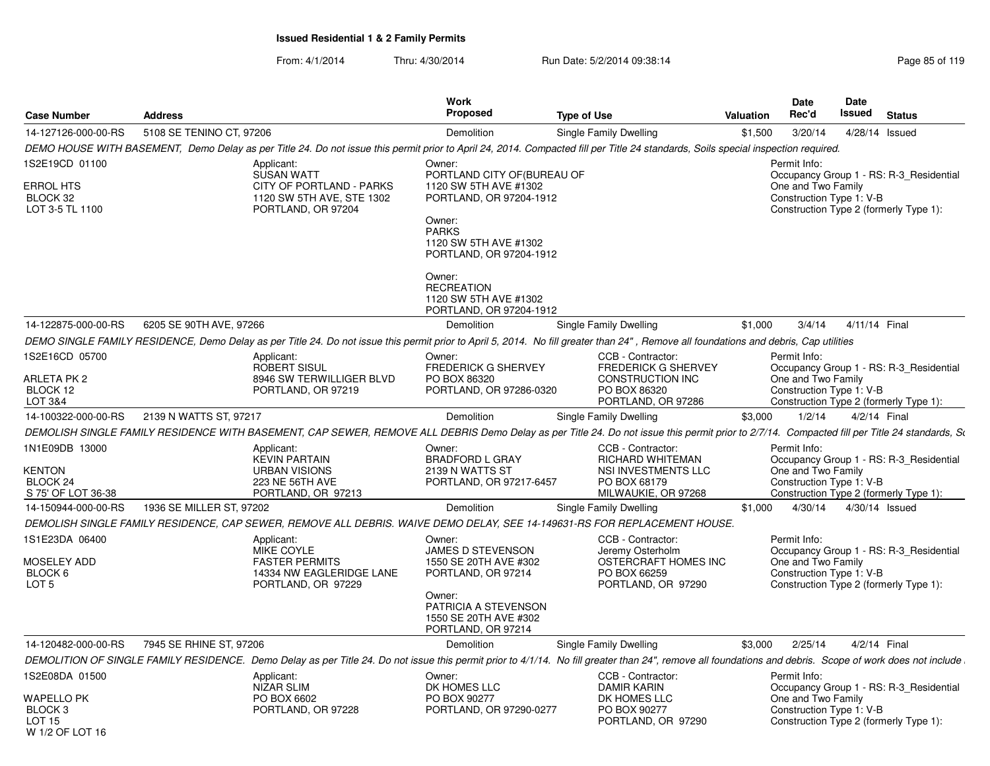W 1/2 OF LOT 16

| <b>Case Number</b>                                           | <b>Address</b>           |                                                                                                     | Work<br>Proposed                                                                                                                                              | <b>Type of Use</b>                                                                                                                                                                                       | Valuation | Date<br>Rec'd                                                  | Date<br>Issued | <b>Status</b>                                                                     |
|--------------------------------------------------------------|--------------------------|-----------------------------------------------------------------------------------------------------|---------------------------------------------------------------------------------------------------------------------------------------------------------------|----------------------------------------------------------------------------------------------------------------------------------------------------------------------------------------------------------|-----------|----------------------------------------------------------------|----------------|-----------------------------------------------------------------------------------|
| 14-127126-000-00-RS                                          | 5108 SE TENINO CT, 97206 |                                                                                                     | Demolition                                                                                                                                                    | Single Family Dwelling                                                                                                                                                                                   | \$1,500   | 3/20/14                                                        |                | 4/28/14 Issued                                                                    |
|                                                              |                          |                                                                                                     |                                                                                                                                                               | DEMO HOUSE WITH BASEMENT, Demo Delay as per Title 24. Do not issue this permit prior to April 24, 2014. Compacted fill per Title 24 standards, Soils special inspection required.                        |           |                                                                |                |                                                                                   |
| 1S2E19CD 01100                                               |                          | Applicant:                                                                                          | Owner:                                                                                                                                                        |                                                                                                                                                                                                          |           | Permit Info:                                                   |                |                                                                                   |
| <b>ERROL HTS</b><br>BLOCK 32<br>LOT 3-5 TL 1100              |                          | <b>SUSAN WATT</b><br>CITY OF PORTLAND - PARKS<br>1120 SW 5TH AVE, STE 1302<br>PORTLAND, OR 97204    | PORTLAND CITY OF (BUREAU OF<br>1120 SW 5TH AVE #1302<br>PORTLAND, OR 97204-1912<br>Owner:<br><b>PARKS</b><br>1120 SW 5TH AVE #1302<br>PORTLAND, OR 97204-1912 |                                                                                                                                                                                                          |           | One and Two Family<br>Construction Type 1: V-B                 |                | Occupancy Group 1 - RS: R-3_Residential<br>Construction Type 2 (formerly Type 1): |
|                                                              |                          |                                                                                                     | Owner:<br><b>RECREATION</b><br>1120 SW 5TH AVE #1302<br>PORTLAND, OR 97204-1912                                                                               |                                                                                                                                                                                                          |           |                                                                |                |                                                                                   |
| 14-122875-000-00-RS                                          | 6205 SE 90TH AVE, 97266  |                                                                                                     | Demolition                                                                                                                                                    | Single Family Dwelling                                                                                                                                                                                   | \$1,000   | 3/4/14                                                         | 4/11/14 Final  |                                                                                   |
|                                                              |                          |                                                                                                     |                                                                                                                                                               | DEMO SINGLE FAMILY RESIDENCE, Demo Delay as per Title 24. Do not issue this permit prior to April 5, 2014. No fill greater than 24", Remove all foundations and debris, Cap utilities                    |           |                                                                |                |                                                                                   |
| 1S2E16CD 05700                                               |                          | Applicant:<br>ROBERT SISUL                                                                          | Owner:<br><b>FREDERICK G SHERVEY</b>                                                                                                                          | CCB - Contractor:<br><b>FREDERICK G SHERVEY</b>                                                                                                                                                          |           | Permit Info:                                                   |                | Occupancy Group 1 - RS: R-3_Residential                                           |
| <b>ARLETA PK 2</b><br>BLOCK 12<br>LOT 3&4                    |                          | 8946 SW TERWILLIGER BLVD<br>PORTLAND, OR 97219                                                      | PO BOX 86320<br>PORTLAND, OR 97286-0320                                                                                                                       | CONSTRUCTION INC<br>PO BOX 86320<br>PORTLAND, OR 97286                                                                                                                                                   |           | One and Two Family<br>Construction Type 1: V-B                 |                | Construction Type 2 (formerly Type 1):                                            |
| 14-100322-000-00-RS                                          | 2139 N WATTS ST, 97217   |                                                                                                     | Demolition                                                                                                                                                    | Single Family Dwelling                                                                                                                                                                                   | \$3,000   | 1/2/14                                                         | 4/2/14 Final   |                                                                                   |
|                                                              |                          |                                                                                                     |                                                                                                                                                               | DEMOLISH SINGLE FAMILY RESIDENCE WITH BASEMENT, CAP SEWER, REMOVE ALL DEBRIS Demo Delay as per Title 24. Do not issue this permit prior to 2/7/14. Compacted fill per Title 24 standards, So             |           |                                                                |                |                                                                                   |
| 1N1E09DB 13000<br>KENTON<br>BLOCK 24<br>S 75' OF LOT 36-38   |                          | Applicant:<br><b>KEVIN PARTAIN</b><br><b>URBAN VISIONS</b><br>223 NE 56TH AVE<br>PORTLAND, OR 97213 | Owner:<br><b>BRADFORD L GRAY</b><br>2139 N WATTS ST<br>PORTLAND, OR 97217-6457                                                                                | CCB - Contractor:<br>RICHARD WHITEMAN<br>NSI INVESTMENTS LLC<br>PO BOX 68179<br>MILWAUKIE, OR 97268                                                                                                      |           | Permit Info:<br>One and Two Family<br>Construction Type 1: V-B |                | Occupancy Group 1 - RS: R-3 Residential<br>Construction Type 2 (formerly Type 1): |
| 14-150944-000-00-RS                                          | 1936 SE MILLER ST, 97202 |                                                                                                     | Demolition                                                                                                                                                    | Single Family Dwelling                                                                                                                                                                                   | \$1,000   | 4/30/14                                                        | 4/30/14 Issued |                                                                                   |
|                                                              |                          |                                                                                                     |                                                                                                                                                               | DEMOLISH SINGLE FAMILY RESIDENCE, CAP SEWER, REMOVE ALL DEBRIS. WAIVE DEMO DELAY, SEE 14-149631-RS FOR REPLACEMENT HOUSE.                                                                                |           |                                                                |                |                                                                                   |
| 1S1E23DA 06400<br>MOSELEY ADD<br>BLOCK 6<br>LOT <sub>5</sub> |                          | Applicant:<br>MIKE COYLE<br><b>FASTER PERMITS</b><br>14334 NW EAGLERIDGE LANE<br>PORTLAND, OR 97229 | Owner:<br>JAMES D STEVENSON<br>1550 SE 20TH AVE #302<br>PORTLAND, OR 97214<br>Owner:<br>PATRICIA A STEVENSON                                                  | CCB - Contractor:<br>Jeremy Osterholm<br>OSTERCRAFT HOMES INC<br>PO BOX 66259<br>PORTLAND, OR 97290                                                                                                      |           | Permit Info:<br>One and Two Family<br>Construction Type 1: V-B |                | Occupancy Group 1 - RS: R-3 Residential<br>Construction Type 2 (formerly Type 1): |
|                                                              |                          |                                                                                                     | 1550 SE 20TH AVE #302<br>PORTLAND, OR 97214                                                                                                                   |                                                                                                                                                                                                          |           |                                                                |                |                                                                                   |
| 14-120482-000-00-RS                                          | 7945 SE RHINE ST, 97206  |                                                                                                     | Demolition                                                                                                                                                    | Single Family Dwelling                                                                                                                                                                                   | \$3,000   | 2/25/14                                                        | 4/2/14 Final   |                                                                                   |
|                                                              |                          |                                                                                                     |                                                                                                                                                               | DEMOLITION OF SINGLE FAMILY RESIDENCE. Demo Delay as per Title 24. Do not issue this permit prior to 4/1/14. No fill greater than 24", remove all foundations and debris. Scope of work does not include |           |                                                                |                |                                                                                   |
| 1S2E08DA 01500                                               |                          | Applicant:<br><b>NIZAR SLIM</b>                                                                     | Owner:<br>DK HOMES LLC                                                                                                                                        | CCB - Contractor:<br><b>DAMIR KARIN</b>                                                                                                                                                                  |           | Permit Info:                                                   |                | Occupancy Group 1 - RS: R-3 Residential                                           |
| WAPELLO PK<br>BLOCK <sub>3</sub><br><b>LOT 15</b>            |                          | PO BOX 6602<br>PORTLAND, OR 97228                                                                   | PO BOX 90277<br>PORTLAND, OR 97290-0277                                                                                                                       | DK HOMES LLC<br>PO BOX 90277<br>PORTLAND, OR 97290                                                                                                                                                       |           | One and Two Family<br>Construction Type 1: V-B                 |                | Construction Type 2 (formerly Type 1):                                            |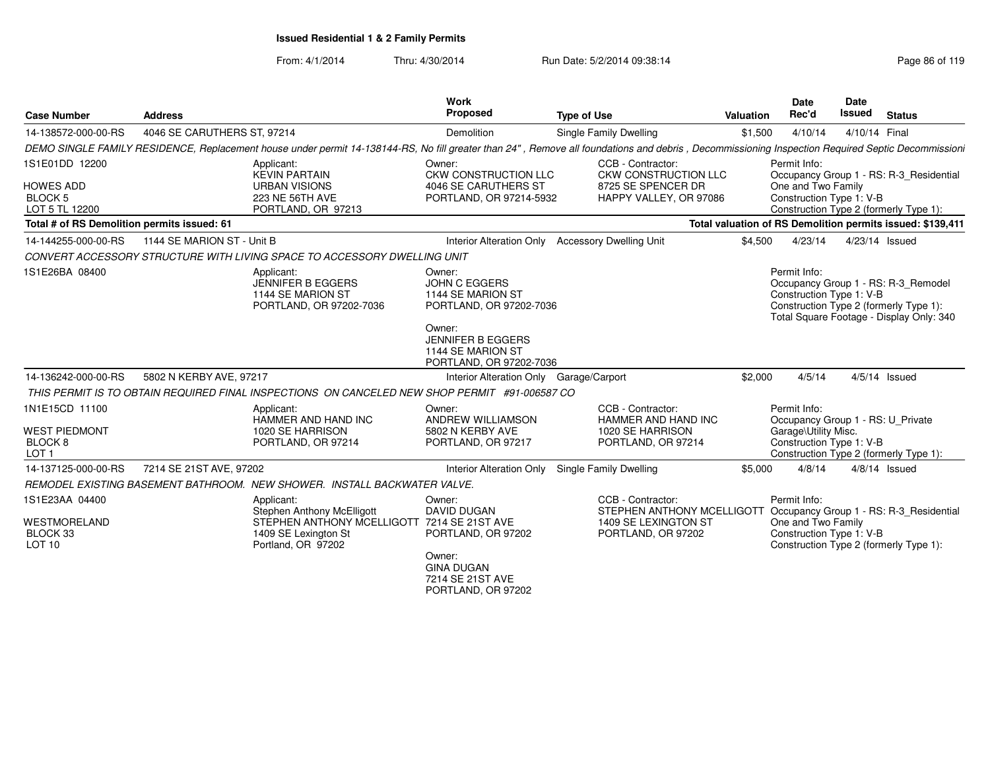| <b>Case Number</b>                                  | <b>Address</b>                                                                                                                                                                                   | <b>Work</b><br>Proposed                                                            | <b>Type of Use</b>                                              | Valuation | Date<br>Rec'd                                     | <b>Date</b><br><b>Issued</b> | <b>Status</b>                                                                                                             |
|-----------------------------------------------------|--------------------------------------------------------------------------------------------------------------------------------------------------------------------------------------------------|------------------------------------------------------------------------------------|-----------------------------------------------------------------|-----------|---------------------------------------------------|------------------------------|---------------------------------------------------------------------------------------------------------------------------|
| 14-138572-000-00-RS                                 | 4046 SE CARUTHERS ST, 97214                                                                                                                                                                      | Demolition                                                                         | <b>Single Family Dwelling</b>                                   | \$1,500   | 4/10/14                                           | 4/10/14 Final                |                                                                                                                           |
|                                                     | DEMO SINGLE FAMILY RESIDENCE, Replacement house under permit 14-138144-RS, No fill greater than 24", Remove all foundations and debris, Decommissioning Inspection Required Septic Decommissioni |                                                                                    |                                                                 |           |                                                   |                              |                                                                                                                           |
| 1S1E01DD 12200<br><b>HOWES ADD</b>                  | Applicant:<br><b>KEVIN PARTAIN</b><br><b>URBAN VISIONS</b>                                                                                                                                       | Owner:<br><b>CKW CONSTRUCTION LLC</b><br>4046 SE CARUTHERS ST                      | CCB - Contractor:<br>CKW CONSTRUCTION LLC<br>8725 SE SPENCER DR |           | Permit Info:<br>One and Two Family                |                              | Occupancy Group 1 - RS: R-3_Residential                                                                                   |
| <b>BLOCK 5</b><br>LOT 5 TL 12200                    | 223 NE 56TH AVE<br>PORTLAND, OR 97213                                                                                                                                                            | PORTLAND, OR 97214-5932                                                            | HAPPY VALLEY, OR 97086                                          |           | Construction Type 1: V-B                          |                              | Construction Type 2 (formerly Type 1):                                                                                    |
| Total # of RS Demolition permits issued: 61         |                                                                                                                                                                                                  |                                                                                    |                                                                 |           |                                                   |                              | Total valuation of RS Demolition permits issued: \$139,411                                                                |
| 14-144255-000-00-RS                                 | 1144 SE MARION ST - Unit B                                                                                                                                                                       | <b>Interior Alteration Only</b>                                                    | <b>Accessory Dwelling Unit</b>                                  | \$4,500   | 4/23/14                                           |                              | 4/23/14 Issued                                                                                                            |
|                                                     | CONVERT ACCESSORY STRUCTURE WITH LIVING SPACE TO ACCESSORY DWELLING UNIT                                                                                                                         |                                                                                    |                                                                 |           |                                                   |                              |                                                                                                                           |
| 1S1E26BA 08400                                      | Applicant:<br>JENNIFER B EGGERS<br>1144 SE MARION ST<br>PORTLAND, OR 97202-7036                                                                                                                  | Owner:<br><b>JOHN C EGGERS</b><br>1144 SE MARION ST<br>PORTLAND, OR 97202-7036     |                                                                 |           | Permit Info:<br>Construction Type 1: V-B          |                              | Occupancy Group 1 - RS: R-3_Remodel<br>Construction Type 2 (formerly Type 1):<br>Total Square Footage - Display Only: 340 |
|                                                     |                                                                                                                                                                                                  | Owner:<br><b>JENNIFER B EGGERS</b><br>1144 SE MARION ST<br>PORTLAND, OR 97202-7036 |                                                                 |           |                                                   |                              |                                                                                                                           |
| 14-136242-000-00-RS                                 | 5802 N KERBY AVE, 97217                                                                                                                                                                          | Interior Alteration Only Garage/Carport                                            |                                                                 | \$2,000   | 4/5/14                                            |                              | $4/5/14$ Issued                                                                                                           |
|                                                     | THIS PERMIT IS TO OBTAIN REQUIRED FINAL INSPECTIONS ON CANCELED NEW SHOP PERMIT #91-006587 CO                                                                                                    |                                                                                    |                                                                 |           |                                                   |                              |                                                                                                                           |
| 1N1E15CD 11100                                      | Applicant:<br>HAMMER AND HAND INC                                                                                                                                                                | Owner:<br><b>ANDREW WILLIAMSON</b>                                                 | CCB - Contractor:<br>HAMMER AND HAND INC                        |           | Permit Info:<br>Occupancy Group 1 - RS: U_Private |                              |                                                                                                                           |
| <b>WEST PIEDMONT</b><br>BLOCK 8<br>LOT <sub>1</sub> | 1020 SE HARRISON<br>PORTLAND, OR 97214                                                                                                                                                           | 5802 N KERBY AVE<br>PORTLAND, OR 97217                                             | 1020 SE HARRISON<br>PORTLAND, OR 97214                          |           | Garage\Utility Misc.<br>Construction Type 1: V-B  |                              | Construction Type 2 (formerly Type 1):                                                                                    |
| 14-137125-000-00-RS                                 | 7214 SE 21ST AVE, 97202                                                                                                                                                                          | <b>Interior Alteration Only</b>                                                    | Single Family Dwelling                                          | \$5,000   | 4/8/14                                            |                              | $4/8/14$ Issued                                                                                                           |
|                                                     | REMODEL EXISTING BASEMENT BATHROOM. NEW SHOWER. INSTALL BACKWATER VALVE.                                                                                                                         |                                                                                    |                                                                 |           |                                                   |                              |                                                                                                                           |
| 1S1E23AA 04400                                      | Applicant:<br>Stephen Anthony McElligott                                                                                                                                                         | Owner:<br><b>DAVID DUGAN</b>                                                       | CCB - Contractor:<br>STEPHEN ANTHONY MCELLIGOTT                 |           | Permit Info:                                      |                              | Occupancy Group 1 - RS: R-3 Residential                                                                                   |
| WESTMORELAND<br>BLOCK 33<br><b>LOT 10</b>           | STEPHEN ANTHONY MCELLIGOTT 7214 SE 21ST AVE<br>1409 SE Lexington St<br>Portland, OR 97202                                                                                                        | PORTLAND, OR 97202<br>Owner:                                                       | 1409 SE LEXINGTON ST<br>PORTLAND, OR 97202                      |           | One and Two Family<br>Construction Type 1: V-B    |                              | Construction Type 2 (formerly Type 1):                                                                                    |
|                                                     |                                                                                                                                                                                                  | <b>GINA DUGAN</b><br>7214 SE 21ST AVE<br>PORTLAND, OR 97202                        |                                                                 |           |                                                   |                              |                                                                                                                           |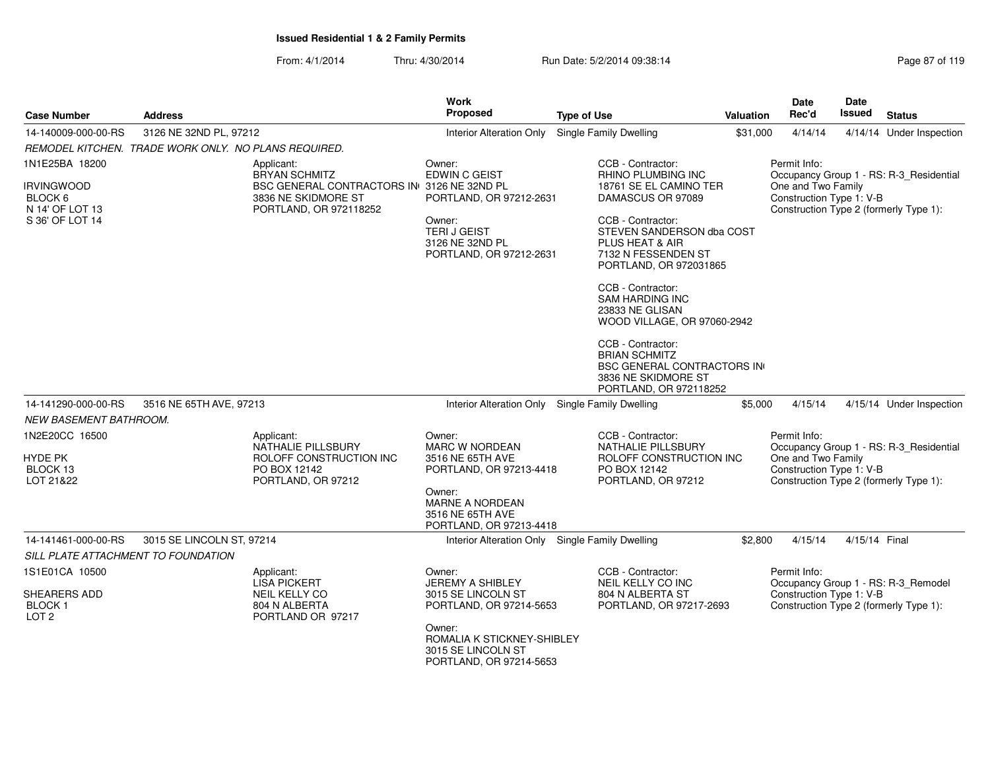|                                                                    |                                                      |                                                                                                                     | <b>Work</b>                                                                                                                                                       |                                                                                                                                                                                                                                                                                                 |           | <b>Date</b>                                                    | Date          |                                                                                   |
|--------------------------------------------------------------------|------------------------------------------------------|---------------------------------------------------------------------------------------------------------------------|-------------------------------------------------------------------------------------------------------------------------------------------------------------------|-------------------------------------------------------------------------------------------------------------------------------------------------------------------------------------------------------------------------------------------------------------------------------------------------|-----------|----------------------------------------------------------------|---------------|-----------------------------------------------------------------------------------|
| <b>Case Number</b>                                                 | <b>Address</b>                                       |                                                                                                                     | <b>Proposed</b>                                                                                                                                                   | <b>Type of Use</b>                                                                                                                                                                                                                                                                              | Valuation | Rec'd                                                          | Issued        | <b>Status</b>                                                                     |
| 14-140009-000-00-RS                                                | 3126 NE 32ND PL, 97212                               |                                                                                                                     | Interior Alteration Only                                                                                                                                          | Single Family Dwelling                                                                                                                                                                                                                                                                          | \$31,000  | 4/14/14                                                        |               | 4/14/14 Under Inspection                                                          |
|                                                                    | REMODEL KITCHEN. TRADE WORK ONLY. NO PLANS REQUIRED. |                                                                                                                     |                                                                                                                                                                   |                                                                                                                                                                                                                                                                                                 |           |                                                                |               |                                                                                   |
| 1N1E25BA 18200                                                     |                                                      | Applicant:                                                                                                          | Owner:                                                                                                                                                            | CCB - Contractor:                                                                                                                                                                                                                                                                               |           | Permit Info:                                                   |               |                                                                                   |
| <b>IRVINGWOOD</b><br>BLOCK 6<br>N 14' OF LOT 13<br>S 36' OF LOT 14 |                                                      | <b>BRYAN SCHMITZ</b><br>BSC GENERAL CONTRACTORS IN 3126 NE 32ND PL<br>3836 NE SKIDMORE ST<br>PORTLAND, OR 972118252 | <b>EDWIN C GEIST</b><br>PORTLAND, OR 97212-2631<br>Owner:<br><b>TERIJ GEIST</b><br>3126 NE 32ND PL<br>PORTLAND, OR 97212-2631                                     | <b>RHINO PLUMBING INC</b><br>18761 SE EL CAMINO TER<br>DAMASCUS OR 97089<br>CCB - Contractor:<br>STEVEN SANDERSON dba COST<br>PLUS HEAT & AIR<br>7132 N FESSENDEN ST<br>PORTLAND, OR 972031865<br>CCB - Contractor:<br><b>SAM HARDING INC</b><br>23833 NE GLISAN<br>WOOD VILLAGE, OR 97060-2942 |           | One and Two Family<br>Construction Type 1: V-B                 |               | Occupancy Group 1 - RS: R-3_Residential<br>Construction Type 2 (formerly Type 1): |
|                                                                    |                                                      |                                                                                                                     |                                                                                                                                                                   | CCB - Contractor:<br><b>BRIAN SCHMITZ</b><br><b>BSC GENERAL CONTRACTORS IN</b><br>3836 NE SKIDMORE ST<br>PORTLAND, OR 972118252                                                                                                                                                                 |           |                                                                |               |                                                                                   |
| 14-141290-000-00-RS                                                | 3516 NE 65TH AVE, 97213                              |                                                                                                                     | Interior Alteration Only                                                                                                                                          | Single Family Dwelling                                                                                                                                                                                                                                                                          | \$5,000   | 4/15/14                                                        |               | 4/15/14 Under Inspection                                                          |
| NEW BASEMENT BATHROOM.                                             |                                                      |                                                                                                                     |                                                                                                                                                                   |                                                                                                                                                                                                                                                                                                 |           |                                                                |               |                                                                                   |
| 1N2E20CC 16500<br><b>HYDE PK</b><br>BLOCK 13<br>LOT 21&22          |                                                      | Applicant:<br>NATHALIE PILLSBURY<br>ROLOFF CONSTRUCTION INC<br>PO BOX 12142<br>PORTLAND, OR 97212                   | Owner:<br><b>MARC W NORDEAN</b><br>3516 NE 65TH AVE<br>PORTLAND, OR 97213-4418<br>Owner:<br><b>MARNE A NORDEAN</b><br>3516 NE 65TH AVE<br>PORTLAND, OR 97213-4418 | CCB - Contractor:<br>NATHALIE PILLSBURY<br>ROLOFF CONSTRUCTION INC<br>PO BOX 12142<br>PORTLAND, OR 97212                                                                                                                                                                                        |           | Permit Info:<br>One and Two Family<br>Construction Type 1: V-B |               | Occupancy Group 1 - RS: R-3_Residential<br>Construction Type 2 (formerly Type 1): |
| 14-141461-000-00-RS                                                | 3015 SE LINCOLN ST, 97214                            |                                                                                                                     | Interior Alteration Only Single Family Dwelling                                                                                                                   |                                                                                                                                                                                                                                                                                                 | \$2,800   | 4/15/14                                                        | 4/15/14 Final |                                                                                   |
| SILL PLATE ATTACHMENT TO FOUNDATION                                |                                                      |                                                                                                                     |                                                                                                                                                                   |                                                                                                                                                                                                                                                                                                 |           |                                                                |               |                                                                                   |
| 1S1E01CA 10500<br>SHEARERS ADD                                     |                                                      | Applicant:<br><b>LISA PICKERT</b><br><b>NEIL KELLY CO</b>                                                           | Owner:<br><b>JEREMY A SHIBLEY</b><br>3015 SE LINCOLN ST                                                                                                           | CCB - Contractor:<br>NEIL KELLY CO INC<br>804 N ALBERTA ST                                                                                                                                                                                                                                      |           | Permit Info:<br>Construction Type 1: V-B                       |               | Occupancy Group 1 - RS: R-3_Remodel                                               |
| <b>BLOCK1</b><br>LOT <sub>2</sub>                                  |                                                      | 804 N ALBERTA<br>PORTLAND OR 97217                                                                                  | PORTLAND, OR 97214-5653                                                                                                                                           | PORTLAND, OR 97217-2693                                                                                                                                                                                                                                                                         |           | Construction Type 2 (formerly Type 1):                         |               |                                                                                   |
|                                                                    |                                                      |                                                                                                                     | Owner:<br>ROMALIA K STICKNEY-SHIBLEY<br>3015 SE LINCOLN ST<br>PORTLAND, OR 97214-5653                                                                             |                                                                                                                                                                                                                                                                                                 |           |                                                                |               |                                                                                   |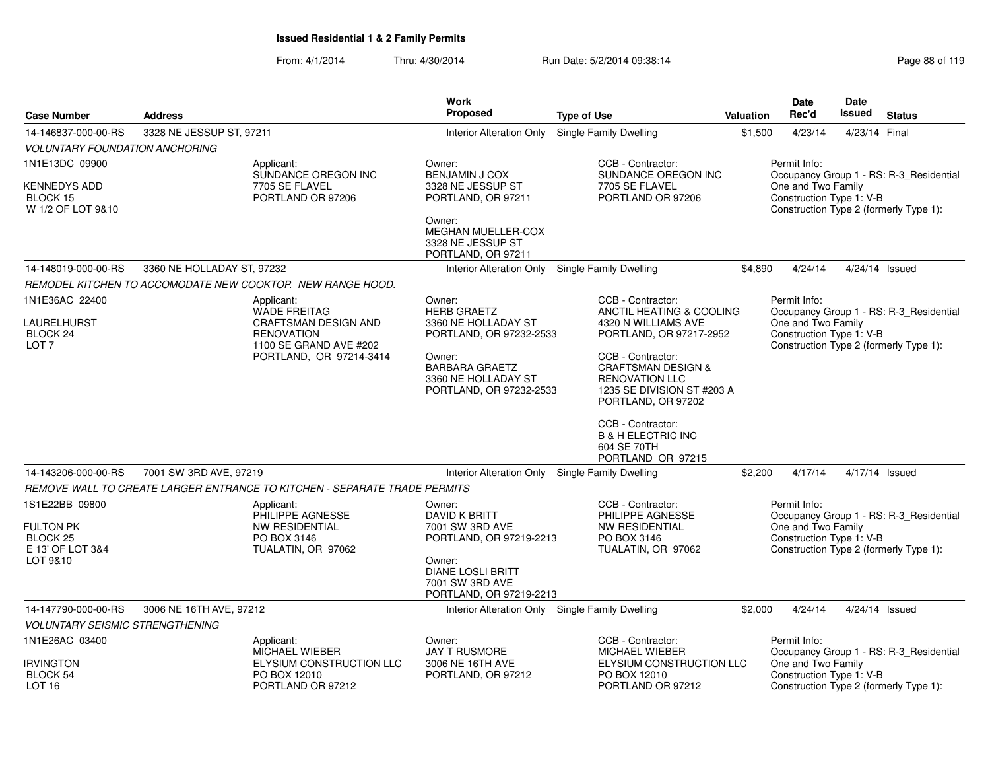| <b>Case Number</b>                                                      | <b>Address</b>             |                                                                                                                                            | Work<br><b>Proposed</b>                                                                                                                                             | <b>Type of Use</b>                                                                                                                                                                                                                                                                                                           | <b>Valuation</b> | <b>Date</b><br>Rec'd                                           | <b>Date</b><br>Issued | <b>Status</b>                                                                     |
|-------------------------------------------------------------------------|----------------------------|--------------------------------------------------------------------------------------------------------------------------------------------|---------------------------------------------------------------------------------------------------------------------------------------------------------------------|------------------------------------------------------------------------------------------------------------------------------------------------------------------------------------------------------------------------------------------------------------------------------------------------------------------------------|------------------|----------------------------------------------------------------|-----------------------|-----------------------------------------------------------------------------------|
| 14-146837-000-00-RS                                                     | 3328 NE JESSUP ST, 97211   |                                                                                                                                            | Interior Alteration Only                                                                                                                                            | <b>Single Family Dwelling</b>                                                                                                                                                                                                                                                                                                | \$1,500          | 4/23/14                                                        | 4/23/14 Final         |                                                                                   |
| <i>VOLUNTARY FOUNDATION ANCHORING</i>                                   |                            |                                                                                                                                            |                                                                                                                                                                     |                                                                                                                                                                                                                                                                                                                              |                  |                                                                |                       |                                                                                   |
| 1N1E13DC 09900                                                          |                            | Applicant:<br>SUNDANCE OREGON INC                                                                                                          | Owner:<br><b>BENJAMIN J COX</b>                                                                                                                                     | CCB - Contractor:<br>SUNDANCE OREGON INC                                                                                                                                                                                                                                                                                     |                  | Permit Info:                                                   |                       | Occupancy Group 1 - RS: R-3_Residential                                           |
| KENNEDYS ADD<br>BLOCK 15<br>W 1/2 OF LOT 9&10                           |                            | 7705 SE FLAVEL<br>PORTLAND OR 97206                                                                                                        | 3328 NE JESSUP ST<br>PORTLAND, OR 97211<br>Owner:<br><b>MEGHAN MUELLER-COX</b><br>3328 NE JESSUP ST                                                                 | 7705 SE FLAVEL<br>PORTLAND OR 97206                                                                                                                                                                                                                                                                                          |                  | One and Two Family<br>Construction Type 1: V-B                 |                       | Construction Type 2 (formerly Type 1):                                            |
|                                                                         |                            |                                                                                                                                            | PORTLAND, OR 97211                                                                                                                                                  |                                                                                                                                                                                                                                                                                                                              |                  |                                                                |                       |                                                                                   |
| 14-148019-000-00-RS                                                     | 3360 NE HOLLADAY ST, 97232 |                                                                                                                                            | Interior Alteration Only Single Family Dwelling                                                                                                                     |                                                                                                                                                                                                                                                                                                                              | \$4,890          | 4/24/14                                                        |                       | 4/24/14 Issued                                                                    |
|                                                                         |                            | REMODEL KITCHEN TO ACCOMODATE NEW COOKTOP. NEW RANGE HOOD.                                                                                 |                                                                                                                                                                     |                                                                                                                                                                                                                                                                                                                              |                  |                                                                |                       |                                                                                   |
| 1N1E36AC 22400<br>LAURELHURST<br>BLOCK 24<br>LOT <sub>7</sub>           |                            | Applicant:<br><b>WADE FREITAG</b><br><b>CRAFTSMAN DESIGN AND</b><br><b>RENOVATION</b><br>1100 SE GRAND AVE #202<br>PORTLAND, OR 97214-3414 | Owner:<br><b>HERB GRAETZ</b><br>3360 NE HOLLADAY ST<br>PORTLAND, OR 97232-2533<br>Owner:<br><b>BARBARA GRAETZ</b><br>3360 NE HOLLADAY ST<br>PORTLAND, OR 97232-2533 | CCB - Contractor:<br>ANCTIL HEATING & COOLING<br>4320 N WILLIAMS AVE<br>PORTLAND, OR 97217-2952<br>CCB - Contractor:<br><b>CRAFTSMAN DESIGN &amp;</b><br><b>RENOVATION LLC</b><br>1235 SE DIVISION ST #203 A<br>PORTLAND, OR 97202<br>CCB - Contractor:<br><b>B &amp; H ELECTRIC INC</b><br>604 SE 70TH<br>PORTLAND OR 97215 |                  | Permit Info:<br>One and Two Family<br>Construction Type 1: V-B |                       | Occupancy Group 1 - RS: R-3_Residential<br>Construction Type 2 (formerly Type 1): |
| 14-143206-000-00-RS                                                     | 7001 SW 3RD AVE, 97219     |                                                                                                                                            | Interior Alteration Only Single Family Dwelling                                                                                                                     |                                                                                                                                                                                                                                                                                                                              | \$2,200          | 4/17/14                                                        |                       | 4/17/14 Issued                                                                    |
|                                                                         |                            | REMOVE WALL TO CREATE LARGER ENTRANCE TO KITCHEN - SEPARATE TRADE PERMITS                                                                  |                                                                                                                                                                     |                                                                                                                                                                                                                                                                                                                              |                  |                                                                |                       |                                                                                   |
| 1S1E22BB 09800<br>FULTON PK<br>BLOCK 25<br>E 13' OF LOT 3&4<br>LOT 9&10 |                            | Applicant:<br>PHILIPPE AGNESSE<br>NW RESIDENTIAL<br>PO BOX 3146<br>TUALATIN, OR 97062                                                      | Owner:<br>DAVID K BRITT<br>7001 SW 3RD AVE<br>PORTLAND, OR 97219-2213<br>Owner:<br><b>DIANE LOSLI BRITT</b><br>7001 SW 3RD AVE<br>PORTLAND, OR 97219-2213           | CCB - Contractor:<br>PHILIPPE AGNESSE<br><b>NW RESIDENTIAL</b><br>PO BOX 3146<br>TUALATIN, OR 97062                                                                                                                                                                                                                          |                  | Permit Info:<br>One and Two Family<br>Construction Type 1: V-B |                       | Occupancy Group 1 - RS: R-3 Residential<br>Construction Type 2 (formerly Type 1): |
| 14-147790-000-00-RS                                                     | 3006 NE 16TH AVE, 97212    |                                                                                                                                            | Interior Alteration Only Single Family Dwelling                                                                                                                     |                                                                                                                                                                                                                                                                                                                              | \$2,000          | 4/24/14                                                        |                       | 4/24/14 Issued                                                                    |
| <i>VOLUNTARY SEISMIC STRENGTHENING</i>                                  |                            |                                                                                                                                            |                                                                                                                                                                     |                                                                                                                                                                                                                                                                                                                              |                  |                                                                |                       |                                                                                   |
| 1N1E26AC 03400                                                          |                            | Applicant:<br>MICHAEL WIEBER                                                                                                               | Owner:<br>JAY T RUSMORE                                                                                                                                             | CCB - Contractor:<br>MICHAEL WIEBER                                                                                                                                                                                                                                                                                          |                  | Permit Info:                                                   |                       | Occupancy Group 1 - RS: R-3_Residential                                           |
| <b>IRVINGTON</b><br>BLOCK 54<br>LOT 16                                  |                            | ELYSIUM CONSTRUCTION LLC<br>PO BOX 12010<br>PORTLAND OR 97212                                                                              | 3006 NE 16TH AVE<br>PORTLAND, OR 97212                                                                                                                              | ELYSIUM CONSTRUCTION LLC<br>PO BOX 12010<br>PORTLAND OR 97212                                                                                                                                                                                                                                                                |                  | One and Two Family<br>Construction Type 1: V-B                 |                       | Construction Type 2 (formerly Type 1):                                            |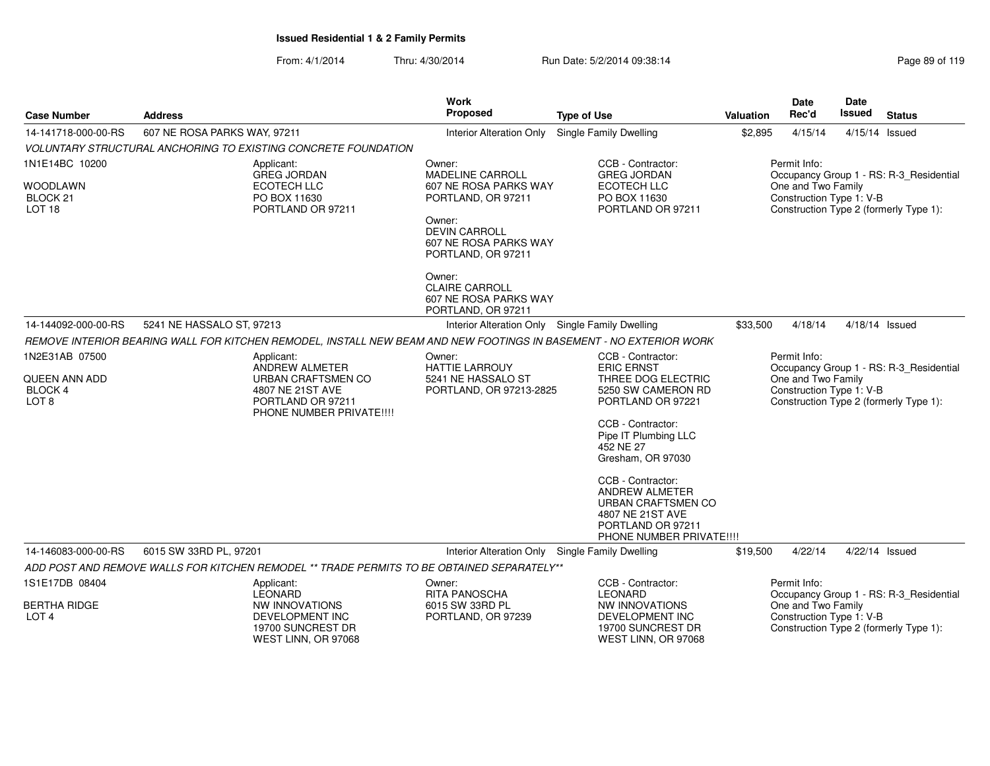| <b>Case Number</b>                                                 | <b>Address</b>                                                                                                           | <b>Work</b><br>Proposed                                                                                                                                                                              | <b>Type of Use</b>                                                                                                                                                                                                                                                                                                               | <b>Valuation</b> | <b>Date</b><br>Rec'd                                           | <b>Date</b><br>Issued | <b>Status</b>                                                                     |
|--------------------------------------------------------------------|--------------------------------------------------------------------------------------------------------------------------|------------------------------------------------------------------------------------------------------------------------------------------------------------------------------------------------------|----------------------------------------------------------------------------------------------------------------------------------------------------------------------------------------------------------------------------------------------------------------------------------------------------------------------------------|------------------|----------------------------------------------------------------|-----------------------|-----------------------------------------------------------------------------------|
| 14-141718-000-00-RS                                                | 607 NE ROSA PARKS WAY, 97211                                                                                             | <b>Interior Alteration Only</b>                                                                                                                                                                      | <b>Single Family Dwelling</b>                                                                                                                                                                                                                                                                                                    | \$2,895          | 4/15/14                                                        |                       | 4/15/14 Issued                                                                    |
|                                                                    | <b>VOLUNTARY STRUCTURAL ANCHORING TO EXISTING CONCRETE FOUNDATION</b>                                                    |                                                                                                                                                                                                      |                                                                                                                                                                                                                                                                                                                                  |                  |                                                                |                       |                                                                                   |
| 1N1E14BC 10200<br><b>WOODLAWN</b><br>BLOCK 21<br>LOT <sub>18</sub> | Applicant:<br><b>GREG JORDAN</b><br>ECOTECH LLC<br>PO BOX 11630<br>PORTLAND OR 97211                                     | Owner:<br><b>MADELINE CARROLL</b><br>607 NE ROSA PARKS WAY<br>PORTLAND, OR 97211<br>Owner:<br><b>DEVIN CARROLL</b><br>607 NE ROSA PARKS WAY<br>PORTLAND, OR 97211<br>Owner:<br><b>CLAIRE CARROLL</b> | CCB - Contractor:<br><b>GREG JORDAN</b><br><b>ECOTECH LLC</b><br>PO BOX 11630<br>PORTLAND OR 97211                                                                                                                                                                                                                               |                  | Permit Info:<br>One and Two Family<br>Construction Type 1: V-B |                       | Occupancy Group 1 - RS: R-3_Residential<br>Construction Type 2 (formerly Type 1): |
|                                                                    |                                                                                                                          | 607 NE ROSA PARKS WAY<br>PORTLAND, OR 97211                                                                                                                                                          |                                                                                                                                                                                                                                                                                                                                  |                  |                                                                |                       |                                                                                   |
| 14-144092-000-00-RS                                                | 5241 NE HASSALO ST, 97213                                                                                                | Interior Alteration Only Single Family Dwelling                                                                                                                                                      |                                                                                                                                                                                                                                                                                                                                  | \$33,500         | 4/18/14                                                        |                       | $4/18/14$ Issued                                                                  |
|                                                                    | REMOVE INTERIOR BEARING WALL FOR KITCHEN REMODEL, INSTALL NEW BEAM AND NEW FOOTINGS IN BASEMENT - NO EXTERIOR WORK       |                                                                                                                                                                                                      |                                                                                                                                                                                                                                                                                                                                  |                  |                                                                |                       |                                                                                   |
| 1N2E31AB 07500<br>QUEEN ANN ADD<br>BLOCK 4<br>LOT <sub>8</sub>     | Applicant:<br>ANDREW ALMETER<br>URBAN CRAFTSMEN CO<br>4807 NE 21ST AVE<br>PORTLAND OR 97211<br>PHONE NUMBER PRIVATE !!!! | Owner:<br><b>HATTIE LARROUY</b><br>5241 NE HASSALO ST<br>PORTLAND, OR 97213-2825                                                                                                                     | CCB - Contractor:<br><b>ERIC ERNST</b><br>THREE DOG ELECTRIC<br>5250 SW CAMERON RD<br>PORTLAND OR 97221<br>CCB - Contractor:<br>Pipe IT Plumbing LLC<br>452 NE 27<br>Gresham, OR 97030<br>CCB - Contractor:<br><b>ANDREW ALMETER</b><br>URBAN CRAFTSMEN CO<br>4807 NE 21ST AVE<br>PORTLAND OR 97211<br>PHONE NUMBER PRIVATE !!!! |                  | Permit Info:<br>One and Two Family<br>Construction Type 1: V-B |                       | Occupancy Group 1 - RS: R-3_Residential<br>Construction Type 2 (formerly Type 1): |
| 14-146083-000-00-RS                                                | 6015 SW 33RD PL, 97201                                                                                                   | Interior Alteration Only Single Family Dwelling                                                                                                                                                      |                                                                                                                                                                                                                                                                                                                                  | \$19,500         | 4/22/14                                                        |                       | 4/22/14 Issued                                                                    |
|                                                                    | ADD POST AND REMOVE WALLS FOR KITCHEN REMODEL ** TRADE PERMITS TO BE OBTAINED SEPARATELY**                               |                                                                                                                                                                                                      |                                                                                                                                                                                                                                                                                                                                  |                  |                                                                |                       |                                                                                   |
| 1S1E17DB 08404                                                     | Applicant:<br><b>LEONARD</b>                                                                                             | Owner:<br><b>RITA PANOSCHA</b>                                                                                                                                                                       | CCB - Contractor:<br><b>LEONARD</b>                                                                                                                                                                                                                                                                                              |                  | Permit Info:                                                   |                       | Occupancy Group 1 - RS: R-3_Residential                                           |
| <b>BERTHA RIDGE</b><br>LOT <sub>4</sub>                            | NW INNOVATIONS<br>DEVELOPMENT INC<br>19700 SUNCREST DR<br>WEST LINN, OR 97068                                            | 6015 SW 33RD PL<br>PORTLAND, OR 97239                                                                                                                                                                | NW INNOVATIONS<br>DEVELOPMENT INC<br>19700 SUNCREST DR<br>WEST LINN, OR 97068                                                                                                                                                                                                                                                    |                  | One and Two Family<br>Construction Type 1: V-B                 |                       | Construction Type 2 (formerly Type 1):                                            |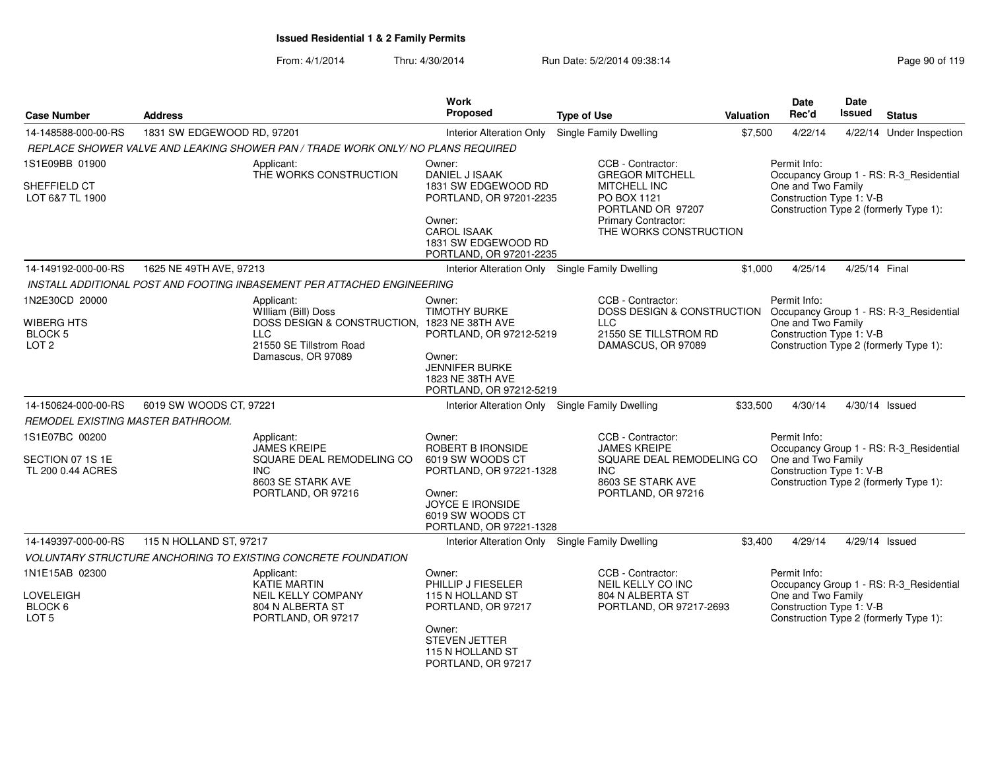| <b>Case Number</b>                                      | <b>Address</b>             |                                                                                       | Work<br>Proposed                                                                                                                | <b>Type of Use</b>                                                                    | Valuation | <b>Date</b><br>Rec'd                           | <b>Date</b><br><b>Issued</b> | <b>Status</b>                           |
|---------------------------------------------------------|----------------------------|---------------------------------------------------------------------------------------|---------------------------------------------------------------------------------------------------------------------------------|---------------------------------------------------------------------------------------|-----------|------------------------------------------------|------------------------------|-----------------------------------------|
| 14-148588-000-00-RS                                     | 1831 SW EDGEWOOD RD, 97201 |                                                                                       | <b>Interior Alteration Only</b>                                                                                                 | <b>Single Family Dwelling</b>                                                         | \$7,500   | 4/22/14                                        |                              | 4/22/14 Under Inspection                |
|                                                         |                            | REPLACE SHOWER VALVE AND LEAKING SHOWER PAN / TRADE WORK ONLY/ NO PLANS REQUIRED      |                                                                                                                                 |                                                                                       |           |                                                |                              |                                         |
| 1S1E09BB 01900                                          |                            | Applicant:<br>THE WORKS CONSTRUCTION                                                  | Owner:<br>DANIEL J ISAAK                                                                                                        | CCB - Contractor:<br><b>GREGOR MITCHELL</b>                                           |           | Permit Info:                                   |                              | Occupancy Group 1 - RS: R-3_Residential |
| SHEFFIELD CT<br>LOT 6&7 TL 1900                         |                            |                                                                                       | 1831 SW EDGEWOOD RD<br>PORTLAND, OR 97201-2235<br>Owner:                                                                        | <b>MITCHELL INC</b><br>PO BOX 1121<br>PORTLAND OR 97207<br><b>Primary Contractor:</b> |           | One and Two Family<br>Construction Type 1: V-B |                              | Construction Type 2 (formerly Type 1):  |
|                                                         |                            |                                                                                       | <b>CAROL ISAAK</b><br>1831 SW EDGEWOOD RD<br>PORTLAND, OR 97201-2235                                                            | THE WORKS CONSTRUCTION                                                                |           |                                                |                              |                                         |
| 14-149192-000-00-RS                                     | 1625 NE 49TH AVE, 97213    |                                                                                       | Interior Alteration Only Single Family Dwelling                                                                                 |                                                                                       | \$1.000   | 4/25/14                                        | 4/25/14 Final                |                                         |
|                                                         |                            | INSTALL ADDITIONAL POST AND FOOTING INBASEMENT PER ATTACHED ENGINEERING               |                                                                                                                                 |                                                                                       |           |                                                |                              |                                         |
| 1N2E30CD 20000                                          |                            | Applicant:<br>William (Bill) Doss                                                     | Owner:<br><b>TIMOTHY BURKE</b>                                                                                                  | CCB - Contractor:<br>DOSS DESIGN & CONSTRUCTION<br><b>LLC</b>                         |           | Permit Info:                                   |                              | Occupancy Group 1 - RS: R-3_Residential |
| <b>WIBERG HTS</b><br><b>BLOCK 5</b><br>LOT <sub>2</sub> |                            | DOSS DESIGN & CONSTRUCTION, 1823 NE 38TH AVE<br><b>LLC</b><br>21550 SE Tillstrom Road | PORTLAND, OR 97212-5219                                                                                                         | 21550 SE TILLSTROM RD<br>DAMASCUS, OR 97089                                           |           | One and Two Family<br>Construction Type 1: V-B |                              | Construction Type 2 (formerly Type 1):  |
|                                                         |                            | Damascus, OR 97089                                                                    | Owner:<br><b>JENNIFER BURKE</b><br>1823 NE 38TH AVE<br>PORTLAND, OR 97212-5219                                                  |                                                                                       |           |                                                |                              |                                         |
| 14-150624-000-00-RS                                     | 6019 SW WOODS CT, 97221    |                                                                                       | Interior Alteration Only Single Family Dwelling                                                                                 |                                                                                       | \$33,500  | 4/30/14                                        |                              | 4/30/14 Issued                          |
| REMODEL EXISTING MASTER BATHROOM.                       |                            |                                                                                       |                                                                                                                                 |                                                                                       |           |                                                |                              |                                         |
| 1S1E07BC 00200                                          |                            | Applicant:<br><b>JAMES KREIPE</b>                                                     | Owner:<br>ROBERT B IRONSIDE                                                                                                     | CCB - Contractor:<br><b>JAMES KREIPE</b>                                              |           | Permit Info:                                   |                              | Occupancy Group 1 - RS: R-3_Residential |
| SECTION 07 1S 1E<br>TL 200 0.44 ACRES                   |                            | SQUARE DEAL REMODELING CO<br>INC.<br>8603 SE STARK AVE<br>PORTLAND, OR 97216          | 6019 SW WOODS CT<br>PORTLAND, OR 97221-1328<br>Owner:<br><b>JOYCE E IRONSIDE</b><br>6019 SW WOODS CT<br>PORTLAND, OR 97221-1328 | SQUARE DEAL REMODELING CO<br><b>INC</b><br>8603 SE STARK AVE<br>PORTLAND, OR 97216    |           | One and Two Family<br>Construction Type 1: V-B |                              | Construction Type 2 (formerly Type 1):  |
| 14-149397-000-00-RS                                     | 115 N HOLLAND ST, 97217    |                                                                                       | Interior Alteration Only Single Family Dwelling                                                                                 |                                                                                       | \$3,400   | 4/29/14                                        |                              | 4/29/14 Issued                          |
|                                                         |                            | <b>VOLUNTARY STRUCTURE ANCHORING TO EXISTING CONCRETE FOUNDATION</b>                  |                                                                                                                                 |                                                                                       |           |                                                |                              |                                         |
| 1N1E15AB 02300<br>LOVELEIGH                             |                            | Applicant:<br><b>KATIE MARTIN</b><br><b>NEIL KELLY COMPANY</b>                        | Owner:<br>PHILLIP J FIESELER<br>115 N HOLLAND ST                                                                                | CCB - Contractor:<br>NEIL KELLY CO INC<br>804 N ALBERTA ST                            |           | Permit Info:<br>One and Two Family             |                              | Occupancy Group 1 - RS: R-3 Residential |
| BLOCK 6<br>LOT <sub>5</sub>                             |                            | 804 N ALBERTA ST<br>PORTLAND, OR 97217                                                | PORTLAND, OR 97217<br>Owner:<br><b>STEVEN JETTER</b><br>115 N HOLLAND ST<br>PORTLAND, OR 97217                                  | PORTLAND, OR 97217-2693                                                               |           | Construction Type 1: V-B                       |                              | Construction Type 2 (formerly Type 1):  |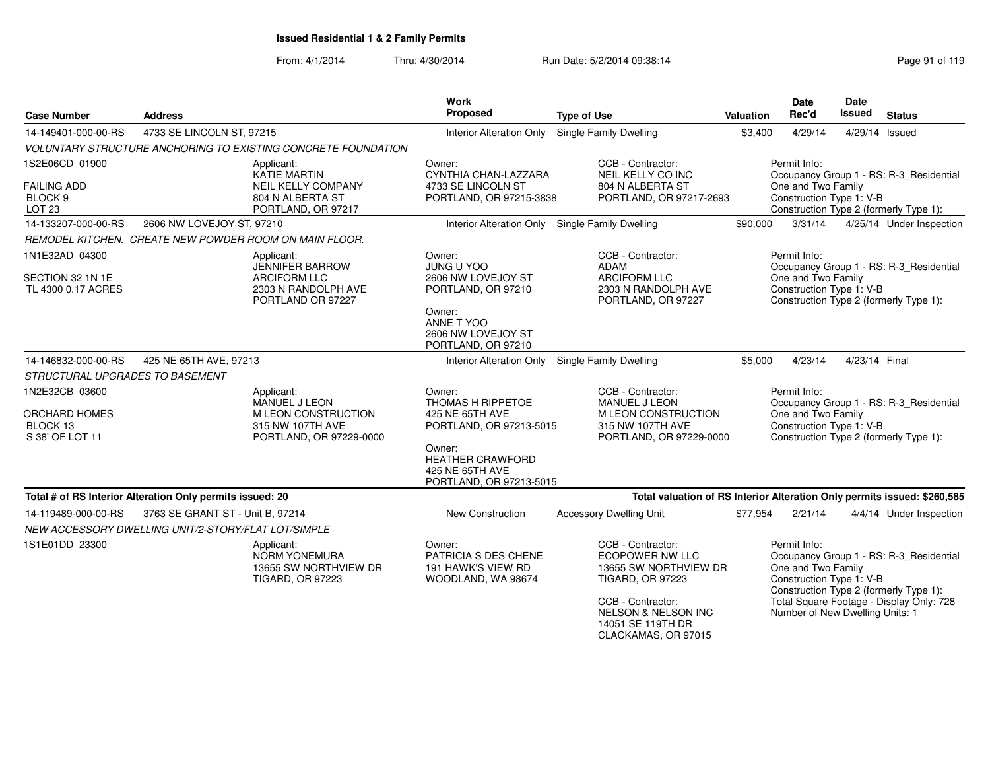| <b>Case Number</b>                                            | <b>Address</b>                                                                         | <b>Work</b><br>Proposed                                                         | <b>Type of Use</b>                                                                                                                                                                                 | Valuation | Date<br>Rec'd                                                                                     | Date<br><b>Issued</b> | <b>Status</b>                                                                                                                 |
|---------------------------------------------------------------|----------------------------------------------------------------------------------------|---------------------------------------------------------------------------------|----------------------------------------------------------------------------------------------------------------------------------------------------------------------------------------------------|-----------|---------------------------------------------------------------------------------------------------|-----------------------|-------------------------------------------------------------------------------------------------------------------------------|
| 14-149401-000-00-RS                                           | 4733 SE LINCOLN ST, 97215                                                              | <b>Interior Alteration Only</b>                                                 | Single Family Dwelling                                                                                                                                                                             | \$3,400   | 4/29/14                                                                                           |                       | 4/29/14 Issued                                                                                                                |
|                                                               | VOLUNTARY STRUCTURE ANCHORING TO EXISTING CONCRETE FOUNDATION                          |                                                                                 |                                                                                                                                                                                                    |           |                                                                                                   |                       |                                                                                                                               |
| 1S2E06CD 01900                                                | Applicant:<br>KATIE MARTIN                                                             | Owner:<br>CYNTHIA CHAN-LAZZARA                                                  | CCB - Contractor:<br>NEIL KELLY CO INC                                                                                                                                                             |           | Permit Info:                                                                                      |                       | Occupancy Group 1 - RS: R-3_Residential                                                                                       |
| <b>FAILING ADD</b><br>BLOCK <sub>9</sub><br>LOT <sub>23</sub> | NEIL KELLY COMPANY<br>804 N ALBERTA ST<br>PORTLAND, OR 97217                           | 4733 SE LINCOLN ST<br>PORTLAND, OR 97215-3838                                   | 804 N ALBERTA ST<br>PORTLAND, OR 97217-2693                                                                                                                                                        |           | One and Two Family<br>Construction Type 1: V-B                                                    |                       | Construction Type 2 (formerly Type 1):                                                                                        |
| 14-133207-000-00-RS                                           | 2606 NW LOVEJOY ST, 97210                                                              | Interior Alteration Only Single Family Dwelling                                 |                                                                                                                                                                                                    | \$90,000  | 3/31/14                                                                                           |                       | 4/25/14 Under Inspection                                                                                                      |
|                                                               | REMODEL KITCHEN. CREATE NEW POWDER ROOM ON MAIN FLOOR.                                 |                                                                                 |                                                                                                                                                                                                    |           |                                                                                                   |                       |                                                                                                                               |
| 1N1E32AD 04300                                                | Applicant:<br><b>JENNIFER BARROW</b>                                                   | Owner:<br><b>JUNG U YOO</b>                                                     | CCB - Contractor:<br><b>ADAM</b>                                                                                                                                                                   |           | Permit Info:                                                                                      |                       | Occupancy Group 1 - RS: R-3 Residential                                                                                       |
| SECTION 32 1N 1E<br>TL 4300 0.17 ACRES                        | <b>ARCIFORM LLC</b><br>2303 N RANDOLPH AVE<br>PORTLAND OR 97227                        | 2606 NW LOVEJOY ST<br>PORTLAND, OR 97210                                        | <b>ARCIFORM LLC</b><br>2303 N RANDOLPH AVE<br>PORTLAND, OR 97227                                                                                                                                   |           | One and Two Family<br>Construction Type 1: V-B                                                    |                       | Construction Type 2 (formerly Type 1):                                                                                        |
|                                                               |                                                                                        | Owner:<br>ANNE T YOO<br>2606 NW LOVEJOY ST<br>PORTLAND, OR 97210                |                                                                                                                                                                                                    |           |                                                                                                   |                       |                                                                                                                               |
| 14-146832-000-00-RS                                           | 425 NE 65TH AVE, 97213                                                                 | <b>Interior Alteration Only</b>                                                 | Single Family Dwelling                                                                                                                                                                             | \$5,000   | 4/23/14                                                                                           | 4/23/14 Final         |                                                                                                                               |
| STRUCTURAL UPGRADES TO BASEMENT                               |                                                                                        |                                                                                 |                                                                                                                                                                                                    |           |                                                                                                   |                       |                                                                                                                               |
| 1N2E32CB 03600<br><b>ORCHARD HOMES</b>                        | Applicant:<br>MANUEL J LEON<br>M LEON CONSTRUCTION                                     | Owner:<br>THOMAS H RIPPETOE<br>425 NE 65TH AVE                                  | CCB - Contractor:<br>MANUEL J LEON<br>M LEON CONSTRUCTION                                                                                                                                          |           | Permit Info:<br>One and Two Family                                                                |                       | Occupancy Group 1 - RS: R-3_Residential                                                                                       |
| BLOCK 13<br>S 38' OF LOT 11                                   | 315 NW 107TH AVE<br>PORTLAND, OR 97229-0000                                            | PORTLAND, OR 97213-5015                                                         | 315 NW 107TH AVE<br>PORTLAND, OR 97229-0000                                                                                                                                                        |           | Construction Type 1: V-B                                                                          |                       | Construction Type 2 (formerly Type 1):                                                                                        |
|                                                               |                                                                                        | Owner:<br><b>HEATHER CRAWFORD</b><br>425 NE 65TH AVE<br>PORTLAND, OR 97213-5015 |                                                                                                                                                                                                    |           |                                                                                                   |                       |                                                                                                                               |
|                                                               | Total # of RS Interior Alteration Only permits issued: 20                              |                                                                                 | Total valuation of RS Interior Alteration Only permits issued: \$260,585                                                                                                                           |           |                                                                                                   |                       |                                                                                                                               |
| 14-119489-000-00-RS                                           | 3763 SE GRANT ST - Unit B, 97214                                                       | New Construction                                                                | <b>Accessory Dwelling Unit</b>                                                                                                                                                                     | \$77,954  | 2/21/14                                                                                           |                       | 4/4/14 Under Inspection                                                                                                       |
|                                                               | NEW ACCESSORY DWELLING UNIT/2-STORY/FLAT LOT/SIMPLE                                    |                                                                                 |                                                                                                                                                                                                    |           |                                                                                                   |                       |                                                                                                                               |
| 1S1E01DD 23300                                                | Applicant:<br><b>NORM YONEMURA</b><br>13655 SW NORTHVIEW DR<br><b>TIGARD, OR 97223</b> | Owner:<br>PATRICIA S DES CHENE<br>191 HAWK'S VIEW RD<br>WOODLAND, WA 98674      | CCB - Contractor:<br><b>ECOPOWER NW LLC</b><br>13655 SW NORTHVIEW DR<br><b>TIGARD, OR 97223</b><br>CCB - Contractor:<br><b>NELSON &amp; NELSON INC</b><br>14051 SE 119TH DR<br>CLACKAMAS, OR 97015 |           | Permit Info:<br>One and Two Family<br>Construction Type 1: V-B<br>Number of New Dwelling Units: 1 |                       | Occupancy Group 1 - RS: R-3_Residential<br>Construction Type 2 (formerly Type 1):<br>Total Square Footage - Display Only: 728 |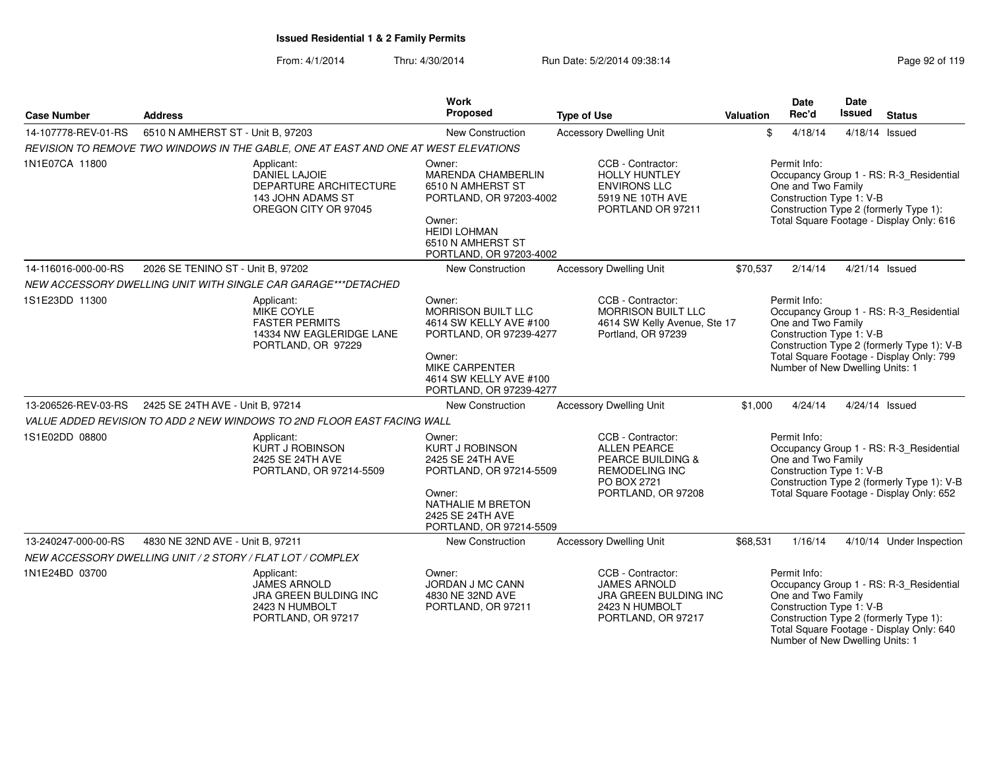From: 4/1/2014Thru: 4/30/2014 Run Date: 5/2/2014 09:38:14

| Page 92 of 119 |  |  |  |  |
|----------------|--|--|--|--|
|----------------|--|--|--|--|

| <b>Case Number</b>  | <b>Address</b>                                                                                      | <b>Work</b><br>Proposed                                                                                                                                                   | <b>Type of Use</b>                                                                                                                     | Valuation | Date<br>Rec'd                                                                                     | <b>Date</b><br>Issued | <b>Status</b>                                                                                                                     |
|---------------------|-----------------------------------------------------------------------------------------------------|---------------------------------------------------------------------------------------------------------------------------------------------------------------------------|----------------------------------------------------------------------------------------------------------------------------------------|-----------|---------------------------------------------------------------------------------------------------|-----------------------|-----------------------------------------------------------------------------------------------------------------------------------|
| 14-107778-REV-01-RS | 6510 N AMHERST ST - Unit B, 97203                                                                   | New Construction                                                                                                                                                          | <b>Accessory Dwelling Unit</b>                                                                                                         |           | \$<br>4/18/14                                                                                     |                       | 4/18/14 Issued                                                                                                                    |
|                     | REVISION TO REMOVE TWO WINDOWS IN THE GABLE, ONE AT EAST AND ONE AT WEST ELEVATIONS                 |                                                                                                                                                                           |                                                                                                                                        |           |                                                                                                   |                       |                                                                                                                                   |
| 1N1E07CA 11800      | Applicant:<br>DANIEL LAJOIE<br>DEPARTURE ARCHITECTURE<br>143 JOHN ADAMS ST<br>OREGON CITY OR 97045  | Owner:<br>MARENDA CHAMBERLIN<br>6510 N AMHERST ST<br>PORTLAND, OR 97203-4002<br>Owner:<br><b>HEIDI LOHMAN</b><br>6510 N AMHERST ST<br>PORTLAND, OR 97203-4002             | CCB - Contractor:<br><b>HOLLY HUNTLEY</b><br><b>ENVIRONS LLC</b><br>5919 NE 10TH AVE<br>PORTLAND OR 97211                              |           | Permit Info:<br>One and Two Family<br>Construction Type 1: V-B                                    |                       | Occupancy Group 1 - RS: R-3_Residential<br>Construction Type 2 (formerly Type 1):<br>Total Square Footage - Display Only: 616     |
| 14-116016-000-00-RS | 2026 SE TENINO ST - Unit B, 97202                                                                   | <b>New Construction</b>                                                                                                                                                   | <b>Accessory Dwelling Unit</b>                                                                                                         | \$70,537  | 2/14/14                                                                                           |                       | 4/21/14 Issued                                                                                                                    |
|                     | NEW ACCESSORY DWELLING UNIT WITH SINGLE CAR GARAGE***DETACHED                                       |                                                                                                                                                                           |                                                                                                                                        |           |                                                                                                   |                       |                                                                                                                                   |
| 1S1E23DD 11300      | Applicant:<br>MIKE COYLE<br><b>FASTER PERMITS</b><br>14334 NW EAGLERIDGE LANE<br>PORTLAND, OR 97229 | Owner:<br>MORRISON BUILT LLC<br>4614 SW KELLY AVE #100<br>PORTLAND, OR 97239-4277<br>Owner:<br><b>MIKE CARPENTER</b><br>4614 SW KELLY AVE #100<br>PORTLAND, OR 97239-4277 | CCB - Contractor:<br><b>MORRISON BUILT LLC</b><br>4614 SW Kelly Avenue, Ste 17<br>Portland, OR 97239                                   |           | Permit Info:<br>One and Two Family<br>Construction Type 1: V-B<br>Number of New Dwelling Units: 1 |                       | Occupancy Group 1 - RS: R-3_Residential<br>Construction Type 2 (formerly Type 1): V-B<br>Total Square Footage - Display Only: 799 |
| 13-206526-REV-03-RS | 2425 SE 24TH AVE - Unit B, 97214                                                                    | <b>New Construction</b>                                                                                                                                                   | <b>Accessory Dwelling Unit</b>                                                                                                         | \$1,000   | 4/24/14                                                                                           |                       | 4/24/14 Issued                                                                                                                    |
|                     | VALUE ADDED REVISION TO ADD 2 NEW WINDOWS TO 2ND FLOOR EAST FACING WALL                             |                                                                                                                                                                           |                                                                                                                                        |           |                                                                                                   |                       |                                                                                                                                   |
| 1S1E02DD 08800      | Applicant:<br><b>KURT J ROBINSON</b><br>2425 SE 24TH AVE<br>PORTLAND, OR 97214-5509                 | Owner:<br><b>KURT J ROBINSON</b><br>2425 SE 24TH AVE<br>PORTLAND, OR 97214-5509<br>Owner:<br>NATHALIE M BRETON<br>2425 SE 24TH AVE<br>PORTLAND, OR 97214-5509             | CCB - Contractor:<br><b>ALLEN PEARCE</b><br><b>PEARCE BUILDING &amp;</b><br><b>REMODELING INC</b><br>PO BOX 2721<br>PORTLAND, OR 97208 |           | Permit Info:<br>One and Two Family<br>Construction Type 1: V-B                                    |                       | Occupancy Group 1 - RS: R-3_Residential<br>Construction Type 2 (formerly Type 1): V-B<br>Total Square Footage - Display Only: 652 |
| 13-240247-000-00-RS | 4830 NE 32ND AVE - Unit B, 97211                                                                    | New Construction                                                                                                                                                          | <b>Accessory Dwelling Unit</b>                                                                                                         | \$68,531  | 1/16/14                                                                                           |                       | 4/10/14 Under Inspection                                                                                                          |
|                     | NEW ACCESSORY DWELLING UNIT / 2 STORY / FLAT LOT / COMPLEX                                          |                                                                                                                                                                           |                                                                                                                                        |           |                                                                                                   |                       |                                                                                                                                   |
| 1N1E24BD 03700      | Applicant:<br><b>JAMES ARNOLD</b><br>JRA GREEN BULDING INC<br>2423 N HUMBOLT<br>PORTLAND, OR 97217  | Owner:<br>JORDAN J MC CANN<br>4830 NE 32ND AVE<br>PORTLAND, OR 97211                                                                                                      | CCB - Contractor:<br><b>JAMES ARNOLD</b><br>JRA GREEN BULDING INC<br>2423 N HUMBOLT<br>PORTLAND, OR 97217                              |           | Permit Info:<br>One and Two Family<br>Construction Type 1: V-B<br>Number of New Dwelling Units: 1 |                       | Occupancy Group 1 - RS: R-3 Residential<br>Construction Type 2 (formerly Type 1):<br>Total Square Footage - Display Only: 640     |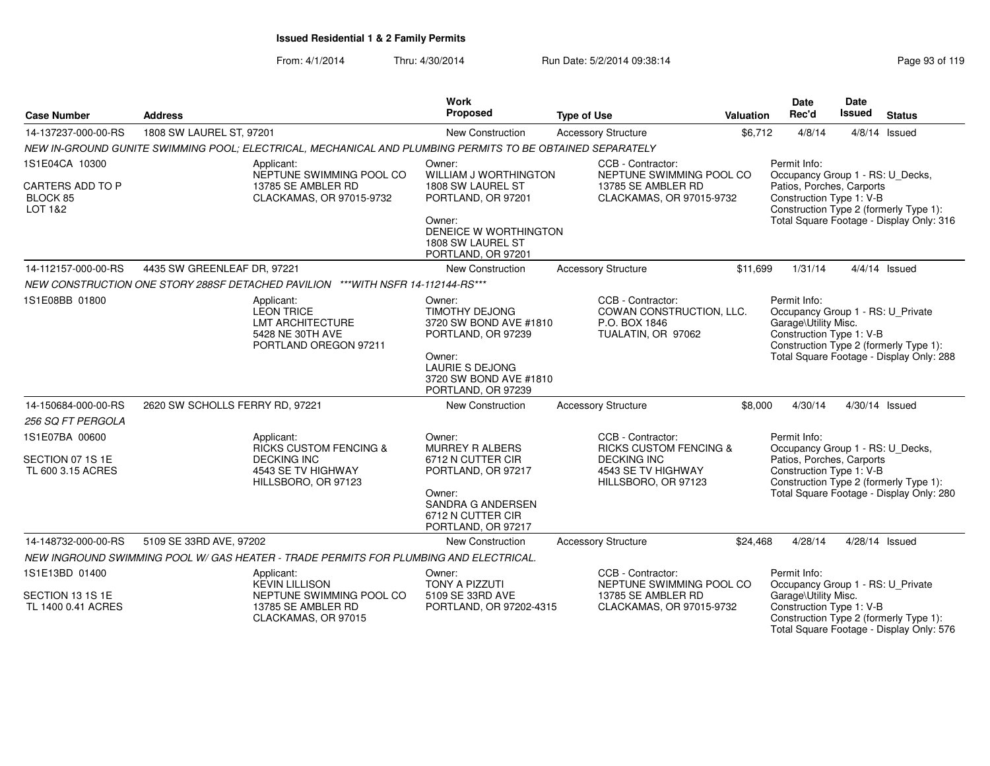| <b>Case Number</b>                                        | <b>Address</b>                                                                                            |                          | Work<br>Proposed                                                                                                    | <b>Type of Use</b>                                                                              | Valuation | Date<br>Rec'd                                                                                             | Date<br><b>Issued</b> | <b>Status</b>                                                                      |
|-----------------------------------------------------------|-----------------------------------------------------------------------------------------------------------|--------------------------|---------------------------------------------------------------------------------------------------------------------|-------------------------------------------------------------------------------------------------|-----------|-----------------------------------------------------------------------------------------------------------|-----------------------|------------------------------------------------------------------------------------|
| 14-137237-000-00-RS                                       | 1808 SW LAUREL ST, 97201                                                                                  |                          | New Construction                                                                                                    | <b>Accessory Structure</b>                                                                      | \$6,712   | 4/8/14                                                                                                    |                       | $4/8/14$ Issued                                                                    |
|                                                           | NEW IN-GROUND GUNITE SWIMMING POOL; ELECTRICAL, MECHANICAL AND PLUMBING PERMITS TO BE OBTAINED SEPARATELY |                          |                                                                                                                     |                                                                                                 |           |                                                                                                           |                       |                                                                                    |
| 1S1E04CA 10300<br>CARTERS ADD TO P<br>BLOCK 85<br>LOT 1&2 | Applicant:<br>13785 SE AMBLER RD<br>CLACKAMAS, OR 97015-9732                                              | NEPTUNE SWIMMING POOL CO | Owner:<br><b>WILLIAM J WORTHINGTON</b><br>1808 SW LAUREL ST<br>PORTLAND, OR 97201<br>Owner:                         | CCB - Contractor:<br>NEPTUNE SWIMMING POOL CO<br>13785 SE AMBLER RD<br>CLACKAMAS, OR 97015-9732 |           | Permit Info:<br>Occupancy Group 1 - RS: U_Decks,<br>Patios, Porches, Carports<br>Construction Type 1: V-B |                       | Construction Type 2 (formerly Type 1):<br>Total Square Footage - Display Only: 316 |
|                                                           |                                                                                                           |                          | DENEICE W WORTHINGTON<br>1808 SW LAUREL ST<br>PORTLAND, OR 97201                                                    |                                                                                                 |           |                                                                                                           |                       |                                                                                    |
| 14-112157-000-00-RS                                       | 4435 SW GREENLEAF DR, 97221                                                                               |                          | New Construction                                                                                                    | <b>Accessory Structure</b>                                                                      | \$11,699  | 1/31/14                                                                                                   |                       | $4/4/14$ Issued                                                                    |
|                                                           | NEW CONSTRUCTION ONE STORY 288SF DETACHED PAVILION ***WITH NSFR 14-112144-RS***                           |                          |                                                                                                                     |                                                                                                 |           |                                                                                                           |                       |                                                                                    |
| 1S1E08BB 01800                                            | Applicant:<br><b>LEON TRICE</b><br><b>LMT ARCHITECTURE</b><br>5428 NE 30TH AVE<br>PORTLAND OREGON 97211   |                          | Owner:<br><b>TIMOTHY DEJONG</b><br>3720 SW BOND AVE #1810<br>PORTLAND, OR 97239<br>Owner:<br><b>LAURIE S DEJONG</b> | CCB - Contractor:<br>COWAN CONSTRUCTION, LLC.<br>P.O. BOX 1846<br>TUALATIN, OR 97062            |           | Permit Info:<br>Occupancy Group 1 - RS: U_Private<br>Garage\Utility Misc.<br>Construction Type 1: V-B     |                       | Construction Type 2 (formerly Type 1):<br>Total Square Footage - Display Only: 288 |
| 14-150684-000-00-RS                                       | 2620 SW SCHOLLS FERRY RD, 97221                                                                           |                          | 3720 SW BOND AVE #1810<br>PORTLAND, OR 97239<br>New Construction                                                    | <b>Accessory Structure</b>                                                                      | \$8,000   | 4/30/14                                                                                                   |                       | 4/30/14 Issued                                                                     |
| 256 SQ FT PERGOLA                                         |                                                                                                           |                          |                                                                                                                     |                                                                                                 |           |                                                                                                           |                       |                                                                                    |
| 1S1E07BA 00600                                            | Applicant:<br><b>RICKS CUSTOM FENCING &amp;</b>                                                           |                          | Owner:<br><b>MURREY R ALBERS</b>                                                                                    | CCB - Contractor:<br><b>RICKS CUSTOM FENCING &amp;</b>                                          |           | Permit Info:<br>Occupancy Group 1 - RS: U_Decks,                                                          |                       |                                                                                    |
| SECTION 07 1S 1E<br>TL 600 3.15 ACRES                     | <b>DECKING INC</b><br>4543 SE TV HIGHWAY<br>HILLSBORO, OR 97123                                           |                          | 6712 N CUTTER CIR<br>PORTLAND, OR 97217                                                                             | <b>DECKING INC</b><br>4543 SE TV HIGHWAY<br>HILLSBORO, OR 97123                                 |           | Patios, Porches, Carports<br>Construction Type 1: V-B                                                     |                       | Construction Type 2 (formerly Type 1):                                             |
|                                                           |                                                                                                           |                          | Owner:<br>SANDRA G ANDERSEN<br>6712 N CUTTER CIR<br>PORTLAND, OR 97217                                              |                                                                                                 |           |                                                                                                           |                       | Total Square Footage - Display Only: 280                                           |
| 14-148732-000-00-RS                                       | 5109 SE 33RD AVE, 97202                                                                                   |                          | <b>New Construction</b>                                                                                             | <b>Accessory Structure</b>                                                                      | \$24.468  | 4/28/14                                                                                                   |                       | 4/28/14 Issued                                                                     |
|                                                           | NEW INGROUND SWIMMING POOL W/ GAS HEATER - TRADE PERMITS FOR PLUMBING AND ELECTRICAL.                     |                          |                                                                                                                     |                                                                                                 |           |                                                                                                           |                       |                                                                                    |
| 1S1E13BD 01400                                            | Applicant:<br><b>KEVIN LILLISON</b>                                                                       |                          | Owner:<br>TONY A PIZZUTI                                                                                            | CCB - Contractor:<br>NEPTUNE SWIMMING POOL CO                                                   |           | Permit Info:<br>Occupancy Group 1 - RS: U_Private                                                         |                       |                                                                                    |
| SECTION 13 1S 1E<br>TL 1400 0.41 ACRES                    | 13785 SE AMBLER RD<br>CLACKAMAS, OR 97015                                                                 | NEPTUNE SWIMMING POOL CO | 5109 SE 33RD AVE<br>PORTLAND, OR 97202-4315                                                                         | 13785 SE AMBLER RD<br>CLACKAMAS, OR 97015-9732                                                  |           | Garage\Utility Misc.<br>Construction Type 1: V-B                                                          |                       | Construction Type 2 (formerly Type 1):<br>Total Square Footage - Display Only: 576 |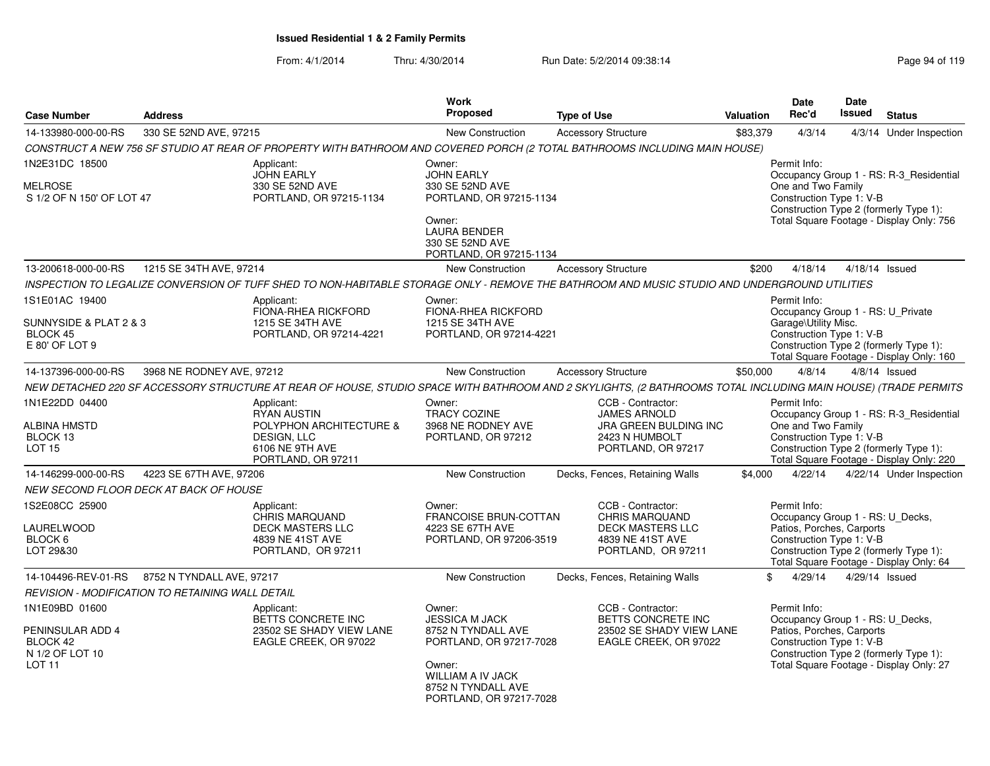| <b>Case Number</b>                                                                     | <b>Address</b>                                   |                                                                                                                                                               | Work<br><b>Proposed</b>                                                                                                                                          | <b>Type of Use</b>                                                                                              | <b>Valuation</b> | <b>Date</b><br>Rec'd                                                                                      | Date<br><b>Issued</b> | <b>Status</b>                                                                                                                 |
|----------------------------------------------------------------------------------------|--------------------------------------------------|---------------------------------------------------------------------------------------------------------------------------------------------------------------|------------------------------------------------------------------------------------------------------------------------------------------------------------------|-----------------------------------------------------------------------------------------------------------------|------------------|-----------------------------------------------------------------------------------------------------------|-----------------------|-------------------------------------------------------------------------------------------------------------------------------|
| 14-133980-000-00-RS                                                                    | 330 SE 52ND AVE, 97215                           |                                                                                                                                                               | New Construction                                                                                                                                                 | <b>Accessory Structure</b>                                                                                      | \$83,379         | 4/3/14                                                                                                    |                       | 4/3/14 Under Inspection                                                                                                       |
|                                                                                        |                                                  | CONSTRUCT A NEW 756 SF STUDIO AT REAR OF PROPERTY WITH BATHROOM AND COVERED PORCH (2 TOTAL BATHROOMS INCLUDING MAIN HOUSE)                                    |                                                                                                                                                                  |                                                                                                                 |                  |                                                                                                           |                       |                                                                                                                               |
| 1N2E31DC 18500<br><b>MELROSE</b><br>S 1/2 OF N 150' OF LOT 47                          |                                                  | Applicant:<br><b>JOHN EARLY</b><br>330 SE 52ND AVE<br>PORTLAND, OR 97215-1134                                                                                 | Owner:<br><b>JOHN EARLY</b><br>330 SE 52ND AVE<br>PORTLAND, OR 97215-1134<br>Owner:<br><b>LAURA BENDER</b><br>330 SE 52ND AVE<br>PORTLAND, OR 97215-1134         |                                                                                                                 |                  | Permit Info:<br>One and Two Family<br>Construction Type 1: V-B                                            |                       | Occupancy Group 1 - RS: R-3 Residential<br>Construction Type 2 (formerly Type 1):<br>Total Square Footage - Display Only: 756 |
| 13-200618-000-00-RS                                                                    | 1215 SE 34TH AVE, 97214                          |                                                                                                                                                               | New Construction                                                                                                                                                 | <b>Accessory Structure</b>                                                                                      | \$200            | 4/18/14                                                                                                   |                       | 4/18/14 Issued                                                                                                                |
|                                                                                        |                                                  | INSPECTION TO LEGALIZE CONVERSION OF TUFF SHED TO NON-HABITABLE STORAGE ONLY - REMOVE THE BATHROOM AND MUSIC STUDIO AND UNDERGROUND UTILITIES                 |                                                                                                                                                                  |                                                                                                                 |                  |                                                                                                           |                       |                                                                                                                               |
| 1S1E01AC 19400<br>SUNNYSIDE & PLAT 2 & 3<br>BLOCK 45<br>E 80' OF LOT 9                 |                                                  | Applicant:<br>FIONA-RHEA RICKFORD<br>1215 SE 34TH AVE<br>PORTLAND, OR 97214-4221                                                                              | Owner:<br>FIONA-RHEA RICKFORD<br>1215 SE 34TH AVE<br>PORTLAND, OR 97214-4221                                                                                     |                                                                                                                 |                  | Permit Info:<br>Occupancy Group 1 - RS: U_Private<br>Garage\Utility Misc.<br>Construction Type 1: V-B     |                       | Construction Type 2 (formerly Type 1):<br>Total Square Footage - Display Only: 160                                            |
| 14-137396-000-00-RS                                                                    | 3968 NE RODNEY AVE, 97212                        |                                                                                                                                                               | New Construction                                                                                                                                                 | <b>Accessory Structure</b>                                                                                      | \$50,000         | 4/8/14                                                                                                    |                       | $4/8/14$ Issued                                                                                                               |
|                                                                                        |                                                  | NEW DETACHED 220 SF ACCESSORY STRUCTURE AT REAR OF HOUSE, STUDIO SPACE WITH BATHROOM AND 2 SKYLIGHTS, (2 BATHROOMS TOTAL INCLUDING MAIN HOUSE) (TRADE PERMITS |                                                                                                                                                                  |                                                                                                                 |                  |                                                                                                           |                       |                                                                                                                               |
| 1N1E22DD 04400<br>ALBINA HMSTD<br>BLOCK 13<br><b>LOT 15</b>                            |                                                  | Applicant:<br><b>RYAN AUSTIN</b><br>POLYPHON ARCHITECTURE &<br>DESIGN, LLC<br>6106 NE 9TH AVE<br>PORTLAND, OR 97211                                           | Owner:<br><b>TRACY COZINE</b><br>3968 NE RODNEY AVE<br>PORTLAND, OR 97212                                                                                        | CCB - Contractor:<br><b>JAMES ARNOLD</b><br>JRA GREEN BULDING INC<br>2423 N HUMBOLT<br>PORTLAND, OR 97217       |                  | Permit Info:<br>One and Two Family<br>Construction Type 1: V-B                                            |                       | Occupancy Group 1 - RS: R-3_Residential<br>Construction Type 2 (formerly Type 1):<br>Total Square Footage - Display Only: 220 |
| 14-146299-000-00-RS                                                                    | 4223 SE 67TH AVE, 97206                          |                                                                                                                                                               | New Construction                                                                                                                                                 | Decks, Fences, Retaining Walls                                                                                  | \$4,000          | 4/22/14                                                                                                   |                       | 4/22/14 Under Inspection                                                                                                      |
|                                                                                        | NEW SECOND FLOOR DECK AT BACK OF HOUSE           |                                                                                                                                                               |                                                                                                                                                                  |                                                                                                                 |                  |                                                                                                           |                       |                                                                                                                               |
| 1S2E08CC 25900<br>LAURELWOOD<br>BLOCK 6<br>LOT 29&30                                   |                                                  | Applicant:<br><b>CHRIS MARQUAND</b><br><b>DECK MASTERS LLC</b><br>4839 NE 41ST AVE<br>PORTLAND, OR 97211                                                      | Owner:<br><b>FRANCOISE BRUN-COTTAN</b><br>4223 SE 67TH AVE<br>PORTLAND, OR 97206-3519                                                                            | CCB - Contractor:<br><b>CHRIS MARQUAND</b><br><b>DECK MASTERS LLC</b><br>4839 NE 41ST AVE<br>PORTLAND, OR 97211 |                  | Permit Info:<br>Occupancy Group 1 - RS: U_Decks,<br>Patios, Porches, Carports<br>Construction Type 1: V-B |                       | Construction Type 2 (formerly Type 1):<br>Total Square Footage - Display Only: 64                                             |
| 14-104496-REV-01-RS                                                                    | 8752 N TYNDALL AVE, 97217                        |                                                                                                                                                               | New Construction                                                                                                                                                 | Decks, Fences, Retaining Walls                                                                                  | \$.              | 4/29/14                                                                                                   |                       | 4/29/14 Issued                                                                                                                |
|                                                                                        | REVISION - MODIFICATION TO RETAINING WALL DETAIL |                                                                                                                                                               |                                                                                                                                                                  |                                                                                                                 |                  |                                                                                                           |                       |                                                                                                                               |
| 1N1E09BD 01600<br>PENINSULAR ADD 4<br>BLOCK 42<br>N 1/2 OF LOT 10<br>LOT <sub>11</sub> |                                                  | Applicant:<br>BETTS CONCRETE INC<br>23502 SE SHADY VIEW LANE<br>EAGLE CREEK, OR 97022                                                                         | Owner:<br><b>JESSICA M JACK</b><br>8752 N TYNDALL AVE<br>PORTLAND, OR 97217-7028<br>Owner:<br>WILLIAM A IV JACK<br>8752 N TYNDALL AVE<br>PORTLAND, OR 97217-7028 | CCB - Contractor:<br>BETTS CONCRETE INC<br>23502 SE SHADY VIEW LANE<br>EAGLE CREEK, OR 97022                    |                  | Permit Info:<br>Occupancy Group 1 - RS: U_Decks,<br>Patios, Porches, Carports<br>Construction Type 1: V-B |                       | Construction Type 2 (formerly Type 1):<br>Total Square Footage - Display Only: 27                                             |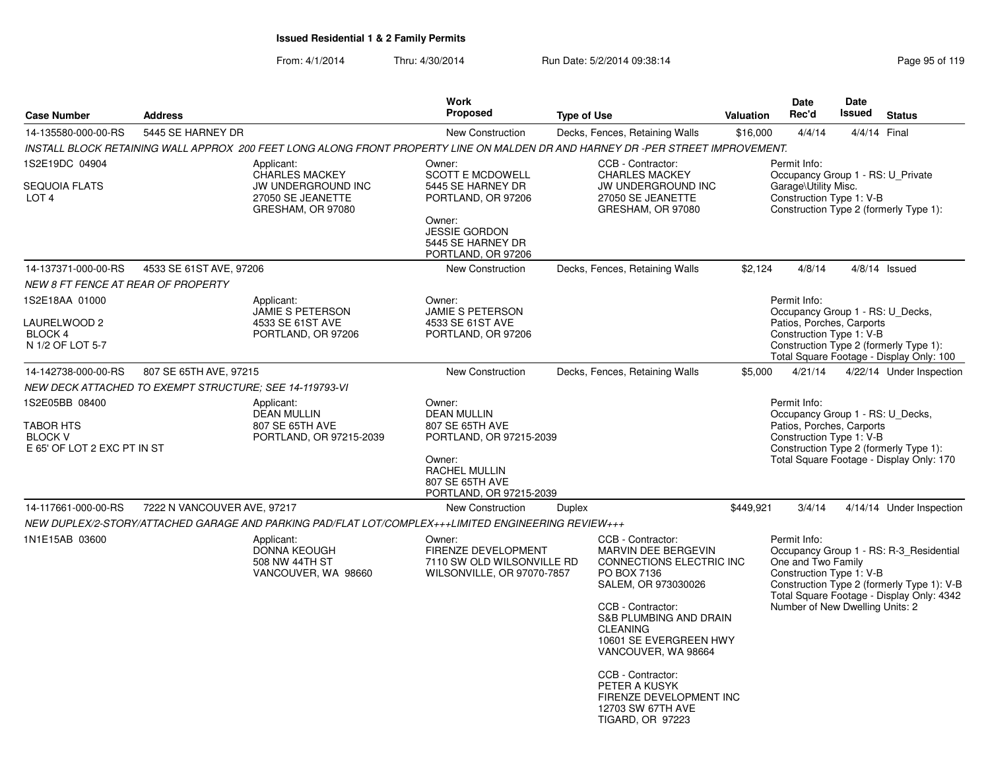| <b>Case Number</b>                                                           | <b>Address</b>              |                                                                                                     | Work<br>Proposed                                                                                                                                          | <b>Type of Use</b>                                                                                                                                                                                                                                                                                                                             | <b>Valuation</b> | Date<br>Rec'd                                                                                             | <b>Date</b><br>Issued | <b>Status</b>                                                                                                                      |
|------------------------------------------------------------------------------|-----------------------------|-----------------------------------------------------------------------------------------------------|-----------------------------------------------------------------------------------------------------------------------------------------------------------|------------------------------------------------------------------------------------------------------------------------------------------------------------------------------------------------------------------------------------------------------------------------------------------------------------------------------------------------|------------------|-----------------------------------------------------------------------------------------------------------|-----------------------|------------------------------------------------------------------------------------------------------------------------------------|
| 14-135580-000-00-RS                                                          | 5445 SE HARNEY DR           |                                                                                                     | New Construction                                                                                                                                          | Decks, Fences, Retaining Walls                                                                                                                                                                                                                                                                                                                 | \$16,000         | 4/4/14                                                                                                    | 4/4/14 Final          |                                                                                                                                    |
|                                                                              |                             |                                                                                                     |                                                                                                                                                           | INSTALL BLOCK RETAINING WALL APPROX 200 FEET LONG ALONG FRONT PROPERTY LINE ON MALDEN DR AND HARNEY DR -PER STREET IMPROVEMENT.                                                                                                                                                                                                                |                  |                                                                                                           |                       |                                                                                                                                    |
| 1S2E19DC 04904<br><b>SEQUOIA FLATS</b><br>LOT <sub>4</sub>                   |                             | Applicant:<br><b>CHARLES MACKEY</b><br>JW UNDERGROUND INC<br>27050 SE JEANETTE<br>GRESHAM, OR 97080 | Owner:<br><b>SCOTT E MCDOWELL</b><br>5445 SE HARNEY DR<br>PORTLAND, OR 97206<br>Owner:<br><b>JESSIE GORDON</b><br>5445 SE HARNEY DR<br>PORTLAND, OR 97206 | CCB - Contractor:<br><b>CHARLES MACKEY</b><br>JW UNDERGROUND INC<br>27050 SE JEANETTE<br>GRESHAM, OR 97080                                                                                                                                                                                                                                     |                  | Permit Info:<br>Occupancy Group 1 - RS: U_Private<br>Garage\Utility Misc.<br>Construction Type 1: V-B     |                       | Construction Type 2 (formerly Type 1):                                                                                             |
| 14-137371-000-00-RS                                                          | 4533 SE 61ST AVE, 97206     |                                                                                                     | New Construction                                                                                                                                          | Decks, Fences, Retaining Walls                                                                                                                                                                                                                                                                                                                 | \$2,124          | 4/8/14                                                                                                    |                       | $4/8/14$ Issued                                                                                                                    |
| <b>NEW 8 FT FENCE AT REAR OF PROPERTY</b>                                    |                             |                                                                                                     |                                                                                                                                                           |                                                                                                                                                                                                                                                                                                                                                |                  |                                                                                                           |                       |                                                                                                                                    |
| 1S2E18AA 01000<br>LAURELWOOD 2<br>BLOCK 4<br>N 1/2 OF LOT 5-7                |                             | Applicant:<br>JAMIE S PETERSON<br>4533 SE 61ST AVE<br>PORTLAND, OR 97206                            | Owner:<br><b>JAMIE S PETERSON</b><br>4533 SE 61ST AVE<br>PORTLAND, OR 97206                                                                               |                                                                                                                                                                                                                                                                                                                                                |                  | Permit Info:<br>Occupancy Group 1 - RS: U_Decks,<br>Patios, Porches, Carports<br>Construction Type 1: V-B |                       | Construction Type 2 (formerly Type 1):<br>Total Square Footage - Display Only: 100                                                 |
| 14-142738-000-00-RS                                                          | 807 SE 65TH AVE, 97215      |                                                                                                     | <b>New Construction</b>                                                                                                                                   | Decks, Fences, Retaining Walls                                                                                                                                                                                                                                                                                                                 | \$5,000          | 4/21/14                                                                                                   |                       | 4/22/14 Under Inspection                                                                                                           |
| NEW DECK ATTACHED TO EXEMPT STRUCTURE; SEE 14-119793-VI                      |                             |                                                                                                     |                                                                                                                                                           |                                                                                                                                                                                                                                                                                                                                                |                  |                                                                                                           |                       |                                                                                                                                    |
| 1S2E05BB 08400<br>TABOR HTS<br><b>BLOCK V</b><br>E 65' OF LOT 2 EXC PT IN ST |                             | Applicant:<br><b>DEAN MULLIN</b><br>807 SE 65TH AVE<br>PORTLAND, OR 97215-2039                      | Owner:<br><b>DEAN MULLIN</b><br>807 SE 65TH AVE<br>PORTLAND, OR 97215-2039<br>Owner:<br>RACHEL MULLIN<br>807 SE 65TH AVE<br>PORTLAND, OR 97215-2039       |                                                                                                                                                                                                                                                                                                                                                |                  | Permit Info:<br>Occupancy Group 1 - RS: U_Decks,<br>Patios, Porches, Carports<br>Construction Type 1: V-B |                       | Construction Type 2 (formerly Type 1):<br>Total Square Footage - Display Only: 170                                                 |
| 14-117661-000-00-RS                                                          | 7222 N VANCOUVER AVE, 97217 |                                                                                                     | <b>New Construction</b>                                                                                                                                   | Duplex                                                                                                                                                                                                                                                                                                                                         | \$449,921        | 3/4/14                                                                                                    |                       | 4/14/14 Under Inspection                                                                                                           |
|                                                                              |                             | NEW DUPLEX/2-STORY/ATTACHED GARAGE AND PARKING PAD/FLAT LOT/COMPLEX+++LIMITED ENGINEERING REVIEW+++ |                                                                                                                                                           |                                                                                                                                                                                                                                                                                                                                                |                  |                                                                                                           |                       |                                                                                                                                    |
| 1N1E15AB 03600                                                               |                             | Applicant:<br><b>DONNA KEOUGH</b><br>508 NW 44TH ST<br>VANCOUVER, WA 98660                          | Owner:<br>FIRENZE DEVELOPMENT<br>7110 SW OLD WILSONVILLE RD<br>WILSONVILLE, OR 97070-7857                                                                 | CCB - Contractor:<br><b>MARVIN DEE BERGEVIN</b><br>CONNECTIONS ELECTRIC INC<br>PO BOX 7136<br>SALEM, OR 973030026<br>CCB - Contractor:<br>S&B PLUMBING AND DRAIN<br><b>CLEANING</b><br>10601 SE EVERGREEN HWY<br>VANCOUVER, WA 98664<br>CCB - Contractor:<br>PETER A KUSYK<br>FIRENZE DEVELOPMENT INC<br>12703 SW 67TH AVE<br>TIGARD, OR 97223 |                  | Permit Info:<br>One and Two Family<br>Construction Type 1: V-B<br>Number of New Dwelling Units: 2         |                       | Occupancy Group 1 - RS: R-3 Residential<br>Construction Type 2 (formerly Type 1): V-B<br>Total Square Footage - Display Only: 4342 |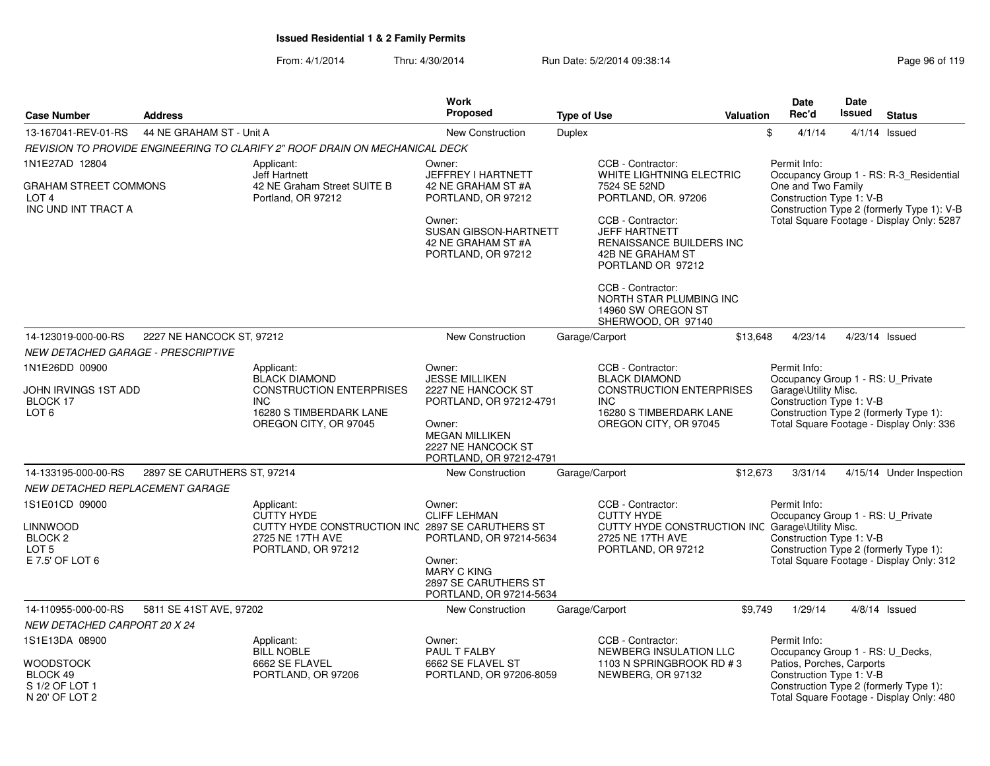| <b>Case Number</b>                                                                      | <b>Address</b>              |                                                                                                                               | Work<br>Proposed                                                                                                                            | <b>Type of Use</b> |                                                                                                                                      | <b>Valuation</b> | Date<br>Rec'd                                                                 | <b>Date</b><br><b>Issued</b> | <b>Status</b>                                                                      |
|-----------------------------------------------------------------------------------------|-----------------------------|-------------------------------------------------------------------------------------------------------------------------------|---------------------------------------------------------------------------------------------------------------------------------------------|--------------------|--------------------------------------------------------------------------------------------------------------------------------------|------------------|-------------------------------------------------------------------------------|------------------------------|------------------------------------------------------------------------------------|
| 13-167041-REV-01-RS                                                                     | 44 NE GRAHAM ST - Unit A    |                                                                                                                               |                                                                                                                                             |                    |                                                                                                                                      |                  | \$                                                                            |                              |                                                                                    |
|                                                                                         |                             |                                                                                                                               | <b>New Construction</b>                                                                                                                     | Duplex             |                                                                                                                                      |                  | 4/1/14                                                                        |                              | $4/1/14$ Issued                                                                    |
|                                                                                         |                             | REVISION TO PROVIDE ENGINEERING TO CLARIFY 2" ROOF DRAIN ON MECHANICAL DECK                                                   |                                                                                                                                             |                    |                                                                                                                                      |                  |                                                                               |                              |                                                                                    |
| 1N1E27AD 12804<br>GRAHAM STREET COMMONS                                                 |                             | Applicant:<br><b>Jeff Hartnett</b><br>42 NE Graham Street SUITE B                                                             | Owner:<br>JEFFREY I HARTNETT<br>42 NE GRAHAM ST #A                                                                                          |                    | CCB - Contractor:<br>WHITE LIGHTNING ELECTRIC<br>7524 SE 52ND                                                                        |                  | Permit Info:<br>One and Two Family                                            |                              | Occupancy Group 1 - RS: R-3_Residential                                            |
| LOT <sub>4</sub><br>INC UND INT TRACT A                                                 |                             | Portland, OR 97212                                                                                                            | PORTLAND, OR 97212                                                                                                                          |                    | PORTLAND, OR. 97206                                                                                                                  |                  | Construction Type 1: V-B                                                      |                              | Construction Type 2 (formerly Type 1): V-B                                         |
|                                                                                         |                             |                                                                                                                               | Owner:<br><b>SUSAN GIBSON-HARTNETT</b><br>42 NE GRAHAM ST #A<br>PORTLAND, OR 97212                                                          |                    | CCB - Contractor:<br><b>JEFF HARTNETT</b><br>RENAISSANCE BUILDERS INC<br>42B NE GRAHAM ST<br>PORTLAND OR 97212                       |                  |                                                                               |                              | Total Square Footage - Display Only: 5287                                          |
|                                                                                         |                             |                                                                                                                               |                                                                                                                                             |                    | CCB - Contractor:<br>NORTH STAR PLUMBING INC<br>14960 SW OREGON ST<br>SHERWOOD, OR 97140                                             |                  |                                                                               |                              |                                                                                    |
| 14-123019-000-00-RS                                                                     | 2227 NE HANCOCK ST, 97212   |                                                                                                                               | <b>New Construction</b>                                                                                                                     | Garage/Carport     |                                                                                                                                      | \$13.648         | 4/23/14                                                                       |                              | 4/23/14 Issued                                                                     |
| <b>NEW DETACHED GARAGE - PRESCRIPTIVE</b>                                               |                             |                                                                                                                               |                                                                                                                                             |                    |                                                                                                                                      |                  |                                                                               |                              |                                                                                    |
| 1N1E26DD 00900                                                                          |                             | Applicant:<br><b>BLACK DIAMOND</b>                                                                                            | Owner:<br><b>JESSE MILLIKEN</b>                                                                                                             |                    | CCB - Contractor:<br><b>BLACK DIAMOND</b>                                                                                            |                  | Permit Info:<br>Occupancy Group 1 - RS: U_Private                             |                              |                                                                                    |
| JOHN IRVINGS 1ST ADD<br>BLOCK 17<br>LOT <sub>6</sub>                                    |                             | <b>CONSTRUCTION ENTERPRISES</b><br><b>INC</b><br>16280 S TIMBERDARK LANE<br>OREGON CITY, OR 97045                             | 2227 NE HANCOCK ST<br>PORTLAND, OR 97212-4791<br>Owner:<br><b>MEGAN MILLIKEN</b><br>2227 NE HANCOCK ST<br>PORTLAND, OR 97212-4791           |                    | <b>CONSTRUCTION ENTERPRISES</b><br><b>INC</b><br>16280 S TIMBERDARK LANE<br>OREGON CITY, OR 97045                                    |                  | Garage\Utility Misc.<br>Construction Type 1: V-B                              |                              | Construction Type 2 (formerly Type 1):<br>Total Square Footage - Display Only: 336 |
| 14-133195-000-00-RS                                                                     | 2897 SE CARUTHERS ST, 97214 |                                                                                                                               | New Construction                                                                                                                            | Garage/Carport     |                                                                                                                                      | \$12,673         | 3/31/14                                                                       |                              | 4/15/14 Under Inspection                                                           |
| NEW DETACHED REPLACEMENT GARAGE                                                         |                             |                                                                                                                               |                                                                                                                                             |                    |                                                                                                                                      |                  |                                                                               |                              |                                                                                    |
| 1S1E01CD 09000<br>LINNWOOD<br>BLOCK <sub>2</sub><br>LOT <sub>5</sub><br>E 7.5' OF LOT 6 |                             | Applicant:<br><b>CUTTY HYDE</b><br>CUTTY HYDE CONSTRUCTION INC 2897 SE CARUTHERS ST<br>2725 NE 17TH AVE<br>PORTLAND, OR 97212 | Owner:<br><b>CLIFF LEHMAN</b><br>PORTLAND, OR 97214-5634<br>Owner:<br><b>MARY C KING</b><br>2897 SE CARUTHERS ST<br>PORTLAND, OR 97214-5634 |                    | CCB - Contractor:<br><b>CUTTY HYDE</b><br>CUTTY HYDE CONSTRUCTION INC Garage\Utility Misc.<br>2725 NE 17TH AVE<br>PORTLAND, OR 97212 |                  | Permit Info:<br>Occupancy Group 1 - RS: U_Private<br>Construction Type 1: V-B |                              | Construction Type 2 (formerly Type 1):<br>Total Square Footage - Display Only: 312 |
| 14-110955-000-00-RS                                                                     | 5811 SE 41ST AVE, 97202     |                                                                                                                               | New Construction                                                                                                                            | Garage/Carport     |                                                                                                                                      | \$9,749          | 1/29/14                                                                       |                              | $4/8/14$ Issued                                                                    |
| <b>NEW DETACHED CARPORT 20 X 24</b>                                                     |                             |                                                                                                                               |                                                                                                                                             |                    |                                                                                                                                      |                  |                                                                               |                              |                                                                                    |
| 1S1E13DA 08900                                                                          |                             | Applicant:<br><b>BILL NOBLE</b>                                                                                               | Owner:<br>PAUL T FALBY                                                                                                                      |                    | CCB - Contractor:<br>NEWBERG INSULATION LLC                                                                                          |                  | Permit Info:<br>Occupancy Group 1 - RS: U_Decks,                              |                              |                                                                                    |
| WOODSTOCK<br>BLOCK 49<br>S 1/2 OF LOT 1<br>N 20' OF LOT 2                               |                             | 6662 SE FLAVEL<br>PORTLAND, OR 97206                                                                                          | 6662 SE FLAVEL ST<br>PORTLAND, OR 97206-8059                                                                                                |                    | 1103 N SPRINGBROOK RD # 3<br>NEWBERG, OR 97132                                                                                       |                  | Patios, Porches, Carports<br>Construction Type 1: V-B                         |                              | Construction Type 2 (formerly Type 1):<br>Total Square Footage - Display Only: 480 |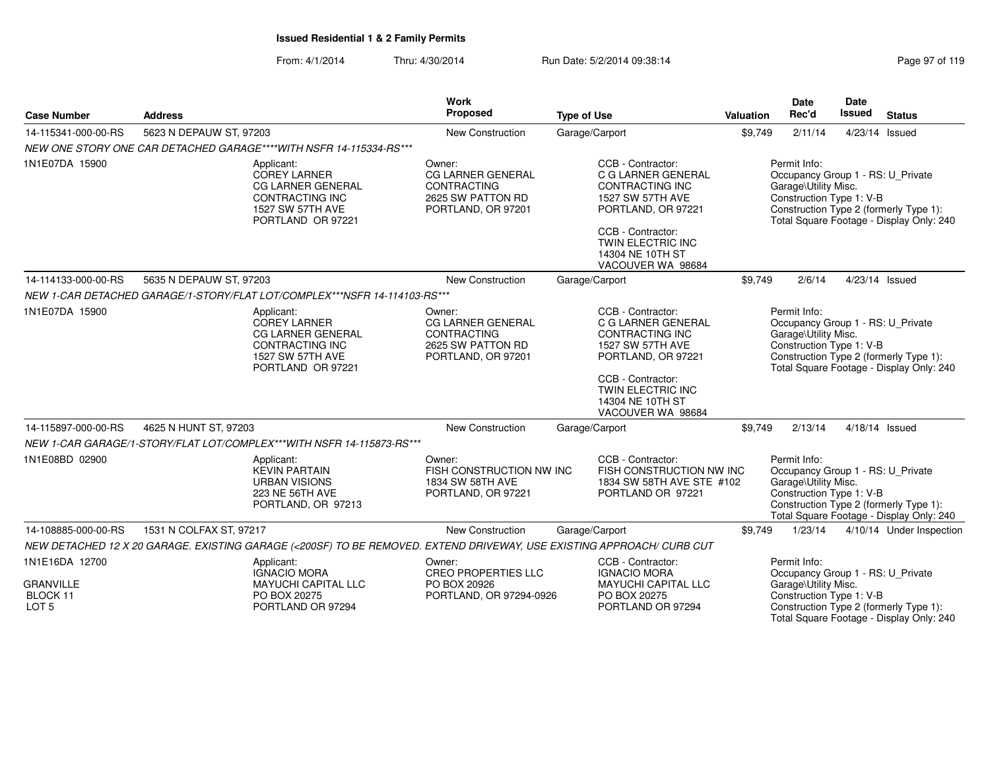### From: 4/1/2014Thru: 4/30/2014 Run Date: 5/2/2014 09:38:14

|                                                                    |                                                                                                                           | <b>Work</b>                                                                                         |                                                                                                                                                                                                |           | <b>Date</b>                                                                                           | <b>Date</b>    |                                                                                    |
|--------------------------------------------------------------------|---------------------------------------------------------------------------------------------------------------------------|-----------------------------------------------------------------------------------------------------|------------------------------------------------------------------------------------------------------------------------------------------------------------------------------------------------|-----------|-------------------------------------------------------------------------------------------------------|----------------|------------------------------------------------------------------------------------|
| <b>Case Number</b>                                                 | <b>Address</b>                                                                                                            | Proposed                                                                                            | <b>Type of Use</b>                                                                                                                                                                             | Valuation | Rec'd                                                                                                 | Issued         | <b>Status</b>                                                                      |
| 14-115341-000-00-RS                                                | 5623 N DEPAUW ST, 97203                                                                                                   | New Construction                                                                                    | Garage/Carport                                                                                                                                                                                 | \$9,749   | 2/11/14                                                                                               | 4/23/14 Issued |                                                                                    |
|                                                                    | NEW ONE STORY ONE CAR DETACHED GARAGE****WITH NSFR 14-115334-RS***                                                        |                                                                                                     |                                                                                                                                                                                                |           |                                                                                                       |                |                                                                                    |
| 1N1E07DA 15900                                                     | Applicant:<br>COREY LARNER<br>CG LARNER GENERAL<br><b>CONTRACTING INC</b><br>1527 SW 57TH AVE<br>PORTLAND OR 97221        | Owner:<br>CG LARNER GENERAL<br><b>CONTRACTING</b><br>2625 SW PATTON RD<br>PORTLAND, OR 97201        | CCB - Contractor:<br>C G LARNER GENERAL<br><b>CONTRACTING INC</b><br>1527 SW 57TH AVE<br>PORTLAND, OR 97221<br>CCB - Contractor:<br>TWIN ELECTRIC INC<br>14304 NE 10TH ST<br>VACOUVER WA 98684 |           | Permit Info:<br>Occupancy Group 1 - RS: U_Private<br>Garage\Utility Misc.<br>Construction Type 1: V-B |                | Construction Type 2 (formerly Type 1):<br>Total Square Footage - Display Only: 240 |
| 14-114133-000-00-RS                                                | 5635 N DEPAUW ST, 97203                                                                                                   | New Construction                                                                                    | Garage/Carport                                                                                                                                                                                 | \$9.749   | 2/6/14                                                                                                | 4/23/14 Issued |                                                                                    |
|                                                                    | NEW 1-CAR DETACHED GARAGE/1-STORY/FLAT LOT/COMPLEX***NSFR 14-114103-RS***                                                 |                                                                                                     |                                                                                                                                                                                                |           |                                                                                                       |                |                                                                                    |
| 1N1E07DA 15900                                                     | Applicant:<br><b>COREY LARNER</b><br>CG LARNER GENERAL<br><b>CONTRACTING INC</b><br>1527 SW 57TH AVE<br>PORTLAND OR 97221 | Owner:<br><b>CG LARNER GENERAL</b><br><b>CONTRACTING</b><br>2625 SW PATTON RD<br>PORTLAND, OR 97201 | CCB - Contractor:<br>C G LARNER GENERAL<br>CONTRACTING INC<br>1527 SW 57TH AVE<br>PORTLAND, OR 97221<br>CCB - Contractor:<br>TWIN ELECTRIC INC<br>14304 NE 10TH ST<br>VACOUVER WA 98684        |           | Permit Info:<br>Occupancy Group 1 - RS: U_Private<br>Garage\Utility Misc.<br>Construction Type 1: V-B |                | Construction Type 2 (formerly Type 1):<br>Total Square Footage - Display Only: 240 |
| 14-115897-000-00-RS                                                | 4625 N HUNT ST, 97203                                                                                                     | New Construction                                                                                    | Garage/Carport                                                                                                                                                                                 | \$9.749   | 2/13/14                                                                                               | 4/18/14 Issued |                                                                                    |
|                                                                    | NEW 1-CAR GARAGE/1-STORY/FLAT LOT/COMPLEX***WITH NSFR 14-115873-RS***                                                     |                                                                                                     |                                                                                                                                                                                                |           |                                                                                                       |                |                                                                                    |
| 1N1E08BD 02900                                                     | Applicant:<br><b>KEVIN PARTAIN</b><br><b>URBAN VISIONS</b><br>223 NE 56TH AVE<br>PORTLAND, OR 97213                       | Owner:<br>FISH CONSTRUCTION NW INC<br>1834 SW 58TH AVE<br>PORTLAND, OR 97221                        | CCB - Contractor:<br>FISH CONSTRUCTION NW INC<br>1834 SW 58TH AVE STE #102<br>PORTLAND OR 97221                                                                                                |           | Permit Info:<br>Occupancy Group 1 - RS: U_Private<br>Garage\Utility Misc.<br>Construction Type 1: V-B |                | Construction Type 2 (formerly Type 1):<br>Total Square Footage - Display Only: 240 |
| 14-108885-000-00-RS                                                | 1531 N COLFAX ST, 97217                                                                                                   | New Construction                                                                                    | Garage/Carport                                                                                                                                                                                 | \$9,749   | 1/23/14                                                                                               |                | 4/10/14 Under Inspection                                                           |
|                                                                    | NEW DETACHED 12 X 20 GARAGE. EXISTING GARAGE (<200SF) TO BE REMOVED. EXTEND DRIVEWAY, USE EXISTING APPROACH/ CURB CUT     |                                                                                                     |                                                                                                                                                                                                |           |                                                                                                       |                |                                                                                    |
| 1N1E16DA 12700<br><b>GRANVILLE</b><br>BLOCK 11<br>LOT <sub>5</sub> | Applicant:<br><b>IGNACIO MORA</b><br><b>MAYUCHI CAPITAL LLC</b><br>PO BOX 20275<br>PORTLAND OR 97294                      | Owner:<br><b>CREO PROPERTIES LLC</b><br>PO BOX 20926<br>PORTLAND, OR 97294-0926                     | CCB - Contractor:<br><b>IGNACIO MORA</b><br>MAYUCHI CAPITAL LLC<br>PO BOX 20275<br>PORTLAND OR 97294                                                                                           |           | Permit Info:<br>Occupancy Group 1 - RS: U_Private<br>Garage\Utility Misc.<br>Construction Type 1: V-B |                | Construction Type 2 (formerly Type 1):<br>Total Square Footage - Display Only: 240 |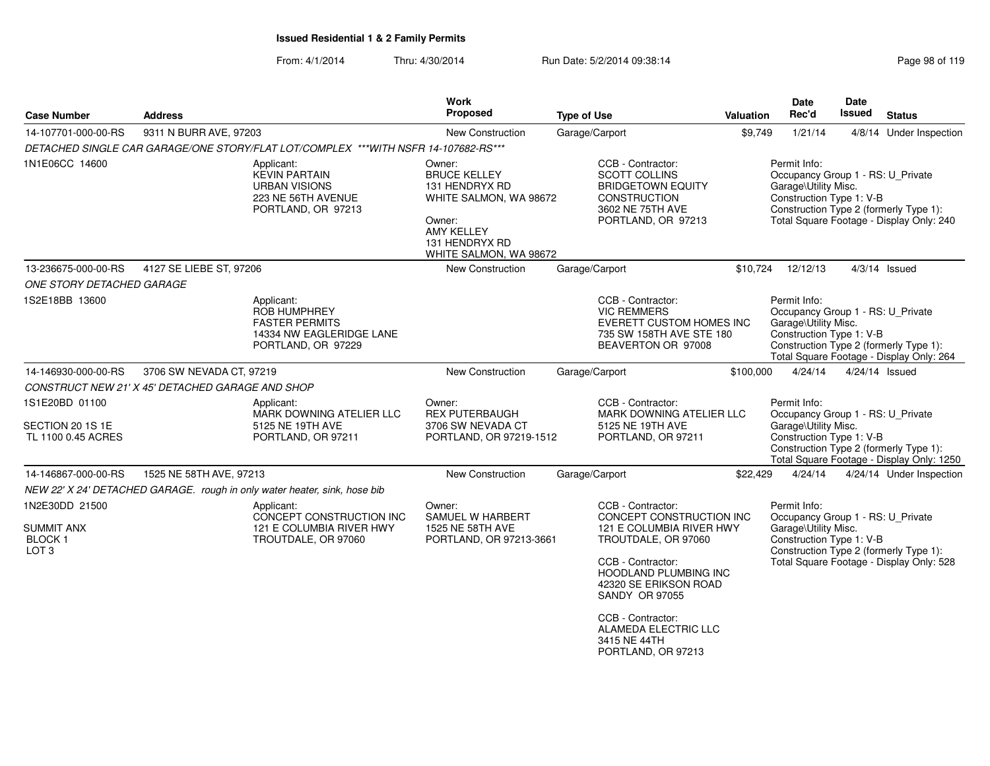| <b>Case Number</b>                                                            | <b>Address</b>                                   |                                                                                                              | Work<br>Proposed                                                                                                                              | <b>Type of Use</b>                                                                                                                                                                                                                                                                  | Valuation | Date<br>Rec'd                                                                                         | Date<br>Issued | <b>Status</b>                                                                       |
|-------------------------------------------------------------------------------|--------------------------------------------------|--------------------------------------------------------------------------------------------------------------|-----------------------------------------------------------------------------------------------------------------------------------------------|-------------------------------------------------------------------------------------------------------------------------------------------------------------------------------------------------------------------------------------------------------------------------------------|-----------|-------------------------------------------------------------------------------------------------------|----------------|-------------------------------------------------------------------------------------|
| 14-107701-000-00-RS                                                           | 9311 N BURR AVE, 97203                           |                                                                                                              | New Construction                                                                                                                              | Garage/Carport                                                                                                                                                                                                                                                                      | \$9,749   | 1/21/14                                                                                               |                | 4/8/14 Under Inspection                                                             |
|                                                                               |                                                  | DETACHED SINGLE CAR GARAGE/ONE STORY/FLAT LOT/COMPLEX ***WITH NSFR 14-107682-RS***                           |                                                                                                                                               |                                                                                                                                                                                                                                                                                     |           |                                                                                                       |                |                                                                                     |
| 1N1E06CC 14600                                                                |                                                  | Applicant:<br><b>KEVIN PARTAIN</b><br><b>URBAN VISIONS</b><br>223 NE 56TH AVENUE<br>PORTLAND, OR 97213       | Owner:<br><b>BRUCE KELLEY</b><br>131 HENDRYX RD<br>WHITE SALMON, WA 98672<br>Owner:<br>AMY KELLEY<br>131 HENDRYX RD<br>WHITE SALMON, WA 98672 | CCB - Contractor:<br><b>SCOTT COLLINS</b><br><b>BRIDGETOWN EQUITY</b><br><b>CONSTRUCTION</b><br>3602 NE 75TH AVE<br>PORTLAND, OR 97213                                                                                                                                              |           | Permit Info:<br>Occupancy Group 1 - RS: U_Private<br>Garage\Utility Misc.<br>Construction Type 1: V-B |                | Construction Type 2 (formerly Type 1):<br>Total Square Footage - Display Only: 240  |
| 13-236675-000-00-RS                                                           | 4127 SE LIEBE ST, 97206                          |                                                                                                              | New Construction                                                                                                                              | Garage/Carport                                                                                                                                                                                                                                                                      | \$10,724  | 12/12/13                                                                                              |                | $4/3/14$ Issued                                                                     |
| <b>ONE STORY DETACHED GARAGE</b>                                              |                                                  |                                                                                                              |                                                                                                                                               |                                                                                                                                                                                                                                                                                     |           |                                                                                                       |                |                                                                                     |
| 1S2E18BB 13600                                                                |                                                  | Applicant:<br><b>ROB HUMPHREY</b><br><b>FASTER PERMITS</b><br>14334 NW EAGLERIDGE LANE<br>PORTLAND, OR 97229 |                                                                                                                                               | CCB - Contractor:<br><b>VIC REMMERS</b><br>EVERETT CUSTOM HOMES INC<br>735 SW 158TH AVE STE 180<br>BEAVERTON OR 97008                                                                                                                                                               |           | Permit Info:<br>Occupancy Group 1 - RS: U_Private<br>Garage\Utility Misc.<br>Construction Type 1: V-B |                | Construction Type 2 (formerly Type 1):<br>Total Square Footage - Display Only: 264  |
| 14-146930-000-00-RS                                                           | 3706 SW NEVADA CT, 97219                         |                                                                                                              | New Construction                                                                                                                              | Garage/Carport                                                                                                                                                                                                                                                                      | \$100,000 | 4/24/14                                                                                               |                | 4/24/14 Issued                                                                      |
|                                                                               | CONSTRUCT NEW 21' X 45' DETACHED GARAGE AND SHOP |                                                                                                              |                                                                                                                                               |                                                                                                                                                                                                                                                                                     |           |                                                                                                       |                |                                                                                     |
| 1S1E20BD 01100<br>SECTION 20 1S 1E<br>TL 1100 0.45 ACRES                      |                                                  | Applicant:<br>MARK DOWNING ATELIER LLC<br>5125 NE 19TH AVE<br>PORTLAND, OR 97211                             | Owner:<br><b>REX PUTERBAUGH</b><br>3706 SW NEVADA CT<br>PORTLAND, OR 97219-1512                                                               | CCB - Contractor:<br>MARK DOWNING ATELIER LLC<br>5125 NE 19TH AVE<br>PORTLAND, OR 97211                                                                                                                                                                                             |           | Permit Info:<br>Occupancy Group 1 - RS: U_Private<br>Garage\Utility Misc.<br>Construction Type 1: V-B |                | Construction Type 2 (formerly Type 1):<br>Total Square Footage - Display Only: 1250 |
| 14-146867-000-00-RS                                                           | 1525 NE 58TH AVE, 97213                          |                                                                                                              | <b>New Construction</b>                                                                                                                       | Garage/Carport                                                                                                                                                                                                                                                                      | \$22,429  | 4/24/14                                                                                               |                | 4/24/14 Under Inspection                                                            |
|                                                                               |                                                  | NEW 22' X 24' DETACHED GARAGE. rough in only water heater, sink, hose bib                                    |                                                                                                                                               |                                                                                                                                                                                                                                                                                     |           |                                                                                                       |                |                                                                                     |
| 1N2E30DD 21500<br><b>SUMMIT ANX</b><br>BLOCK <sub>1</sub><br>LOT <sub>3</sub> |                                                  | Applicant:<br>CONCEPT CONSTRUCTION INC<br>121 E COLUMBIA RIVER HWY<br>TROUTDALE, OR 97060                    | Owner:<br>SAMUEL W HARBERT<br>1525 NE 58TH AVE<br>PORTLAND, OR 97213-3661                                                                     | CCB - Contractor:<br>CONCEPT CONSTRUCTION INC<br>121 E COLUMBIA RIVER HWY<br>TROUTDALE, OR 97060<br>CCB - Contractor:<br><b>HOODLAND PLUMBING INC</b><br>42320 SE ERIKSON ROAD<br>SANDY OR 97055<br>CCB - Contractor:<br>ALAMEDA ELECTRIC LLC<br>3415 NE 44TH<br>PORTLAND, OR 97213 |           | Permit Info:<br>Occupancy Group 1 - RS: U_Private<br>Garage\Utility Misc.<br>Construction Type 1: V-B |                | Construction Type 2 (formerly Type 1):<br>Total Square Footage - Display Only: 528  |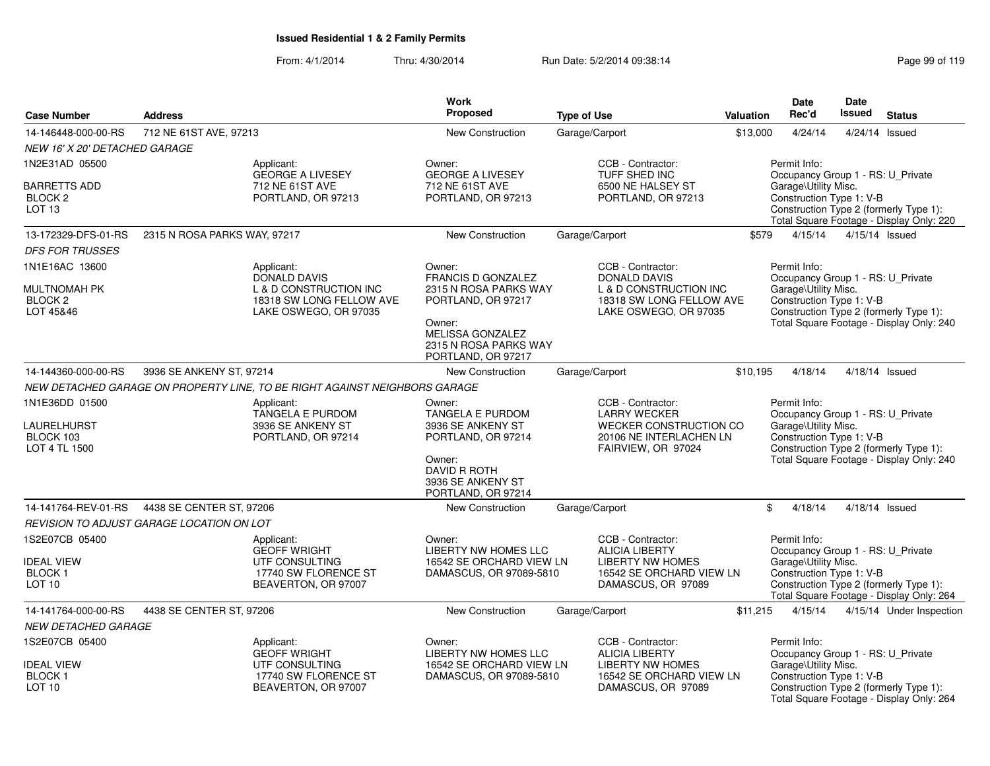|                                                                     |                                           |                                                                                                    | Work                                                                                                                               |                                                                                                                         |           | <b>Date</b>                                                                                           | <b>Date</b>   |                                                                                    |
|---------------------------------------------------------------------|-------------------------------------------|----------------------------------------------------------------------------------------------------|------------------------------------------------------------------------------------------------------------------------------------|-------------------------------------------------------------------------------------------------------------------------|-----------|-------------------------------------------------------------------------------------------------------|---------------|------------------------------------------------------------------------------------|
| <b>Case Number</b>                                                  | <b>Address</b>                            |                                                                                                    | <b>Proposed</b>                                                                                                                    | <b>Type of Use</b>                                                                                                      | Valuation | Rec'd                                                                                                 | <b>Issued</b> | <b>Status</b>                                                                      |
| 14-146448-000-00-RS                                                 | 712 NE 61ST AVE, 97213                    |                                                                                                    | <b>New Construction</b>                                                                                                            | Garage/Carport                                                                                                          | \$13,000  | 4/24/14                                                                                               |               | 4/24/14 Issued                                                                     |
| <b>NEW 16' X 20' DETACHED GARAGE</b>                                |                                           |                                                                                                    |                                                                                                                                    |                                                                                                                         |           |                                                                                                       |               |                                                                                    |
| 1N2E31AD 05500                                                      |                                           | Applicant:<br><b>GEORGE A LIVESEY</b>                                                              | Owner:<br><b>GEORGE A LIVESEY</b>                                                                                                  | CCB - Contractor:<br>TUFF SHED INC                                                                                      |           | Permit Info:<br>Occupancy Group 1 - RS: U_Private                                                     |               |                                                                                    |
| <b>BARRETTS ADD</b><br>BLOCK <sub>2</sub><br>LOT <sub>13</sub>      |                                           | 712 NE 61ST AVE<br>PORTLAND, OR 97213                                                              | 712 NE 61ST AVE<br>PORTLAND, OR 97213                                                                                              | 6500 NE HALSEY ST<br>PORTLAND, OR 97213                                                                                 |           | Garage\Utility Misc.<br>Construction Type 1: V-B                                                      |               | Construction Type 2 (formerly Type 1):<br>Total Square Footage - Display Only: 220 |
| 13-172329-DFS-01-RS                                                 | 2315 N ROSA PARKS WAY, 97217              |                                                                                                    | New Construction                                                                                                                   | Garage/Carport                                                                                                          | \$579     | 4/15/14                                                                                               |               | 4/15/14 Issued                                                                     |
| <b>DFS FOR TRUSSES</b>                                              |                                           |                                                                                                    |                                                                                                                                    |                                                                                                                         |           |                                                                                                       |               |                                                                                    |
| 1N1E16AC 13600                                                      |                                           | Applicant:<br><b>DONALD DAVIS</b>                                                                  | Owner:<br>FRANCIS D GONZALEZ                                                                                                       | CCB - Contractor:<br><b>DONALD DAVIS</b>                                                                                |           | Permit Info:<br>Occupancy Group 1 - RS: U_Private                                                     |               |                                                                                    |
| <b>MULTNOMAH PK</b><br>BLOCK <sub>2</sub><br>LOT 45&46              |                                           | L & D CONSTRUCTION INC<br>18318 SW LONG FELLOW AVE<br>LAKE OSWEGO, OR 97035                        | 2315 N ROSA PARKS WAY<br>PORTLAND, OR 97217<br>Owner:<br>MELISSA GONZALEZ                                                          | L & D CONSTRUCTION INC<br>18318 SW LONG FELLOW AVE<br>LAKE OSWEGO, OR 97035                                             |           | Garage\Utility Misc.<br>Construction Type 1: V-B                                                      |               | Construction Type 2 (formerly Type 1):<br>Total Square Footage - Display Only: 240 |
|                                                                     |                                           |                                                                                                    | 2315 N ROSA PARKS WAY<br>PORTLAND, OR 97217                                                                                        |                                                                                                                         |           |                                                                                                       |               |                                                                                    |
| 14-144360-000-00-RS                                                 | 3936 SE ANKENY ST, 97214                  |                                                                                                    | <b>New Construction</b>                                                                                                            | Garage/Carport                                                                                                          | \$10,195  | 4/18/14                                                                                               |               | 4/18/14 Issued                                                                     |
|                                                                     |                                           | NEW DETACHED GARAGE ON PROPERTY LINE, TO BE RIGHT AGAINST NEIGHBORS GARAGE                         |                                                                                                                                    |                                                                                                                         |           |                                                                                                       |               |                                                                                    |
| 1N1E36DD 01500<br>LAURELHURST<br>BLOCK 103<br>LOT 4 TL 1500         |                                           | Applicant:<br>TANGELA E PURDOM<br>3936 SE ANKENY ST<br>PORTLAND, OR 97214                          | Owner:<br><b>TANGELA E PURDOM</b><br>3936 SE ANKENY ST<br>PORTLAND, OR 97214<br>Owner:<br><b>DAVID R ROTH</b><br>3936 SE ANKENY ST | CCB - Contractor:<br><b>LARRY WECKER</b><br>WECKER CONSTRUCTION CO<br>20106 NE INTERLACHEN LN<br>FAIRVIEW, OR 97024     |           | Permit Info:<br>Occupancy Group 1 - RS: U_Private<br>Garage\Utility Misc.<br>Construction Type 1: V-B |               | Construction Type 2 (formerly Type 1):<br>Total Square Footage - Display Only: 240 |
| 14-141764-REV-01-RS                                                 | 4438 SE CENTER ST, 97206                  |                                                                                                    | PORTLAND, OR 97214                                                                                                                 | Garage/Carport                                                                                                          |           | \$<br>4/18/14                                                                                         |               | 4/18/14 Issued                                                                     |
|                                                                     | REVISION TO ADJUST GARAGE LOCATION ON LOT |                                                                                                    | <b>New Construction</b>                                                                                                            |                                                                                                                         |           |                                                                                                       |               |                                                                                    |
| 1S2E07CB 05400<br><b>IDEAL VIEW</b><br>BLOCK 1<br>LOT <sub>10</sub> |                                           | Applicant:<br><b>GEOFF WRIGHT</b><br>UTF CONSULTING<br>17740 SW FLORENCE ST<br>BEAVERTON, OR 97007 | Owner:<br>LIBERTY NW HOMES LLC<br>16542 SE ORCHARD VIEW LN<br>DAMASCUS, OR 97089-5810                                              | CCB - Contractor:<br><b>ALICIA LIBERTY</b><br><b>LIBERTY NW HOMES</b><br>16542 SE ORCHARD VIEW LN<br>DAMASCUS, OR 97089 |           | Permit Info:<br>Occupancy Group 1 - RS: U_Private<br>Garage\Utility Misc.<br>Construction Type 1: V-B |               | Construction Type 2 (formerly Type 1):<br>Total Square Footage - Display Only: 264 |
| 14-141764-000-00-RS                                                 | 4438 SE CENTER ST, 97206                  |                                                                                                    | New Construction                                                                                                                   | Garage/Carport                                                                                                          | \$11,215  | 4/15/14                                                                                               |               | 4/15/14 Under Inspection                                                           |
| <b>NEW DETACHED GARAGE</b>                                          |                                           |                                                                                                    |                                                                                                                                    |                                                                                                                         |           |                                                                                                       |               |                                                                                    |
| 1S2E07CB 05400                                                      |                                           | Applicant:<br><b>GEOFF WRIGHT</b>                                                                  | Owner:<br>LIBERTY NW HOMES LLC                                                                                                     | CCB - Contractor:<br><b>ALICIA LIBERTY</b>                                                                              |           | Permit Info:<br>Occupancy Group 1 - RS: U_Private                                                     |               |                                                                                    |
| <b>IDEAL VIEW</b><br>BLOCK 1<br>LOT <sub>10</sub>                   |                                           | UTF CONSULTING<br>17740 SW FLORENCE ST<br>BEAVERTON, OR 97007                                      | 16542 SE ORCHARD VIEW LN<br>DAMASCUS, OR 97089-5810                                                                                | <b>LIBERTY NW HOMES</b><br>16542 SE ORCHARD VIEW LN<br>DAMASCUS, OR 97089                                               |           | Garage\Utility Misc.<br>Construction Type 1: V-B                                                      |               | Construction Type 2 (formerly Type 1):<br>Total Square Footage - Display Only: 264 |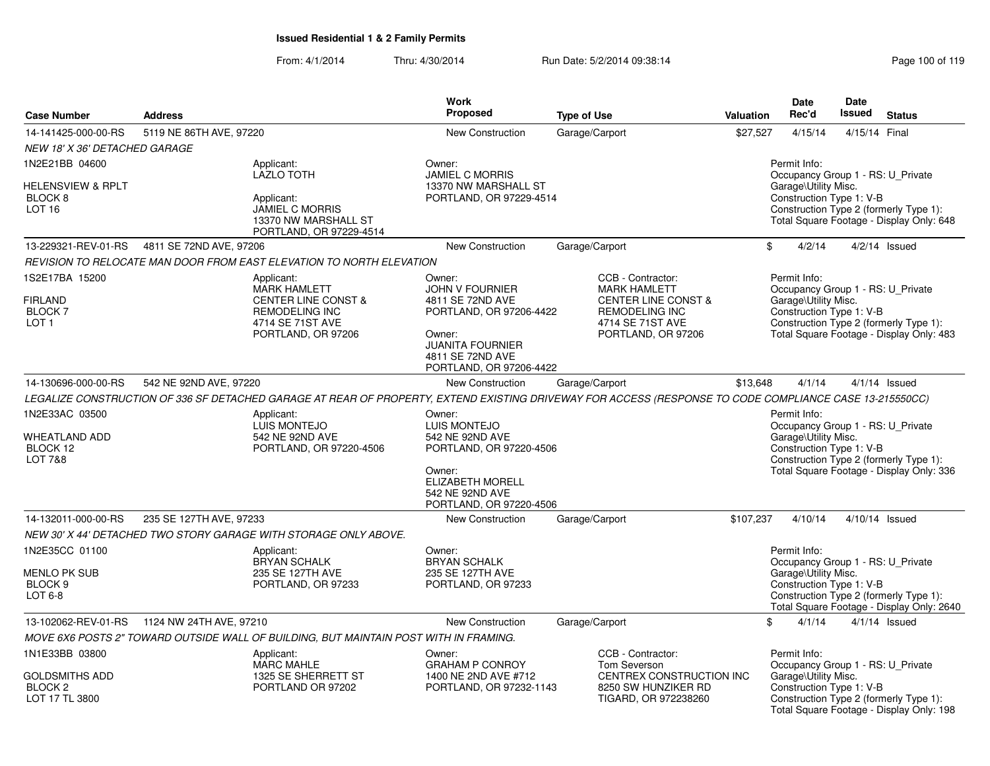| <b>Case Number</b>                                             | <b>Address</b>          |                                                                                                                                                         | <b>Work</b><br>Proposed                                                                                                                                             | <b>Type of Use</b>                                                                                                                            | Valuation | <b>Date</b><br>Rec'd                                                                                                                            | <b>Date</b><br><b>Issued</b> | <b>Status</b>                             |  |  |
|----------------------------------------------------------------|-------------------------|---------------------------------------------------------------------------------------------------------------------------------------------------------|---------------------------------------------------------------------------------------------------------------------------------------------------------------------|-----------------------------------------------------------------------------------------------------------------------------------------------|-----------|-------------------------------------------------------------------------------------------------------------------------------------------------|------------------------------|-------------------------------------------|--|--|
| 14-141425-000-00-RS                                            | 5119 NE 86TH AVE, 97220 |                                                                                                                                                         | <b>New Construction</b>                                                                                                                                             | Garage/Carport                                                                                                                                | \$27,527  | 4/15/14                                                                                                                                         | 4/15/14 Final                |                                           |  |  |
| NEW 18' X 36' DETACHED GARAGE                                  |                         |                                                                                                                                                         |                                                                                                                                                                     |                                                                                                                                               |           |                                                                                                                                                 |                              |                                           |  |  |
| 1N2E21BB 04600                                                 |                         | Applicant:<br>LAZLO TOTH                                                                                                                                | Owner:<br><b>JAMIEL C MORRIS</b>                                                                                                                                    |                                                                                                                                               |           | Permit Info:<br>Occupancy Group 1 - RS: U_Private                                                                                               |                              |                                           |  |  |
| HELENSVIEW & RPLT<br>BLOCK <sub>8</sub><br>LOT <sub>16</sub>   |                         | Applicant:<br><b>JAMIEL C MORRIS</b><br>13370 NW MARSHALL ST<br>PORTLAND, OR 97229-4514                                                                 | 13370 NW MARSHALL ST<br>PORTLAND, OR 97229-4514                                                                                                                     |                                                                                                                                               |           | Garage\Utility Misc.<br>Construction Type 1: V-B<br>Construction Type 2 (formerly Type 1):                                                      |                              | Total Square Footage - Display Only: 648  |  |  |
| 13-229321-REV-01-RS                                            | 4811 SE 72ND AVE, 97206 |                                                                                                                                                         | New Construction                                                                                                                                                    | Garage/Carport                                                                                                                                |           | \$<br>4/2/14                                                                                                                                    |                              | $4/2/14$ Issued                           |  |  |
|                                                                |                         | REVISION TO RELOCATE MAN DOOR FROM EAST ELEVATION TO NORTH ELEVATION                                                                                    |                                                                                                                                                                     |                                                                                                                                               |           |                                                                                                                                                 |                              |                                           |  |  |
| 1S2E17BA 15200<br>FIRLAND<br><b>BLOCK7</b><br>LOT <sub>1</sub> |                         | Applicant:<br><b>MARK HAMLETT</b><br><b>CENTER LINE CONST &amp;</b><br><b>REMODELING INC</b><br>4714 SE 71ST AVE<br>PORTLAND, OR 97206                  | Owner:<br><b>JOHN V FOURNIER</b><br>4811 SE 72ND AVE<br>PORTLAND, OR 97206-4422<br>Owner:<br><b>JUANITA FOURNIER</b><br>4811 SE 72ND AVE<br>PORTLAND, OR 97206-4422 | CCB - Contractor:<br><b>MARK HAMLETT</b><br><b>CENTER LINE CONST &amp;</b><br><b>REMODELING INC</b><br>4714 SE 71ST AVE<br>PORTLAND, OR 97206 |           | Permit Info:<br>Occupancy Group 1 - RS: U_Private<br>Garage\Utility Misc.<br>Construction Type 1: V-B<br>Construction Type 2 (formerly Type 1): |                              | Total Square Footage - Display Only: 483  |  |  |
| 14-130696-000-00-RS                                            | 542 NE 92ND AVE, 97220  |                                                                                                                                                         | New Construction                                                                                                                                                    | Garage/Carport                                                                                                                                | \$13,648  | 4/1/14                                                                                                                                          |                              | $4/1/14$ Issued                           |  |  |
|                                                                |                         | LEGALIZE CONSTRUCTION OF 336 SF DETACHED GARAGE AT REAR OF PROPERTY, EXTEND EXISTING DRIVEWAY FOR ACCESS (RESPONSE TO CODE COMPLIANCE CASE 13-215550CC) |                                                                                                                                                                     |                                                                                                                                               |           |                                                                                                                                                 |                              |                                           |  |  |
| 1N2E33AC 03500<br>WHEATLAND ADD<br>BLOCK 12<br>LOT 7&8         |                         | Applicant:<br><b>LUIS MONTEJO</b><br>542 NE 92ND AVE<br>PORTLAND, OR 97220-4506                                                                         | Owner:<br>LUIS MONTEJO<br>542 NE 92ND AVE<br>PORTLAND, OR 97220-4506<br>Owner:<br><b>ELIZABETH MORELL</b><br>542 NE 92ND AVE<br>PORTLAND, OR 97220-4506             |                                                                                                                                               |           | Permit Info:<br>Occupancy Group 1 - RS: U_Private<br>Garage\Utility Misc.<br>Construction Type 1: V-B<br>Construction Type 2 (formerly Type 1): |                              | Total Square Footage - Display Only: 336  |  |  |
| 14-132011-000-00-RS                                            | 235 SE 127TH AVE, 97233 |                                                                                                                                                         | <b>New Construction</b>                                                                                                                                             | Garage/Carport                                                                                                                                | \$107,237 | 4/10/14                                                                                                                                         | $4/10/14$ Issued             |                                           |  |  |
|                                                                |                         | NEW 30' X 44' DETACHED TWO STORY GARAGE WITH STORAGE ONLY ABOVE.                                                                                        |                                                                                                                                                                     |                                                                                                                                               |           |                                                                                                                                                 |                              |                                           |  |  |
| 1N2E35CC 01100<br>MENLO PK SUB<br>BLOCK 9<br>$LOT6-8$          |                         | Applicant:<br>BRYAN SCHALK<br>235 SE 127TH AVE<br>PORTLAND, OR 97233                                                                                    | Owner:<br><b>BRYAN SCHALK</b><br>235 SE 127TH AVE<br>PORTLAND, OR 97233                                                                                             |                                                                                                                                               |           | Permit Info:<br>Occupancy Group 1 - RS: U_Private<br>Garage\Utility Misc.<br>Construction Type 1: V-B<br>Construction Type 2 (formerly Type 1): |                              | Total Square Footage - Display Only: 2640 |  |  |
| 13-102062-REV-01-RS                                            | 1124 NW 24TH AVE, 97210 |                                                                                                                                                         | New Construction                                                                                                                                                    | Garage/Carport                                                                                                                                |           | \$<br>4/1/14                                                                                                                                    |                              | $4/1/14$ Issued                           |  |  |
|                                                                |                         | MOVE 6X6 POSTS 2" TOWARD OUTSIDE WALL OF BUILDING, BUT MAINTAIN POST WITH IN FRAMING.                                                                   |                                                                                                                                                                     |                                                                                                                                               |           |                                                                                                                                                 |                              |                                           |  |  |
| 1N1E33BB 03800                                                 |                         | Applicant:                                                                                                                                              | Owner:                                                                                                                                                              | CCB - Contractor:                                                                                                                             |           | Permit Info:                                                                                                                                    |                              |                                           |  |  |
| <b>GOLDSMITHS ADD</b><br>BLOCK <sub>2</sub><br>LOT 17 TL 3800  |                         | <b>MARC MAHLE</b><br>1325 SE SHERRETT ST<br>PORTLAND OR 97202                                                                                           | <b>GRAHAM P CONROY</b><br>1400 NE 2ND AVE #712<br>PORTLAND, OR 97232-1143                                                                                           | Tom Severson<br>CENTREX CONSTRUCTION INC<br>8250 SW HUNZIKER RD<br>TIGARD, OR 972238260                                                       |           | Occupancy Group 1 - RS: U_Private<br>Garage\Utility Misc.<br>Construction Type 1: V-B<br>Construction Type 2 (formerly Type 1):                 |                              | Total Square Footage - Display Only: 198  |  |  |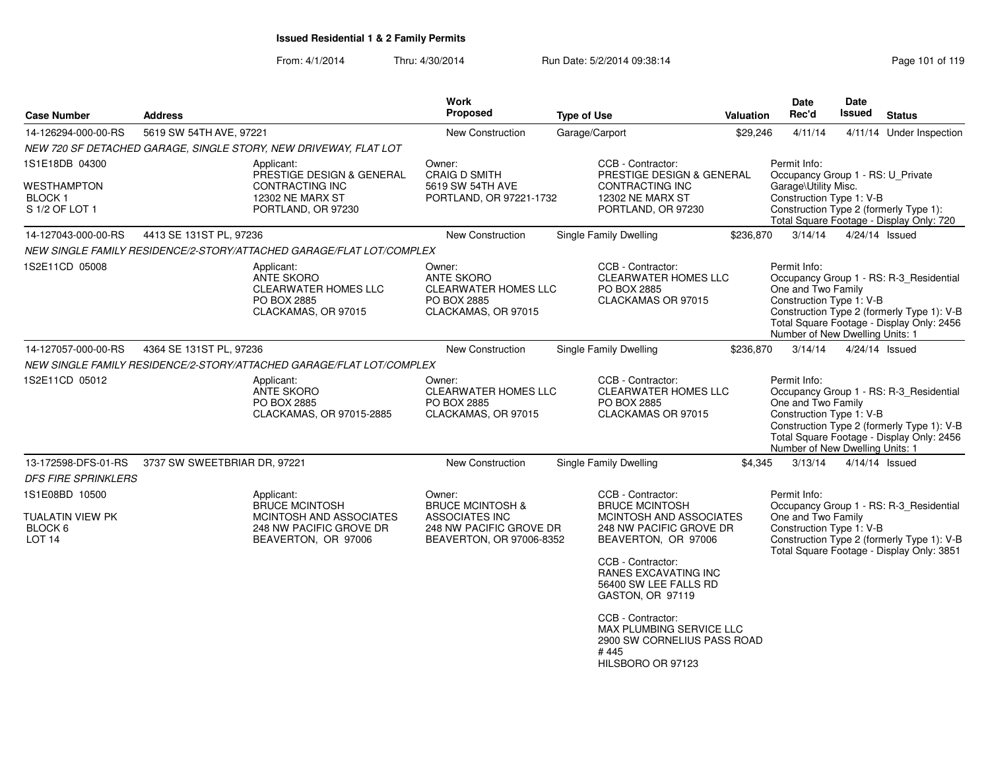| <b>Case Number</b>                             | <b>Address</b>               |                                                                                               | Work<br><b>Proposed</b>                                                                          | <b>Type of Use</b> |                                                                                                           | Valuation | <b>Date</b><br>Rec'd                                                                              | <b>Date</b><br>Issued | <b>Status</b>                                                                                                                      |
|------------------------------------------------|------------------------------|-----------------------------------------------------------------------------------------------|--------------------------------------------------------------------------------------------------|--------------------|-----------------------------------------------------------------------------------------------------------|-----------|---------------------------------------------------------------------------------------------------|-----------------------|------------------------------------------------------------------------------------------------------------------------------------|
| 14-126294-000-00-RS                            | 5619 SW 54TH AVE, 97221      |                                                                                               | New Construction                                                                                 | Garage/Carport     |                                                                                                           | \$29,246  | 4/11/14                                                                                           |                       | 4/11/14 Under Inspection                                                                                                           |
|                                                |                              | NEW 720 SF DETACHED GARAGE, SINGLE STORY, NEW DRIVEWAY, FLAT LOT                              |                                                                                                  |                    |                                                                                                           |           |                                                                                                   |                       |                                                                                                                                    |
| 1S1E18DB 04300                                 |                              | Applicant:<br>PRESTIGE DESIGN & GENERAL                                                       | Owner:<br><b>CRAIG D SMITH</b>                                                                   |                    | CCB - Contractor:<br>PRESTIGE DESIGN & GENERAL                                                            |           | Permit Info:<br>Occupancy Group 1 - RS: U_Private                                                 |                       |                                                                                                                                    |
| WESTHAMPTON<br><b>BLOCK1</b><br>S 1/2 OF LOT 1 |                              | CONTRACTING INC<br>12302 NE MARX ST<br>PORTLAND, OR 97230                                     | 5619 SW 54TH AVE<br>PORTLAND, OR 97221-1732                                                      |                    | CONTRACTING INC<br>12302 NE MARX ST<br>PORTLAND, OR 97230                                                 |           | Garage\Utility Misc.<br>Construction Type 1: V-B                                                  |                       | Construction Type 2 (formerly Type 1):<br>Total Square Footage - Display Only: 720                                                 |
| 14-127043-000-00-RS                            | 4413 SE 131ST PL, 97236      |                                                                                               | New Construction                                                                                 |                    | <b>Single Family Dwelling</b>                                                                             | \$236,870 | 3/14/14                                                                                           |                       | 4/24/14 Issued                                                                                                                     |
|                                                |                              | NEW SINGLE FAMILY RESIDENCE/2-STORY/ATTACHED GARAGE/FLAT LOT/COMPLEX                          |                                                                                                  |                    |                                                                                                           |           |                                                                                                   |                       |                                                                                                                                    |
| 1S2E11CD 05008                                 |                              | Applicant:<br><b>ANTE SKORO</b><br>CLEARWATER HOMES LLC<br>PO BOX 2885<br>CLACKAMAS, OR 97015 | Owner:<br><b>ANTE SKORO</b><br><b>CLEARWATER HOMES LLC</b><br>PO BOX 2885<br>CLACKAMAS, OR 97015 |                    | CCB - Contractor:<br><b>CLEARWATER HOMES LLC</b><br>PO BOX 2885<br>CLACKAMAS OR 97015                     |           | Permit Info:<br>One and Two Family<br>Construction Type 1: V-B<br>Number of New Dwelling Units: 1 |                       | Occupancy Group 1 - RS: R-3_Residential<br>Construction Type 2 (formerly Type 1): V-B<br>Total Square Footage - Display Only: 2456 |
| 14-127057-000-00-RS                            | 4364 SE 131ST PL, 97236      |                                                                                               | <b>New Construction</b>                                                                          |                    | Single Family Dwelling                                                                                    | \$236,870 | 3/14/14                                                                                           |                       | $4/24/14$ Issued                                                                                                                   |
|                                                |                              | NEW SINGLE FAMILY RESIDENCE/2-STORY/ATTACHED GARAGE/FLAT LOT/COMPLEX                          |                                                                                                  |                    |                                                                                                           |           |                                                                                                   |                       |                                                                                                                                    |
| 1S2E11CD 05012                                 |                              | Applicant:<br>ANTE SKORO<br>PO BOX 2885<br>CLACKAMAS, OR 97015-2885                           | Owner:<br><b>CLEARWATER HOMES LLC</b><br>PO BOX 2885<br>CLACKAMAS, OR 97015                      |                    | CCB - Contractor:<br><b>CLEARWATER HOMES LLC</b><br>PO BOX 2885<br>CLACKAMAS OR 97015                     |           | Permit Info:<br>One and Two Family<br>Construction Type 1: V-B<br>Number of New Dwelling Units: 1 |                       | Occupancy Group 1 - RS: R-3_Residential<br>Construction Type 2 (formerly Type 1): V-B<br>Total Square Footage - Display Only: 2456 |
| 13-172598-DFS-01-RS                            | 3737 SW SWEETBRIAR DR, 97221 |                                                                                               | New Construction                                                                                 |                    | Single Family Dwelling                                                                                    | \$4,345   | 3/13/14                                                                                           |                       | 4/14/14 Issued                                                                                                                     |
| <b>DFS FIRE SPRINKLERS</b>                     |                              |                                                                                               |                                                                                                  |                    |                                                                                                           |           |                                                                                                   |                       |                                                                                                                                    |
| 1S1E08BD 10500<br>TUALATIN VIEW PK             |                              | Applicant:<br><b>BRUCE MCINTOSH</b><br>MCINTOSH AND ASSOCIATES                                | Owner:<br><b>BRUCE MCINTOSH &amp;</b><br>ASSOCIATES INC                                          |                    | CCB - Contractor:<br><b>BRUCE MCINTOSH</b><br>MCINTOSH AND ASSOCIATES                                     |           | Permit Info:<br>One and Two Family                                                                |                       | Occupancy Group 1 - RS: R-3_Residential                                                                                            |
| BLOCK 6<br><b>LOT 14</b>                       |                              | 248 NW PACIFIC GROVE DR<br>BEAVERTON, OR 97006                                                | 248 NW PACIFIC GROVE DR<br>BEAVERTON, OR 97006-8352                                              |                    | 248 NW PACIFIC GROVE DR<br>BEAVERTON, OR 97006                                                            |           | Construction Type 1: V-B                                                                          |                       | Construction Type 2 (formerly Type 1): V-B<br>Total Square Footage - Display Only: 3851                                            |
|                                                |                              |                                                                                               |                                                                                                  |                    | CCB - Contractor:<br><b>RANES EXCAVATING INC</b><br>56400 SW LEE FALLS RD<br>GASTON, OR 97119             |           |                                                                                                   |                       |                                                                                                                                    |
|                                                |                              |                                                                                               |                                                                                                  |                    | CCB - Contractor:<br>MAX PLUMBING SERVICE LLC<br>2900 SW CORNELIUS PASS ROAD<br>#445<br>HILSBORO OR 97123 |           |                                                                                                   |                       |                                                                                                                                    |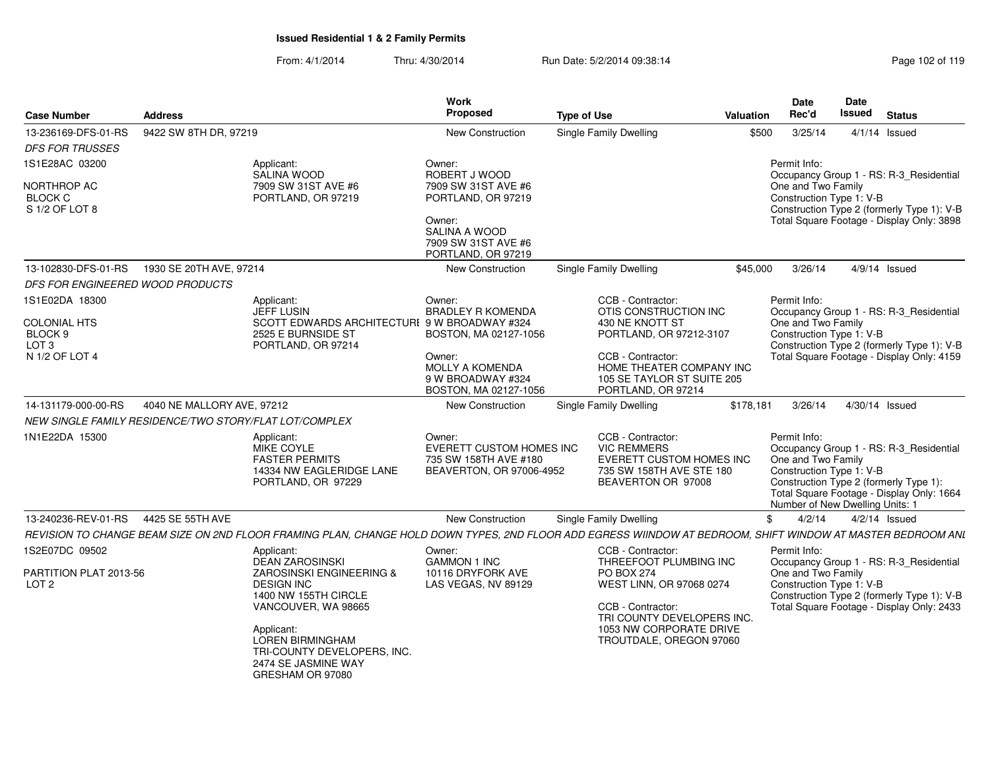| <b>Case Number</b>                                     | <b>Address</b>             |                                                                                                                                                             | Work<br><b>Proposed</b>                           | <b>Type of Use</b> |                                                        | <b>Valuation</b> | <b>Date</b><br>Rec'd                           | Date<br><b>Issued</b> | <b>Status</b>                              |
|--------------------------------------------------------|----------------------------|-------------------------------------------------------------------------------------------------------------------------------------------------------------|---------------------------------------------------|--------------------|--------------------------------------------------------|------------------|------------------------------------------------|-----------------------|--------------------------------------------|
| 13-236169-DFS-01-RS                                    | 9422 SW 8TH DR, 97219      |                                                                                                                                                             | New Construction                                  |                    | Single Family Dwelling                                 | \$500            | 3/25/14                                        |                       | $4/1/14$ Issued                            |
| <b>DFS FOR TRUSSES</b>                                 |                            |                                                                                                                                                             |                                                   |                    |                                                        |                  |                                                |                       |                                            |
| 1S1E28AC 03200                                         |                            | Applicant:                                                                                                                                                  | Owner:                                            |                    |                                                        |                  | Permit Info:                                   |                       |                                            |
|                                                        |                            | SALINA WOOD                                                                                                                                                 | ROBERT J WOOD                                     |                    |                                                        |                  |                                                |                       | Occupancy Group 1 - RS: R-3_Residential    |
| NORTHROP AC<br><b>BLOCK C</b>                          |                            | 7909 SW 31ST AVE #6<br>PORTLAND, OR 97219                                                                                                                   | 7909 SW 31ST AVE #6<br>PORTLAND, OR 97219         |                    |                                                        |                  | One and Two Family<br>Construction Type 1: V-B |                       |                                            |
| S 1/2 OF LOT 8                                         |                            |                                                                                                                                                             |                                                   |                    |                                                        |                  |                                                |                       | Construction Type 2 (formerly Type 1): V-B |
|                                                        |                            |                                                                                                                                                             | Owner:                                            |                    |                                                        |                  |                                                |                       | Total Square Footage - Display Only: 3898  |
|                                                        |                            |                                                                                                                                                             | SALINA A WOOD<br>7909 SW 31ST AVE #6              |                    |                                                        |                  |                                                |                       |                                            |
|                                                        |                            |                                                                                                                                                             | PORTLAND, OR 97219                                |                    |                                                        |                  |                                                |                       |                                            |
| 13-102830-DFS-01-RS                                    | 1930 SE 20TH AVE, 97214    |                                                                                                                                                             | <b>New Construction</b>                           |                    | Single Family Dwelling                                 | \$45,000         | 3/26/14                                        |                       | 4/9/14 Issued                              |
| DFS FOR ENGINEERED WOOD PRODUCTS                       |                            |                                                                                                                                                             |                                                   |                    |                                                        |                  |                                                |                       |                                            |
| 1S1E02DA 18300                                         |                            | Applicant:                                                                                                                                                  | Owner:                                            |                    | CCB - Contractor:                                      |                  | Permit Info:                                   |                       |                                            |
| <b>COLONIAL HTS</b>                                    |                            | <b>JEFF LUSIN</b><br>SCOTT EDWARDS ARCHITECTURI 9 W BROADWAY #324                                                                                           | <b>BRADLEY R KOMENDA</b>                          |                    | OTIS CONSTRUCTION INC<br>430 NE KNOTT ST               |                  | One and Two Family                             |                       | Occupancy Group 1 - RS: R-3_Residential    |
| BLOCK <sub>9</sub>                                     |                            | 2525 E BURNSIDE ST                                                                                                                                          | BOSTON, MA 02127-1056                             |                    | PORTLAND, OR 97212-3107                                |                  | Construction Type 1: V-B                       |                       |                                            |
| LOT <sub>3</sub>                                       |                            | PORTLAND, OR 97214                                                                                                                                          |                                                   |                    |                                                        |                  |                                                |                       | Construction Type 2 (formerly Type 1): V-B |
| N 1/2 OF LOT 4                                         |                            |                                                                                                                                                             | Owner:                                            |                    | CCB - Contractor:                                      |                  |                                                |                       | Total Square Footage - Display Only: 4159  |
|                                                        |                            |                                                                                                                                                             | <b>MOLLY A KOMENDA</b><br>9 W BROADWAY #324       |                    | HOME THEATER COMPANY INC<br>105 SE TAYLOR ST SUITE 205 |                  |                                                |                       |                                            |
|                                                        |                            |                                                                                                                                                             | BOSTON, MA 02127-1056                             |                    | PORTLAND, OR 97214                                     |                  |                                                |                       |                                            |
| 14-131179-000-00-RS                                    | 4040 NE MALLORY AVE, 97212 |                                                                                                                                                             | New Construction                                  |                    | Single Family Dwelling                                 | \$178,181        | 3/26/14                                        | 4/30/14 Issued        |                                            |
| NEW SINGLE FAMILY RESIDENCE/TWO STORY/FLAT LOT/COMPLEX |                            |                                                                                                                                                             |                                                   |                    |                                                        |                  |                                                |                       |                                            |
| 1N1E22DA 15300                                         |                            | Applicant:                                                                                                                                                  | Owner:                                            |                    | CCB - Contractor:                                      |                  | Permit Info:                                   |                       |                                            |
|                                                        |                            | MIKE COYLE                                                                                                                                                  | EVERETT CUSTOM HOMES INC                          |                    | <b>VIC REMMERS</b>                                     |                  |                                                |                       | Occupancy Group 1 - RS: R-3_Residential    |
|                                                        |                            | <b>FASTER PERMITS</b><br>14334 NW EAGLERIDGE LANE                                                                                                           | 735 SW 158TH AVE #180<br>BEAVERTON, OR 97006-4952 |                    | EVERETT CUSTOM HOMES INC<br>735 SW 158TH AVE STE 180   |                  | One and Two Family<br>Construction Type 1: V-B |                       |                                            |
|                                                        |                            | PORTLAND, OR 97229                                                                                                                                          |                                                   |                    | BEAVERTON OR 97008                                     |                  | Construction Type 2 (formerly Type 1):         |                       |                                            |
|                                                        |                            |                                                                                                                                                             |                                                   |                    |                                                        |                  |                                                |                       | Total Square Footage - Display Only: 1664  |
|                                                        |                            |                                                                                                                                                             |                                                   |                    |                                                        |                  | Number of New Dwelling Units: 1                |                       |                                            |
| 13-240236-REV-01-RS                                    | 4425 SE 55TH AVE           |                                                                                                                                                             | <b>New Construction</b>                           |                    | Single Family Dwelling                                 | \$               | 4/2/14                                         |                       | $4/2/14$ Issued                            |
|                                                        |                            | REVISION TO CHANGE BEAM SIZE ON 2ND FLOOR FRAMING PLAN, CHANGE HOLD DOWN TYPES, 2ND FLOOR ADD EGRESS WIINDOW AT BEDROOM, SHIFT WINDOW AT MASTER BEDROOM ANL |                                                   |                    |                                                        |                  |                                                |                       |                                            |
| 1S2E07DC 09502                                         |                            | Applicant:                                                                                                                                                  | Owner:                                            |                    | CCB - Contractor:                                      |                  | Permit Info:                                   |                       |                                            |
| PARTITION PLAT 2013-56                                 |                            | <b>DEAN ZAROSINSKI</b><br>ZAROSINSKI ENGINEERING &                                                                                                          | <b>GAMMON 1 INC</b><br>10116 DRYFORK AVE          |                    | THREEFOOT PLUMBING INC<br><b>PO BOX 274</b>            |                  | One and Two Family                             |                       | Occupancy Group 1 - RS: R-3_Residential    |
| LOT <sub>2</sub>                                       |                            | <b>DESIGN INC</b>                                                                                                                                           | LAS VEGAS, NV 89129                               |                    | WEST LINN, OR 97068 0274                               |                  | Construction Type 1: V-B                       |                       |                                            |
|                                                        |                            | 1400 NW 155TH CIRCLE                                                                                                                                        |                                                   |                    |                                                        |                  |                                                |                       | Construction Type 2 (formerly Type 1): V-B |
|                                                        |                            | VANCOUVER, WA 98665                                                                                                                                         |                                                   |                    | CCB - Contractor:                                      |                  |                                                |                       | Total Square Footage - Display Only: 2433  |
|                                                        |                            |                                                                                                                                                             |                                                   |                    | TRI COUNTY DEVELOPERS INC.                             |                  |                                                |                       |                                            |
|                                                        |                            | Applicant:<br><b>LOREN BIRMINGHAM</b>                                                                                                                       |                                                   |                    | 1053 NW CORPORATE DRIVE<br>TROUTDALE, OREGON 97060     |                  |                                                |                       |                                            |
|                                                        |                            | TRI-COUNTY DEVELOPERS, INC.                                                                                                                                 |                                                   |                    |                                                        |                  |                                                |                       |                                            |
|                                                        |                            | 2474 SE JASMINE WAY                                                                                                                                         |                                                   |                    |                                                        |                  |                                                |                       |                                            |
|                                                        |                            | GRESHAM OR 97080                                                                                                                                            |                                                   |                    |                                                        |                  |                                                |                       |                                            |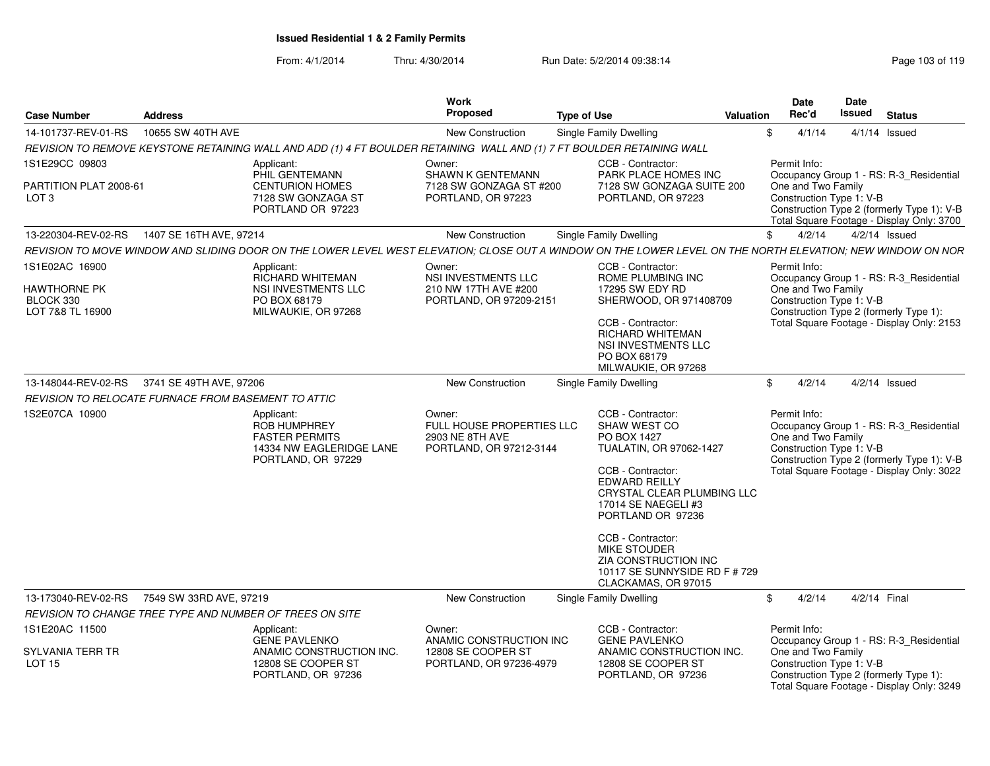| <b>Case Number</b>                                   | <b>Address</b>    |                                                                                                                        | Work<br><b>Proposed</b>                                                           | <b>Type of Use</b><br>Valuation                                                                                                                                                                                                                                                                                | <b>Date</b><br><b>Date</b><br>Issued<br>Rec'd<br><b>Status</b>                                                                                                                                       |
|------------------------------------------------------|-------------------|------------------------------------------------------------------------------------------------------------------------|-----------------------------------------------------------------------------------|----------------------------------------------------------------------------------------------------------------------------------------------------------------------------------------------------------------------------------------------------------------------------------------------------------------|------------------------------------------------------------------------------------------------------------------------------------------------------------------------------------------------------|
| 14-101737-REV-01-RS                                  | 10655 SW 40TH AVE |                                                                                                                        | <b>New Construction</b>                                                           | Single Family Dwelling                                                                                                                                                                                                                                                                                         | 4/1/14<br>$4/1/14$ Issued<br>\$                                                                                                                                                                      |
|                                                      |                   | REVISION TO REMOVE KEYSTONE RETAINING WALL AND ADD (1) 4 FT BOULDER RETAINING WALL AND (1) 7 FT BOULDER RETAINING WALL |                                                                                   |                                                                                                                                                                                                                                                                                                                |                                                                                                                                                                                                      |
| 1S1E29CC 09803                                       |                   | Applicant:<br>PHIL GENTEMANN                                                                                           | Owner:<br><b>SHAWN K GENTEMANN</b>                                                | CCB - Contractor:<br><b>PARK PLACE HOMES INC</b>                                                                                                                                                                                                                                                               | Permit Info:<br>Occupancy Group 1 - RS: R-3_Residential                                                                                                                                              |
| PARTITION PLAT 2008-61<br>LOT <sub>3</sub>           |                   | <b>CENTURION HOMES</b><br>7128 SW GONZAGA ST<br>PORTLAND OR 97223                                                      | 7128 SW GONZAGA ST #200<br>PORTLAND, OR 97223                                     | 7128 SW GONZAGA SUITE 200<br>PORTLAND, OR 97223                                                                                                                                                                                                                                                                | One and Two Family<br>Construction Type 1: V-B<br>Construction Type 2 (formerly Type 1): V-B<br>Total Square Footage - Display Only: 3700                                                            |
| 13-220304-REV-02-RS  1407 SE 16TH AVE, 97214         |                   |                                                                                                                        | <b>New Construction</b>                                                           | <b>Single Family Dwelling</b>                                                                                                                                                                                                                                                                                  | $4/2/14$ Issued<br>$\mathbb{S}$<br>4/2/14                                                                                                                                                            |
|                                                      |                   |                                                                                                                        |                                                                                   |                                                                                                                                                                                                                                                                                                                | REVISION TO MOVE WINDOW AND SLIDING DOOR ON THE LOWER LEVEL WEST ELEVATION: CLOSE OUT A WINDOW ON THE LOWER LEVEL ON THE NORTH ELEVATION: NEW WINDOW ON NOR                                          |
| 1S1E02AC 16900                                       |                   | Applicant:<br><b>RICHARD WHITEMAN</b>                                                                                  | Owner:<br>NSI INVESTMENTS LLC                                                     | CCB - Contractor:<br>ROME PLUMBING INC                                                                                                                                                                                                                                                                         | Permit Info:<br>Occupancy Group 1 - RS: R-3_Residential                                                                                                                                              |
| <b>HAWTHORNE PK</b><br>BLOCK 330<br>LOT 7&8 TL 16900 |                   | NSI INVESTMENTS LLC<br>PO BOX 68179<br>MILWAUKIE, OR 97268                                                             | 210 NW 17TH AVE #200<br>PORTLAND, OR 97209-2151                                   | 17295 SW EDY RD<br>SHERWOOD, OR 971408709<br>CCB - Contractor:<br><b>RICHARD WHITEMAN</b>                                                                                                                                                                                                                      | One and Two Family<br>Construction Type 1: V-B<br>Construction Type 2 (formerly Type 1):<br>Total Square Footage - Display Only: 2153                                                                |
|                                                      |                   |                                                                                                                        |                                                                                   | NSI INVESTMENTS LLC<br>PO BOX 68179<br>MILWAUKIE, OR 97268                                                                                                                                                                                                                                                     |                                                                                                                                                                                                      |
| 13-148044-REV-02-RS 3741 SE 49TH AVE, 97206          |                   |                                                                                                                        | <b>New Construction</b>                                                           | Single Family Dwelling                                                                                                                                                                                                                                                                                         | 4/2/14<br>$4/2/14$ Issued<br>$\mathbb{S}$                                                                                                                                                            |
| REVISION TO RELOCATE FURNACE FROM BASEMENT TO ATTIC  |                   |                                                                                                                        |                                                                                   |                                                                                                                                                                                                                                                                                                                |                                                                                                                                                                                                      |
| 1S2E07CA 10900                                       |                   | Applicant:<br><b>ROB HUMPHREY</b><br><b>FASTER PERMITS</b><br>14334 NW EAGLERIDGE LANE<br>PORTLAND, OR 97229           | Owner:<br>FULL HOUSE PROPERTIES LLC<br>2903 NE 8TH AVE<br>PORTLAND, OR 97212-3144 | CCB - Contractor:<br>SHAW WEST CO<br>PO BOX 1427<br>TUALATIN, OR 97062-1427<br>CCB - Contractor:<br><b>EDWARD REILLY</b><br><b>CRYSTAL CLEAR PLUMBING LLC</b><br>17014 SE NAEGELI #3<br>PORTLAND OR 97236<br>CCB - Contractor:<br><b>MIKE STOUDER</b><br>ZIA CONSTRUCTION INC<br>10117 SE SUNNYSIDE RD F # 729 | Permit Info:<br>Occupancy Group 1 - RS: R-3_Residential<br>One and Two Family<br>Construction Type 1: V-B<br>Construction Type 2 (formerly Type 1): V-B<br>Total Square Footage - Display Only: 3022 |
| 13-173040-REV-02-RS 7549 SW 33RD AVE, 97219          |                   |                                                                                                                        | New Construction                                                                  | CLACKAMAS, OR 97015<br><b>Single Family Dwelling</b>                                                                                                                                                                                                                                                           | 4/2/14<br>4/2/14 Final<br>$\mathbb{S}$                                                                                                                                                               |
|                                                      |                   | <b>REVISION TO CHANGE TREE TYPE AND NUMBER OF TREES ON SITE</b>                                                        |                                                                                   |                                                                                                                                                                                                                                                                                                                |                                                                                                                                                                                                      |
| 1S1E20AC 11500                                       |                   | Applicant:<br><b>GENE PAVLENKO</b>                                                                                     | Owner:<br>ANAMIC CONSTRUCTION INC                                                 | CCB - Contractor:<br><b>GENE PAVLENKO</b>                                                                                                                                                                                                                                                                      | Permit Info:<br>Occupancy Group 1 - RS: R-3_Residential                                                                                                                                              |
| <b>SYLVANIA TERR TR</b><br>LOT 15                    |                   | ANAMIC CONSTRUCTION INC.<br>12808 SE COOPER ST<br>PORTLAND, OR 97236                                                   | 12808 SE COOPER ST<br>PORTLAND, OR 97236-4979                                     | ANAMIC CONSTRUCTION INC.<br>12808 SE COOPER ST<br>PORTLAND, OR 97236                                                                                                                                                                                                                                           | One and Two Family<br>Construction Type 1: V-B<br>Construction Type 2 (formerly Type 1):<br>Total Square Footage - Display Only: 3249                                                                |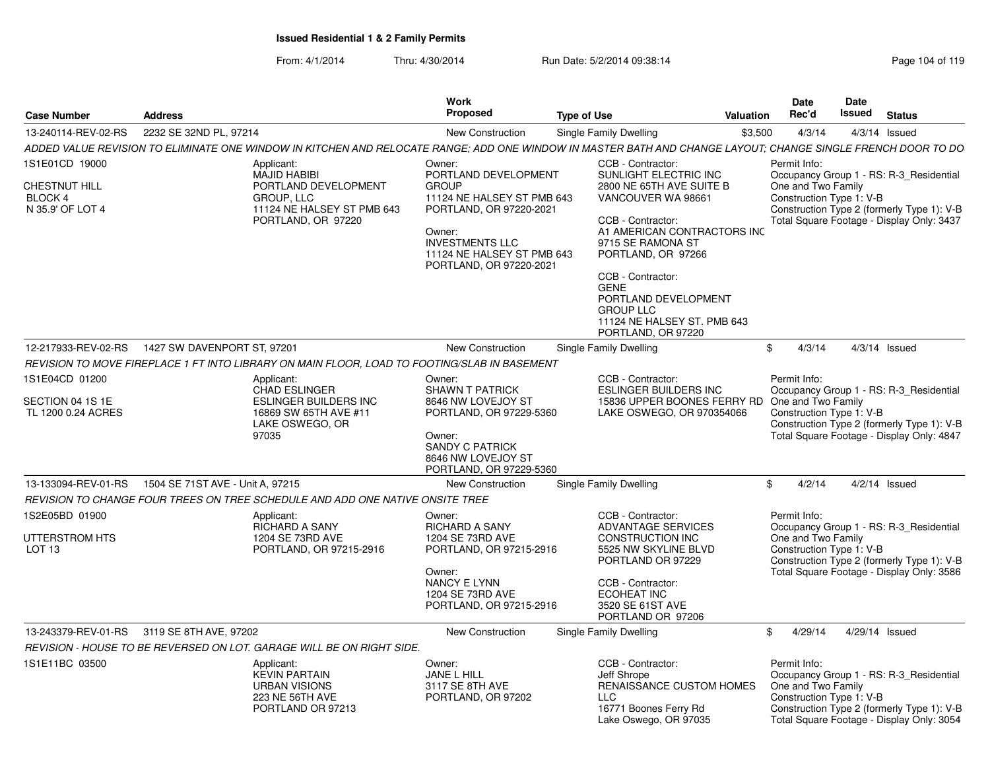|                                                                       |                                                                                                                                                              |                                                                          | Work                                                                                                                                                                                                 |                    |                                                                                                                                                                                                                  |           | Date                                                           | Date           |                                                                                                                                    |
|-----------------------------------------------------------------------|--------------------------------------------------------------------------------------------------------------------------------------------------------------|--------------------------------------------------------------------------|------------------------------------------------------------------------------------------------------------------------------------------------------------------------------------------------------|--------------------|------------------------------------------------------------------------------------------------------------------------------------------------------------------------------------------------------------------|-----------|----------------------------------------------------------------|----------------|------------------------------------------------------------------------------------------------------------------------------------|
| <b>Case Number</b>                                                    | <b>Address</b>                                                                                                                                               |                                                                          | Proposed                                                                                                                                                                                             | <b>Type of Use</b> |                                                                                                                                                                                                                  | Valuation | Rec'd                                                          | Issued         | <b>Status</b>                                                                                                                      |
| 13-240114-REV-02-RS                                                   | 2232 SE 32ND PL, 97214                                                                                                                                       |                                                                          | <b>New Construction</b>                                                                                                                                                                              |                    | Single Family Dwelling                                                                                                                                                                                           | \$3,500   | 4/3/14                                                         |                | $4/3/14$ Issued                                                                                                                    |
|                                                                       | ADDED VALUE REVISION TO ELIMINATE ONE WINDOW IN KITCHEN AND RELOCATE RANGE: ADD ONE WINDOW IN MASTER BATH AND CHANGE LAYOUT: CHANGE SINGLE FRENCH DOOR TO DO |                                                                          |                                                                                                                                                                                                      |                    |                                                                                                                                                                                                                  |           |                                                                |                |                                                                                                                                    |
| 1S1E01CD 19000<br>CHESTNUT HILL<br><b>BLOCK 4</b><br>N 35.9' OF LOT 4 | Applicant:<br><b>MAJID HABIBI</b><br>GROUP, LLC                                                                                                              | PORTLAND DEVELOPMENT<br>11124 NE HALSEY ST PMB 643<br>PORTLAND, OR 97220 | Owner:<br>PORTLAND DEVELOPMENT<br><b>GROUP</b><br>11124 NE HALSEY ST PMB 643<br>PORTLAND, OR 97220-2021<br>Owner:<br><b>INVESTMENTS LLC</b><br>11124 NE HALSEY ST PMB 643<br>PORTLAND, OR 97220-2021 |                    | CCB - Contractor:<br>SUNLIGHT ELECTRIC INC<br>2800 NE 65TH AVE SUITE B<br>VANCOUVER WA 98661<br>CCB - Contractor:<br>A1 AMERICAN CONTRACTORS INC<br>9715 SE RAMONA ST<br>PORTLAND, OR 97266<br>CCB - Contractor: |           | Permit Info:<br>One and Two Family<br>Construction Type 1: V-B |                | Occupancy Group 1 - RS: R-3 Residential<br>Construction Type 2 (formerly Type 1): V-B<br>Total Square Footage - Display Only: 3437 |
|                                                                       |                                                                                                                                                              |                                                                          |                                                                                                                                                                                                      |                    | <b>GENE</b><br>PORTLAND DEVELOPMENT<br><b>GROUP LLC</b><br>11124 NE HALSEY ST. PMB 643<br>PORTLAND, OR 97220                                                                                                     |           |                                                                |                |                                                                                                                                    |
| 12-217933-REV-02-RS                                                   | 1427 SW DAVENPORT ST, 97201                                                                                                                                  |                                                                          | <b>New Construction</b>                                                                                                                                                                              |                    | Single Family Dwelling                                                                                                                                                                                           |           | 4/3/14<br>\$                                                   |                | $4/3/14$ Issued                                                                                                                    |
|                                                                       | REVISION TO MOVE FIREPLACE 1 FT INTO LIBRARY ON MAIN FLOOR, LOAD TO FOOTING/SLAB IN BASEMENT                                                                 |                                                                          |                                                                                                                                                                                                      |                    |                                                                                                                                                                                                                  |           |                                                                |                |                                                                                                                                    |
| 1S1E04CD 01200                                                        | Applicant:<br>CHAD ESLINGER                                                                                                                                  |                                                                          | Owner:<br><b>SHAWN T PATRICK</b>                                                                                                                                                                     |                    | CCB - Contractor:<br><b>ESLINGER BUILDERS INC</b>                                                                                                                                                                |           | Permit Info:                                                   |                | Occupancy Group 1 - RS: R-3_Residential                                                                                            |
| SECTION 04 1S 1E<br>TL 1200 0.24 ACRES                                | LAKE OSWEGO, OR<br>97035                                                                                                                                     | ESLINGER BUILDERS INC<br>16869 SW 65TH AVE #11                           | 8646 NW LOVEJOY ST<br>PORTLAND, OR 97229-5360<br>Owner:<br><b>SANDY C PATRICK</b><br>8646 NW LOVEJOY ST<br>PORTLAND, OR 97229-5360                                                                   |                    | 15836 UPPER BOONES FERRY RD<br>LAKE OSWEGO, OR 970354066                                                                                                                                                         |           | One and Two Family<br>Construction Type 1: V-B                 |                | Construction Type 2 (formerly Type 1): V-B<br>Total Square Footage - Display Only: 4847                                            |
| 13-133094-REV-01-RS                                                   | 1504 SE 71ST AVE - Unit A, 97215                                                                                                                             |                                                                          | <b>New Construction</b>                                                                                                                                                                              |                    | Single Family Dwelling                                                                                                                                                                                           |           | 4/2/14<br>\$                                                   |                | $4/2/14$ Issued                                                                                                                    |
|                                                                       | REVISION TO CHANGE FOUR TREES ON TREE SCHEDULE AND ADD ONE NATIVE ONSITE TREE                                                                                |                                                                          |                                                                                                                                                                                                      |                    |                                                                                                                                                                                                                  |           |                                                                |                |                                                                                                                                    |
| 1S2E05BD 01900<br>UTTERSTROM HTS                                      | Applicant:<br><b>RICHARD A SANY</b><br>1204 SE 73RD AVE                                                                                                      |                                                                          | Owner:<br><b>RICHARD A SANY</b><br>1204 SE 73RD AVE                                                                                                                                                  |                    | CCB - Contractor:<br><b>ADVANTAGE SERVICES</b><br><b>CONSTRUCTION INC</b>                                                                                                                                        |           | Permit Info:<br>One and Two Family                             |                | Occupancy Group 1 - RS: R-3_Residential                                                                                            |
| LOT <sub>13</sub>                                                     |                                                                                                                                                              | PORTLAND, OR 97215-2916                                                  | PORTLAND, OR 97215-2916<br>Owner:                                                                                                                                                                    |                    | 5525 NW SKYLINE BLVD<br>PORTLAND OR 97229                                                                                                                                                                        |           | Construction Type 1: V-B                                       |                | Construction Type 2 (formerly Type 1): V-B<br>Total Square Footage - Display Only: 3586                                            |
|                                                                       |                                                                                                                                                              |                                                                          | NANCY E LYNN<br>1204 SE 73RD AVE<br>PORTLAND, OR 97215-2916                                                                                                                                          |                    | CCB - Contractor:<br><b>ECOHEAT INC</b><br>3520 SE 61ST AVE<br>PORTLAND OR 97206                                                                                                                                 |           |                                                                |                |                                                                                                                                    |
|                                                                       | 13-243379-REV-01-RS 3119 SE 8TH AVE, 97202                                                                                                                   |                                                                          | <b>New Construction</b>                                                                                                                                                                              |                    | Single Family Dwelling                                                                                                                                                                                           |           | 4/29/14<br>\$                                                  | 4/29/14 Issued |                                                                                                                                    |
|                                                                       | REVISION - HOUSE TO BE REVERSED ON LOT. GARAGE WILL BE ON RIGHT SIDE.                                                                                        |                                                                          |                                                                                                                                                                                                      |                    |                                                                                                                                                                                                                  |           |                                                                |                |                                                                                                                                    |
| 1S1E11BC 03500                                                        | Applicant:<br><b>KEVIN PARTAIN</b><br><b>URBAN VISIONS</b><br><b>223 NE 56TH AVE</b><br>PORTLAND OR 97213                                                    |                                                                          | Owner:<br>JANE L HILL<br>3117 SE 8TH AVE<br>PORTLAND, OR 97202                                                                                                                                       |                    | CCB - Contractor:<br>Jeff Shrope<br><b>RENAISSANCE CUSTOM HOMES</b><br>LLC<br>16771 Boones Ferry Rd<br>Lake Oswego, OR 97035                                                                                     |           | Permit Info:<br>One and Two Family<br>Construction Type 1: V-B |                | Occupancy Group 1 - RS: R-3 Residential<br>Construction Type 2 (formerly Type 1): V-B<br>Total Square Footage - Display Only: 3054 |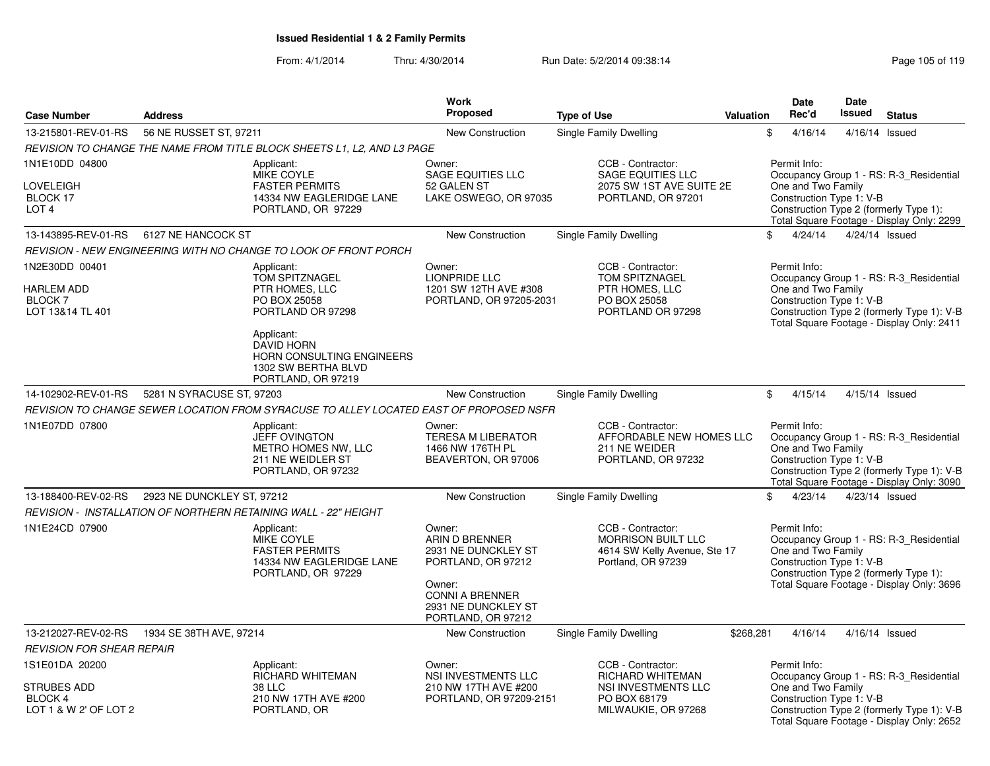|                                                                                 |                            |                                                                                                                                                                                                         | <b>Work</b>                                                                                                                                            |                                                                                                            |           | Date                                                                                                     | Date           |                                                                                                                                    |
|---------------------------------------------------------------------------------|----------------------------|---------------------------------------------------------------------------------------------------------------------------------------------------------------------------------------------------------|--------------------------------------------------------------------------------------------------------------------------------------------------------|------------------------------------------------------------------------------------------------------------|-----------|----------------------------------------------------------------------------------------------------------|----------------|------------------------------------------------------------------------------------------------------------------------------------|
| <b>Case Number</b>                                                              | <b>Address</b>             |                                                                                                                                                                                                         | Proposed                                                                                                                                               | <b>Type of Use</b>                                                                                         | Valuation | Rec'd                                                                                                    | Issued         | <b>Status</b>                                                                                                                      |
| 13-215801-REV-01-RS                                                             | 56 NE RUSSET ST, 97211     |                                                                                                                                                                                                         | <b>New Construction</b>                                                                                                                                | Single Family Dwelling                                                                                     |           | \$<br>4/16/14                                                                                            | 4/16/14        | Issued                                                                                                                             |
|                                                                                 |                            | REVISION TO CHANGE THE NAME FROM TITLE BLOCK SHEETS L1, L2, AND L3 PAGE                                                                                                                                 |                                                                                                                                                        |                                                                                                            |           |                                                                                                          |                |                                                                                                                                    |
| 1N1E10DD 04800<br>LOVELEIGH<br>BLOCK 17<br>LOT <sub>4</sub>                     |                            | Applicant:<br><b>MIKE COYLE</b><br><b>FASTER PERMITS</b><br>14334 NW EAGLERIDGE LANE<br>PORTLAND, OR 97229                                                                                              | Owner:<br><b>SAGE EQUITIES LLC</b><br>52 GALEN ST<br>LAKE OSWEGO, OR 97035                                                                             | CCB - Contractor:<br><b>SAGE EQUITIES LLC</b><br>2075 SW 1ST AVE SUITE 2E<br>PORTLAND, OR 97201            |           | Permit Info:<br>One and Two Family<br>Construction Type 1: V-B                                           |                | Occupancy Group 1 - RS: R-3 Residential<br>Construction Type 2 (formerly Type 1):<br>Total Square Footage - Display Only: 2299     |
| 13-143895-REV-01-RS                                                             | 6127 NE HANCOCK ST         |                                                                                                                                                                                                         | New Construction                                                                                                                                       | Single Family Dwelling                                                                                     |           | \$<br>4/24/14                                                                                            | 4/24/14 Issued |                                                                                                                                    |
|                                                                                 |                            | REVISION - NEW ENGINEERING WITH NO CHANGE TO LOOK OF FRONT PORCH                                                                                                                                        |                                                                                                                                                        |                                                                                                            |           |                                                                                                          |                |                                                                                                                                    |
| 1N2E30DD 00401<br><b>HARLEM ADD</b><br><b>BLOCK7</b><br>LOT 13&14 TL 401        |                            | Applicant:<br><b>TOM SPITZNAGEL</b><br>PTR HOMES, LLC<br>PO BOX 25058<br>PORTLAND OR 97298<br>Applicant:<br><b>DAVID HORN</b><br>HORN CONSULTING ENGINEERS<br>1302 SW BERTHA BLVD<br>PORTLAND, OR 97219 | Owner:<br><b>LIONPRIDE LLC</b><br>1201 SW 12TH AVE #308<br>PORTLAND, OR 97205-2031                                                                     | CCB - Contractor:<br><b>TOM SPITZNAGEL</b><br>PTR HOMES, LLC<br>PO BOX 25058<br>PORTLAND OR 97298          |           | Permit Info:<br>One and Two Family<br>Construction Type 1: V-B                                           |                | Occupancy Group 1 - RS: R-3 Residential<br>Construction Type 2 (formerly Type 1): V-B<br>Total Square Footage - Display Only: 2411 |
| 14-102902-REV-01-RS                                                             | 5281 N SYRACUSE ST, 97203  |                                                                                                                                                                                                         | New Construction                                                                                                                                       | Single Family Dwelling                                                                                     |           | \$<br>4/15/14                                                                                            | 4/15/14 Issued |                                                                                                                                    |
|                                                                                 |                            | REVISION TO CHANGE SEWER LOCATION FROM SYRACUSE TO ALLEY LOCATED EAST OF PROPOSED NSFR                                                                                                                  |                                                                                                                                                        |                                                                                                            |           |                                                                                                          |                |                                                                                                                                    |
| 1N1E07DD 07800                                                                  |                            | Applicant:<br><b>JEFF OVINGTON</b><br>METRO HOMES NW, LLC<br>211 NE WEIDLER ST<br>PORTLAND, OR 97232                                                                                                    | Owner:<br><b>TERESA M LIBERATOR</b><br>1466 NW 176TH PL<br>BEAVERTON, OR 97006                                                                         | CCB - Contractor:<br>AFFORDABLE NEW HOMES LLC<br>211 NE WEIDER<br>PORTLAND, OR 97232                       |           | Permit Info:<br>One and Two Family<br>Construction Type 1: V-B                                           |                | Occupancy Group 1 - RS: R-3_Residential<br>Construction Type 2 (formerly Type 1): V-B<br>Total Square Footage - Display Only: 3090 |
| 13-188400-REV-02-RS                                                             | 2923 NE DUNCKLEY ST, 97212 |                                                                                                                                                                                                         | New Construction                                                                                                                                       | Single Family Dwelling                                                                                     |           | \$<br>4/23/14                                                                                            | 4/23/14 Issued |                                                                                                                                    |
|                                                                                 |                            | REVISION - INSTALLATION OF NORTHERN RETAINING WALL - 22" HEIGHT                                                                                                                                         |                                                                                                                                                        |                                                                                                            |           |                                                                                                          |                |                                                                                                                                    |
| 1N1E24CD 07900                                                                  |                            | Applicant:<br>MIKE COYLE<br><b>FASTER PERMITS</b><br>14334 NW EAGLERIDGE LANE<br>PORTLAND, OR 97229                                                                                                     | Owner:<br>ARIN D BRENNER<br>2931 NE DUNCKLEY ST<br>PORTLAND, OR 97212<br>Owner:<br><b>CONNI A BRENNER</b><br>2931 NE DUNCKLEY ST<br>PORTLAND, OR 97212 | CCB - Contractor:<br><b>MORRISON BUILT LLC</b><br>4614 SW Kelly Avenue, Ste 17<br>Portland, OR 97239       |           | Permit Info:<br>One and Two Family<br>Construction Type 1: V-B<br>Construction Type 2 (formerly Type 1): |                | Occupancy Group 1 - RS: R-3_Residential<br>Total Square Footage - Display Only: 3696                                               |
| 13-212027-REV-02-RS                                                             | 1934 SE 38TH AVE, 97214    |                                                                                                                                                                                                         | <b>New Construction</b>                                                                                                                                | Single Family Dwelling                                                                                     | \$268,281 | 4/16/14                                                                                                  | 4/16/14 Issued |                                                                                                                                    |
| <b>REVISION FOR SHEAR REPAIR</b>                                                |                            |                                                                                                                                                                                                         |                                                                                                                                                        |                                                                                                            |           |                                                                                                          |                |                                                                                                                                    |
| 1S1E01DA 20200<br><b>STRUBES ADD</b><br><b>BLOCK 4</b><br>LOT 1 & W 2' OF LOT 2 |                            | Applicant:<br><b>RICHARD WHITEMAN</b><br><b>38 LLC</b><br>210 NW 17TH AVE #200<br>PORTLAND, OR                                                                                                          | Owner:<br><b>NSI INVESTMENTS LLC</b><br>210 NW 17TH AVE #200<br>PORTLAND, OR 97209-2151                                                                | CCB - Contractor:<br><b>RICHARD WHITEMAN</b><br>NSI INVESTMENTS LLC<br>PO BOX 68179<br>MILWAUKIE, OR 97268 |           | Permit Info:<br>One and Two Family<br>Construction Type 1: V-B                                           |                | Occupancy Group 1 - RS: R-3_Residential<br>Construction Type 2 (formerly Type 1): V-B<br>Total Square Footage - Display Only: 2652 |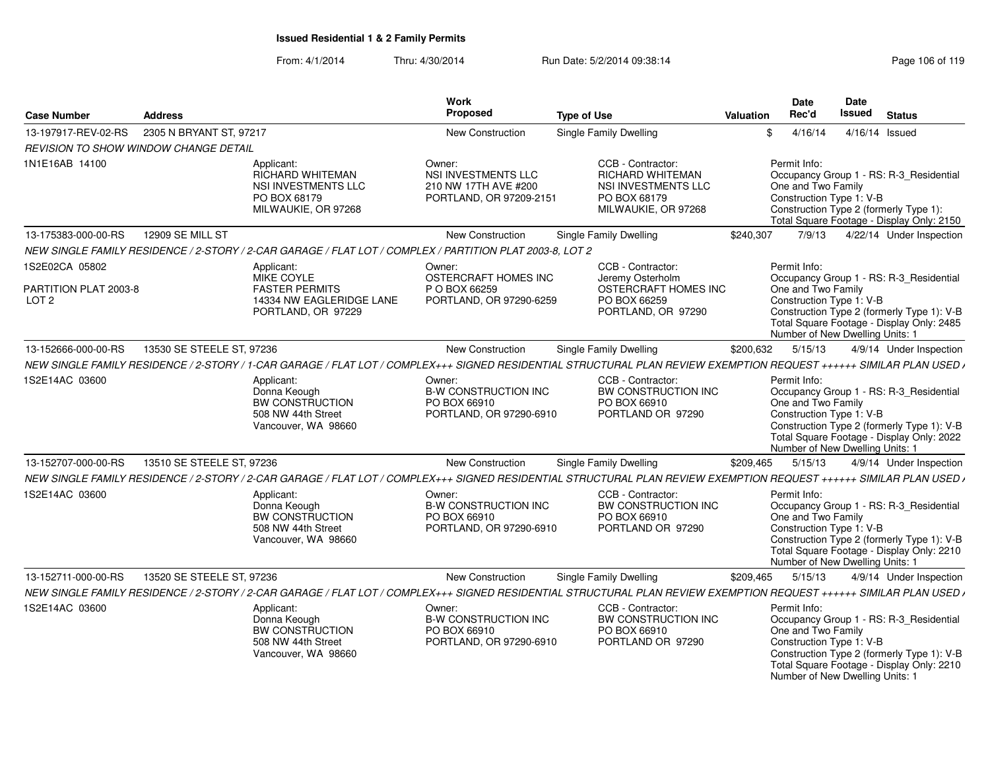| <b>Case Number</b>                                          | <b>Address</b>            |                                                                                                            | Work<br>Proposed                                                                 | <b>Type of Use</b>                                                                                                                                                  | Valuation | Date<br>Rec'd                                                                                     | <b>Date</b><br>Issued | <b>Status</b>                                                                                                                      |
|-------------------------------------------------------------|---------------------------|------------------------------------------------------------------------------------------------------------|----------------------------------------------------------------------------------|---------------------------------------------------------------------------------------------------------------------------------------------------------------------|-----------|---------------------------------------------------------------------------------------------------|-----------------------|------------------------------------------------------------------------------------------------------------------------------------|
| 13-197917-REV-02-RS                                         | 2305 N BRYANT ST. 97217   |                                                                                                            | <b>New Construction</b>                                                          | Single Family Dwelling                                                                                                                                              | \$        | 4/16/14                                                                                           |                       | 4/16/14 Issued                                                                                                                     |
| <b>REVISION TO SHOW WINDOW CHANGE DETAIL</b>                |                           |                                                                                                            |                                                                                  |                                                                                                                                                                     |           |                                                                                                   |                       |                                                                                                                                    |
| 1N1E16AB 14100                                              |                           | Applicant:<br><b>RICHARD WHITEMAN</b><br><b>NSI INVESTMENTS LLC</b><br>PO BOX 68179<br>MILWAUKIE, OR 97268 | Owner:<br>NSI INVESTMENTS LLC<br>210 NW 17TH AVE #200<br>PORTLAND, OR 97209-2151 | CCB - Contractor:<br>RICHARD WHITEMAN<br><b>NSI INVESTMENTS LLC</b><br>PO BOX 68179<br>MILWAUKIE, OR 97268                                                          |           | Permit Info:<br>One and Two Family<br>Construction Type 1: V-B                                    |                       | Occupancy Group 1 - RS: R-3 Residential<br>Construction Type 2 (formerly Type 1):<br>Total Square Footage - Display Only: 2150     |
| 13-175383-000-00-RS                                         | 12909 SE MILL ST          |                                                                                                            | New Construction                                                                 | <b>Single Family Dwelling</b>                                                                                                                                       | \$240,307 | 7/9/13                                                                                            |                       | 4/22/14 Under Inspection                                                                                                           |
|                                                             |                           | NEW SINGLE FAMILY RESIDENCE / 2-STORY / 2-CAR GARAGE / FLAT LOT / COMPLEX / PARTITION PLAT 2003-8, LOT 2   |                                                                                  |                                                                                                                                                                     |           |                                                                                                   |                       |                                                                                                                                    |
| 1S2E02CA 05802<br>PARTITION PLAT 2003-8<br>LOT <sub>2</sub> |                           | Applicant:<br><b>MIKE COYLE</b><br><b>FASTER PERMITS</b><br>14334 NW EAGLERIDGE LANE<br>PORTLAND, OR 97229 | Owner:<br>OSTERCRAFT HOMES INC<br>P O BOX 66259<br>PORTLAND, OR 97290-6259       | CCB - Contractor:<br>Jeremy Osterholm<br>OSTERCRAFT HOMES INC<br>PO BOX 66259<br>PORTLAND, OR 97290                                                                 |           | Permit Info:<br>One and Two Family<br>Construction Type 1: V-B<br>Number of New Dwelling Units: 1 |                       | Occupancy Group 1 - RS: R-3_Residential<br>Construction Type 2 (formerly Type 1): V-B<br>Total Square Footage - Display Only: 2485 |
| 13-152666-000-00-RS                                         | 13530 SE STEELE ST, 97236 |                                                                                                            | New Construction                                                                 | <b>Single Family Dwelling</b>                                                                                                                                       | \$200,632 | 5/15/13                                                                                           |                       | 4/9/14 Under Inspection                                                                                                            |
|                                                             |                           |                                                                                                            |                                                                                  | NEW SINGLE FAMILY RESIDENCE / 2-STORY / 1-CAR GARAGE / FLAT LOT / COMPLEX+++ SIGNED RESIDENTIAL STRUCTURAL PLAN REVIEW EXEMPTION REQUEST ++++++ SIMILAR PLAN USED / |           |                                                                                                   |                       |                                                                                                                                    |
| 1S2E14AC 03600                                              |                           | Applicant:<br>Donna Keough<br>BW CONSTRUCTION<br>508 NW 44th Street<br>Vancouver, WA 98660                 | Owner:<br><b>B-W CONSTRUCTION INC</b><br>PO BOX 66910<br>PORTLAND, OR 97290-6910 | CCB - Contractor:<br>BW CONSTRUCTION INC<br>PO BOX 66910<br>PORTLAND OR 97290                                                                                       |           | Permit Info:<br>One and Two Family<br>Construction Type 1: V-B<br>Number of New Dwelling Units: 1 |                       | Occupancy Group 1 - RS: R-3_Residential<br>Construction Type 2 (formerly Type 1): V-B<br>Total Square Footage - Display Only: 2022 |
| 13-152707-000-00-RS                                         | 13510 SE STEELE ST, 97236 |                                                                                                            | New Construction                                                                 | Single Family Dwelling                                                                                                                                              | \$209,465 | 5/15/13                                                                                           |                       | 4/9/14 Under Inspection                                                                                                            |
|                                                             |                           |                                                                                                            |                                                                                  | NEW SINGLE FAMILY RESIDENCE / 2-STORY / 2-CAR GARAGE / FLAT LOT / COMPLEX+++ SIGNED RESIDENTIAL STRUCTURAL PLAN REVIEW EXEMPTION REQUEST ++++++ SIMILAR PLAN USED / |           |                                                                                                   |                       |                                                                                                                                    |
| 1S2E14AC 03600                                              |                           | Applicant:<br>Donna Keough<br>BW CONSTRUCTION<br>508 NW 44th Street<br>Vancouver, WA 98660                 | Owner:<br><b>B-W CONSTRUCTION INC</b><br>PO BOX 66910<br>PORTLAND, OR 97290-6910 | CCB - Contractor:<br>BW CONSTRUCTION INC<br>PO BOX 66910<br>PORTLAND OR 97290                                                                                       |           | Permit Info:<br>One and Two Family<br>Construction Type 1: V-B<br>Number of New Dwelling Units: 1 |                       | Occupancy Group 1 - RS: R-3_Residential<br>Construction Type 2 (formerly Type 1): V-B<br>Total Square Footage - Display Only: 2210 |
| 13-152711-000-00-RS                                         | 13520 SE STEELE ST, 97236 |                                                                                                            | New Construction                                                                 | <b>Single Family Dwelling</b>                                                                                                                                       | \$209,465 | 5/15/13                                                                                           |                       | 4/9/14 Under Inspection                                                                                                            |
|                                                             |                           |                                                                                                            |                                                                                  | NEW SINGLE FAMILY RESIDENCE / 2-STORY / 2-CAR GARAGE / FLAT LOT / COMPLEX+++ SIGNED RESIDENTIAL STRUCTURAL PLAN REVIEW EXEMPTION REQUEST ++++++ SIMILAR PLAN USED / |           |                                                                                                   |                       |                                                                                                                                    |
| 1S2E14AC 03600                                              |                           | Applicant:<br>Donna Keough<br>BW CONSTRUCTION<br>508 NW 44th Street<br>Vancouver, WA 98660                 | Owner:<br><b>B-W CONSTRUCTION INC</b><br>PO BOX 66910<br>PORTLAND, OR 97290-6910 | CCB - Contractor:<br>BW CONSTRUCTION INC<br>PO BOX 66910<br>PORTLAND OR 97290                                                                                       |           | Permit Info:<br>One and Two Family<br>Construction Type 1: V-B<br>Number of New Dwelling Units: 1 |                       | Occupancy Group 1 - RS: R-3_Residential<br>Construction Type 2 (formerly Type 1): V-B<br>Total Square Footage - Display Only: 2210 |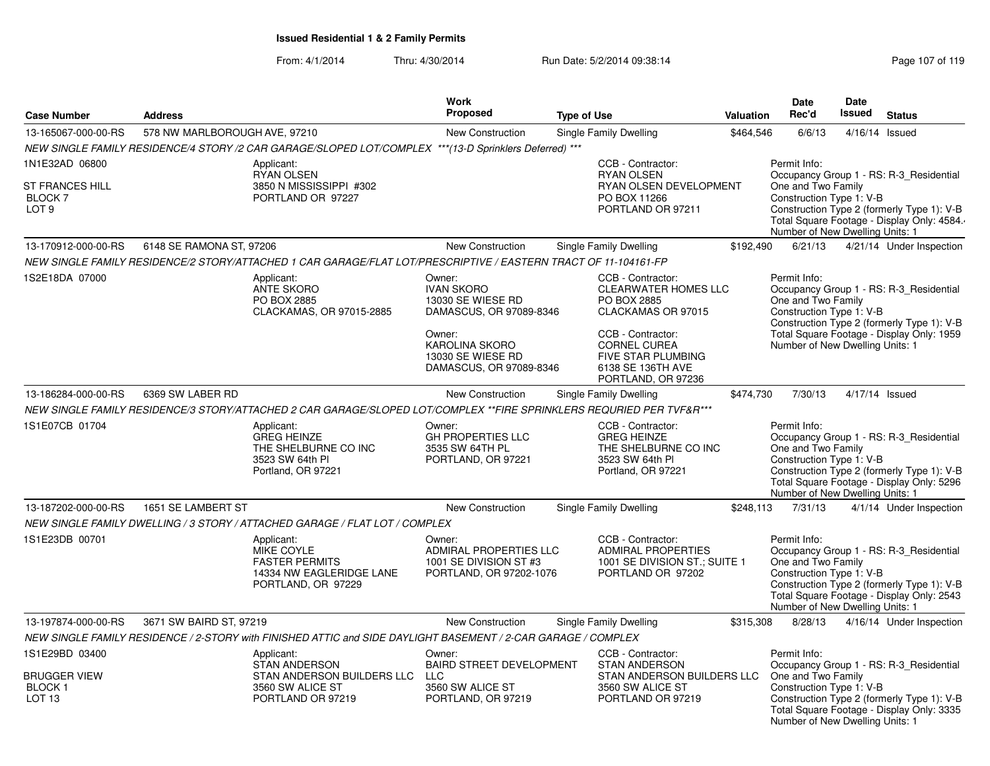From: 4/1/2014Thru: 4/30/2014 Run Date: 5/2/2014 09:38:14 Run Date: 5/2/2014 09:38:14

Number of New Dwelling Units: 1

|                                                                  |                               |                                                                                                                      | Work                                                                                                                                                           |                                                                                                                                                                                                           |                  | Date                                                                                                                                                                                                                     | <b>Date</b>             |                                                                                                                                    |
|------------------------------------------------------------------|-------------------------------|----------------------------------------------------------------------------------------------------------------------|----------------------------------------------------------------------------------------------------------------------------------------------------------------|-----------------------------------------------------------------------------------------------------------------------------------------------------------------------------------------------------------|------------------|--------------------------------------------------------------------------------------------------------------------------------------------------------------------------------------------------------------------------|-------------------------|------------------------------------------------------------------------------------------------------------------------------------|
| <b>Case Number</b>                                               | <b>Address</b>                |                                                                                                                      | <b>Proposed</b>                                                                                                                                                | <b>Type of Use</b>                                                                                                                                                                                        | <b>Valuation</b> | Rec'd                                                                                                                                                                                                                    | Issued<br><b>Status</b> |                                                                                                                                    |
| 13-165067-000-00-RS                                              | 578 NW MARLBOROUGH AVE, 97210 |                                                                                                                      | New Construction                                                                                                                                               | Single Family Dwelling                                                                                                                                                                                    | \$464,546        | 6/6/13                                                                                                                                                                                                                   |                         | 4/16/14 Issued                                                                                                                     |
|                                                                  |                               | NEW SINGLE FAMILY RESIDENCE/4 STORY /2 CAR GARAGE/SLOPED LOT/COMPLEX ***(13-D Sprinklers Deferred) ***               |                                                                                                                                                                |                                                                                                                                                                                                           |                  |                                                                                                                                                                                                                          |                         |                                                                                                                                    |
| 1N1E32AD 06800                                                   |                               | Applicant:                                                                                                           |                                                                                                                                                                | CCB - Contractor:                                                                                                                                                                                         |                  | Permit Info:                                                                                                                                                                                                             |                         |                                                                                                                                    |
| <b>ST FRANCES HILL</b><br>BLOCK <sub>7</sub><br>LOT <sub>9</sub> |                               | <b>RYAN OLSEN</b><br>3850 N MISSISSIPPI #302<br>PORTLAND OR 97227                                                    |                                                                                                                                                                | <b>RYAN OLSEN</b><br>RYAN OLSEN DEVELOPMENT<br>PO BOX 11266<br>PORTLAND OR 97211                                                                                                                          |                  | Occupancy Group 1 - RS: R-3 Residential<br>One and Two Family<br>Construction Type 1: V-B<br>Construction Type 2 (formerly Type 1): V-B<br>Total Square Footage - Display Only: 4584.<br>Number of New Dwelling Units: 1 |                         |                                                                                                                                    |
| 13-170912-000-00-RS                                              | 6148 SE RAMONA ST, 97206      |                                                                                                                      | New Construction                                                                                                                                               | Single Family Dwelling                                                                                                                                                                                    | \$192,490        | 6/21/13                                                                                                                                                                                                                  |                         | 4/21/14 Under Inspection                                                                                                           |
|                                                                  |                               | NEW SINGLE FAMILY RESIDENCE/2 STORY/ATTACHED 1 CAR GARAGE/FLAT LOT/PRESCRIPTIVE / EASTERN TRACT OF 11-104161-FP      |                                                                                                                                                                |                                                                                                                                                                                                           |                  |                                                                                                                                                                                                                          |                         |                                                                                                                                    |
| 1S2E18DA 07000                                                   |                               | Applicant:<br><b>ANTE SKORO</b><br>PO BOX 2885<br>CLACKAMAS, OR 97015-2885                                           | Owner:<br><b>IVAN SKORO</b><br>13030 SE WIESE RD<br>DAMASCUS, OR 97089-8346<br>Owner:<br><b>KAROLINA SKORO</b><br>13030 SE WIESE RD<br>DAMASCUS, OR 97089-8346 | CCB - Contractor:<br><b>CLEARWATER HOMES LLC</b><br>PO BOX 2885<br>CLACKAMAS OR 97015<br>CCB - Contractor:<br><b>CORNEL CUREA</b><br><b>FIVE STAR PLUMBING</b><br>6138 SE 136TH AVE<br>PORTLAND, OR 97236 |                  | Permit Info:<br>One and Two Family<br>Construction Type 1: V-B<br>Number of New Dwelling Units: 1                                                                                                                        |                         | Occupancy Group 1 - RS: R-3 Residential<br>Construction Type 2 (formerly Type 1): V-B<br>Total Square Footage - Display Only: 1959 |
| 13-186284-000-00-RS                                              | 6369 SW LABER RD              |                                                                                                                      | New Construction                                                                                                                                               | Single Family Dwelling                                                                                                                                                                                    | \$474,730        | 7/30/13                                                                                                                                                                                                                  |                         | 4/17/14 Issued                                                                                                                     |
|                                                                  |                               | NEW SINGLE FAMILY RESIDENCE/3 STORY/ATTACHED 2 CAR GARAGE/SLOPED LOT/COMPLEX **FIRE SPRINKLERS REQURIED PER TVF&R*** |                                                                                                                                                                |                                                                                                                                                                                                           |                  |                                                                                                                                                                                                                          |                         |                                                                                                                                    |
| 1S1E07CB 01704                                                   |                               | Applicant:<br><b>GREG HEINZE</b><br>THE SHELBURNE CO INC<br>3523 SW 64th PI<br>Portland, OR 97221                    | Owner:<br><b>GH PROPERTIES LLC</b><br>3535 SW 64TH PL<br>PORTLAND, OR 97221                                                                                    | CCB - Contractor:<br><b>GREG HEINZE</b><br>THE SHELBURNE CO INC<br>3523 SW 64th PI<br>Portland, OR 97221                                                                                                  |                  | Permit Info:<br>One and Two Family<br>Construction Type 1: V-B<br>Number of New Dwelling Units: 1                                                                                                                        |                         | Occupancy Group 1 - RS: R-3_Residential<br>Construction Type 2 (formerly Type 1): V-B<br>Total Square Footage - Display Only: 5296 |
| 13-187202-000-00-RS                                              | 1651 SE LAMBERT ST            |                                                                                                                      | New Construction                                                                                                                                               | Single Family Dwelling                                                                                                                                                                                    | \$248,113        | 7/31/13                                                                                                                                                                                                                  |                         | 4/1/14 Under Inspection                                                                                                            |
|                                                                  |                               | NEW SINGLE FAMILY DWELLING / 3 STORY / ATTACHED GARAGE / FLAT LOT / COMPLEX                                          |                                                                                                                                                                |                                                                                                                                                                                                           |                  |                                                                                                                                                                                                                          |                         |                                                                                                                                    |
| 1S1E23DB 00701                                                   |                               | Applicant:<br>MIKE COYLE<br><b>FASTER PERMITS</b><br>14334 NW EAGLERIDGE LANE<br>PORTLAND, OR 97229                  | Owner:<br>ADMIRAL PROPERTIES LLC<br>1001 SE DIVISION ST #3<br>PORTLAND, OR 97202-1076                                                                          | CCB - Contractor:<br><b>ADMIRAL PROPERTIES</b><br>1001 SE DIVISION ST.; SUITE 1<br>PORTLAND OR 97202                                                                                                      |                  | Permit Info:<br>One and Two Family<br>Construction Type 1: V-B<br>Number of New Dwelling Units: 1                                                                                                                        |                         | Occupancy Group 1 - RS: R-3 Residential<br>Construction Type 2 (formerly Type 1): V-B<br>Total Square Footage - Display Only: 2543 |
| 13-197874-000-00-RS                                              | 3671 SW BAIRD ST, 97219       |                                                                                                                      | New Construction                                                                                                                                               | Single Family Dwelling                                                                                                                                                                                    | \$315,308        | 8/28/13                                                                                                                                                                                                                  |                         | 4/16/14 Under Inspection                                                                                                           |
|                                                                  |                               | NEW SINGLE FAMILY RESIDENCE / 2-STORY with FINISHED ATTIC and SIDE DAYLIGHT BASEMENT / 2-CAR GARAGE / COMPLEX        |                                                                                                                                                                |                                                                                                                                                                                                           |                  |                                                                                                                                                                                                                          |                         |                                                                                                                                    |
| 1S1E29BD 03400                                                   |                               | Applicant:                                                                                                           | Owner:                                                                                                                                                         | CCB - Contractor:                                                                                                                                                                                         |                  | Permit Info:                                                                                                                                                                                                             |                         |                                                                                                                                    |
| <b>BRUGGER VIEW</b><br><b>BLOCK1</b><br>LOT <sub>13</sub>        |                               | <b>STAN ANDERSON</b><br>STAN ANDERSON BUILDERS LLC<br>3560 SW ALICE ST<br>PORTLAND OR 97219                          | <b>BAIRD STREET DEVELOPMENT</b><br>LLC<br>3560 SW ALICE ST<br>PORTLAND, OR 97219                                                                               | <b>STAN ANDERSON</b><br>STAN ANDERSON BUILDERS LLC<br>3560 SW ALICE ST<br>PORTLAND OR 97219                                                                                                               |                  | One and Two Family<br>Construction Type 1: V-B                                                                                                                                                                           |                         | Occupancy Group 1 - RS: R-3 Residential<br>Construction Type 2 (formerly Type 1): V-B<br>Total Square Footage - Display Only: 3335 |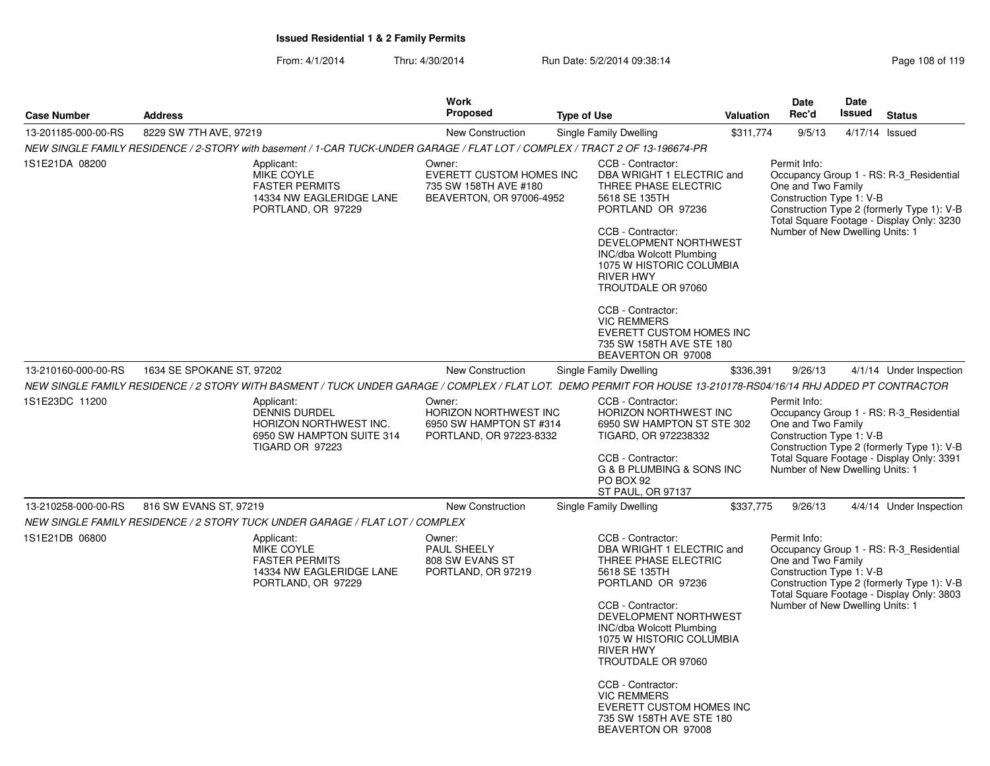|                     |                           |                                                                                                                                                                 | <b>Work</b><br>Proposed                                                                 |                    |                                                                                                                                                                                                                                                                                                                                                                                       |                   | Date<br>Rec'd                                                                                                                                                                                                                           | Date<br>Issued |                                                                                                                                    |  |
|---------------------|---------------------------|-----------------------------------------------------------------------------------------------------------------------------------------------------------------|-----------------------------------------------------------------------------------------|--------------------|---------------------------------------------------------------------------------------------------------------------------------------------------------------------------------------------------------------------------------------------------------------------------------------------------------------------------------------------------------------------------------------|-------------------|-----------------------------------------------------------------------------------------------------------------------------------------------------------------------------------------------------------------------------------------|----------------|------------------------------------------------------------------------------------------------------------------------------------|--|
| <b>Case Number</b>  | <b>Address</b>            |                                                                                                                                                                 |                                                                                         | <b>Type of Use</b> |                                                                                                                                                                                                                                                                                                                                                                                       | Valuation         |                                                                                                                                                                                                                                         |                | <b>Status</b>                                                                                                                      |  |
| 13-201185-000-00-RS | 8229 SW 7TH AVE, 97219    |                                                                                                                                                                 | New Construction                                                                        |                    | <b>Single Family Dwelling</b>                                                                                                                                                                                                                                                                                                                                                         | \$311,774         | 9/5/13                                                                                                                                                                                                                                  |                | 4/17/14 Issued                                                                                                                     |  |
|                     |                           | NEW SINGLE FAMILY RESIDENCE / 2-STORY with basement / 1-CAR TUCK-UNDER GARAGE / FLAT LOT / COMPLEX / TRACT 2 OF 13-196674-PR                                    |                                                                                         |                    |                                                                                                                                                                                                                                                                                                                                                                                       |                   |                                                                                                                                                                                                                                         |                |                                                                                                                                    |  |
| 1S1E21DA 08200      |                           | Applicant:<br>MIKE COYLE<br><b>FASTER PERMITS</b><br>14334 NW EAGLERIDGE LANE<br>PORTLAND, OR 97229                                                             | Owner:<br>EVERETT CUSTOM HOMES INC<br>735 SW 158TH AVE #180<br>BEAVERTON, OR 97006-4952 |                    | CCB - Contractor:<br>DBA WRIGHT 1 ELECTRIC and<br>THREE PHASE ELECTRIC<br>5618 SE 135TH<br>PORTLAND OR 97236<br>CCB - Contractor:<br>DEVELOPMENT NORTHWEST<br><b>INC/dba Wolcott Plumbing</b><br>1075 W HISTORIC COLUMBIA<br><b>RIVER HWY</b><br>TROUTDALE OR 97060                                                                                                                   |                   | Permit Info:<br>Occupancy Group 1 - RS: R-3_Residential<br>One and Two Family<br>Construction Type 1: V-B<br>Construction Type 2 (formerly Type 1): V-B<br>Total Square Footage - Display Only: 3230<br>Number of New Dwelling Units: 1 |                |                                                                                                                                    |  |
|                     |                           |                                                                                                                                                                 |                                                                                         |                    | CCB - Contractor:<br><b>VIC REMMERS</b><br>EVERETT CUSTOM HOMES INC<br>735 SW 158TH AVE STE 180<br>BEAVERTON OR 97008                                                                                                                                                                                                                                                                 |                   |                                                                                                                                                                                                                                         |                |                                                                                                                                    |  |
| 13-210160-000-00-RS | 1634 SE SPOKANE ST, 97202 |                                                                                                                                                                 | New Construction                                                                        |                    | Single Family Dwelling                                                                                                                                                                                                                                                                                                                                                                | \$336,391         | 9/26/13                                                                                                                                                                                                                                 |                | 4/1/14 Under Inspection                                                                                                            |  |
|                     |                           | NEW SINGLE FAMILY RESIDENCE / 2 STORY WITH BASMENT / TUCK UNDER GARAGE / COMPLEX / FLAT LOT. DEMO PERMIT FOR HOUSE 13-210178-RS04/16/14 RHJ ADDED PT CONTRACTOR |                                                                                         |                    |                                                                                                                                                                                                                                                                                                                                                                                       |                   |                                                                                                                                                                                                                                         |                |                                                                                                                                    |  |
| 1S1E23DC 11200      |                           | Applicant:<br><b>DENNIS DURDEL</b><br>HORIZON NORTHWEST INC.<br>6950 SW HAMPTON SUITE 314<br><b>TIGARD OR 97223</b>                                             | Owner:<br>HORIZON NORTHWEST INC<br>6950 SW HAMPTON ST #314<br>PORTLAND, OR 97223-8332   |                    | CCB - Contractor:<br><b>HORIZON NORTHWEST INC</b><br>6950 SW HAMPTON ST STE 302<br>TIGARD, OR 972238332<br>CCB - Contractor:<br>G & B PLUMBING & SONS INC<br>PO BOX 92                                                                                                                                                                                                                |                   | Permit Info:<br>Occupancy Group 1 - RS: R-3_Residential<br>One and Two Family<br>Construction Type 1: V-B<br>Construction Type 2 (formerly Type 1): V-B<br>Total Square Footage - Display Only: 3391<br>Number of New Dwelling Units: 1 |                |                                                                                                                                    |  |
|                     |                           |                                                                                                                                                                 |                                                                                         |                    |                                                                                                                                                                                                                                                                                                                                                                                       | ST PAUL, OR 97137 |                                                                                                                                                                                                                                         |                |                                                                                                                                    |  |
| 13-210258-000-00-RS | 816 SW EVANS ST, 97219    | NEW SINGLE FAMILY RESIDENCE / 2 STORY TUCK UNDER GARAGE / FLAT LOT / COMPLEX                                                                                    | New Construction                                                                        |                    | Single Family Dwelling                                                                                                                                                                                                                                                                                                                                                                | \$337,775         | 9/26/13                                                                                                                                                                                                                                 |                | 4/4/14 Under Inspection                                                                                                            |  |
| 1S1E21DB 06800      |                           | Applicant:<br>MIKE COYLE<br><b>FASTER PERMITS</b><br>14334 NW EAGLERIDGE LANE<br>PORTLAND, OR 97229                                                             | Owner:<br>PAUL SHEELY<br>808 SW EVANS ST<br>PORTLAND, OR 97219                          |                    | CCB - Contractor:<br>DBA WRIGHT 1 ELECTRIC and<br>THREE PHASE ELECTRIC<br>5618 SE 135TH<br>PORTLAND OR 97236<br>CCB - Contractor:<br>DEVELOPMENT NORTHWEST<br>INC/dba Wolcott Plumbing<br>1075 W HISTORIC COLUMBIA<br><b>RIVER HWY</b><br>TROUTDALE OR 97060<br>CCB - Contractor:<br><b>VIC REMMERS</b><br>EVERETT CUSTOM HOMES INC<br>735 SW 158TH AVE STE 180<br>BEAVERTON OR 97008 |                   | Permit Info:<br>One and Two Family<br>Construction Type 1: V-B<br>Number of New Dwelling Units: 1                                                                                                                                       |                | Occupancy Group 1 - RS: R-3_Residential<br>Construction Type 2 (formerly Type 1): V-B<br>Total Square Footage - Display Only: 3803 |  |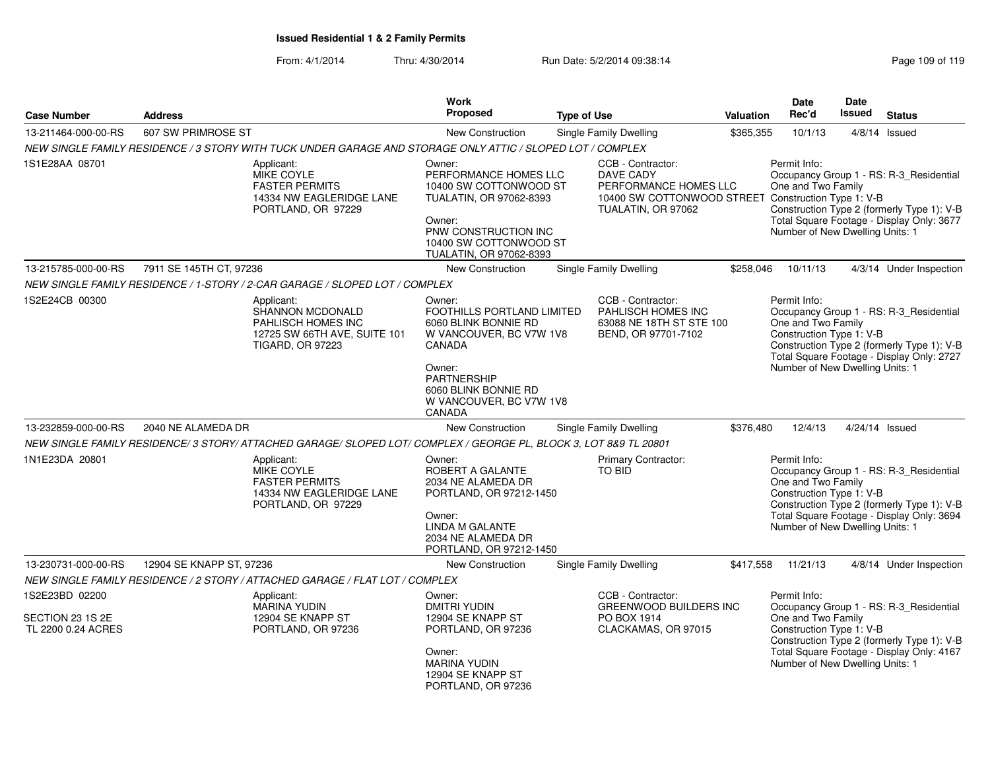|                                                          |                                                                                                               |                                                                        | <b>Work</b>                                                                                                                                                                                    |                               |                                                                                                                         | <b>Date</b>                                                                                       | <b>Date</b> |                                                                                                                                    |
|----------------------------------------------------------|---------------------------------------------------------------------------------------------------------------|------------------------------------------------------------------------|------------------------------------------------------------------------------------------------------------------------------------------------------------------------------------------------|-------------------------------|-------------------------------------------------------------------------------------------------------------------------|---------------------------------------------------------------------------------------------------|-------------|------------------------------------------------------------------------------------------------------------------------------------|
| <b>Case Number</b>                                       | <b>Address</b>                                                                                                |                                                                        | <b>Proposed</b>                                                                                                                                                                                | <b>Type of Use</b>            | Valuation                                                                                                               | Rec'd                                                                                             | Issued      | <b>Status</b>                                                                                                                      |
| 13-211464-000-00-RS                                      | 607 SW PRIMROSE ST                                                                                            |                                                                        | <b>New Construction</b>                                                                                                                                                                        | <b>Single Family Dwelling</b> | \$365,355                                                                                                               | 10/1/13                                                                                           |             | $4/8/14$ Issued                                                                                                                    |
|                                                          | NEW SINGLE FAMILY RESIDENCE / 3 STORY WITH TUCK UNDER GARAGE AND STORAGE ONLY ATTIC / SLOPED LOT / COMPLEX    |                                                                        |                                                                                                                                                                                                |                               |                                                                                                                         |                                                                                                   |             |                                                                                                                                    |
| 1S1E28AA 08701                                           | Applicant:<br>MIKE COYLE<br><b>FASTER PERMITS</b>                                                             | 14334 NW EAGLERIDGE LANE<br>PORTLAND, OR 97229                         | Owner:<br>PERFORMANCE HOMES LLC<br>10400 SW COTTONWOOD ST<br>TUALATIN, OR 97062-8393<br>Owner:<br>PNW CONSTRUCTION INC<br>10400 SW COTTONWOOD ST<br>TUALATIN, OR 97062-8393                    | DAVE CADY                     | CCB - Contractor:<br>PERFORMANCE HOMES LLC<br>10400 SW COTTONWOOD STREET Construction Type 1: V-B<br>TUALATIN, OR 97062 | Permit Info:<br>One and Two Family<br>Number of New Dwelling Units: 1                             |             | Occupancy Group 1 - RS: R-3_Residential<br>Construction Type 2 (formerly Type 1): V-B<br>Total Square Footage - Display Only: 3677 |
| 13-215785-000-00-RS                                      | 7911 SE 145TH CT, 97236                                                                                       |                                                                        | New Construction                                                                                                                                                                               | <b>Single Family Dwelling</b> | \$258,046                                                                                                               | 10/11/13                                                                                          |             | 4/3/14 Under Inspection                                                                                                            |
|                                                          | NEW SINGLE FAMILY RESIDENCE / 1-STORY / 2-CAR GARAGE / SLOPED LOT / COMPLEX                                   |                                                                        |                                                                                                                                                                                                |                               |                                                                                                                         |                                                                                                   |             |                                                                                                                                    |
| 1S2E24CB 00300                                           | Applicant:<br><b>TIGARD, OR 97223</b>                                                                         | SHANNON MCDONALD<br>PAHLISCH HOMES INC<br>12725 SW 66TH AVE, SUITE 101 | Owner:<br>FOOTHILLS PORTLAND LIMITED<br>6060 BLINK BONNIE RD<br>W VANCOUVER, BC V7W 1V8<br>CANADA<br>Owner:<br><b>PARTNERSHIP</b><br>6060 BLINK BONNIE RD<br>W VANCOUVER, BC V7W 1V8<br>CANADA |                               | CCB - Contractor:<br>PAHLISCH HOMES INC<br>63088 NE 18TH ST STE 100<br>BEND, OR 97701-7102                              | Permit Info:<br>One and Two Family<br>Construction Type 1: V-B<br>Number of New Dwelling Units: 1 |             | Occupancy Group 1 - RS: R-3_Residential<br>Construction Type 2 (formerly Type 1): V-B<br>Total Square Footage - Display Only: 2727 |
| 13-232859-000-00-RS                                      | 2040 NE ALAMEDA DR                                                                                            |                                                                        | New Construction                                                                                                                                                                               | Single Family Dwelling        | \$376,480                                                                                                               | 12/4/13                                                                                           |             | 4/24/14 Issued                                                                                                                     |
|                                                          | NEW SINGLE FAMILY RESIDENCE/3 STORY/ATTACHED GARAGE/SLOPED LOT/COMPLEX / GEORGE PL, BLOCK 3, LOT 8&9 TL 20801 |                                                                        |                                                                                                                                                                                                |                               |                                                                                                                         |                                                                                                   |             |                                                                                                                                    |
| 1N1E23DA 20801                                           | Applicant:<br>MIKE COYLE<br><b>FASTER PERMITS</b>                                                             | 14334 NW EAGLERIDGE LANE<br>PORTLAND, OR 97229                         | Owner:<br>ROBERT A GALANTE<br>2034 NE ALAMEDA DR<br>PORTLAND, OR 97212-1450<br>Owner:<br>LINDA M GALANTE<br>2034 NE ALAMEDA DR<br>PORTLAND, OR 97212-1450                                      | TO BID                        | <b>Primary Contractor:</b>                                                                                              | Permit Info:<br>One and Two Family<br>Construction Type 1: V-B<br>Number of New Dwelling Units: 1 |             | Occupancy Group 1 - RS: R-3_Residential<br>Construction Type 2 (formerly Type 1): V-B<br>Total Square Footage - Display Only: 3694 |
| 13-230731-000-00-RS                                      | 12904 SE KNAPP ST, 97236                                                                                      |                                                                        | New Construction                                                                                                                                                                               | Single Family Dwelling        | \$417,558                                                                                                               | 11/21/13                                                                                          |             | 4/8/14 Under Inspection                                                                                                            |
|                                                          | NEW SINGLE FAMILY RESIDENCE / 2 STORY / ATTACHED GARAGE / FLAT LOT / COMPLEX                                  |                                                                        |                                                                                                                                                                                                |                               |                                                                                                                         |                                                                                                   |             |                                                                                                                                    |
| 1S2E23BD 02200<br>SECTION 23 1S 2E<br>TL 2200 0.24 ACRES | Applicant:<br>MARINA YUDIN                                                                                    | 12904 SE KNAPP ST<br>PORTLAND, OR 97236                                | Owner:<br><b>DMITRI YUDIN</b><br>12904 SE KNAPP ST<br>PORTLAND, OR 97236<br>Owner:<br><b>MARINA YUDIN</b><br>12904 SE KNAPP ST<br>PORTLAND, OR 97236                                           | PO BOX 1914                   | CCB - Contractor:<br>GREENWOOD BUILDERS INC<br>CLACKAMAS, OR 97015                                                      | Permit Info:<br>One and Two Family<br>Construction Type 1: V-B<br>Number of New Dwelling Units: 1 |             | Occupancy Group 1 - RS: R-3 Residential<br>Construction Type 2 (formerly Type 1): V-B<br>Total Square Footage - Display Only: 4167 |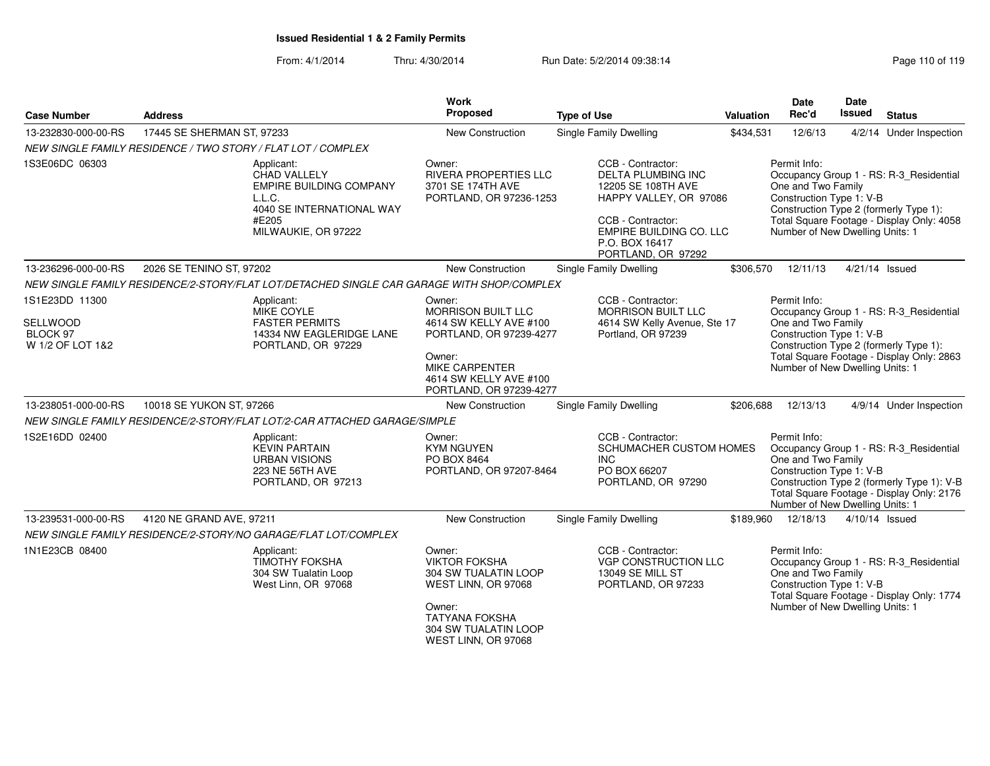From: 4/1/2014Thru: 4/30/2014 Run Date: 5/2/2014 09:38:14

| Page 110 of 119 |  |
|-----------------|--|
|-----------------|--|

| <b>Case Number</b>                                         | <b>Address</b>             |                                                                                                                              | <b>Work</b><br>Proposed                                                                                                                                         | <b>Type of Use</b>                                                                                                                                                                     | Valuation | <b>Date</b><br>Rec'd                                                                              | Date<br><b>Issued</b> | <b>Status</b>                                                                                                                      |
|------------------------------------------------------------|----------------------------|------------------------------------------------------------------------------------------------------------------------------|-----------------------------------------------------------------------------------------------------------------------------------------------------------------|----------------------------------------------------------------------------------------------------------------------------------------------------------------------------------------|-----------|---------------------------------------------------------------------------------------------------|-----------------------|------------------------------------------------------------------------------------------------------------------------------------|
| 13-232830-000-00-RS                                        | 17445 SE SHERMAN ST, 97233 |                                                                                                                              | New Construction                                                                                                                                                | Single Family Dwelling                                                                                                                                                                 | \$434,531 | 12/6/13                                                                                           |                       | 4/2/14 Under Inspection                                                                                                            |
|                                                            |                            | NEW SINGLE FAMILY RESIDENCE / TWO STORY / FLAT LOT / COMPLEX                                                                 |                                                                                                                                                                 |                                                                                                                                                                                        |           |                                                                                                   |                       |                                                                                                                                    |
| 1S3E06DC 06303                                             |                            | Applicant:<br>CHAD VALLELY<br>EMPIRE BUILDING COMPANY<br>L.L.C.<br>4040 SE INTERNATIONAL WAY<br>#E205<br>MILWAUKIE, OR 97222 | Owner:<br><b>RIVERA PROPERTIES LLC</b><br>3701 SE 174TH AVE<br>PORTLAND, OR 97236-1253                                                                          | CCB - Contractor:<br><b>DELTA PLUMBING INC</b><br>12205 SE 108TH AVE<br>HAPPY VALLEY, OR 97086<br>CCB - Contractor:<br>EMPIRE BUILDING CO. LLC<br>P.O. BOX 16417<br>PORTLAND, OR 97292 |           | Permit Info:<br>One and Two Family<br>Construction Type 1: V-B<br>Number of New Dwelling Units: 1 |                       | Occupancy Group 1 - RS: R-3_Residential<br>Construction Type 2 (formerly Type 1):<br>Total Square Footage - Display Only: 4058     |
| 13-236296-000-00-RS                                        | 2026 SE TENINO ST, 97202   |                                                                                                                              | New Construction                                                                                                                                                | Single Family Dwelling                                                                                                                                                                 | \$306,570 | 12/11/13                                                                                          |                       | 4/21/14 Issued                                                                                                                     |
|                                                            |                            | NEW SINGLE FAMILY RESIDENCE/2-STORY/FLAT LOT/DETACHED SINGLE CAR GARAGE WITH SHOP/COMPLEX                                    |                                                                                                                                                                 |                                                                                                                                                                                        |           |                                                                                                   |                       |                                                                                                                                    |
| 1S1E23DD 11300<br>SELLWOOD<br>BLOCK 97<br>W 1/2 OF LOT 1&2 |                            | Applicant:<br>MIKE COYLE<br><b>FASTER PERMITS</b><br>14334 NW EAGLERIDGE LANE<br>PORTLAND, OR 97229                          | Owner:<br>MORRISON BUILT LLC<br>4614 SW KELLY AVE #100<br>PORTLAND, OR 97239-4277                                                                               | CCB - Contractor:<br><b>MORRISON BUILT LLC</b><br>4614 SW Kelly Avenue, Ste 17<br>Portland, OR 97239                                                                                   |           | Permit Info:<br>One and Two Family<br>Construction Type 1: V-B                                    |                       | Occupancy Group 1 - RS: R-3_Residential<br>Construction Type 2 (formerly Type 1):                                                  |
|                                                            |                            |                                                                                                                              | Owner:<br><b>MIKE CARPENTER</b><br>4614 SW KELLY AVE #100<br>PORTLAND, OR 97239-4277                                                                            |                                                                                                                                                                                        |           | Number of New Dwelling Units: 1                                                                   |                       | Total Square Footage - Display Only: 2863                                                                                          |
| 13-238051-000-00-RS                                        | 10018 SE YUKON ST, 97266   |                                                                                                                              | New Construction                                                                                                                                                | Single Family Dwelling                                                                                                                                                                 | \$206,688 | 12/13/13                                                                                          |                       | 4/9/14 Under Inspection                                                                                                            |
|                                                            |                            | NEW SINGLE FAMILY RESIDENCE/2-STORY/FLAT LOT/2-CAR ATTACHED GARAGE/SIMPLE                                                    |                                                                                                                                                                 |                                                                                                                                                                                        |           |                                                                                                   |                       |                                                                                                                                    |
| 1S2E16DD 02400                                             |                            | Applicant:<br><b>KEVIN PARTAIN</b><br><b>URBAN VISIONS</b><br>223 NE 56TH AVE<br>PORTLAND, OR 97213                          | Owner:<br><b>KYM NGUYEN</b><br>PO BOX 8464<br>PORTLAND, OR 97207-8464                                                                                           | CCB - Contractor:<br>SCHUMACHER CUSTOM HOMES<br><b>INC</b><br>PO BOX 66207<br>PORTLAND, OR 97290                                                                                       |           | Permit Info:<br>One and Two Family<br>Construction Type 1: V-B<br>Number of New Dwelling Units: 1 |                       | Occupancy Group 1 - RS: R-3_Residential<br>Construction Type 2 (formerly Type 1): V-B<br>Total Square Footage - Display Only: 2176 |
| 13-239531-000-00-RS                                        | 4120 NE GRAND AVE, 97211   |                                                                                                                              | New Construction                                                                                                                                                | Single Family Dwelling                                                                                                                                                                 | \$189,960 | 12/18/13                                                                                          |                       | 4/10/14 Issued                                                                                                                     |
|                                                            |                            | NEW SINGLE FAMILY RESIDENCE/2-STORY/NO GARAGE/FLAT LOT/COMPLEX                                                               |                                                                                                                                                                 |                                                                                                                                                                                        |           |                                                                                                   |                       |                                                                                                                                    |
| 1N1E23CB 08400                                             |                            | Applicant:<br><b>TIMOTHY FOKSHA</b><br>304 SW Tualatin Loop<br>West Linn, OR 97068                                           | Owner:<br><b>VIKTOR FOKSHA</b><br>304 SW TUALATIN LOOP<br>WEST LINN, OR 97068<br>Owner:<br><b>TATYANA FOKSHA</b><br>304 SW TUALATIN LOOP<br>WEST LINN, OR 97068 | CCB - Contractor:<br><b>VGP CONSTRUCTION LLC</b><br>13049 SE MILL ST<br>PORTLAND, OR 97233                                                                                             |           | Permit Info:<br>One and Two Family<br>Construction Type 1: V-B<br>Number of New Dwelling Units: 1 |                       | Occupancy Group 1 - RS: R-3_Residential<br>Total Square Footage - Display Only: 1774                                               |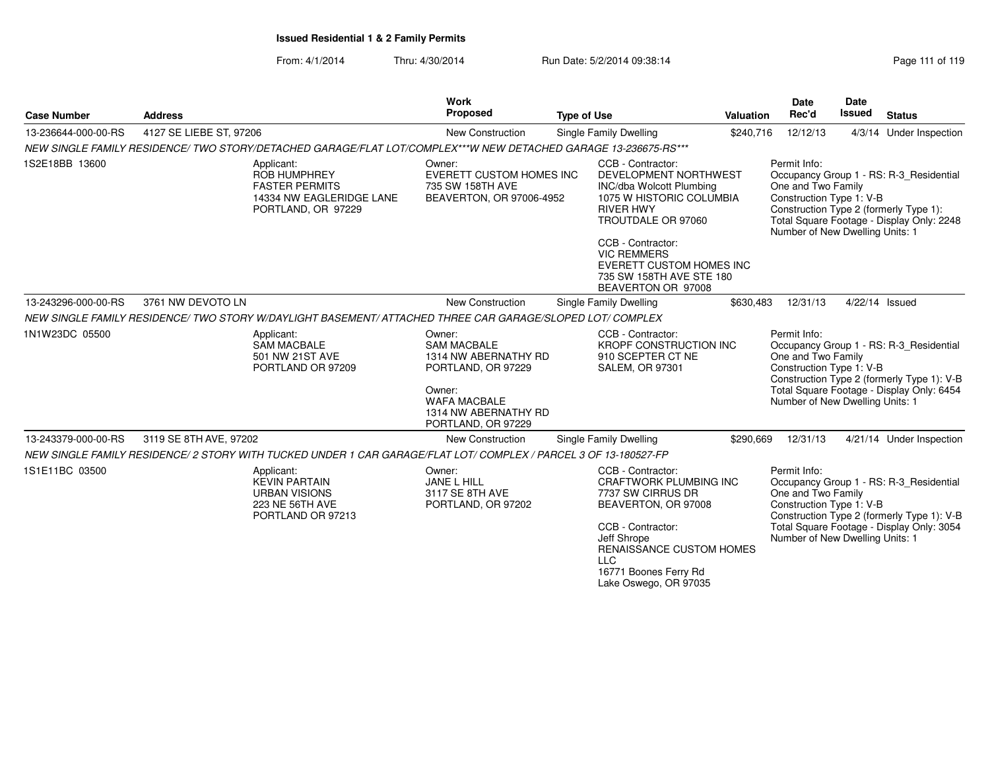| <b>Case Number</b>  | <b>Address</b>                                                                                                  | Work<br>Proposed                                                                     | <b>Type of Use</b>                                                                                                                                                                                                             | Valuation | <b>Date</b><br>Rec'd                                                                              | <b>Date</b><br><b>Issued</b> | <b>Status</b>                                                                                                                      |  |
|---------------------|-----------------------------------------------------------------------------------------------------------------|--------------------------------------------------------------------------------------|--------------------------------------------------------------------------------------------------------------------------------------------------------------------------------------------------------------------------------|-----------|---------------------------------------------------------------------------------------------------|------------------------------|------------------------------------------------------------------------------------------------------------------------------------|--|
| 13-236644-000-00-RS | 4127 SE LIEBE ST, 97206                                                                                         | New Construction                                                                     | Single Family Dwelling                                                                                                                                                                                                         | \$240,716 | 12/12/13                                                                                          |                              | 4/3/14 Under Inspection                                                                                                            |  |
|                     | NEW SINGLE FAMILY RESIDENCE/ TWO STORY/DETACHED GARAGE/FLAT LOT/COMPLEX***W NEW DETACHED GARAGE 13-236675-RS*** |                                                                                      |                                                                                                                                                                                                                                |           |                                                                                                   |                              |                                                                                                                                    |  |
| 1S2E18BB 13600      | Applicant:<br>ROB HUMPHREY<br><b>FASTER PERMITS</b><br>14334 NW EAGLERIDGE LANE<br>PORTLAND, OR 97229           | Owner:<br>EVERETT CUSTOM HOMES INC<br>735 SW 158TH AVE<br>BEAVERTON, OR 97006-4952   | CCB - Contractor:<br>DEVELOPMENT NORTHWEST<br><b>INC/dba Wolcott Plumbing</b><br>1075 W HISTORIC COLUMBIA<br><b>RIVER HWY</b><br>TROUTDALE OR 97060                                                                            |           | Permit Info:<br>One and Two Family<br>Construction Type 1: V-B<br>Number of New Dwelling Units: 1 |                              | Occupancy Group 1 - RS: R-3 Residential<br>Construction Type 2 (formerly Type 1):<br>Total Square Footage - Display Only: 2248     |  |
|                     |                                                                                                                 |                                                                                      | CCB - Contractor:<br><b>VIC REMMERS</b><br><b>EVERETT CUSTOM HOMES INC</b><br>735 SW 158TH AVE STE 180<br>BEAVERTON OR 97008                                                                                                   |           |                                                                                                   |                              |                                                                                                                                    |  |
| 13-243296-000-00-RS | 3761 NW DEVOTO LN                                                                                               | New Construction                                                                     | Single Family Dwelling                                                                                                                                                                                                         | \$630,483 | 12/31/13                                                                                          |                              | 4/22/14 Issued                                                                                                                     |  |
|                     | NEW SINGLE FAMILY RESIDENCE/ TWO STORY W/DAYLIGHT BASEMENT/ ATTACHED THREE CAR GARAGE/SLOPED LOT/ COMPLEX       |                                                                                      |                                                                                                                                                                                                                                |           |                                                                                                   |                              |                                                                                                                                    |  |
| 1N1W23DC 05500      | Applicant:<br><b>SAM MACBALE</b><br>501 NW 21ST AVE<br>PORTLAND OR 97209                                        | Owner:<br><b>SAM MACBALE</b><br>1314 NW ABERNATHY RD<br>PORTLAND, OR 97229<br>Owner: | CCB - Contractor:<br><b>KROPF CONSTRUCTION INC</b><br>910 SCEPTER CT NE<br><b>SALEM, OR 97301</b>                                                                                                                              |           | Permit Info:<br>One and Two Family<br>Construction Type 1: V-B                                    |                              | Occupancy Group 1 - RS: R-3 Residential<br>Construction Type 2 (formerly Type 1): V-B<br>Total Square Footage - Display Only: 6454 |  |
|                     |                                                                                                                 | <b>WAFA MACBALE</b><br>1314 NW ABERNATHY RD<br>PORTLAND, OR 97229                    |                                                                                                                                                                                                                                |           | Number of New Dwelling Units: 1                                                                   |                              |                                                                                                                                    |  |
| 13-243379-000-00-RS | 3119 SE 8TH AVE, 97202                                                                                          | <b>New Construction</b>                                                              | Single Family Dwelling                                                                                                                                                                                                         | \$290,669 | 12/31/13                                                                                          |                              | 4/21/14 Under Inspection                                                                                                           |  |
|                     | NEW SINGLE FAMILY RESIDENCE/2 STORY WITH TUCKED UNDER 1 CAR GARAGE/FLAT LOT/ COMPLEX / PARCEL 3 OF 13-180527-FP |                                                                                      |                                                                                                                                                                                                                                |           |                                                                                                   |                              |                                                                                                                                    |  |
| 1S1E11BC 03500      | Applicant:<br><b>KEVIN PARTAIN</b><br><b>URBAN VISIONS</b><br><b>223 NE 56TH AVE</b><br>PORTLAND OR 97213       | Owner:<br>JANE L HILL<br>3117 SE 8TH AVE<br>PORTLAND, OR 97202                       | CCB - Contractor:<br><b>CRAFTWORK PLUMBING INC</b><br>7737 SW CIRRUS DR<br>BEAVERTON, OR 97008<br>CCB - Contractor:<br>Jeff Shrope<br>RENAISSANCE CUSTOM HOMES<br>$\sqcup$ C<br>16771 Boones Ferry Rd<br>Lake Oswego, OR 97035 |           | Permit Info:<br>One and Two Family<br>Construction Type 1: V-B<br>Number of New Dwelling Units: 1 |                              | Occupancy Group 1 - RS: R-3_Residential<br>Construction Type 2 (formerly Type 1): V-B<br>Total Square Footage - Display Only: 3054 |  |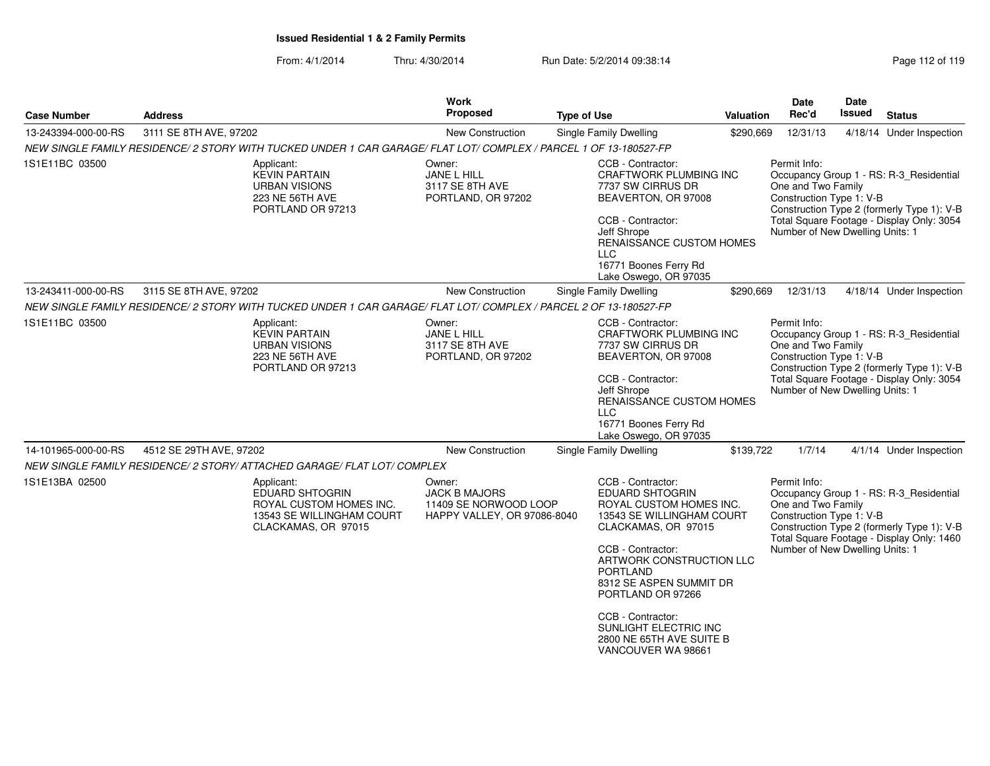| <b>Case Number</b>  | <b>Address</b>                                                                                                   | Work<br><b>Proposed</b>                                                                | <b>Type of Use</b>                                                                                                                                                                                                                                                                                                                      | <b>Valuation</b> | Date<br>Rec'd                                                                                     | Date<br>Issued                                                                                                                     | <b>Status</b>                                                                                                                      |
|---------------------|------------------------------------------------------------------------------------------------------------------|----------------------------------------------------------------------------------------|-----------------------------------------------------------------------------------------------------------------------------------------------------------------------------------------------------------------------------------------------------------------------------------------------------------------------------------------|------------------|---------------------------------------------------------------------------------------------------|------------------------------------------------------------------------------------------------------------------------------------|------------------------------------------------------------------------------------------------------------------------------------|
| 13-243394-000-00-RS | 3111 SE 8TH AVE, 97202                                                                                           | New Construction                                                                       | Single Family Dwelling                                                                                                                                                                                                                                                                                                                  | \$290,669        | 12/31/13                                                                                          |                                                                                                                                    | 4/18/14 Under Inspection                                                                                                           |
|                     | NEW SINGLE FAMILY RESIDENCE/2 STORY WITH TUCKED UNDER 1 CAR GARAGE/ FLAT LOT/ COMPLEX / PARCEL 1 OF 13-180527-FP |                                                                                        |                                                                                                                                                                                                                                                                                                                                         |                  |                                                                                                   |                                                                                                                                    |                                                                                                                                    |
| 1S1E11BC 03500      | Applicant:<br><b>KEVIN PARTAIN</b><br><b>URBAN VISIONS</b><br>223 NE 56TH AVE<br>PORTLAND OR 97213               | Owner:<br>JANE L HILL<br>3117 SE 8TH AVE<br>PORTLAND, OR 97202                         | CCB - Contractor:<br><b>CRAFTWORK PLUMBING INC</b><br>7737 SW CIRRUS DR<br>BEAVERTON, OR 97008<br>CCB - Contractor:<br>Jeff Shrope<br>RENAISSANCE CUSTOM HOMES<br><b>LLC</b><br>16771 Boones Ferry Rd<br>Lake Oswego, OR 97035                                                                                                          |                  | Permit Info:<br>One and Two Family<br>Construction Type 1: V-B<br>Number of New Dwelling Units: 1 |                                                                                                                                    | Occupancy Group 1 - RS: R-3 Residential<br>Construction Type 2 (formerly Type 1): V-B<br>Total Square Footage - Display Only: 3054 |
| 13-243411-000-00-RS | 3115 SE 8TH AVE, 97202                                                                                           | New Construction                                                                       | <b>Single Family Dwelling</b>                                                                                                                                                                                                                                                                                                           | \$290,669        | 12/31/13                                                                                          |                                                                                                                                    | 4/18/14 Under Inspection                                                                                                           |
|                     | NEW SINGLE FAMILY RESIDENCE/2 STORY WITH TUCKED UNDER 1 CAR GARAGE/ FLAT LOT/ COMPLEX / PARCEL 2 OF 13-180527-FP |                                                                                        |                                                                                                                                                                                                                                                                                                                                         |                  |                                                                                                   |                                                                                                                                    |                                                                                                                                    |
| 1S1E11BC 03500      | Applicant:<br><b>KEVIN PARTAIN</b><br><b>URBAN VISIONS</b><br>223 NE 56TH AVE<br>PORTLAND OR 97213               | Owner:<br>JANE L HILL<br>3117 SE 8TH AVE<br>PORTLAND, OR 97202                         | CCB - Contractor:<br>CRAFTWORK PLUMBING INC<br>7737 SW CIRRUS DR<br>BEAVERTON, OR 97008<br>CCB - Contractor:<br>Jeff Shrope<br>RENAISSANCE CUSTOM HOMES<br><b>LLC</b><br>16771 Boones Ferry Rd<br>Lake Oswego, OR 97035                                                                                                                 |                  | Permit Info:<br>One and Two Family<br>Construction Type 1: V-B<br>Number of New Dwelling Units: 1 | Occupancy Group 1 - RS: R-3_Residential<br>Construction Type 2 (formerly Type 1): V-B<br>Total Square Footage - Display Only: 3054 |                                                                                                                                    |
| 14-101965-000-00-RS | 4512 SE 29TH AVE, 97202                                                                                          | <b>New Construction</b>                                                                | <b>Single Family Dwelling</b>                                                                                                                                                                                                                                                                                                           | \$139,722        | 1/7/14                                                                                            |                                                                                                                                    | 4/1/14 Under Inspection                                                                                                            |
|                     | NEW SINGLE FAMILY RESIDENCE/ 2 STORY/ ATTACHED GARAGE/ FLAT LOT/ COMPLEX                                         |                                                                                        |                                                                                                                                                                                                                                                                                                                                         |                  |                                                                                                   |                                                                                                                                    |                                                                                                                                    |
| 1S1E13BA 02500      | Applicant:<br>EDUARD SHTOGRIN<br>ROYAL CUSTOM HOMES INC.<br>13543 SE WILLINGHAM COURT<br>CLACKAMAS, OR 97015     | Owner:<br><b>JACK B MAJORS</b><br>11409 SE NORWOOD LOOP<br>HAPPY VALLEY, OR 97086-8040 | CCB - Contractor:<br>EDUARD SHTOGRIN<br>ROYAL CUSTOM HOMES INC.<br>13543 SE WILLINGHAM COURT<br>CLACKAMAS, OR 97015<br>CCB - Contractor:<br>ARTWORK CONSTRUCTION LLC<br><b>PORTLAND</b><br>8312 SE ASPEN SUMMIT DR<br>PORTLAND OR 97266<br>CCB - Contractor:<br>SUNLIGHT ELECTRIC INC<br>2800 NE 65TH AVE SUITE B<br>VANCOUVER WA 98661 |                  | Permit Info:<br>One and Two Family<br>Construction Type 1: V-B<br>Number of New Dwelling Units: 1 |                                                                                                                                    | Occupancy Group 1 - RS: R-3_Residential<br>Construction Type 2 (formerly Type 1): V-B<br>Total Square Footage - Display Only: 1460 |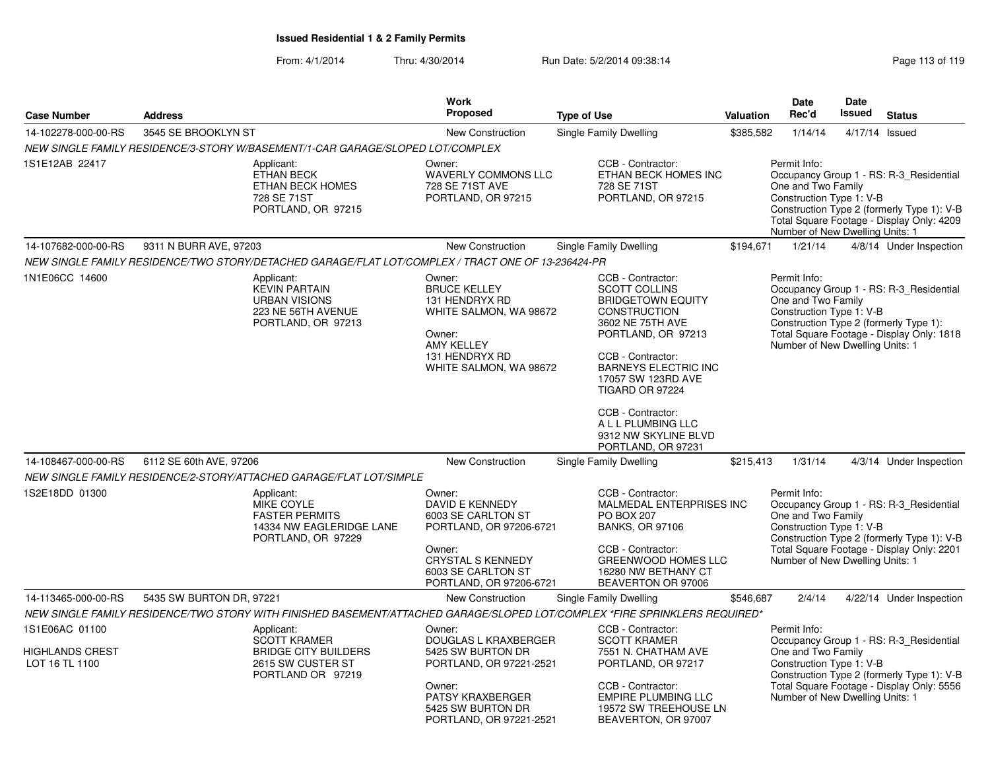|                                                     |                                                                                                                                                                                   | <b>Work</b><br>Proposed                                                                                                                                             |                                                                                                                                                                                                                                     |                  | Date<br>Rec'd                                                                                     | <b>Date</b><br>Issued |                                                                                                                                    |
|-----------------------------------------------------|-----------------------------------------------------------------------------------------------------------------------------------------------------------------------------------|---------------------------------------------------------------------------------------------------------------------------------------------------------------------|-------------------------------------------------------------------------------------------------------------------------------------------------------------------------------------------------------------------------------------|------------------|---------------------------------------------------------------------------------------------------|-----------------------|------------------------------------------------------------------------------------------------------------------------------------|
| <b>Case Number</b>                                  | <b>Address</b>                                                                                                                                                                    |                                                                                                                                                                     | <b>Type of Use</b>                                                                                                                                                                                                                  | <b>Valuation</b> |                                                                                                   |                       | <b>Status</b>                                                                                                                      |
| 14-102278-000-00-RS                                 | 3545 SE BROOKLYN ST                                                                                                                                                               | <b>New Construction</b>                                                                                                                                             | Single Family Dwelling                                                                                                                                                                                                              | \$385,582        | 1/14/14                                                                                           |                       | 4/17/14 Issued                                                                                                                     |
| 1S1E12AB 22417                                      | NEW SINGLE FAMILY RESIDENCE/3-STORY W/BASEMENT/1-CAR GARAGE/SLOPED LOT/COMPLEX<br>Applicant:<br><b>ETHAN BECK</b><br><b>ETHAN BECK HOMES</b><br>728 SE 71ST<br>PORTLAND, OR 97215 | Owner:<br><b>WAVERLY COMMONS LLC</b><br>728 SE 71ST AVE<br>PORTLAND, OR 97215                                                                                       | CCB - Contractor:<br>ETHAN BECK HOMES INC<br>728 SE 71ST<br>PORTLAND, OR 97215                                                                                                                                                      |                  | Permit Info:<br>One and Two Family<br>Construction Type 1: V-B<br>Number of New Dwelling Units: 1 |                       | Occupancy Group 1 - RS: R-3_Residential<br>Construction Type 2 (formerly Type 1): V-B<br>Total Square Footage - Display Only: 4209 |
| 14-107682-000-00-RS                                 | 9311 N BURR AVE, 97203                                                                                                                                                            | <b>New Construction</b>                                                                                                                                             | Single Family Dwelling                                                                                                                                                                                                              | \$194,671        | 1/21/14                                                                                           |                       | 4/8/14 Under Inspection                                                                                                            |
|                                                     | NEW SINGLE FAMILY RESIDENCE/TWO STORY/DETACHED GARAGE/FLAT LOT/COMPLEX / TRACT ONE OF 13-236424-PR                                                                                |                                                                                                                                                                     |                                                                                                                                                                                                                                     |                  |                                                                                                   |                       |                                                                                                                                    |
| 1N1E06CC 14600                                      | Applicant:<br><b>KEVIN PARTAIN</b><br><b>URBAN VISIONS</b><br>223 NE 56TH AVENUE<br>PORTLAND, OR 97213                                                                            | Owner:<br><b>BRUCE KELLEY</b><br>131 HENDRYX RD<br>WHITE SALMON, WA 98672<br>Owner:<br><b>AMY KELLEY</b><br>131 HENDRYX RD<br>WHITE SALMON, WA 98672                | CCB - Contractor:<br><b>SCOTT COLLINS</b><br><b>BRIDGETOWN EQUITY</b><br><b>CONSTRUCTION</b><br>3602 NE 75TH AVE<br>PORTLAND, OR 97213<br>CCB - Contractor:<br><b>BARNEYS ELECTRIC INC</b><br>17057 SW 123RD AVE<br>TIGARD OR 97224 |                  | Permit Info:<br>One and Two Family<br>Construction Type 1: V-B<br>Number of New Dwelling Units: 1 |                       | Occupancy Group 1 - RS: R-3_Residential<br>Construction Type 2 (formerly Type 1):<br>Total Square Footage - Display Only: 1818     |
|                                                     |                                                                                                                                                                                   |                                                                                                                                                                     | CCB - Contractor:<br>A L L PLUMBING LLC<br>9312 NW SKYLINE BLVD<br>PORTLAND, OR 97231                                                                                                                                               |                  |                                                                                                   |                       |                                                                                                                                    |
| 14-108467-000-00-RS                                 | 6112 SE 60th AVE, 97206                                                                                                                                                           | New Construction                                                                                                                                                    | Single Family Dwelling                                                                                                                                                                                                              | \$215,413        | 1/31/14                                                                                           |                       | 4/3/14 Under Inspection                                                                                                            |
|                                                     | NEW SINGLE FAMILY RESIDENCE/2-STORY/ATTACHED GARAGE/FLAT LOT/SIMPLE                                                                                                               |                                                                                                                                                                     |                                                                                                                                                                                                                                     |                  |                                                                                                   |                       |                                                                                                                                    |
| 1S2E18DD 01300                                      | Applicant:<br><b>MIKE COYLE</b><br><b>FASTER PERMITS</b><br>14334 NW EAGLERIDGE LANE<br>PORTLAND, OR 97229                                                                        | Owner:<br>DAVID E KENNEDY<br>6003 SE CARLTON ST<br>PORTLAND, OR 97206-6721<br>Owner:<br><b>CRYSTAL S KENNEDY</b><br>6003 SE CARLTON ST<br>PORTLAND, OR 97206-6721   | CCB - Contractor:<br>MALMEDAL ENTERPRISES INC<br><b>PO BOX 207</b><br><b>BANKS, OR 97106</b><br>CCB - Contractor:<br><b>GREENWOOD HOMES LLC</b><br>16280 NW BETHANY CT<br>BEAVERTON OR 97006                                        |                  | Permit Info:<br>One and Two Family<br>Construction Type 1: V-B<br>Number of New Dwelling Units: 1 |                       | Occupancy Group 1 - RS: R-3_Residential<br>Construction Type 2 (formerly Type 1): V-B<br>Total Square Footage - Display Only: 2201 |
| 14-113465-000-00-RS                                 | 5435 SW BURTON DR, 97221                                                                                                                                                          | New Construction                                                                                                                                                    | Single Family Dwelling                                                                                                                                                                                                              | \$546,687        | 2/4/14                                                                                            |                       | 4/22/14 Under Inspection                                                                                                           |
|                                                     | NEW SINGLE FAMILY RESIDENCE/TWO STORY WITH FINISHED BASEMENT/ATTACHED GARAGE/SLOPED LOT/COMPLEX *FIRE SPRINKLERS REQUIRED*                                                        |                                                                                                                                                                     |                                                                                                                                                                                                                                     |                  |                                                                                                   |                       |                                                                                                                                    |
| 1S1E06AC 01100<br>HIGHLANDS CREST<br>LOT 16 TL 1100 | Applicant:<br><b>SCOTT KRAMER</b><br><b>BRIDGE CITY BUILDERS</b><br>2615 SW CUSTER ST<br>PORTLAND OR 97219                                                                        | Owner:<br><b>DOUGLAS L KRAXBERGER</b><br>5425 SW BURTON DR<br>PORTLAND, OR 97221-2521<br>Owner:<br>PATSY KRAXBERGER<br>5425 SW BURTON DR<br>PORTLAND, OR 97221-2521 | CCB - Contractor:<br><b>SCOTT KRAMER</b><br>7551 N. CHATHAM AVE<br>PORTLAND, OR 97217<br>CCB - Contractor:<br><b>EMPIRE PLUMBING LLC</b><br>19572 SW TREEHOUSE LN<br>BEAVERTON, OR 97007                                            |                  | Permit Info:<br>One and Two Family<br>Construction Type 1: V-B<br>Number of New Dwelling Units: 1 |                       | Occupancy Group 1 - RS: R-3_Residential<br>Construction Type 2 (formerly Type 1): V-B<br>Total Square Footage - Display Only: 5556 |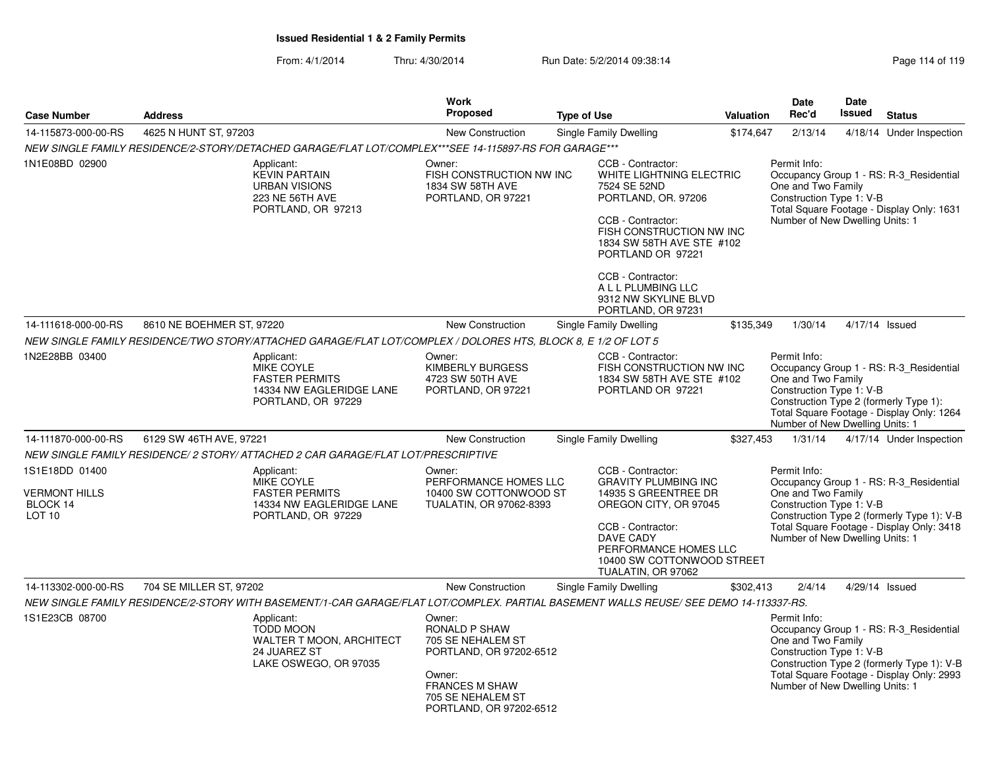|                                                                                                            | <b>Work</b>                                                                                                 |                                                                                               |                                                                                                                                                                                                                                                                                                                                                                                        | Date                                                                                                                                                                                                                                                                                                                                                                                                                                         | <b>Date</b>                                                                                                                                                                                                            |                                                                                                                                                                                                                                                                                                                                                                                                                                                                                                                                                                                                                                                                                                                                                                                                                                                                         |
|------------------------------------------------------------------------------------------------------------|-------------------------------------------------------------------------------------------------------------|-----------------------------------------------------------------------------------------------|----------------------------------------------------------------------------------------------------------------------------------------------------------------------------------------------------------------------------------------------------------------------------------------------------------------------------------------------------------------------------------------|----------------------------------------------------------------------------------------------------------------------------------------------------------------------------------------------------------------------------------------------------------------------------------------------------------------------------------------------------------------------------------------------------------------------------------------------|------------------------------------------------------------------------------------------------------------------------------------------------------------------------------------------------------------------------|-------------------------------------------------------------------------------------------------------------------------------------------------------------------------------------------------------------------------------------------------------------------------------------------------------------------------------------------------------------------------------------------------------------------------------------------------------------------------------------------------------------------------------------------------------------------------------------------------------------------------------------------------------------------------------------------------------------------------------------------------------------------------------------------------------------------------------------------------------------------------|
| <b>Address</b>                                                                                             |                                                                                                             | <b>Type of Use</b>                                                                            |                                                                                                                                                                                                                                                                                                                                                                                        | Rec'd                                                                                                                                                                                                                                                                                                                                                                                                                                        |                                                                                                                                                                                                                        | <b>Status</b>                                                                                                                                                                                                                                                                                                                                                                                                                                                                                                                                                                                                                                                                                                                                                                                                                                                           |
| 4625 N HUNT ST, 97203                                                                                      | <b>New Construction</b>                                                                                     | Single Family Dwelling                                                                        |                                                                                                                                                                                                                                                                                                                                                                                        | 2/13/14                                                                                                                                                                                                                                                                                                                                                                                                                                      |                                                                                                                                                                                                                        | 4/18/14 Under Inspection                                                                                                                                                                                                                                                                                                                                                                                                                                                                                                                                                                                                                                                                                                                                                                                                                                                |
|                                                                                                            |                                                                                                             |                                                                                               |                                                                                                                                                                                                                                                                                                                                                                                        |                                                                                                                                                                                                                                                                                                                                                                                                                                              |                                                                                                                                                                                                                        |                                                                                                                                                                                                                                                                                                                                                                                                                                                                                                                                                                                                                                                                                                                                                                                                                                                                         |
| Applicant:<br><b>KEVIN PARTAIN</b><br><b>URBAN VISIONS</b><br>223 NE 56TH AVE<br>PORTLAND, OR 97213        | Owner:<br>1834 SW 58TH AVE<br>PORTLAND, OR 97221                                                            | CCB - Contractor:<br>7524 SE 52ND<br>CCB - Contractor:<br>CCB - Contractor:                   |                                                                                                                                                                                                                                                                                                                                                                                        | Permit Info:                                                                                                                                                                                                                                                                                                                                                                                                                                 |                                                                                                                                                                                                                        |                                                                                                                                                                                                                                                                                                                                                                                                                                                                                                                                                                                                                                                                                                                                                                                                                                                                         |
|                                                                                                            |                                                                                                             |                                                                                               |                                                                                                                                                                                                                                                                                                                                                                                        |                                                                                                                                                                                                                                                                                                                                                                                                                                              |                                                                                                                                                                                                                        |                                                                                                                                                                                                                                                                                                                                                                                                                                                                                                                                                                                                                                                                                                                                                                                                                                                                         |
| 8610 NE BOEHMER ST, 97220                                                                                  | <b>New Construction</b>                                                                                     | Single Family Dwelling                                                                        |                                                                                                                                                                                                                                                                                                                                                                                        | 1/30/14                                                                                                                                                                                                                                                                                                                                                                                                                                      |                                                                                                                                                                                                                        | 4/17/14 Issued                                                                                                                                                                                                                                                                                                                                                                                                                                                                                                                                                                                                                                                                                                                                                                                                                                                          |
|                                                                                                            |                                                                                                             |                                                                                               |                                                                                                                                                                                                                                                                                                                                                                                        |                                                                                                                                                                                                                                                                                                                                                                                                                                              |                                                                                                                                                                                                                        |                                                                                                                                                                                                                                                                                                                                                                                                                                                                                                                                                                                                                                                                                                                                                                                                                                                                         |
| Applicant:<br><b>MIKE COYLE</b><br><b>FASTER PERMITS</b><br>14334 NW EAGLERIDGE LANE<br>PORTLAND, OR 97229 | Owner:<br>KIMBERLY BURGESS<br>4723 SW 50TH AVE<br>PORTLAND, OR 97221                                        | CCB - Contractor:                                                                             |                                                                                                                                                                                                                                                                                                                                                                                        |                                                                                                                                                                                                                                                                                                                                                                                                                                              |                                                                                                                                                                                                                        |                                                                                                                                                                                                                                                                                                                                                                                                                                                                                                                                                                                                                                                                                                                                                                                                                                                                         |
| 6129 SW 46TH AVE, 97221                                                                                    | <b>New Construction</b>                                                                                     | Single Family Dwelling                                                                        |                                                                                                                                                                                                                                                                                                                                                                                        | 1/31/14                                                                                                                                                                                                                                                                                                                                                                                                                                      |                                                                                                                                                                                                                        | 4/17/14 Under Inspection                                                                                                                                                                                                                                                                                                                                                                                                                                                                                                                                                                                                                                                                                                                                                                                                                                                |
|                                                                                                            |                                                                                                             |                                                                                               |                                                                                                                                                                                                                                                                                                                                                                                        |                                                                                                                                                                                                                                                                                                                                                                                                                                              |                                                                                                                                                                                                                        |                                                                                                                                                                                                                                                                                                                                                                                                                                                                                                                                                                                                                                                                                                                                                                                                                                                                         |
| Applicant:<br><b>MIKE COYLE</b><br><b>FASTER PERMITS</b><br>14334 NW EAGLERIDGE LANE<br>PORTLAND, OR 97229 | Owner:                                                                                                      | CCB - Contractor:<br>CCB - Contractor:<br><b>DAVE CADY</b>                                    |                                                                                                                                                                                                                                                                                                                                                                                        | Permit Info:                                                                                                                                                                                                                                                                                                                                                                                                                                 |                                                                                                                                                                                                                        |                                                                                                                                                                                                                                                                                                                                                                                                                                                                                                                                                                                                                                                                                                                                                                                                                                                                         |
| 704 SE MILLER ST, 97202                                                                                    | New Construction                                                                                            | Single Family Dwelling                                                                        |                                                                                                                                                                                                                                                                                                                                                                                        | 2/4/14                                                                                                                                                                                                                                                                                                                                                                                                                                       |                                                                                                                                                                                                                        | 4/29/14 Issued                                                                                                                                                                                                                                                                                                                                                                                                                                                                                                                                                                                                                                                                                                                                                                                                                                                          |
|                                                                                                            |                                                                                                             |                                                                                               |                                                                                                                                                                                                                                                                                                                                                                                        |                                                                                                                                                                                                                                                                                                                                                                                                                                              |                                                                                                                                                                                                                        |                                                                                                                                                                                                                                                                                                                                                                                                                                                                                                                                                                                                                                                                                                                                                                                                                                                                         |
| Applicant:<br><b>TODD MOON</b><br>WALTER T MOON, ARCHITECT<br>24 JUAREZ ST<br>LAKE OSWEGO, OR 97035        | Owner:<br><b>RONALD P SHAW</b><br>705 SE NEHALEM ST<br>Owner:<br><b>FRANCES M SHAW</b><br>705 SE NEHALEM ST |                                                                                               |                                                                                                                                                                                                                                                                                                                                                                                        | Permit Info:                                                                                                                                                                                                                                                                                                                                                                                                                                 |                                                                                                                                                                                                                        |                                                                                                                                                                                                                                                                                                                                                                                                                                                                                                                                                                                                                                                                                                                                                                                                                                                                         |
|                                                                                                            |                                                                                                             | Proposed<br>NEW SINGLE FAMILY RESIDENCE/ 2 STORY/ ATTACHED 2 CAR GARAGE/FLAT LOT/PRESCRIPTIVE | NEW SINGLE FAMILY RESIDENCE/2-STORY/DETACHED GARAGE/FLAT LOT/COMPLEX***SEE 14-115897-RS FOR GARAGE***<br>FISH CONSTRUCTION NW INC<br>NEW SINGLE FAMILY RESIDENCE/TWO STORY/ATTACHED GARAGE/FLAT LOT/COMPLEX / DOLORES HTS, BLOCK 8, E 1/2 OF LOT 5<br>PERFORMANCE HOMES LLC<br>10400 SW COTTONWOOD ST<br>TUALATIN, OR 97062-8393<br>PORTLAND, OR 97202-6512<br>PORTLAND, OR 97202-6512 | WHITE LIGHTNING ELECTRIC<br>PORTLAND, OR. 97206<br>FISH CONSTRUCTION NW INC<br>1834 SW 58TH AVE STE #102<br>PORTLAND OR 97221<br>A L L PLUMBING LLC<br>9312 NW SKYLINE BLVD<br>PORTLAND, OR 97231<br>FISH CONSTRUCTION NW INC<br>1834 SW 58TH AVE STE #102<br>PORTLAND OR 97221<br><b>GRAVITY PLUMBING INC</b><br>14935 S GREENTREE DR<br>OREGON CITY, OR 97045<br>PERFORMANCE HOMES LLC<br>10400 SW COTTONWOOD STREET<br>TUALATIN, OR 97062 | Valuation<br>\$174,647<br>\$135,349<br>Permit Info:<br>\$327,453<br>\$302,413<br>NEW SINGLE FAMILY RESIDENCE/2-STORY WITH BASEMENT/1-CAR GARAGE/FLAT LOT/COMPLEX. PARTIAL BASEMENT WALLS REUSE/ SEE DEMO 14-113337-RS. | <b>Issued</b><br>Occupancy Group 1 - RS: R-3_Residential<br>One and Two Family<br>Construction Type 1: V-B<br>Total Square Footage - Display Only: 1631<br>Number of New Dwelling Units: 1<br>Occupancy Group 1 - RS: R-3_Residential<br>One and Two Family<br>Construction Type 1: V-B<br>Construction Type 2 (formerly Type 1):<br>Total Square Footage - Display Only: 1264<br>Number of New Dwelling Units: 1<br>Occupancy Group 1 - RS: R-3_Residential<br>One and Two Family<br>Construction Type 1: V-B<br>Construction Type 2 (formerly Type 1): V-B<br>Total Square Footage - Display Only: 3418<br>Number of New Dwelling Units: 1<br>Occupancy Group 1 - RS: R-3_Residential<br>One and Two Family<br>Construction Type 1: V-B<br>Construction Type 2 (formerly Type 1): V-B<br>Total Square Footage - Display Only: 2993<br>Number of New Dwelling Units: 1 |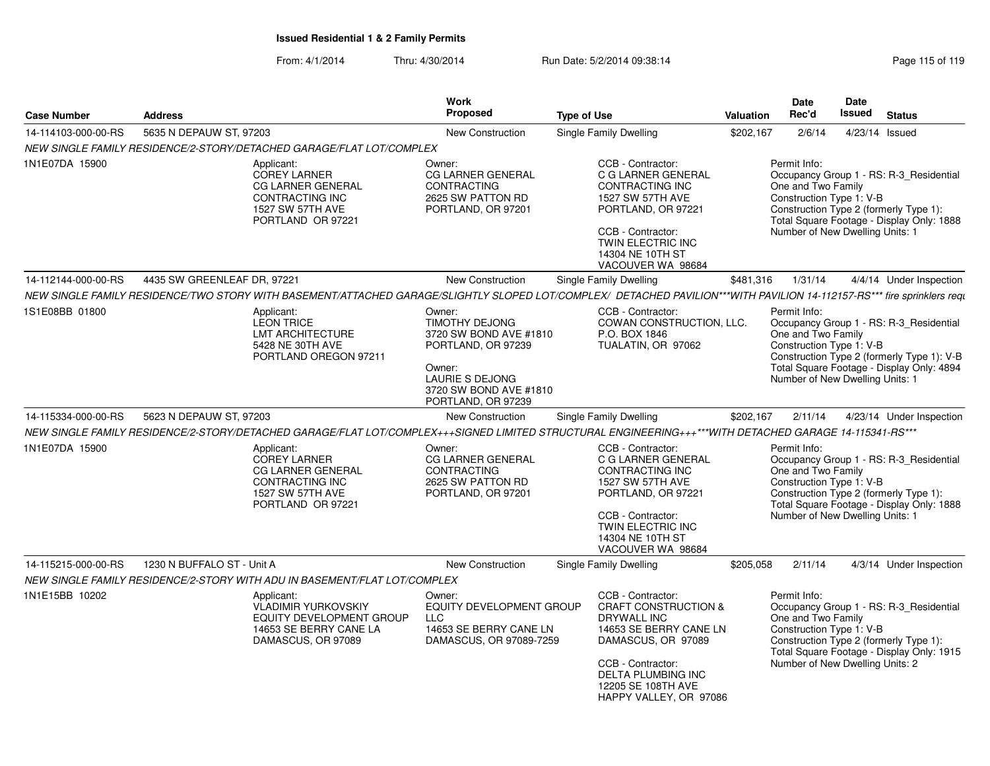### From: 4/1/2014Thru: 4/30/2014 Run Date: 5/2/2014 09:38:14

| <b>Case Number</b>  | <b>Address</b>              |                                                                                                                                                                         | <b>Work</b><br><b>Proposed</b>                                                                                                                                      | <b>Type of Use</b>            |                                                                                                                                                                                                                       | <b>Valuation</b> | <b>Date</b><br>Rec'd                                                                              | <b>Date</b><br><b>Issued</b> | <b>Status</b>                                                                                                                      |
|---------------------|-----------------------------|-------------------------------------------------------------------------------------------------------------------------------------------------------------------------|---------------------------------------------------------------------------------------------------------------------------------------------------------------------|-------------------------------|-----------------------------------------------------------------------------------------------------------------------------------------------------------------------------------------------------------------------|------------------|---------------------------------------------------------------------------------------------------|------------------------------|------------------------------------------------------------------------------------------------------------------------------------|
| 14-114103-000-00-RS | 5635 N DEPAUW ST, 97203     |                                                                                                                                                                         | New Construction                                                                                                                                                    | <b>Single Family Dwelling</b> |                                                                                                                                                                                                                       | \$202.167        | 2/6/14                                                                                            | 4/23/14 Issued               |                                                                                                                                    |
|                     |                             | NEW SINGLE FAMILY RESIDENCE/2-STORY/DETACHED GARAGE/FLAT LOT/COMPLEX                                                                                                    |                                                                                                                                                                     |                               |                                                                                                                                                                                                                       |                  |                                                                                                   |                              |                                                                                                                                    |
| 1N1E07DA 15900      |                             | Applicant:<br><b>COREY LARNER</b><br>CG LARNER GENERAL<br><b>CONTRACTING INC</b><br>1527 SW 57TH AVE<br>PORTLAND OR 97221                                               | Owner:<br><b>CG LARNER GENERAL</b><br><b>CONTRACTING</b><br>2625 SW PATTON RD<br>PORTLAND, OR 97201                                                                 |                               | CCB - Contractor:<br>C G LARNER GENERAL<br>CONTRACTING INC<br>1527 SW 57TH AVE<br>PORTLAND, OR 97221<br>CCB - Contractor:<br>TWIN ELECTRIC INC<br>14304 NE 10TH ST<br>VACOUVER WA 98684                               |                  | Permit Info:<br>One and Two Family<br>Construction Type 1: V-B<br>Number of New Dwelling Units: 1 |                              | Occupancy Group 1 - RS: R-3_Residential<br>Construction Type 2 (formerly Type 1):<br>Total Square Footage - Display Only: 1888     |
| 14-112144-000-00-RS | 4435 SW GREENLEAF DR, 97221 |                                                                                                                                                                         | <b>New Construction</b>                                                                                                                                             | Single Family Dwelling        |                                                                                                                                                                                                                       | \$481,316        | 1/31/14                                                                                           |                              | 4/4/14 Under Inspection                                                                                                            |
|                     |                             | NEW SINGLE FAMILY RESIDENCE/TWO STORY WITH BASEMENT/ATTACHED GARAGE/SLIGHTLY SLOPED LOT/COMPLEX/ DETACHED PAVILION***WITH PAVILION 14-112157-RS*** fire sprinklers requ |                                                                                                                                                                     |                               |                                                                                                                                                                                                                       |                  |                                                                                                   |                              |                                                                                                                                    |
| 1S1E08BB 01800      |                             | Applicant:<br><b>LEON TRICE</b><br><b>LMT ARCHITECTURE</b><br>5428 NE 30TH AVE<br>PORTLAND OREGON 97211                                                                 | Owner:<br><b>TIMOTHY DEJONG</b><br>3720 SW BOND AVE #1810<br>PORTLAND, OR 97239<br>Owner:<br><b>LAURIE S DEJONG</b><br>3720 SW BOND AVE #1810<br>PORTLAND, OR 97239 |                               | CCB - Contractor:<br>COWAN CONSTRUCTION, LLC.<br>P.O. BOX 1846<br>TUALATIN, OR 97062                                                                                                                                  |                  | Permit Info:<br>One and Two Family<br>Construction Type 1: V-B<br>Number of New Dwelling Units: 1 |                              | Occupancy Group 1 - RS: R-3_Residential<br>Construction Type 2 (formerly Type 1): V-B<br>Total Square Footage - Display Only: 4894 |
| 14-115334-000-00-RS | 5623 N DEPAUW ST, 97203     |                                                                                                                                                                         | <b>New Construction</b>                                                                                                                                             | <b>Single Family Dwelling</b> |                                                                                                                                                                                                                       | \$202,167        | 2/11/14                                                                                           |                              | 4/23/14 Under Inspection                                                                                                           |
|                     |                             | NEW SINGLE FAMILY RESIDENCE/2-STORY/DETACHED GARAGE/FLAT LOT/COMPLEX+++SIGNED LIMITED STRUCTURAL ENGINEERING+++***WITH DETACHED GARAGE 14-115341-RS***                  |                                                                                                                                                                     |                               |                                                                                                                                                                                                                       |                  |                                                                                                   |                              |                                                                                                                                    |
| 1N1E07DA 15900      |                             | Applicant:<br><b>COREY LARNER</b><br><b>CG LARNER GENERAL</b><br><b>CONTRACTING INC</b><br>1527 SW 57TH AVE<br>PORTLAND OR 97221                                        | Owner:<br><b>CG LARNER GENERAL</b><br><b>CONTRACTING</b><br>2625 SW PATTON RD<br>PORTLAND, OR 97201                                                                 |                               | CCB - Contractor:<br>C G LARNER GENERAL<br>CONTRACTING INC<br>1527 SW 57TH AVE<br>PORTLAND, OR 97221<br>CCB - Contractor:<br><b>TWIN ELECTRIC INC</b><br>14304 NE 10TH ST<br>VACOUVER WA 98684                        |                  | Permit Info:<br>One and Two Family<br>Construction Type 1: V-B<br>Number of New Dwelling Units: 1 |                              | Occupancy Group 1 - RS: R-3_Residential<br>Construction Type 2 (formerly Type 1):<br>Total Square Footage - Display Only: 1888     |
| 14-115215-000-00-RS | 1230 N BUFFALO ST - Unit A  |                                                                                                                                                                         | New Construction                                                                                                                                                    | Single Family Dwelling        |                                                                                                                                                                                                                       | \$205,058        | 2/11/14                                                                                           |                              | 4/3/14 Under Inspection                                                                                                            |
|                     |                             | NEW SINGLE FAMILY RESIDENCE/2-STORY WITH ADU IN BASEMENT/FLAT LOT/COMPLEX                                                                                               |                                                                                                                                                                     |                               |                                                                                                                                                                                                                       |                  |                                                                                                   |                              |                                                                                                                                    |
| 1N1E15BB 10202      |                             | Applicant:<br><b>VLADIMIR YURKOVSKIY</b><br><b>EQUITY DEVELOPMENT GROUP</b><br>14653 SE BERRY CANE LA<br>DAMASCUS, OR 97089                                             | Owner:<br>EQUITY DEVELOPMENT GROUP<br>LLC<br>14653 SE BERRY CANE LN<br>DAMASCUS, OR 97089-7259                                                                      |                               | CCB - Contractor:<br><b>CRAFT CONSTRUCTION &amp;</b><br><b>DRYWALL INC</b><br>14653 SE BERRY CANE LN<br>DAMASCUS, OR 97089<br>CCB - Contractor:<br>DELTA PLUMBING INC<br>12205 SE 108TH AVE<br>HAPPY VALLEY, OR 97086 |                  | Permit Info:<br>One and Two Family<br>Construction Type 1: V-B<br>Number of New Dwelling Units: 2 |                              | Occupancy Group 1 - RS: R-3_Residential<br>Construction Type 2 (formerly Type 1):<br>Total Square Footage - Display Only: 1915     |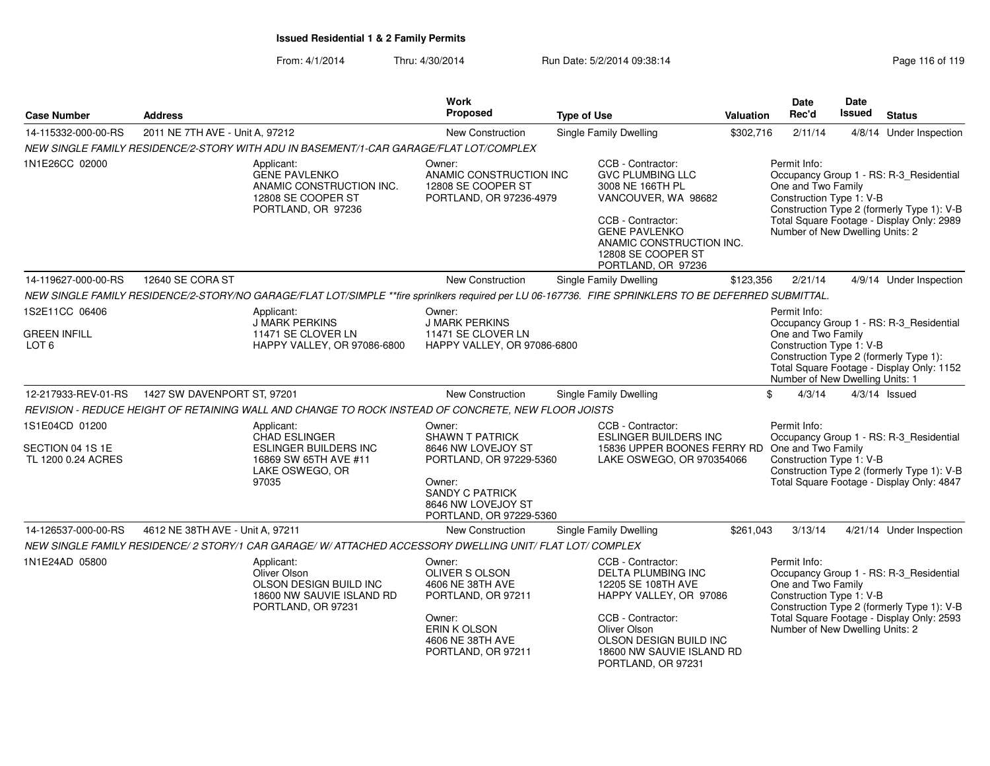| <b>Case Number</b>                     | <b>Address</b>                                                                                          |                                                                                                                                                      | <b>Work</b><br>Proposed                                                                                                            | <b>Type of Use</b>                                                                                           |                                                                                                                   | <b>Valuation</b>                                                             | <b>Date</b><br>Rec'd                                                                                                                                                                                 | <b>Date</b><br><b>Issued</b> | <b>Status</b>                                                                         |
|----------------------------------------|---------------------------------------------------------------------------------------------------------|------------------------------------------------------------------------------------------------------------------------------------------------------|------------------------------------------------------------------------------------------------------------------------------------|--------------------------------------------------------------------------------------------------------------|-------------------------------------------------------------------------------------------------------------------|------------------------------------------------------------------------------|------------------------------------------------------------------------------------------------------------------------------------------------------------------------------------------------------|------------------------------|---------------------------------------------------------------------------------------|
| 14-115332-000-00-RS                    | 2011 NE 7TH AVE - Unit A, 97212                                                                         |                                                                                                                                                      | New Construction                                                                                                                   |                                                                                                              | Single Family Dwelling                                                                                            | \$302,716                                                                    | 2/11/14                                                                                                                                                                                              |                              | 4/8/14 Under Inspection                                                               |
|                                        |                                                                                                         | NEW SINGLE FAMILY RESIDENCE/2-STORY WITH ADU IN BASEMENT/1-CAR GARAGE/FLAT LOT/COMPLEX                                                               |                                                                                                                                    |                                                                                                              |                                                                                                                   |                                                                              |                                                                                                                                                                                                      |                              |                                                                                       |
| 1N1E26CC 02000                         |                                                                                                         | Applicant:<br><b>GENE PAVLENKO</b><br>ANAMIC CONSTRUCTION INC.<br>12808 SE COOPER ST<br>PORTLAND, OR 97236                                           | Owner:<br>ANAMIC CONSTRUCTION INC<br>12808 SE COOPER ST<br>PORTLAND, OR 97236-4979                                                 |                                                                                                              | CCB - Contractor:<br><b>GVC PLUMBING LLC</b><br>3008 NE 166TH PL<br>VANCOUVER, WA 98682                           |                                                                              | Permit Info:<br>One and Two Family<br>Construction Type 1: V-B                                                                                                                                       |                              | Occupancy Group 1 - RS: R-3 Residential<br>Construction Type 2 (formerly Type 1): V-B |
|                                        |                                                                                                         |                                                                                                                                                      |                                                                                                                                    |                                                                                                              | CCB - Contractor:<br><b>GENE PAVLENKO</b><br>ANAMIC CONSTRUCTION INC.<br>12808 SE COOPER ST<br>PORTLAND, OR 97236 | Total Square Footage - Display Only: 2989<br>Number of New Dwelling Units: 2 |                                                                                                                                                                                                      |                              |                                                                                       |
| 14-119627-000-00-RS                    | 12640 SE CORA ST                                                                                        |                                                                                                                                                      | New Construction                                                                                                                   |                                                                                                              | Single Family Dwelling                                                                                            | \$123,356                                                                    | 2/21/14                                                                                                                                                                                              |                              | 4/9/14 Under Inspection                                                               |
|                                        |                                                                                                         | NEW SINGLE FAMILY RESIDENCE/2-STORY/NO GARAGE/FLAT LOT/SIMPLE **fire sprinlkers required per LU 06-167736. FIRE SPRINKLERS TO BE DEFERRED SUBMITTAL. |                                                                                                                                    |                                                                                                              |                                                                                                                   |                                                                              |                                                                                                                                                                                                      |                              |                                                                                       |
| 1S2E11CC 06406                         |                                                                                                         | Applicant:<br><b>J MARK PERKINS</b>                                                                                                                  | Owner:<br><b>J MARK PERKINS</b>                                                                                                    |                                                                                                              |                                                                                                                   |                                                                              | Permit Info:                                                                                                                                                                                         |                              | Occupancy Group 1 - RS: R-3_Residential                                               |
| <b>GREEN INFILL</b><br>LOT 6           |                                                                                                         | 11471 SE CLOVER LN<br>HAPPY VALLEY, OR 97086-6800                                                                                                    | 11471 SE CLOVER LN<br>HAPPY VALLEY, OR 97086-6800                                                                                  |                                                                                                              |                                                                                                                   |                                                                              | Construction Type 1: V-B<br>Construction Type 2 (formerly Type 1):<br>Total Square Footage - Display Only: 1152<br>Number of New Dwelling Units: 1                                                   |                              |                                                                                       |
| 12-217933-REV-01-RS                    | 1427 SW DAVENPORT ST, 97201                                                                             |                                                                                                                                                      | New Construction                                                                                                                   |                                                                                                              | <b>Single Family Dwelling</b>                                                                                     |                                                                              | 4/3/14<br>\$                                                                                                                                                                                         |                              | $4/3/14$ Issued                                                                       |
|                                        |                                                                                                         | REVISION - REDUCE HEIGHT OF RETAINING WALL AND CHANGE TO ROCK INSTEAD OF CONCRETE, NEW FLOOR JOISTS                                                  |                                                                                                                                    |                                                                                                              |                                                                                                                   |                                                                              |                                                                                                                                                                                                      |                              |                                                                                       |
| 1S1E04CD 01200                         |                                                                                                         | Applicant:<br><b>CHAD ESLINGER</b>                                                                                                                   | Owner:<br><b>SHAWN T PATRICK</b>                                                                                                   |                                                                                                              | CCB - Contractor:<br><b>ESLINGER BUILDERS INC</b>                                                                 |                                                                              | Permit Info:                                                                                                                                                                                         |                              |                                                                                       |
| SECTION 04 1S 1E<br>TL 1200 0.24 ACRES |                                                                                                         | <b>ESLINGER BUILDERS INC</b><br>16869 SW 65TH AVE #11<br>LAKE OSWEGO, OR<br>97035                                                                    | 8646 NW LOVEJOY ST<br>PORTLAND, OR 97229-5360<br>Owner:<br><b>SANDY C PATRICK</b><br>8646 NW LOVEJOY ST<br>PORTLAND, OR 97229-5360 |                                                                                                              | 15836 UPPER BOONES FERRY RD One and Two Family<br>LAKE OSWEGO, OR 970354066                                       |                                                                              | Occupancy Group 1 - RS: R-3 Residential<br>Construction Type 1: V-B<br>Construction Type 2 (formerly Type 1): V-B<br>Total Square Footage - Display Only: 4847                                       |                              |                                                                                       |
| 14-126537-000-00-RS                    | 4612 NE 38TH AVE - Unit A, 97211                                                                        |                                                                                                                                                      | <b>New Construction</b>                                                                                                            |                                                                                                              | Single Family Dwelling                                                                                            | \$261,043                                                                    | 3/13/14                                                                                                                                                                                              |                              | 4/21/14 Under Inspection                                                              |
|                                        |                                                                                                         | NEW SINGLE FAMILY RESIDENCE/2 STORY/1 CAR GARAGE/W/ATTACHED ACCESSORY DWELLING UNIT/ FLAT LOT/ COMPLEX                                               |                                                                                                                                    |                                                                                                              |                                                                                                                   |                                                                              |                                                                                                                                                                                                      |                              |                                                                                       |
| 1N1E24AD 05800                         | Applicant:<br>Oliver Olson<br>OLSON DESIGN BUILD INC<br>18600 NW SAUVIE ISLAND RD<br>PORTLAND, OR 97231 |                                                                                                                                                      | Owner:<br>OLIVER S OLSON<br>4606 NE 38TH AVE<br>PORTLAND, OR 97211<br>Owner:                                                       | CCB - Contractor:<br>DELTA PLUMBING INC<br>12205 SE 108TH AVE<br>HAPPY VALLEY, OR 97086<br>CCB - Contractor: |                                                                                                                   |                                                                              | Permit Info:<br>Occupancy Group 1 - RS: R-3_Residential<br>One and Two Family<br>Construction Type 1: V-B<br>Construction Type 2 (formerly Type 1): V-B<br>Total Square Footage - Display Only: 2593 |                              |                                                                                       |
|                                        |                                                                                                         |                                                                                                                                                      | ERIN K OLSON<br>4606 NE 38TH AVE<br>PORTLAND, OR 97211                                                                             |                                                                                                              | Oliver Olson<br>OLSON DESIGN BUILD INC<br>18600 NW SAUVIE ISLAND RD<br>PORTLAND, OR 97231                         |                                                                              | Number of New Dwelling Units: 2                                                                                                                                                                      |                              |                                                                                       |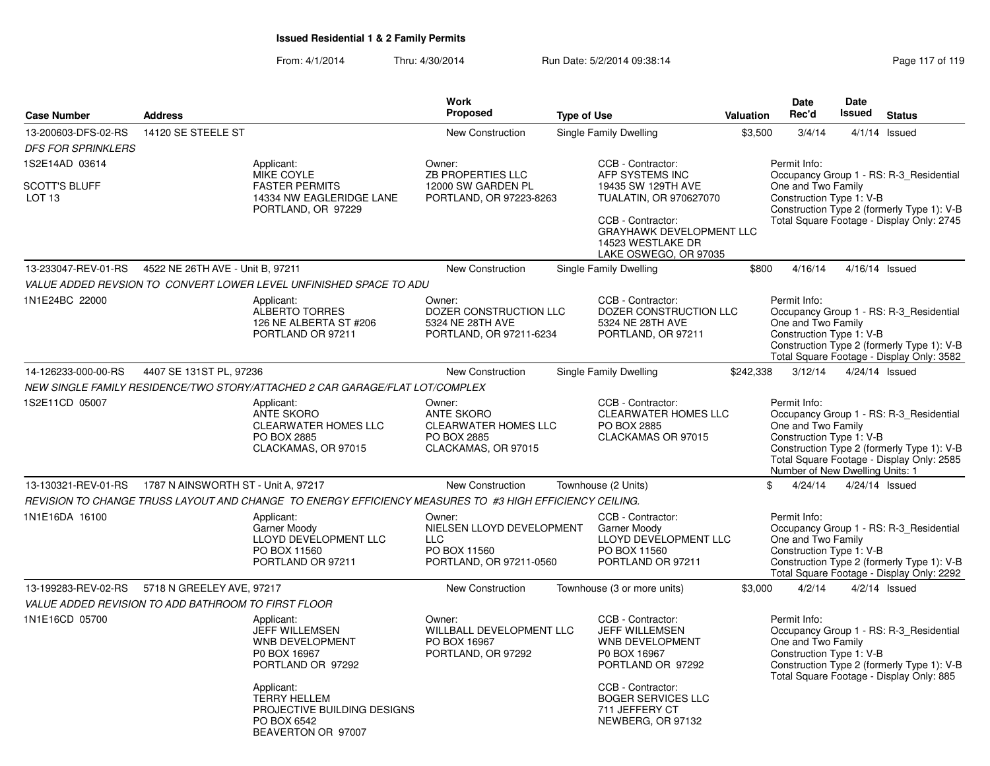|                                                     |                                     |                                                                                                         | <b>Work</b>                                                                                      |                             |                                                                                                    |           | <b>Date</b>                                                                                       | <b>Date</b> |                                                                                                                                    |
|-----------------------------------------------------|-------------------------------------|---------------------------------------------------------------------------------------------------------|--------------------------------------------------------------------------------------------------|-----------------------------|----------------------------------------------------------------------------------------------------|-----------|---------------------------------------------------------------------------------------------------|-------------|------------------------------------------------------------------------------------------------------------------------------------|
| <b>Case Number</b>                                  | <b>Address</b>                      |                                                                                                         | <b>Proposed</b>                                                                                  | <b>Type of Use</b>          |                                                                                                    | Valuation | Rec'd                                                                                             | Issued      | <b>Status</b>                                                                                                                      |
| 13-200603-DFS-02-RS                                 | 14120 SE STEELE ST                  |                                                                                                         | New Construction                                                                                 | Single Family Dwelling      |                                                                                                    | \$3,500   | 3/4/14                                                                                            |             | $4/1/14$ Issued                                                                                                                    |
| <b>DFS FOR SPRINKLERS</b>                           |                                     |                                                                                                         |                                                                                                  |                             |                                                                                                    |           |                                                                                                   |             |                                                                                                                                    |
| 1S2E14AD 03614                                      |                                     | Applicant:<br>MIKE COYLE                                                                                | Owner:<br><b>ZB PROPERTIES LLC</b>                                                               |                             | CCB - Contractor:<br>AFP SYSTEMS INC                                                               |           | Permit Info:                                                                                      |             | Occupancy Group 1 - RS: R-3 Residential                                                                                            |
| <b>SCOTT'S BLUFF</b><br>LOT <sub>13</sub>           |                                     | <b>FASTER PERMITS</b><br>14334 NW EAGLERIDGE LANE<br>PORTLAND, OR 97229                                 | 12000 SW GARDEN PL<br>PORTLAND, OR 97223-8263                                                    |                             | 19435 SW 129TH AVE<br>TUALATIN, OR 970627070                                                       |           | One and Two Family<br>Construction Type 1: V-B                                                    |             | Construction Type 2 (formerly Type 1): V-B                                                                                         |
|                                                     |                                     |                                                                                                         |                                                                                                  |                             | CCB - Contractor:<br>GRAYHAWK DEVELOPMENT LLC<br>14523 WESTLAKE DR<br>LAKE OSWEGO, OR 97035        |           |                                                                                                   |             | Total Square Footage - Display Only: 2745                                                                                          |
| 13-233047-REV-01-RS                                 | 4522 NE 26TH AVE - Unit B, 97211    |                                                                                                         | <b>New Construction</b>                                                                          | Single Family Dwelling      |                                                                                                    | \$800     | 4/16/14                                                                                           |             | 4/16/14 Issued                                                                                                                     |
|                                                     |                                     | VALUE ADDED REVSION TO CONVERT LOWER LEVEL UNFINISHED SPACE TO ADU                                      |                                                                                                  |                             |                                                                                                    |           |                                                                                                   |             |                                                                                                                                    |
| 1N1E24BC 22000                                      |                                     | Applicant:<br><b>ALBERTO TORRES</b><br>126 NE ALBERTA ST #206<br>PORTLAND OR 97211                      | Owner:<br>DOZER CONSTRUCTION LLC<br>5324 NE 28TH AVE<br>PORTLAND, OR 97211-6234                  |                             | CCB - Contractor:<br>DOZER CONSTRUCTION LLC<br>5324 NE 28TH AVE<br>PORTLAND, OR 97211              |           | Permit Info:<br>One and Two Family<br>Construction Type 1: V-B                                    |             | Occupancy Group 1 - RS: R-3_Residential<br>Construction Type 2 (formerly Type 1): V-B<br>Total Square Footage - Display Only: 3582 |
| 14-126233-000-00-RS                                 | 4407 SE 131ST PL, 97236             |                                                                                                         | <b>New Construction</b>                                                                          | Single Family Dwelling      |                                                                                                    | \$242,338 | 3/12/14                                                                                           |             | 4/24/14 Issued                                                                                                                     |
|                                                     |                                     | NEW SINGLE FAMILY RESIDENCE/TWO STORY/ATTACHED 2 CAR GARAGE/FLAT LOT/COMPLEX                            |                                                                                                  |                             |                                                                                                    |           |                                                                                                   |             |                                                                                                                                    |
| 1S2E11CD 05007                                      |                                     | Applicant:<br><b>ANTE SKORO</b><br><b>CLEARWATER HOMES LLC</b><br>PO BOX 2885<br>CLACKAMAS, OR 97015    | Owner:<br><b>ANTE SKORO</b><br><b>CLEARWATER HOMES LLC</b><br>PO BOX 2885<br>CLACKAMAS, OR 97015 | PO BOX 2885                 | CCB - Contractor:<br><b>CLEARWATER HOMES LLC</b><br>CLACKAMAS OR 97015                             |           | Permit Info:<br>One and Two Family<br>Construction Type 1: V-B<br>Number of New Dwelling Units: 1 |             | Occupancy Group 1 - RS: R-3_Residential<br>Construction Type 2 (formerly Type 1): V-B<br>Total Square Footage - Display Only: 2585 |
| 13-130321-REV-01-RS                                 | 1787 N AINSWORTH ST - Unit A, 97217 |                                                                                                         | <b>New Construction</b>                                                                          | Townhouse (2 Units)         |                                                                                                    | \$        | 4/24/14                                                                                           |             | 4/24/14 Issued                                                                                                                     |
|                                                     |                                     | REVISION TO CHANGE TRUSS LAYOUT AND CHANGE TO ENERGY EFFICIENCY MEASURES TO #3 HIGH EFFICIENCY CEILING. |                                                                                                  |                             |                                                                                                    |           |                                                                                                   |             |                                                                                                                                    |
| 1N1E16DA 16100                                      |                                     | Applicant:<br>Garner Moody<br><b>LLOYD DEVELOPMENT LLC</b><br>PO BOX 11560<br>PORTLAND OR 97211         | Owner:<br>NIELSEN LLOYD DEVELOPMENT<br><b>LLC</b><br>PO BOX 11560<br>PORTLAND, OR 97211-0560     | Garner Moody                | CCB - Contractor:<br><b>LLOYD DEVELOPMENT LLC</b><br>PO BOX 11560<br>PORTLAND OR 97211             |           | Permit Info:<br>One and Two Family<br>Construction Type 1: V-B                                    |             | Occupancy Group 1 - RS: R-3_Residential<br>Construction Type 2 (formerly Type 1): V-B<br>Total Square Footage - Display Only: 2292 |
| 13-199283-REV-02-RS                                 | 5718 N GREELEY AVE, 97217           |                                                                                                         | New Construction                                                                                 | Townhouse (3 or more units) |                                                                                                    | \$3,000   | 4/2/14                                                                                            |             | $4/2/14$ Issued                                                                                                                    |
| VALUE ADDED REVISION TO ADD BATHROOM TO FIRST FLOOR |                                     |                                                                                                         |                                                                                                  |                             |                                                                                                    |           |                                                                                                   |             |                                                                                                                                    |
| 1N1E16CD 05700                                      |                                     | Applicant:<br>JEFF WILLEMSEN<br>WNB DEVELOPMENT<br>P0 BOX 16967<br>PORTLAND OR 97292                    | Owner:<br>WILLBALL DEVELOPMENT LLC<br>PO BOX 16967<br>PORTLAND, OR 97292                         |                             | CCB - Contractor:<br><b>JEFF WILLEMSEN</b><br>WNB DEVELOPMENT<br>P0 BOX 16967<br>PORTLAND OR 97292 |           | Permit Info:<br>One and Two Family<br>Construction Type 1: V-B                                    |             | Occupancy Group 1 - RS: R-3_Residential<br>Construction Type 2 (formerly Type 1): V-B<br>Total Square Footage - Display Only: 885  |
|                                                     |                                     | Applicant:<br><b>TERRY HELLEM</b><br>PROJECTIVE BUILDING DESIGNS<br>PO BOX 6542<br>BEAVERTON OR 97007   |                                                                                                  |                             | CCB - Contractor:<br><b>BOGER SERVICES LLC</b><br>711 JEFFERY CT<br>NEWBERG, OR 97132              |           |                                                                                                   |             |                                                                                                                                    |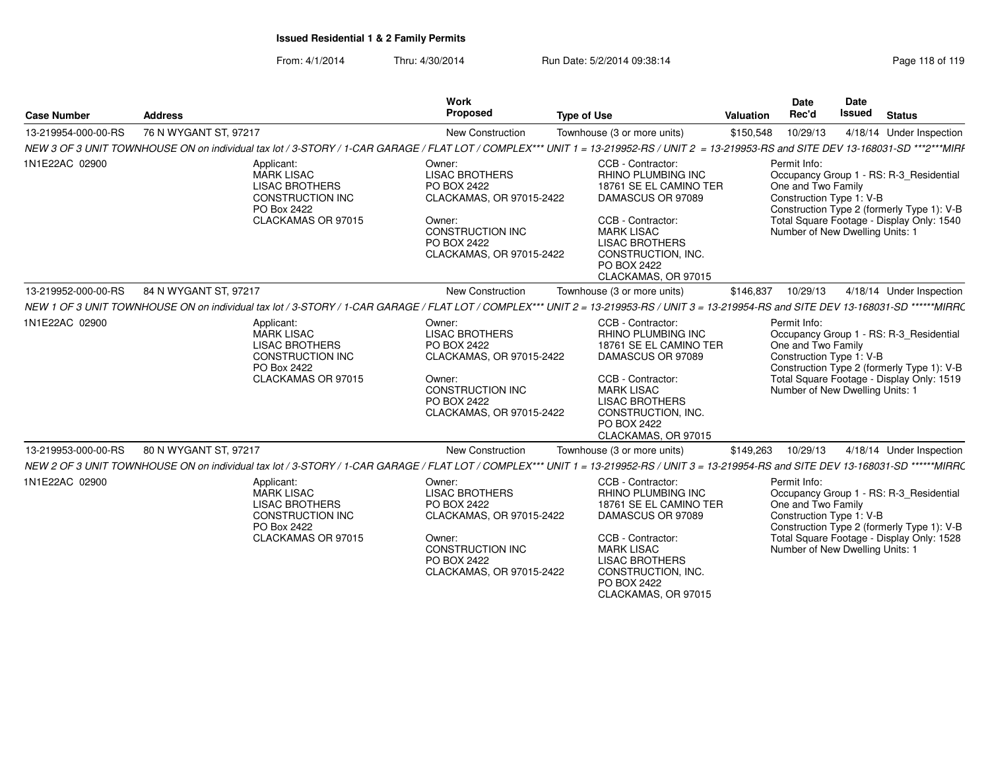| Page 118 of 119<br>1 Date: 5/2/2014 09:38:14<br>From: 4/1/2014<br>Thru: 4/30/2014<br>Run |  |
|------------------------------------------------------------------------------------------|--|
|------------------------------------------------------------------------------------------|--|

| <b>Case Number</b>  | <b>Address</b>                                                                                                                                                                          | <b>Work</b><br><b>Proposed</b>                                                                                                                             | <b>Type of Use</b>                                                                                                                                                                                                           | Valuation | <b>Date</b><br>Rec'd                                                                              | <b>Date</b><br>Issued | <b>Status</b>                                                                                                                      |
|---------------------|-----------------------------------------------------------------------------------------------------------------------------------------------------------------------------------------|------------------------------------------------------------------------------------------------------------------------------------------------------------|------------------------------------------------------------------------------------------------------------------------------------------------------------------------------------------------------------------------------|-----------|---------------------------------------------------------------------------------------------------|-----------------------|------------------------------------------------------------------------------------------------------------------------------------|
| 13-219954-000-00-RS | 76 N WYGANT ST, 97217                                                                                                                                                                   | New Construction                                                                                                                                           | Townhouse (3 or more units)                                                                                                                                                                                                  | \$150,548 | 10/29/13                                                                                          |                       | 4/18/14 Under Inspection                                                                                                           |
|                     | NEW 3 OF 3 UNIT TOWNHOUSE ON on individual tax lot / 3-STORY / 1-CAR GARAGE / FLAT LOT / COMPLEX*** UNIT 1 = 13-219952-RS / UNIT 2 = 13-219953-RS and SITE DEV 13-168031-SD ***2***MIRF |                                                                                                                                                            |                                                                                                                                                                                                                              |           |                                                                                                   |                       |                                                                                                                                    |
| 1N1E22AC 02900      | Applicant:<br><b>MARK LISAC</b><br><b>LISAC BROTHERS</b><br><b>CONSTRUCTION INC</b><br>PO Box 2422<br>CLACKAMAS OR 97015                                                                | Owner:<br><b>LISAC BROTHERS</b><br>PO BOX 2422<br>CLACKAMAS, OR 97015-2422<br>Owner:<br>CONSTRUCTION INC<br>PO BOX 2422<br>CLACKAMAS, OR 97015-2422        | CCB - Contractor:<br><b>RHINO PLUMBING INC</b><br>18761 SE EL CAMINO TER<br>DAMASCUS OR 97089<br>CCB - Contractor:<br><b>MARK LISAC</b><br><b>LISAC BROTHERS</b><br>CONSTRUCTION, INC.<br>PO BOX 2422<br>CLACKAMAS, OR 97015 |           | Permit Info:<br>One and Two Family<br>Construction Type 1: V-B<br>Number of New Dwelling Units: 1 |                       | Occupancy Group 1 - RS: R-3_Residential<br>Construction Type 2 (formerly Type 1): V-B<br>Total Square Footage - Display Only: 1540 |
| 13-219952-000-00-RS | 84 N WYGANT ST, 97217                                                                                                                                                                   | <b>New Construction</b>                                                                                                                                    | Townhouse (3 or more units)                                                                                                                                                                                                  | \$146,837 | 10/29/13                                                                                          |                       | 4/18/14 Under Inspection                                                                                                           |
|                     | NEW 1 OF 3 UNIT TOWNHOUSE ON on individual tax lot / 3-STORY / 1-CAR GARAGE / FLAT LOT / COMPLEX*** UNIT 2 = 13-219953-RS / UNIT 3 = 13-219954-RS and SITE DEV 13-168031-SD ******MIRRC |                                                                                                                                                            |                                                                                                                                                                                                                              |           |                                                                                                   |                       |                                                                                                                                    |
| 1N1E22AC 02900      | Applicant:<br><b>MARK LISAC</b><br><b>LISAC BROTHERS</b><br>CONSTRUCTION INC<br>PO Box 2422<br>CLACKAMAS OR 97015                                                                       | Owner:<br><b>LISAC BROTHERS</b><br>PO BOX 2422<br>CLACKAMAS, OR 97015-2422<br>Owner:<br>CONSTRUCTION INC<br>PO BOX 2422<br>CLACKAMAS, OR 97015-2422        | CCB - Contractor:<br><b>RHINO PLUMBING INC</b><br>18761 SE EL CAMINO TER<br>DAMASCUS OR 97089<br>CCB - Contractor:<br><b>MARK LISAC</b><br><b>LISAC BROTHERS</b><br>CONSTRUCTION, INC.<br>PO BOX 2422<br>CLACKAMAS, OR 97015 |           | Permit Info:<br>One and Two Family<br>Construction Type 1: V-B<br>Number of New Dwelling Units: 1 |                       | Occupancy Group 1 - RS: R-3_Residential<br>Construction Type 2 (formerly Type 1): V-B<br>Total Square Footage - Display Only: 1519 |
| 13-219953-000-00-RS | 80 N WYGANT ST, 97217                                                                                                                                                                   | <b>New Construction</b>                                                                                                                                    | Townhouse (3 or more units)                                                                                                                                                                                                  | \$149,263 | 10/29/13                                                                                          |                       | 4/18/14 Under Inspection                                                                                                           |
|                     | NEW 2 OF 3 UNIT TOWNHOUSE ON on individual tax lot / 3-STORY / 1-CAR GARAGE / FLAT LOT / COMPLEX*** UNIT 1 = 13-219952-RS / UNIT 3 = 13-219954-RS and SITE DEV 13-168031-SD ******MIRRC |                                                                                                                                                            |                                                                                                                                                                                                                              |           |                                                                                                   |                       |                                                                                                                                    |
| 1N1E22AC 02900      | Applicant:<br><b>MARK LISAC</b><br><b>LISAC BROTHERS</b><br><b>CONSTRUCTION INC</b><br>PO Box 2422<br>CLACKAMAS OR 97015                                                                | Owner:<br><b>LISAC BROTHERS</b><br>PO BOX 2422<br>CLACKAMAS, OR 97015-2422<br>Owner:<br><b>CONSTRUCTION INC</b><br>PO BOX 2422<br>CLACKAMAS, OR 97015-2422 | CCB - Contractor:<br>RHINO PLUMBING INC<br>18761 SE EL CAMINO TER<br>DAMASCUS OR 97089<br>CCB - Contractor:<br><b>MARK LISAC</b><br><b>LISAC BROTHERS</b><br>CONSTRUCTION, INC.<br>PO BOX 2422<br>CLACKAMAS, OR 97015        |           | Permit Info:<br>One and Two Family<br>Construction Type 1: V-B<br>Number of New Dwelling Units: 1 |                       | Occupancy Group 1 - RS: R-3 Residential<br>Construction Type 2 (formerly Type 1): V-B<br>Total Square Footage - Display Only: 1528 |